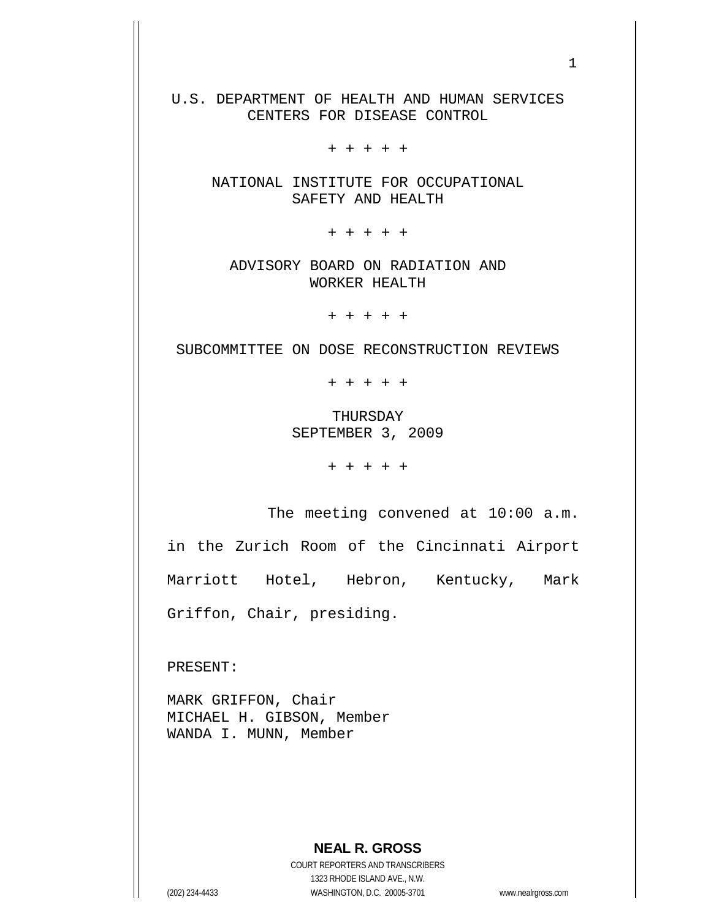U.S. DEPARTMENT OF HEALTH AND HUMAN SERVICES CENTERS FOR DISEASE CONTROL

+ + + + +

NATIONAL INSTITUTE FOR OCCUPATIONAL SAFETY AND HEALTH

+ + + + +

ADVISORY BOARD ON RADIATION AND WORKER HEALTH

+ + + + +

SUBCOMMITTEE ON DOSE RECONSTRUCTION REVIEWS

+ + + + +

THURSDAY SEPTEMBER 3, 2009

+ + + + +

The meeting convened at 10:00 a.m.

in the Zurich Room of the Cincinnati Airport Marriott Hotel, Hebron, Kentucky, Mark Griffon, Chair, presiding.

PRESENT:

MARK GRIFFON, Chair MICHAEL H. GIBSON, Member WANDA I. MUNN, Member

## **NEAL R. GROSS**

COURT REPORTERS AND TRANSCRIBERS 1323 RHODE ISLAND AVE., N.W. (202) 234-4433 WASHINGTON, D.C. 20005-3701 www.nealrgross.com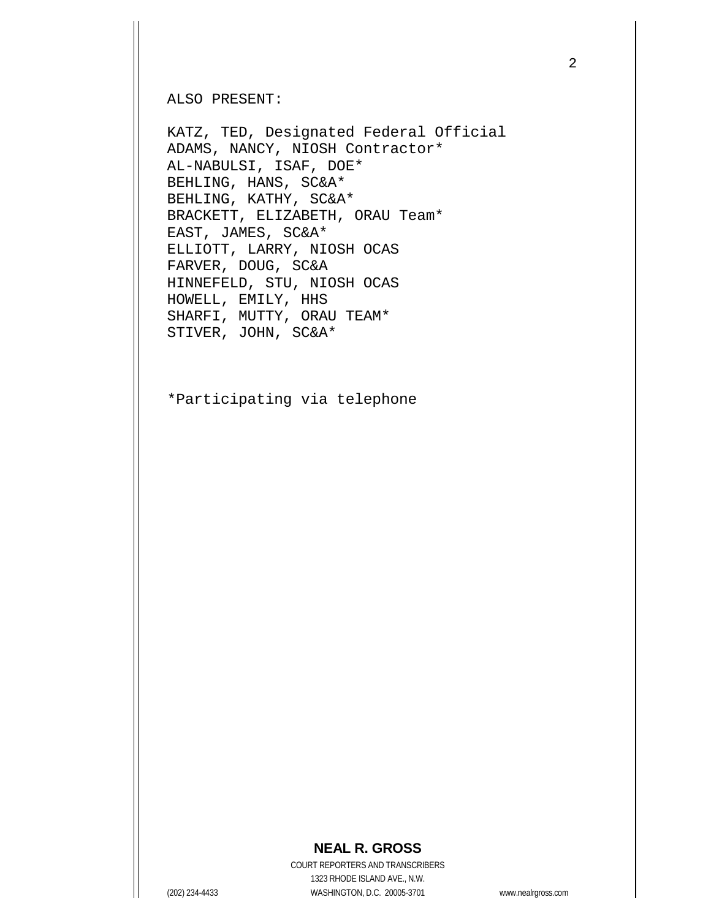ALSO PRESENT:

KATZ, TED, Designated Federal Official ADAMS, NANCY, NIOSH Contractor\* AL-NABULSI, ISAF, DOE\* BEHLING, HANS, SC&A\* BEHLING, KATHY, SC&A\* BRACKETT, ELIZABETH, ORAU Team\* EAST, JAMES, SC&A\* ELLIOTT, LARRY, NIOSH OCAS FARVER, DOUG, SC&A HINNEFELD, STU, NIOSH OCAS HOWELL, EMILY, HHS SHARFI, MUTTY, ORAU TEAM\* STIVER, JOHN, SC&A\*

\*Participating via telephone

## 2

## **NEAL R. GROSS**

COURT REPORTERS AND TRANSCRIBERS 1323 RHODE ISLAND AVE., N.W. (202) 234-4433 WASHINGTON, D.C. 20005-3701 www.nealrgross.com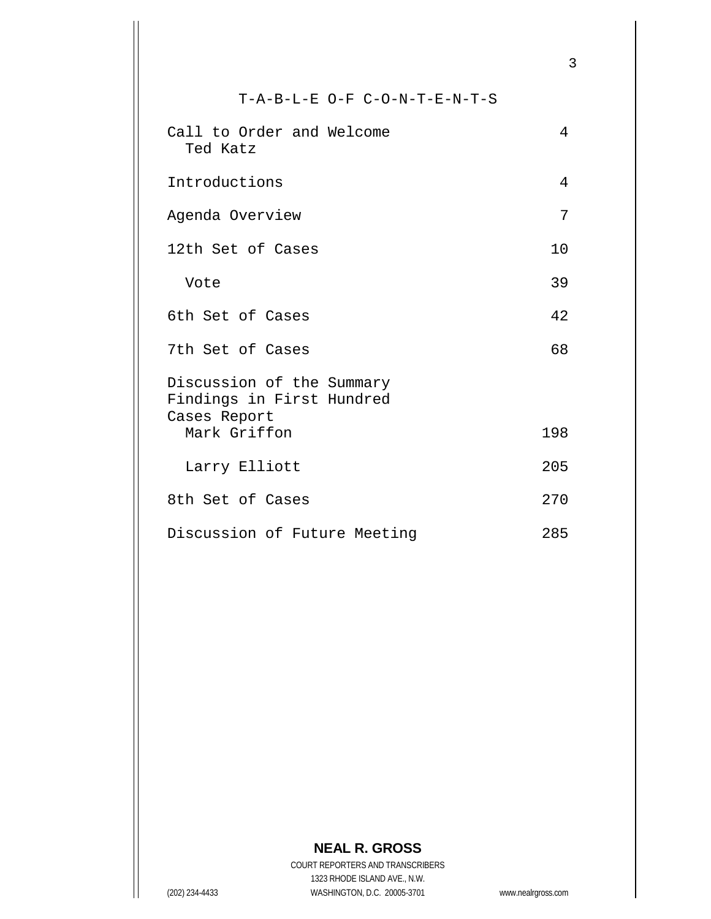T-A-B-L-E O-F C-O-N-T-E-N-T-S

| Call to Order and Welcome<br>Ted Katz                                  | 4   |
|------------------------------------------------------------------------|-----|
| Introductions                                                          | 4   |
| Agenda Overview                                                        | 7   |
| 12th Set of Cases                                                      | 10  |
| Vote                                                                   | 39  |
| 6th Set of Cases                                                       | 42  |
| 7th Set of Cases                                                       | 68  |
| Discussion of the Summary<br>Findings in First Hundred<br>Cases Report |     |
| Mark Griffon                                                           | 198 |
| Larry Elliott                                                          | 205 |
| 8th Set of Cases                                                       | 270 |
| Discussion of Future Meeting                                           | 285 |

## **NEAL R. GROSS**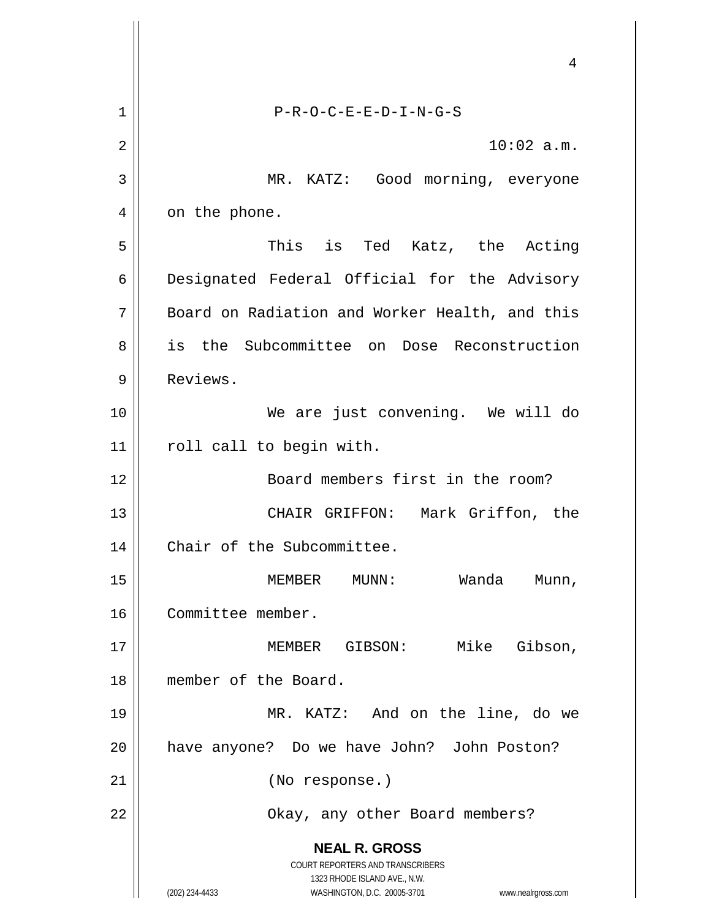|    | 4                                                                                                   |
|----|-----------------------------------------------------------------------------------------------------|
| 1  | $P-R-O-C-E-E-D-I-N-G-S$                                                                             |
| 2  | $10:02$ a.m.                                                                                        |
| 3  | MR. KATZ: Good morning, everyone                                                                    |
| 4  | on the phone.                                                                                       |
| 5  | This is Ted Katz, the Acting                                                                        |
| 6  | Designated Federal Official for the Advisory                                                        |
| 7  | Board on Radiation and Worker Health, and this                                                      |
| 8  | is the Subcommittee on Dose Reconstruction                                                          |
| 9  | Reviews.                                                                                            |
| 10 | We are just convening. We will do                                                                   |
| 11 | roll call to begin with.                                                                            |
| 12 | Board members first in the room?                                                                    |
| 13 | Mark Griffon, the<br>CHAIR GRIFFON:                                                                 |
| 14 | Chair of the Subcommittee.                                                                          |
| 15 | MEMBER<br>MUNN :<br>Wanda<br>Munn,                                                                  |
| 16 | Committee member.                                                                                   |
| 17 | MEMBER GIBSON: Mike Gibson,                                                                         |
| 18 | member of the Board.                                                                                |
| 19 | MR. KATZ: And on the line, do we                                                                    |
| 20 | have anyone? Do we have John? John Poston?                                                          |
| 21 | (No response.)                                                                                      |
| 22 | Okay, any other Board members?                                                                      |
|    | <b>NEAL R. GROSS</b><br><b>COURT REPORTERS AND TRANSCRIBERS</b>                                     |
|    | 1323 RHODE ISLAND AVE., N.W.<br>(202) 234-4433<br>WASHINGTON, D.C. 20005-3701<br>www.nealrgross.com |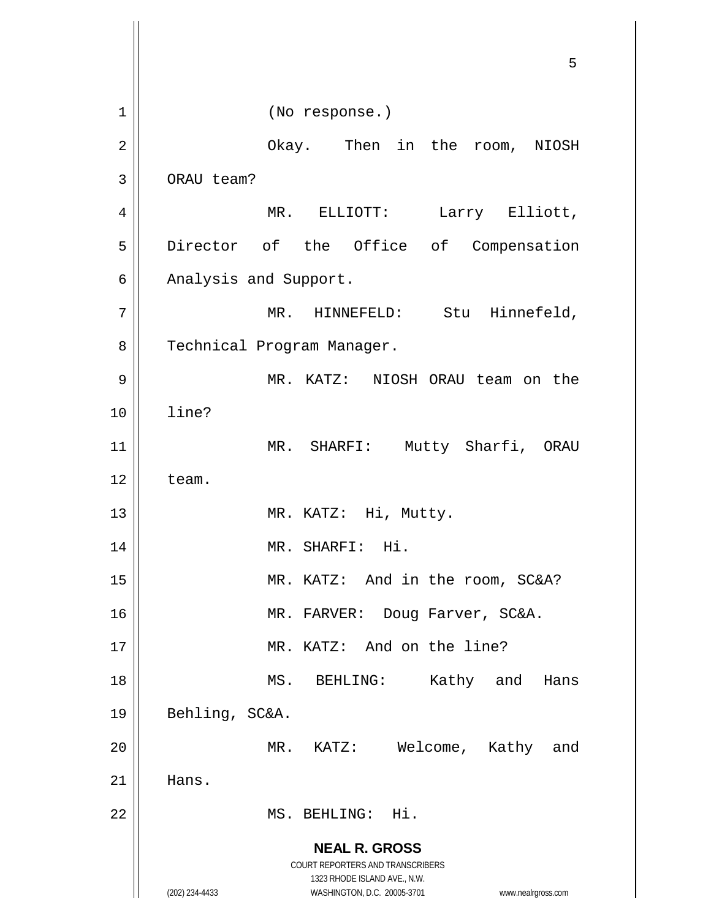**NEAL R. GROSS** COURT REPORTERS AND TRANSCRIBERS 1323 RHODE ISLAND AVE., N.W. (202) 234-4433 WASHINGTON, D.C. 20005-3701 www.nealrgross.com 5 1 || (No response.) 2 Okay. Then in the room, NIOSH 3 | ORAU team? 4 || MR. ELLIOTT: Larry Elliott, 5 || Director of the Office of Compensation  $6 \parallel$  Analysis and Support. 7 || MR. HINNEFELD: Stu Hinnefeld, 8 | Technical Program Manager. 9 MR. KATZ: NIOSH ORAU team on the 10 line? 11 || MR. SHARFI: Mutty Sharfi, ORAU  $12 \parallel$  team. 13 || MR. KATZ: Hi, Mutty. 14 || MR. SHARFI: Hi. 15 || MR. KATZ: And in the room, SC&A? 16 || MR. FARVER: Doug Farver, SC&A. 17 || MR. KATZ: And on the line? 18 MS. BEHLING: Kathy and Hans 19 || Behling, SC&A. 20 || MR. KATZ: Welcome, Kathy and  $21$  | Hans. 22 MS. BEHLING: Hi.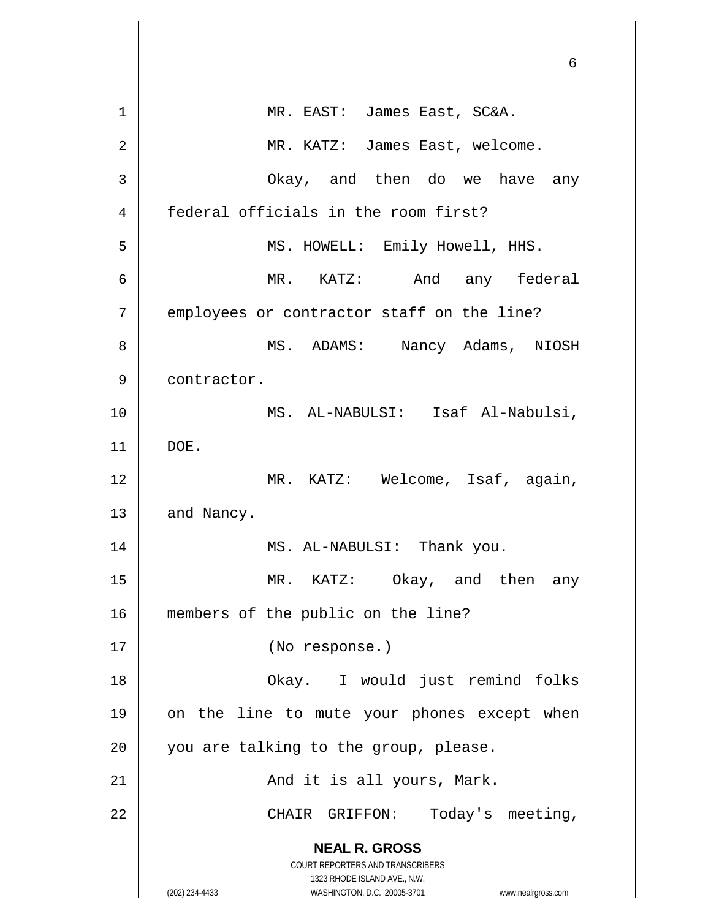| 1  | MR. EAST: James East, SC&A.                                         |
|----|---------------------------------------------------------------------|
| 2  | MR. KATZ: James East, welcome.                                      |
| 3  | Okay, and then do we have any                                       |
| 4  | federal officials in the room first?                                |
| 5  | MS. HOWELL: Emily Howell, HHS.                                      |
| 6  | MR. KATZ: And any federal                                           |
| 7  | employees or contractor staff on the line?                          |
| 8  | MS. ADAMS: Nancy Adams, NIOSH                                       |
| 9  | contractor.                                                         |
| 10 | MS. AL-NABULSI: Isaf Al-Nabulsi,                                    |
| 11 | DOE.                                                                |
| 12 | MR. KATZ: Welcome, Isaf, again,                                     |
| 13 | and Nancy.                                                          |
| 14 | MS. AL-NABULSI: Thank you.                                          |
| 15 | MR. KATZ:<br>Okay, and then<br>any                                  |
| 16 | members of the public on the line?                                  |
| 17 | (No response.)                                                      |
| 18 | Okay. I would just remind folks                                     |
| 19 | on the line to mute your phones except when                         |
| 20 | you are talking to the group, please.                               |
| 21 | And it is all yours, Mark.                                          |
| 22 | Today's meeting,<br>CHAIR GRIFFON:                                  |
|    | <b>NEAL R. GROSS</b>                                                |
|    | COURT REPORTERS AND TRANSCRIBERS<br>1323 RHODE ISLAND AVE., N.W.    |
|    | WASHINGTON, D.C. 20005-3701<br>(202) 234-4433<br>www.nealrgross.com |

 $\parallel$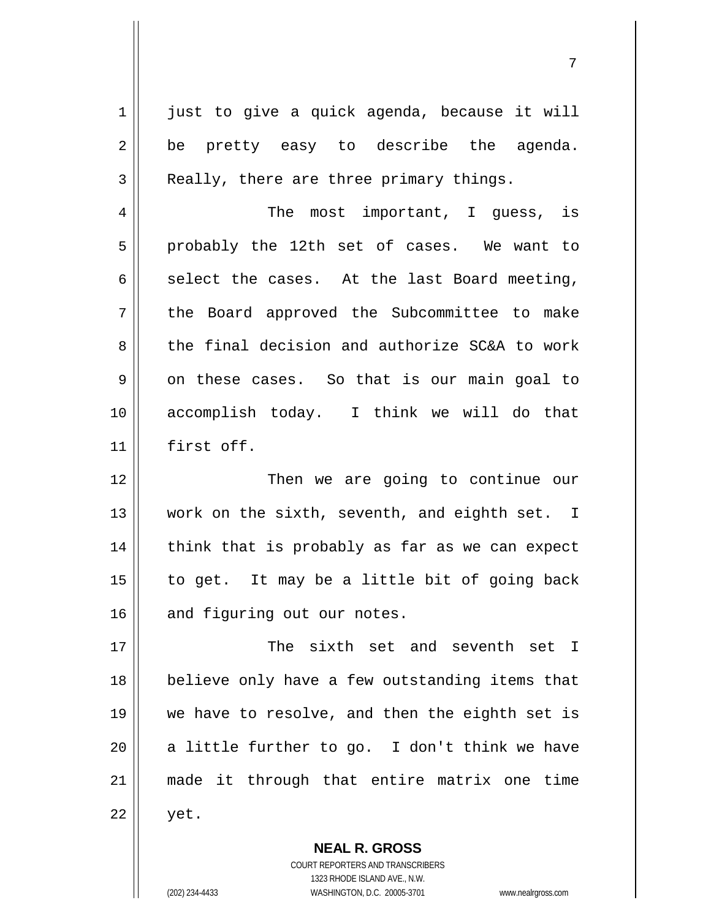$1 \parallel$  just to give a quick agenda, because it will  $2 \parallel$  be pretty easy to describe the agenda.  $3 \parallel$  Really, there are three primary things. 4 The most important, I guess, is 5 || probably the 12th set of cases. We want to  $6 \parallel$  select the cases. At the last Board meeting, 7 || the Board approved the Subcommittee to make 8 the final decision and authorize SC&A to work  $9 \parallel$  on these cases. So that is our main goal to 10 accomplish today. I think we will do that 11 first off. 12 || Then we are going to continue our 13 || work on the sixth, seventh, and eighth set. I  $14$  | think that is probably as far as we can expect 15  $\parallel$  to get. It may be a little bit of going back  $16$  and figuring out our notes. 17 The sixth set and seventh set I 18 || believe only have a few outstanding items that 19 we have to resolve, and then the eighth set is 20  $\parallel$  a little further to go. I don't think we have 21 made it through that entire matrix one time  $22 \parallel$  yet.

> COURT REPORTERS AND TRANSCRIBERS 1323 RHODE ISLAND AVE., N.W. (202) 234-4433 WASHINGTON, D.C. 20005-3701 www.nealrgross.com

**NEAL R. GROSS**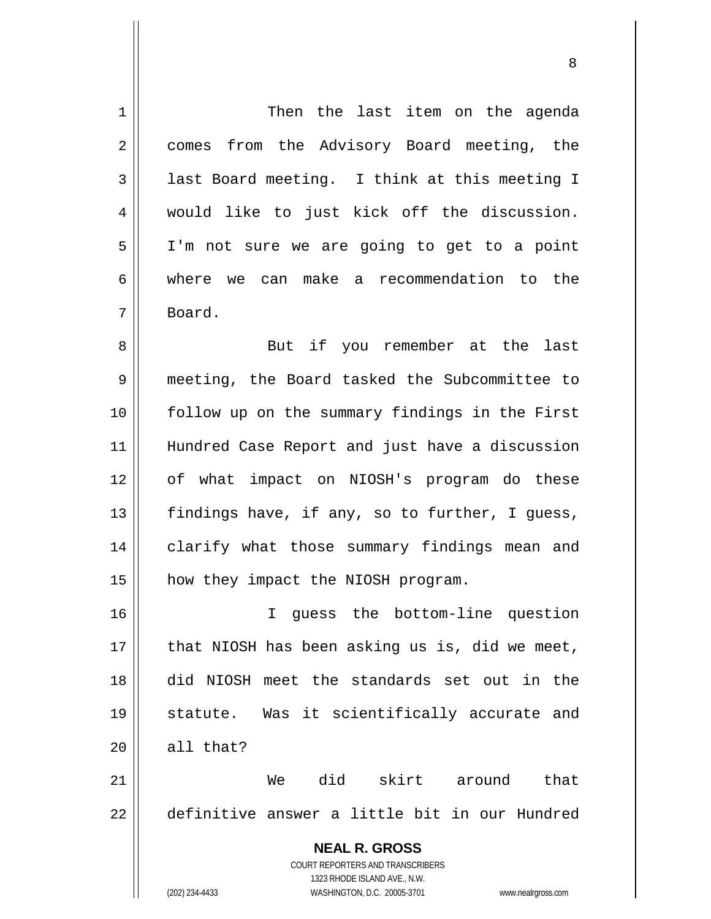**NEAL R. GROSS** COURT REPORTERS AND TRANSCRIBERS 1323 RHODE ISLAND AVE., N.W. (202) 234-4433 WASHINGTON, D.C. 20005-3701 www.nealrgross.com 1 | Then the last item on the agenda 2 || comes from the Advisory Board meeting, the  $3 \parallel$  last Board meeting. I think at this meeting I 4 would like to just kick off the discussion. 5 I'm not sure we are going to get to a point 6 where we can make a recommendation to the 7 Board. 8 || But if you remember at the last 9 meeting, the Board tasked the Subcommittee to 10 follow up on the summary findings in the First 11 Hundred Case Report and just have a discussion 12 of what impact on NIOSH's program do these 13  $\parallel$  findings have, if any, so to further, I guess, 14 || clarify what those summary findings mean and 15 || how they impact the NIOSH program. 16 I guess the bottom-line question  $17$  | that NIOSH has been asking us is, did we meet, 18 did NIOSH meet the standards set out in the 19 statute. Was it scientifically accurate and  $20$  | all that? 21 We did skirt around that 22 definitive answer a little bit in our Hundred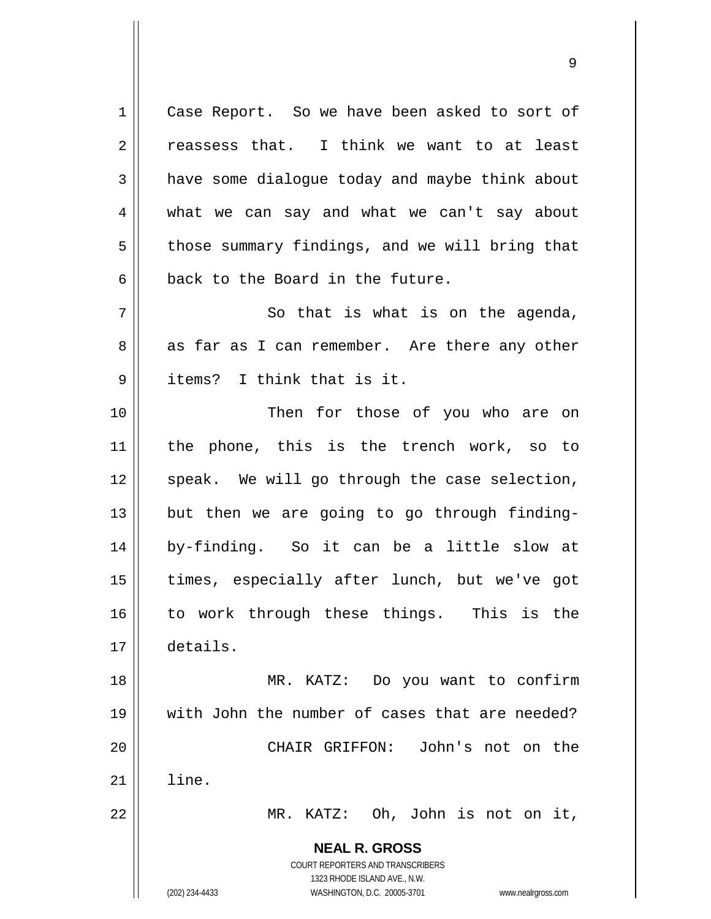**NEAL R. GROSS** COURT REPORTERS AND TRANSCRIBERS 1323 RHODE ISLAND AVE., N.W. (202) 234-4433 WASHINGTON, D.C. 20005-3701 www.nealrgross.com 1 | Case Report. So we have been asked to sort of  $2 \parallel$  reassess that. I think we want to at least  $3 \parallel$  have some dialoque today and maybe think about 4 what we can say and what we can't say about  $5 \parallel$  those summary findings, and we will bring that  $6 \parallel$  back to the Board in the future.  $7$   $\parallel$  So that is what is on the agenda,  $8 \parallel$  as far as I can remember. Are there any other 9 ll items? I think that is it. 10 || Then for those of you who are on 11 the phone, this is the trench work, so to  $12$  speak. We will go through the case selection,  $13$  || but then we are going to go through finding-14 by-finding. So it can be a little slow at 15 times, especially after lunch, but we've got 16 to work through these things. This is the 17 details. 18 MR. KATZ: Do you want to confirm 19 with John the number of cases that are needed? 20 CHAIR GRIFFON: John's not on the  $21$  | line. 22 MR. KATZ: Oh, John is not on it,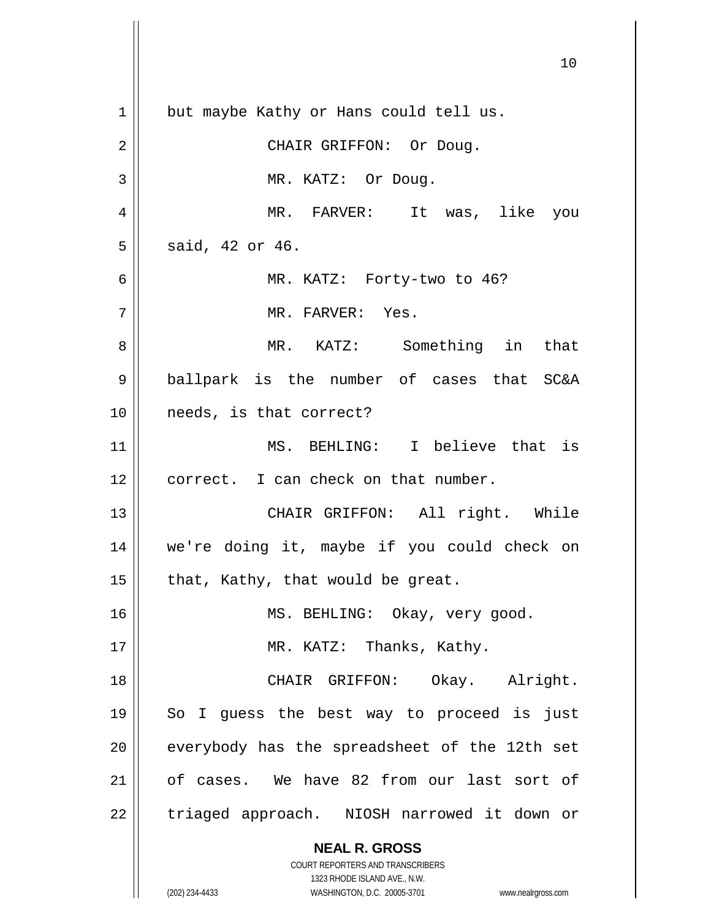**NEAL R. GROSS** COURT REPORTERS AND TRANSCRIBERS 1323 RHODE ISLAND AVE., N.W. (202) 234-4433 WASHINGTON, D.C. 20005-3701 www.nealrgross.com 10 1 | but maybe Kathy or Hans could tell us. 2 || CHAIR GRIFFON: Or Doug. 3 | MR. KATZ: Or Doug. 4 MR. FARVER: It was, like you  $5 \parallel$  said, 42 or 46. 6 MR. KATZ: Forty-two to 46? 7 MR. FARVER: Yes. 8 MR. KATZ: Something in that 9 ballpark is the number of cases that SC&A 10 needs, is that correct? 11 MS. BEHLING: I believe that is 12 || correct. I can check on that number. 13 CHAIR GRIFFON: All right. While 14 we're doing it, maybe if you could check on 15  $\parallel$  that, Kathy, that would be great. 16 || MS. BEHLING: Okay, very good. 17 || MR. KATZ: Thanks, Kathy. 18 || CHAIR GRIFFON: Okay. Alright. 19 || So I guess the best way to proceed is just  $20$  | everybody has the spreadsheet of the 12th set 21 of cases. We have 82 from our last sort of 22 | triaged approach. NIOSH narrowed it down or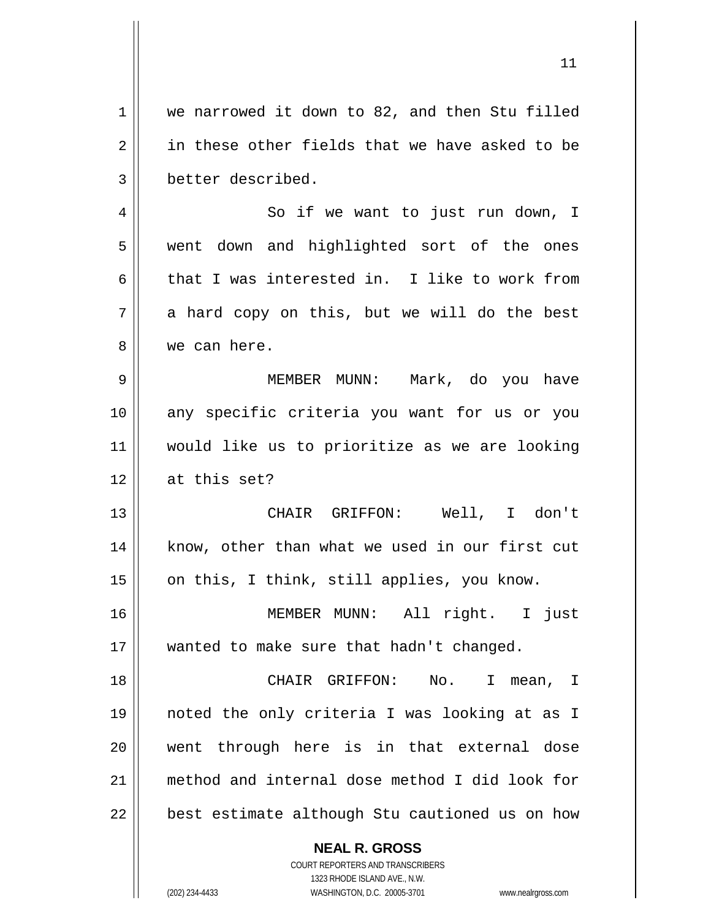**NEAL R. GROSS** 1 we narrowed it down to 82, and then Stu filled  $2 \parallel$  in these other fields that we have asked to be 3 better described. 4 || So if we want to just run down, I 5 || went down and highlighted sort of the ones 6 that I was interested in. I like to work from  $7 \parallel$  a hard copy on this, but we will do the best 8 we can here. 9 MEMBER MUNN: Mark, do you have 10 any specific criteria you want for us or you 11 would like us to prioritize as we are looking 12 at this set? 13 || CHAIR GRIFFON: Well, I don't 14 || know, other than what we used in our first cut 15 || on this, I think, still applies, you know. 16 MEMBER MUNN: All right. I just 17 || wanted to make sure that hadn't changed. 18 CHAIR GRIFFON: No. I mean, I 19 noted the only criteria I was looking at as I 20 went through here is in that external dose 21 method and internal dose method I did look for  $22$   $\vert$  best estimate although Stu cautioned us on how

> COURT REPORTERS AND TRANSCRIBERS 1323 RHODE ISLAND AVE., N.W.

(202) 234-4433 WASHINGTON, D.C. 20005-3701 www.nealrgross.com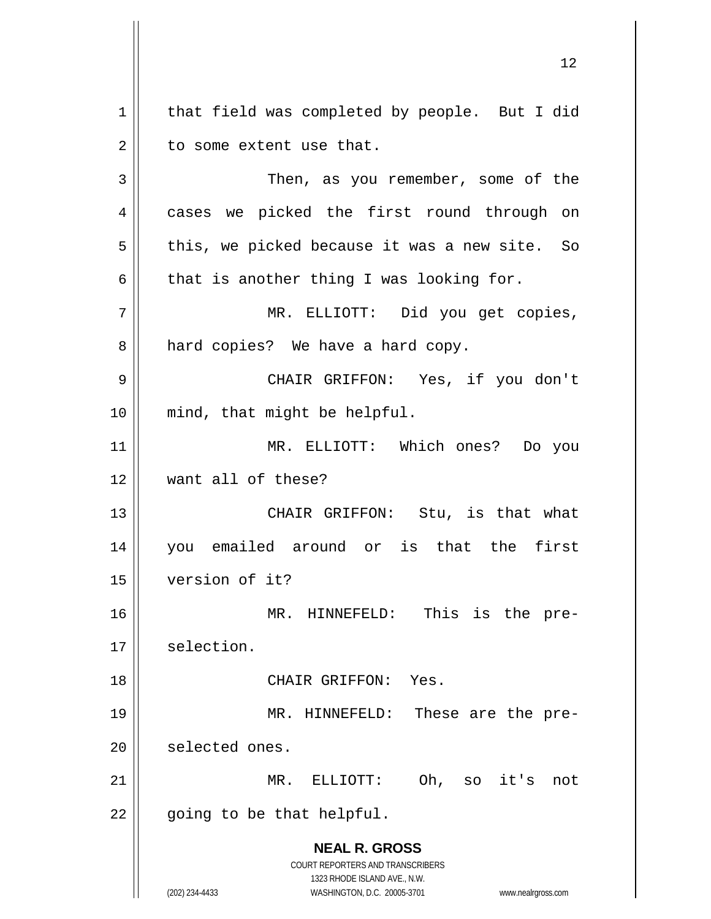**NEAL R. GROSS** COURT REPORTERS AND TRANSCRIBERS 1323 RHODE ISLAND AVE., N.W.  $1 \parallel$  that field was completed by people. But I did  $2 \parallel$  to some extent use that. 3 || Then, as you remember, some of the 4 || cases we picked the first round through on  $5 \parallel$  this, we picked because it was a new site. So  $6 \parallel$  that is another thing I was looking for. 7 MR. ELLIOTT: Did you get copies, 8 | hard copies? We have a hard copy. 9 CHAIR GRIFFON: Yes, if you don't 10 mind, that might be helpful. 11 MR. ELLIOTT: Which ones? Do you 12 want all of these? 13 CHAIR GRIFFON: Stu, is that what 14 you emailed around or is that the first 15 version of it? 16 MR. HINNEFELD: This is the pre-17 selection. 18 CHAIR GRIFFON: Yes. 19 MR. HINNEFELD: These are the pre-20 | selected ones. 21 MR. ELLIOTT: Oh, so it's not  $22$  | going to be that helpful.

(202) 234-4433 WASHINGTON, D.C. 20005-3701 www.nealrgross.com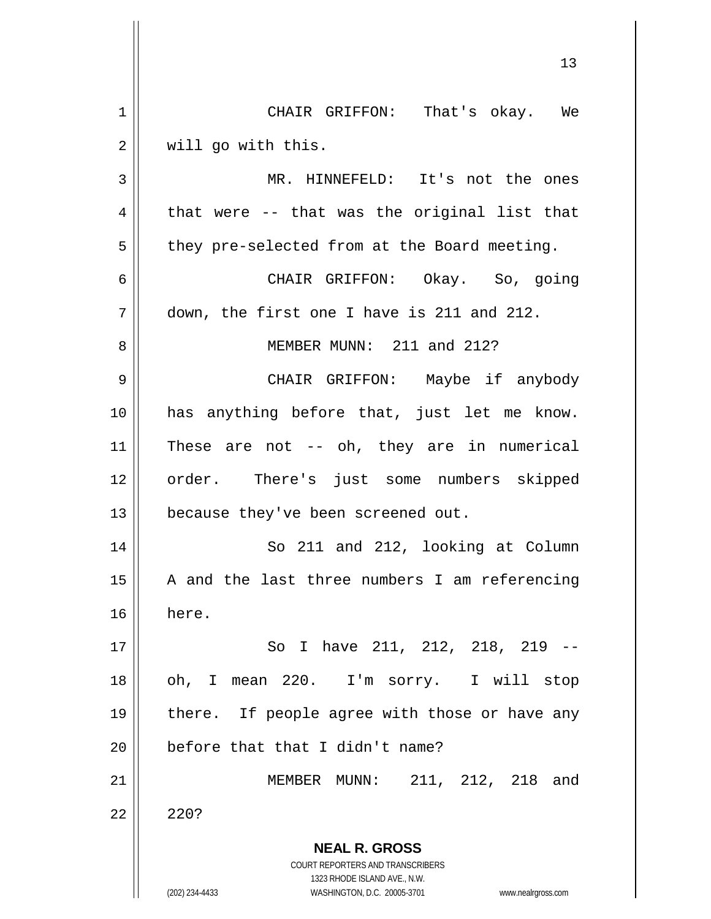**NEAL R. GROSS** COURT REPORTERS AND TRANSCRIBERS 1323 RHODE ISLAND AVE., N.W. (202) 234-4433 WASHINGTON, D.C. 20005-3701 www.nealrgross.com 13 1 CHAIR GRIFFON: That's okay. We 2 | will go with this. 3 MR. HINNEFELD: It's not the ones  $4 \parallel$  that were -- that was the original list that  $5 \parallel$  they pre-selected from at the Board meeting. 6 CHAIR GRIFFON: Okay. So, going 7 down, the first one I have is 211 and 212. 8 MEMBER MUNN: 211 and 212? 9 CHAIR GRIFFON: Maybe if anybody 10 has anything before that, just let me know. 11 These are not -- oh, they are in numerical 12 order. There's just some numbers skipped 13 | because they've been screened out. 14 || So 211 and 212, looking at Column  $15$  | A and the last three numbers I am referencing 16 here. 17 So I have 211, 212, 218, 219 -- 18 || oh, I mean 220. I'm sorry. I will stop 19 || there. If people agree with those or have any 20 || before that that I didn't name? 21 || MEMBER MUNN: 211, 212, 218 and  $22 \parallel 220?$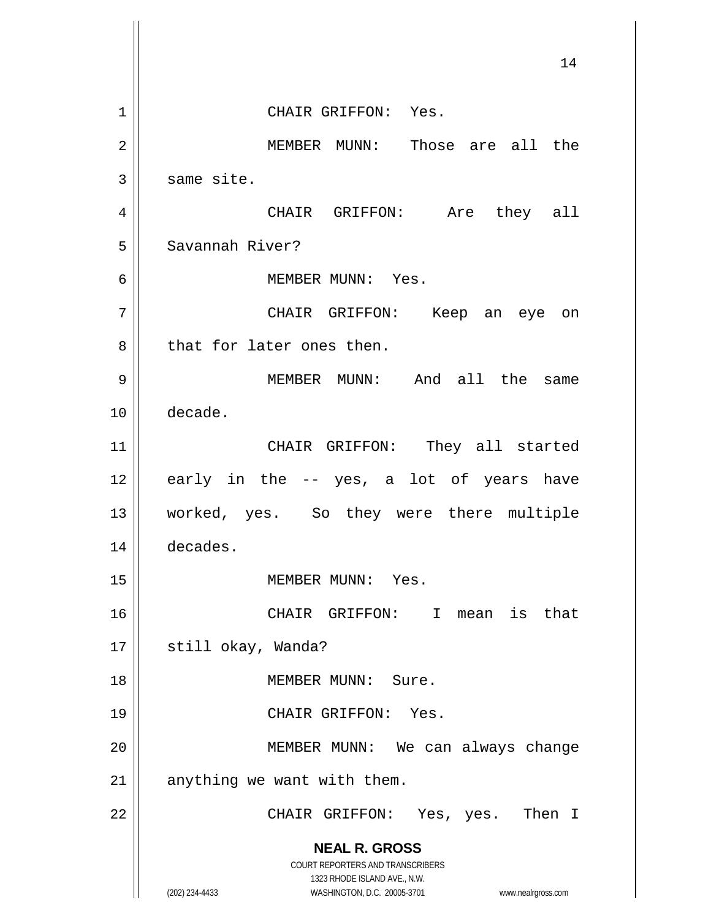**NEAL R. GROSS** COURT REPORTERS AND TRANSCRIBERS 1323 RHODE ISLAND AVE., N.W. (202) 234-4433 WASHINGTON, D.C. 20005-3701 www.nealrgross.com 14 1 CHAIR GRIFFON: Yes. 2 MEMBER MUNN: Those are all the  $3 \parallel$  same site. 4 CHAIR GRIFFON: Are they all 5 || Savannah River? 6 MEMBER MUNN: Yes. 7 CHAIR GRIFFON: Keep an eye on 8 that for later ones then. 9 || MEMBER MUNN: And all the same 10 decade. 11 || CHAIR GRIFFON: They all started  $12 \parallel$  early in the -- yes, a lot of years have 13 worked, yes. So they were there multiple 14 decades. 15 || MEMBER MUNN: Yes. 16 CHAIR GRIFFON: I mean is that 17 | still okay, Wanda? 18 MEMBER MUNN: Sure. 19 || CHAIR GRIFFON: Yes. 20 || MEMBER MUNN: We can always change  $21$  | anything we want with them. 22 CHAIR GRIFFON: Yes, yes. Then I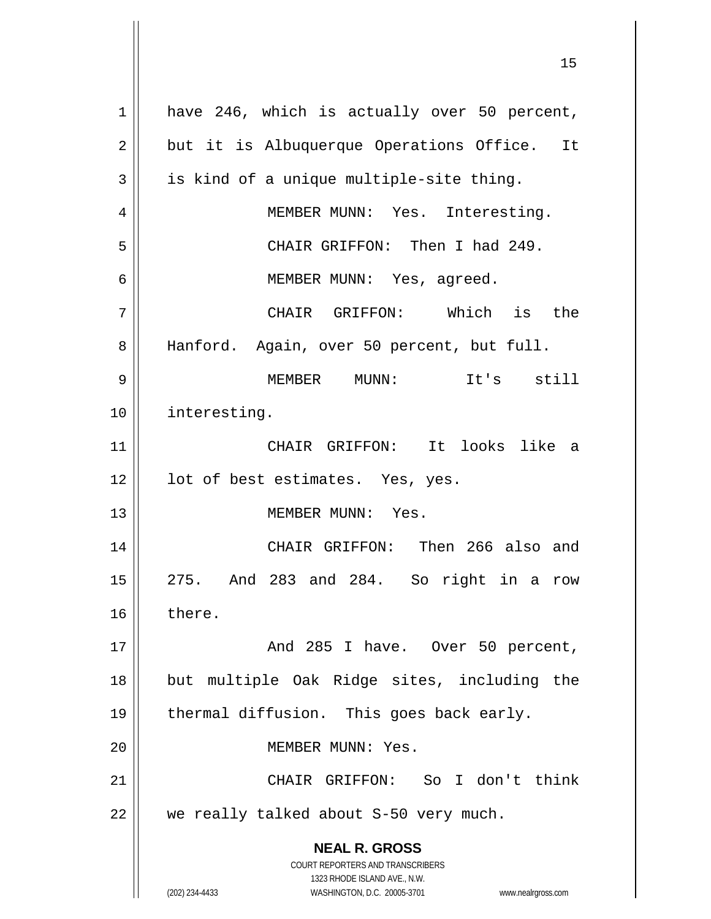**NEAL R. GROSS** COURT REPORTERS AND TRANSCRIBERS 1323 RHODE ISLAND AVE., N.W. (202) 234-4433 WASHINGTON, D.C. 20005-3701 www.nealrgross.com 1 || have 246, which is actually over 50 percent,  $2 \parallel$  but it is Albuquerque Operations Office. It  $3 \parallel$  is kind of a unique multiple-site thing. 4 || MEMBER MUNN: Yes. Interesting. 5 CHAIR GRIFFON: Then I had 249. 6 || MEMBER MUNN: Yes, agreed. 7 CHAIR GRIFFON: Which is the 8 || Hanford. Again, over 50 percent, but full. 9 MEMBER MUNN: It's still 10 interesting. 11 CHAIR GRIFFON: It looks like a 12 || lot of best estimates. Yes, yes. 13 MEMBER MUNN: Yes. 14 CHAIR GRIFFON: Then 266 also and 15 275. And 283 and 284. So right in a row 16 there. 17 And 285 I have. Over 50 percent, 18 but multiple Oak Ridge sites, including the 19 || thermal diffusion. This goes back early. 20 MEMBER MUNN: Yes. 21 CHAIR GRIFFON: So I don't think  $22$  || we really talked about S-50 very much.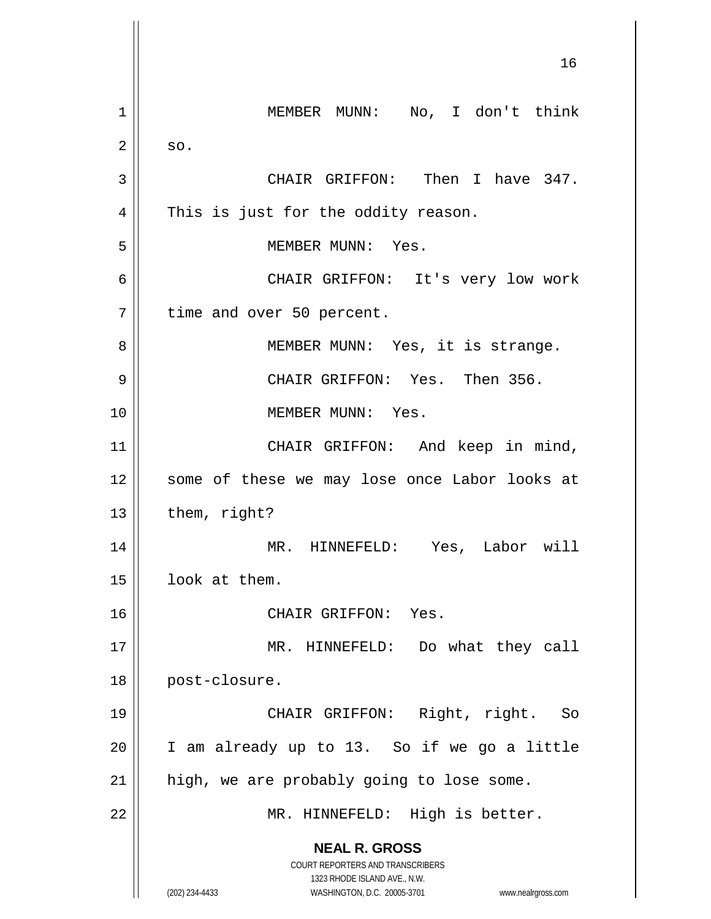**NEAL R. GROSS** COURT REPORTERS AND TRANSCRIBERS 1323 RHODE ISLAND AVE., N.W. (202) 234-4433 WASHINGTON, D.C. 20005-3701 www.nealrgross.com 16 1 | MEMBER MUNN: No, I don't think  $2 \parallel$  so. 3 CHAIR GRIFFON: Then I have 347.  $4 \parallel$  This is just for the oddity reason. 5 || MEMBER MUNN: Yes. 6 CHAIR GRIFFON: It's very low work 7 | time and over 50 percent. 8 || MEMBER MUNN: Yes, it is strange. 9 CHAIR GRIFFON: Yes. Then 356. 10 MEMBER MUNN: Yes. 11 || CHAIR GRIFFON: And keep in mind, 12 || some of these we may lose once Labor looks at  $13$  | them, right? 14 MR. HINNEFELD: Yes, Labor will 15 | look at them. 16 CHAIR GRIFFON: Yes. 17 || MR. HINNEFELD: Do what they call 18 || post-closure. 19 CHAIR GRIFFON: Right, right. So  $20$  | I am already up to 13. So if we go a little  $21$  | high, we are probably going to lose some. 22 || MR. HINNEFELD: High is better.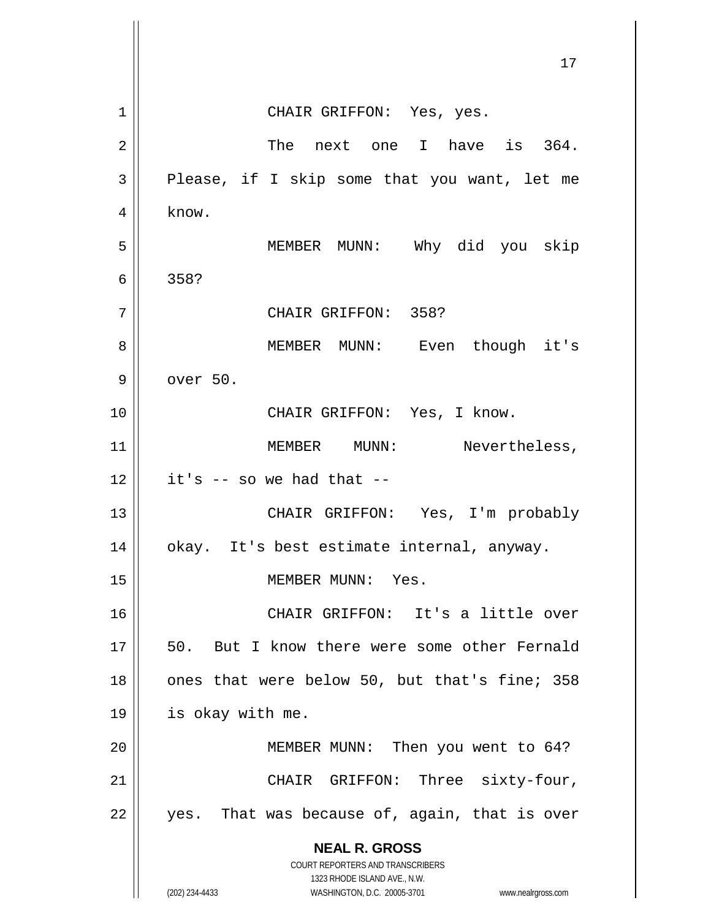|    | 17                                                                                                  |
|----|-----------------------------------------------------------------------------------------------------|
| 1  | CHAIR GRIFFON: Yes, yes.                                                                            |
| 2  | The next one I have is 364.                                                                         |
| 3  | Please, if I skip some that you want, let me                                                        |
| 4  | know.                                                                                               |
| 5  | MEMBER MUNN: Why did you skip                                                                       |
| 6  | 358?                                                                                                |
| 7  | CHAIR GRIFFON: 358?                                                                                 |
| 8  | MEMBER MUNN: Even though it's                                                                       |
| 9  | over 50.                                                                                            |
| 10 | CHAIR GRIFFON: Yes, I know.                                                                         |
| 11 | MEMBER MUNN: Nevertheless,                                                                          |
| 12 | it's $-$ so we had that $-$                                                                         |
| 13 | CHAIR GRIFFON: Yes, I'm probably                                                                    |
| 14 | okay. It's best estimate internal, anyway.                                                          |
| 15 | MEMBER MUNN: Yes.                                                                                   |
| 16 | CHAIR GRIFFON: It's a little over                                                                   |
| 17 | 50.<br>But I know there were some other Fernald                                                     |
| 18 | ones that were below 50, but that's fine; 358                                                       |
| 19 | is okay with me.                                                                                    |
| 20 | MEMBER MUNN: Then you went to 64?                                                                   |
| 21 | CHAIR GRIFFON: Three sixty-four,                                                                    |
| 22 | yes. That was because of, again, that is over                                                       |
|    | <b>NEAL R. GROSS</b><br><b>COURT REPORTERS AND TRANSCRIBERS</b>                                     |
|    | 1323 RHODE ISLAND AVE., N.W.<br>(202) 234-4433<br>WASHINGTON, D.C. 20005-3701<br>www.nealrgross.com |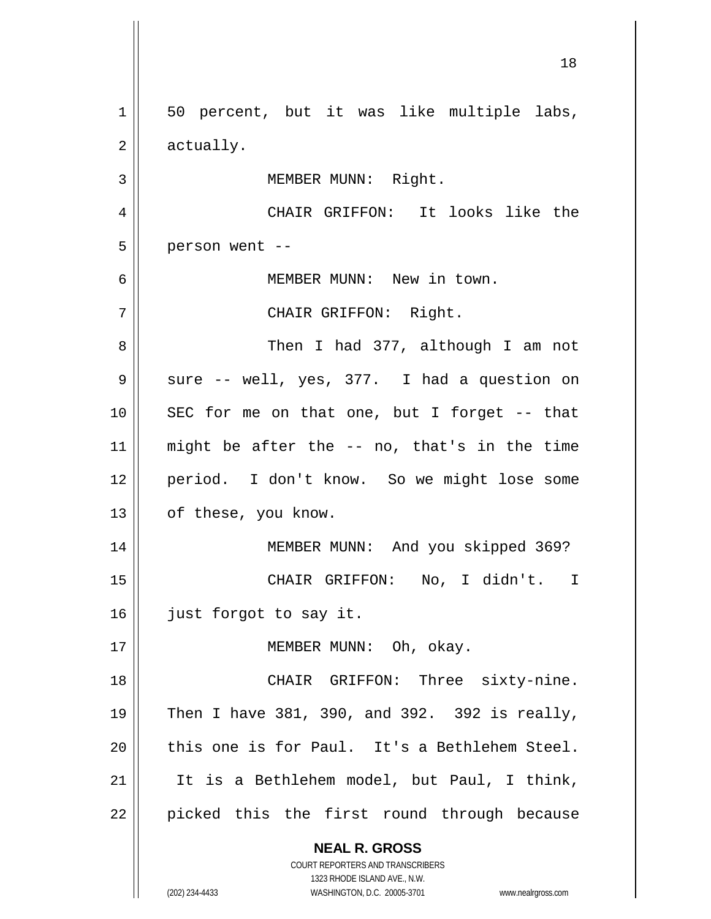**NEAL R. GROSS** COURT REPORTERS AND TRANSCRIBERS 1323 RHODE ISLAND AVE., N.W. (202) 234-4433 WASHINGTON, D.C. 20005-3701 www.nealrgross.com 1 || 50 percent, but it was like multiple labs,  $2 \parallel$  actually. 3 | MEMBER MUNN: Right. 4 CHAIR GRIFFON: It looks like the  $5 \parallel$  person went --6 MEMBER MUNN: New in town. 7 CHAIR GRIFFON: Right. 8 Then I had 377, although I am not  $9 \parallel$  sure -- well, yes, 377. I had a question on  $10$  || SEC for me on that one, but I forget -- that 11 || might be after the  $-$  no, that's in the time 12 period. I don't know. So we might lose some 13 || of these, you know. 14 MEMBER MUNN: And you skipped 369? 15 || CHAIR GRIFFON: No, I didn't. I 16 | just forgot to say it. 17 || MEMBER MUNN: Oh, okay. 18 || CHAIR GRIFFON: Three sixty-nine. 19  $\parallel$  Then I have 381, 390, and 392. 392 is really,  $20$  || this one is for Paul. It's a Bethlehem Steel. 21 || It is a Bethlehem model, but Paul, I think, 22 || picked this the first round through because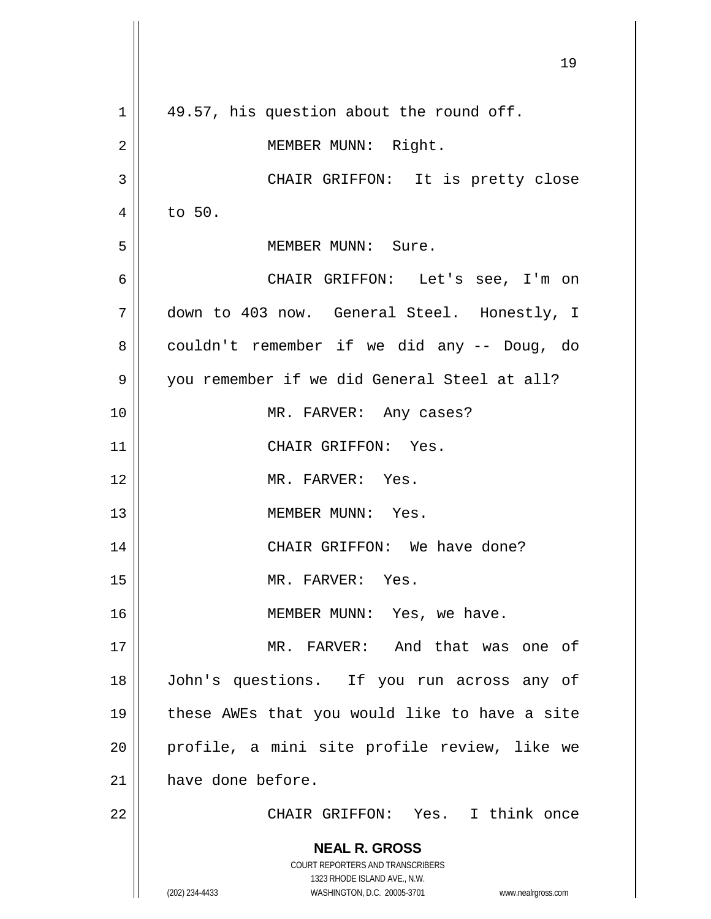|             | 19                                                                  |
|-------------|---------------------------------------------------------------------|
| $\mathbf 1$ | 49.57, his question about the round off.                            |
| 2           | MEMBER MUNN: Right.                                                 |
| 3           | CHAIR GRIFFON: It is pretty close                                   |
| 4           | to 50.                                                              |
| 5           | MEMBER MUNN: Sure.                                                  |
| 6           | CHAIR GRIFFON: Let's see, I'm on                                    |
| 7           | down to 403 now. General Steel. Honestly, I                         |
| 8           | couldn't remember if we did any -- Doug, do                         |
| 9           | you remember if we did General Steel at all?                        |
| 10          | MR. FARVER: Any cases?                                              |
| 11          | CHAIR GRIFFON: Yes.                                                 |
| 12          | MR. FARVER: Yes.                                                    |
| 13          | MEMBER MUNN: Yes.                                                   |
| 14          | CHAIR GRIFFON: We have done?                                        |
| 15          | MR. FARVER: Yes.                                                    |
| 16          | MEMBER MUNN: Yes, we have.                                          |
| 17          | MR. FARVER: And that was one of                                     |
| 18          | John's questions. If you run across any of                          |
| 19          | these AWEs that you would like to have a site                       |
| 20          | profile, a mini site profile review, like we                        |
| 21          | have done before.                                                   |
| 22          | CHAIR GRIFFON: Yes. I think once                                    |
|             | <b>NEAL R. GROSS</b>                                                |
|             | COURT REPORTERS AND TRANSCRIBERS<br>1323 RHODE ISLAND AVE., N.W.    |
|             | (202) 234-4433<br>WASHINGTON, D.C. 20005-3701<br>www.nealrgross.com |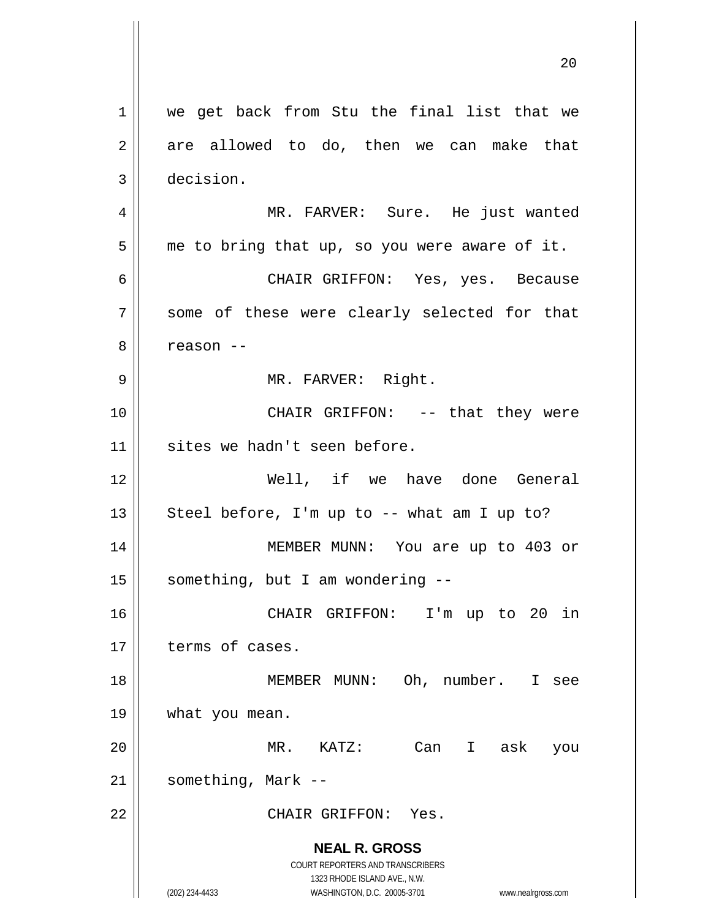**NEAL R. GROSS** COURT REPORTERS AND TRANSCRIBERS 1323 RHODE ISLAND AVE., N.W. (202) 234-4433 WASHINGTON, D.C. 20005-3701 www.nealrgross.com 1 || we get back from Stu the final list that we  $2 \parallel$  are allowed to do, then we can make that 3 decision. 4 MR. FARVER: Sure. He just wanted  $5 \parallel$  me to bring that up, so you were aware of it. 6 CHAIR GRIFFON: Yes, yes. Because 7 || some of these were clearly selected for that  $8 \parallel$  reason  $-$ 9 || MR. FARVER: Right. 10 || CHAIR GRIFFON: -- that they were 11 || sites we hadn't seen before. 12 Well, if we have done General 13  $\parallel$  Steel before, I'm up to -- what am I up to? 14 MEMBER MUNN: You are up to 403 or  $15$  | something, but I am wondering  $-$ 16 CHAIR GRIFFON: I'm up to 20 in 17 terms of cases. 18 || MEMBER MUNN: Oh, number. I see 19 what you mean. 20 MR. KATZ: Can I ask you  $21$  | something, Mark --22 CHAIR GRIFFON: Yes.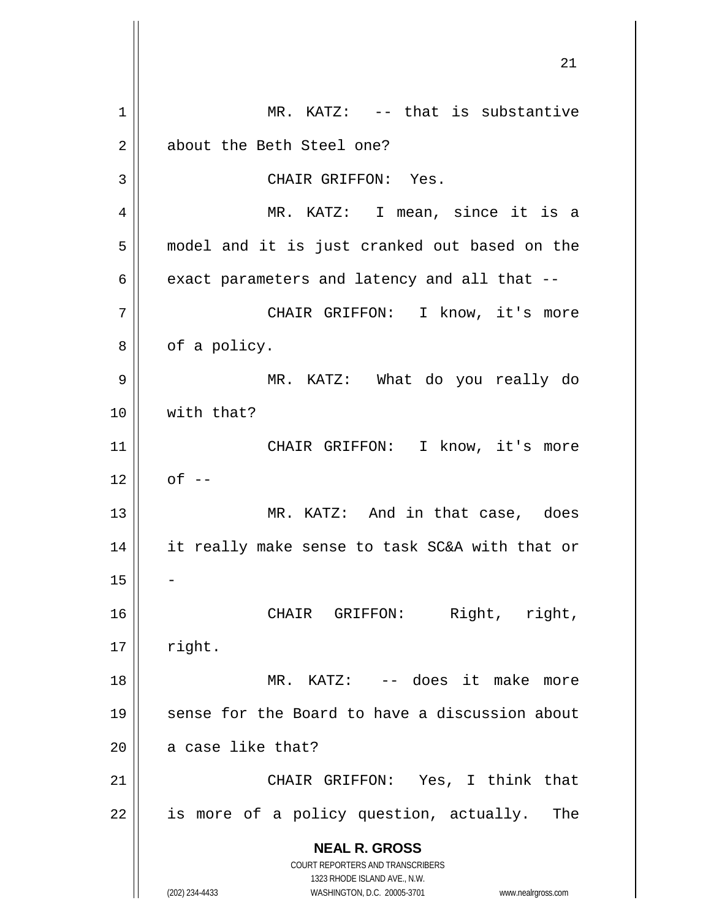**NEAL R. GROSS** COURT REPORTERS AND TRANSCRIBERS 1323 RHODE ISLAND AVE., N.W. (202) 234-4433 WASHINGTON, D.C. 20005-3701 www.nealrgross.com 1 || MR. KATZ: -- that is substantive 2 | about the Beth Steel one? 3 || CHAIR GRIFFON: Yes. 4 MR. KATZ: I mean, since it is a 5 || model and it is just cranked out based on the  $6 \parallel$  exact parameters and latency and all that --7 CHAIR GRIFFON: I know, it's more  $8 \parallel$  of a policy. 9 MR. KATZ: What do you really do 10 with that? 11 || CHAIR GRIFFON: I know, it's more  $12 \parallel$  of  $-$ 13 || MR. KATZ: And in that case, does 14 || it really make sense to task SC&A with that or 15 16 || CHAIR GRIFFON: Right, right,  $17$  || right. 18 MR. KATZ: -- does it make more 19 || sense for the Board to have a discussion about  $20$  | a case like that? 21 || CHAIR GRIFFON: Yes, I think that  $22$  || is more of a policy question, actually. The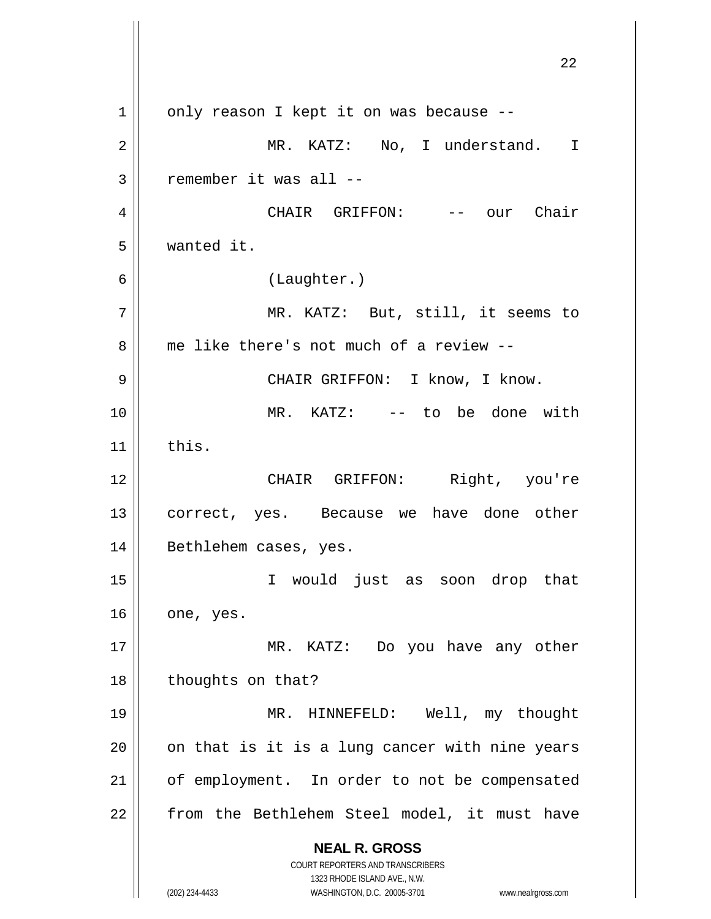**NEAL R. GROSS** COURT REPORTERS AND TRANSCRIBERS 1323 RHODE ISLAND AVE., N.W. (202) 234-4433 WASHINGTON, D.C. 20005-3701 www.nealrgross.com  $1 \parallel$  only reason I kept it on was because --2 MR. KATZ: No, I understand. I  $3$  | remember it was all  $-$ 4 CHAIR GRIFFON: -- our Chair 5 wanted it. 6 (Laughter.) 7 MR. KATZ: But, still, it seems to 8 me like there's not much of a review --9 || CHAIR GRIFFON: I know, I know. 10 || MR. KATZ: -- to be done with  $11$  this. 12 CHAIR GRIFFON: Right, you're 13 || correct, yes. Because we have done other 14 || Bethlehem cases, yes. 15 I would just as soon drop that  $16$  one, yes. 17 || MR. KATZ: Do you have any other 18 | thoughts on that? 19 MR. HINNEFELD: Well, my thought  $20$  | on that is it is a lung cancer with nine years 21 | of employment. In order to not be compensated 22 || from the Bethlehem Steel model, it must have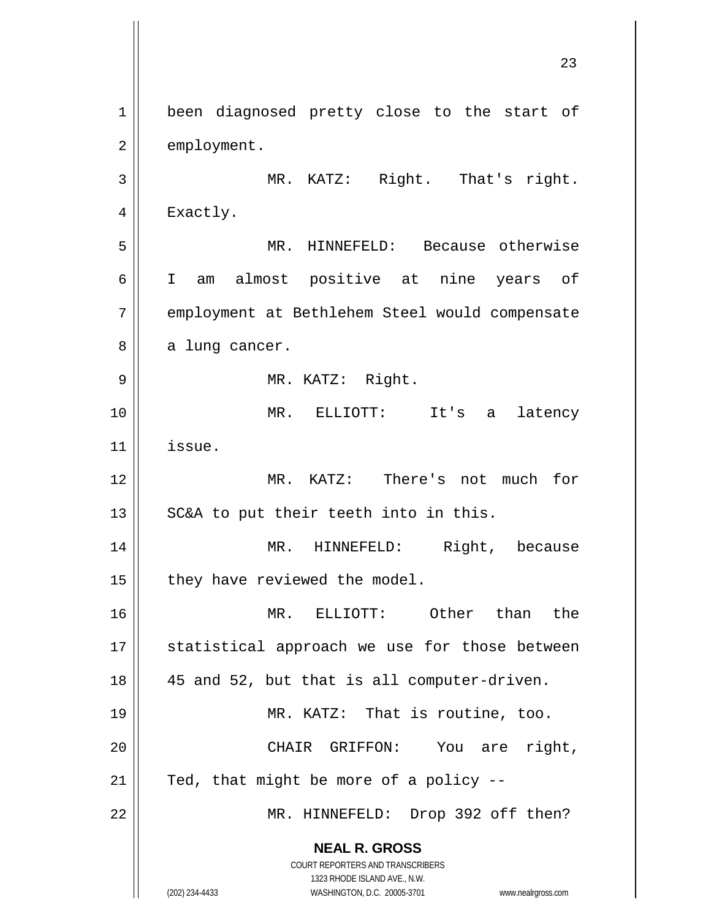**NEAL R. GROSS** COURT REPORTERS AND TRANSCRIBERS 1323 RHODE ISLAND AVE., N.W. (202) 234-4433 WASHINGTON, D.C. 20005-3701 www.nealrgross.com 23 1 | been diagnosed pretty close to the start of 2 | employment. 3 || MR. KATZ: Right. That's right. 4 | Exactly. 5 MR. HINNEFELD: Because otherwise 6 I am almost positive at nine years of 7 | employment at Bethlehem Steel would compensate  $8 \parallel$  a lung cancer. 9 MR. KATZ: Right. 10 MR. ELLIOTT: It's a latency 11 issue. 12 MR. KATZ: There's not much for 13  $\parallel$  SC&A to put their teeth into in this. 14 MR. HINNEFELD: Right, because  $15$  | they have reviewed the model. 16 MR. ELLIOTT: Other than the 17 || statistical approach we use for those between 18 45 and 52, but that is all computer-driven. 19 || MR. KATZ: That is routine, too. 20 CHAIR GRIFFON: You are right,  $21$  | Ted, that might be more of a policy --22 || MR. HINNEFELD: Drop 392 off then?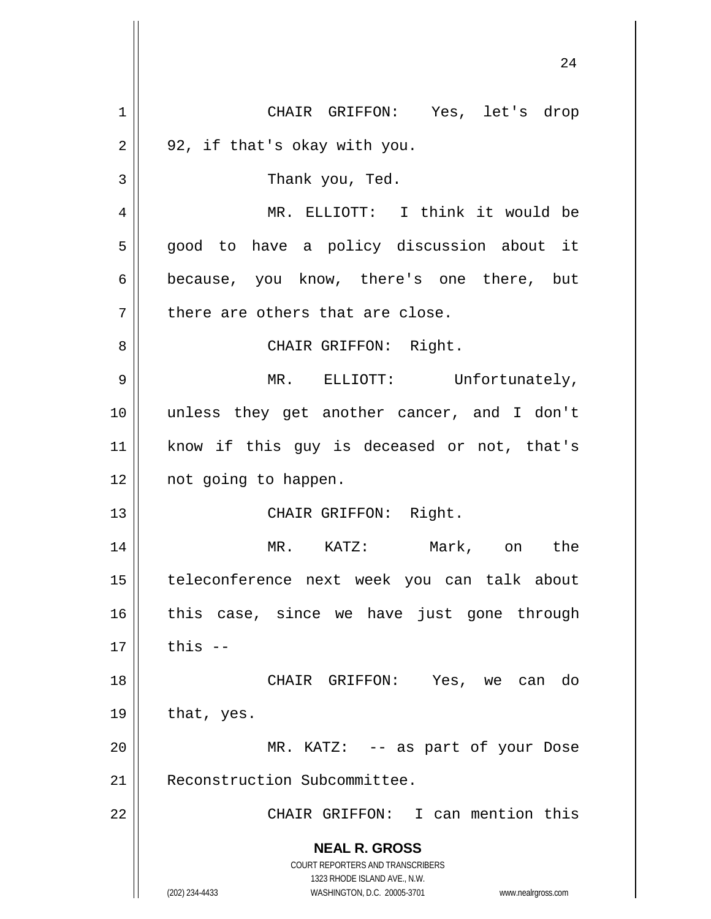**NEAL R. GROSS** COURT REPORTERS AND TRANSCRIBERS 1323 RHODE ISLAND AVE., N.W. (202) 234-4433 WASHINGTON, D.C. 20005-3701 www.nealrgross.com 1 CHAIR GRIFFON: Yes, let's drop  $2 \parallel 92$ , if that's okay with you. 3 || Thank you, Ted. 4 MR. ELLIOTT: I think it would be 5 good to have a policy discussion about it 6 because, you know, there's one there, but  $7$  || there are others that are close. 8 || CHAIR GRIFFON: Right. 9 MR. ELLIOTT: Unfortunately, 10 unless they get another cancer, and I don't 11 know if this guy is deceased or not, that's 12 || not going to happen. 13 || CHAIR GRIFFON: Right. 14 MR. KATZ: Mark, on the 15 teleconference next week you can talk about 16 || this case, since we have just gone through  $17 \parallel$  this  $-$ 18 CHAIR GRIFFON: Yes, we can do  $19 \parallel$  that, yes. 20 MR. KATZ: -- as part of your Dose 21 Reconstruction Subcommittee. 22 CHAIR GRIFFON: I can mention this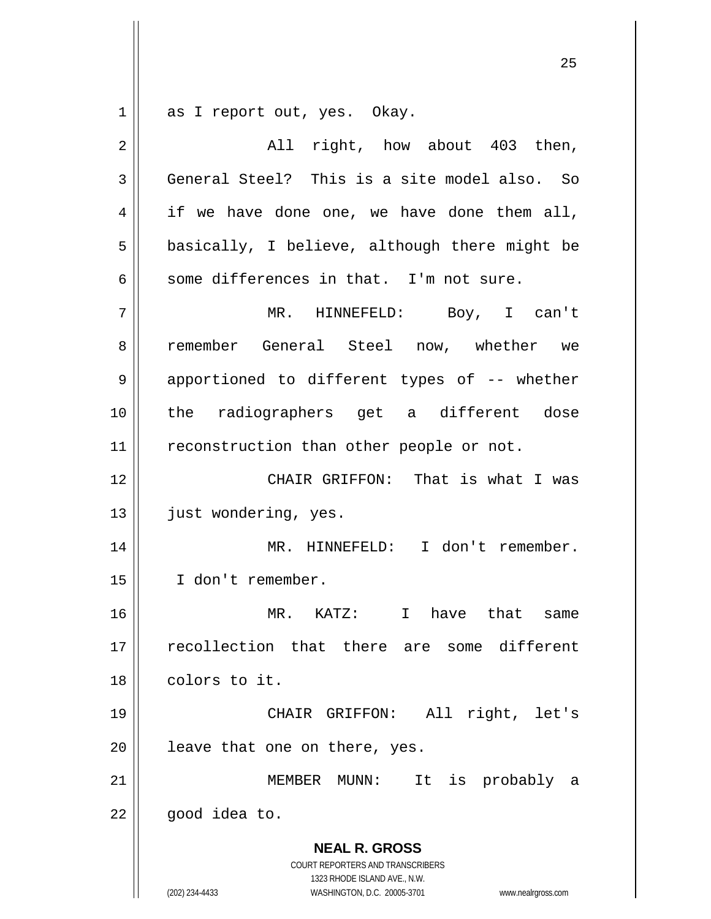$1 \parallel$  as I report out, yes. Okay.

| $\overline{2}$ | right, how about 403 then,<br>All                                                                                                                               |
|----------------|-----------------------------------------------------------------------------------------------------------------------------------------------------------------|
| 3              | General Steel? This is a site model also. So                                                                                                                    |
| 4              | if we have done one, we have done them all,                                                                                                                     |
| 5              | basically, I believe, although there might be                                                                                                                   |
| 6              | some differences in that. I'm not sure.                                                                                                                         |
| 7              | MR. HINNEFELD: Boy, I can't                                                                                                                                     |
| 8              | remember General Steel now, whether we                                                                                                                          |
| 9              | apportioned to different types of -- whether                                                                                                                    |
| 10             | the radiographers get a different dose                                                                                                                          |
| 11             | reconstruction than other people or not.                                                                                                                        |
| 12             | CHAIR GRIFFON: That is what I was                                                                                                                               |
| 13             | just wondering, yes.                                                                                                                                            |
| 14             | MR. HINNEFELD: I don't remember.                                                                                                                                |
| 15             | I don't remember.                                                                                                                                               |
| 16             | $MR$ . $KATZ$ :<br>$\mathbf{I}$<br>have that same                                                                                                               |
| 17             | recollection that there are some different                                                                                                                      |
| 18             | colors to it.                                                                                                                                                   |
| 19             | CHAIR GRIFFON: All right, let's                                                                                                                                 |
| 20             | leave that one on there, yes.                                                                                                                                   |
| 21             | It is probably<br>MEMBER MUNN:<br>a                                                                                                                             |
| 22             | good idea to.                                                                                                                                                   |
|                | <b>NEAL R. GROSS</b><br>COURT REPORTERS AND TRANSCRIBERS<br>1323 RHODE ISLAND AVE., N.W.<br>WASHINGTON, D.C. 20005-3701<br>(202) 234-4433<br>www.nealrgross.com |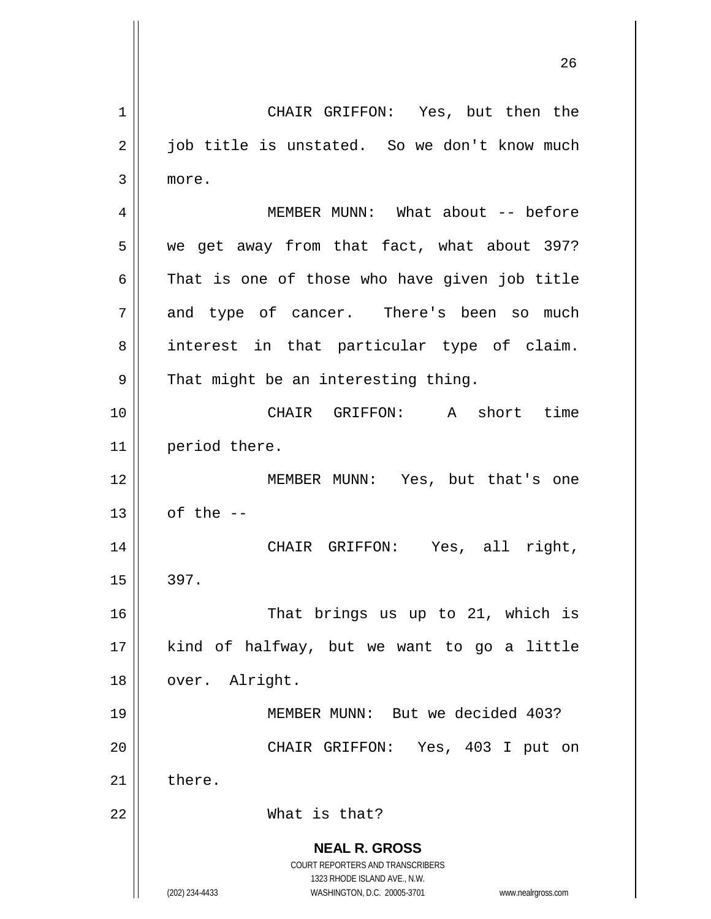**NEAL R. GROSS** COURT REPORTERS AND TRANSCRIBERS 1323 RHODE ISLAND AVE., N.W. (202) 234-4433 WASHINGTON, D.C. 20005-3701 www.nealrgross.com 1 CHAIR GRIFFON: Yes, but then the  $2 \parallel$  job title is unstated. So we don't know much 3 more. 4 MEMBER MUNN: What about -- before  $5$  | we get away from that fact, what about 397?  $6 \parallel$  That is one of those who have given job title 7 and type of cancer. There's been so much 8 || interest in that particular type of claim.  $9 \parallel$  That might be an interesting thing. 10 CHAIR GRIFFON: A short time 11 | period there. 12 MEMBER MUNN: Yes, but that's one  $13$  | of the  $-$ 14 CHAIR GRIFFON: Yes, all right,  $15 \parallel 397$ . 16 || That brings us up to 21, which is 17 kind of halfway, but we want to go a little 18 || over. Alright. 19 MEMBER MUNN: But we decided 403? 20 || CHAIR GRIFFON: Yes, 403 I put on  $21$   $\parallel$  there. 22 What is that?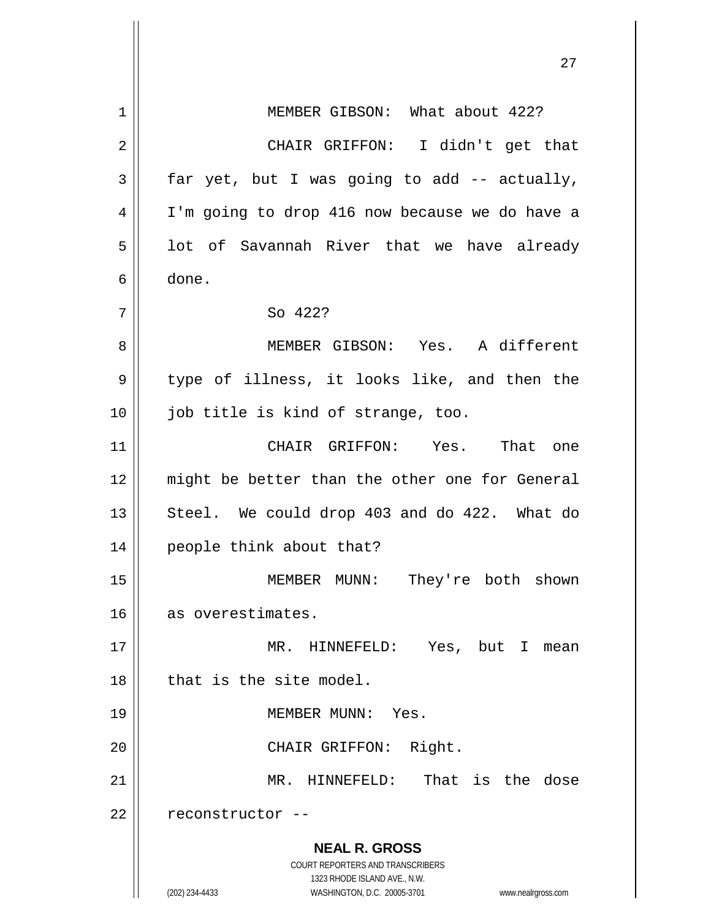**NEAL R. GROSS** COURT REPORTERS AND TRANSCRIBERS 1323 RHODE ISLAND AVE., N.W. (202) 234-4433 WASHINGTON, D.C. 20005-3701 www.nealrgross.com 1 | MEMBER GIBSON: What about 422? 2 CHAIR GRIFFON: I didn't get that  $3 \parallel$  far yet, but I was going to add -- actually, 4 || I'm going to drop 416 now because we do have a  $5$  || lot of Savannah River that we have already 6 done. 7 || So 422? 8 MEMBER GIBSON: Yes. A different 9 || type of illness, it looks like, and then the 10 || job title is kind of strange, too. 11 CHAIR GRIFFON: Yes. That one 12 || might be better than the other one for General 13  $\parallel$  Steel. We could drop 403 and do 422. What do 14 people think about that? 15 || MEMBER MUNN: They're both shown 16 as overestimates. 17 MR. HINNEFELD: Yes, but I mean 18 l that is the site model. 19 MEMBER MUNN: Yes. 20 || CHAIR GRIFFON: Right. 21 MR. HINNEFELD: That is the dose 22 | reconstructor --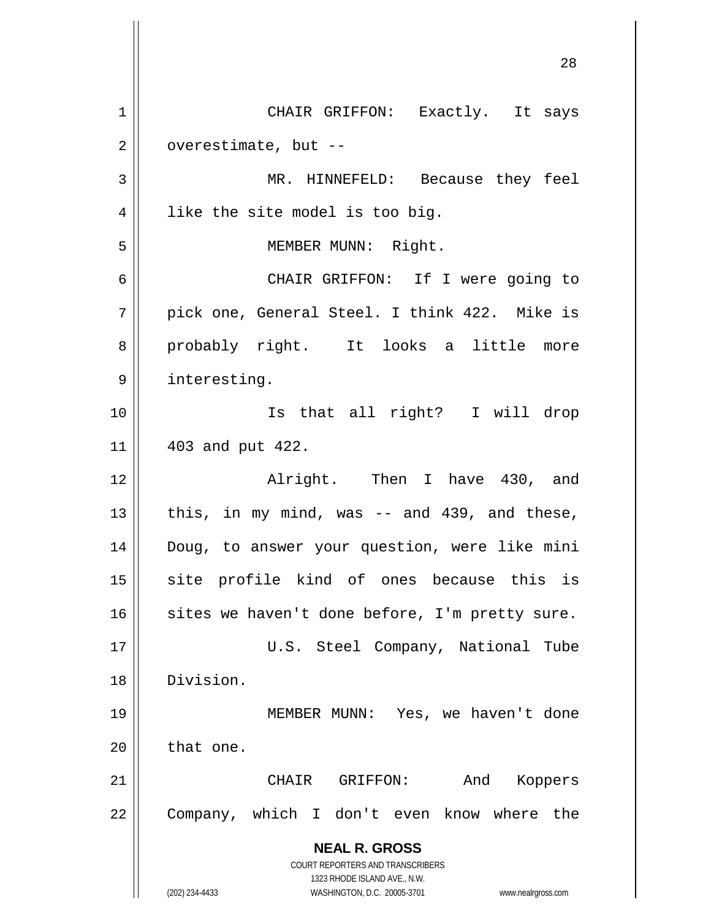|    | 28                                                                                                  |
|----|-----------------------------------------------------------------------------------------------------|
|    |                                                                                                     |
| 1  | CHAIR GRIFFON: Exactly. It says                                                                     |
| 2  | overestimate, but --                                                                                |
| 3  | MR. HINNEFELD: Because they feel                                                                    |
| 4  | like the site model is too big.                                                                     |
| 5  | MEMBER MUNN: Right.                                                                                 |
| 6  | CHAIR GRIFFON: If I were going to                                                                   |
| 7  | pick one, General Steel. I think 422. Mike is                                                       |
| 8  | probably right. It looks a little more                                                              |
| 9  | interesting.                                                                                        |
| 10 | Is that all right? I will drop                                                                      |
| 11 | 403 and put 422.                                                                                    |
| 12 | Alright. Then I have 430, and                                                                       |
| 13 | this, in my mind, was -- and 439, and these,                                                        |
| 14 | Doug, to answer your question, were like mini                                                       |
| 15 | site profile kind of ones because this is                                                           |
| 16 | sites we haven't done before, I'm pretty sure.                                                      |
| 17 | U.S. Steel Company, National Tube                                                                   |
| 18 | Division.                                                                                           |
| 19 | MEMBER MUNN: Yes, we haven't done                                                                   |
| 20 | that one.                                                                                           |
| 21 | And<br>CHAIR GRIFFON:<br>Koppers                                                                    |
| 22 | Company, which I don't even know where the                                                          |
|    | <b>NEAL R. GROSS</b>                                                                                |
|    | COURT REPORTERS AND TRANSCRIBERS                                                                    |
|    | 1323 RHODE ISLAND AVE., N.W.<br>(202) 234-4433<br>WASHINGTON, D.C. 20005-3701<br>www.nealrgross.com |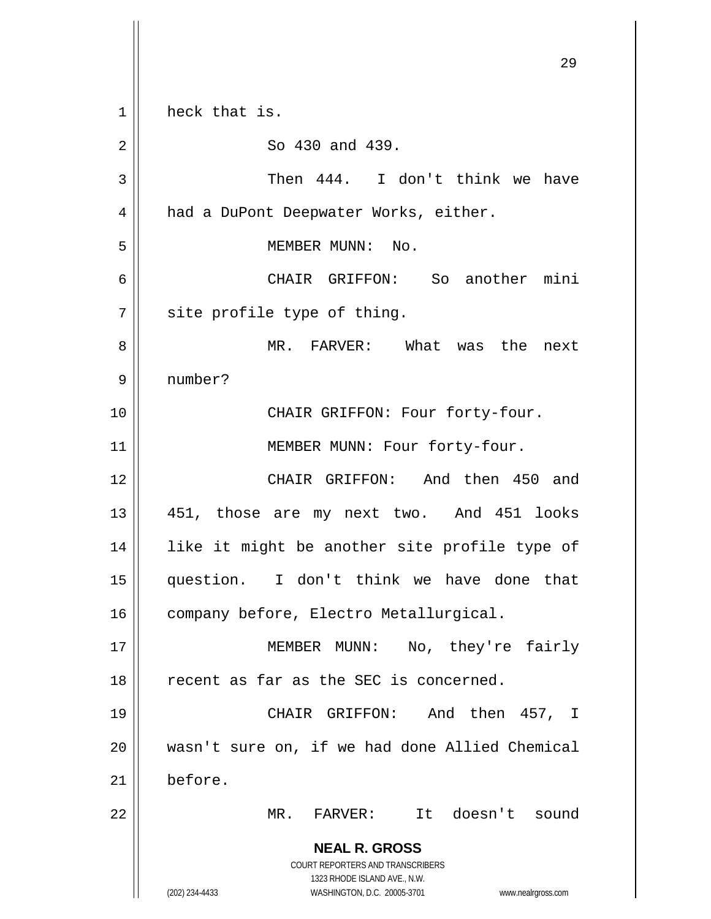**NEAL R. GROSS** COURT REPORTERS AND TRANSCRIBERS 1323 RHODE ISLAND AVE., N.W. (202) 234-4433 WASHINGTON, D.C. 20005-3701 www.nealrgross.com 1 || heck that is. 2 So 430 and 439. 3 || Then 444. I don't think we have 4 | had a DuPont Deepwater Works, either. 5 || MEMBER MUNN: No. 6 CHAIR GRIFFON: So another mini  $7$  site profile type of thing. 8 MR. FARVER: What was the next 9 number? 10 || CHAIR GRIFFON: Four forty-four. 11 || MEMBER MUNN: Four forty-four. 12 CHAIR GRIFFON: And then 450 and 13 || 451, those are my next two. And 451 looks 14 || like it might be another site profile type of 15 question. I don't think we have done that 16 | company before, Electro Metallurgical. 17 || MEMBER MUNN: No, they're fairly 18 || recent as far as the SEC is concerned. 19 CHAIR GRIFFON: And then 457, I 20 wasn't sure on, if we had done Allied Chemical 21 before. 22 MR. FARVER: It doesn't sound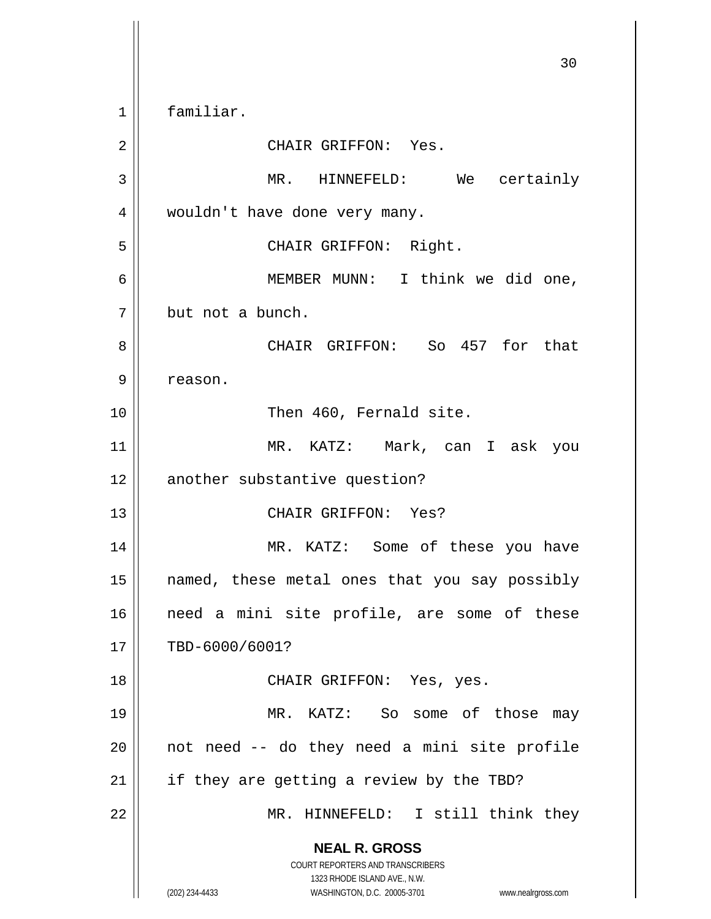**NEAL R. GROSS** COURT REPORTERS AND TRANSCRIBERS 1323 RHODE ISLAND AVE., N.W. (202) 234-4433 WASHINGTON, D.C. 20005-3701 www.nealrgross.com 30 1 familiar. 2 || CHAIR GRIFFON: Yes. 3 MR. HINNEFELD: We certainly 4 | wouldn't have done very many. 5 || CHAIR GRIFFON: Right. 6 MEMBER MUNN: I think we did one, 7 | but not a bunch. 8 CHAIR GRIFFON: So 457 for that 9 | reason. 10 || Then 460, Fernald site. 11 MR. KATZ: Mark, can I ask you 12 another substantive question? 13 CHAIR GRIFFON: Yes? 14 || MR. KATZ: Some of these you have 15 named, these metal ones that you say possibly 16 || need a mini site profile, are some of these 17 | TBD-6000/6001? 18 CHAIR GRIFFON: Yes, yes. 19 MR. KATZ: So some of those may  $20$  || not need  $-$  do they need a mini site profile  $21$  | if they are getting a review by the TBD? 22 || MR. HINNEFELD: I still think they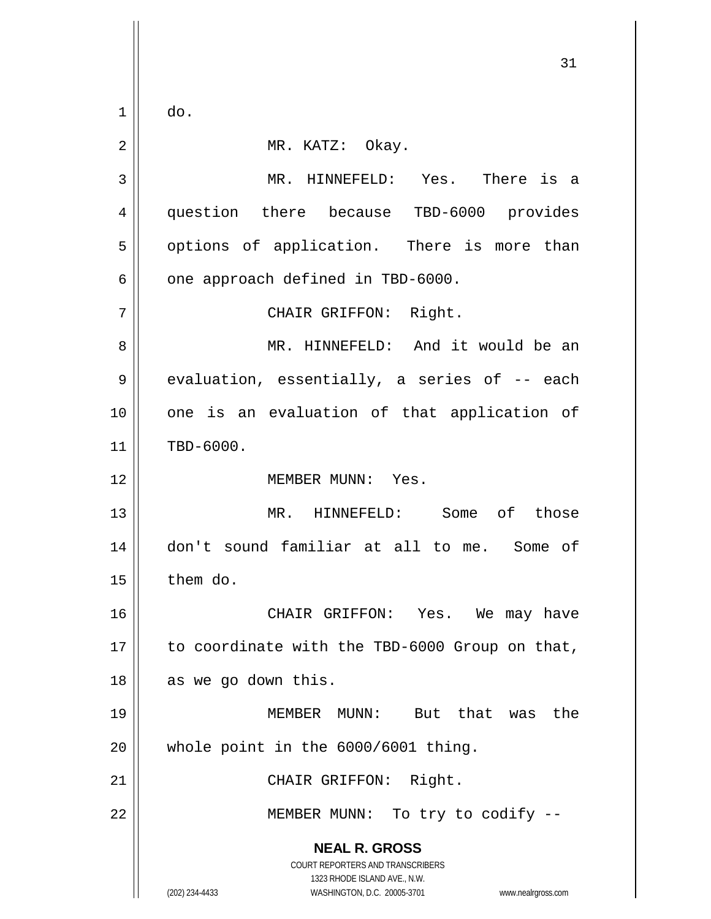$1 \parallel$  do.

| 2  | MR. KATZ: Okay.                                                                                                                                                 |
|----|-----------------------------------------------------------------------------------------------------------------------------------------------------------------|
| 3  | MR. HINNEFELD: Yes. There is a                                                                                                                                  |
| 4  | question there because TBD-6000 provides                                                                                                                        |
| 5  | options of application. There is more than                                                                                                                      |
| 6  | one approach defined in TBD-6000.                                                                                                                               |
| 7  | CHAIR GRIFFON: Right.                                                                                                                                           |
| 8  | MR. HINNEFELD: And it would be an                                                                                                                               |
| 9  | evaluation, essentially, a series of -- each                                                                                                                    |
| 10 | one is an evaluation of that application of                                                                                                                     |
| 11 | TBD-6000.                                                                                                                                                       |
| 12 | MEMBER MUNN: Yes.                                                                                                                                               |
| 13 | MR. HINNEFELD: Some of those                                                                                                                                    |
| 14 | don't sound familiar at all to me. Some of                                                                                                                      |
| 15 | them do.                                                                                                                                                        |
| 16 | CHAIR GRIFFON: Yes. We may have                                                                                                                                 |
| 17 | to coordinate with the TBD-6000 Group on that,                                                                                                                  |
| 18 | as we go down this.                                                                                                                                             |
| 19 | MEMBER MUNN: But that was<br>the                                                                                                                                |
| 20 | whole point in the 6000/6001 thing.                                                                                                                             |
| 21 | CHAIR GRIFFON: Right.                                                                                                                                           |
| 22 | MEMBER MUNN: To try to codify --                                                                                                                                |
|    | <b>NEAL R. GROSS</b><br>COURT REPORTERS AND TRANSCRIBERS<br>1323 RHODE ISLAND AVE., N.W.<br>(202) 234-4433<br>WASHINGTON, D.C. 20005-3701<br>www.nealrgross.com |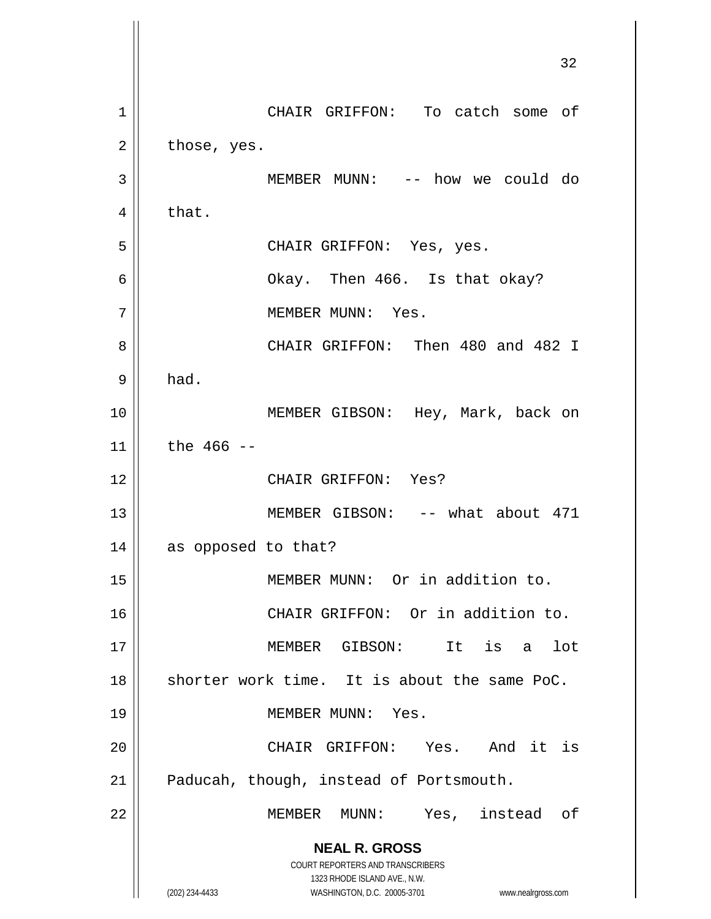**NEAL R. GROSS** COURT REPORTERS AND TRANSCRIBERS 1323 RHODE ISLAND AVE., N.W. (202) 234-4433 WASHINGTON, D.C. 20005-3701 www.nealrgross.com 32 1 || CHAIR GRIFFON: To catch some of  $2 \parallel$  those, yes. 3 MEMBER MUNN: -- how we could do  $4 \parallel$  that. 5 CHAIR GRIFFON: Yes, yes. 6 Okay. Then 466. Is that okay? 7 || MEMBER MUNN: Yes. 8 || CHAIR GRIFFON: Then 480 and 482 I  $9 \parallel$  had. 10 || MEMBER GIBSON: Hey, Mark, back on  $11$  the 466 --12 CHAIR GRIFFON: Yes? 13 || MEMBER GIBSON: -- what about 471 14 as opposed to that? 15 || MEMBER MUNN: Or in addition to. 16 || CHAIR GRIFFON: Or in addition to. 17 MEMBER GIBSON: It is a lot  $18$  shorter work time. It is about the same PoC. 19 || MEMBER MUNN: Yes. 20 CHAIR GRIFFON: Yes. And it is 21 | Paducah, though, instead of Portsmouth. 22 || MEMBER MUNN: Yes, instead of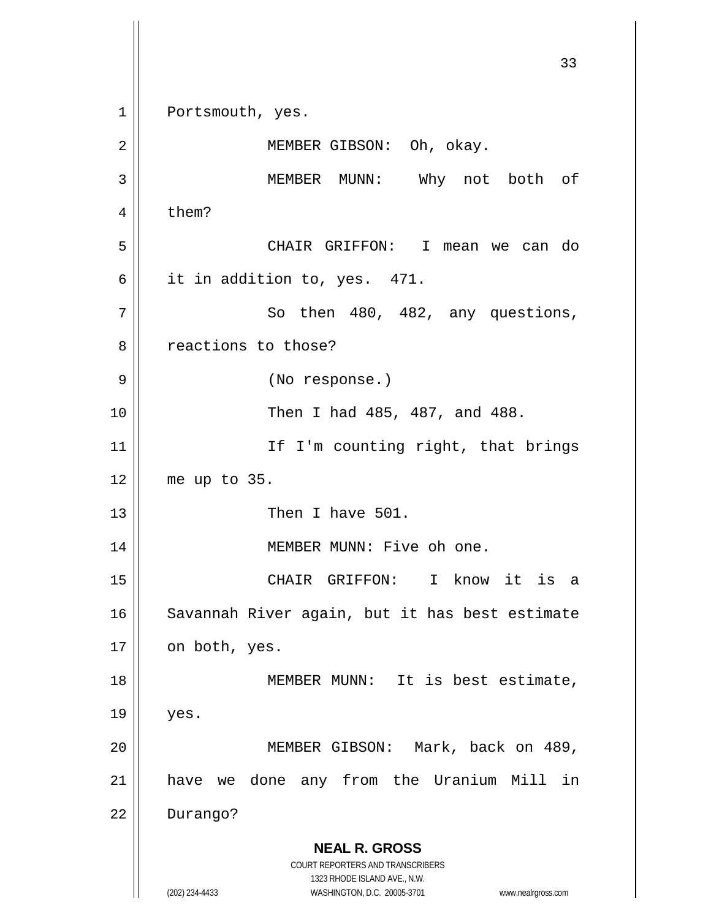**NEAL R. GROSS** COURT REPORTERS AND TRANSCRIBERS 1323 RHODE ISLAND AVE., N.W. (202) 234-4433 WASHINGTON, D.C. 20005-3701 www.nealrgross.com 33 1 || Portsmouth, yes. 2 MEMBER GIBSON: Oh, okay. 3 MEMBER MUNN: Why not both of  $4 \parallel$  them? 5 CHAIR GRIFFON: I mean we can do 6 it in addition to, yes. 471.  $7 \parallel$  So then 480, 482, any questions, 8 || reactions to those? 9 || (No response.) 10 Then I had 485, 487, and 488. 11 || If I'm counting right, that brings 12 me up to 35. 13 || Then I have 501. 14 || MEMBER MUNN: Five oh one. 15 CHAIR GRIFFON: I know it is a 16 || Savannah River again, but it has best estimate  $17 \parallel$  on both, yes. 18 || MEMBER MUNN: It is best estimate,  $19$  | yes. 20 MEMBER GIBSON: Mark, back on 489, 21 have we done any from the Uranium Mill in 22 Durango?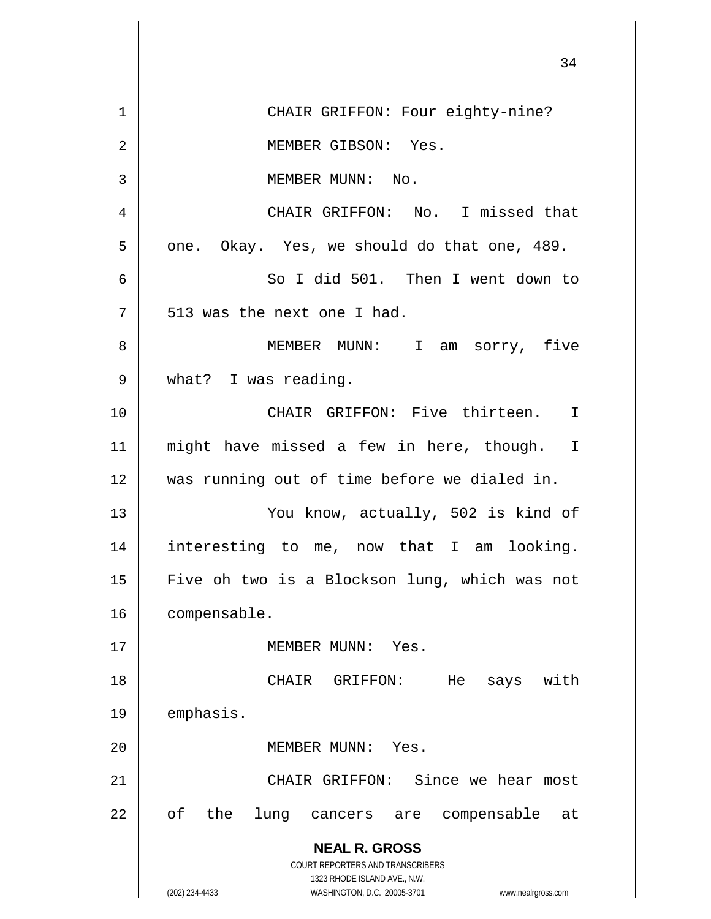|    | 34                                                                  |
|----|---------------------------------------------------------------------|
| 1  | CHAIR GRIFFON: Four eighty-nine?                                    |
| 2  | MEMBER GIBSON: Yes.                                                 |
| 3  | MEMBER MUNN: No.                                                    |
| 4  | CHAIR GRIFFON: No. I missed that                                    |
| 5  | one. Okay. Yes, we should do that one, 489.                         |
| 6  | So I did 501. Then I went down to                                   |
| 7  | 513 was the next one I had.                                         |
| 8  | MEMBER MUNN: I am sorry, five                                       |
| 9  | what? I was reading.                                                |
| 10 | CHAIR GRIFFON: Five thirteen.<br>I                                  |
| 11 | might have missed a few in here, though.<br>I                       |
| 12 | was running out of time before we dialed in.                        |
| 13 | You know, actually, 502 is kind of                                  |
| 14 | interesting to me, now that I am<br>looking.                        |
| 15 | Five oh two is a Blockson lung, which was not                       |
| 16 | compensable.                                                        |
| 17 | MEMBER MUNN:<br>Yes.                                                |
| 18 | with<br>GRIFFON:<br>CHAIR<br>He<br>says                             |
| 19 | emphasis.                                                           |
| 20 | MEMBER MUNN: Yes.                                                   |
| 21 | CHAIR GRIFFON: Since we hear most                                   |
| 22 | оf<br>the<br>lung<br>compensable<br>at<br>cancers are               |
|    | <b>NEAL R. GROSS</b><br><b>COURT REPORTERS AND TRANSCRIBERS</b>     |
|    | 1323 RHODE ISLAND AVE., N.W.                                        |
|    | (202) 234-4433<br>WASHINGTON, D.C. 20005-3701<br>www.nealrgross.com |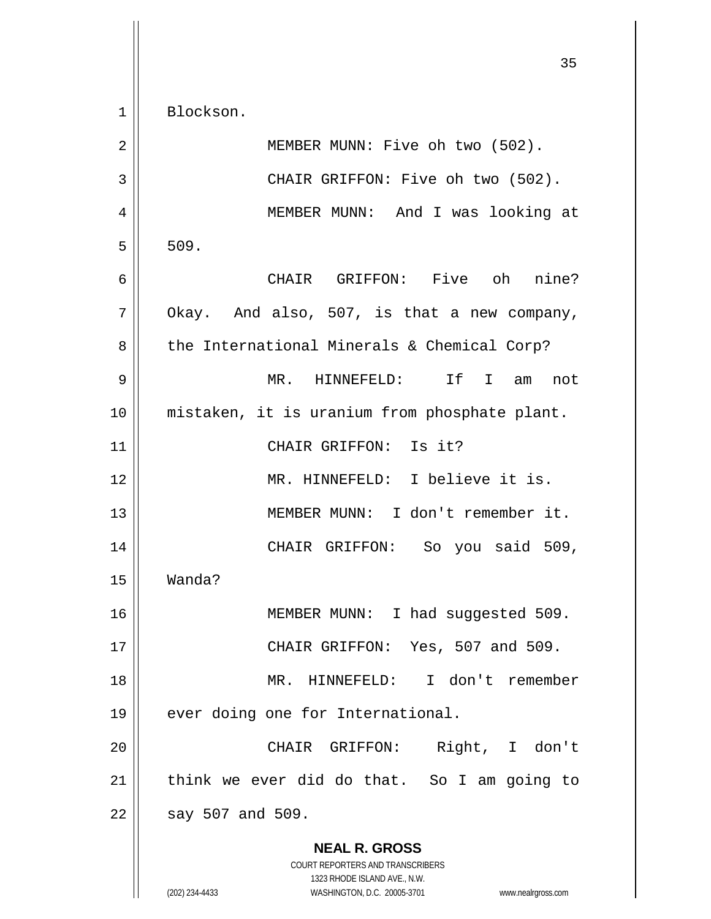**NEAL R. GROSS** COURT REPORTERS AND TRANSCRIBERS 1323 RHODE ISLAND AVE., N.W. 1 Blockson. 2 MEMBER MUNN: Five oh two (502). 3 || CHAIR GRIFFON: Five oh two (502). 4 MEMBER MUNN: And I was looking at  $5 \parallel 509$ . 6 CHAIR GRIFFON: Five oh nine?  $7 \parallel$  Okay. And also, 507, is that a new company,  $8 \parallel$  the International Minerals & Chemical Corp? 9 MR. HINNEFELD: If I am not 10 mistaken, it is uranium from phosphate plant. 11 || CHAIR GRIFFON: Is it? 12 MR. HINNEFELD: I believe it is. 13 MEMBER MUNN: I don't remember it. 14 CHAIR GRIFFON: So you said 509, 15 Wanda? 16 || MEMBER MUNN: I had suggested 509. 17 CHAIR GRIFFON: Yes, 507 and 509. 18 MR. HINNEFELD: I don't remember 19 || ever doing one for International. 20 CHAIR GRIFFON: Right, I don't  $21$  think we ever did do that. So I am going to  $22 \parallel$  say 507 and 509.

(202) 234-4433 WASHINGTON, D.C. 20005-3701 www.nealrgross.com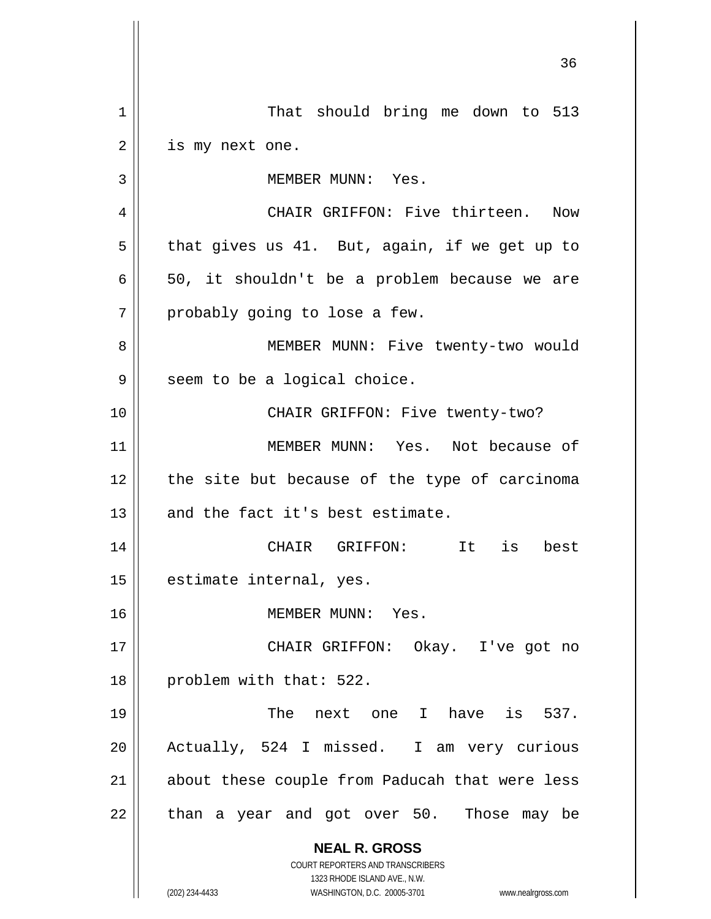**NEAL R. GROSS** COURT REPORTERS AND TRANSCRIBERS 1323 RHODE ISLAND AVE., N.W. (202) 234-4433 WASHINGTON, D.C. 20005-3701 www.nealrgross.com 1 || That should bring me down to 513  $2 \parallel$  is my next one. 3 || MEMBER MUNN: Yes. 4 CHAIR GRIFFON: Five thirteen. Now  $5 \parallel$  that gives us 41. But, again, if we get up to  $6 \parallel 50$ , it shouldn't be a problem because we are  $7 \parallel$  probably going to lose a few. 8 || MEMBER MUNN: Five twenty-two would  $9 \parallel$  seem to be a logical choice. 10 || CHAIR GRIFFON: Five twenty-two? 11 MEMBER MUNN: Yes. Not because of  $12$  | the site but because of the type of carcinoma  $13$  and the fact it's best estimate. 14 CHAIR GRIFFON: It is best 15 | estimate internal, yes. 16 MEMBER MUNN: Yes. 17 CHAIR GRIFFON: Okay. I've got no 18 | problem with that: 522. 19 The next one I have is 537. 20 Actually, 524 I missed. I am very curious 21 || about these couple from Paducah that were less  $22$  || than a year and got over 50. Those may be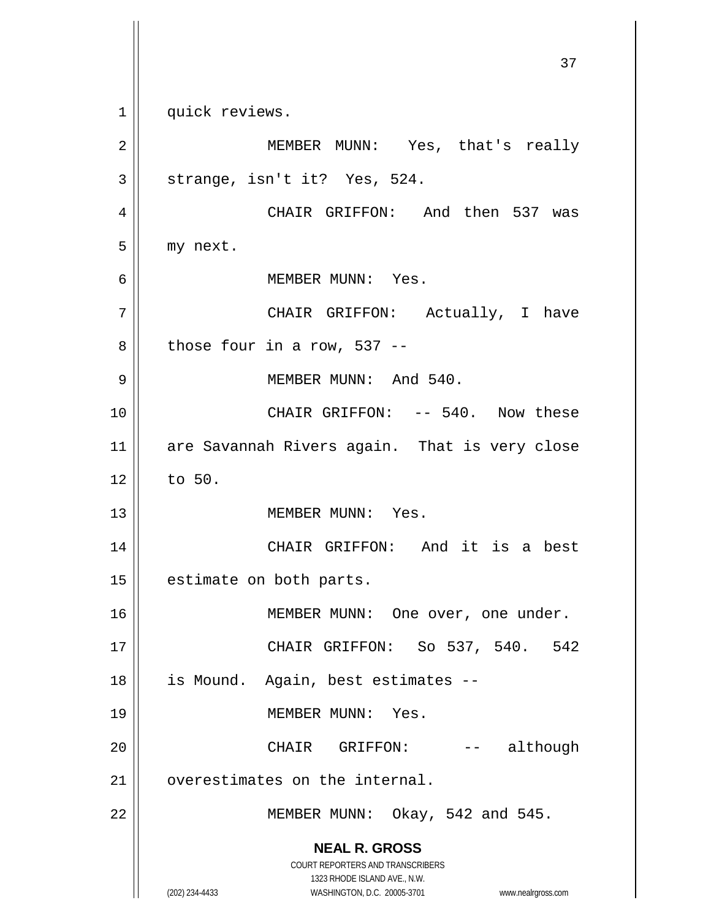**NEAL R. GROSS** COURT REPORTERS AND TRANSCRIBERS 1323 RHODE ISLAND AVE., N.W. (202) 234-4433 WASHINGTON, D.C. 20005-3701 www.nealrgross.com 37 1 || quick reviews. 2 MEMBER MUNN: Yes, that's really  $3 \parallel$  strange, isn't it? Yes, 524. 4 CHAIR GRIFFON: And then 537 was  $5$  | my next. 6 MEMBER MUNN: Yes. 7 CHAIR GRIFFON: Actually, I have  $8 \parallel$  those four in a row, 537 --9 MEMBER MUNN: And 540. 10 || CHAIR GRIFFON: -- 540. Now these 11 || are Savannah Rivers again. That is very close  $12 \parallel$  to 50. 13 MEMBER MUNN: Yes. 14 CHAIR GRIFFON: And it is a best 15 | estimate on both parts. 16 || MEMBER MUNN: One over, one under. 17 CHAIR GRIFFON: So 537, 540. 542 18 is Mound. Again, best estimates -- 19 MEMBER MUNN: Yes. 20 CHAIR GRIFFON: -- although 21 | overestimates on the internal. 22  $\parallel$  MEMBER MUNN: Okay, 542 and 545.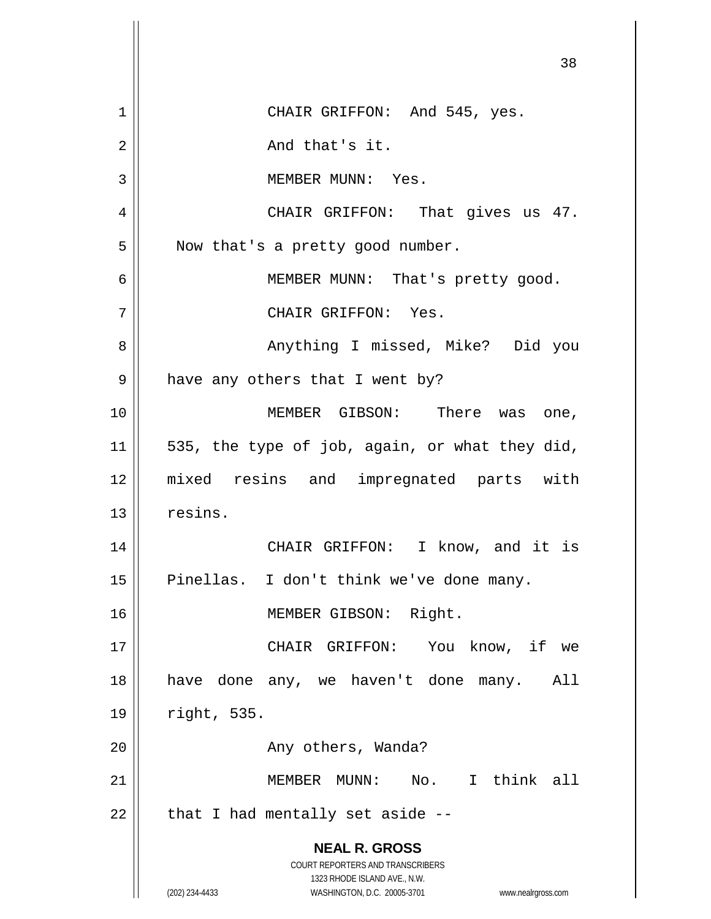|    | 38                                                                                               |
|----|--------------------------------------------------------------------------------------------------|
| 1  | CHAIR GRIFFON: And 545, yes.                                                                     |
| 2  | And that's it.                                                                                   |
| 3  | MEMBER MUNN: Yes.                                                                                |
| 4  | CHAIR GRIFFON: That gives us 47.                                                                 |
| 5  | Now that's a pretty good number.                                                                 |
| 6  | MEMBER MUNN: That's pretty good.                                                                 |
| 7  | CHAIR GRIFFON: Yes.                                                                              |
| 8  | Anything I missed, Mike? Did you                                                                 |
| 9  | have any others that I went by?                                                                  |
| 10 | MEMBER GIBSON: There was one,                                                                    |
| 11 | 535, the type of job, again, or what they did,                                                   |
| 12 | mixed resins and impregnated parts with                                                          |
| 13 | resins.                                                                                          |
| 14 | CHAIR GRIFFON: I know, and it is                                                                 |
| 15 | Pinellas. I don't think we've done many.                                                         |
| 16 | MEMBER GIBSON: Right.                                                                            |
| 17 | CHAIR GRIFFON: You know, if we                                                                   |
| 18 | have done any, we haven't done many.<br>All                                                      |
| 19 | right, 535.                                                                                      |
| 20 | Any others, Wanda?                                                                               |
| 21 | MEMBER MUNN: No. I think all                                                                     |
| 22 | that I had mentally set aside --                                                                 |
|    | <b>NEAL R. GROSS</b><br>COURT REPORTERS AND TRANSCRIBERS                                         |
|    | 1323 RHODE ISLAND AVE., N.W.<br>(202) 234-4433<br>WASHINGTON, D.C. 20005-3701 www.nealrgross.com |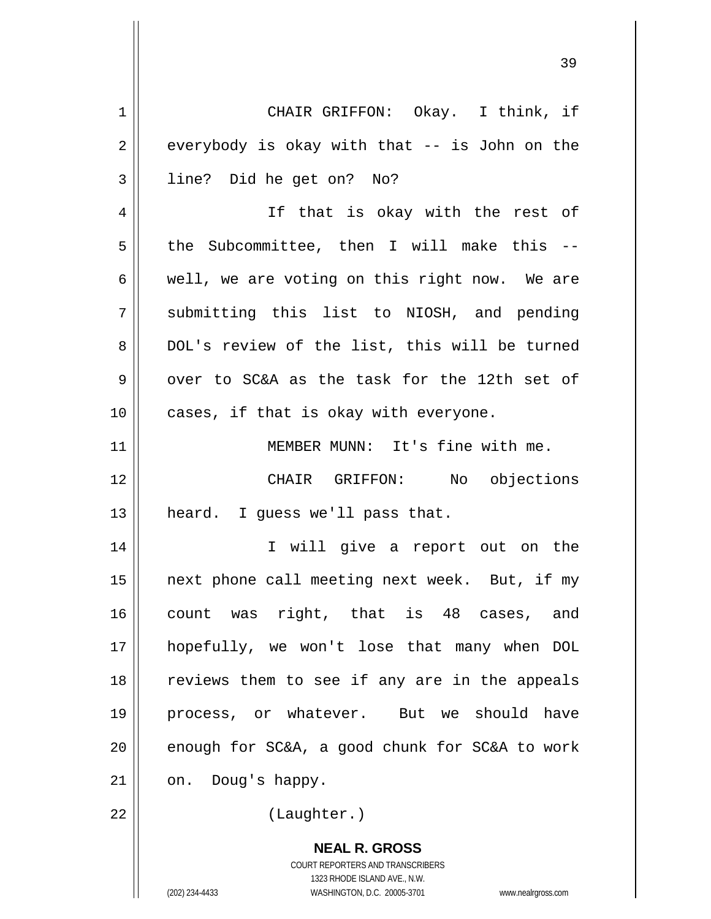**NEAL R. GROSS** COURT REPORTERS AND TRANSCRIBERS 1323 RHODE ISLAND AVE., N.W. (202) 234-4433 WASHINGTON, D.C. 20005-3701 www.nealrgross.com 1 || CHAIR GRIFFON: Okay. I think, if  $2 \parallel$  everybody is okay with that  $-$  is John on the 3 || line? Did he get on? No? 4 || If that is okay with the rest of  $5$  the Subcommittee, then I will make this --6  $\parallel$  well, we are voting on this right now. We are 7 Submitting this list to NIOSH, and pending 8 || DOL's review of the list, this will be turned  $9 \parallel$  over to SC&A as the task for the 12th set of  $10$  | cases, if that is okay with everyone. 11 MEMBER MUNN: It's fine with me. 12 CHAIR GRIFFON: No objections  $13$  | heard. I guess we'll pass that. 14 || I will give a report out on the 15 || next phone call meeting next week. But, if my 16 count was right, that is 48 cases, and 17 hopefully, we won't lose that many when DOL 18 || reviews them to see if any are in the appeals 19 process, or whatever. But we should have 20  $\parallel$  enough for SC&A, a good chunk for SC&A to work  $21 \parallel \quad \text{on.} \quad$  Doug's happy. 22 || (Laughter.)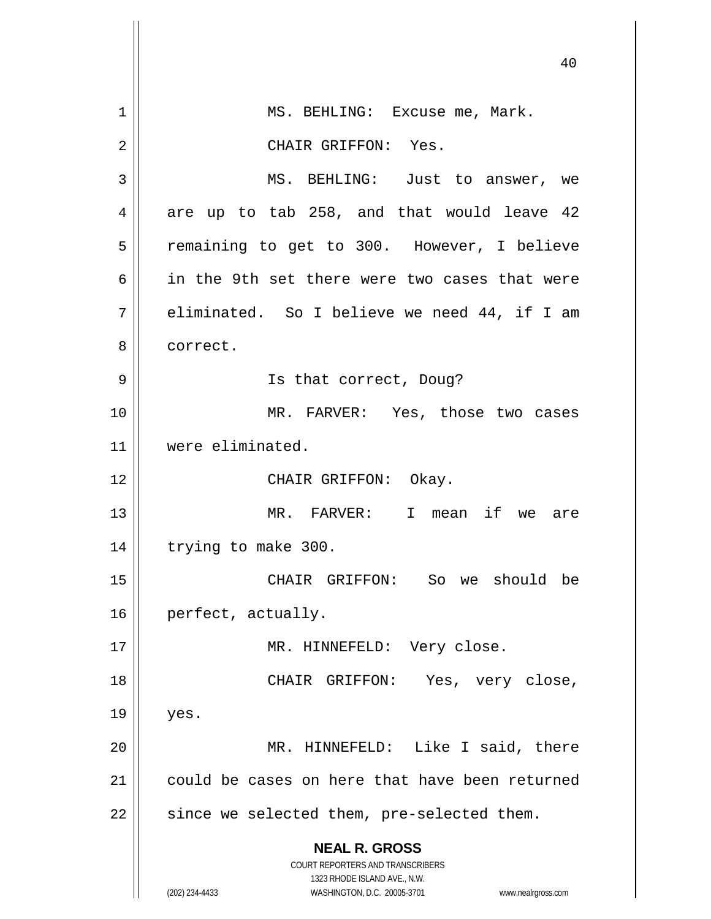|    | 40                                                                                                  |
|----|-----------------------------------------------------------------------------------------------------|
|    |                                                                                                     |
| 1  | MS. BEHLING: Excuse me, Mark.                                                                       |
| 2  | CHAIR GRIFFON: Yes.                                                                                 |
| 3  | MS. BEHLING: Just to answer, we                                                                     |
| 4  | are up to tab 258, and that would leave 42                                                          |
| 5  | remaining to get to 300. However, I believe                                                         |
| 6  | in the 9th set there were two cases that were                                                       |
| 7  | eliminated. So I believe we need 44, if I am                                                        |
| 8  | correct.                                                                                            |
| 9  | Is that correct, Doug?                                                                              |
| 10 | MR. FARVER: Yes, those two cases                                                                    |
| 11 | were eliminated.                                                                                    |
| 12 | CHAIR GRIFFON: Okay.                                                                                |
| 13 | MR. FARVER: I mean if we are                                                                        |
| 14 | trying to make 300.                                                                                 |
| 15 | CHAIR GRIFFON: So we should be                                                                      |
| 16 | perfect, actually.                                                                                  |
| 17 | MR. HINNEFELD: Very close.                                                                          |
| 18 | CHAIR GRIFFON:<br>Yes, very close,                                                                  |
| 19 | yes.                                                                                                |
| 20 | MR. HINNEFELD: Like I said, there                                                                   |
| 21 | could be cases on here that have been returned                                                      |
| 22 | since we selected them, pre-selected them.                                                          |
|    | <b>NEAL R. GROSS</b>                                                                                |
|    | COURT REPORTERS AND TRANSCRIBERS                                                                    |
|    | 1323 RHODE ISLAND AVE., N.W.<br>(202) 234-4433<br>WASHINGTON, D.C. 20005-3701<br>www.nealrgross.com |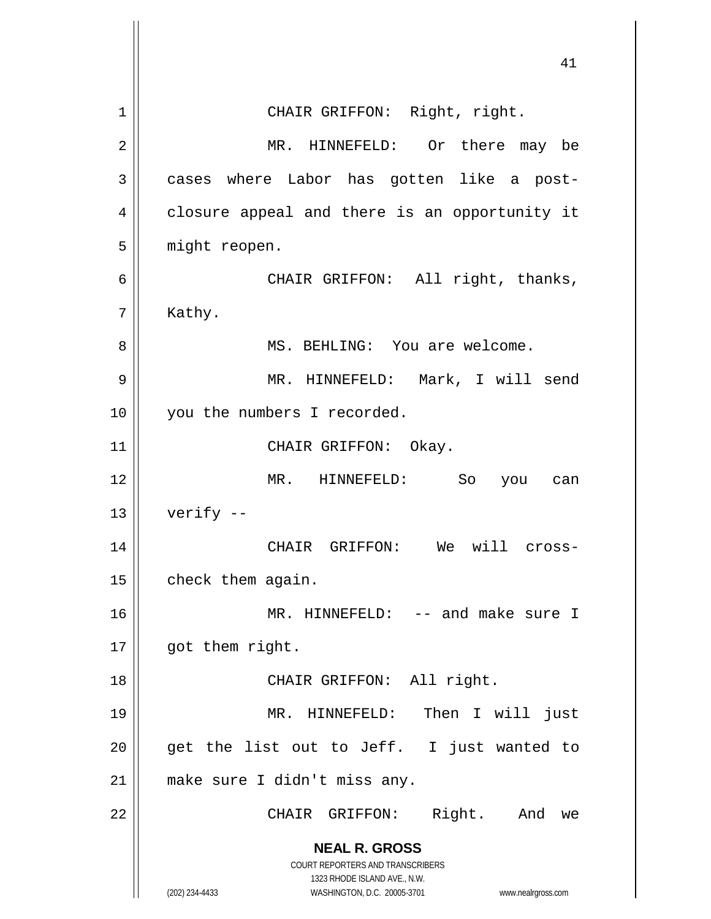**NEAL R. GROSS** COURT REPORTERS AND TRANSCRIBERS 1323 RHODE ISLAND AVE., N.W. (202) 234-4433 WASHINGTON, D.C. 20005-3701 www.nealrgross.com 41 1 || CHAIR GRIFFON: Right, right. 2 MR. HINNEFELD: Or there may be 3 cases where Labor has gotten like a post-4 | closure appeal and there is an opportunity it 5 | might reopen. 6 CHAIR GRIFFON: All right, thanks, 7 | Kathy. 8 || MS. BEHLING: You are welcome. 9 MR. HINNEFELD: Mark, I will send 10 || you the numbers I recorded. 11 || CHAIR GRIFFON: Okay. 12 MR. HINNEFELD: So you can  $13$  | verify  $-$ 14 CHAIR GRIFFON: We will cross- $15$  | check them again. 16 MR. HINNEFELD: -- and make sure I 17 | got them right. 18 || CHAIR GRIFFON: All right. 19 MR. HINNEFELD: Then I will just  $20$  || get the list out to Jeff. I just wanted to 21 || make sure I didn't miss any. 22 || CHAIR GRIFFON: Right. And we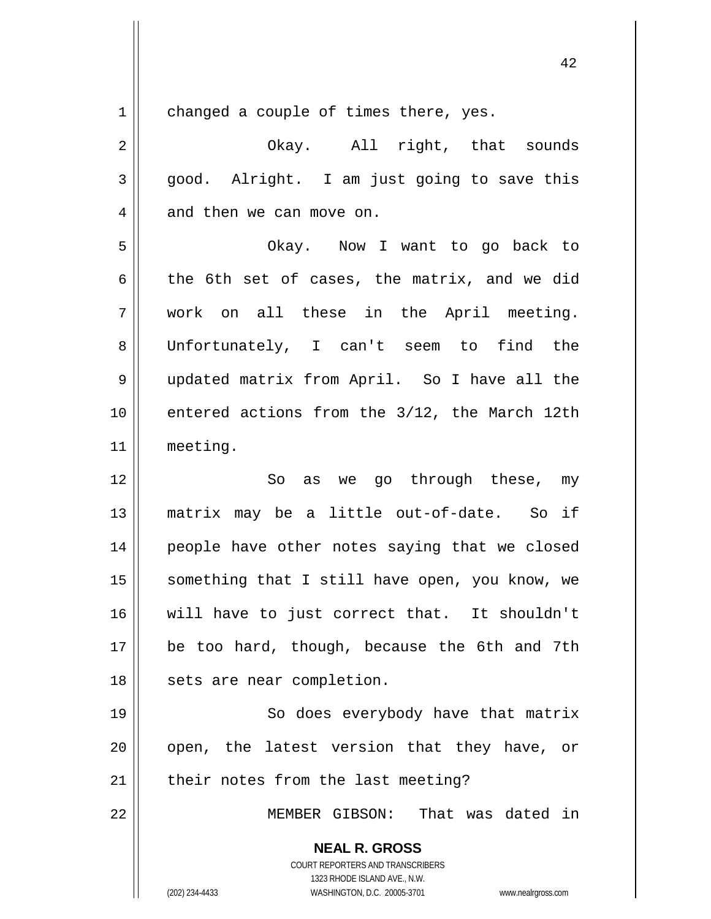$1 \parallel$  changed a couple of times there, yes.

2 || Chay. All right, that sounds  $3 \parallel$  good. Alright. I am just going to save this  $4 \parallel$  and then we can move on.

5 Okay. Now I want to go back to 6 the 6th set of cases, the matrix, and we did 7 work on all these in the April meeting. 8 Unfortunately, I can't seem to find the 9 updated matrix from April. So I have all the 10 || entered actions from the 3/12, the March 12th 11 meeting.

12 So as we go through these, my 13 matrix may be a little out-of-date. So if 14 || people have other notes saying that we closed 15 || something that I still have open, you know, we 16 will have to just correct that. It shouldn't 17 be too hard, though, because the 6th and 7th 18 || sets are near completion.

19 || So does everybody have that matrix  $20$  || open, the latest version that they have, or 21 || their notes from the last meeting?

22 MEMBER GIBSON: That was dated in

**NEAL R. GROSS** COURT REPORTERS AND TRANSCRIBERS 1323 RHODE ISLAND AVE., N.W.

(202) 234-4433 WASHINGTON, D.C. 20005-3701 www.nealrgross.com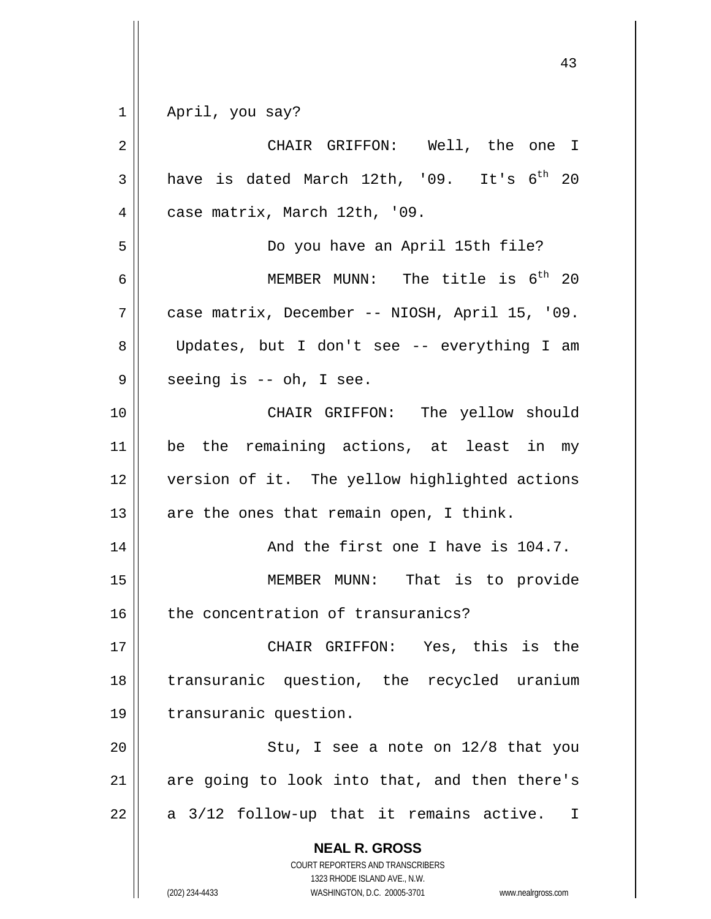$1 \parallel$  April, you say?

| $\overline{2}$ | CHAIR GRIFFON: Well, the one I                                                                                                                                  |
|----------------|-----------------------------------------------------------------------------------------------------------------------------------------------------------------|
| 3              | have is dated March 12th, '09. It's 6 <sup>th</sup> 20                                                                                                          |
| 4              | case matrix, March 12th, '09.                                                                                                                                   |
| 5              | Do you have an April 15th file?                                                                                                                                 |
| 6              | MEMBER MUNN: The title is $6th$ 20                                                                                                                              |
| 7              | case matrix, December -- NIOSH, April 15, '09.                                                                                                                  |
| 8              | Updates, but I don't see -- everything I am                                                                                                                     |
| 9              | seeing is -- oh, I see.                                                                                                                                         |
| 10             | CHAIR GRIFFON: The yellow should                                                                                                                                |
| 11             | be the remaining actions, at least in my                                                                                                                        |
| 12             | version of it. The yellow highlighted actions                                                                                                                   |
| 13             | are the ones that remain open, I think.                                                                                                                         |
| 14             | And the first one I have is 104.7.                                                                                                                              |
| 15             | MEMBER MUNN: That is to provide                                                                                                                                 |
| 16             | the concentration of transuranics?                                                                                                                              |
| $17$           | CHAIR GRIFFON: Yes, this is the                                                                                                                                 |
| 18             | transuranic question, the recycled uranium                                                                                                                      |
| 19             | transuranic question.                                                                                                                                           |
| 20             | Stu, I see a note on 12/8 that you                                                                                                                              |
| 21             | are going to look into that, and then there's                                                                                                                   |
| 22             | a 3/12 follow-up that it remains active.<br>$\mathbf I$                                                                                                         |
|                | <b>NEAL R. GROSS</b><br>COURT REPORTERS AND TRANSCRIBERS<br>1323 RHODE ISLAND AVE., N.W.<br>(202) 234-4433<br>WASHINGTON, D.C. 20005-3701<br>www.nealrgross.com |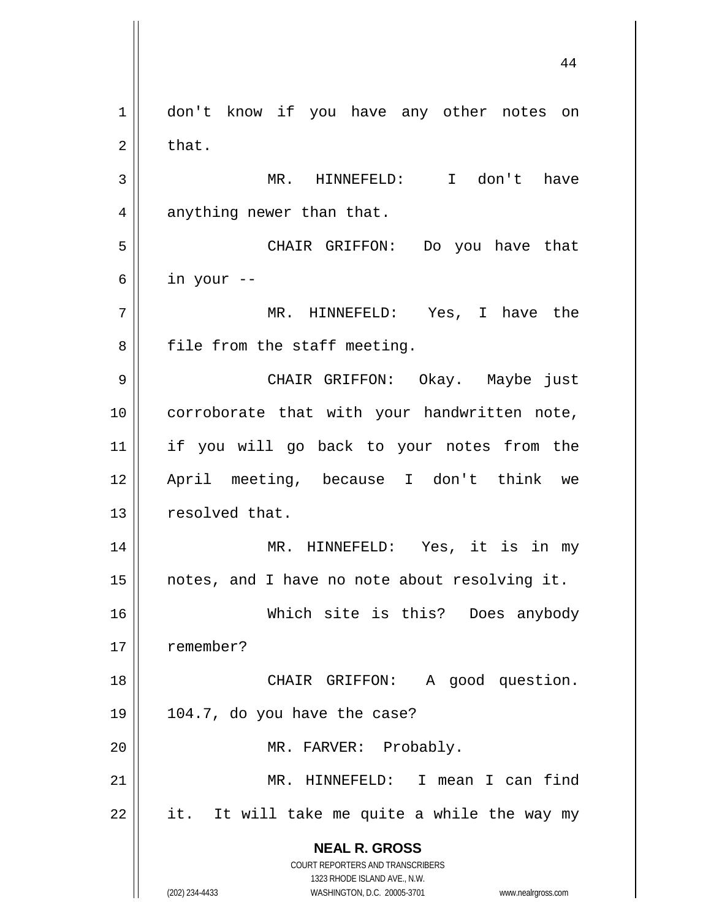**NEAL R. GROSS** COURT REPORTERS AND TRANSCRIBERS 1323 RHODE ISLAND AVE., N.W. (202) 234-4433 WASHINGTON, D.C. 20005-3701 www.nealrgross.com 1 | don't know if you have any other notes on  $2 \parallel$  that. 3 MR. HINNEFELD: I don't have  $4 \parallel$  anything newer than that. 5 CHAIR GRIFFON: Do you have that  $6 \parallel$  in your --7 MR. HINNEFELD: Yes, I have the  $8$  || file from the staff meeting. 9 CHAIR GRIFFON: Okay. Maybe just 10 || corroborate that with your handwritten note, 11 if you will go back to your notes from the 12 April meeting, because I don't think we 13 | resolved that. 14 MR. HINNEFELD: Yes, it is in my  $15$  || notes, and I have no note about resolving it. 16 Which site is this? Does anybody 17 || remember? 18 || CHAIR GRIFFON: A good question. 19  $\vert$  104.7, do you have the case? 20 || MR. FARVER: Probably. 21 MR. HINNEFELD: I mean I can find  $22$  || it. It will take me quite a while the way my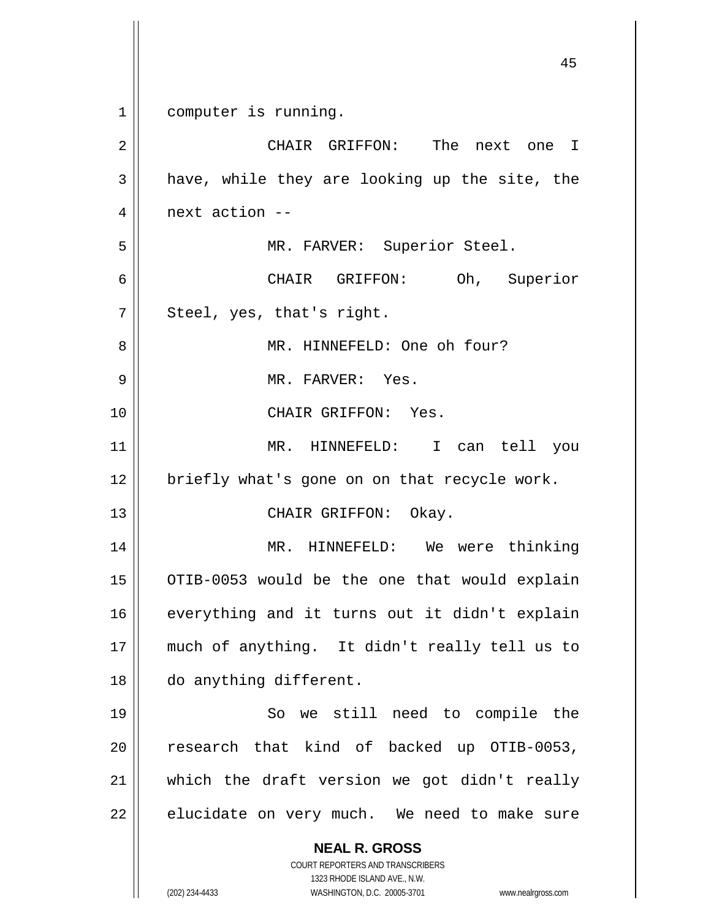**NEAL R. GROSS** COURT REPORTERS AND TRANSCRIBERS 1323 RHODE ISLAND AVE., N.W. (202) 234-4433 WASHINGTON, D.C. 20005-3701 www.nealrgross.com 45 1 computer is running. 2 CHAIR GRIFFON: The next one I  $3 \parallel$  have, while they are looking up the site, the 4 next action -- 5 MR. FARVER: Superior Steel. 6 CHAIR GRIFFON: Oh, Superior  $7 \parallel$  Steel, yes, that's right. 8 MR. HINNEFELD: One oh four? 9 MR. FARVER: Yes. 10 CHAIR GRIFFON: Yes. 11 MR. HINNEFELD: I can tell you  $12$  | briefly what's gone on on that recycle work. 13 || CHAIR GRIFFON: Okay. 14 MR. HINNEFELD: We were thinking  $15$  | OTIB-0053 would be the one that would explain 16 || everything and it turns out it didn't explain 17 || much of anything. It didn't really tell us to 18 | do anything different. 19 || So we still need to compile the  $20$  research that kind of backed up OTIB-0053, 21 which the draft version we got didn't really  $22$  | elucidate on very much. We need to make sure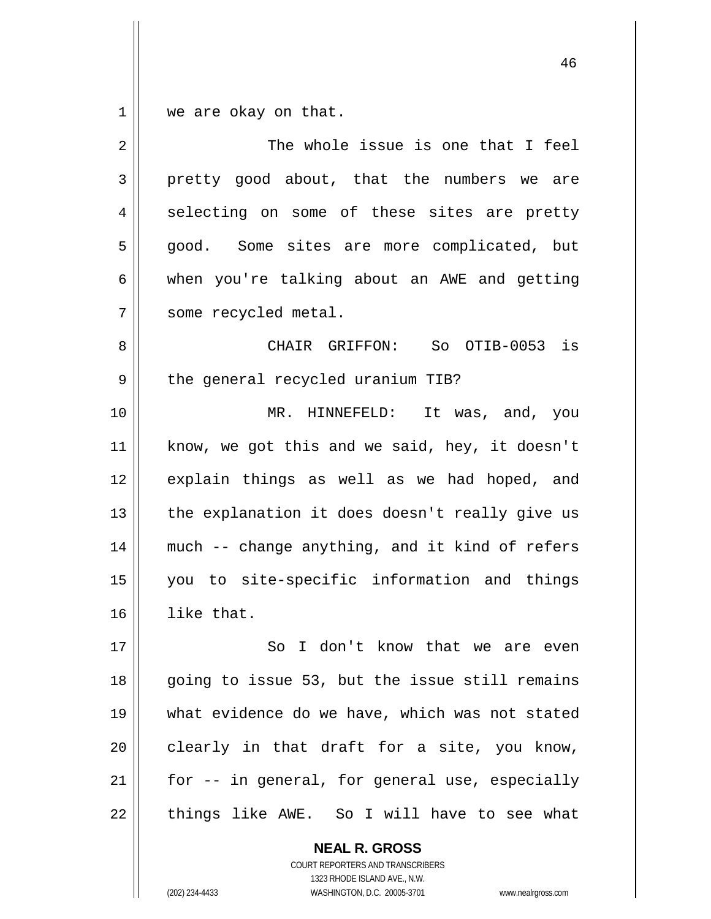$1 \parallel$  we are okay on that.

| 2  | The whole issue is one that I feel             |
|----|------------------------------------------------|
| 3  | pretty good about, that the numbers we are     |
| 4  | selecting on some of these sites are pretty    |
| 5  | good. Some sites are more complicated, but     |
| 6  | when you're talking about an AWE and getting   |
| 7  | some recycled metal.                           |
| 8  | CHAIR GRIFFON: So OTIB-0053 is                 |
| 9  | the general recycled uranium TIB?              |
| 10 | MR. HINNEFELD: It was, and, you                |
| 11 | know, we got this and we said, hey, it doesn't |
| 12 | explain things as well as we had hoped, and    |
| 13 | the explanation it does doesn't really give us |
| 14 | much -- change anything, and it kind of refers |
| 15 | you to site-specific information and things    |
| 16 | like that.                                     |
| 17 | I don't know that we are even<br>So            |
| 18 | going to issue 53, but the issue still remains |
| 19 | what evidence do we have, which was not stated |
| 20 | clearly in that draft for a site, you know,    |
| 21 | for -- in general, for general use, especially |
| 22 | things like AWE. So I will have to see what    |

**NEAL R. GROSS** COURT REPORTERS AND TRANSCRIBERS 1323 RHODE ISLAND AVE., N.W. (202) 234-4433 WASHINGTON, D.C. 20005-3701 www.nealrgross.com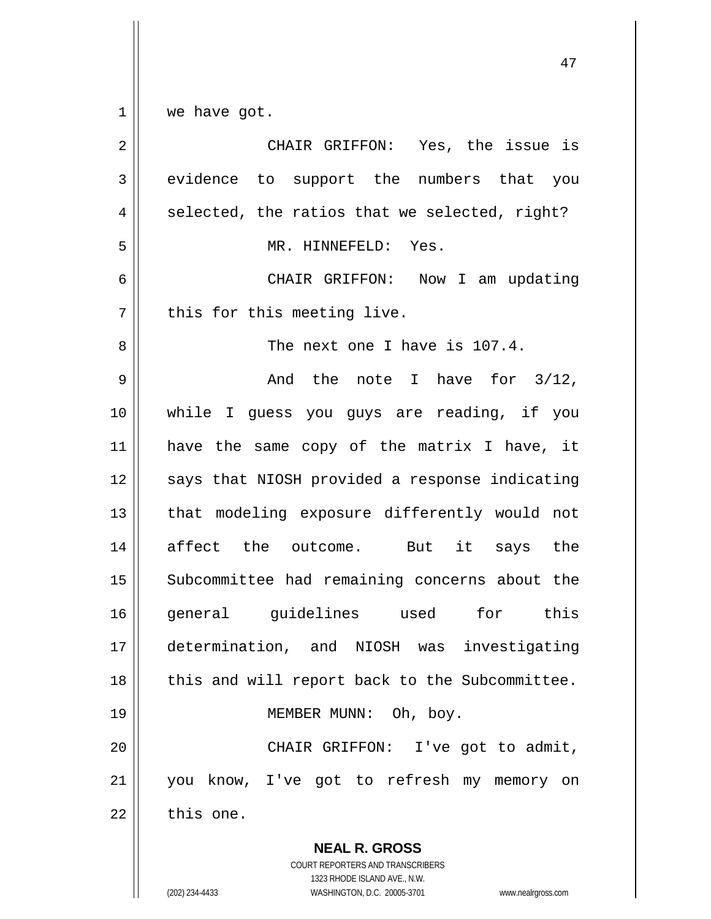$1 \parallel$  we have got.

| $\overline{2}$ | CHAIR GRIFFON: Yes, the issue is                                                                                                                                |
|----------------|-----------------------------------------------------------------------------------------------------------------------------------------------------------------|
| 3              | evidence to support the numbers that you                                                                                                                        |
| 4              | selected, the ratios that we selected, right?                                                                                                                   |
| 5              | MR. HINNEFELD: Yes.                                                                                                                                             |
| 6              | CHAIR GRIFFON: Now I am updating                                                                                                                                |
| 7              | this for this meeting live.                                                                                                                                     |
| 8              | The next one I have is 107.4.                                                                                                                                   |
| 9              | And the note I have for $3/12$ ,                                                                                                                                |
| 10             | while I guess you guys are reading, if you                                                                                                                      |
| 11             | have the same copy of the matrix I have, it                                                                                                                     |
| 12             | says that NIOSH provided a response indicating                                                                                                                  |
| 13             | that modeling exposure differently would not                                                                                                                    |
| 14             | affect the outcome. But it says the                                                                                                                             |
| 15             | Subcommittee had remaining concerns about the                                                                                                                   |
| 16             | general guidelines used for this                                                                                                                                |
| 17             | determination, and NIOSH was<br>investigating                                                                                                                   |
| 18             | this and will report back to the Subcommittee.                                                                                                                  |
| 19             | MEMBER MUNN:<br>Oh, boy.                                                                                                                                        |
| 20             | CHAIR GRIFFON: I've got to admit,                                                                                                                               |
| 21             | you know, I've got to refresh my memory on                                                                                                                      |
| 22             | this one.                                                                                                                                                       |
|                | <b>NEAL R. GROSS</b><br>COURT REPORTERS AND TRANSCRIBERS<br>1323 RHODE ISLAND AVE., N.W.<br>(202) 234-4433<br>WASHINGTON, D.C. 20005-3701<br>www.nealrgross.com |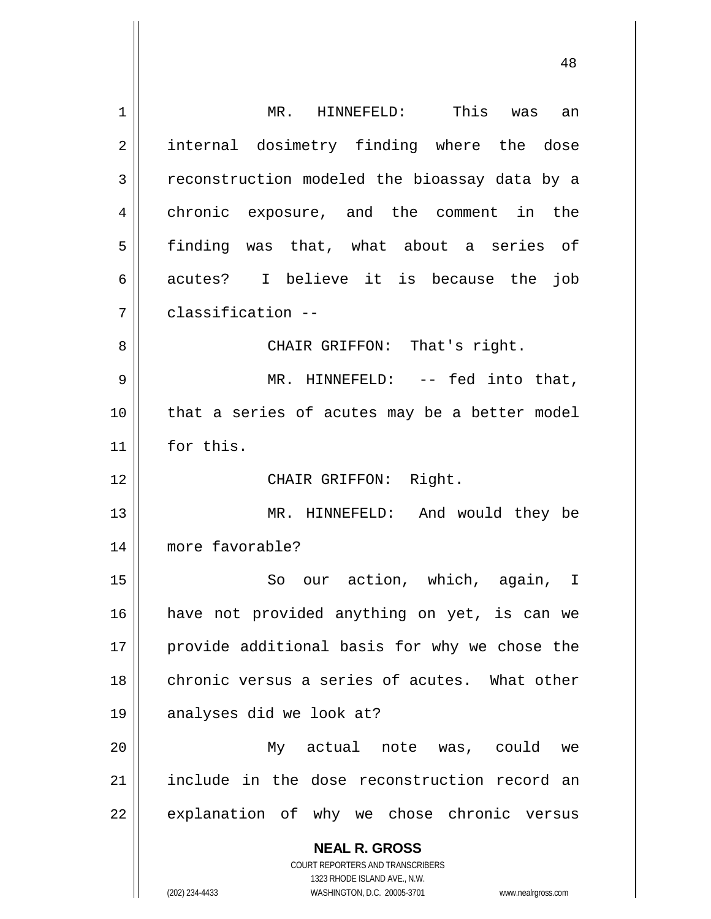| 1  | MR. HINNEFELD: This<br>an<br>was                                    |
|----|---------------------------------------------------------------------|
| 2  | internal dosimetry finding where the dose                           |
| 3  | reconstruction modeled the bioassay data by a                       |
| 4  | chronic exposure, and the comment in the                            |
| 5  | finding was that, what about a series of                            |
| 6  | acutes? I believe it is because the job                             |
| 7  | classification --                                                   |
| 8  | CHAIR GRIFFON: That's right.                                        |
| 9  | MR. HINNEFELD: -- fed into that,                                    |
| 10 | that a series of acutes may be a better model                       |
| 11 | for this.                                                           |
| 12 | CHAIR GRIFFON: Right.                                               |
| 13 | MR. HINNEFELD: And would they be                                    |
| 14 | more favorable?                                                     |
| 15 | our action, which, again, I<br>So                                   |
|    |                                                                     |
| 16 | have not provided anything on yet, is can we                        |
| 17 | provide additional basis for why we chose the                       |
| 18 | chronic versus a series of acutes. What other                       |
| 19 | analyses did we look at?                                            |
| 20 | My actual note was, could<br>we                                     |
| 21 | include in the dose reconstruction record an                        |
| 22 | explanation of why we chose chronic versus                          |
|    | <b>NEAL R. GROSS</b>                                                |
|    | COURT REPORTERS AND TRANSCRIBERS                                    |
|    | 1323 RHODE ISLAND AVE., N.W.                                        |
|    | (202) 234-4433<br>WASHINGTON, D.C. 20005-3701<br>www.nealrgross.com |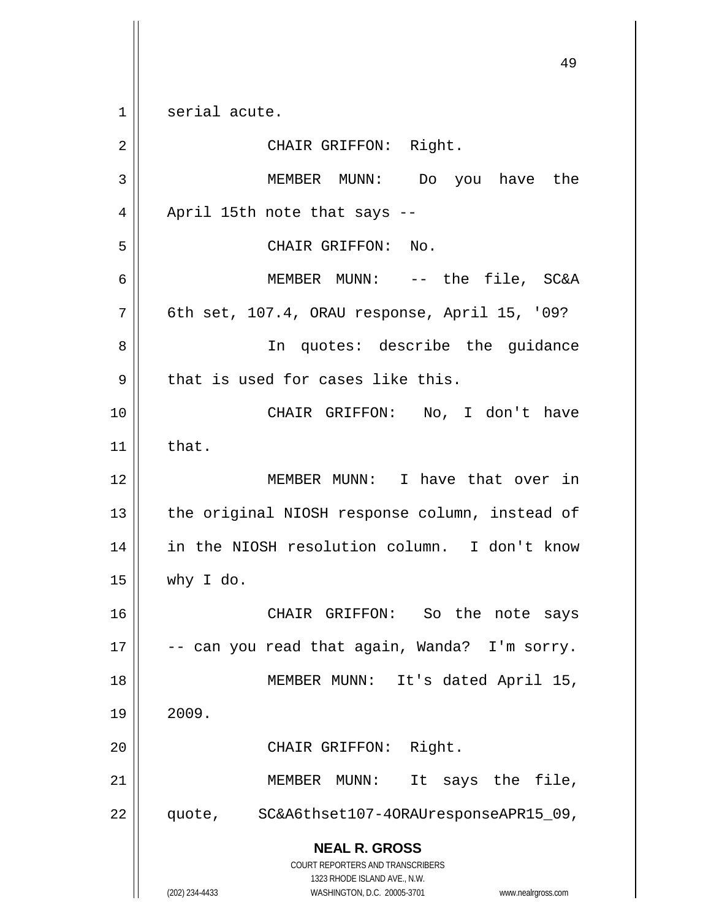**NEAL R. GROSS** COURT REPORTERS AND TRANSCRIBERS 1323 RHODE ISLAND AVE., N.W. 49 1 || serial acute. 2 || CHAIR GRIFFON: Right. 3 MEMBER MUNN: Do you have the  $4 \parallel$  April 15th note that says --5 || CHAIR GRIFFON: No. 6 MEMBER MUNN: -- the file, SC&A  $7 \parallel$  6th set, 107.4, ORAU response, April 15, '09? 8 || In quotes: describe the guidance  $9$  | that is used for cases like this. 10 CHAIR GRIFFON: No, I don't have  $11$  that. 12 MEMBER MUNN: I have that over in 13 || the original NIOSH response column, instead of 14 || in the NIOSH resolution column. I don't know  $15 \parallel$  why I do. 16 CHAIR GRIFFON: So the note says 17  $\vert$  -- can you read that again, Wanda? I'm sorry. 18 || MEMBER MUNN: It's dated April 15,  $19 \parallel 2009.$ 20 || CHAIR GRIFFON: Right. 21 || MEMBER MUNN: It says the file, 22 | quote, SC&A6thset107-40RAUresponseAPR15\_09,

(202) 234-4433 WASHINGTON, D.C. 20005-3701 www.nealrgross.com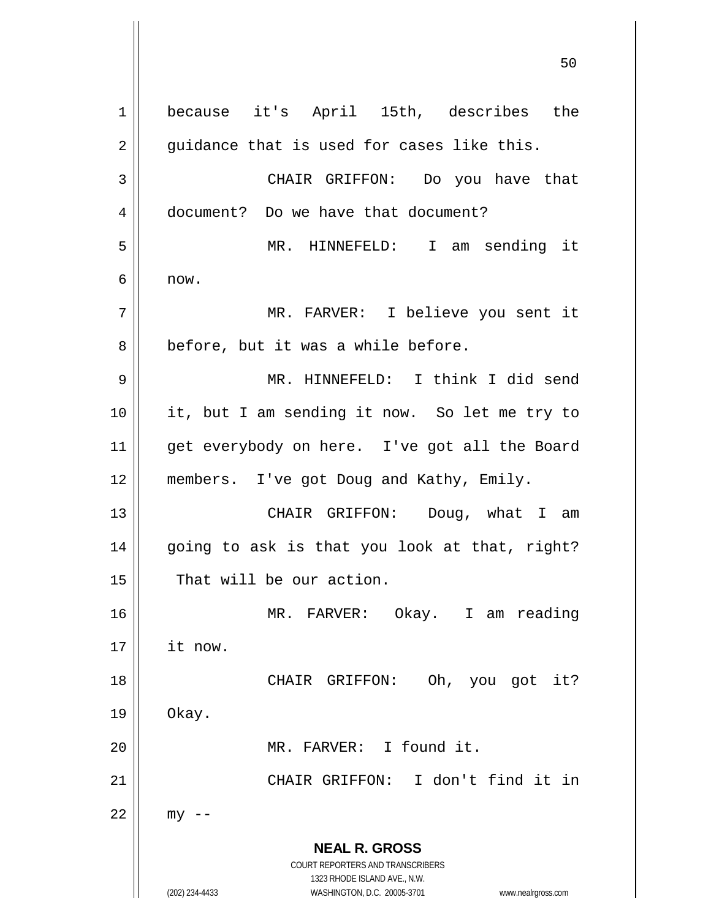**NEAL R. GROSS** COURT REPORTERS AND TRANSCRIBERS 1323 RHODE ISLAND AVE., N.W. (202) 234-4433 WASHINGTON, D.C. 20005-3701 www.nealrgross.com 1 because it's April 15th, describes the  $2 \parallel$  guidance that is used for cases like this. 3 CHAIR GRIFFON: Do you have that 4 document? Do we have that document? 5 MR. HINNEFELD: I am sending it  $6 \parallel$  now. 7 MR. FARVER: I believe you sent it  $8 \parallel$  before, but it was a while before. 9 MR. HINNEFELD: I think I did send 10 it, but I am sending it now. So let me try to 11 || get everybody on here. I've got all the Board 12 || members. I've got Doug and Kathy, Emily. 13 || CHAIR GRIFFON: Doug, what I am 14 going to ask is that you look at that, right? 15 | That will be our action. 16 MR. FARVER: Okay. I am reading 17 it now. 18 || CHAIR GRIFFON: Oh, you got it?  $19 \parallel$  Okay. 20 MR. FARVER: I found it. 21 CHAIR GRIFFON: I don't find it in  $22$  || my --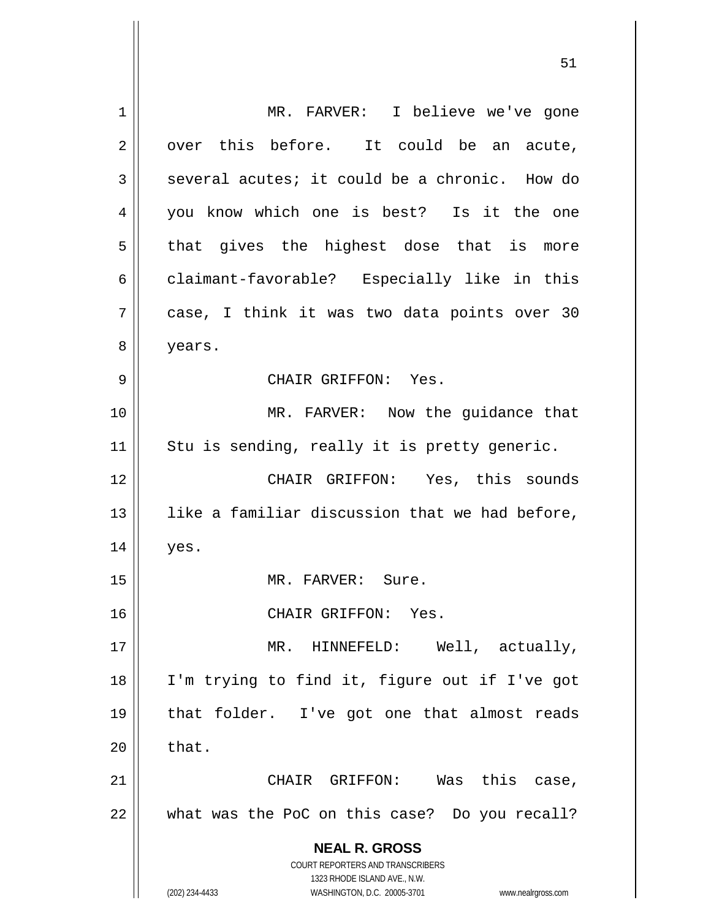**NEAL R. GROSS** COURT REPORTERS AND TRANSCRIBERS 1323 RHODE ISLAND AVE., N.W. (202) 234-4433 WASHINGTON, D.C. 20005-3701 www.nealrgross.com 1 || MR. FARVER: I believe we've gone  $2 \parallel$  over this before. It could be an acute,  $3 \parallel$  several acutes; it could be a chronic. How do 4 you know which one is best? Is it the one  $5 \parallel$  that gives the highest dose that is more 6 claimant-favorable? Especially like in this 7 case, I think it was two data points over 30 8 | years. 9 CHAIR GRIFFON: Yes. 10 || MR. FARVER: Now the guidance that  $11$  Stu is sending, really it is pretty generic. 12 CHAIR GRIFFON: Yes, this sounds 13  $\parallel$  like a familiar discussion that we had before,  $14 \parallel$  yes. 15 || MR. FARVER: Sure. 16 CHAIR GRIFFON: Yes. 17 || MR. HINNEFELD: Well, actually, 18 I'm trying to find it, figure out if I've got 19 that folder. I've got one that almost reads  $20 \parallel$  that. 21 CHAIR GRIFFON: Was this case,  $22$  || what was the PoC on this case? Do you recall?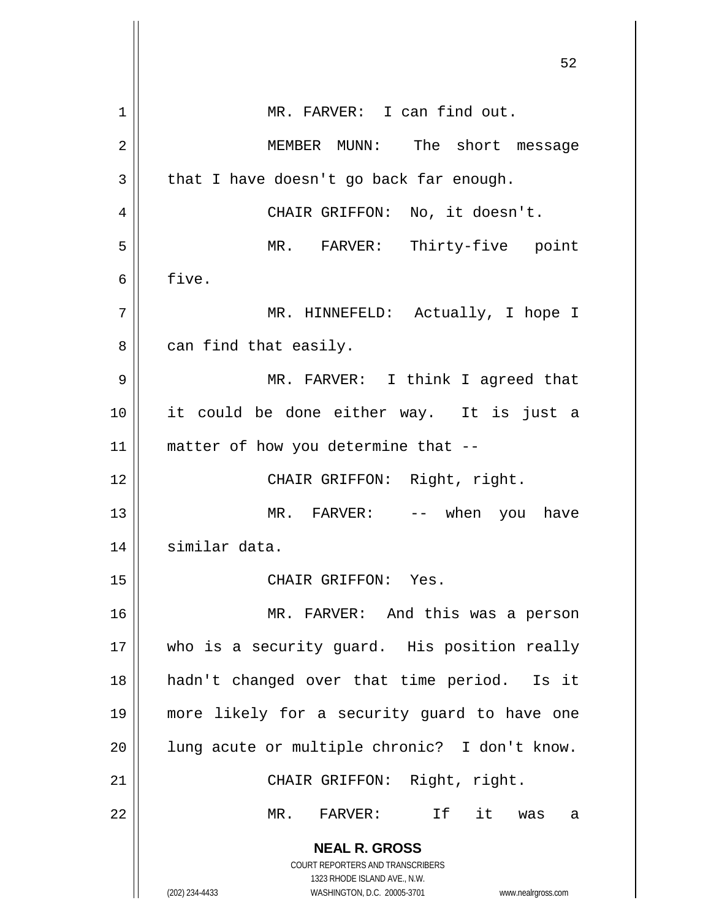|    | 52                                                                  |
|----|---------------------------------------------------------------------|
| 1  | MR. FARVER: I can find out.                                         |
| 2  | MEMBER MUNN: The short message                                      |
| 3  | that I have doesn't go back far enough.                             |
| 4  | CHAIR GRIFFON: No, it doesn't.                                      |
| 5  | MR. FARVER: Thirty-five point                                       |
| 6  | five.                                                               |
| 7  | MR. HINNEFELD: Actually, I hope I                                   |
| 8  | can find that easily.                                               |
| 9  | MR. FARVER: I think I agreed that                                   |
| 10 | it could be done either way. It is just a                           |
| 11 | matter of how you determine that --                                 |
| 12 | CHAIR GRIFFON: Right, right.                                        |
| 13 | MR. FARVER: -- when you have                                        |
| 14 | similar data.                                                       |
| 15 | CHAIR GRIFFON: Yes.                                                 |
| 16 | MR. FARVER: And this was a person                                   |
| 17 | who is a security quard. His position really                        |
| 18 | hadn't changed over that time period. Is it                         |
| 19 | more likely for a security guard to have one                        |
| 20 | lung acute or multiple chronic? I don't know.                       |
| 21 | CHAIR GRIFFON: Right, right.                                        |
| 22 | MR. FARVER: If it was<br>a                                          |
|    | <b>NEAL R. GROSS</b>                                                |
|    | COURT REPORTERS AND TRANSCRIBERS<br>1323 RHODE ISLAND AVE., N.W.    |
|    | (202) 234-4433<br>WASHINGTON, D.C. 20005-3701<br>www.nealrgross.com |

 $\mathbb{I}$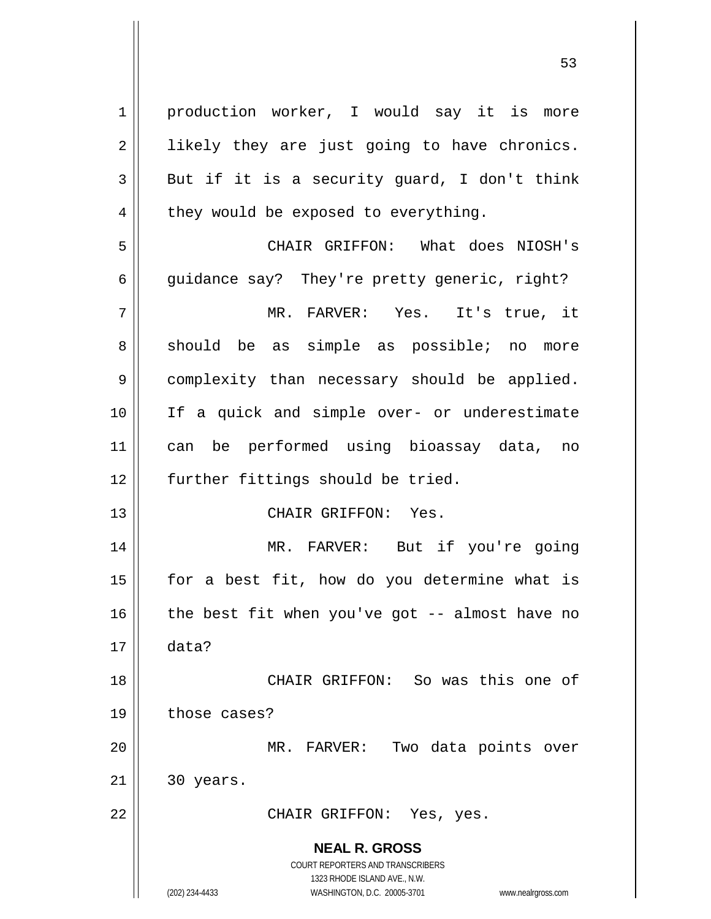**NEAL R. GROSS** COURT REPORTERS AND TRANSCRIBERS 1323 RHODE ISLAND AVE., N.W. (202) 234-4433 WASHINGTON, D.C. 20005-3701 www.nealrgross.com 1 | production worker, I would say it is more  $2 \parallel$  likely they are just going to have chronics.  $3 \parallel$  But if it is a security quard, I don't think  $4 \parallel$  they would be exposed to everything. 5 CHAIR GRIFFON: What does NIOSH's 6 guidance say? They're pretty generic, right? 7 MR. FARVER: Yes. It's true, it 8 should be as simple as possible; no more 9 | complexity than necessary should be applied. 10 If a quick and simple over- or underestimate 11 can be performed using bioassay data, no 12 || further fittings should be tried. 13 CHAIR GRIFFON: Yes. 14 MR. FARVER: But if you're going  $15$  | for a best fit, how do you determine what is 16  $\parallel$  the best fit when you've got -- almost have no 17 data? 18 CHAIR GRIFFON: So was this one of 19 | those cases? 20 MR. FARVER: Two data points over  $21 \parallel 30 \text{ years}.$ 22 || CHAIR GRIFFON: Yes, yes.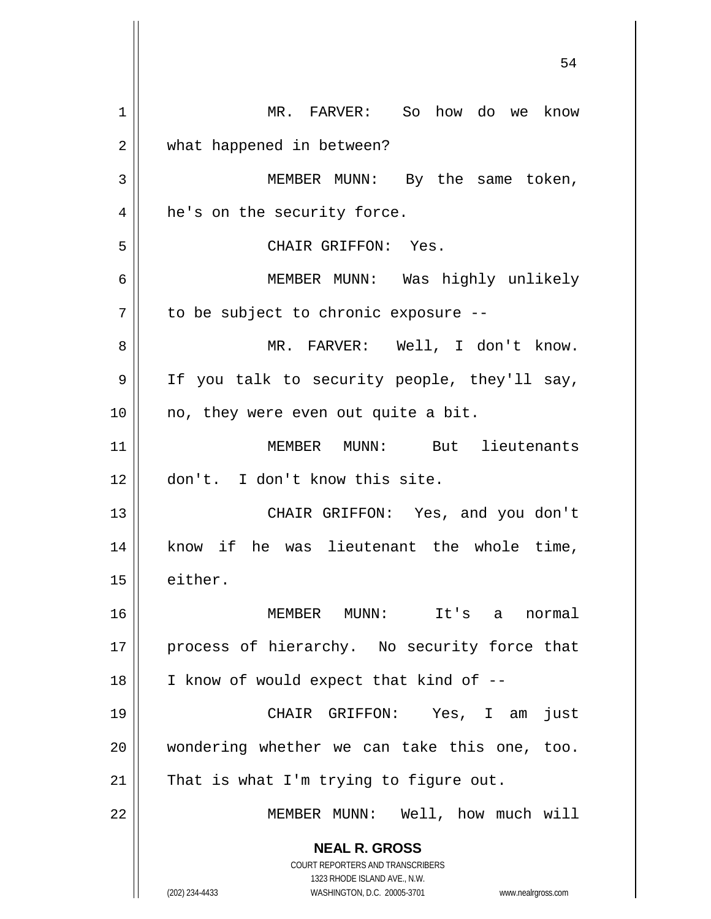**NEAL R. GROSS** COURT REPORTERS AND TRANSCRIBERS 1323 RHODE ISLAND AVE., N.W. (202) 234-4433 WASHINGTON, D.C. 20005-3701 www.nealrgross.com 1 MR. FARVER: So how do we know 2 | what happened in between? 3 | MEMBER MUNN: By the same token, 4 || he's on the security force. 5 CHAIR GRIFFON: Yes. 6 MEMBER MUNN: Was highly unlikely  $7$  to be subject to chronic exposure --8 MR. FARVER: Well, I don't know. 9 || If you talk to security people, they'll say,  $10$  | no, they were even out quite a bit. 11 MEMBER MUNN: But lieutenants 12 don't. I don't know this site. 13 || CHAIR GRIFFON: Yes, and you don't 14 || know if he was lieutenant the whole time, 15 either. 16 MEMBER MUNN: It's a normal 17 || process of hierarchy. No security force that  $18$  | I know of would expect that kind of  $-$ -19 CHAIR GRIFFON: Yes, I am just 20 || wondering whether we can take this one, too.  $21$  | That is what I'm trying to figure out. 22 || MEMBER MUNN: Well, how much will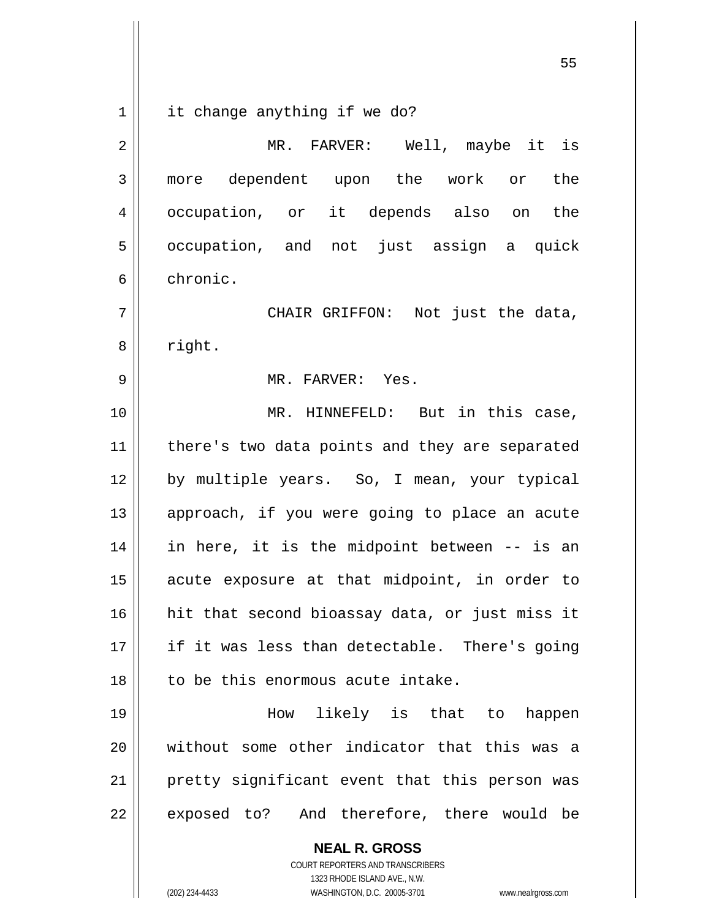$1 \parallel$  it change anything if we do?

| 2  | MR. FARVER: Well, maybe it is                  |
|----|------------------------------------------------|
| 3  | more dependent upon the work or<br>the         |
| 4  | occupation, or it depends also on<br>the       |
| 5  | occupation, and not just assign a quick        |
| 6  | chronic.                                       |
| 7  | CHAIR GRIFFON: Not just the data,              |
| 8  | right.                                         |
| 9  | MR. FARVER: Yes.                               |
| 10 | MR. HINNEFELD: But in this case,               |
| 11 | there's two data points and they are separated |
| 12 | by multiple years. So, I mean, your typical    |
| 13 | approach, if you were going to place an acute  |
| 14 | in here, it is the midpoint between -- is an   |
| 15 | acute exposure at that midpoint, in order to   |
| 16 | hit that second bioassay data, or just miss it |
| 17 | if it was less than detectable. There's going  |
| 18 | to be this enormous acute intake.              |
| 19 | How likely is that to happen                   |
| 20 | without some other indicator that this was a   |
| 21 | pretty significant event that this person was  |
| 22 | exposed to? And therefore, there would be      |
|    | <b>NEAL R. GROSS</b>                           |

 $\mathsf{I}$ 

1323 RHODE ISLAND AVE., N.W. (202) 234-4433 WASHINGTON, D.C. 20005-3701 www.nealrgross.com

COURT REPORTERS AND TRANSCRIBERS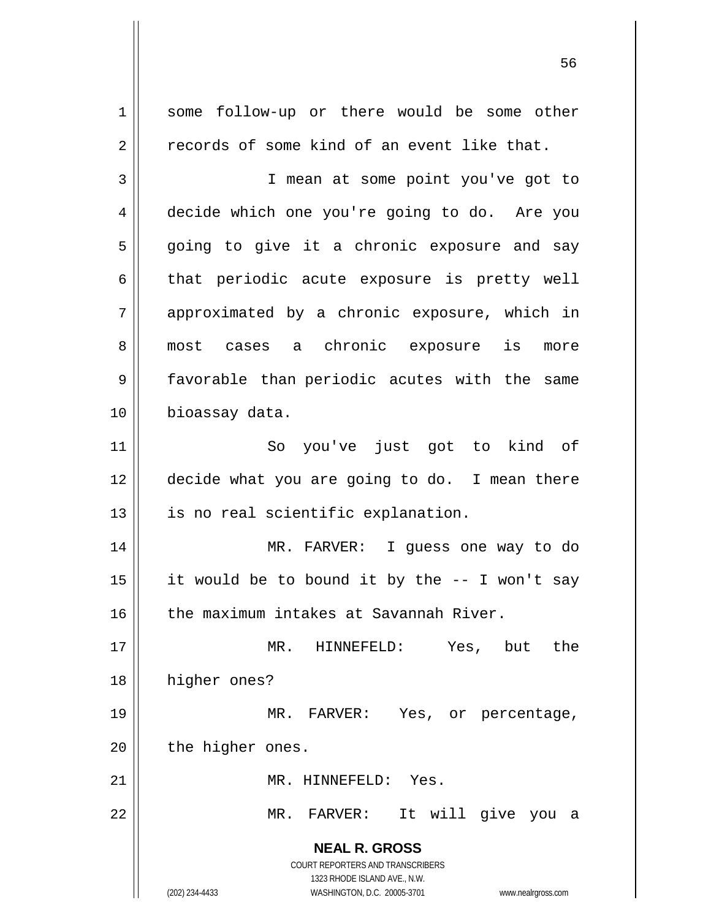**NEAL R. GROSS** COURT REPORTERS AND TRANSCRIBERS 1323 RHODE ISLAND AVE., N.W. (202) 234-4433 WASHINGTON, D.C. 20005-3701 www.nealrgross.com 1 some follow-up or there would be some other  $2 \parallel$  records of some kind of an event like that. 3 || T mean at some point you've got to 4 decide which one you're going to do. Are you 5 going to give it a chronic exposure and say  $6 \parallel$  that periodic acute exposure is pretty well 7 approximated by a chronic exposure, which in 8 || most cases a chronic exposure is more 9 || favorable than periodic acutes with the same 10 | bioassay data. 11 || So you've just got to kind of 12 decide what you are going to do. I mean there 13 || is no real scientific explanation. 14 MR. FARVER: I guess one way to do 15 || it would be to bound it by the  $-$ - I won't say 16 the maximum intakes at Savannah River. 17 MR. HINNEFELD: Yes, but the 18 | higher ones? 19 MR. FARVER: Yes, or percentage,  $20$  | the higher ones. 21 MR. HINNEFELD: Yes. 22 MR. FARVER: It will give you a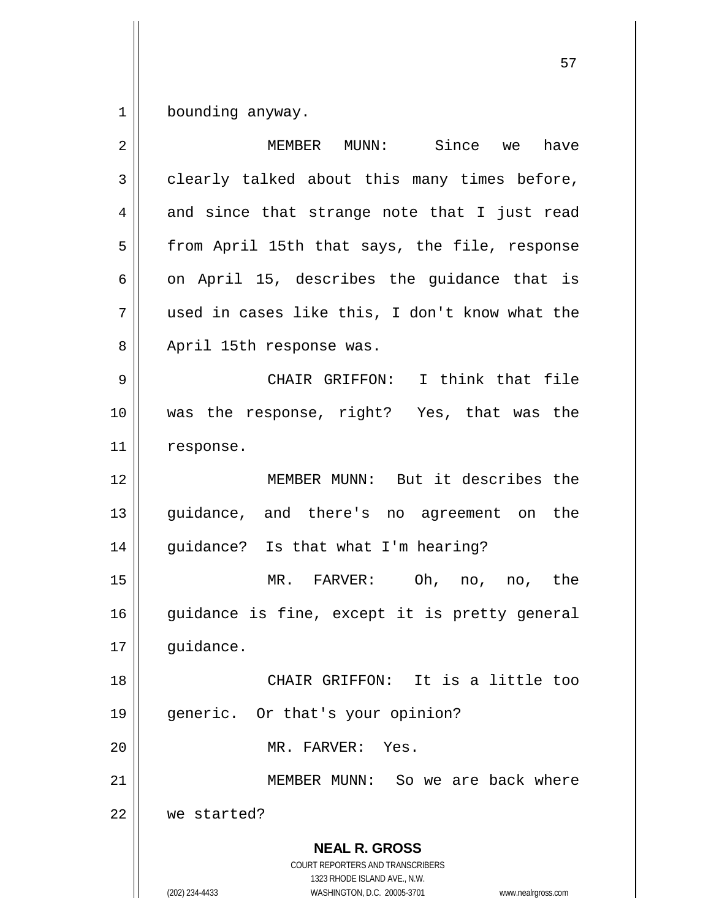$1 \parallel$  bounding anyway.

| $\overline{2}$ | MEMBER MUNN: Since we<br>have                                                                                                                                   |
|----------------|-----------------------------------------------------------------------------------------------------------------------------------------------------------------|
| 3              | clearly talked about this many times before,                                                                                                                    |
| 4              | and since that strange note that I just read                                                                                                                    |
| 5              | from April 15th that says, the file, response                                                                                                                   |
| 6              | on April 15, describes the guidance that is                                                                                                                     |
| 7              | used in cases like this, I don't know what the                                                                                                                  |
| 8              | April 15th response was.                                                                                                                                        |
| 9              | CHAIR GRIFFON: I think that file                                                                                                                                |
| 10             | was the response, right? Yes, that was the                                                                                                                      |
| 11             | response.                                                                                                                                                       |
| 12             | MEMBER MUNN: But it describes the                                                                                                                               |
| 13             | guidance, and there's no agreement on the                                                                                                                       |
| 14             | guidance? Is that what I'm hearing?                                                                                                                             |
| 15             | MR. FARVER: Oh, no,<br>no, the                                                                                                                                  |
| 16             | guidance is fine, except it is pretty general                                                                                                                   |
| 17             | guidance.                                                                                                                                                       |
| 18             | CHAIR GRIFFON: It is a little too                                                                                                                               |
| 19             | generic. Or that's your opinion?                                                                                                                                |
| 20             | MR. FARVER: Yes.                                                                                                                                                |
| 21             | MEMBER MUNN: So we are back where                                                                                                                               |
| 22             | we started?                                                                                                                                                     |
|                | <b>NEAL R. GROSS</b><br>COURT REPORTERS AND TRANSCRIBERS<br>1323 RHODE ISLAND AVE., N.W.<br>(202) 234-4433<br>WASHINGTON, D.C. 20005-3701<br>www.nealrgross.com |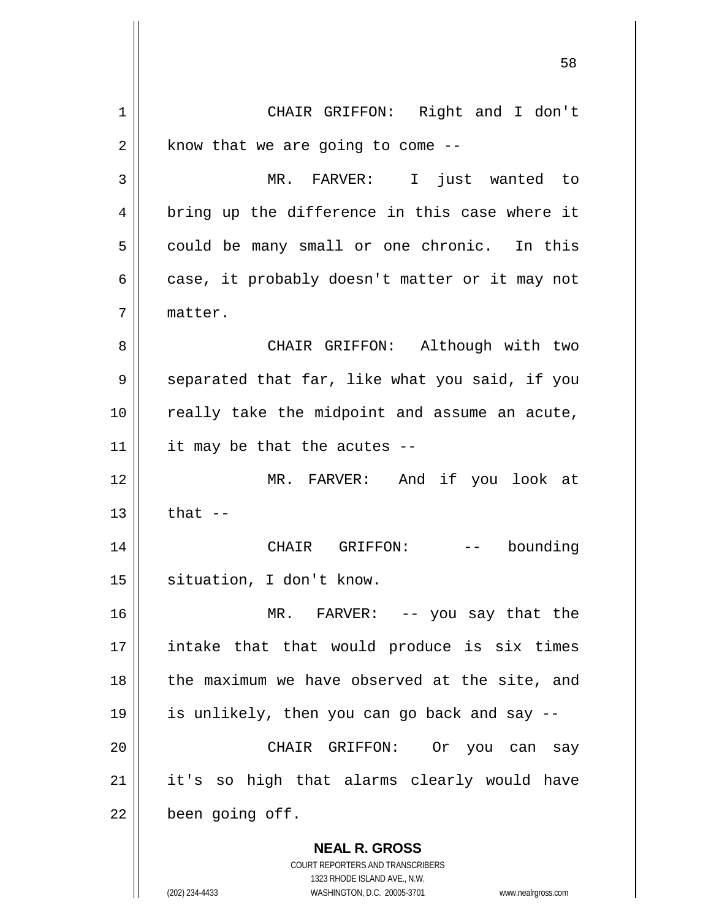**NEAL R. GROSS** COURT REPORTERS AND TRANSCRIBERS 1323 RHODE ISLAND AVE., N.W. 1 || CHAIR GRIFFON: Right and I don't  $2 \parallel$  know that we are going to come --3 MR. FARVER: I just wanted to 4 || bring up the difference in this case where it  $5 \parallel$  could be many small or one chronic. In this  $6 \parallel$  case, it probably doesn't matter or it may not 7 matter. 8 CHAIR GRIFFON: Although with two 9 | separated that far, like what you said, if you 10 || really take the midpoint and assume an acute,  $11$  | it may be that the acutes --12 MR. FARVER: And if you look at  $13 \parallel$  that  $-$ 14 CHAIR GRIFFON: -- bounding 15 || situation, I don't know. 16 || MR. FARVER: -- you say that the 17 intake that that would produce is six times  $18$  || the maximum we have observed at the site, and 19 is unlikely, then you can go back and say -- 20 CHAIR GRIFFON: Or you can say 21 || it's so high that alarms clearly would have  $22$  | been going off.

(202) 234-4433 WASHINGTON, D.C. 20005-3701 www.nealrgross.com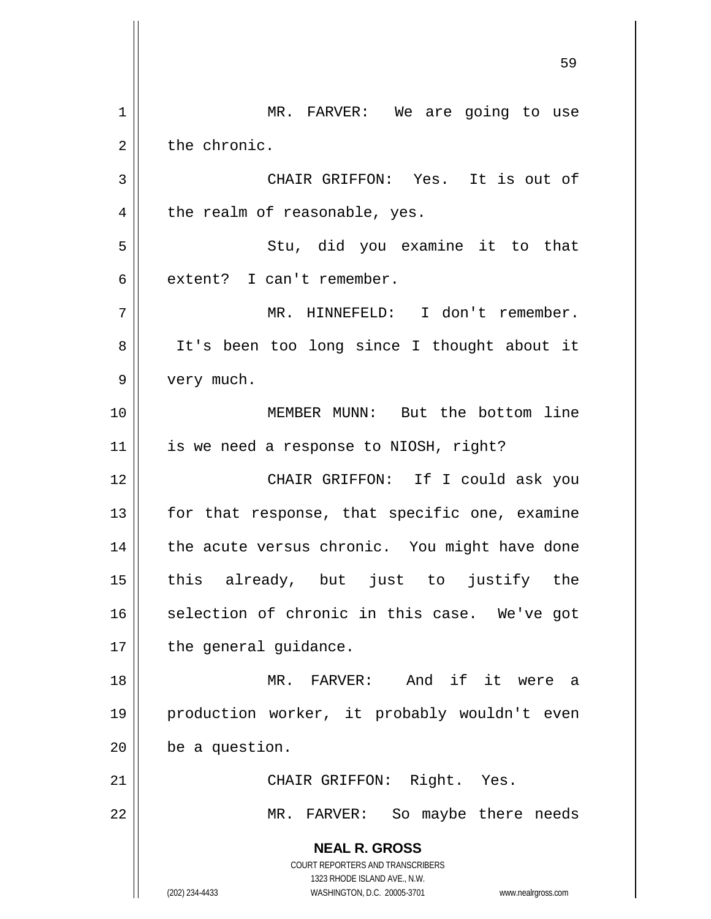**NEAL R. GROSS** COURT REPORTERS AND TRANSCRIBERS 1323 RHODE ISLAND AVE., N.W. (202) 234-4433 WASHINGTON, D.C. 20005-3701 www.nealrgross.com 1 | MR. FARVER: We are going to use 2 | the chronic. 3 CHAIR GRIFFON: Yes. It is out of  $4 \parallel$  the realm of reasonable, yes. 5 Stu, did you examine it to that 6 extent? I can't remember. 7 MR. HINNEFELD: I don't remember. 8 || It's been too long since I thought about it 9 | very much. 10 MEMBER MUNN: But the bottom line  $11$  | is we need a response to NIOSH, right? 12 CHAIR GRIFFON: If I could ask you  $13$  | for that response, that specific one, examine  $14$  | the acute versus chronic. You might have done 15 this already, but just to justify the 16 || selection of chronic in this case. We've got  $17$  | the general guidance. 18 MR. FARVER: And if it were a 19 production worker, it probably wouldn't even  $20$  | be a question. 21 | CHAIR GRIFFON: Right. Yes. 22 || MR. FARVER: So maybe there needs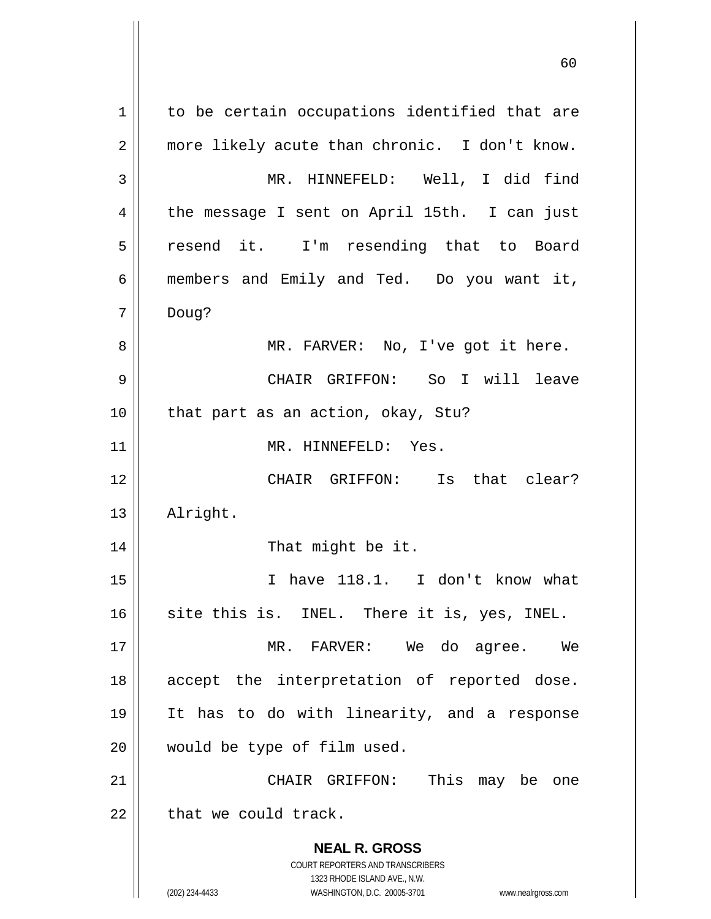**NEAL R. GROSS** COURT REPORTERS AND TRANSCRIBERS 1323 RHODE ISLAND AVE., N.W. (202) 234-4433 WASHINGTON, D.C. 20005-3701 www.nealrgross.com 1 | to be certain occupations identified that are 2 || more likely acute than chronic. I don't know. 3 MR. HINNEFELD: Well, I did find 4 || the message I sent on April 15th. I can just 5 || resend it. I'm resending that to Board 6 members and Emily and Ted. Do you want it, 7 Doug? 8 MR. FARVER: No, I've got it here. 9 CHAIR GRIFFON: So I will leave 10 || that part as an action, okay, Stu? 11 | MR. HINNEFELD: Yes. 12 CHAIR GRIFFON: Is that clear? 13 | Alright. 14 || That might be it. 15 I have 118.1. I don't know what  $16$  site this is. INEL. There it is, yes, INEL. 17 MR. FARVER: We do agree. We 18 || accept the interpretation of reported dose. 19 It has to do with linearity, and a response 20 would be type of film used. 21 CHAIR GRIFFON: This may be one  $22$   $\parallel$  that we could track.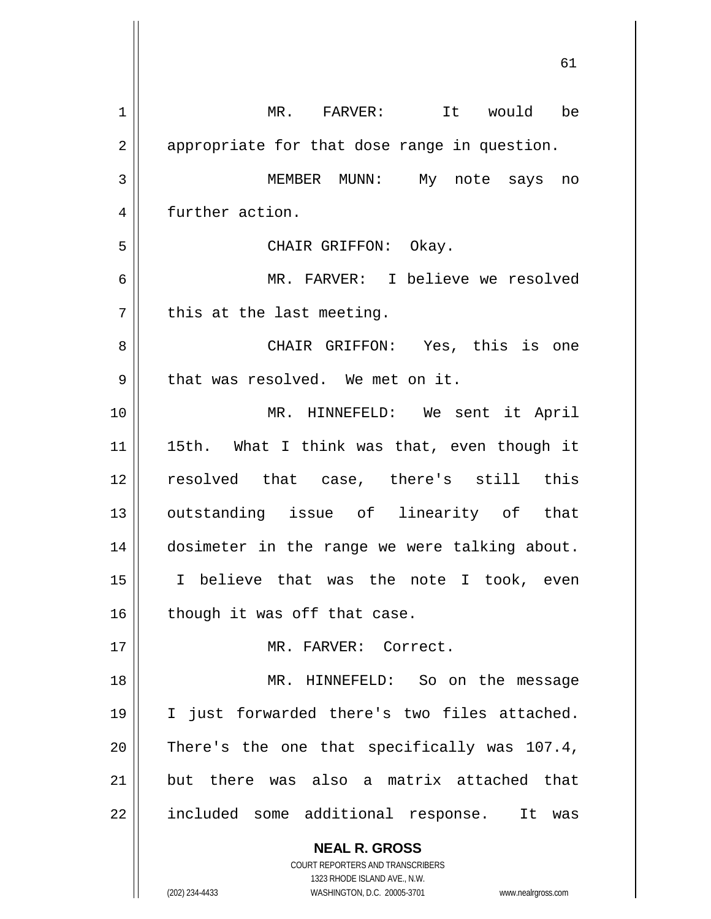| $\mathbf 1$ | MR. FARVER: It would be                                                                             |
|-------------|-----------------------------------------------------------------------------------------------------|
| 2           | appropriate for that dose range in question.                                                        |
| 3           | MEMBER MUNN: My note says no                                                                        |
| 4           | further action.                                                                                     |
| 5           | CHAIR GRIFFON: Okay.                                                                                |
| 6           | MR. FARVER: I believe we resolved                                                                   |
| 7           | this at the last meeting.                                                                           |
| 8           | CHAIR GRIFFON: Yes, this is one                                                                     |
| 9           | that was resolved. We met on it.                                                                    |
| 10          | MR. HINNEFELD: We sent it April                                                                     |
| 11          | 15th. What I think was that, even though it                                                         |
| 12          | resolved that case, there's still this                                                              |
| 13          | outstanding issue of linearity of that                                                              |
| 14          | dosimeter in the range we were talking about.                                                       |
| 15          | I believe that was the note I took, even                                                            |
| 16          | though it was off that case.                                                                        |
| 17          | MR. FARVER: Correct.                                                                                |
| 18          | MR. HINNEFELD: So on the message                                                                    |
| 19          | I just forwarded there's two files attached.                                                        |
| 20          | There's the one that specifically was 107.4,                                                        |
| 21          | but there was also a matrix attached that                                                           |
| 22          | included some additional response.<br>It was                                                        |
|             | <b>NEAL R. GROSS</b>                                                                                |
|             | <b>COURT REPORTERS AND TRANSCRIBERS</b>                                                             |
|             | 1323 RHODE ISLAND AVE., N.W.<br>(202) 234-4433<br>WASHINGTON, D.C. 20005-3701<br>www.nealrgross.com |

 $\mathsf{I}$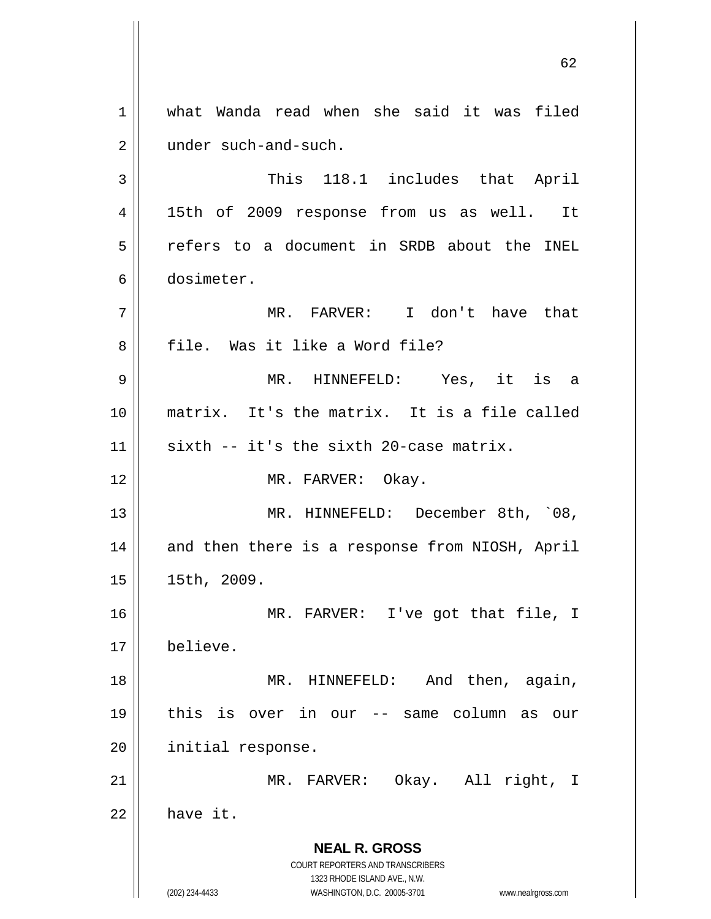**NEAL R. GROSS** COURT REPORTERS AND TRANSCRIBERS 1323 RHODE ISLAND AVE., N.W. (202) 234-4433 WASHINGTON, D.C. 20005-3701 www.nealrgross.com 1 what Wanda read when she said it was filed 2 | under such-and-such. 3 || This 118.1 includes that April 4 || 15th of 2009 response from us as well. It 5 refers to a document in SRDB about the INEL 6 dosimeter. 7 MR. FARVER: I don't have that 8 || file. Was it like a Word file? 9 MR. HINNEFELD: Yes, it is a 10 matrix. It's the matrix. It is a file called  $11$  sixth -- it's the sixth 20-case matrix. 12 || MR. FARVER: Okay. 13 || MR. HINNEFELD: December 8th, `08, 14 || and then there is a response from NIOSH, April 15 15th, 2009. 16 MR. FARVER: I've got that file, I 17 believe. 18 || MR. HINNEFELD: And then, again, 19 this is over in our -- same column as our 20 | initial response. 21 || MR. FARVER: Okay. All right, I  $22 \parallel$  have it.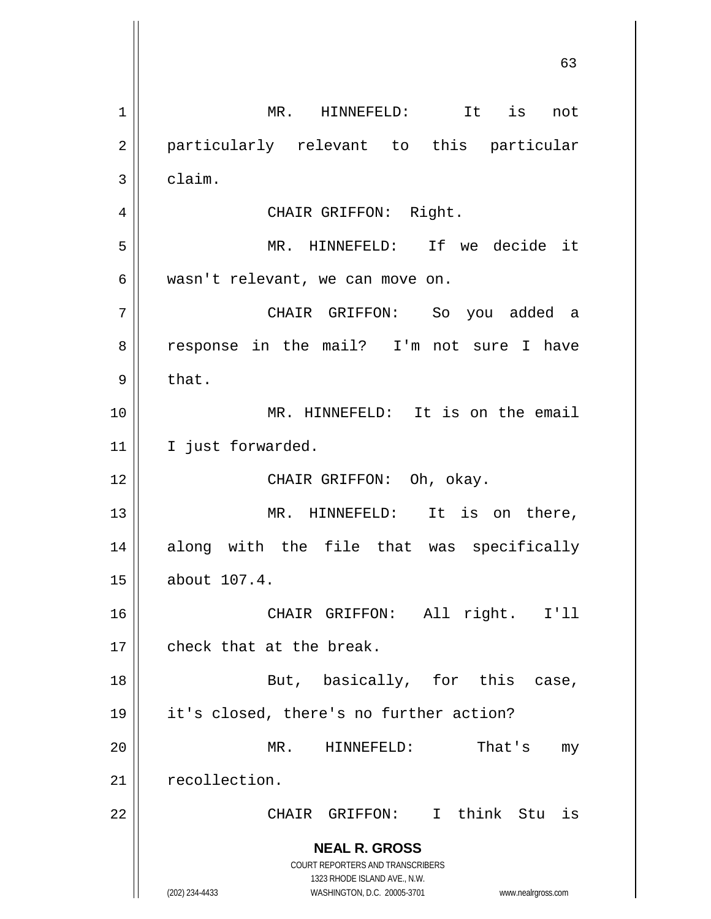**NEAL R. GROSS** COURT REPORTERS AND TRANSCRIBERS 1323 RHODE ISLAND AVE., N.W. (202) 234-4433 WASHINGTON, D.C. 20005-3701 www.nealrgross.com 1 || MR. HINNEFELD: It is not 2 || particularly relevant to this particular  $3 \parallel$  claim. 4 || CHAIR GRIFFON: Right. 5 MR. HINNEFELD: If we decide it 6 || wasn't relevant, we can move on. 7 CHAIR GRIFFON: So you added a 8 || response in the mail? I'm not sure I have  $9 \parallel$  that. 10 MR. HINNEFELD: It is on the email 11 I just forwarded. 12 || CHAIR GRIFFON: Oh, okay. 13 || MR. HINNEFELD: It is on there, 14 along with the file that was specifically 15 about 107.4. 16 CHAIR GRIFFON: All right. I'll 17 || check that at the break. 18 || But, basically, for this case, 19 it's closed, there's no further action? 20 MR. HINNEFELD: That's my 21 | recollection. 22 || CHAIR GRIFFON: I think Stu is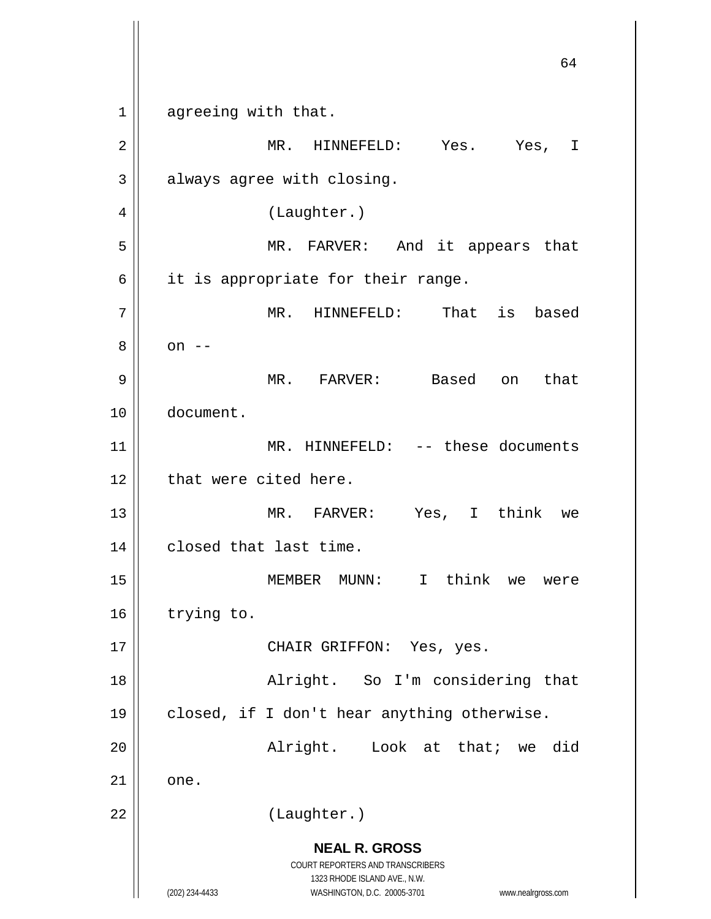**NEAL R. GROSS** COURT REPORTERS AND TRANSCRIBERS 1323 RHODE ISLAND AVE., N.W. (202) 234-4433 WASHINGTON, D.C. 20005-3701 www.nealrgross.com 64 1 agreeing with that. 2 MR. HINNEFELD: Yes. Yes, I  $3 \parallel$  always agree with closing. 4 | (Laughter.) 5 MR. FARVER: And it appears that  $6 \parallel$  it is appropriate for their range. 7 || MR. HINNEFELD: That is based  $8 \parallel$  on  $-$ 9 MR. FARVER: Based on that 10 document. 11 || MR. HINNEFELD: -- these documents 12 | that were cited here. 13 MR. FARVER: Yes, I think we 14 | closed that last time. 15 MEMBER MUNN: I think we were 16 | trying to. 17 || CHAIR GRIFFON: Yes, yes. 18 Alright. So I'm considering that 19 closed, if I don't hear anything otherwise. 20 || Alright. Look at that; we did  $21 \parallel$  one. 22 | (Laughter.)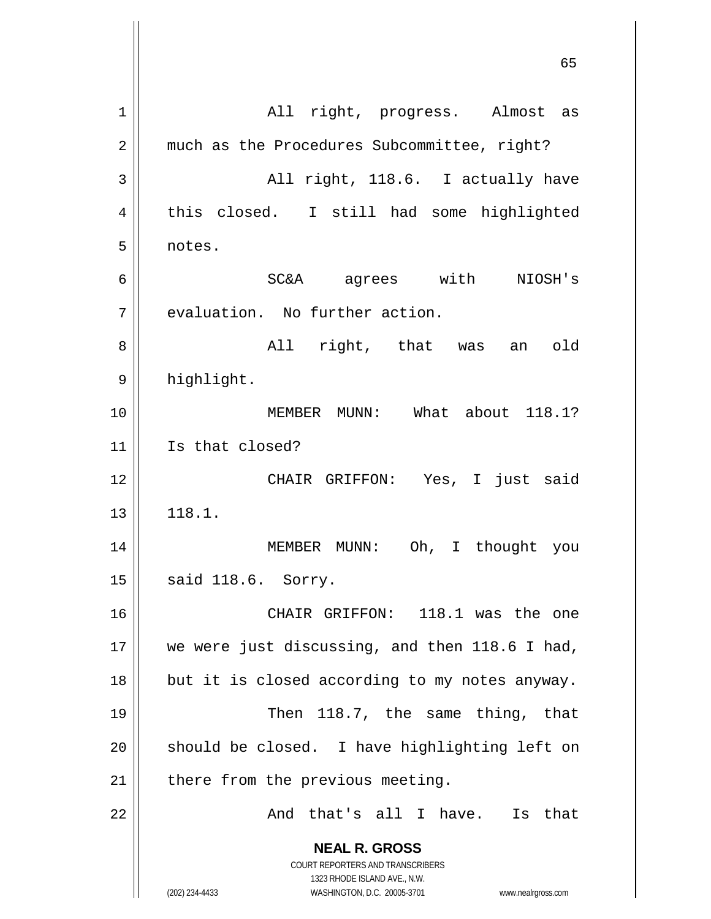**NEAL R. GROSS** COURT REPORTERS AND TRANSCRIBERS 1323 RHODE ISLAND AVE., N.W. (202) 234-4433 WASHINGTON, D.C. 20005-3701 www.nealrgross.com 65 1 All right, progress. Almost as 2 | much as the Procedures Subcommittee, right? 3 || All right, 118.6. I actually have 4 || this closed. I still had some highlighted 5 notes. 6 SC&A agrees with NIOSH's  $7$   $\parallel$  evaluation. No further action. 8 All right, that was an old 9 | highlight. 10 MEMBER MUNN: What about 118.1? 11 | Is that closed? 12 CHAIR GRIFFON: Yes, I just said  $13 \parallel 118.1.$ 14 || MEMBER MUNN: Oh, I thought you 15 || said 118.6. Sorry. 16 CHAIR GRIFFON: 118.1 was the one 17 || we were just discussing, and then 118.6 I had,  $18$  | but it is closed according to my notes anyway. 19 || Then 118.7, the same thing, that  $20$  should be closed. I have highlighting left on  $21$  | there from the previous meeting.  $22$  ||  $\blacksquare$  And that's all I have. Is that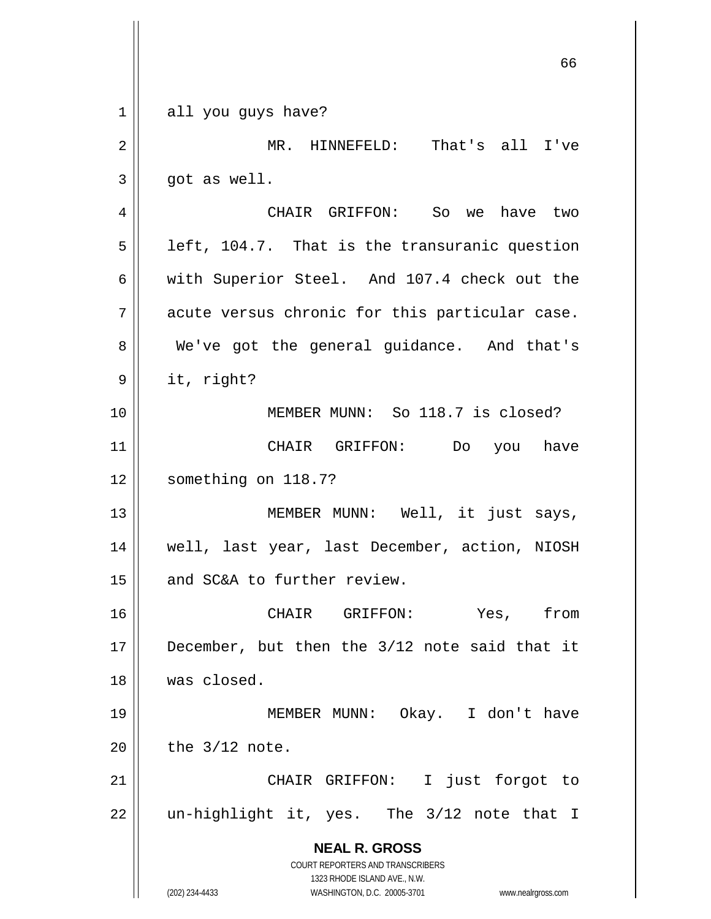**NEAL R. GROSS** COURT REPORTERS AND TRANSCRIBERS 1323 RHODE ISLAND AVE., N.W. (202) 234-4433 WASHINGTON, D.C. 20005-3701 www.nealrgross.com 66  $1 \parallel$  all you guys have? 2 || MR. HINNEFELD: That's all I've  $3 \parallel$  qot as well. 4 CHAIR GRIFFON: So we have two  $5 \parallel$  left, 104.7. That is the transuranic question 6 with Superior Steel. And 107.4 check out the  $7 \parallel$  acute versus chronic for this particular case. 8 We've got the general guidance. And that's  $9 \parallel$  it, right? 10 MEMBER MUNN: So 118.7 is closed? 11 CHAIR GRIFFON: Do you have 12 | something on 118.7? 13 || MEMBER MUNN: Well, it just says, 14 well, last year, last December, action, NIOSH 15 | and SC&A to further review. 16 CHAIR GRIFFON: Yes, from 17 || December, but then the 3/12 note said that it 18 was closed. 19 MEMBER MUNN: Okay. I don't have  $20$  | the  $3/12$  note. 21 || CHAIR GRIFFON: I just forgot to  $22$  || un-highlight it, yes. The  $3/12$  note that I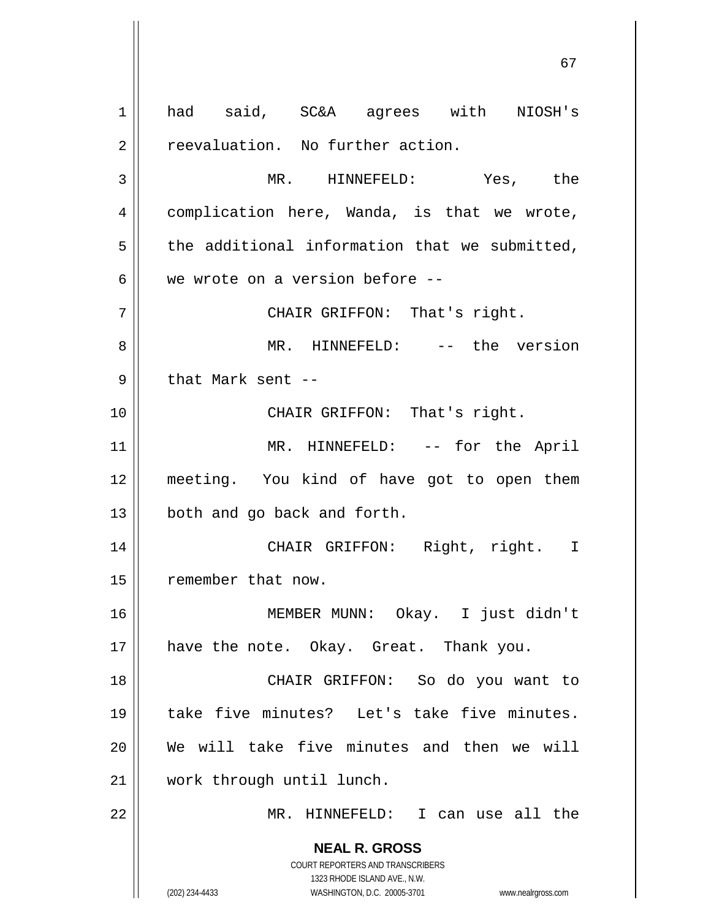**NEAL R. GROSS** COURT REPORTERS AND TRANSCRIBERS 1323 RHODE ISLAND AVE., N.W. (202) 234-4433 WASHINGTON, D.C. 20005-3701 www.nealrgross.com 1 || had said, SC&A agrees with NIOSH's  $2 \parallel$  reevaluation. No further action. 3 MR. HINNEFELD: Yes, the 4 | complication here, Wanda, is that we wrote,  $5$  the additional information that we submitted, 6  $\parallel$  we wrote on a version before --7 CHAIR GRIFFON: That's right. 8 MR. HINNEFELD: -- the version  $9$  || that Mark sent --10 || CHAIR GRIFFON: That's right. 11 || MR. HINNEFELD: -- for the April 12 meeting. You kind of have got to open them  $13 \parallel$  both and go back and forth. 14 CHAIR GRIFFON: Right, right. I 15 | remember that now. 16 MEMBER MUNN: Okay. I just didn't 17 || have the note. Okay. Great. Thank you. 18 CHAIR GRIFFON: So do you want to 19 take five minutes? Let's take five minutes. 20 We will take five minutes and then we will 21 work through until lunch. 22 MR. HINNEFELD: I can use all the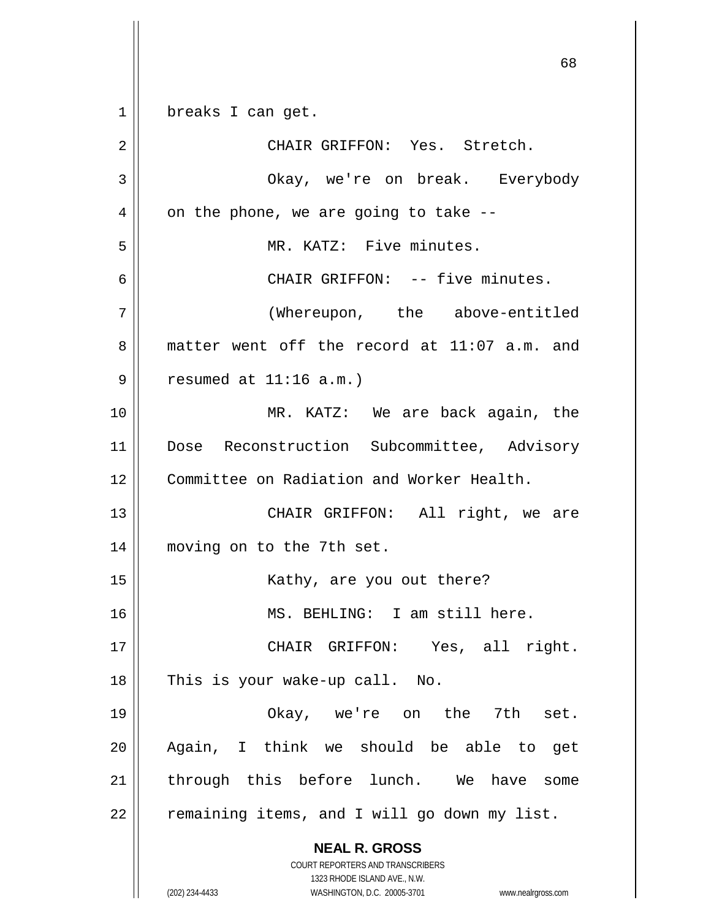1 || breaks I can get.

**NEAL R. GROSS** COURT REPORTERS AND TRANSCRIBERS 1323 RHODE ISLAND AVE., N.W. (202) 234-4433 WASHINGTON, D.C. 20005-3701 www.nealrgross.com 2 CHAIR GRIFFON: Yes. Stretch. 3 Okay, we're on break. Everybody  $4 \parallel$  on the phone, we are going to take --5 MR. KATZ: Five minutes. 6 CHAIR GRIFFON: -- five minutes. 7 (Whereupon, the above-entitled 8 matter went off the record at 11:07 a.m. and  $9 ||$  resumed at  $11:16$  a.m.) 10 MR. KATZ: We are back again, the 11 || Dose Reconstruction Subcommittee, Advisory 12 Committee on Radiation and Worker Health. 13 CHAIR GRIFFON: All right, we are 14 || moving on to the 7th set. 15 || Kathy, are you out there? 16 MS. BEHLING: I am still here. 17 CHAIR GRIFFON: Yes, all right.  $18$  || This is your wake-up call. No. 19 Okay, we're on the 7th set. 20 Again, I think we should be able to get 21 || through this before lunch. We have some  $22$  | remaining items, and I will go down my list.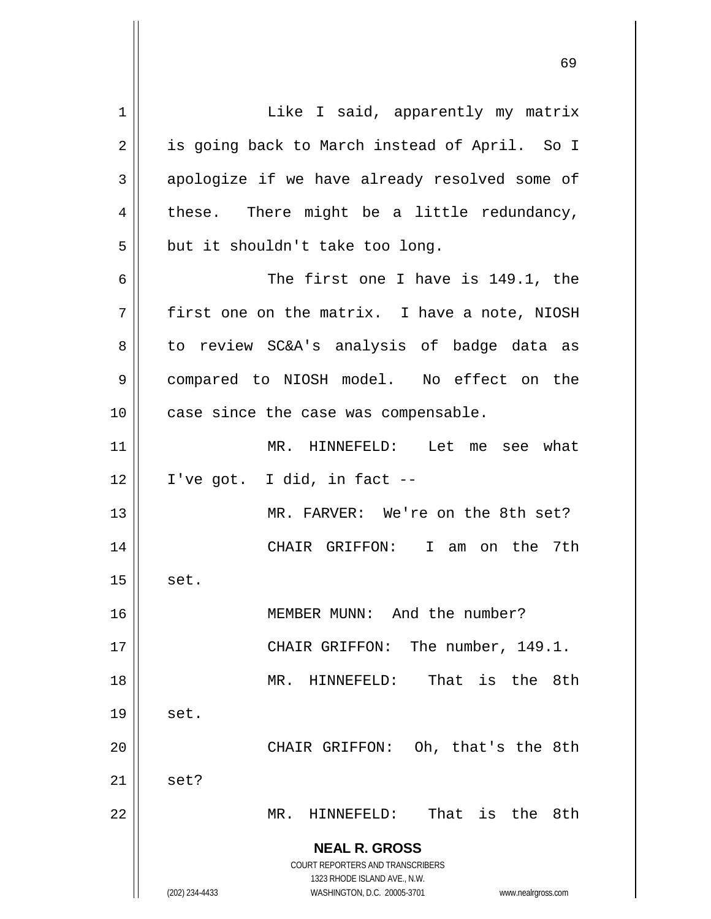**NEAL R. GROSS** COURT REPORTERS AND TRANSCRIBERS 1323 RHODE ISLAND AVE., N.W. (202) 234-4433 WASHINGTON, D.C. 20005-3701 www.nealrgross.com 1 | Like I said, apparently my matrix 2 | is going back to March instead of April. So I  $3 \parallel$  apologize if we have already resolved some of  $4 \parallel$  these. There might be a little redundancy,  $5$  || but it shouldn't take too long. 6 || The first one I have is 149.1, the  $7 \parallel$  first one on the matrix. I have a note, NIOSH 8 || to review SC&A's analysis of badge data as 9 compared to NIOSH model. No effect on the 10 || case since the case was compensable. 11 MR. HINNEFELD: Let me see what  $12 \parallel$  I've got. I did, in fact --13 MR. FARVER: We're on the 8th set? 14 CHAIR GRIFFON: I am on the 7th  $15$  set. 16 MEMBER MUNN: And the number? 17 || CHAIR GRIFFON: The number, 149.1. 18 MR. HINNEFELD: That is the 8th  $19 \parallel$  set. 20 || CHAIR GRIFFON: Oh, that's the 8th  $21 \parallel$  set? 22 MR. HINNEFELD: That is the 8th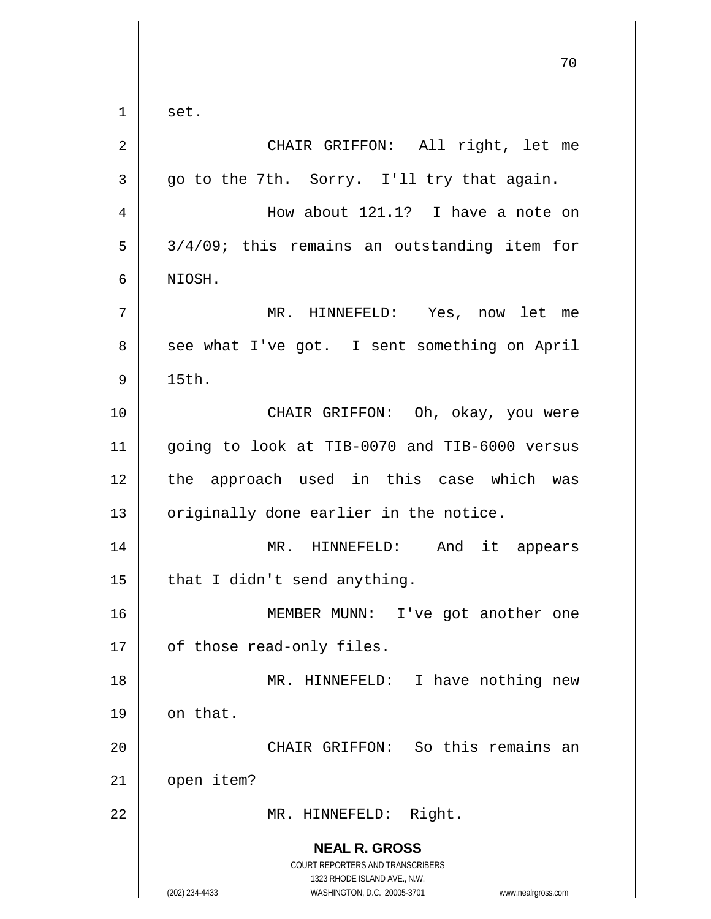**NEAL R. GROSS** COURT REPORTERS AND TRANSCRIBERS 1323 RHODE ISLAND AVE., N.W. (202) 234-4433 WASHINGTON, D.C. 20005-3701 www.nealrgross.com 70  $1 \parallel$  set. 2 || CHAIR GRIFFON: All right, let me  $3 \parallel$  go to the 7th. Sorry. I'll try that again. 4 || How about 121.1? I have a note on  $5 \parallel 3/4/09$ ; this remains an outstanding item for 6 NIOSH. 7 MR. HINNEFELD: Yes, now let me 8 || see what I've got. I sent something on April  $9 \parallel$  15th. 10 || CHAIR GRIFFON: Oh, okay, you were 11 going to look at TIB-0070 and TIB-6000 versus 12 || the approach used in this case which was  $13$  originally done earlier in the notice. 14 MR. HINNEFELD: And it appears  $15$  | that I didn't send anything. 16 MEMBER MUNN: I've got another one 17 | of those read-only files. 18 || MR. HINNEFELD: I have nothing new  $19$  on that. 20 || CHAIR GRIFFON: So this remains an 21 | open item? 22 || MR. HINNEFELD: Right.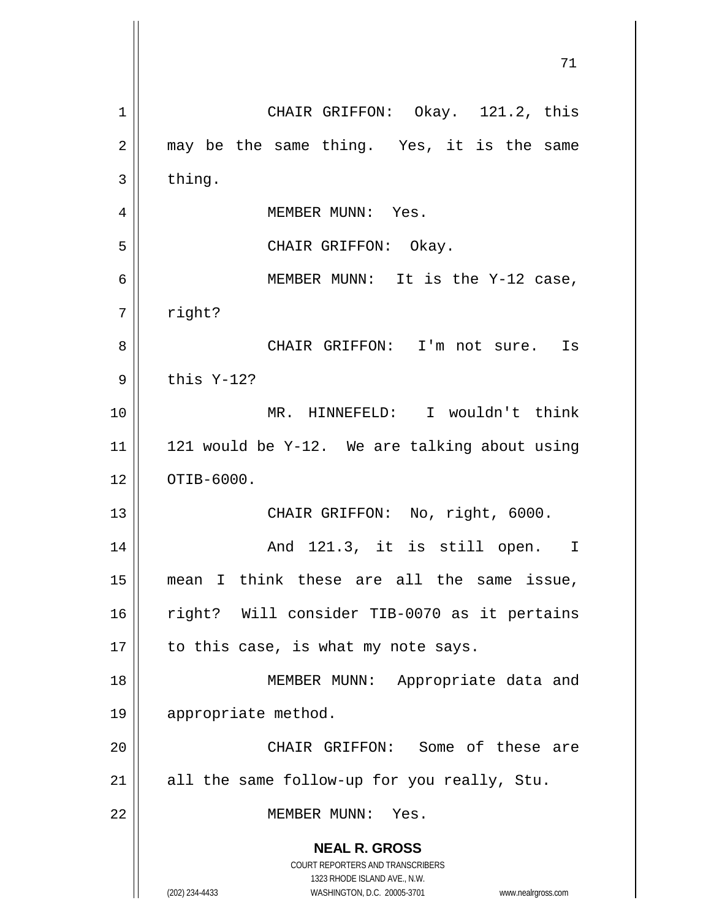| 71                                                                                                                                                                     |
|------------------------------------------------------------------------------------------------------------------------------------------------------------------------|
| CHAIR GRIFFON: Okay. 121.2, this                                                                                                                                       |
| may be the same thing. Yes, it is the same                                                                                                                             |
| thing.                                                                                                                                                                 |
| MEMBER MUNN: Yes.                                                                                                                                                      |
| CHAIR GRIFFON: Okay.                                                                                                                                                   |
| MEMBER MUNN: It is the Y-12 case,                                                                                                                                      |
| right?                                                                                                                                                                 |
| CHAIR GRIFFON: I'm not sure. Is                                                                                                                                        |
| this Y-12?                                                                                                                                                             |
| MR. HINNEFELD: I wouldn't think                                                                                                                                        |
| 121 would be Y-12. We are talking about using                                                                                                                          |
| OTIB-6000.                                                                                                                                                             |
| CHAIR GRIFFON: No, right, 6000.                                                                                                                                        |
| And 121.3, it is still open.<br>I                                                                                                                                      |
| mean I think these are all the same issue,                                                                                                                             |
| right? Will consider TIB-0070 as it pertains                                                                                                                           |
| to this case, is what my note says.                                                                                                                                    |
| MEMBER MUNN: Appropriate data and                                                                                                                                      |
| appropriate method.                                                                                                                                                    |
| CHAIR GRIFFON: Some of these are                                                                                                                                       |
| all the same follow-up for you really, Stu.                                                                                                                            |
| MEMBER MUNN: Yes.                                                                                                                                                      |
| <b>NEAL R. GROSS</b><br><b>COURT REPORTERS AND TRANSCRIBERS</b><br>1323 RHODE ISLAND AVE., N.W.<br>(202) 234-4433<br>WASHINGTON, D.C. 20005-3701<br>www.nealrgross.com |
|                                                                                                                                                                        |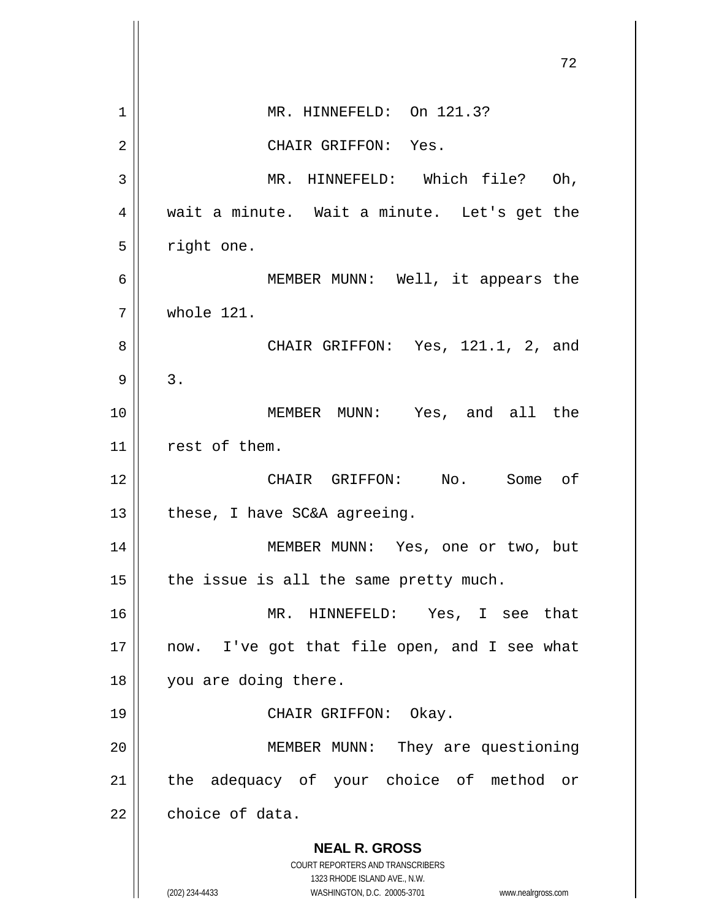|                | 72                                                                  |
|----------------|---------------------------------------------------------------------|
| 1              | MR. HINNEFELD: On 121.3?                                            |
| $\overline{2}$ | CHAIR GRIFFON: Yes.                                                 |
| 3              | MR. HINNEFELD: Which file? Oh,                                      |
| $\overline{4}$ | wait a minute. Wait a minute. Let's get the                         |
| 5              | right one.                                                          |
| 6              | MEMBER MUNN: Well, it appears the                                   |
| 7              | whole 121.                                                          |
| 8              | CHAIR GRIFFON: Yes, 121.1, 2, and                                   |
| 9              | 3.                                                                  |
| 10             | MEMBER MUNN: Yes, and all the                                       |
| 11             | rest of them.                                                       |
| 12             | CHAIR GRIFFON: No. Some of                                          |
| 13             | these, I have SC&A agreeing.                                        |
| $14\,$         | MEMBER MUNN: Yes, one or two, but                                   |
| 15             | the issue is all the same pretty much.                              |
| 16             | MR. HINNEFELD: Yes, I see that                                      |
| 17             | now. I've got that file open, and I see what                        |
| 18             | you are doing there.                                                |
| 19             | CHAIR GRIFFON: Okay.                                                |
| 20             | MEMBER MUNN: They are questioning                                   |
| 21             | the adequacy of your choice of method or                            |
| 22             | choice of data.                                                     |
|                | <b>NEAL R. GROSS</b><br><b>COURT REPORTERS AND TRANSCRIBERS</b>     |
|                | 1323 RHODE ISLAND AVE., N.W.                                        |
|                | (202) 234-4433<br>WASHINGTON, D.C. 20005-3701<br>www.nealrgross.com |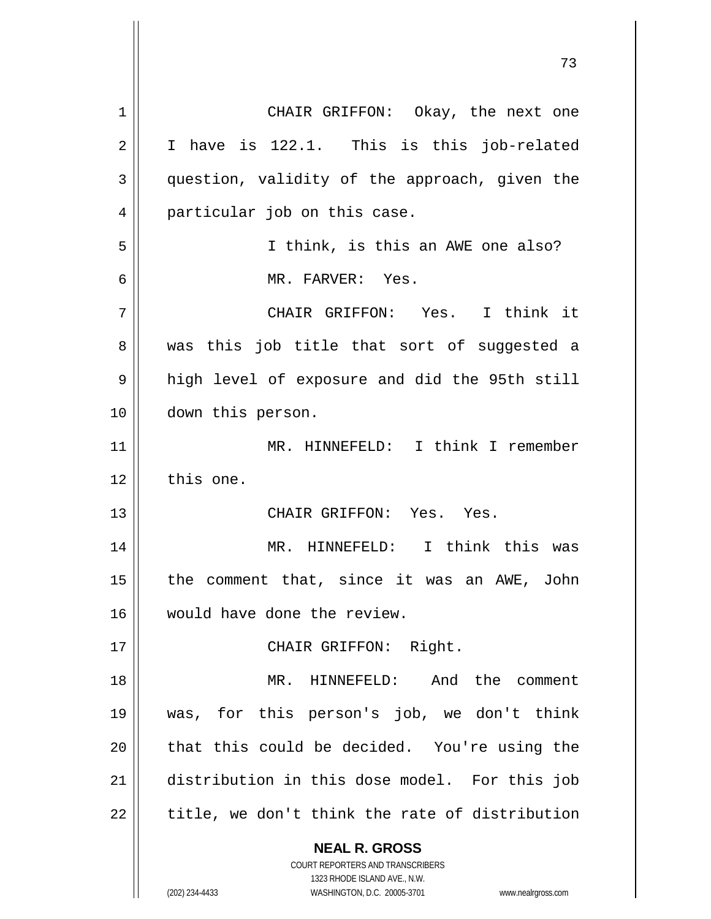**NEAL R. GROSS** COURT REPORTERS AND TRANSCRIBERS 1323 RHODE ISLAND AVE., N.W. 1 || CHAIR GRIFFON: Okay, the next one  $2 \parallel$  I have is 122.1. This is this job-related 3 | question, validity of the approach, given the 4 || particular job on this case. 5 I think, is this an AWE one also? 6 MR. FARVER: Yes. 7 CHAIR GRIFFON: Yes. I think it 8 was this job title that sort of suggested a 9 || high level of exposure and did the 95th still 10 down this person. 11 || MR. HINNEFELD: I think I remember  $12$   $\parallel$  this one. 13 CHAIR GRIFFON: Yes. Yes. 14 MR. HINNEFELD: I think this was 15  $\parallel$  the comment that, since it was an AWE, John 16 would have done the review. 17 || CHAIR GRIFFON: Right. 18 MR. HINNEFELD: And the comment 19 was, for this person's job, we don't think 20 || that this could be decided. You're using the 21 distribution in this dose model. For this job  $22$  | title, we don't think the rate of distribution

(202) 234-4433 WASHINGTON, D.C. 20005-3701 www.nealrgross.com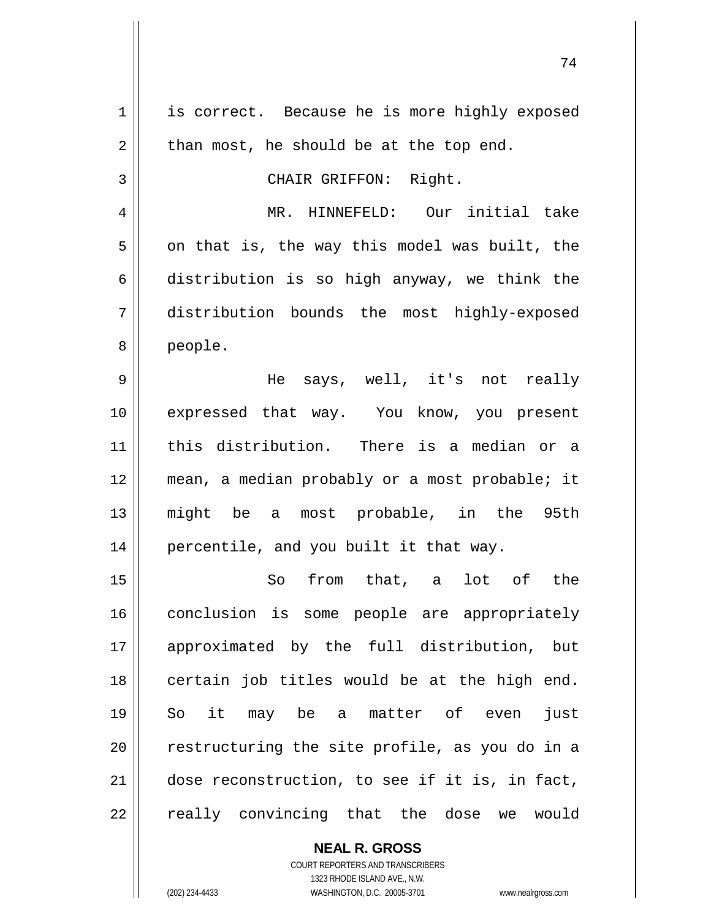**NEAL R. GROSS** 1 | is correct. Because he is more highly exposed  $2 \parallel$  than most, he should be at the top end. 3 || CHAIR GRIFFON: Right. 4 MR. HINNEFELD: Our initial take  $5 \parallel$  on that is, the way this model was built, the 6 distribution is so high anyway, we think the 7 distribution bounds the most highly-exposed 8 people. 9 He says, well, it's not really 10 expressed that way. You know, you present 11 this distribution. There is a median or a 12 mean, a median probably or a most probable; it 13 might be a most probable, in the 95th 14 || percentile, and you built it that way. 15 So from that, a lot of the 16 || conclusion is some people are appropriately 17 approximated by the full distribution, but  $18$  | certain job titles would be at the high end. 19 So it may be a matter of even just  $20$   $\parallel$  restructuring the site profile, as you do in a 21 | dose reconstruction, to see if it is, in fact, 22 || really convincing that the dose we would

> COURT REPORTERS AND TRANSCRIBERS 1323 RHODE ISLAND AVE., N.W.

(202) 234-4433 WASHINGTON, D.C. 20005-3701 www.nealrgross.com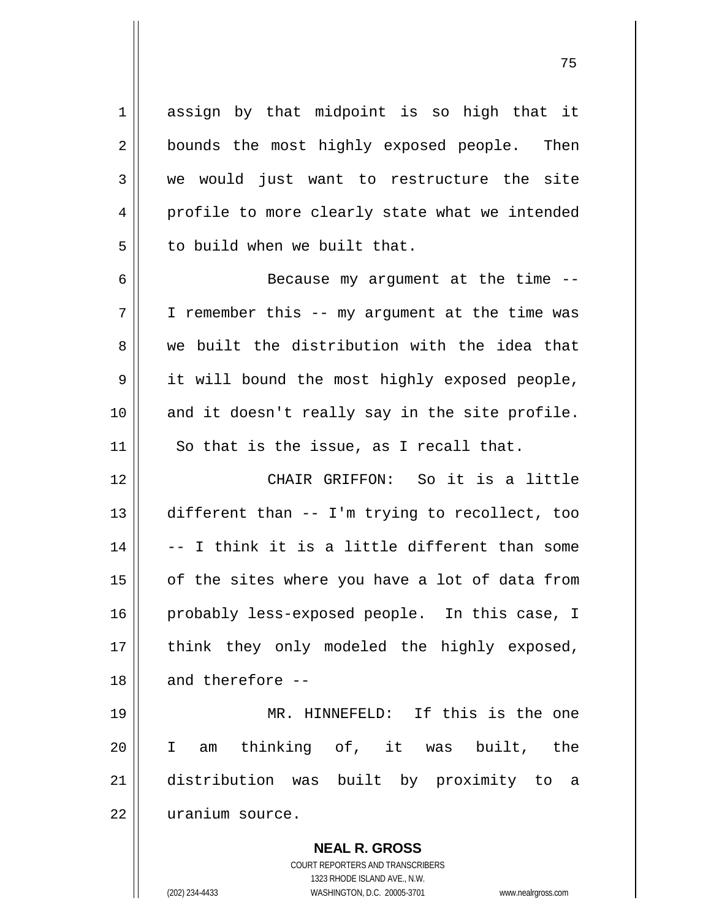1 assign by that midpoint is so high that it 2 || bounds the most highly exposed people. Then 3 we would just want to restructure the site 4 profile to more clearly state what we intended  $5$   $\parallel$  to build when we built that.

6 || Because my argument at the time -- $7 \parallel$  I remember this -- my argument at the time was  $8 \parallel$  we built the distribution with the idea that 9 || it will bound the most highly exposed people,  $10$  and it doesn't really say in the site profile.  $11$  So that is the issue, as I recall that.

 CHAIR GRIFFON: So it is a little different than -- I'm trying to recollect, too  $\parallel$  -- I think it is a little different than some | of the sites where you have a lot of data from 16 || probably less-exposed people. In this case, I 17 || think they only modeled the highly exposed, || and therefore  $-$ 

 MR. HINNEFELD: If this is the one I am thinking of, it was built, the distribution was built by proximity to a uranium source.

> **NEAL R. GROSS** COURT REPORTERS AND TRANSCRIBERS 1323 RHODE ISLAND AVE., N.W. (202) 234-4433 WASHINGTON, D.C. 20005-3701 www.nealrgross.com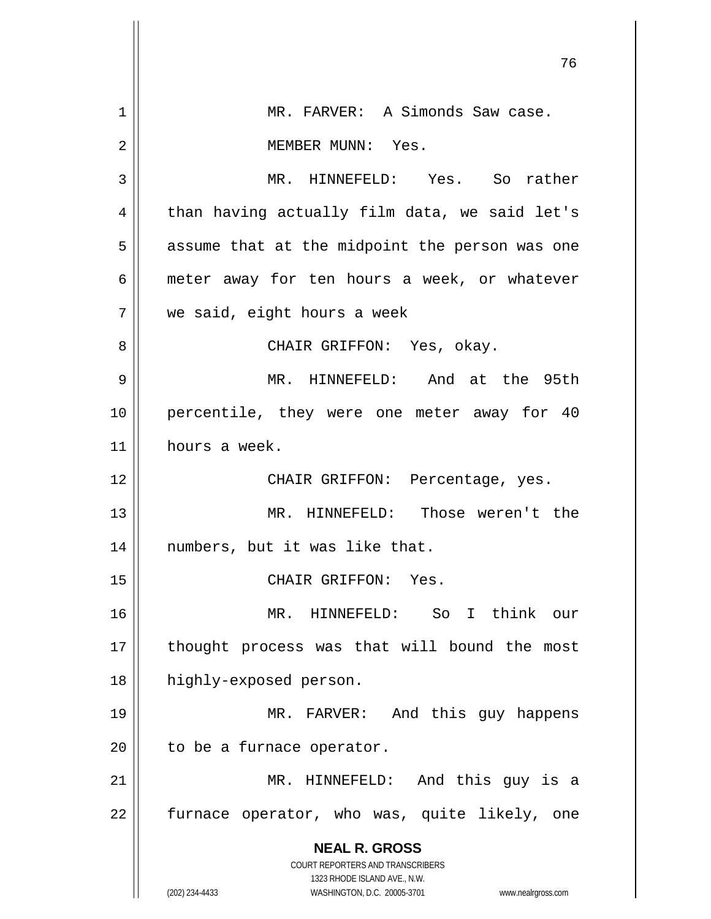|    | 76                                                                  |
|----|---------------------------------------------------------------------|
| 1  | MR. FARVER: A Simonds Saw case.                                     |
| 2  | MEMBER MUNN: Yes.                                                   |
|    |                                                                     |
| 3  | MR. HINNEFELD: Yes. So rather                                       |
| 4  | than having actually film data, we said let's                       |
| 5  | assume that at the midpoint the person was one                      |
| 6  | meter away for ten hours a week, or whatever                        |
| 7  | we said, eight hours a week                                         |
| 8  | CHAIR GRIFFON: Yes, okay.                                           |
| 9  | MR. HINNEFELD: And at the 95th                                      |
| 10 | percentile, they were one meter away for 40                         |
| 11 | hours a week.                                                       |
| 12 | CHAIR GRIFFON: Percentage, yes.                                     |
| 13 | MR. HINNEFELD: Those weren't the                                    |
| 14 | numbers, but it was like that.                                      |
| 15 | CHAIR GRIFFON: Yes.                                                 |
| 16 | So I think our<br>MR. HINNEFELD:                                    |
| 17 | thought process was that will bound the most                        |
|    |                                                                     |
| 18 | highly-exposed person.                                              |
| 19 | MR. FARVER: And this guy happens                                    |
| 20 | to be a furnace operator.                                           |
| 21 | MR. HINNEFELD: And this guy is a                                    |
| 22 | furnace operator, who was, quite likely, one                        |
|    | <b>NEAL R. GROSS</b>                                                |
|    | COURT REPORTERS AND TRANSCRIBERS<br>1323 RHODE ISLAND AVE., N.W.    |
|    | (202) 234-4433<br>WASHINGTON, D.C. 20005-3701<br>www.nealrgross.com |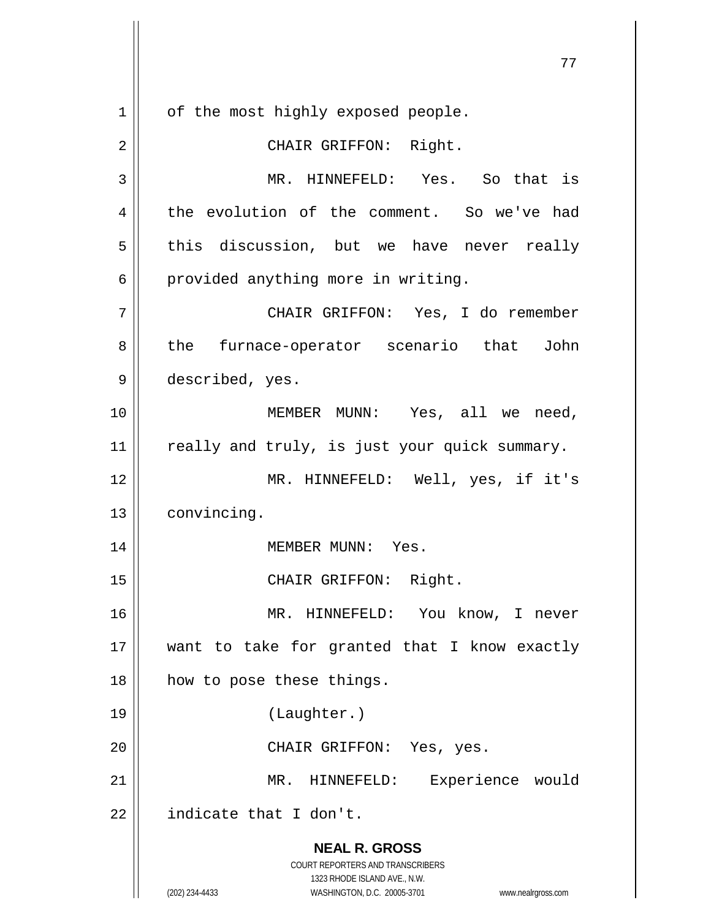**NEAL R. GROSS** COURT REPORTERS AND TRANSCRIBERS 1323 RHODE ISLAND AVE., N.W. (202) 234-4433 WASHINGTON, D.C. 20005-3701 www.nealrgross.com 1 | of the most highly exposed people. 2 || CHAIR GRIFFON: Right. 3 MR. HINNEFELD: Yes. So that is 4 | the evolution of the comment. So we've had  $5$  this discussion, but we have never really  $6 \parallel$  provided anything more in writing. 7 CHAIR GRIFFON: Yes, I do remember 8 the furnace-operator scenario that John 9 described, yes. 10 MEMBER MUNN: Yes, all we need, 11 || really and truly, is just your quick summary. 12 MR. HINNEFELD: Well, yes, if it's 13 | convincing. 14 || MEMBER MUNN: Yes. 15 || CHAIR GRIFFON: Right. 16 MR. HINNEFELD: You know, I never 17 || want to take for granted that I know exactly 18 || how to pose these things. 19 (Laughter.) 20 || CHAIR GRIFFON: Yes, yes. 21 || MR. HINNEFELD: Experience would  $22$  | indicate that I don't.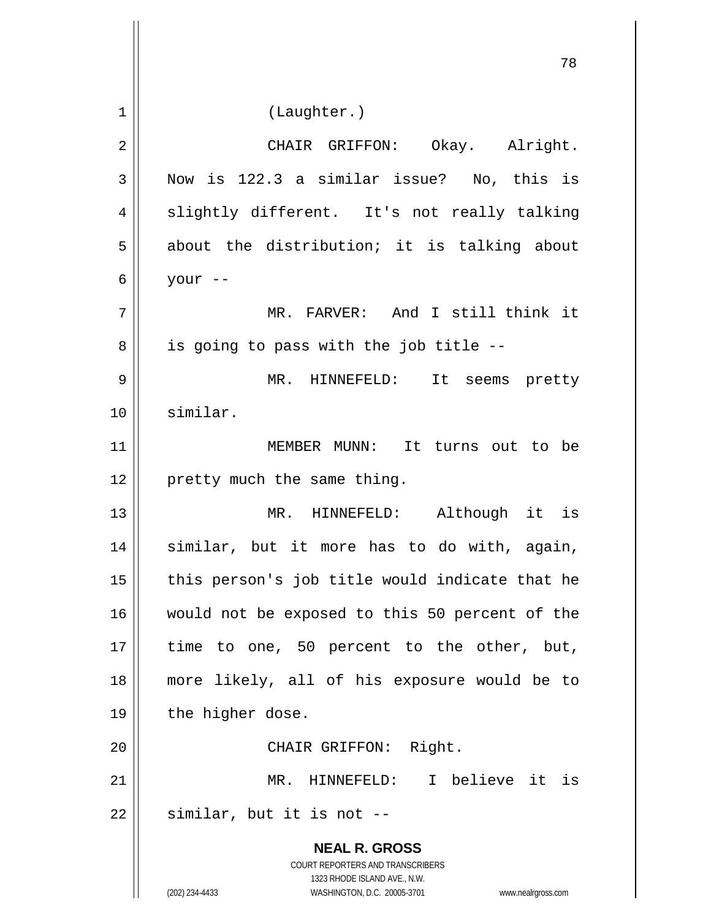|                | 78                                                                                                  |
|----------------|-----------------------------------------------------------------------------------------------------|
| 1              | (Laughter.)                                                                                         |
|                |                                                                                                     |
| $\overline{2}$ | CHAIR GRIFFON: Okay. Alright.                                                                       |
| 3              | Now is 122.3 a similar issue? No, this is                                                           |
| 4              | slightly different. It's not really talking                                                         |
| 5              | about the distribution; it is talking about                                                         |
| 6              | your --                                                                                             |
| 7              | MR. FARVER: And I still think it                                                                    |
| 8              | is going to pass with the job title --                                                              |
| 9              | MR. HINNEFELD: It seems pretty                                                                      |
| 10             | similar.                                                                                            |
| 11             | MEMBER MUNN: It turns out to be                                                                     |
| 12             | pretty much the same thing.                                                                         |
| 13             | MR. HINNEFELD: Although it is                                                                       |
| 14             | similar, but it more has to do with, again,                                                         |
| 15             | this person's job title would indicate that he                                                      |
| 16             | would not be exposed to this 50 percent of the                                                      |
| 17             | time to one, 50 percent to the other, but,                                                          |
| 18             | more likely, all of his exposure would be to                                                        |
| 19             | the higher dose.                                                                                    |
| 20             | CHAIR GRIFFON: Right.                                                                               |
| 21             | HINNEFELD: I believe it is<br>MR.                                                                   |
| 22             | similar, but it is not --                                                                           |
|                | <b>NEAL R. GROSS</b>                                                                                |
|                | COURT REPORTERS AND TRANSCRIBERS                                                                    |
|                | 1323 RHODE ISLAND AVE., N.W.<br>(202) 234-4433<br>WASHINGTON, D.C. 20005-3701<br>www.nealrgross.com |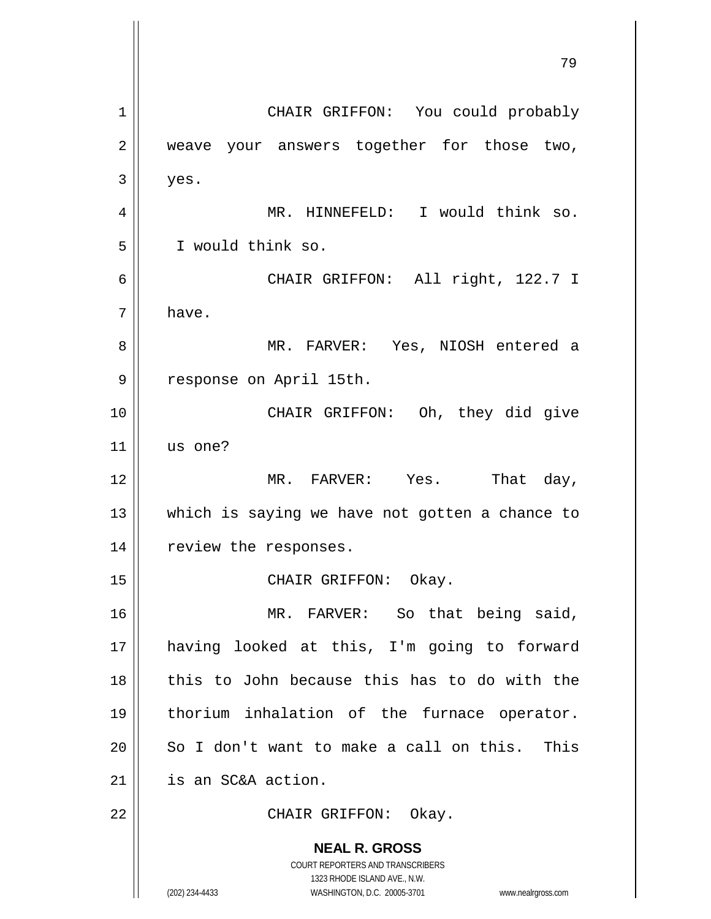**NEAL R. GROSS** COURT REPORTERS AND TRANSCRIBERS 1323 RHODE ISLAND AVE., N.W. (202) 234-4433 WASHINGTON, D.C. 20005-3701 www.nealrgross.com 79 1 | CHAIR GRIFFON: You could probably 2 weave your answers together for those two,  $3 \parallel$  yes. 4 MR. HINNEFELD: I would think so. 5 I would think so. 6 CHAIR GRIFFON: All right, 122.7 I  $7 \parallel$  have. 8 MR. FARVER: Yes, NIOSH entered a 9 || response on April 15th. 10 || CHAIR GRIFFON: Oh, they did give  $11$  us one? 12 MR. FARVER: Yes. That day, 13 || which is saying we have not gotten a chance to 14 | review the responses. 15 || CHAIR GRIFFON: Okay. 16 MR. FARVER: So that being said, 17 having looked at this, I'm going to forward 18 this to John because this has to do with the 19 thorium inhalation of the furnace operator.  $20$  || So I don't want to make a call on this. This 21 | is an SC&A action. 22 || CHAIR GRIFFON: Okay.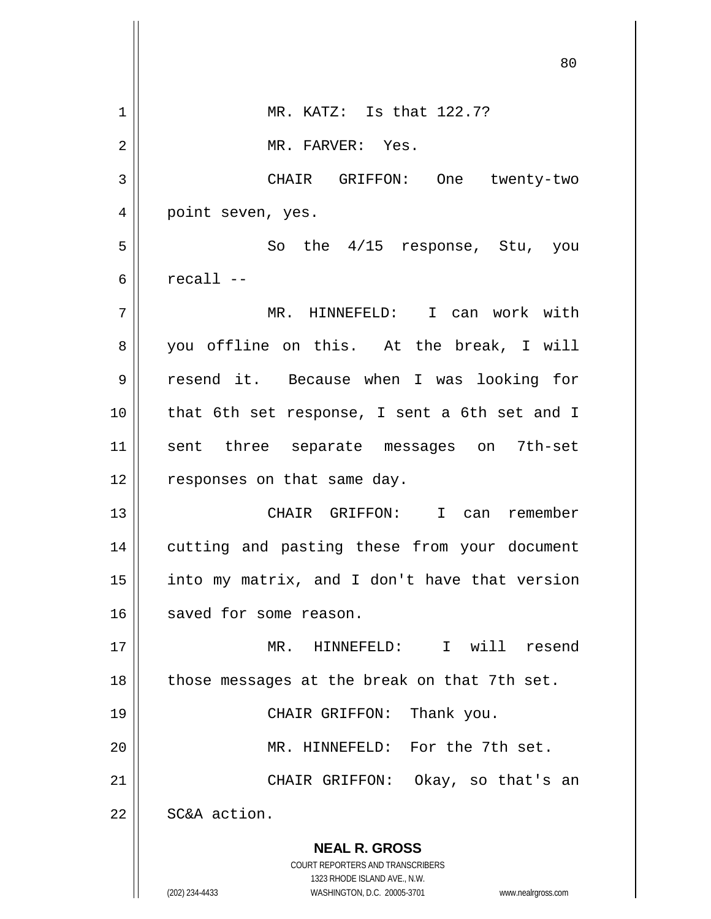|    | 80                                                                                                  |
|----|-----------------------------------------------------------------------------------------------------|
| 1  | MR. KATZ: Is that 122.7?                                                                            |
| 2  | MR. FARVER: Yes.                                                                                    |
| 3  | CHAIR GRIFFON: One twenty-two                                                                       |
| 4  | point seven, yes.                                                                                   |
| 5  | So the 4/15 response, Stu, you                                                                      |
| 6  | $recall --$                                                                                         |
| 7  | MR. HINNEFELD: I can work with                                                                      |
| 8  | you offline on this. At the break, I will                                                           |
| 9  | resend it. Because when I was looking for                                                           |
| 10 | that 6th set response, I sent a 6th set and I                                                       |
| 11 | sent three separate messages on 7th-set                                                             |
| 12 | responses on that same day.                                                                         |
| 13 | CHAIR GRIFFON: I can remember                                                                       |
| 14 | cutting and pasting these from your document                                                        |
| 15 | into my matrix, and I don't have that version                                                       |
| 16 | saved for some reason.                                                                              |
| 17 | HINNEFELD: I will resend<br>MR.                                                                     |
| 18 | those messages at the break on that 7th set.                                                        |
| 19 | CHAIR GRIFFON: Thank you.                                                                           |
| 20 | MR. HINNEFELD: For the 7th set.                                                                     |
| 21 | CHAIR GRIFFON: Okay, so that's an                                                                   |
| 22 | SC&A action.                                                                                        |
|    | <b>NEAL R. GROSS</b>                                                                                |
|    | COURT REPORTERS AND TRANSCRIBERS                                                                    |
|    | 1323 RHODE ISLAND AVE., N.W.<br>(202) 234-4433<br>WASHINGTON, D.C. 20005-3701<br>www.nealrgross.com |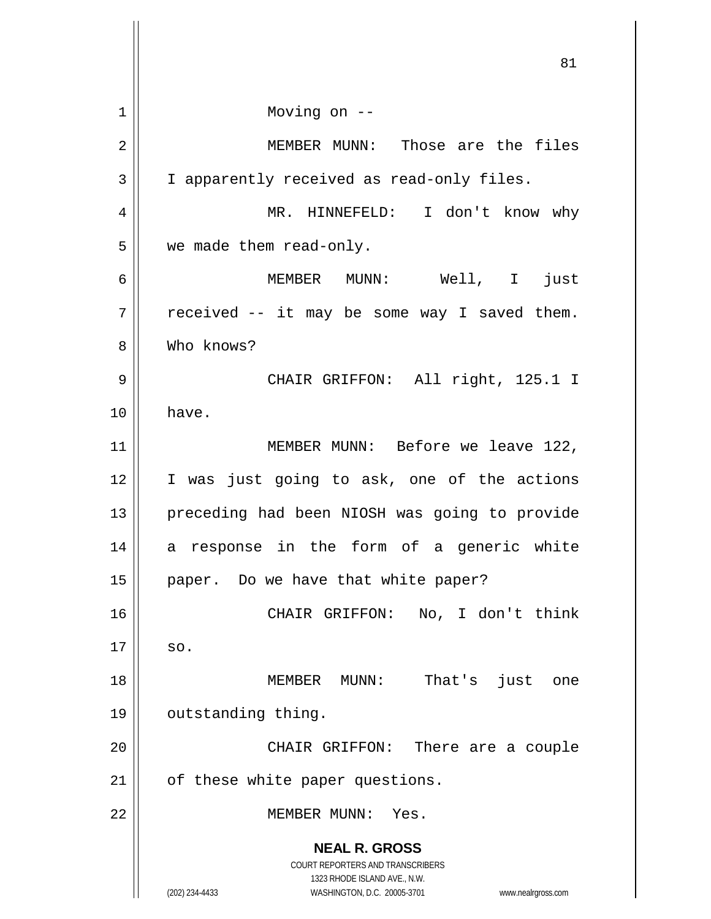**NEAL R. GROSS** COURT REPORTERS AND TRANSCRIBERS 1323 RHODE ISLAND AVE., N.W. (202) 234-4433 WASHINGTON, D.C. 20005-3701 www.nealrgross.com 1 Moving on -- 2 MEMBER MUNN: Those are the files 3 | I apparently received as read-only files. 4 MR. HINNEFELD: I don't know why 5 | we made them read-only. 6 MEMBER MUNN: Well, I just  $7 \parallel$  received -- it may be some way I saved them. 8 Who knows? 9 CHAIR GRIFFON: All right, 125.1 I 10 have. 11 || MEMBER MUNN: Before we leave 122, 12 || I was just going to ask, one of the actions 13 || preceding had been NIOSH was going to provide 14 a response in the form of a generic white 15 || paper. Do we have that white paper? 16 CHAIR GRIFFON: No, I don't think  $17 \parallel$  so. 18 || MEMBER MUNN: That's just one 19 | outstanding thing. 20 CHAIR GRIFFON: There are a couple  $21$  | of these white paper questions. 22 MEMBER MUNN: Yes.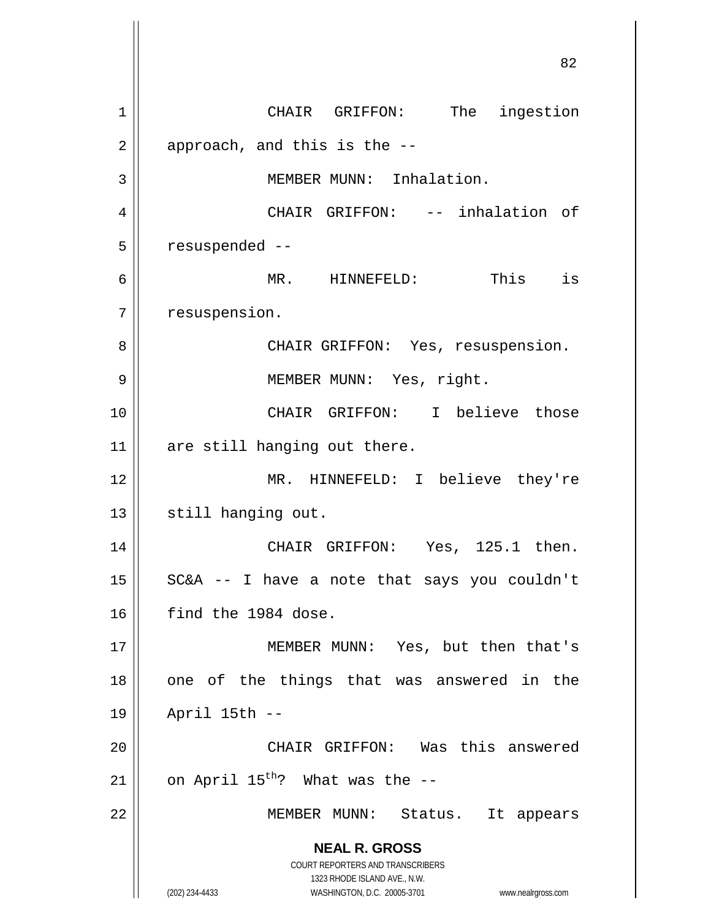**NEAL R. GROSS** COURT REPORTERS AND TRANSCRIBERS 1323 RHODE ISLAND AVE., N.W. (202) 234-4433 WASHINGTON, D.C. 20005-3701 www.nealrgross.com 82 1 | CHAIR GRIFFON: The ingestion  $2 \parallel$  approach, and this is the  $-$ -3 | MEMBER MUNN: Inhalation. 4 CHAIR GRIFFON: -- inhalation of  $5 \parallel$  resuspended --6 MR. HINNEFELD: This is 7 | resuspension. 8 || CHAIR GRIFFON: Yes, resuspension. 9 MEMBER MUNN: Yes, right. 10 || CHAIR GRIFFON: I believe those 11 are still hanging out there. 12 || MR. HINNEFELD: I believe they're 13 | still hanging out. 14 CHAIR GRIFFON: Yes, 125.1 then.  $15$  SC&A -- I have a note that says you couldn't 16 find the 1984 dose. 17 || MEMBER MUNN: Yes, but then that's  $18$  || one of the things that was answered in the 19 April 15th -- 20 CHAIR GRIFFON: Was this answered 21  $\parallel$  on April 15<sup>th</sup>? What was the --22 || MEMBER MUNN: Status. It appears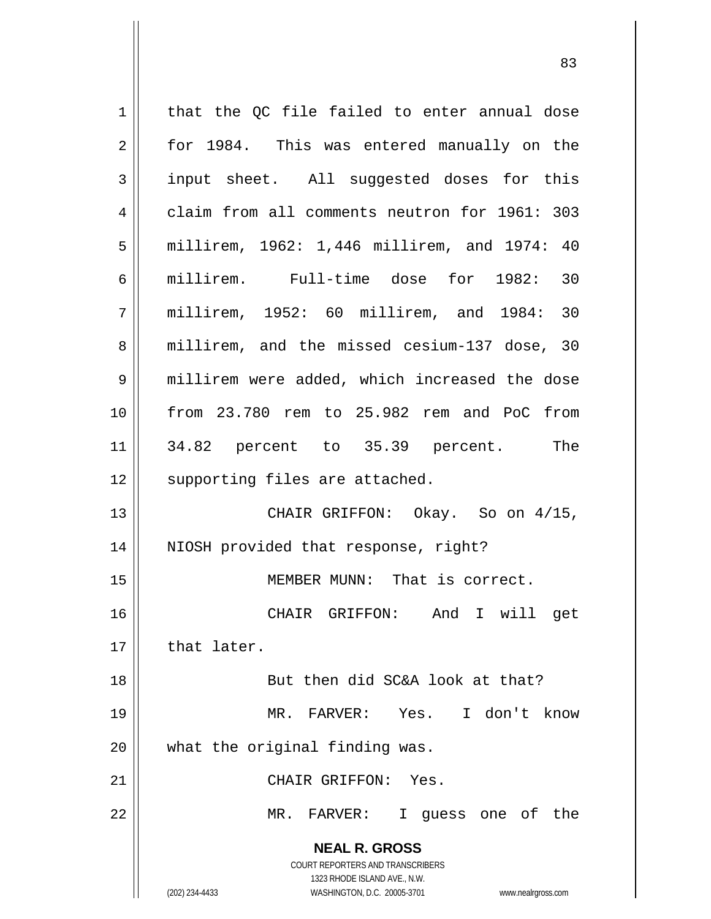**NEAL R. GROSS** COURT REPORTERS AND TRANSCRIBERS 1323 RHODE ISLAND AVE., N.W. (202) 234-4433 WASHINGTON, D.C. 20005-3701 www.nealrgross.com  $1$  that the QC file failed to enter annual dose 2 || for 1984. This was entered manually on the 3 input sheet. All suggested doses for this 4 claim from all comments neutron for 1961: 303 5 millirem, 1962: 1,446 millirem, and 1974: 40 6 millirem. Full-time dose for 1982: 30 7 millirem, 1952: 60 millirem, and 1984: 30 8 millirem, and the missed cesium-137 dose, 30 9 || millirem were added, which increased the dose 10 from 23.780 rem to 25.982 rem and PoC from 11 34.82 percent to 35.39 percent. The 12 || supporting files are attached. 13 CHAIR GRIFFON: Okay. So on 4/15, 14 NIOSH provided that response, right? 15 || MEMBER MUNN: That is correct. 16 CHAIR GRIFFON: And I will get  $17$  | that later. 18 || But then did SC&A look at that? 19 MR. FARVER: Yes. I don't know 20 what the original finding was. 21 | CHAIR GRIFFON: Yes. 22 MR. FARVER: I guess one of the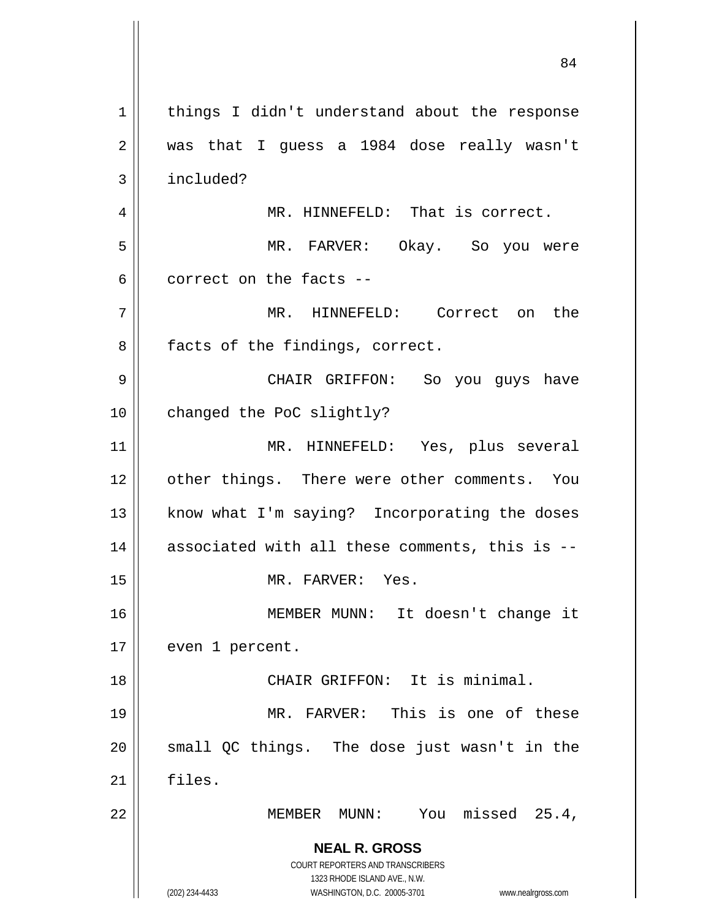**NEAL R. GROSS** COURT REPORTERS AND TRANSCRIBERS 1323 RHODE ISLAND AVE., N.W. (202) 234-4433 WASHINGTON, D.C. 20005-3701 www.nealrgross.com 1 | things I didn't understand about the response 2 was that I guess a 1984 dose really wasn't 3 | included? 4 || MR. HINNEFELD: That is correct. 5 MR. FARVER: Okay. So you were  $6 \parallel$  correct on the facts --7 MR. HINNEFELD: Correct on the  $8 \parallel$  facts of the findings, correct. 9 CHAIR GRIFFON: So you guys have 10 | changed the PoC slightly? 11 MR. HINNEFELD: Yes, plus several 12 || other things. There were other comments. You 13 || know what I'm saying? Incorporating the doses  $14$  | associated with all these comments, this is --15 MR. FARVER: Yes. 16 MEMBER MUNN: It doesn't change it 17 | even 1 percent. 18 CHAIR GRIFFON: It is minimal. 19 MR. FARVER: This is one of these  $20$  || small QC things. The dose just wasn't in the 21 files. 22 MEMBER MUNN: You missed 25.4,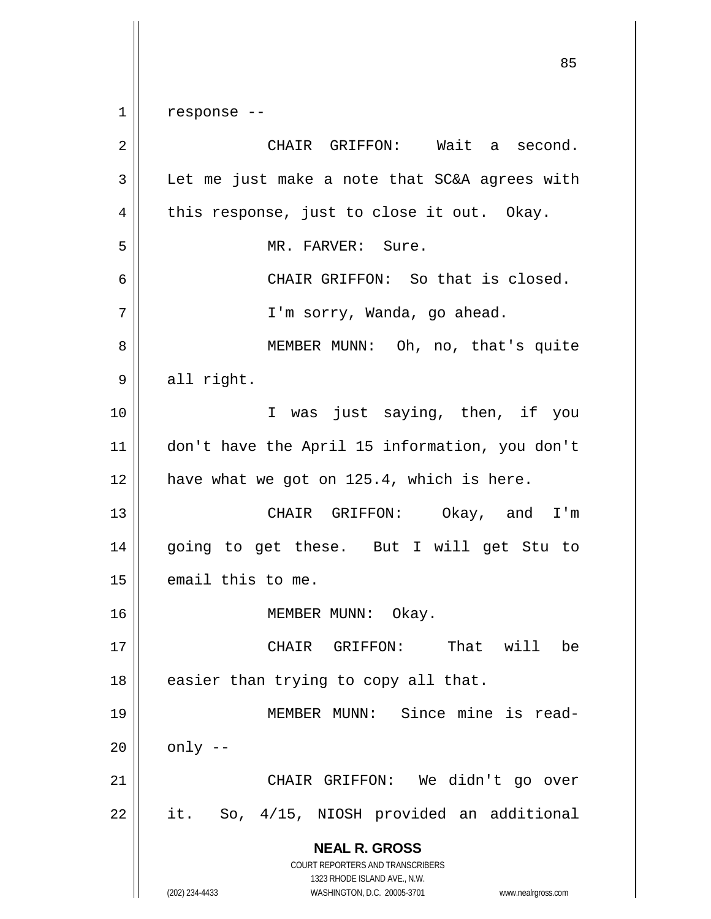$1 \parallel$  response --

**NEAL R. GROSS** COURT REPORTERS AND TRANSCRIBERS 1323 RHODE ISLAND AVE., N.W. (202) 234-4433 WASHINGTON, D.C. 20005-3701 www.nealrgross.com 2 | CHAIR GRIFFON: Wait a second.  $3 \parallel$  Let me just make a note that SC&A agrees with  $4 \parallel$  this response, just to close it out. Okay. 5 || MR. FARVER: Sure. 6 CHAIR GRIFFON: So that is closed. 7 | T'm sorry, Wanda, go ahead. 8 || MEMBER MUNN: Oh, no, that's quite  $9 \parallel$  all right. 10 || T was just saying, then, if you 11 don't have the April 15 information, you don't 12 || have what we got on 125.4, which is here. 13 CHAIR GRIFFON: Okay, and I'm 14 going to get these. But I will get Stu to  $15$  | email this to me. 16 || MEMBER MUNN: Okay. 17 CHAIR GRIFFON: That will be  $18$  || easier than trying to copy all that. 19 MEMBER MUNN: Since mine is read- $20$  |  $\omega$  only  $-$ 21 CHAIR GRIFFON: We didn't go over  $22 \parallel$  it. So, 4/15, NIOSH provided an additional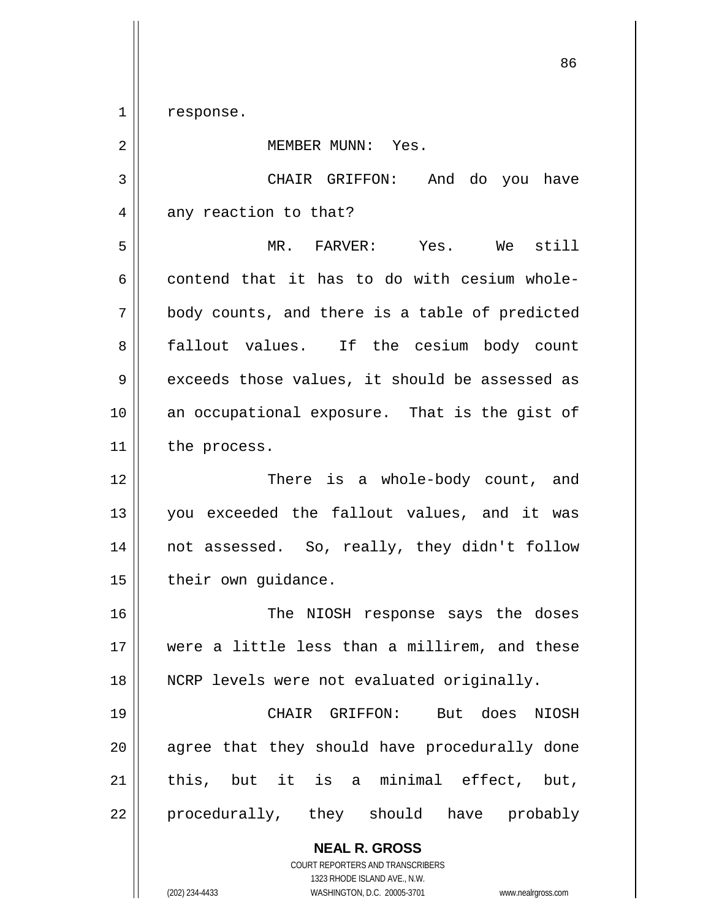1 || response.

**NEAL R. GROSS** COURT REPORTERS AND TRANSCRIBERS 2 || MEMBER MUNN: Yes. 3 CHAIR GRIFFON: And do you have  $4 \parallel$  any reaction to that? 5 MR. FARVER: Yes. We still 6 contend that it has to do with cesium whole- $7 \parallel$  body counts, and there is a table of predicted 8 fallout values. If the cesium body count  $9 \parallel$  exceeds those values, it should be assessed as 10 an occupational exposure. That is the gist of 11 | the process. 12 There is a whole-body count, and 13 you exceeded the fallout values, and it was 14 not assessed. So, really, they didn't follow  $15$  | their own guidance. 16 The NIOSH response says the doses 17 were a little less than a millirem, and these 18 || NCRP levels were not evaluated originally. 19 CHAIR GRIFFON: But does NIOSH 20 || agree that they should have procedurally done  $21$  | this, but it is a minimal effect, but, 22 || procedurally, they should have probably

1323 RHODE ISLAND AVE., N.W.

(202) 234-4433 WASHINGTON, D.C. 20005-3701 www.nealrgross.com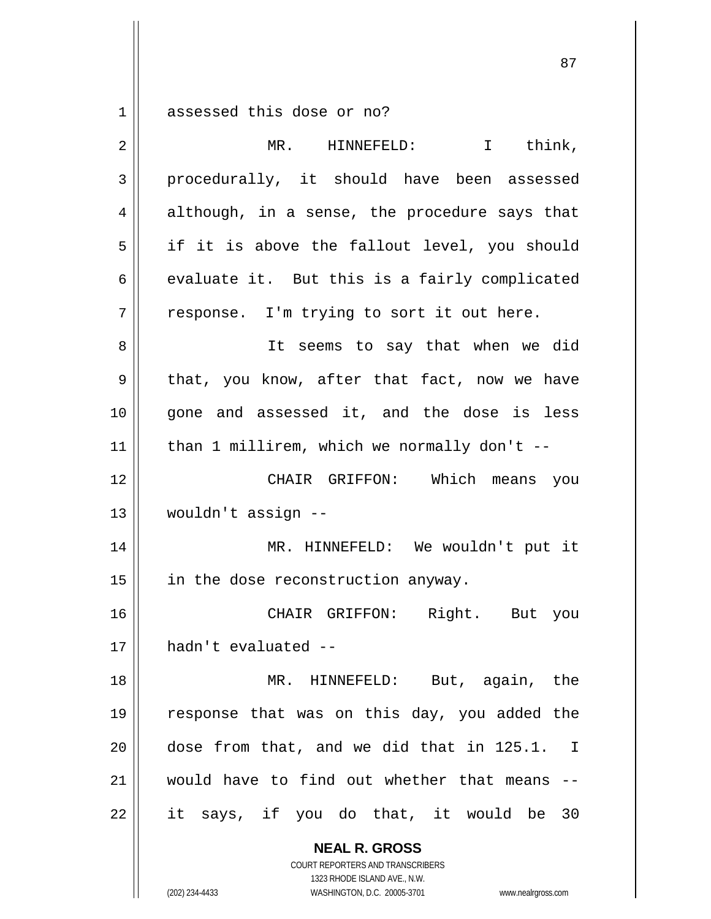$1 \parallel$  assessed this dose or no?

| $\overline{2}$ | I think,<br>MR. HINNEFELD:                                                                                                                                      |
|----------------|-----------------------------------------------------------------------------------------------------------------------------------------------------------------|
| $\mathfrak{Z}$ | procedurally, it should have been assessed                                                                                                                      |
| $\overline{4}$ | although, in a sense, the procedure says that                                                                                                                   |
| 5              | if it is above the fallout level, you should                                                                                                                    |
| 6              | evaluate it. But this is a fairly complicated                                                                                                                   |
| 7              | response. I'm trying to sort it out here.                                                                                                                       |
| 8              | It seems to say that when we did                                                                                                                                |
| 9              | that, you know, after that fact, now we have                                                                                                                    |
| 10             | gone and assessed it, and the dose is less                                                                                                                      |
| 11             | than 1 millirem, which we normally don't --                                                                                                                     |
| 12             | CHAIR GRIFFON: Which means you                                                                                                                                  |
| 13             | wouldn't assign --                                                                                                                                              |
| 14             | MR. HINNEFELD: We wouldn't put it                                                                                                                               |
| 15             | in the dose reconstruction anyway.                                                                                                                              |
| 16             | CHAIR GRIFFON:<br>Right. But you                                                                                                                                |
| 17             | hadn't evaluated --                                                                                                                                             |
| 18             | MR. HINNEFELD: But, again, the                                                                                                                                  |
| 19             | response that was on this day, you added the                                                                                                                    |
| 20             | dose from that, and we did that in 125.1. I                                                                                                                     |
| 21             | would have to find out whether that means                                                                                                                       |
| 22             | it says, if you do that, it would be 30                                                                                                                         |
|                | <b>NEAL R. GROSS</b><br>COURT REPORTERS AND TRANSCRIBERS<br>1323 RHODE ISLAND AVE., N.W.<br>(202) 234-4433<br>WASHINGTON, D.C. 20005-3701<br>www.nealrgross.com |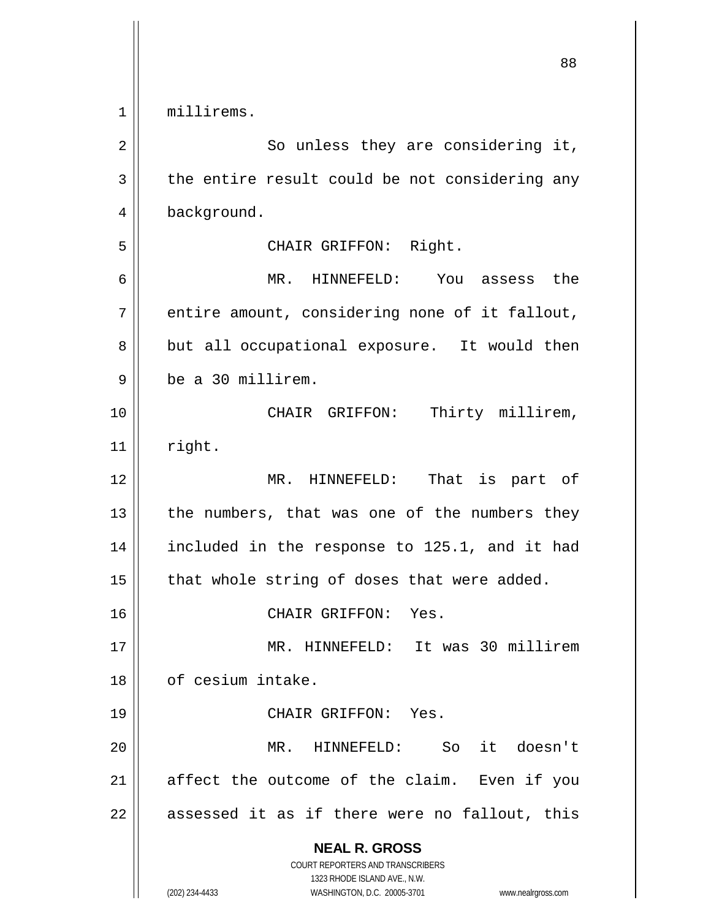1 millirems.

| 2      | So unless they are considering it,                                                                                                                                     |
|--------|------------------------------------------------------------------------------------------------------------------------------------------------------------------------|
| 3      | the entire result could be not considering any                                                                                                                         |
| 4      | background.                                                                                                                                                            |
| 5      | CHAIR GRIFFON: Right.                                                                                                                                                  |
| 6      | MR. HINNEFELD: You assess the                                                                                                                                          |
| 7      | entire amount, considering none of it fallout,                                                                                                                         |
| 8      | but all occupational exposure. It would then                                                                                                                           |
| 9      | be a 30 millirem.                                                                                                                                                      |
| 10     | Thirty millirem,<br>CHAIR GRIFFON:                                                                                                                                     |
| 11     | right.                                                                                                                                                                 |
| 12     | MR. HINNEFELD:<br>That is part of                                                                                                                                      |
| 13     | the numbers, that was one of the numbers they                                                                                                                          |
| 14     | included in the response to 125.1, and it had                                                                                                                          |
| 15     | that whole string of doses that were added.                                                                                                                            |
| 16     | CHAIR GRIFFON: Yes.                                                                                                                                                    |
| $17\,$ | MR. HINNEFELD: It was 30 millirem                                                                                                                                      |
| 18     | of cesium intake.                                                                                                                                                      |
| 19     | CHAIR GRIFFON: Yes.                                                                                                                                                    |
| 20     | it doesn't<br>HINNEFELD:<br>MR.<br>So                                                                                                                                  |
| 21     | affect the outcome of the claim. Even if you                                                                                                                           |
| 22     | assessed it as if there were no fallout, this                                                                                                                          |
|        | <b>NEAL R. GROSS</b><br><b>COURT REPORTERS AND TRANSCRIBERS</b><br>1323 RHODE ISLAND AVE., N.W.<br>(202) 234-4433<br>WASHINGTON, D.C. 20005-3701<br>www.nealrgross.com |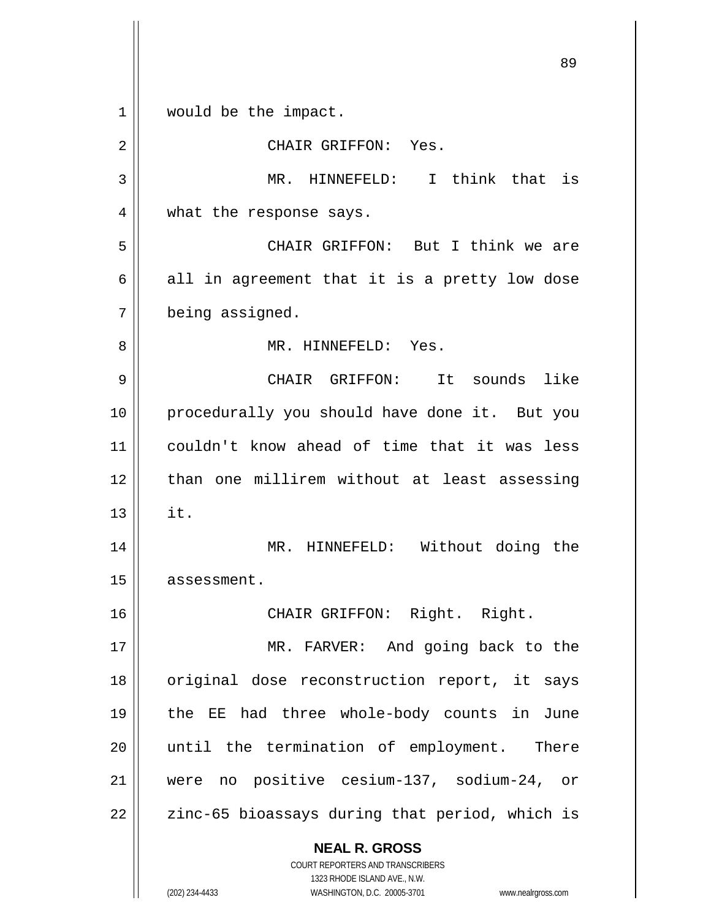**NEAL R. GROSS** COURT REPORTERS AND TRANSCRIBERS 1323 RHODE ISLAND AVE., N.W. 89 1 | would be the impact. 2 CHAIR GRIFFON: Yes. 3 MR. HINNEFELD: I think that is 4 || what the response says. 5 CHAIR GRIFFON: But I think we are  $6 \parallel$  all in agreement that it is a pretty low dose 7 being assigned. 8 MR. HINNEFELD: Yes. 9 CHAIR GRIFFON: It sounds like 10 || procedurally you should have done it. But you 11 couldn't know ahead of time that it was less 12 than one millirem without at least assessing  $13 \parallel$  it. 14 MR. HINNEFELD: Without doing the 15 | assessment. 16 || CHAIR GRIFFON: Right. Right. 17 || MR. FARVER: And going back to the 18 || original dose reconstruction report, it says 19 the EE had three whole-body counts in June 20 until the termination of employment. There 21 were no positive cesium-137, sodium-24, or  $22$  |  $\sigma$  zinc-65 bioassays during that period, which is

(202) 234-4433 WASHINGTON, D.C. 20005-3701 www.nealrgross.com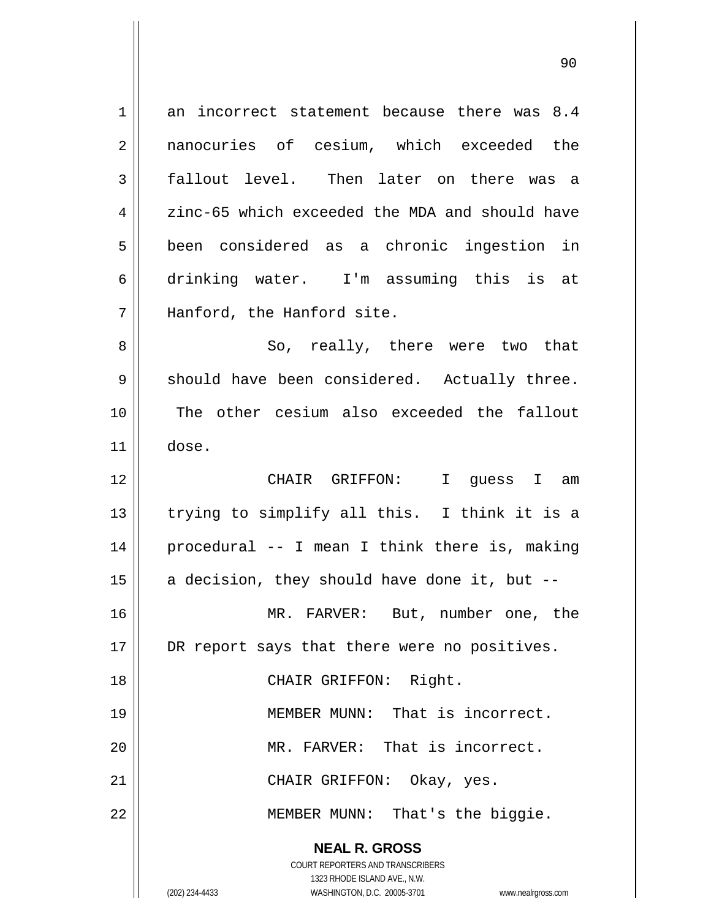**NEAL R. GROSS** COURT REPORTERS AND TRANSCRIBERS 1323 RHODE ISLAND AVE., N.W. (202) 234-4433 WASHINGTON, D.C. 20005-3701 www.nealrgross.com  $1 \parallel$  an incorrect statement because there was 8.4 2 nanocuries of cesium, which exceeded the 3 fallout level. Then later on there was a  $4 \parallel$  zinc-65 which exceeded the MDA and should have 5 been considered as a chronic ingestion in 6 drinking water. I'm assuming this is at 7 || Hanford, the Hanford site. 8 So, really, there were two that 9 || should have been considered. Actually three. 10 The other cesium also exceeded the fallout  $11 \parallel$  dose. 12 CHAIR GRIFFON: I guess I am  $13$  || trying to simplify all this. I think it is a 14 procedural -- I mean I think there is, making 15  $\parallel$  a decision, they should have done it, but --16 MR. FARVER: But, number one, the 17 || DR report says that there were no positives. 18 || CHAIR GRIFFON: Right. 19 MEMBER MUNN: That is incorrect. 20 || MR. FARVER: That is incorrect. 21 CHAIR GRIFFON: Okay, yes. 22 MEMBER MUNN: That's the biggie.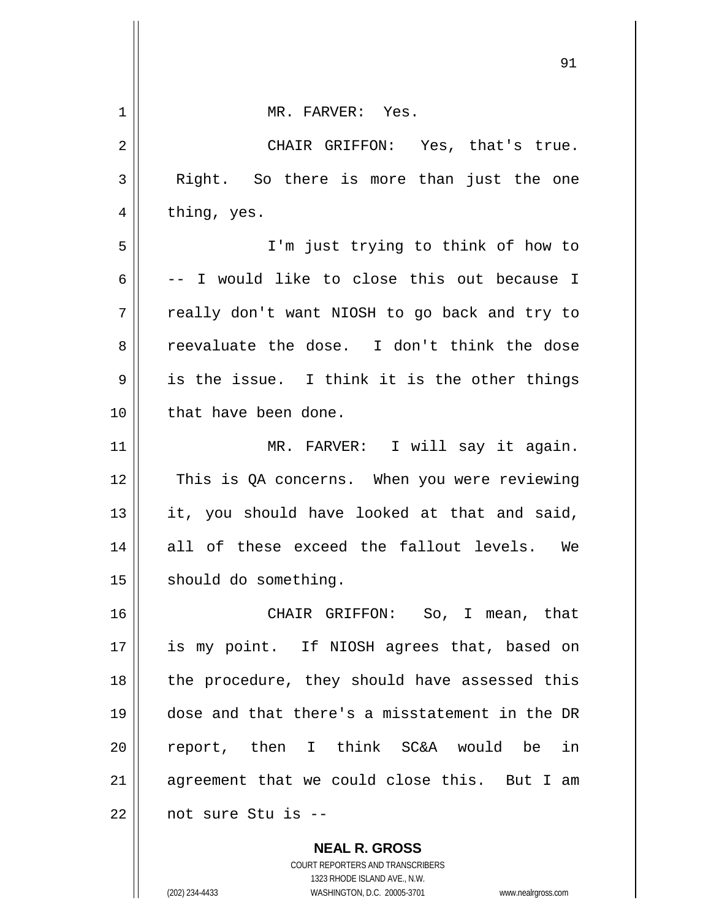| $\mathbf 1$ | MR. FARVER: Yes.                               |
|-------------|------------------------------------------------|
| 2           | CHAIR GRIFFON: Yes, that's true.               |
| 3           | Right. So there is more than just the one      |
| 4           | thing, yes.                                    |
| 5           | I'm just trying to think of how to             |
| 6           | -- I would like to close this out because I    |
| 7           | really don't want NIOSH to go back and try to  |
| 8           | reevaluate the dose. I don't think the dose    |
| 9           | is the issue. I think it is the other things   |
| 10          | that have been done.                           |
| 11          | MR. FARVER: I will say it again.               |
| 12          | This is QA concerns. When you were reviewing   |
| 13          | it, you should have looked at that and said,   |
| 14          | all of these exceed the fallout levels. We     |
| 15          | should do something.                           |
| 16          | CHAIR GRIFFON: So, I mean, that                |
| 17          | is my point. If NIOSH agrees that, based on    |
| 18          | the procedure, they should have assessed this  |
| 19          | dose and that there's a misstatement in the DR |
| 20          | report, then I think SC&A would be in          |
| 21          | agreement that we could close this. But I am   |
| 22          | not sure Stu is --                             |
|             | <b>NEAL R. GROSS</b>                           |

COURT REPORTERS AND TRANSCRIBERS 1323 RHODE ISLAND AVE., N.W.

 $\mathsf{II}$ 

(202) 234-4433 WASHINGTON, D.C. 20005-3701 www.nealrgross.com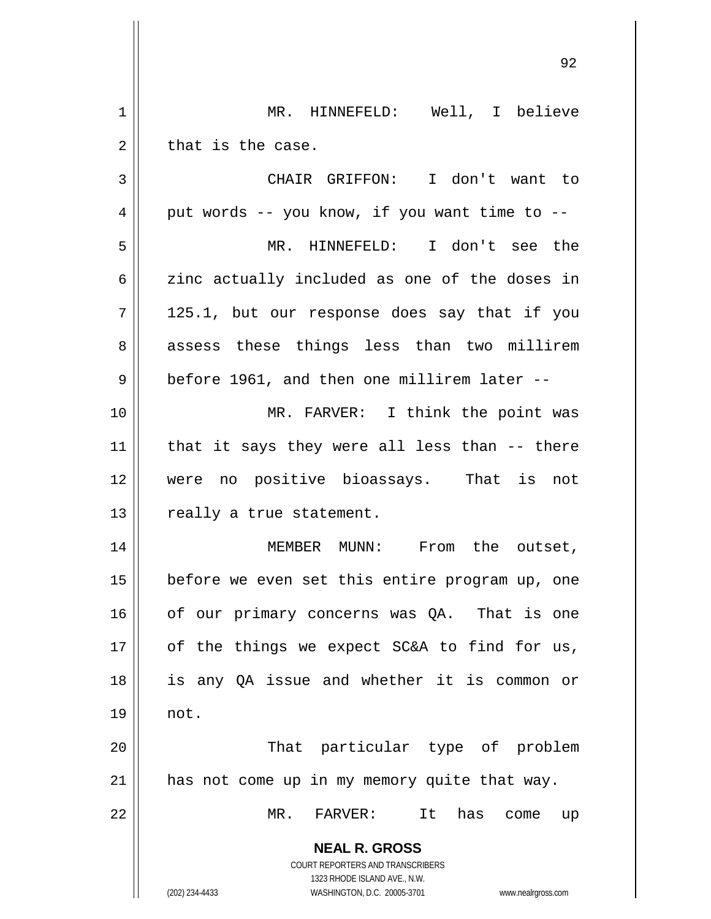**NEAL R. GROSS** COURT REPORTERS AND TRANSCRIBERS 1323 RHODE ISLAND AVE., N.W. (202) 234-4433 WASHINGTON, D.C. 20005-3701 www.nealrgross.com 1 MR. HINNEFELD: Well, I believe  $2 \parallel$  that is the case. 3 CHAIR GRIFFON: I don't want to  $4 \parallel$  put words -- you know, if you want time to --5 MR. HINNEFELD: I don't see the  $6 \parallel$  zinc actually included as one of the doses in  $7 || 125.1$ , but our response does say that if you 8 assess these things less than two millirem  $9 \parallel$  before 1961, and then one millirem later --10 MR. FARVER: I think the point was  $11$  | that it says they were all less than  $-$ - there 12 were no positive bioassays. That is not 13 || really a true statement. 14 || MEMBER MUNN: From the outset,  $15$  | before we even set this entire program up, one  $16$  of our primary concerns was QA. That is one  $17$  | of the things we expect SC&A to find for us, 18 is any QA issue and whether it is common or 19 not. 20 || That particular type of problem 21 has not come up in my memory quite that way. 22 MR. FARVER: It has come up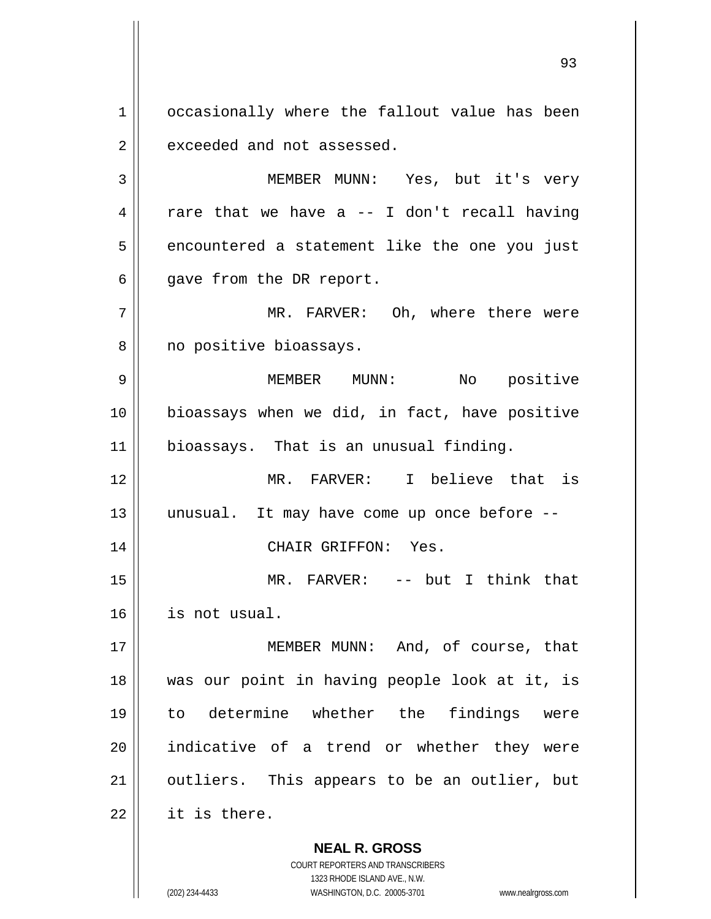1 | occasionally where the fallout value has been  $2 \parallel$  exceeded and not assessed.

3 MEMBER MUNN: Yes, but it's very  $4 \parallel$  rare that we have a -- I don't recall having  $5 \parallel$  encountered a statement like the one you just  $6 \parallel$  gave from the DR report.

7 MR. FARVER: Oh, where there were 8 || no positive bioassays.

9 MEMBER MUNN: No positive 10 bioassays when we did, in fact, have positive 11 | bioassays. That is an unusual finding.

12 MR. FARVER: I believe that is 13 unusual. It may have come up once before -- 14 CHAIR GRIFFON: Yes.

15 MR. FARVER: -- but I think that 16 is not usual.

17 || **MEMBER MUNN:** And, of course, that was our point in having people look at it, is to determine whether the findings were indicative of a trend or whether they were 21 || outliers. This appears to be an outlier, but | it is there.

> **NEAL R. GROSS** COURT REPORTERS AND TRANSCRIBERS

> > 1323 RHODE ISLAND AVE., N.W.

(202) 234-4433 WASHINGTON, D.C. 20005-3701 www.nealrgross.com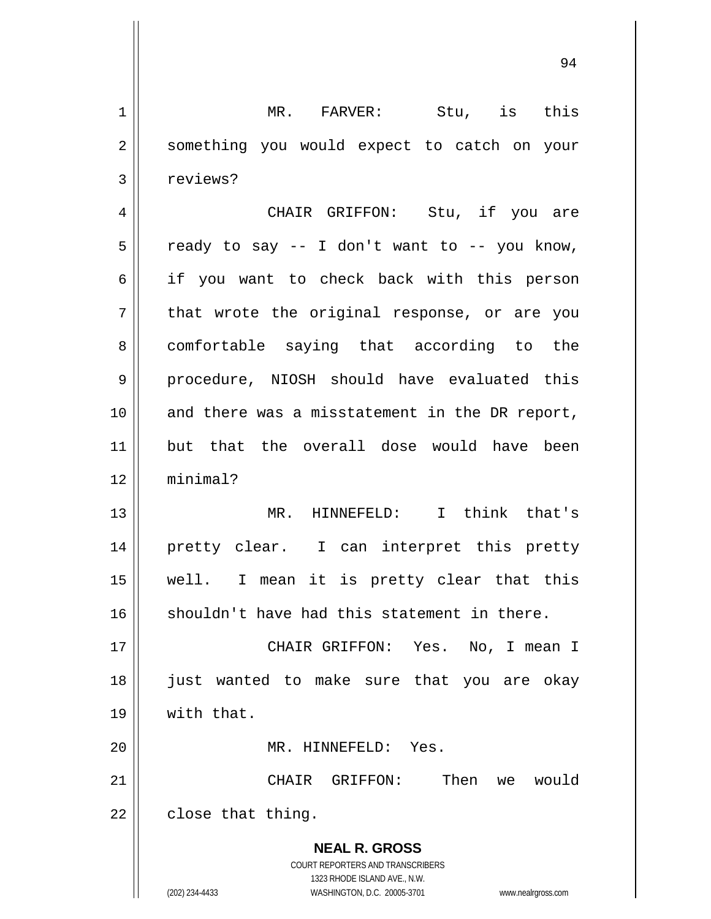**NEAL R. GROSS** COURT REPORTERS AND TRANSCRIBERS 1323 RHODE ISLAND AVE., N.W. 1 || MR. FARVER: Stu, is this 2 || something you would expect to catch on your 3 | reviews? 4 CHAIR GRIFFON: Stu, if you are  $5 \parallel$  ready to say -- I don't want to -- you know, 6 if you want to check back with this person  $7 \parallel$  that wrote the original response, or are you 8 comfortable saying that according to the 9 procedure, NIOSH should have evaluated this 10 || and there was a misstatement in the DR report, 11 but that the overall dose would have been 12 minimal? 13 MR. HINNEFELD: I think that's 14 pretty clear. I can interpret this pretty 15 well. I mean it is pretty clear that this  $16$  shouldn't have had this statement in there. 17 CHAIR GRIFFON: Yes. No, I mean I 18 just wanted to make sure that you are okay 19 with that. 20 MR. HINNEFELD: Yes. 21 CHAIR GRIFFON: Then we would  $22 \parallel$  close that thing.

(202) 234-4433 WASHINGTON, D.C. 20005-3701 www.nealrgross.com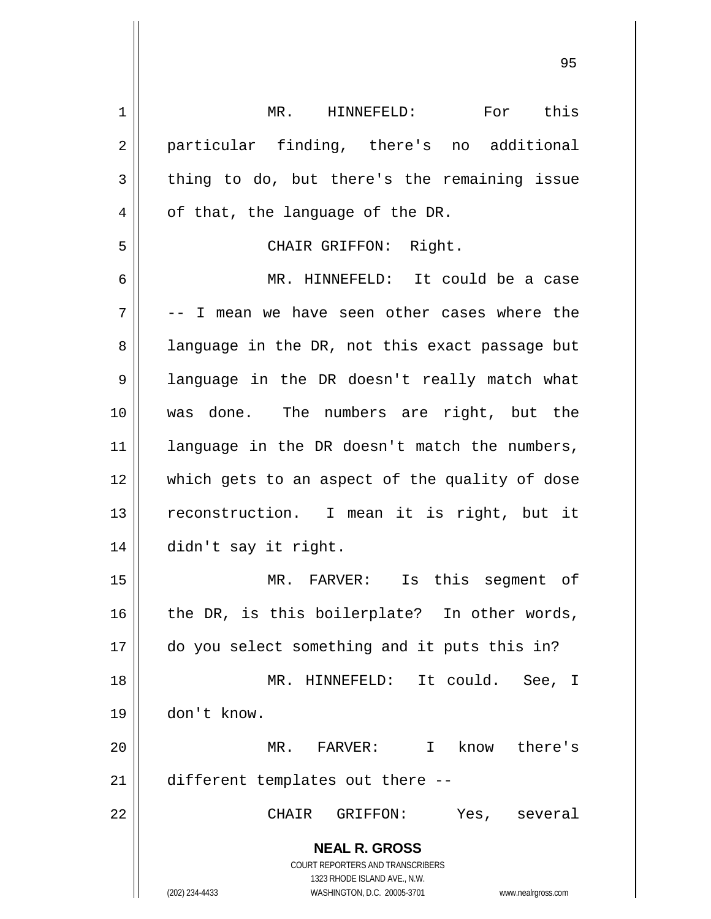**NEAL R. GROSS** COURT REPORTERS AND TRANSCRIBERS 1323 RHODE ISLAND AVE., N.W. (202) 234-4433 WASHINGTON, D.C. 20005-3701 www.nealrgross.com 1 || MR. HINNEFELD: For this 2 || particular finding, there's no additional  $3 \parallel$  thing to do, but there's the remaining issue  $4 \parallel$  of that, the language of the DR. 5 CHAIR GRIFFON: Right. 6 MR. HINNEFELD: It could be a case  $7 \parallel$  -- I mean we have seen other cases where the  $8 \parallel$  language in the DR, not this exact passage but 9 || language in the DR doesn't really match what 10 was done. The numbers are right, but the 11 || language in the DR doesn't match the numbers, 12 || which gets to an aspect of the quality of dose 13 || reconstruction. I mean it is right, but it 14 didn't say it right. 15 MR. FARVER: Is this segment of  $16$  | the DR, is this boilerplate? In other words, 17 do you select something and it puts this in? 18 MR. HINNEFELD: It could. See, I 19 don't know. 20 MR. FARVER: I know there's 21 | different templates out there --22 CHAIR GRIFFON: Yes, several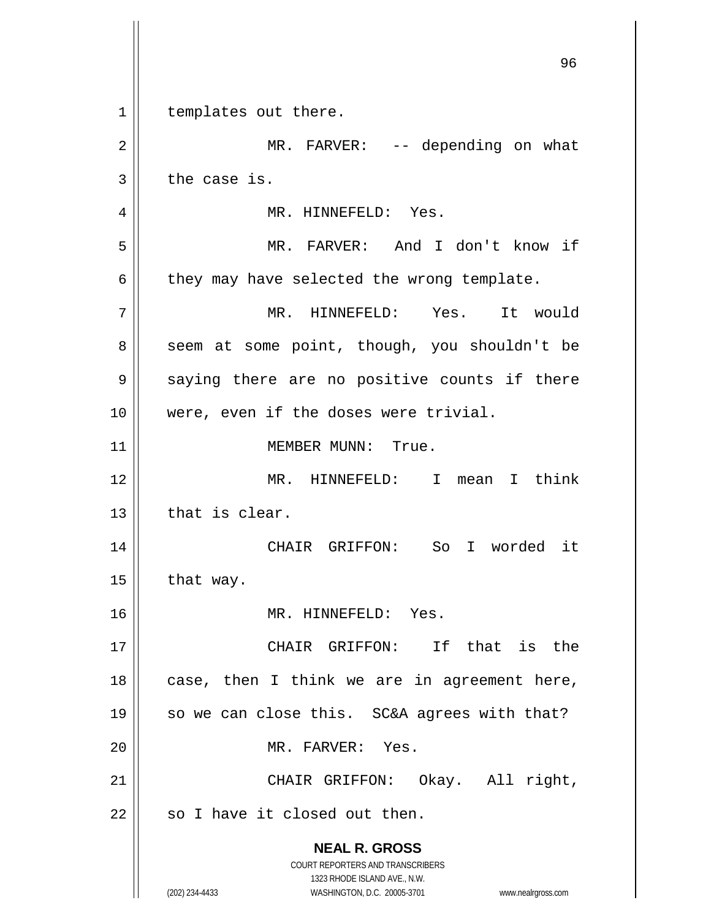**NEAL R. GROSS** COURT REPORTERS AND TRANSCRIBERS 1323 RHODE ISLAND AVE., N.W. (202) 234-4433 WASHINGTON, D.C. 20005-3701 www.nealrgross.com 1 | templates out there. 2 || MR. FARVER: -- depending on what  $3 \parallel$  the case is. 4 | MR. HINNEFELD: Yes. 5 MR. FARVER: And I don't know if  $6 \parallel$  they may have selected the wrong template. 7 MR. HINNEFELD: Yes. It would 8 || seem at some point, though, you shouldn't be  $9 \parallel$  saying there are no positive counts if there 10 || were, even if the doses were trivial. 11 | MEMBER MUNN: True. 12 MR. HINNEFELD: I mean I think  $13$   $\parallel$  that is clear. 14 CHAIR GRIFFON: So I worded it  $15$  | that way. 16 MR. HINNEFELD: Yes. 17 CHAIR GRIFFON: If that is the  $18$  | case, then I think we are in agreement here, 19 || so we can close this. SC&A agrees with that? 20 MR. FARVER: Yes. 21 || CHAIR GRIFFON: Okay. All right,  $22$  | so I have it closed out then.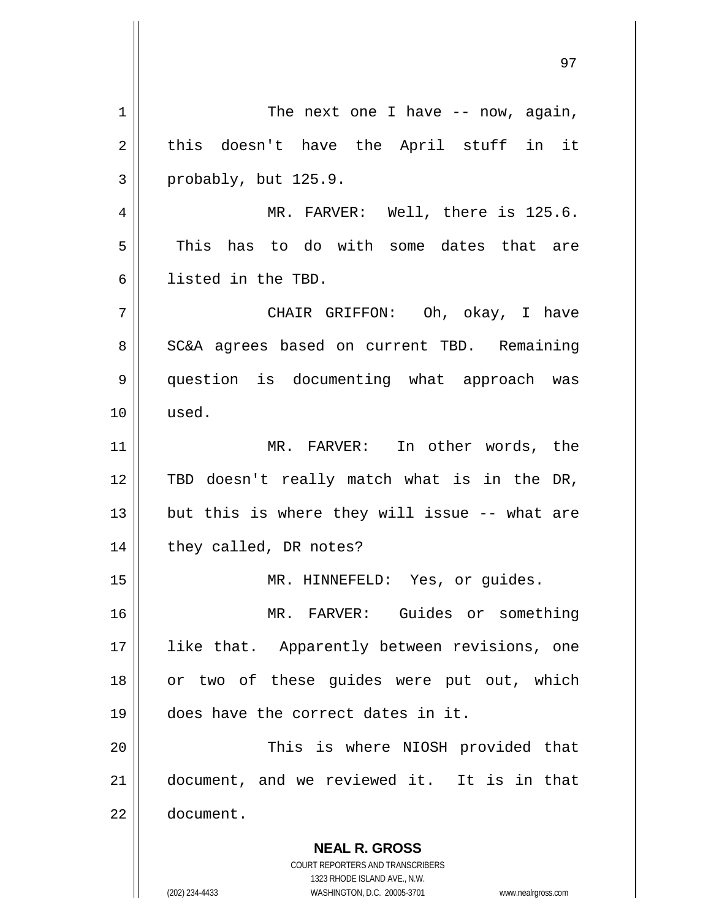**NEAL R. GROSS** COURT REPORTERS AND TRANSCRIBERS 1323 RHODE ISLAND AVE., N.W.  $1 \parallel$  The next one I have -- now, again,  $2 \parallel$  this doesn't have the April stuff in it  $3 \parallel$  probably, but 125.9. 4 || MR. FARVER: Well, there is 125.6. 5 This has to do with some dates that are 6 listed in the TBD. 7 CHAIR GRIFFON: Oh, okay, I have 8 | SC&A agrees based on current TBD. Remaining 9 question is documenting what approach was 10 used. 11 MR. FARVER: In other words, the 12 TBD doesn't really match what is in the DR, 13  $\parallel$  but this is where they will issue -- what are 14 || they called, DR notes? 15 || MR. HINNEFELD: Yes, or guides. 16 MR. FARVER: Guides or something 17 || like that. Apparently between revisions, one 18 || or two of these guides were put out, which 19 does have the correct dates in it. 20 This is where NIOSH provided that 21 document, and we reviewed it. It is in that 22 document.

(202) 234-4433 WASHINGTON, D.C. 20005-3701 www.nealrgross.com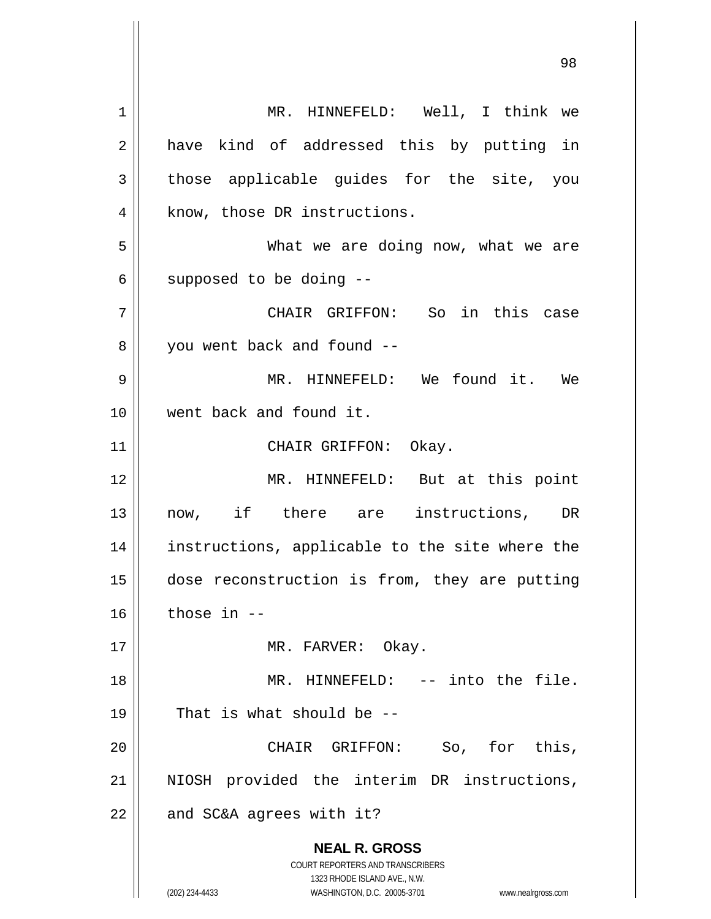**NEAL R. GROSS** COURT REPORTERS AND TRANSCRIBERS 1323 RHODE ISLAND AVE., N.W. (202) 234-4433 WASHINGTON, D.C. 20005-3701 www.nealrgross.com 1 || MR. HINNEFELD: Well, I think we 2 || have kind of addressed this by putting in  $3$  those applicable quides for the site, you 4 || know, those DR instructions. 5 What we are doing now, what we are  $6 \parallel$  supposed to be doing  $-$ 7 CHAIR GRIFFON: So in this case 8 || you went back and found --9 MR. HINNEFELD: We found it. We 10 went back and found it. 11 || CHAIR GRIFFON: Okay. 12 MR. HINNEFELD: But at this point 13 now, if there are instructions, DR 14 instructions, applicable to the site where the 15 dose reconstruction is from, they are putting  $16$  those in  $-$ 17 || MR. FARVER: Okay. 18 MR. HINNEFELD: -- into the file.  $19 \parallel$  That is what should be --20 CHAIR GRIFFON: So, for this, 21 || NIOSH provided the interim DR instructions,  $22$  | and SC&A agrees with it?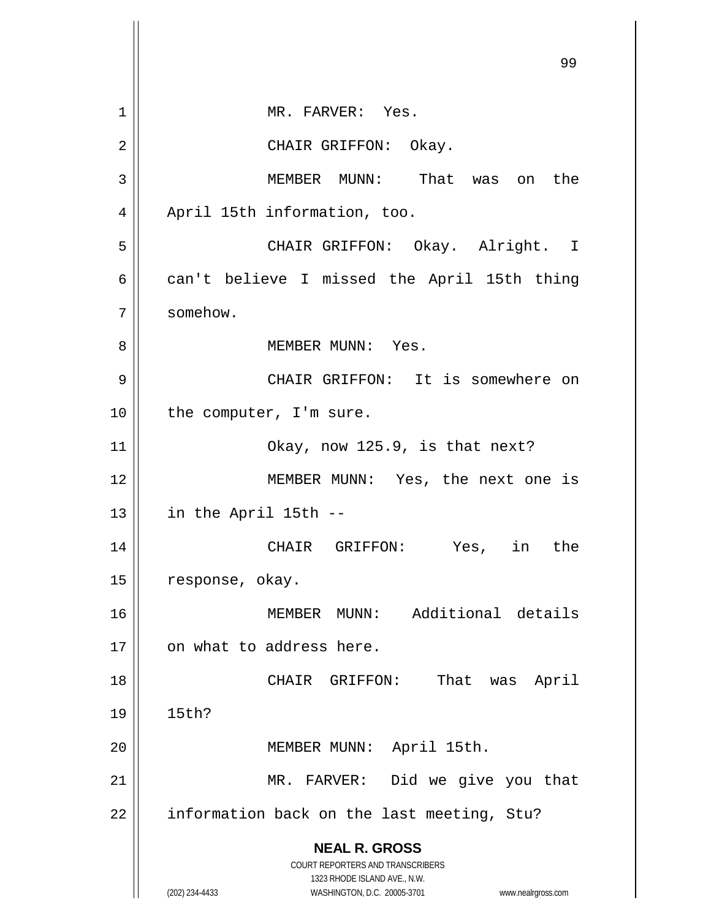**NEAL R. GROSS** COURT REPORTERS AND TRANSCRIBERS 1323 RHODE ISLAND AVE., N.W. (202) 234-4433 WASHINGTON, D.C. 20005-3701 www.nealrgross.com 99 1 || MR. FARVER: Yes. 2 CHAIR GRIFFON: Okay. 3 MEMBER MUNN: That was on the 4 | April 15th information, too. 5 CHAIR GRIFFON: Okay. Alright. I  $6 \parallel$  can't believe I missed the April 15th thing 7 somehow. 8 MEMBER MUNN: Yes. 9 CHAIR GRIFFON: It is somewhere on  $10$  | the computer, I'm sure. 11 || Okay, now 125.9, is that next? 12 || MEMBER MUNN: Yes, the next one is  $13$  || in the April 15th --14 CHAIR GRIFFON: Yes, in the 15 | response, okay. 16 MEMBER MUNN: Additional details 17 || on what to address here. 18 || CHAIR GRIFFON: That was April 19 15th? 20 MEMBER MUNN: April 15th. 21 || MR. FARVER: Did we give you that  $22$  | information back on the last meeting, Stu?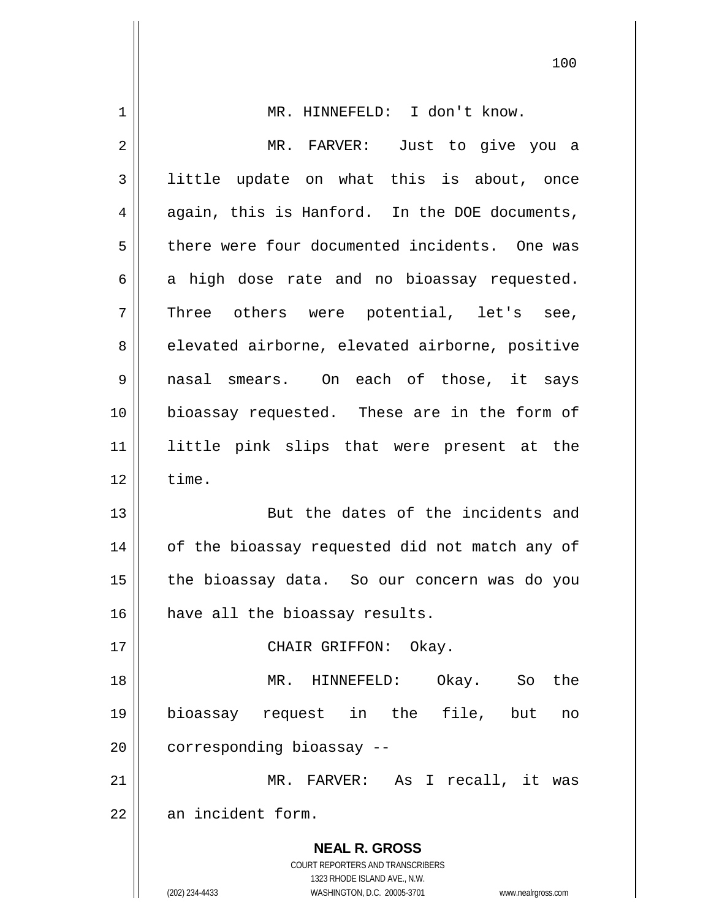| 1  | MR. HINNEFELD: I don't know.                                                                        |
|----|-----------------------------------------------------------------------------------------------------|
| 2  | MR. FARVER: Just to give you a                                                                      |
| 3  | little update on what this is about, once                                                           |
| 4  | again, this is Hanford. In the DOE documents,                                                       |
| 5  | there were four documented incidents. One was                                                       |
| 6  | a high dose rate and no bioassay requested.                                                         |
| 7  | Three others were potential, let's see,                                                             |
| 8  | elevated airborne, elevated airborne, positive                                                      |
| 9  | nasal smears. On each of those, it says                                                             |
| 10 | bioassay requested. These are in the form of                                                        |
| 11 | little pink slips that were present at the                                                          |
| 12 | time.                                                                                               |
| 13 | But the dates of the incidents and                                                                  |
| 14 | of the bioassay requested did not match any of                                                      |
| 15 | the bioassay data. So our concern was do you                                                        |
| 16 | have all the bioassay results.                                                                      |
| 17 | CHAIR GRIFFON: Okay.                                                                                |
| 18 | the<br>MR. HINNEFELD:<br>Okay. So                                                                   |
| 19 | bioassay request in the file, but<br>no                                                             |
| 20 | corresponding bioassay --                                                                           |
| 21 | MR. FARVER: As I recall, it was                                                                     |
| 22 | an incident form.                                                                                   |
|    | <b>NEAL R. GROSS</b>                                                                                |
|    | <b>COURT REPORTERS AND TRANSCRIBERS</b>                                                             |
|    | 1323 RHODE ISLAND AVE., N.W.<br>(202) 234-4433<br>WASHINGTON, D.C. 20005-3701<br>www.nealrgross.com |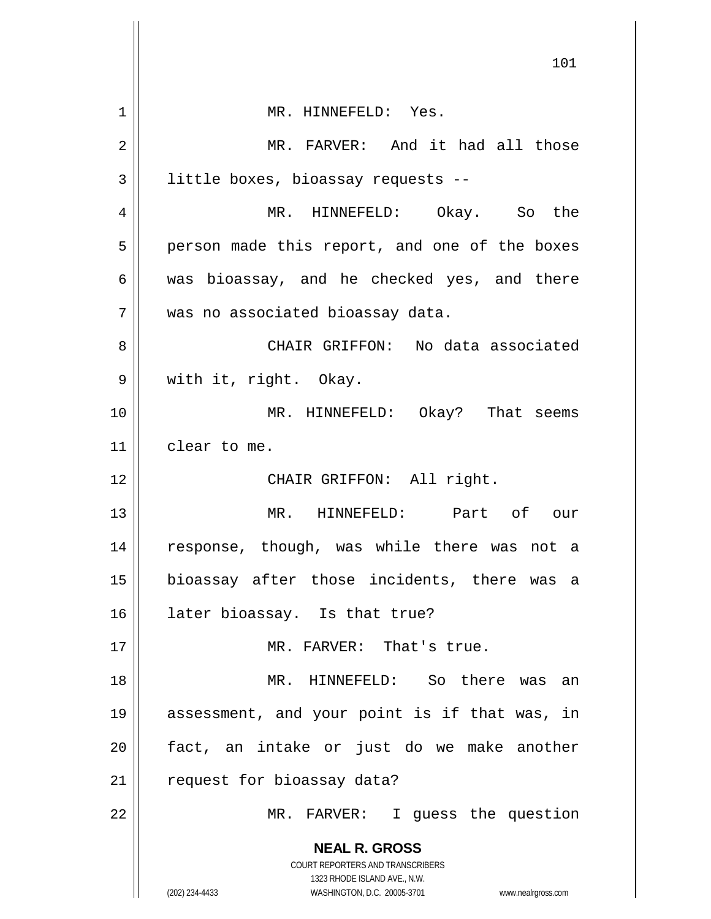|    | 101                                                                                                 |
|----|-----------------------------------------------------------------------------------------------------|
|    |                                                                                                     |
| 1  | MR. HINNEFELD: Yes.                                                                                 |
| 2  | MR. FARVER: And it had all those                                                                    |
| 3  | little boxes, bioassay requests --                                                                  |
| 4  | MR. HINNEFELD: Okay. So the                                                                         |
| 5  | person made this report, and one of the boxes                                                       |
| 6  | was bioassay, and he checked yes, and there                                                         |
| 7  | was no associated bioassay data.                                                                    |
| 8  | CHAIR GRIFFON: No data associated                                                                   |
| 9  | with it, right. Okay.                                                                               |
| 10 | MR. HINNEFELD: Okay? That seems                                                                     |
| 11 | clear to me.                                                                                        |
| 12 | CHAIR GRIFFON: All right.                                                                           |
| 13 | MR. HINNEFELD: Part of our                                                                          |
| 14 | response, though, was while there was not a                                                         |
| 15 | bioassay after those incidents, there was a                                                         |
| 16 | later bioassay. Is that true?                                                                       |
| 17 | MR. FARVER: That's true.                                                                            |
| 18 | MR. HINNEFELD: So there was an                                                                      |
| 19 | assessment, and your point is if that was, in                                                       |
| 20 | fact, an intake or just do we make another                                                          |
| 21 | request for bioassay data?                                                                          |
| 22 | MR. FARVER: I guess the question                                                                    |
|    | <b>NEAL R. GROSS</b>                                                                                |
|    | COURT REPORTERS AND TRANSCRIBERS                                                                    |
|    | 1323 RHODE ISLAND AVE., N.W.<br>(202) 234-4433<br>WASHINGTON, D.C. 20005-3701<br>www.nealrgross.com |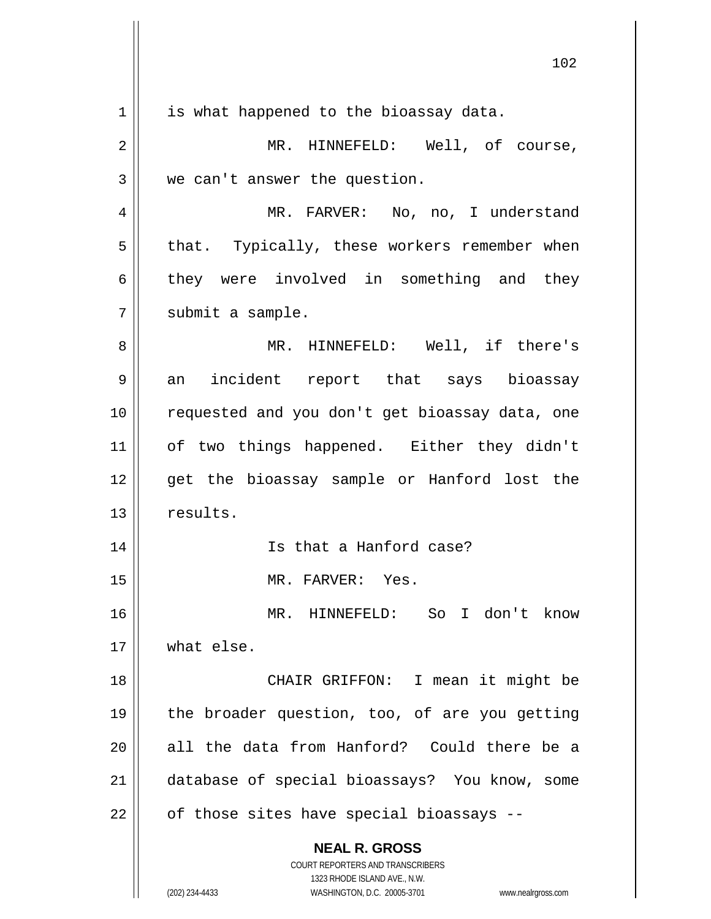| 1  | is what happened to the bioassay data.                                                              |
|----|-----------------------------------------------------------------------------------------------------|
| 2  | MR. HINNEFELD: Well, of course,                                                                     |
| 3  | we can't answer the question.                                                                       |
| 4  | MR. FARVER: No, no, I understand                                                                    |
| 5  | that. Typically, these workers remember when                                                        |
| 6  | they were involved in something and they                                                            |
| 7  | submit a sample.                                                                                    |
| 8  | MR. HINNEFELD: Well, if there's                                                                     |
| 9  | an incident report that says bioassay                                                               |
| 10 | requested and you don't get bioassay data, one                                                      |
| 11 | of two things happened. Either they didn't                                                          |
| 12 | get the bioassay sample or Hanford lost the                                                         |
| 13 | results.                                                                                            |
| 14 | Is that a Hanford case?                                                                             |
| 15 | MR. FARVER: Yes.                                                                                    |
| 16 | MR. HINNEFELD: So I don't know                                                                      |
| 17 | what else.                                                                                          |
| 18 | CHAIR GRIFFON: I mean it might be                                                                   |
| 19 | the broader question, too, of are you getting                                                       |
| 20 | all the data from Hanford? Could there be a                                                         |
| 21 | database of special bioassays? You know, some                                                       |
| 22 | of those sites have special bioassays --                                                            |
|    | <b>NEAL R. GROSS</b>                                                                                |
|    | COURT REPORTERS AND TRANSCRIBERS                                                                    |
|    | 1323 RHODE ISLAND AVE., N.W.<br>WASHINGTON, D.C. 20005-3701<br>(202) 234-4433<br>www.nealrgross.com |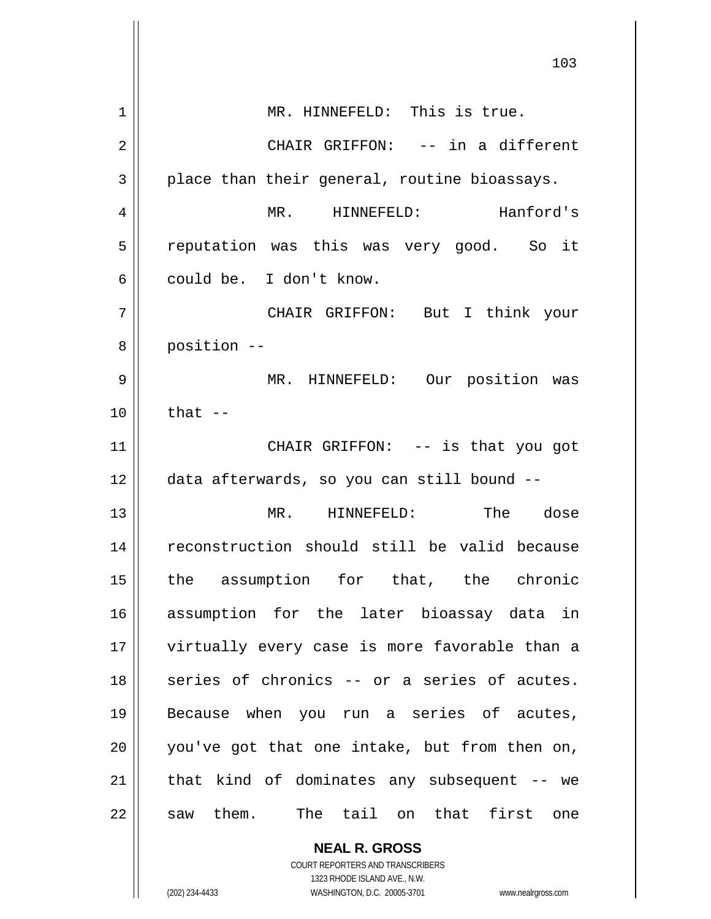|                | 103                                           |
|----------------|-----------------------------------------------|
| 1              | MR. HINNEFELD: This is true.                  |
| $\overline{2}$ | CHAIR GRIFFON: -- in a different              |
| 3              | place than their general, routine bioassays.  |
| 4              | MR. HINNEFELD:<br>Hanford's                   |
| 5              | reputation was this was very good. So it      |
| 6              | could be. I don't know.                       |
| 7              | CHAIR GRIFFON: But I think your               |
| 8              | position --                                   |
| 9              | MR. HINNEFELD: Our position was               |
| 10             | that $--$                                     |
| 11             | CHAIR GRIFFON: -- is that you got             |
| 12             | data afterwards, so you can still bound --    |
| 13             | MR. HINNEFELD:<br>The dose                    |
| 14             | reconstruction should still be valid because  |
| 15             | the assumption for that, the chronic          |
| 16             | assumption for the later bioassay data in     |
| 17             | virtually every case is more favorable than a |
| 18             | series of chronics -- or a series of acutes.  |
| 19             | Because when you run a series of acutes,      |
| 20             | you've got that one intake, but from then on, |
| 21             | that kind of dominates any subsequent -- we   |
| 22             | The tail on that first one<br>saw them.       |
|                | <b>NEAL R. GROSS</b>                          |

COURT REPORTERS AND TRANSCRIBERS 1323 RHODE ISLAND AVE., N.W.

 $\mathsf{II}$ 

(202) 234-4433 WASHINGTON, D.C. 20005-3701 www.nealrgross.com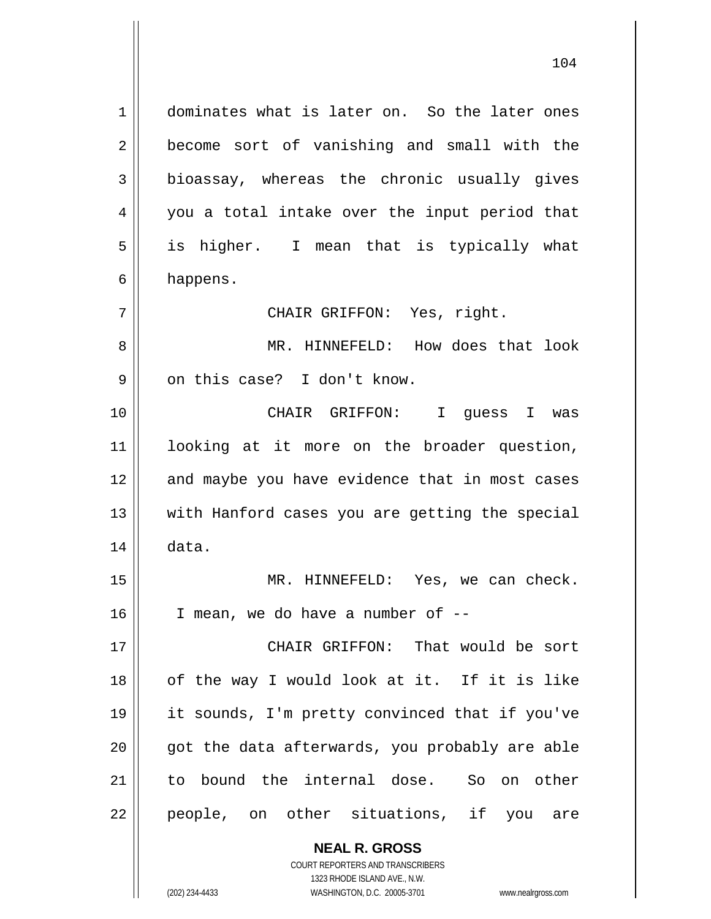**NEAL R. GROSS** 1 dominates what is later on. So the later ones 2 || become sort of vanishing and small with the  $3 \parallel$  bioassay, whereas the chronic usually gives 4 || you a total intake over the input period that 5 || is higher. I mean that is typically what  $6 \parallel$  happens. 7 CHAIR GRIFFON: Yes, right. 8 MR. HINNEFELD: How does that look 9 || on this case? I don't know. 10 CHAIR GRIFFON: I guess I was 11 looking at it more on the broader question, 12 || and maybe you have evidence that in most cases 13 || with Hanford cases you are getting the special  $14 \parallel$  data. 15 MR. HINNEFELD: Yes, we can check. 16 I mean, we do have a number of -- 17 CHAIR GRIFFON: That would be sort  $18$  || of the way I would look at it. If it is like 19 it sounds, I'm pretty convinced that if you've  $20$  || qot the data afterwards, you probably are able 21 to bound the internal dose. So on other 22 || people, on other situations, if you are

> COURT REPORTERS AND TRANSCRIBERS 1323 RHODE ISLAND AVE., N.W.

(202) 234-4433 WASHINGTON, D.C. 20005-3701 www.nealrgross.com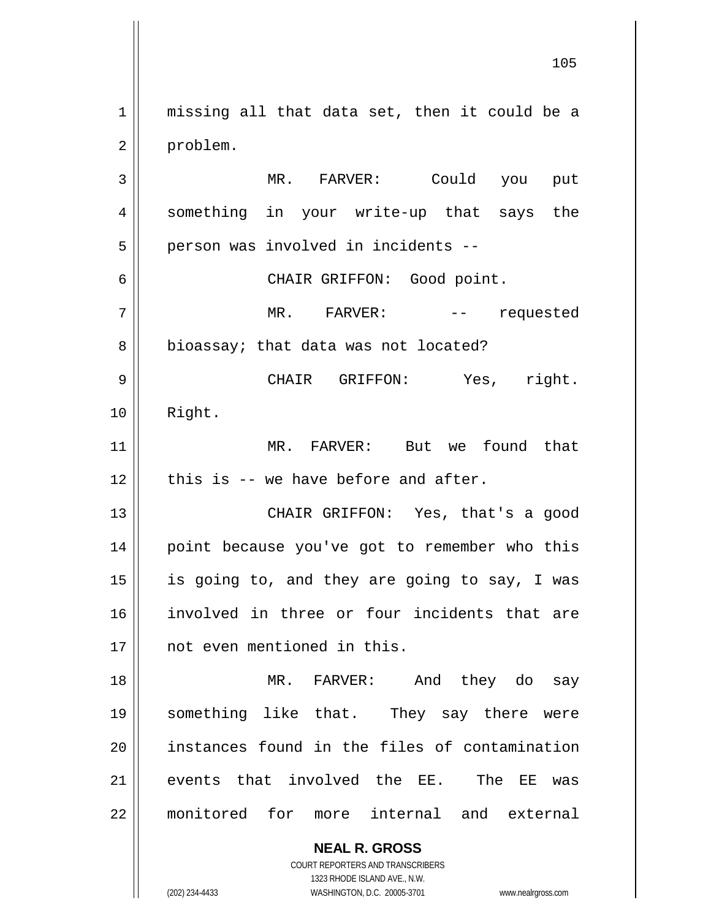**NEAL R. GROSS** 1 || missing all that data set, then it could be a 2 | problem. 3 MR. FARVER: Could you put 4 || something in your write-up that says the  $5 \parallel$  person was involved in incidents --6 CHAIR GRIFFON: Good point. 7 MR. FARVER: -- requested 8 | bioassay; that data was not located? 9 CHAIR GRIFFON: Yes, right. 10 Right. 11 MR. FARVER: But we found that  $12$  | this is -- we have before and after. 13 || CHAIR GRIFFON: Yes, that's a good 14 || point because you've got to remember who this  $15$  is going to, and they are going to say, I was 16 involved in three or four incidents that are 17 not even mentioned in this. 18 MR. FARVER: And they do say 19 something like that. They say there were 20 || instances found in the files of contamination  $21$  events that involved the EE. The EE was 22 monitored for more internal and external

> COURT REPORTERS AND TRANSCRIBERS 1323 RHODE ISLAND AVE., N.W.

(202) 234-4433 WASHINGTON, D.C. 20005-3701 www.nealrgross.com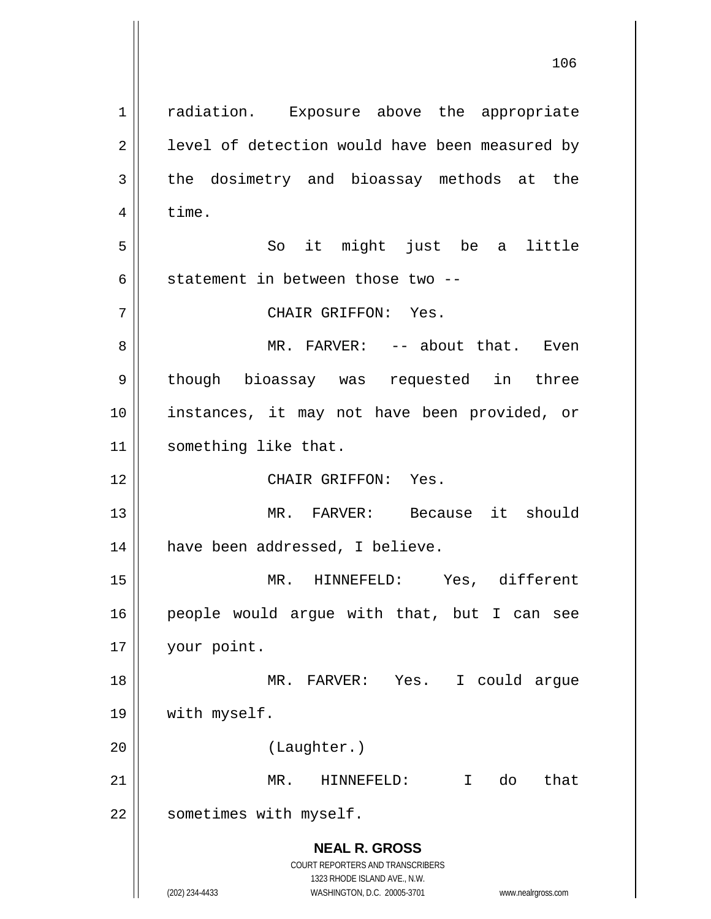**NEAL R. GROSS** COURT REPORTERS AND TRANSCRIBERS 1323 RHODE ISLAND AVE., N.W. (202) 234-4433 WASHINGTON, D.C. 20005-3701 www.nealrgross.com 1 || radiation. Exposure above the appropriate  $2 \parallel$  level of detection would have been measured by  $3 \parallel$  the dosimetry and bioassay methods at the  $4 \parallel$  time. 5 || So it might just be a little 6  $\parallel$  statement in between those two --7 CHAIR GRIFFON: Yes. 8 MR. FARVER: -- about that. Even 9 || though bioassay was requested in three 10 instances, it may not have been provided, or 11 | something like that. 12 CHAIR GRIFFON: Yes. 13 MR. FARVER: Because it should 14 || have been addressed, I believe. 15 MR. HINNEFELD: Yes, different 16 people would argue with that, but I can see 17 your point. 18 MR. FARVER: Yes. I could argue 19 | with myself. 20 (Laughter.) 21 MR. HINNEFELD: I do that 22 | sometimes with myself.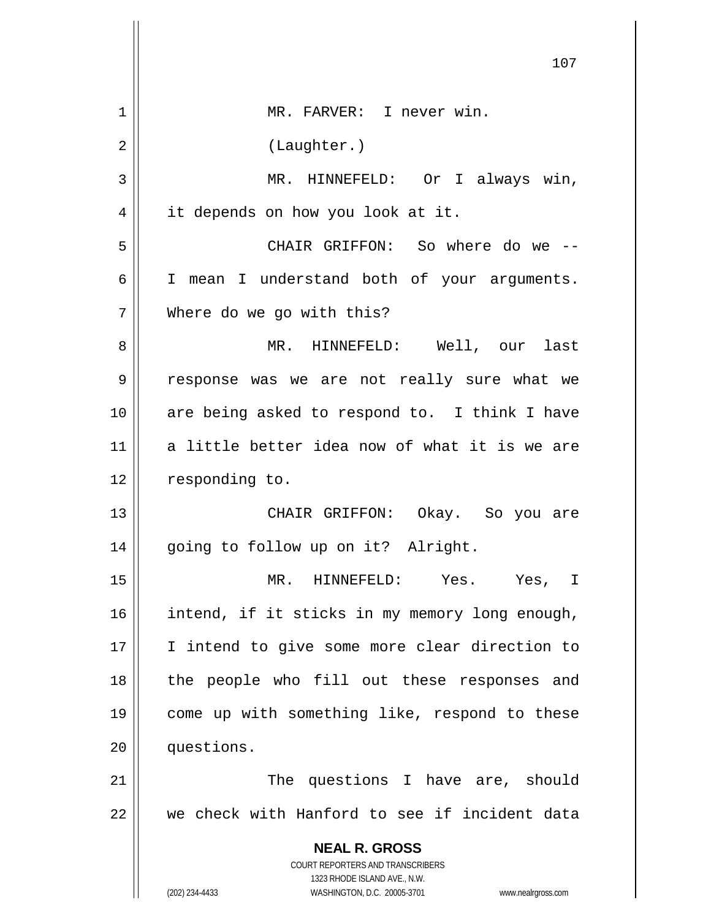|    | 107                                                                                                 |
|----|-----------------------------------------------------------------------------------------------------|
| 1  | MR. FARVER: I never win.                                                                            |
| 2  | (Laughter.)                                                                                         |
| 3  | MR. HINNEFELD: Or I always win,                                                                     |
| 4  | it depends on how you look at it.                                                                   |
| 5  | CHAIR GRIFFON: So where do we --                                                                    |
| 6  | I mean I understand both of your arguments.                                                         |
| 7  | Where do we go with this?                                                                           |
| 8  | MR. HINNEFELD: Well, our last                                                                       |
| 9  | response was we are not really sure what we                                                         |
| 10 | are being asked to respond to. I think I have                                                       |
| 11 | a little better idea now of what it is we are                                                       |
| 12 | responding to.                                                                                      |
| 13 | CHAIR GRIFFON: Okay. So you are                                                                     |
| 14 | going to follow up on it? Alright.                                                                  |
| 15 | MR. HINNEFELD: Yes. Yes, I                                                                          |
| 16 | intend, if it sticks in my memory long enough,                                                      |
| 17 | I intend to give some more clear direction to                                                       |
| 18 | the people who fill out these responses and                                                         |
| 19 | come up with something like, respond to these                                                       |
| 20 | questions.                                                                                          |
| 21 | The questions I have are, should                                                                    |
| 22 | we check with Hanford to see if incident data                                                       |
|    | <b>NEAL R. GROSS</b><br>COURT REPORTERS AND TRANSCRIBERS                                            |
|    | 1323 RHODE ISLAND AVE., N.W.<br>(202) 234-4433<br>WASHINGTON, D.C. 20005-3701<br>www.nealrgross.com |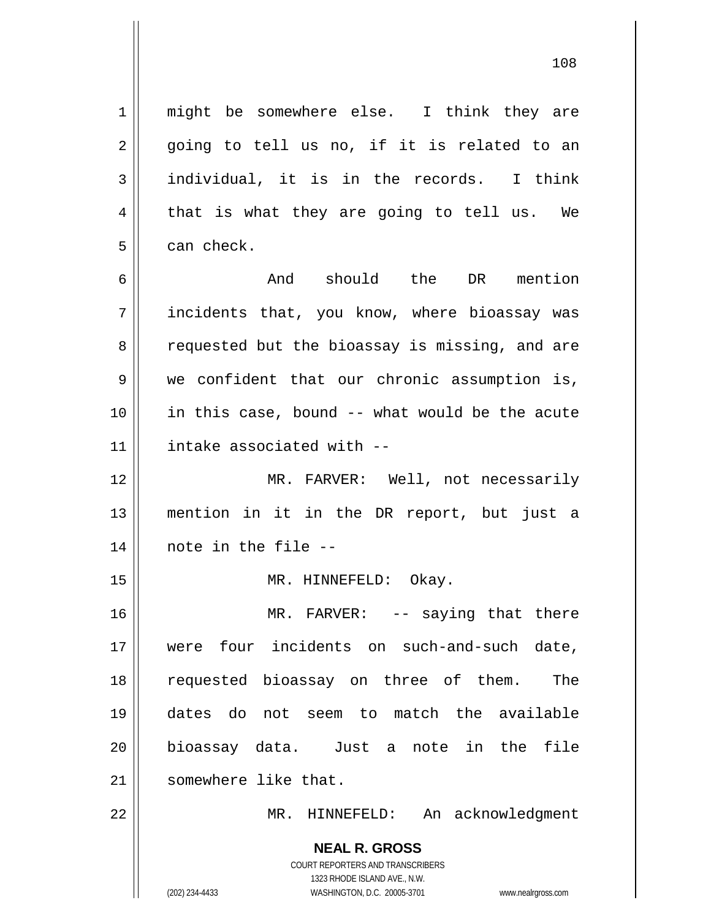**NEAL R. GROSS** 1 || might be somewhere else. I think they are  $2 \parallel$  going to tell us no, if it is related to an  $3 \parallel$  individual, it is in the records. I think  $4 \parallel$  that is what they are going to tell us. We  $5 \parallel$  can check. 6 and should the DR mention  $7$  || incidents that, you know, where bioassay was 8 || requested but the bioassay is missing, and are 9 we confident that our chronic assumption is, 10 in this case, bound -- what would be the acute 11 intake associated with -- 12 MR. FARVER: Well, not necessarily 13 mention in it in the DR report, but just a 14 note in the file -- 15 || MR. HINNEFELD: Okay. 16 || MR. FARVER: -- saying that there 17 were four incidents on such-and-such date, 18 requested bioassay on three of them. The 19 dates do not seem to match the available 20 bioassay data. Just a note in the file 21 | somewhere like that. 22 MR. HINNEFELD: An acknowledgment

> COURT REPORTERS AND TRANSCRIBERS 1323 RHODE ISLAND AVE., N.W.

(202) 234-4433 WASHINGTON, D.C. 20005-3701 www.nealrgross.com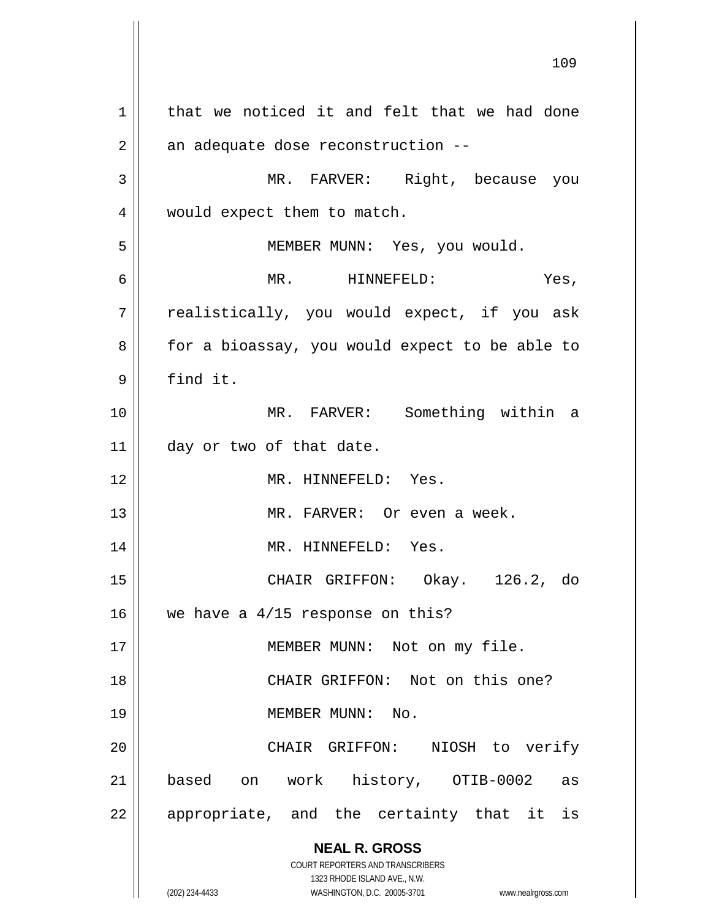**NEAL R. GROSS** COURT REPORTERS AND TRANSCRIBERS 1323 RHODE ISLAND AVE., N.W. (202) 234-4433 WASHINGTON, D.C. 20005-3701 www.nealrgross.com  $1$  that we noticed it and felt that we had done  $2 \parallel$  an adequate dose reconstruction --3 MR. FARVER: Right, because you 4 | would expect them to match. 5 MEMBER MUNN: Yes, you would. 6 MR. HINNEFELD: Yes, 7 | realistically, you would expect, if you ask 8 | for a bioassay, you would expect to be able to 9 find it. 10 MR. FARVER: Something within a 11 | day or two of that date. 12 MR. HINNEFELD: Yes. 13 || MR. FARVER: Or even a week. 14 || MR. HINNEFELD: Yes. 15 CHAIR GRIFFON: Okay. 126.2, do 16  $\parallel$  we have a 4/15 response on this? 17 || MEMBER MUNN: Not on my file. 18 || CHAIR GRIFFON: Not on this one? 19 MEMBER MUNN: No. 20 CHAIR GRIFFON: NIOSH to verify 21 based on work history, OTIB-0002 as  $22$  || appropriate, and the certainty that it is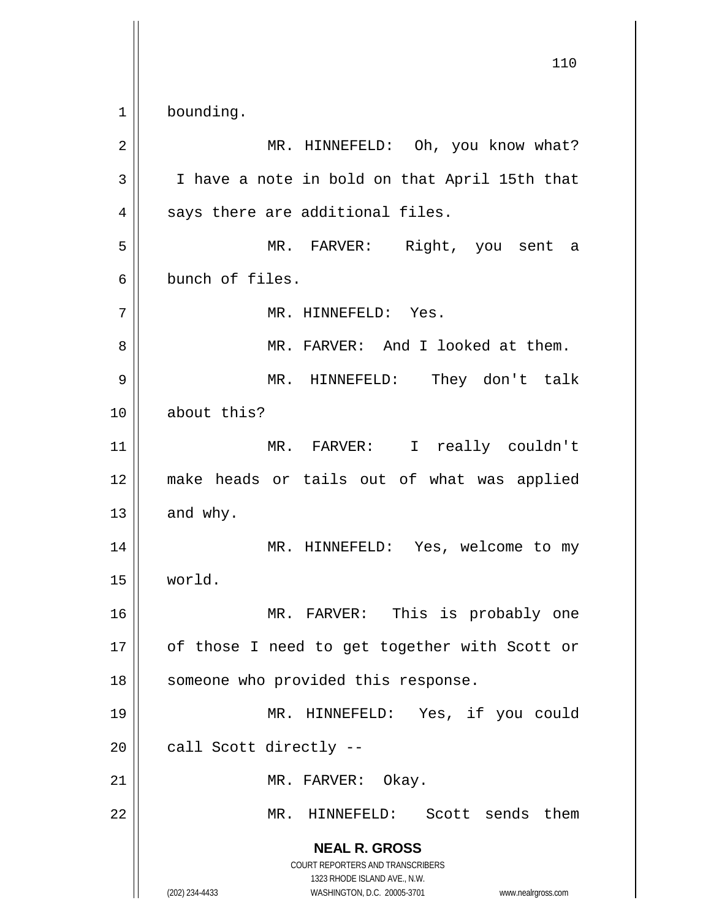**NEAL R. GROSS** COURT REPORTERS AND TRANSCRIBERS 1323 RHODE ISLAND AVE., N.W. (202) 234-4433 WASHINGTON, D.C. 20005-3701 www.nealrgross.com 110 1 bounding. 2 MR. HINNEFELD: Oh, you know what?  $3 \parallel$  I have a note in bold on that April 15th that  $4 \parallel$  says there are additional files. 5 MR. FARVER: Right, you sent a 6 bunch of files. 7 MR. HINNEFELD: Yes. 8 MR. FARVER: And I looked at them. 9 MR. HINNEFELD: They don't talk 10 about this? 11 MR. FARVER: I really couldn't 12 make heads or tails out of what was applied  $13 \parallel$  and why. 14 || MR. HINNEFELD: Yes, welcome to my 15 world. 16 MR. FARVER: This is probably one 17 || of those I need to get together with Scott or 18 || someone who provided this response. 19 MR. HINNEFELD: Yes, if you could  $20$  || call Scott directly --21 | MR. FARVER: Okay. 22 MR. HINNEFELD: Scott sends them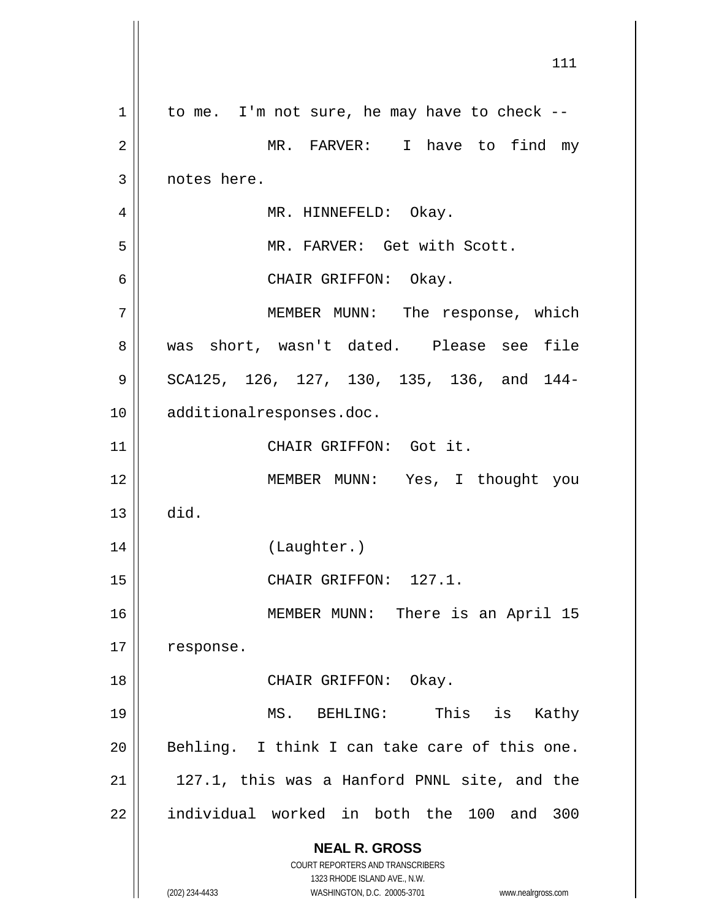**NEAL R. GROSS** COURT REPORTERS AND TRANSCRIBERS 1323 RHODE ISLAND AVE., N.W. (202) 234-4433 WASHINGTON, D.C. 20005-3701 www.nealrgross.com  $1 \parallel$  to me. I'm not sure, he may have to check --2 || MR. FARVER: I have to find my 3 | notes here. 4 | MR. HINNEFELD: Okay. 5 MR. FARVER: Get with Scott. 6 CHAIR GRIFFON: Okay. 7 MEMBER MUNN: The response, which 8 || was short, wasn't dated. Please see file 9 || SCA125, 126, 127, 130, 135, 136, and 144-10 additionalresponses.doc. 11 || CHAIR GRIFFON: Got it. 12 || MEMBER MUNN: Yes, I thought you  $13$  did. 14 || (Laughter.) 15 || CHAIR GRIFFON: 127.1. 16 || MEMBER MUNN: There is an April 15 17 | response. 18 || CHAIR GRIFFON: Okay. 19 MS. BEHLING: This is Kathy  $20$  || Behling. I think I can take care of this one.  $21$  |  $127.1$ , this was a Hanford PNNL site, and the 22 || individual worked in both the 100 and 300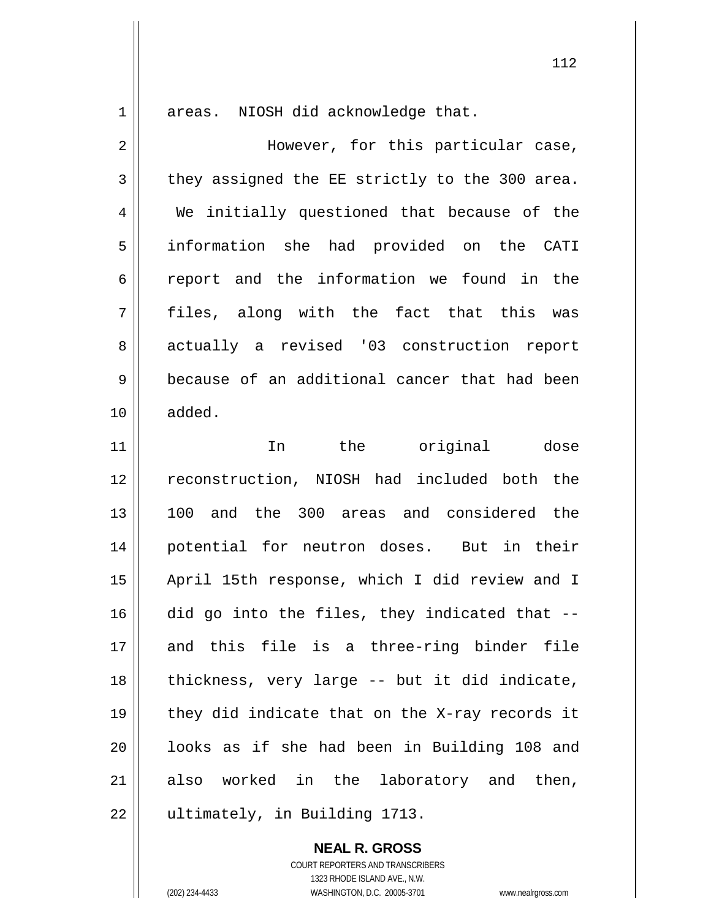1 areas. NIOSH did acknowledge that.

2 However, for this particular case,  $3 \parallel$  they assigned the EE strictly to the 300 area. 4 We initially questioned that because of the 5 information she had provided on the CATI 6 || report and the information we found in the 7 files, along with the fact that this was 8 actually a revised '03 construction report 9 because of an additional cancer that had been 10 added.

11 || In the original dose reconstruction, NIOSH had included both the 100 and the 300 areas and considered the potential for neutron doses. But in their April 15th response, which I did review and I did go into the files, they indicated that  $-$ - and this file is a three-ring binder file 18 || thickness, very large -- but it did indicate,  $\parallel$  they did indicate that on the X-ray records it 20 || looks as if she had been in Building 108 and also worked in the laboratory and then, 22 | ultimately, in Building 1713.

## **NEAL R. GROSS**

COURT REPORTERS AND TRANSCRIBERS 1323 RHODE ISLAND AVE., N.W. (202) 234-4433 WASHINGTON, D.C. 20005-3701 www.nealrgross.com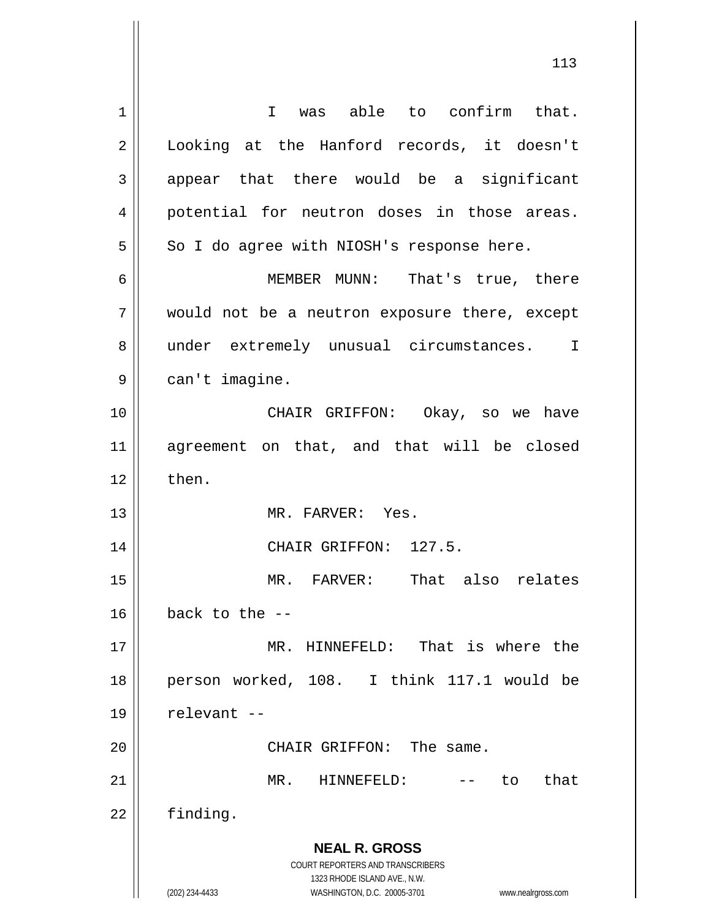**NEAL R. GROSS** COURT REPORTERS AND TRANSCRIBERS 1323 RHODE ISLAND AVE., N.W. (202) 234-4433 WASHINGTON, D.C. 20005-3701 www.nealrgross.com 1 || I was able to confirm that. 2 || Looking at the Hanford records, it doesn't  $3 \parallel$  appear that there would be a significant 4 || potential for neutron doses in those areas.  $5 \parallel$  So I do agree with NIOSH's response here. 6 MEMBER MUNN: That's true, there 7 would not be a neutron exposure there, except 8 || under extremely unusual circumstances. I 9 | can't imagine. 10 CHAIR GRIFFON: Okay, so we have 11 agreement on that, and that will be closed  $12 \parallel$  then. 13 MR. FARVER: Yes. 14 || CHAIR GRIFFON: 127.5. 15 MR. FARVER: That also relates  $16$  | back to the --17 MR. HINNEFELD: That is where the 18 person worked, 108. I think 117.1 would be  $19$  | relevant  $-$ 20 || CHAIR GRIFFON: The same. 21 MR. HINNEFELD: -- to that 22 | finding.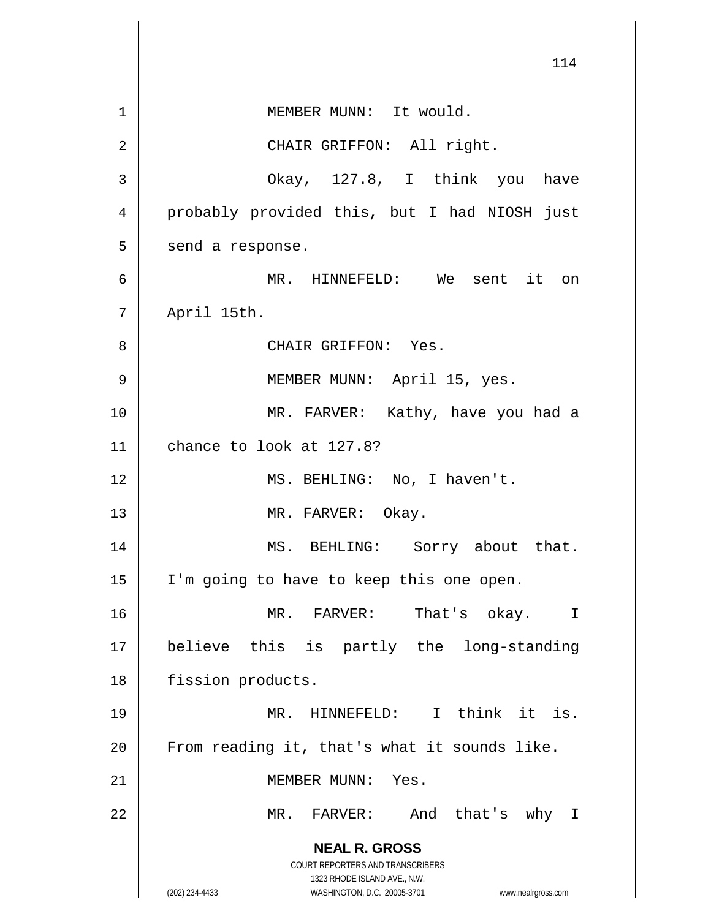**NEAL R. GROSS** COURT REPORTERS AND TRANSCRIBERS 1323 RHODE ISLAND AVE., N.W. (202) 234-4433 WASHINGTON, D.C. 20005-3701 www.nealrgross.com 114 1 | MEMBER MUNN: It would. 2 || CHAIR GRIFFON: All right. 3 Okay, 127.8, I think you have 4 probably provided this, but I had NIOSH just  $5 \parallel$  send a response. 6 MR. HINNEFELD: We sent it on 7 April 15th. 8 CHAIR GRIFFON: Yes. 9 || MEMBER MUNN: April 15, yes. 10 MR. FARVER: Kathy, have you had a 11 chance to look at 127.8? 12 || MS. BEHLING: No, I haven't. 13 || MR. FARVER: Okay. 14 || MS. BEHLING: Sorry about that. 15 I'm going to have to keep this one open. 16 MR. FARVER: That's okay. I 17 believe this is partly the long-standing 18 | fission products. 19 MR. HINNEFELD: I think it is.  $20$  | From reading it, that's what it sounds like. 21 | MEMBER MUNN: Yes. 22 MR. FARVER: And that's why I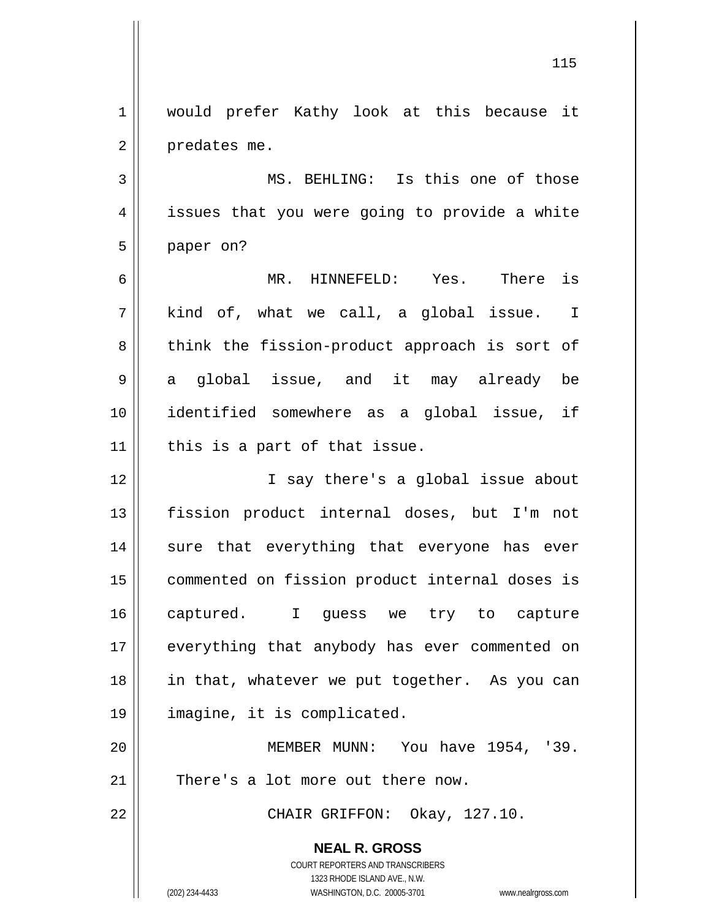**NEAL R. GROSS** COURT REPORTERS AND TRANSCRIBERS 1323 RHODE ISLAND AVE., N.W. (202) 234-4433 WASHINGTON, D.C. 20005-3701 www.nealrgross.com 1 || would prefer Kathy look at this because it  $2 \parallel$  predates me. 3 || MS. BEHLING: Is this one of those 4 || issues that you were going to provide a white 5 | paper on? 6 MR. HINNEFELD: Yes. There is  $7 \parallel$  kind of, what we call, a global issue. I  $8 \parallel$  think the fission-product approach is sort of 9 a global issue, and it may already be 10 identified somewhere as a global issue, if  $11$  | this is a part of that issue. 12 || I say there's a global issue about 13 fission product internal doses, but I'm not 14 || sure that everything that everyone has ever 15 commented on fission product internal doses is 16 captured. I guess we try to capture 17 || everything that anybody has ever commented on 18 in that, whatever we put together. As you can 19 imagine, it is complicated. 20 MEMBER MUNN: You have 1954, '39.  $21$   $\parallel$  There's a lot more out there now. 22 || CHAIR GRIFFON: Okay, 127.10.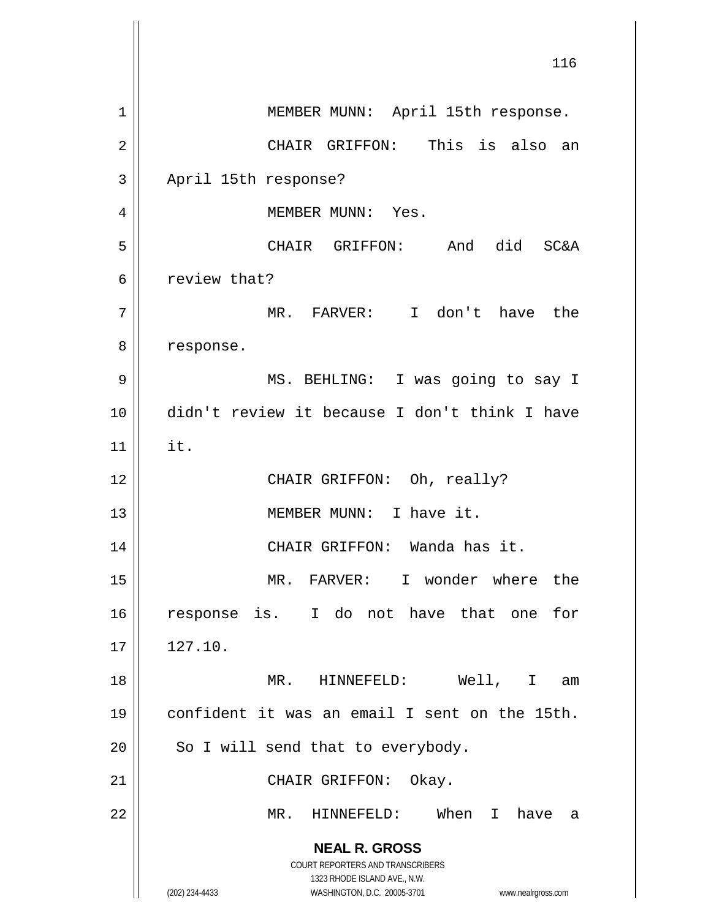**NEAL R. GROSS** COURT REPORTERS AND TRANSCRIBERS 1323 RHODE ISLAND AVE., N.W. (202) 234-4433 WASHINGTON, D.C. 20005-3701 www.nealrgross.com 116 1 | MEMBER MUNN: April 15th response. 2 CHAIR GRIFFON: This is also an 3 | April 15th response? 4 MEMBER MUNN: Yes. 5 CHAIR GRIFFON: And did SC&A 6 | review that? 7 MR. FARVER: I don't have the 8 | response. 9 || MS. BEHLING: I was going to say I 10 didn't review it because I don't think I have  $11$  | it. 12 || CHAIR GRIFFON: Oh, really? 13 || MEMBER MUNN: I have it. 14 || CHAIR GRIFFON: Wanda has it. 15 MR. FARVER: I wonder where the 16 response is. I do not have that one for  $17 \parallel 127.10.$ 18 MR. HINNEFELD: Well, I am 19 confident it was an email I sent on the 15th.  $20$  || So I will send that to everybody. 21 || CHAIR GRIFFON: Okay. 22 MR. HINNEFELD: When I have a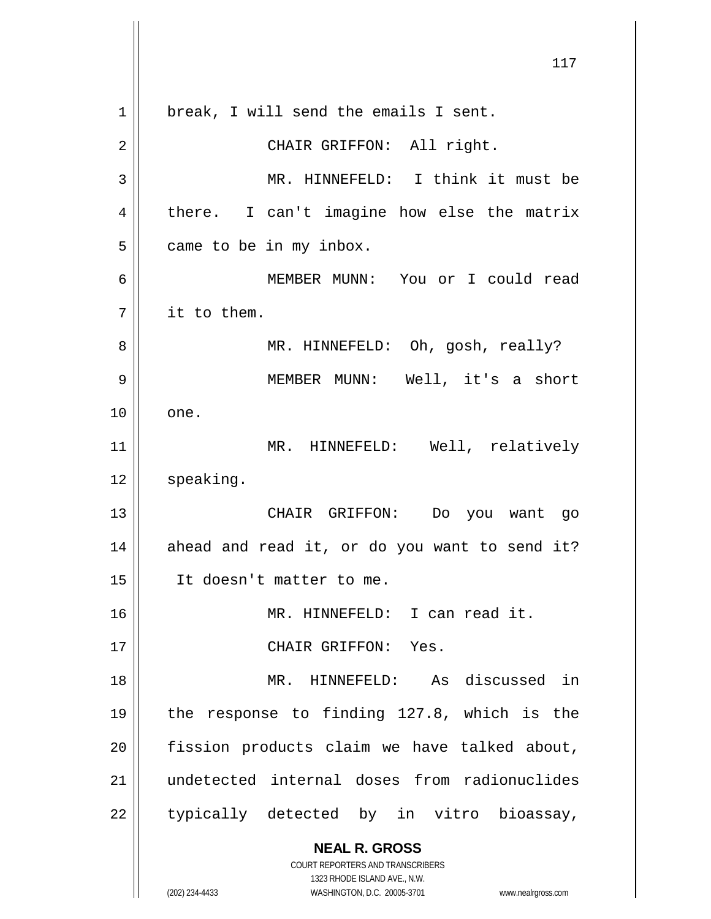**NEAL R. GROSS** COURT REPORTERS AND TRANSCRIBERS 1323 RHODE ISLAND AVE., N.W. (202) 234-4433 WASHINGTON, D.C. 20005-3701 www.nealrgross.com 1 || break, I will send the emails I sent. 2 || CHAIR GRIFFON: All right. 3 MR. HINNEFELD: I think it must be  $4 \parallel$  there. I can't imagine how else the matrix  $5$  || came to be in my inbox. 6 MEMBER MUNN: You or I could read 7 it to them. 8 MR. HINNEFELD: Oh, gosh, really? 9 || MEMBER MUNN: Well, it's a short  $10 \parallel$  one. 11 || MR. HINNEFELD: Well, relatively 12 | speaking. 13 CHAIR GRIFFON: Do you want go  $14$  ahead and read it, or do you want to send it? 15 It doesn't matter to me. 16 MR. HINNEFELD: I can read it. 17 || CHAIR GRIFFON: Yes. 18 MR. HINNEFELD: As discussed in 19 the response to finding 127.8, which is the  $20$  || fission products claim we have talked about, 21 undetected internal doses from radionuclides  $22$  || typically detected by in vitro bioassay,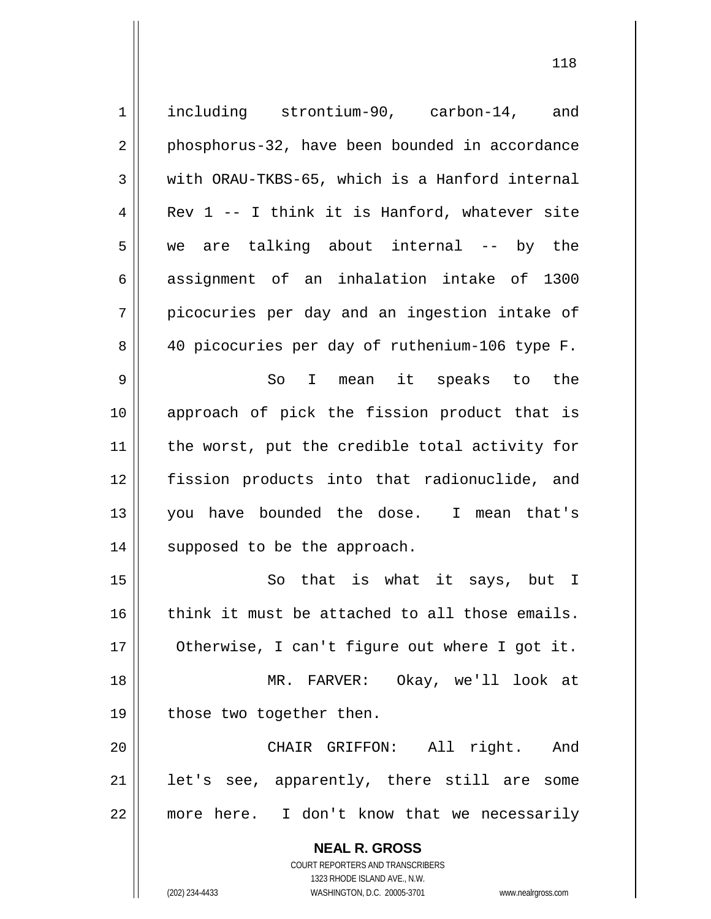**NEAL R. GROSS** COURT REPORTERS AND TRANSCRIBERS 1323 RHODE ISLAND AVE., N.W. 1 including strontium-90, carbon-14, and 2 || phosphorus-32, have been bounded in accordance  $3 \parallel$  with ORAU-TKBS-65, which is a Hanford internal  $4 \parallel$  Rev 1 -- I think it is Hanford, whatever site 5 we are talking about internal -- by the 6 assignment of an inhalation intake of 1300  $7 \parallel$  picocuries per day and an ingestion intake of 8 || 40 picocuries per day of ruthenium-106 type F. 9 So I mean it speaks to the 10 approach of pick the fission product that is 11 || the worst, put the credible total activity for 12 fission products into that radionuclide, and 13 you have bounded the dose. I mean that's 14 || supposed to be the approach. 15 || So that is what it says, but I  $16$  think it must be attached to all those emails. 17 | Otherwise, I can't figure out where I got it. 18 MR. FARVER: Okay, we'll look at 19 || those two together then. 20 CHAIR GRIFFON: All right. And  $21$  | let's see, apparently, there still are some 22 more here. I don't know that we necessarily

(202) 234-4433 WASHINGTON, D.C. 20005-3701 www.nealrgross.com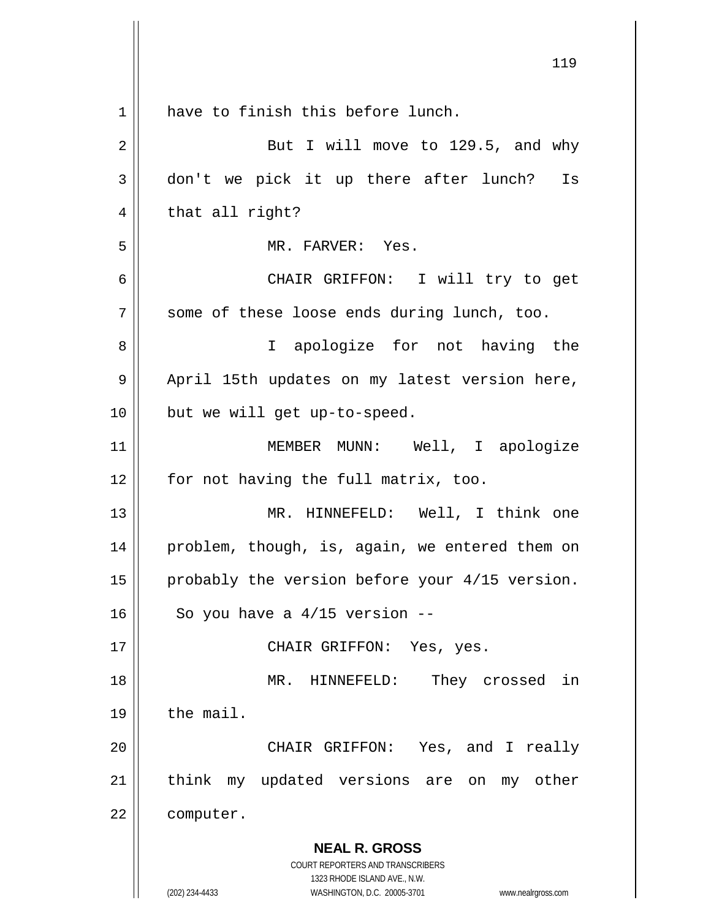|    | 119                                                                 |
|----|---------------------------------------------------------------------|
| 1  | have to finish this before lunch.                                   |
| 2  | But I will move to 129.5, and why                                   |
| 3  | don't we pick it up there after lunch? Is                           |
| 4  | that all right?                                                     |
| 5  | MR. FARVER: Yes.                                                    |
| 6  | CHAIR GRIFFON: I will try to get                                    |
| 7  | some of these loose ends during lunch, too.                         |
| 8  | I apologize for not having the                                      |
| 9  | April 15th updates on my latest version here,                       |
| 10 | but we will get up-to-speed.                                        |
| 11 | MEMBER MUNN: Well, I apologize                                      |
| 12 | for not having the full matrix, too.                                |
| 13 | MR. HINNEFELD: Well, I think one                                    |
| 14 | problem, though, is, again, we entered them on                      |
| 15 | probably the version before your 4/15 version.                      |
| 16 | So you have a $4/15$ version --                                     |
| 17 | CHAIR GRIFFON: Yes, yes.                                            |
| 18 | MR. HINNEFELD:<br>They crossed in                                   |
| 19 | the mail.                                                           |
| 20 | CHAIR GRIFFON: Yes, and I really                                    |
| 21 | think my updated versions are<br>on my other                        |
| 22 | computer.                                                           |
|    | <b>NEAL R. GROSS</b>                                                |
|    | COURT REPORTERS AND TRANSCRIBERS<br>1323 RHODE ISLAND AVE., N.W.    |
|    | (202) 234-4433<br>WASHINGTON, D.C. 20005-3701<br>www.nealrgross.com |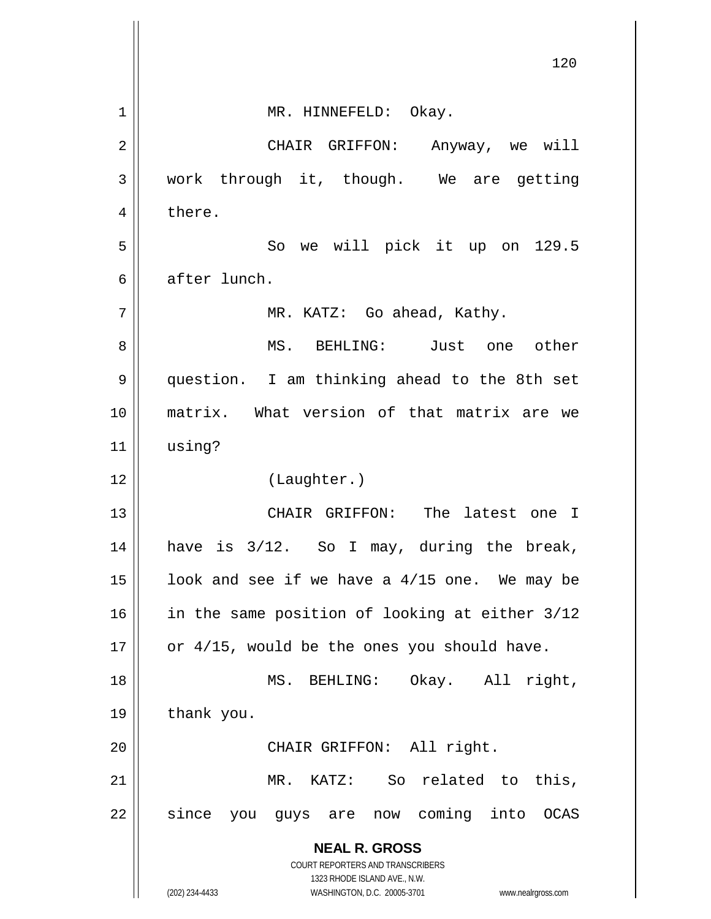|    | 120                                                                 |
|----|---------------------------------------------------------------------|
| 1  | MR. HINNEFELD: Okay.                                                |
| 2  | CHAIR GRIFFON: Anyway, we will                                      |
| 3  | work through it, though. We are getting                             |
| 4  | there.                                                              |
| 5  | So we will pick it up on 129.5                                      |
| 6  | after lunch.                                                        |
| 7  | MR. KATZ: Go ahead, Kathy.                                          |
| 8  | MS. BEHLING: Just one other                                         |
| 9  | question. I am thinking ahead to the 8th set                        |
| 10 | matrix. What version of that matrix are we                          |
| 11 | using?                                                              |
| 12 | (Laughter.)                                                         |
| 13 | CHAIR GRIFFON: The latest one I                                     |
| 14 | is 3/12. So I may, during the break,<br>have                        |
| 15 | look and see if we have a 4/15 one. We may be                       |
| 16 | in the same position of looking at either 3/12                      |
| 17 | or 4/15, would be the ones you should have.                         |
| 18 | MS. BEHLING: Okay. All right,                                       |
| 19 | thank you.                                                          |
| 20 | CHAIR GRIFFON: All right.                                           |
| 21 | MR. KATZ: So related to this,                                       |
| 22 | since you guys are now coming into OCAS                             |
|    | <b>NEAL R. GROSS</b>                                                |
|    | COURT REPORTERS AND TRANSCRIBERS<br>1323 RHODE ISLAND AVE., N.W.    |
|    | (202) 234-4433<br>WASHINGTON, D.C. 20005-3701<br>www.nealrgross.com |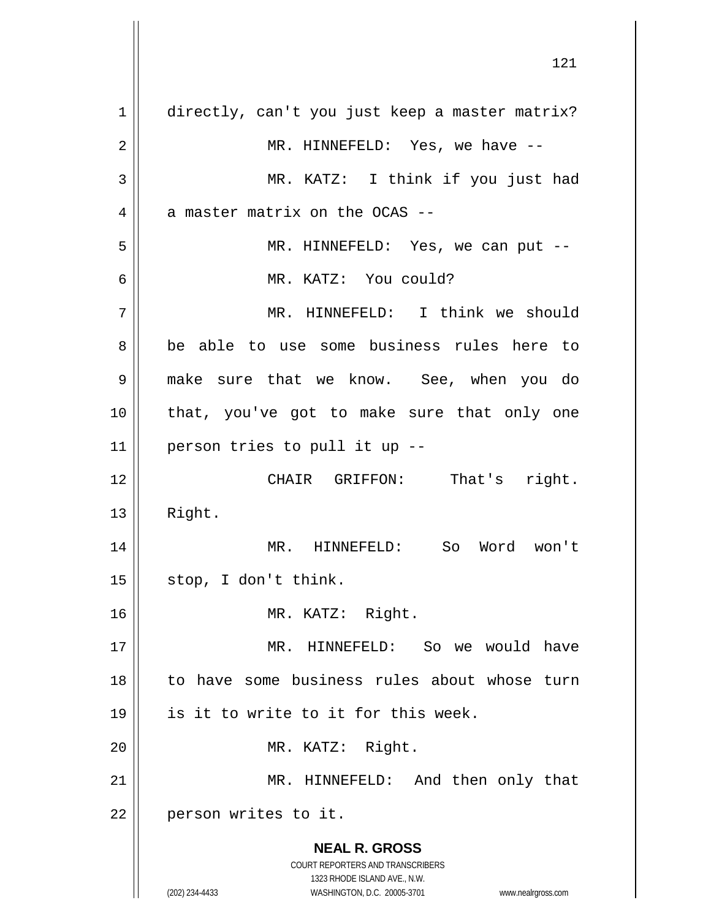**NEAL R. GROSS** COURT REPORTERS AND TRANSCRIBERS 1323 RHODE ISLAND AVE., N.W. (202) 234-4433 WASHINGTON, D.C. 20005-3701 www.nealrgross.com 1 directly, can't you just keep a master matrix? 2 MR. HINNEFELD: Yes, we have -- 3 MR. KATZ: I think if you just had  $4$  | a master matrix on the OCAS --5 MR. HINNEFELD: Yes, we can put -- 6 MR. KATZ: You could? 7 MR. HINNEFELD: I think we should 8 be able to use some business rules here to 9 make sure that we know. See, when you do 10 that, you've got to make sure that only one  $11$  | person tries to pull it up  $-$ 12 || CHAIR GRIFFON: That's right.  $13$  | Right. 14 || MR. HINNEFELD: So Word won't  $15 \parallel$  stop, I don't think. 16 MR. KATZ: Right. 17 MR. HINNEFELD: So we would have 18 to have some business rules about whose turn  $19$  || is it to write to it for this week. 20 || MR. KATZ: Right. 21 || MR. HINNEFELD: And then only that 22 | person writes to it.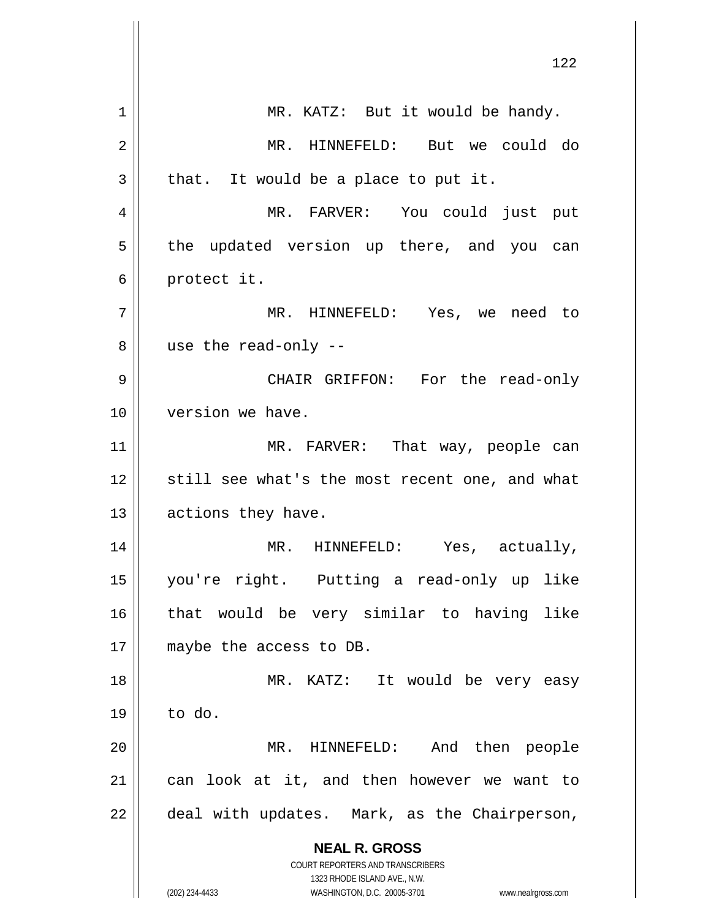|    | 122                                                                                                 |
|----|-----------------------------------------------------------------------------------------------------|
| 1  | MR. KATZ: But it would be handy.                                                                    |
| 2  | MR. HINNEFELD: But we could do                                                                      |
| 3  | that. It would be a place to put it.                                                                |
| 4  | MR. FARVER: You could just put                                                                      |
| 5  | the updated version up there, and you can                                                           |
|    |                                                                                                     |
| 6  | protect it.                                                                                         |
| 7  | MR. HINNEFELD: Yes, we need to                                                                      |
| 8  | use the read-only --                                                                                |
| 9  | CHAIR GRIFFON: For the read-only                                                                    |
| 10 | version we have.                                                                                    |
| 11 | MR. FARVER: That way, people can                                                                    |
| 12 | still see what's the most recent one, and what                                                      |
| 13 | actions they have.                                                                                  |
| 14 | MR. HINNEFELD: Yes, actually,                                                                       |
| 15 | you're right. Putting a read-only up like                                                           |
| 16 | that would be very similar to having like                                                           |
| 17 | maybe the access to DB.                                                                             |
| 18 | MR. KATZ: It would be very easy                                                                     |
| 19 | to do.                                                                                              |
| 20 | MR. HINNEFELD: And then people                                                                      |
| 21 | can look at it, and then however we want to                                                         |
| 22 | deal with updates. Mark, as the Chairperson,                                                        |
|    | <b>NEAL R. GROSS</b>                                                                                |
|    | COURT REPORTERS AND TRANSCRIBERS                                                                    |
|    | 1323 RHODE ISLAND AVE., N.W.<br>(202) 234-4433<br>WASHINGTON, D.C. 20005-3701<br>www.nealrgross.com |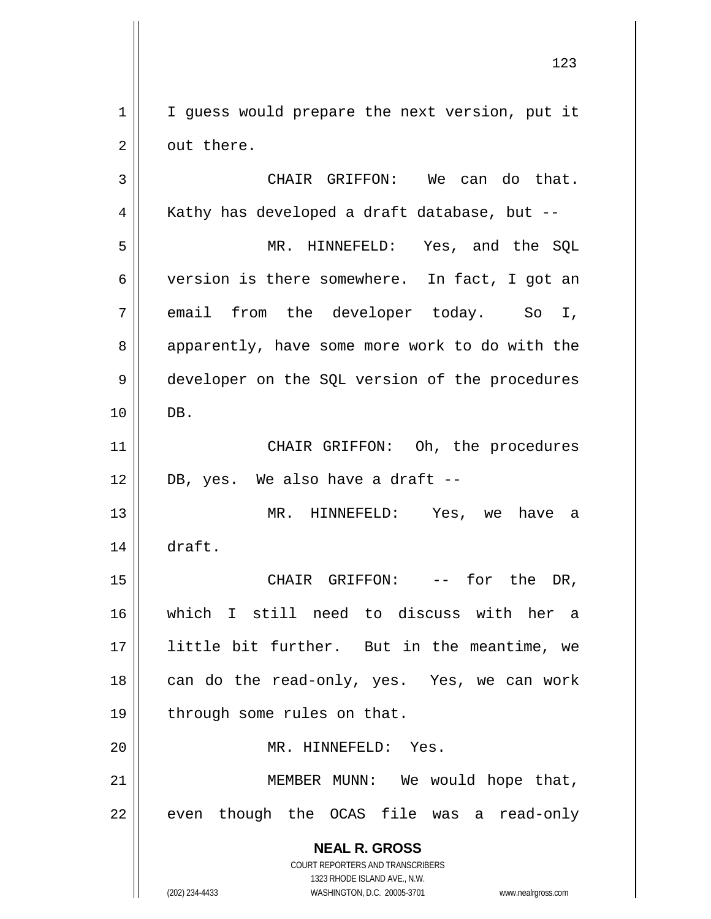1 | I guess would prepare the next version, put it  $2 \parallel$  out there.

**NEAL R. GROSS** COURT REPORTERS AND TRANSCRIBERS 1323 RHODE ISLAND AVE., N.W. (202) 234-4433 WASHINGTON, D.C. 20005-3701 www.nealrgross.com 3 CHAIR GRIFFON: We can do that.  $4 \parallel$  Kathy has developed a draft database, but --5 MR. HINNEFELD: Yes, and the SQL 6 version is there somewhere. In fact, I got an  $7 \parallel$  email from the developer today. So I, 8 apparently, have some more work to do with the 9 developer on the SQL version of the procedures 10 DB. 11 || CHAIR GRIFFON: Oh, the procedures  $12 \parallel$  DB, yes. We also have a draft --13 MR. HINNEFELD: Yes, we have a 14 draft. 15 CHAIR GRIFFON: -- for the DR, 16 which I still need to discuss with her a 17 little bit further. But in the meantime, we 18 || can do the read-only, yes. Yes, we can work 19  $\parallel$  through some rules on that. 20 MR. HINNEFELD: Yes. 21 MEMBER MUNN: We would hope that, 22 || even though the OCAS file was a read-only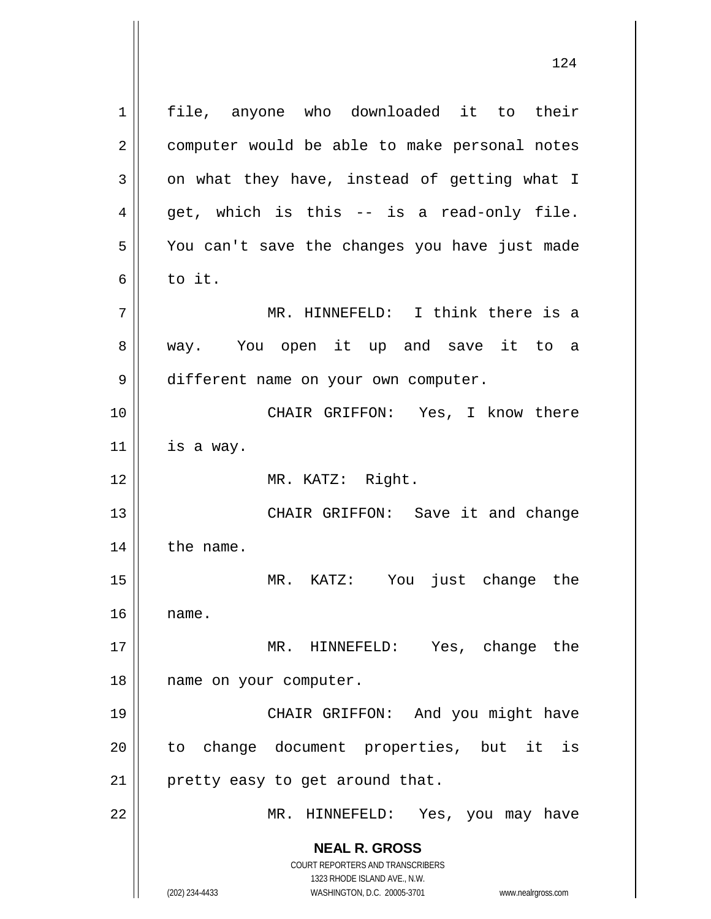**NEAL R. GROSS** COURT REPORTERS AND TRANSCRIBERS 1323 RHODE ISLAND AVE., N.W. 1 || file, anyone who downloaded it to their 2 | computer would be able to make personal notes  $3 \parallel$  on what they have, instead of getting what I  $4 \parallel$  get, which is this -- is a read-only file. 5 || You can't save the changes you have just made  $6 \parallel$  to it. 7 MR. HINNEFELD: I think there is a 8 || way. You open it up and save it to a 9 different name on your own computer. 10 || CHAIR GRIFFON: Yes, I know there  $11$  is a way. 12 MR. KATZ: Right. 13 || CHAIR GRIFFON: Save it and change  $14$  | the name. 15 MR. KATZ: You just change the  $16$   $\parallel$  name. 17 MR. HINNEFELD: Yes, change the 18 || name on your computer. 19 CHAIR GRIFFON: And you might have 20 || to change document properties, but it is  $21$  | pretty easy to get around that. 22 MR. HINNEFELD: Yes, you may have

(202) 234-4433 WASHINGTON, D.C. 20005-3701 www.nealrgross.com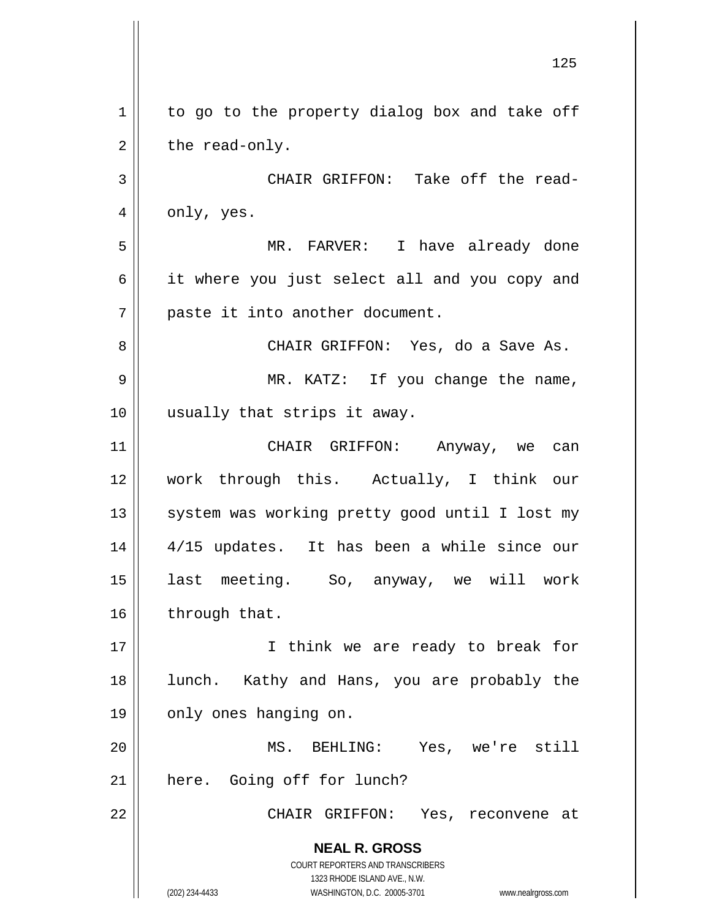**NEAL R. GROSS** COURT REPORTERS AND TRANSCRIBERS 1323 RHODE ISLAND AVE., N.W. (202) 234-4433 WASHINGTON, D.C. 20005-3701 www.nealrgross.com  $1 \parallel$  to go to the property dialog box and take off  $2 \parallel$  the read-only. 3 CHAIR GRIFFON: Take off the read- $4 \parallel$  only, yes. 5 MR. FARVER: I have already done 6 || it where you just select all and you copy and 7 || paste it into another document. 8 CHAIR GRIFFON: Yes, do a Save As. 9 MR. KATZ: If you change the name, 10 usually that strips it away. 11 CHAIR GRIFFON: Anyway, we can 12 work through this. Actually, I think our 13 || system was working pretty good until I lost my 14 4/15 updates. It has been a while since our 15 last meeting. So, anyway, we will work  $16$  | through that. 17 || I think we are ready to break for 18 || lunch. Kathy and Hans, you are probably the 19 || only ones hanging on. 20 MS. BEHLING: Yes, we're still 21 | here. Going off for lunch? 22 CHAIR GRIFFON: Yes, reconvene at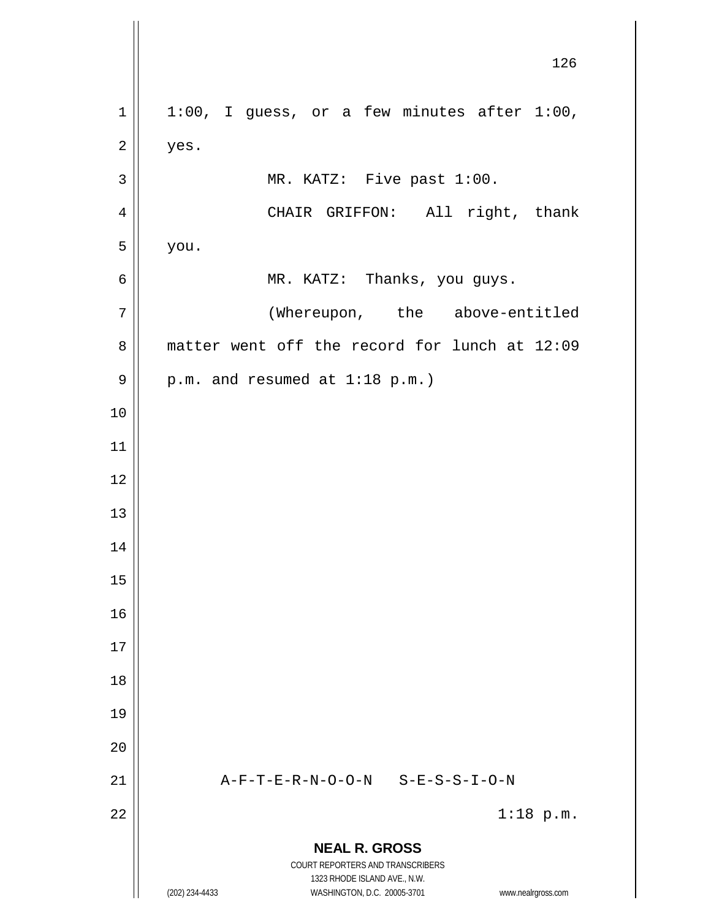**NEAL R. GROSS** COURT REPORTERS AND TRANSCRIBERS 1323 RHODE ISLAND AVE., N.W. (202) 234-4433 WASHINGTON, D.C. 20005-3701 www.nealrgross.com 126  $1 \parallel 1:00$ , I guess, or a few minutes after 1:00,  $2 \parallel$  yes.  $3 \parallel$  MR. KATZ: Five past 1:00. 4 | CHAIR GRIFFON: All right, thank  $5 \parallel$  you. 6 MR. KATZ: Thanks, you guys. 7 | (Whereupon, the above-entitled 8 matter went off the record for lunch at 12:09  $9 \parallel$  p.m. and resumed at 1:18 p.m.) 10 11 12 13 14 15 16 17 18 19 20 21  $\parallel$  A-F-T-E-R-N-O-O-N S-E-S-S-I-O-N  $22 \parallel$  1:18 p.m.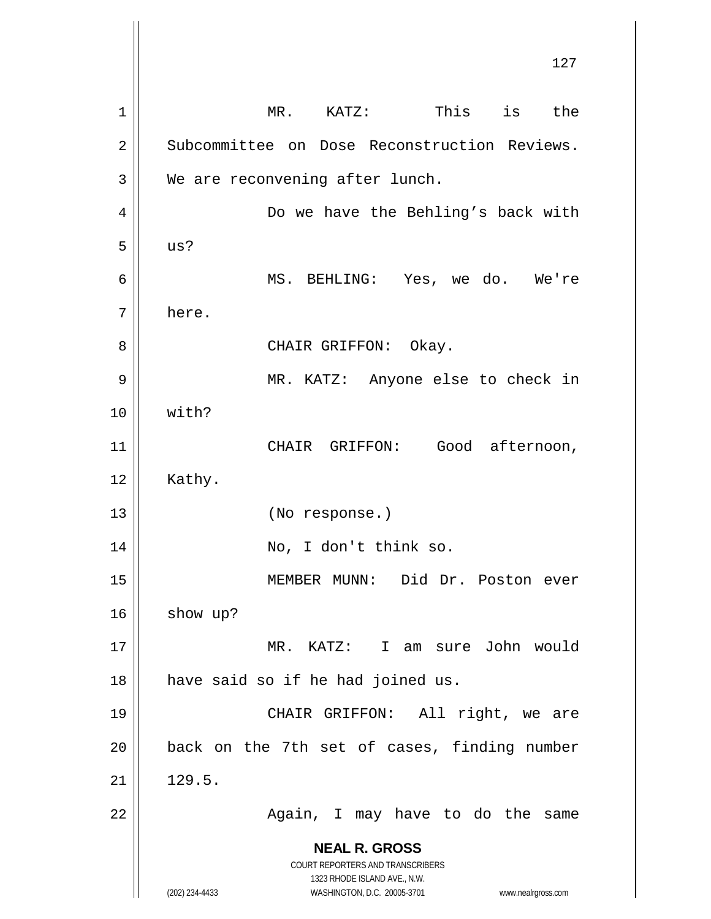**NEAL R. GROSS** COURT REPORTERS AND TRANSCRIBERS 1323 RHODE ISLAND AVE., N.W. (202) 234-4433 WASHINGTON, D.C. 20005-3701 www.nealrgross.com 127 1 || MR. KATZ: This is the 2 Subcommittee on Dose Reconstruction Reviews.  $3 \parallel$  We are reconvening after lunch. 4 Do we have the Behling's back with  $5 \parallel \quad \text{us?}$ 6 MS. BEHLING: Yes, we do. We're 7 here. 8 CHAIR GRIFFON: Okay. 9 MR. KATZ: Anyone else to check in 10 with? 11 || CHAIR GRIFFON: Good afternoon,  $12 \parallel$  Kathy. 13 (No response.) 14 || No, I don't think so. 15 MEMBER MUNN: Did Dr. Poston ever 16 show up? 17 MR. KATZ: I am sure John would  $18$  | have said so if he had joined us. 19 CHAIR GRIFFON: All right, we are  $20$  || back on the 7th set of cases, finding number  $21 \parallel 129.5.$ 22 || Again, I may have to do the same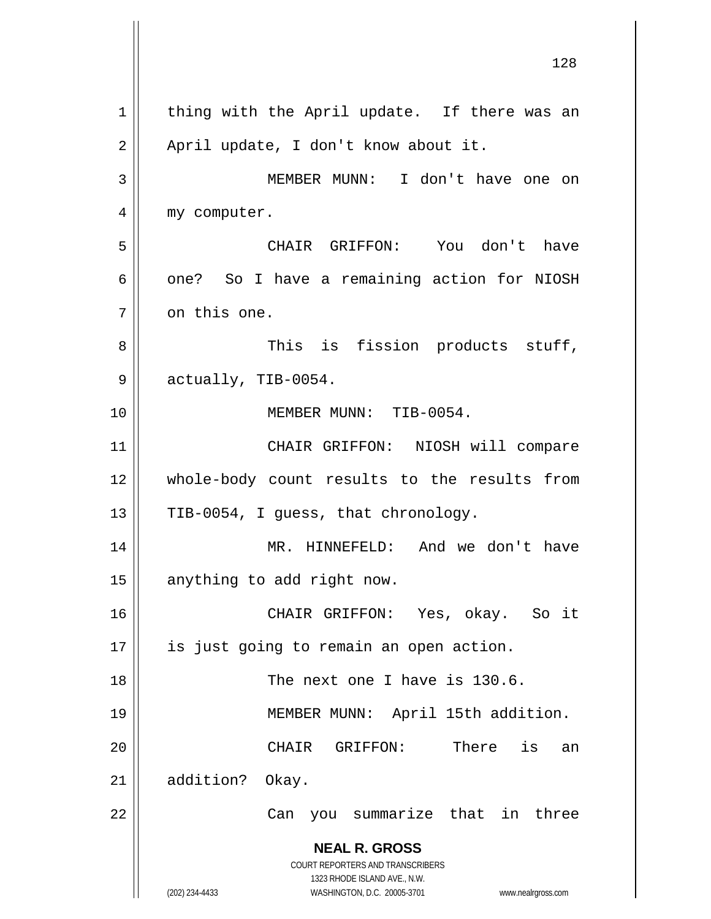**NEAL R. GROSS** COURT REPORTERS AND TRANSCRIBERS 1323 RHODE ISLAND AVE., N.W. (202) 234-4433 WASHINGTON, D.C. 20005-3701 www.nealrgross.com 128  $1$  thing with the April update. If there was an 2 | April update, I don't know about it. 3 MEMBER MUNN: I don't have one on 4 | my computer. 5 CHAIR GRIFFON: You don't have  $6 \parallel$  one? So I have a remaining action for NIOSH  $7 \parallel$  on this one. 8 || This is fission products stuff,  $9 \parallel$  actually, TIB-0054. 10 MEMBER MUNN: TIB-0054. 11 || CHAIR GRIFFON: NIOSH will compare 12 whole-body count results to the results from 13  $\parallel$  TIB-0054, I guess, that chronology. 14 MR. HINNEFELD: And we don't have 15 | anything to add right now. 16 CHAIR GRIFFON: Yes, okay. So it 17 || is just going to remain an open action. 18 || The next one I have is 130.6. 19 MEMBER MUNN: April 15th addition. 20 CHAIR GRIFFON: There is an 21 | addition? Okay. 22 || Can you summarize that in three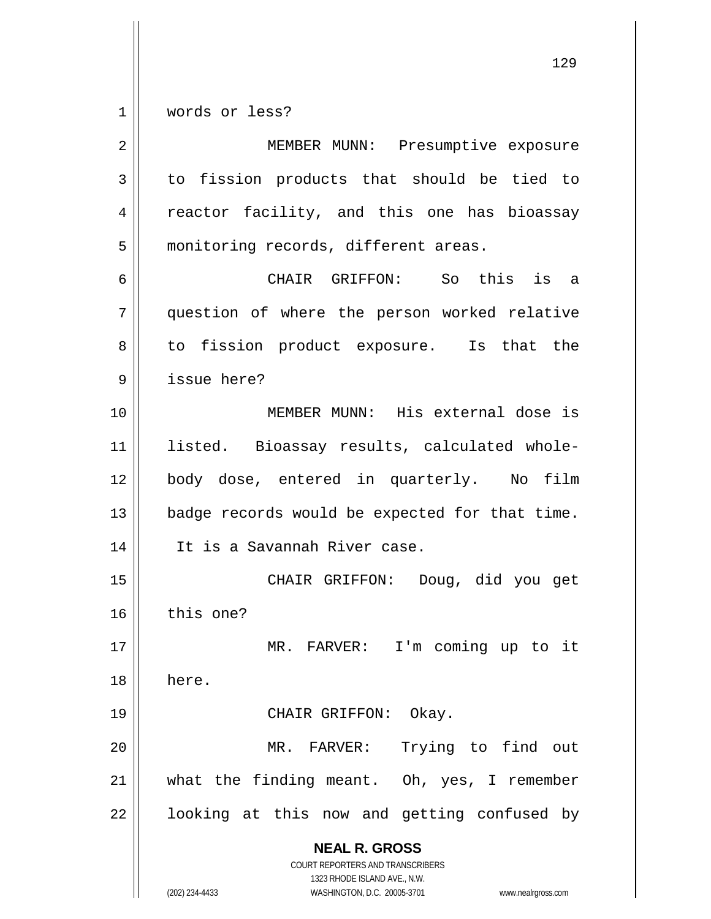1 words or less?

**NEAL R. GROSS** COURT REPORTERS AND TRANSCRIBERS 1323 RHODE ISLAND AVE., N.W. (202) 234-4433 WASHINGTON, D.C. 20005-3701 www.nealrgross.com 2 || MEMBER MUNN: Presumptive exposure  $3 \parallel$  to fission products that should be tied to 4 || reactor facility, and this one has bioassay 5 | monitoring records, different areas. 6 CHAIR GRIFFON: So this is a 7 question of where the person worked relative 8 || to fission product exposure. Is that the 9 issue here? 10 MEMBER MUNN: His external dose is 11 listed. Bioassay results, calculated whole-12 body dose, entered in quarterly. No film 13 | badge records would be expected for that time. 14 It is a Savannah River case. 15 CHAIR GRIFFON: Doug, did you get 16 this one? 17 MR. FARVER: I'm coming up to it 18 here. 19 || CHAIR GRIFFON: Okay. 20 MR. FARVER: Trying to find out 21 what the finding meant. Oh, yes, I remember  $22$  | looking at this now and getting confused by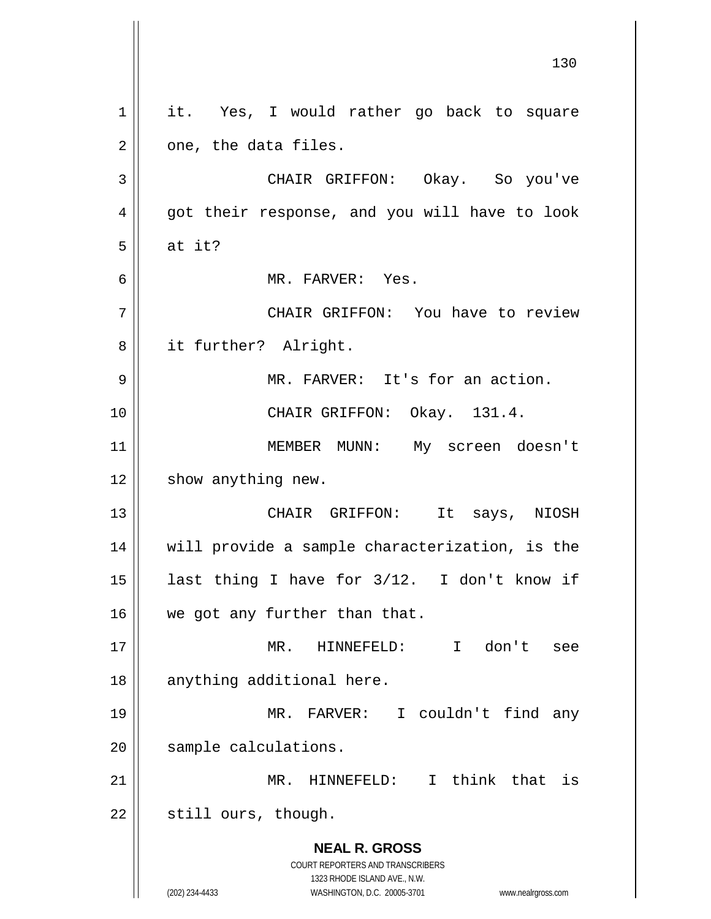**NEAL R. GROSS** COURT REPORTERS AND TRANSCRIBERS 1323 RHODE ISLAND AVE., N.W. (202) 234-4433 WASHINGTON, D.C. 20005-3701 www.nealrgross.com 130 1 || it. Yes, I would rather go back to square  $2 \parallel$  one, the data files. 3 CHAIR GRIFFON: Okay. So you've 4 || got their response, and you will have to look  $5 \parallel$  at it? 6 MR. FARVER: Yes. 7 CHAIR GRIFFON: You have to review 8 || it further? Alright. 9 MR. FARVER: It's for an action. 10 CHAIR GRIFFON: Okay. 131.4. 11 || MEMBER MUNN: My screen doesn't  $12 \parallel$  show anything new. 13 CHAIR GRIFFON: It says, NIOSH 14 will provide a sample characterization, is the 15 last thing I have for 3/12. I don't know if 16 || we got any further than that. 17 MR. HINNEFELD: I don't see 18 || anything additional here. 19 MR. FARVER: I couldn't find any 20 | sample calculations. 21 MR. HINNEFELD: I think that is  $22$  | still ours, though.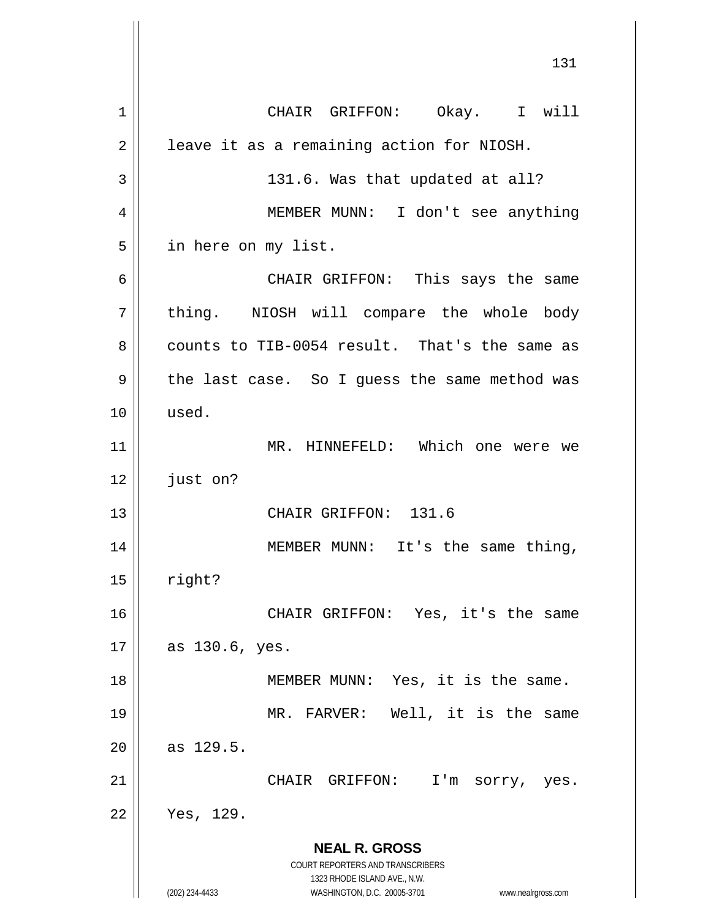**NEAL R. GROSS** COURT REPORTERS AND TRANSCRIBERS 1323 RHODE ISLAND AVE., N.W. (202) 234-4433 WASHINGTON, D.C. 20005-3701 www.nealrgross.com 131 1 || CHAIR GRIFFON: Okay. I will  $2 \parallel$  leave it as a remaining action for NIOSH.  $3 \parallel$  131.6. Was that updated at all? 4 MEMBER MUNN: I don't see anything 5 | in here on my list. 6 CHAIR GRIFFON: This says the same 7 | thing. NIOSH will compare the whole body  $8 \parallel$  counts to TIB-0054 result. That's the same as 9 || the last case. So I guess the same method was 10 used. 11 || MR. HINNEFELD: Which one were we 12 | just on? 13 CHAIR GRIFFON: 131.6 14 || MEMBER MUNN: It's the same thing,  $15$  | right? 16 || CHAIR GRIFFON: Yes, it's the same  $17 \parallel$  as 130.6, yes. 18 MEMBER MUNN: Yes, it is the same. 19 MR. FARVER: Well, it is the same  $20 \parallel$  as 129.5. 21 CHAIR GRIFFON: I'm sorry, yes. 22 Yes, 129.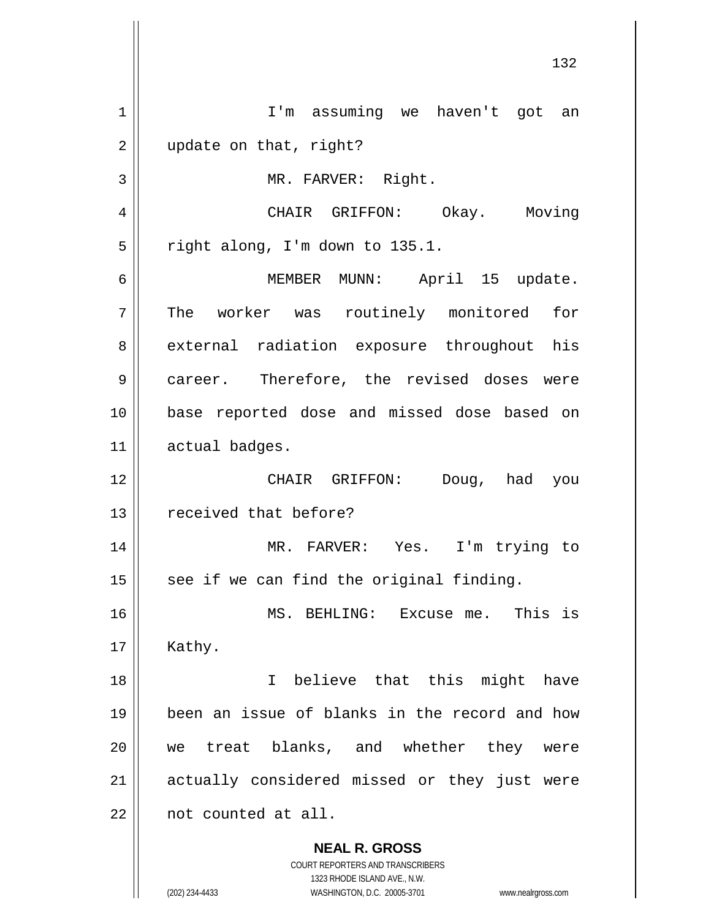**NEAL R. GROSS** COURT REPORTERS AND TRANSCRIBERS 1323 RHODE ISLAND AVE., N.W. (202) 234-4433 WASHINGTON, D.C. 20005-3701 www.nealrgross.com 1 || I'm assuming we haven't got an 2 || update on that, right? 3 || MR. FARVER: Right. 4 CHAIR GRIFFON: Okay. Moving  $5 \parallel$  right along, I'm down to 135.1. 6 MEMBER MUNN: April 15 update. 7 The worker was routinely monitored for 8 external radiation exposure throughout his 9 | career. Therefore, the revised doses were 10 base reported dose and missed dose based on 11 | actual badges. 12 CHAIR GRIFFON: Doug, had you 13 || received that before? 14 MR. FARVER: Yes. I'm trying to  $15$  see if we can find the original finding. 16 MS. BEHLING: Excuse me. This is  $17 \parallel$  Kathy. 18 I believe that this might have 19 been an issue of blanks in the record and how 20 we treat blanks, and whether they were 21 || actually considered missed or they just were 22 || not counted at all.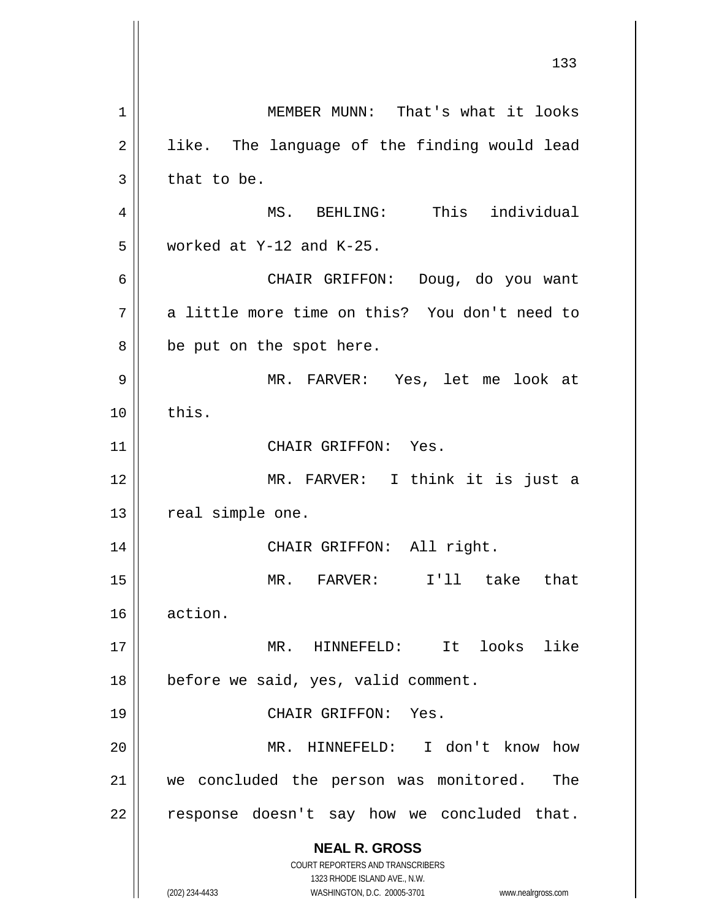**NEAL R. GROSS** COURT REPORTERS AND TRANSCRIBERS 1323 RHODE ISLAND AVE., N.W. (202) 234-4433 WASHINGTON, D.C. 20005-3701 www.nealrgross.com 1 || MEMBER MUNN: That's what it looks  $2 \parallel$  like. The language of the finding would lead  $3 \parallel$  that to be. 4 MS. BEHLING: This individual  $5$  | worked at Y-12 and K-25. 6 CHAIR GRIFFON: Doug, do you want  $7$  | a little more time on this? You don't need to  $8 \parallel$  be put on the spot here. 9 MR. FARVER: Yes, let me look at  $10 \parallel$  this. 11 || CHAIR GRIFFON: Yes. 12 MR. FARVER: I think it is just a 13 | real simple one. 14 || CHAIR GRIFFON: All right. 15 MR. FARVER: I'll take that 16 action. 17 MR. HINNEFELD: It looks like 18 || before we said, yes, valid comment. 19 || CHAIR GRIFFON: Yes. 20 MR. HINNEFELD: I don't know how 21 || we concluded the person was monitored. The  $22$  | response doesn't say how we concluded that.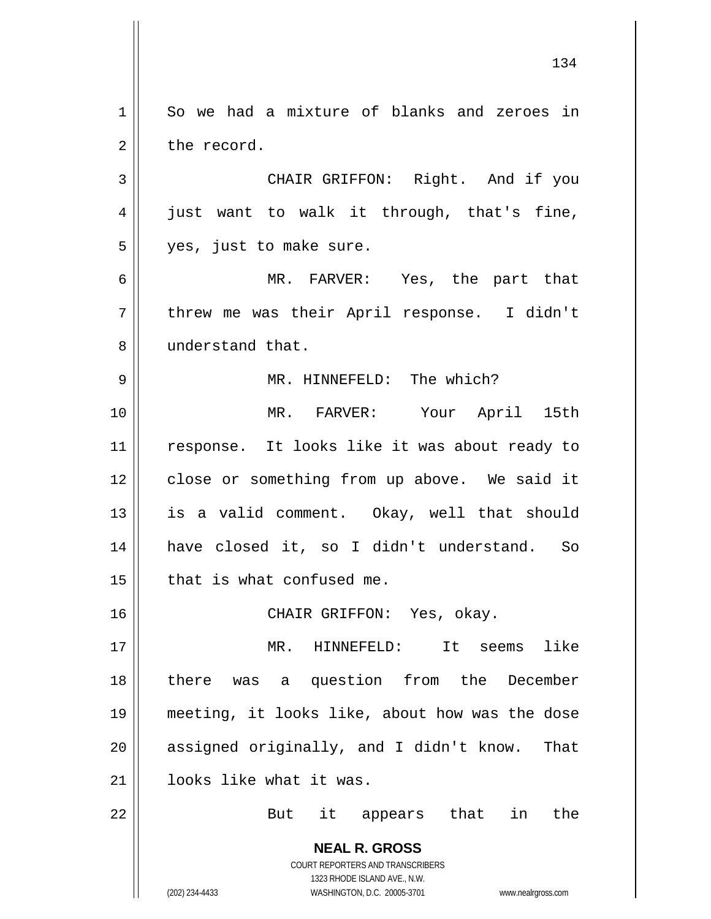**NEAL R. GROSS** COURT REPORTERS AND TRANSCRIBERS 1323 RHODE ISLAND AVE., N.W. (202) 234-4433 WASHINGTON, D.C. 20005-3701 www.nealrgross.com 1 So we had a mixture of blanks and zeroes in 2 l the record. 3 || CHAIR GRIFFON: Right. And if you 4 || just want to walk it through, that's fine, 5 || yes, just to make sure. 6 MR. FARVER: Yes, the part that 7 || threw me was their April response. I didn't 8 || understand that. 9 MR. HINNEFELD: The which? 10 MR. FARVER: Your April 15th 11 || response. It looks like it was about ready to 12 close or something from up above. We said it 13 || is a valid comment. Okay, well that should 14 have closed it, so I didn't understand. So  $15$  | that is what confused me. 16 CHAIR GRIFFON: Yes, okay. 17 MR. HINNEFELD: It seems like 18 || there was a question from the December 19 meeting, it looks like, about how was the dose 20 || assigned originally, and I didn't know. That 21 || looks like what it was. 22 || But it appears that in the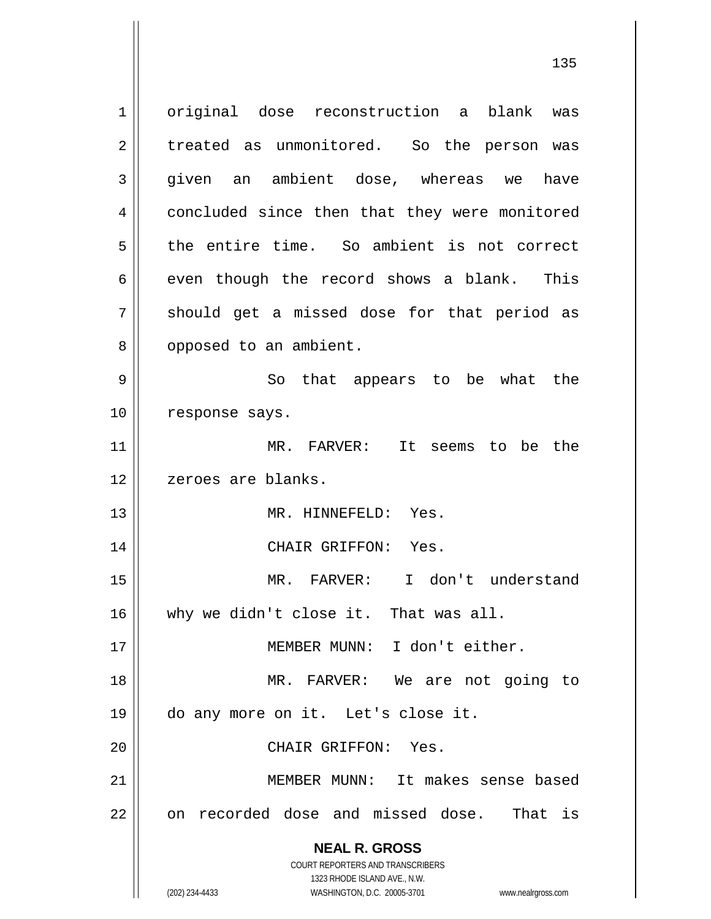**NEAL R. GROSS** COURT REPORTERS AND TRANSCRIBERS 1323 RHODE ISLAND AVE., N.W. 1 || original dose reconstruction a blank was 2 || treated as unmonitored. So the person was 3 given an ambient dose, whereas we have 4 concluded since then that they were monitored 5 the entire time. So ambient is not correct  $6 \parallel$  even though the record shows a blank. This  $7 \parallel$  should get a missed dose for that period as 8 || opposed to an ambient. 9 So that appears to be what the 10 || response says. 11 MR. FARVER: It seems to be the 12 || zeroes are blanks. 13 MR. HINNEFELD: Yes. 14 CHAIR GRIFFON: Yes. 15 MR. FARVER: I don't understand 16 why we didn't close it. That was all. 17 MEMBER MUNN: I don't either. 18 MR. FARVER: We are not going to 19 do any more on it. Let's close it. 20 CHAIR GRIFFON: Yes. 21 MEMBER MUNN: It makes sense based 22 || on recorded dose and missed dose. That is

(202) 234-4433 WASHINGTON, D.C. 20005-3701 www.nealrgross.com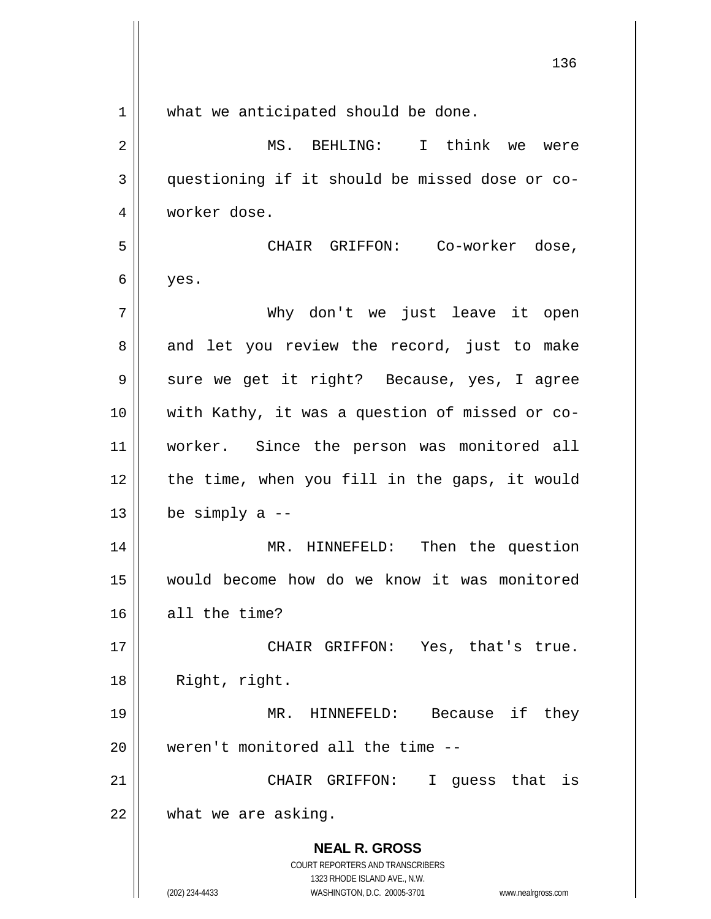| $\mathbf 1$  | what we anticipated should be done.                                 |
|--------------|---------------------------------------------------------------------|
| 2            | MS. BEHLING: I think we were                                        |
| $\mathbf{3}$ | questioning if it should be missed dose or co-                      |
| 4            | worker dose.                                                        |
| 5            | CHAIR GRIFFON: Co-worker dose,                                      |
| 6            | yes.                                                                |
| 7            | Why don't we just leave it open                                     |
| 8            | and let you review the record, just to make                         |
| 9            | sure we get it right? Because, yes, I agree                         |
| 10           | with Kathy, it was a question of missed or co-                      |
| 11           | worker. Since the person was monitored all                          |
| 12           | the time, when you fill in the gaps, it would                       |
| 13           | be simply a $-$                                                     |
| 14           | HINNEFELD: Then the question<br>MR.                                 |
| 15           | would become how do we know it was monitored                        |
| 16           | all the time?                                                       |
| 17           | CHAIR GRIFFON: Yes, that's true.                                    |
| 18           | Right, right.                                                       |
| 19           | MR. HINNEFELD: Because if<br>they                                   |
| 20           | weren't monitored all the time --                                   |
| 21           | CHAIR GRIFFON:<br>$\mathbf{I}$<br>quess that is                     |
| 22           | what we are asking.                                                 |
|              | <b>NEAL R. GROSS</b>                                                |
|              | COURT REPORTERS AND TRANSCRIBERS<br>1323 RHODE ISLAND AVE., N.W.    |
|              | (202) 234-4433<br>WASHINGTON, D.C. 20005-3701<br>www.nealrgross.com |

 $\mathsf{I}$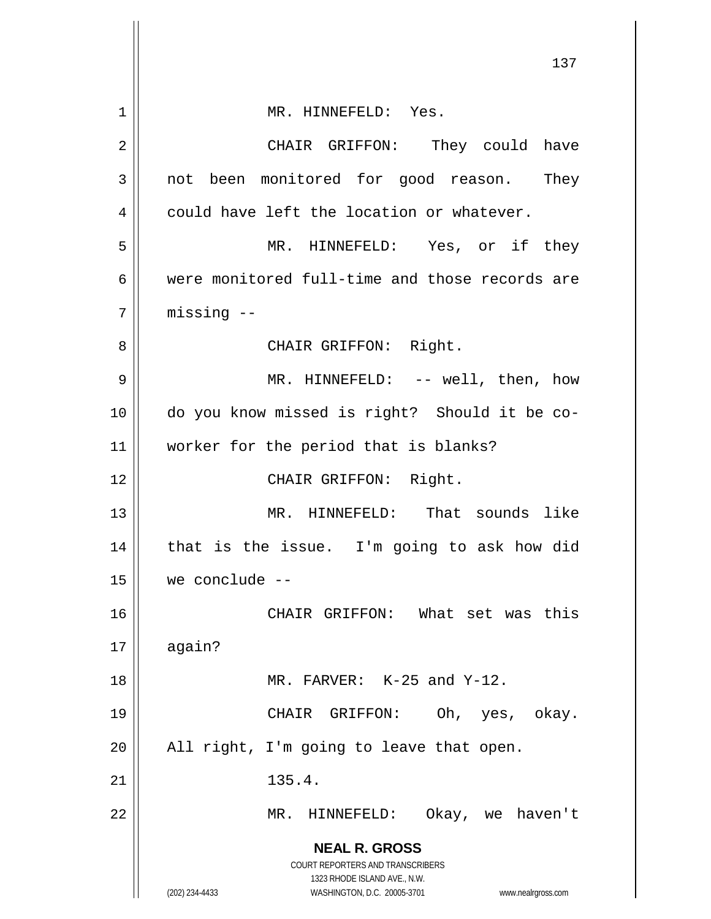|             | 137                                                                                                                                                                    |
|-------------|------------------------------------------------------------------------------------------------------------------------------------------------------------------------|
| $\mathbf 1$ | MR. HINNEFELD: Yes.                                                                                                                                                    |
| 2           | CHAIR GRIFFON: They could have                                                                                                                                         |
| 3           | not been monitored for good reason. They                                                                                                                               |
| 4           | could have left the location or whatever.                                                                                                                              |
| 5           | MR. HINNEFELD: Yes, or if they                                                                                                                                         |
| 6           | were monitored full-time and those records are                                                                                                                         |
| 7           | missing --                                                                                                                                                             |
| 8           | CHAIR GRIFFON: Right.                                                                                                                                                  |
| 9           | MR. HINNEFELD: -- well, then, how                                                                                                                                      |
| 10          | do you know missed is right? Should it be co-                                                                                                                          |
| 11          | worker for the period that is blanks?                                                                                                                                  |
| 12          | CHAIR GRIFFON: Right.                                                                                                                                                  |
| 13          | MR. HINNEFELD: That sounds like                                                                                                                                        |
| 14          | that is the issue. I'm going to ask how did                                                                                                                            |
| 15          | we conclude --                                                                                                                                                         |
| 16          | CHAIR GRIFFON: What set was this                                                                                                                                       |
| 17          | again?                                                                                                                                                                 |
| 18          | MR. FARVER: K-25 and Y-12.                                                                                                                                             |
| 19          | CHAIR GRIFFON: Oh, yes, okay.                                                                                                                                          |
| 20          | All right, I'm going to leave that open.                                                                                                                               |
| 21          | 135.4.                                                                                                                                                                 |
| 22          | HINNEFELD:<br>Okay, we haven't<br>MR.                                                                                                                                  |
|             | <b>NEAL R. GROSS</b><br><b>COURT REPORTERS AND TRANSCRIBERS</b><br>1323 RHODE ISLAND AVE., N.W.<br>(202) 234-4433<br>WASHINGTON, D.C. 20005-3701<br>www.nealrgross.com |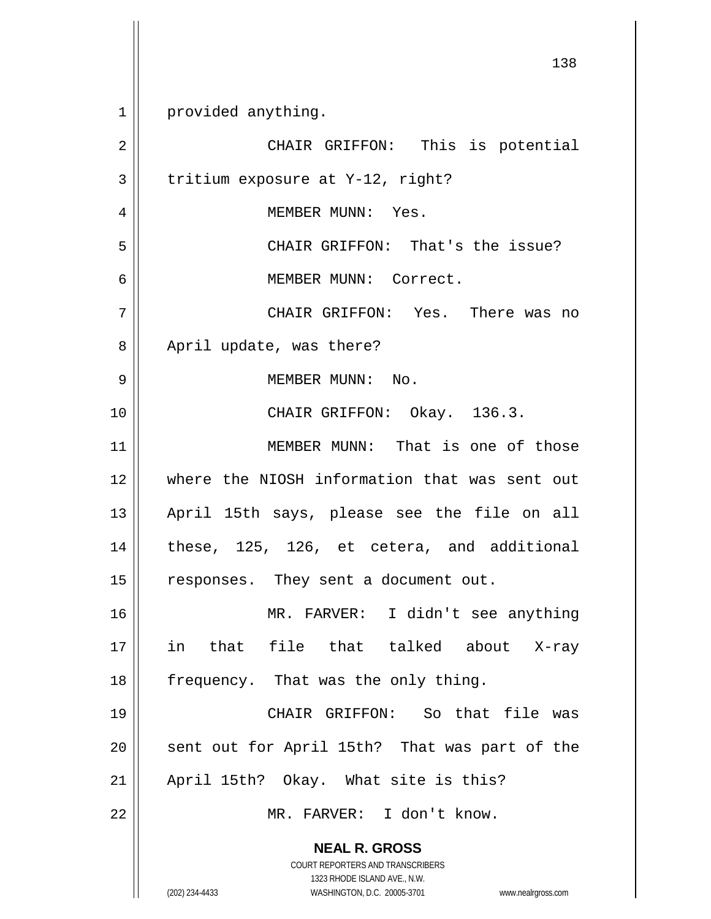**NEAL R. GROSS** COURT REPORTERS AND TRANSCRIBERS 1323 RHODE ISLAND AVE., N.W. (202) 234-4433 WASHINGTON, D.C. 20005-3701 www.nealrgross.com 1 | provided anything. 2 || CHAIR GRIFFON: This is potential  $3 \parallel$  tritium exposure at Y-12, right? 4 MEMBER MUNN: Yes. 5 CHAIR GRIFFON: That's the issue? 6 MEMBER MUNN: Correct. 7 CHAIR GRIFFON: Yes. There was no 8 || April update, was there? 9 MEMBER MUNN: No. 10 || CHAIR GRIFFON: Okay. 136.3. 11 MEMBER MUNN: That is one of those 12 where the NIOSH information that was sent out 13 April 15th says, please see the file on all  $14$  | these, 125, 126, et cetera, and additional 15 | responses. They sent a document out. 16 MR. FARVER: I didn't see anything 17 in that file that talked about X-ray 18  $\parallel$  frequency. That was the only thing. 19 CHAIR GRIFFON: So that file was 20 || sent out for April 15th? That was part of the 21 || April 15th? Okay. What site is this? 22 MR. FARVER: I don't know.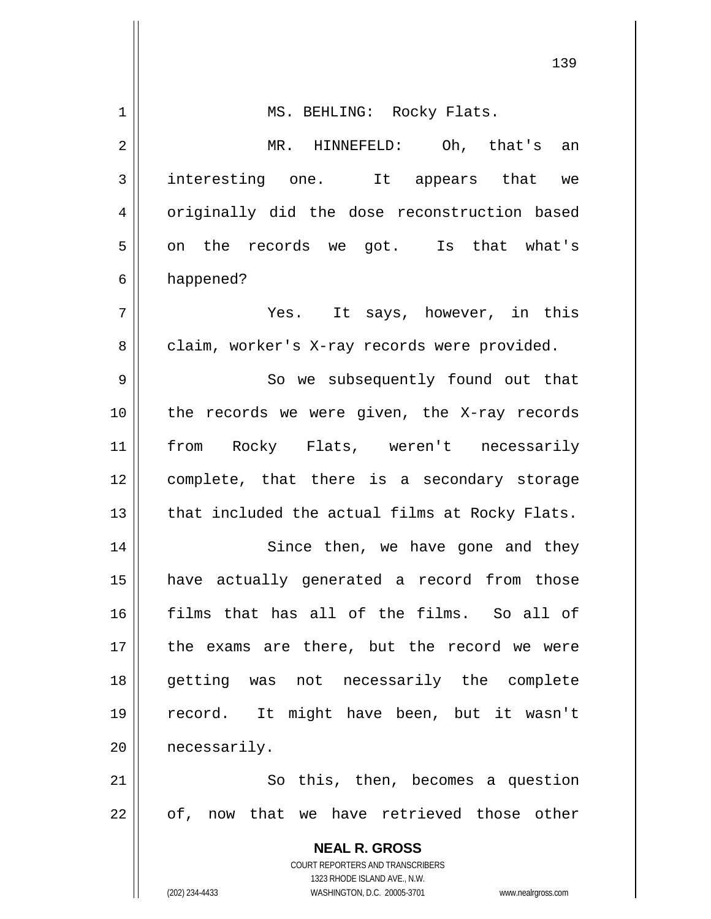|             | 139                                                                 |
|-------------|---------------------------------------------------------------------|
| $\mathbf 1$ | MS. BEHLING: Rocky Flats.                                           |
| 2           | MR. HINNEFELD: Oh, that's an                                        |
| 3           | interesting one. It appears that we                                 |
| 4           | originally did the dose reconstruction based                        |
| 5           | on the records we got. Is that what's                               |
| 6           | happened?                                                           |
| 7           | Yes. It says, however, in this                                      |
| 8           | claim, worker's X-ray records were provided.                        |
| 9           | So we subsequently found out that                                   |
| 10          | the records we were given, the X-ray records                        |
| 11          | from Rocky Flats, weren't necessarily                               |
| 12          | complete, that there is a secondary storage                         |
| 13          | that included the actual films at Rocky Flats.                      |
| 14          | Since then, we have gone and they                                   |
| 15          | have actually generated a record from those                         |
| 16          | films that has all of the films. So all of                          |
| 17          | the exams are there, but the record we were                         |
| 18          | getting was not necessarily the complete                            |
| 19          | record. It might have been, but it wasn't                           |
| 20          | necessarily.                                                        |
| 21          | So this, then, becomes a question                                   |
| 22          | of, now that we have retrieved those other                          |
|             | <b>NEAL R. GROSS</b>                                                |
|             | COURT REPORTERS AND TRANSCRIBERS<br>1323 RHODE ISLAND AVE., N.W.    |
|             | (202) 234-4433<br>WASHINGTON, D.C. 20005-3701<br>www.nealrgross.com |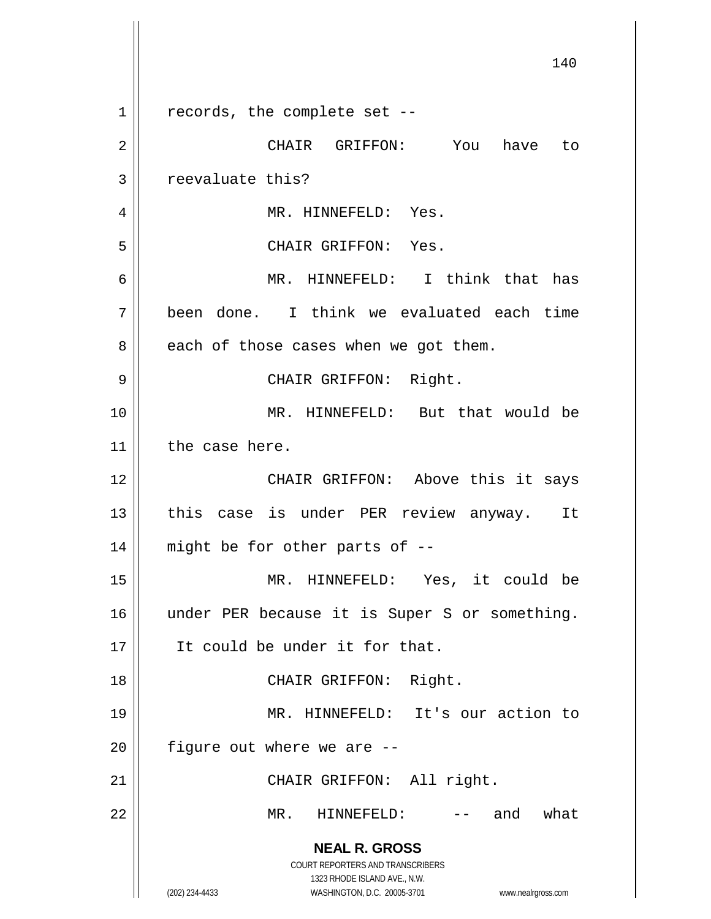|             | 140                                                              |
|-------------|------------------------------------------------------------------|
| $\mathbf 1$ | records, the complete set --                                     |
| 2           | CHAIR GRIFFON: You<br>have to                                    |
| 3           | reevaluate this?                                                 |
| 4           | MR. HINNEFELD: Yes.                                              |
| 5           | CHAIR GRIFFON: Yes.                                              |
| 6           | MR. HINNEFELD: I think that has                                  |
| 7           | been done. I think we evaluated each time                        |
| 8           | each of those cases when we got them.                            |
| 9           | CHAIR GRIFFON: Right.                                            |
| 10          | MR. HINNEFELD: But that would be                                 |
| 11          | the case here.                                                   |
| 12          | CHAIR GRIFFON: Above this it says                                |
| 13          | this case is under PER review anyway. It                         |
| 14          | might be for other parts of --                                   |
| 15          | MR. HINNEFELD: Yes, it could be                                  |
| 16          | under PER because it is Super S or something.                    |
| 17          | It could be under it for that.                                   |
| 18          | CHAIR GRIFFON: Right.                                            |
| 19          | MR. HINNEFELD: It's our action to                                |
| 20          | figure out where we are --                                       |
| 21          | CHAIR GRIFFON: All right.                                        |
| 22          | -- and what<br>$MR$ .<br>HINNEFELD:                              |
|             | <b>NEAL R. GROSS</b><br>COURT REPORTERS AND TRANSCRIBERS         |
|             | 1323 RHODE ISLAND AVE., N.W.                                     |
|             | (202) 234-4433<br>WASHINGTON, D.C. 20005-3701 www.nealrgross.com |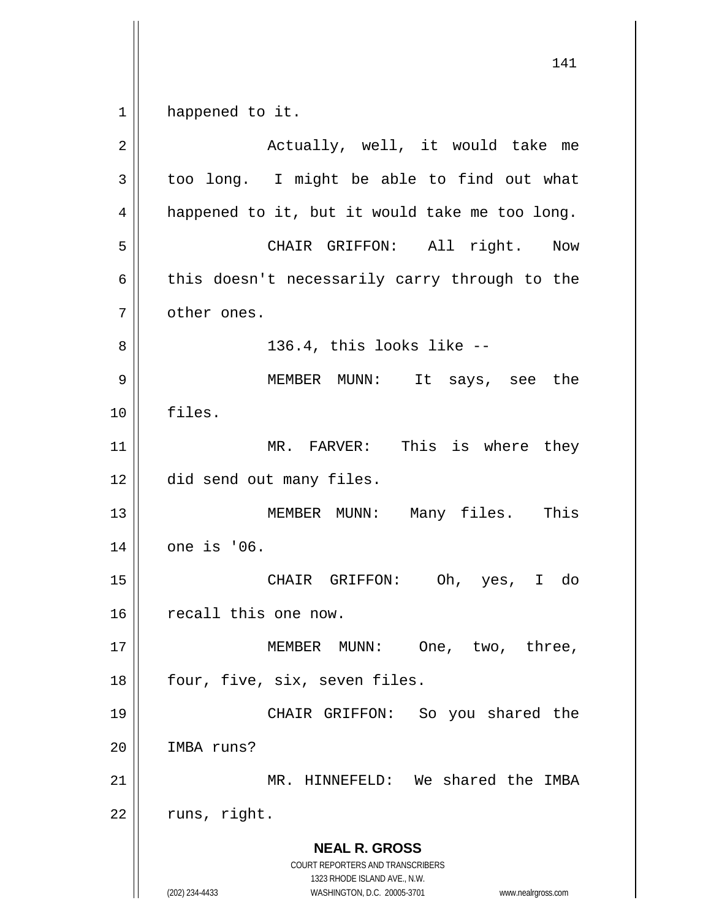$1 \parallel$  happened to it.

| $\overline{2}$ | Actually, well, it would take me                                                                                                                                |
|----------------|-----------------------------------------------------------------------------------------------------------------------------------------------------------------|
| 3              | too long. I might be able to find out what                                                                                                                      |
| 4              | happened to it, but it would take me too long.                                                                                                                  |
| 5              | CHAIR GRIFFON: All right. Now                                                                                                                                   |
| 6              | this doesn't necessarily carry through to the                                                                                                                   |
| 7              | other ones.                                                                                                                                                     |
| 8              | 136.4, this looks like --                                                                                                                                       |
| 9              | MEMBER MUNN: It says, see the                                                                                                                                   |
| 10             | files.                                                                                                                                                          |
| 11             | MR. FARVER: This is where they                                                                                                                                  |
| 12             | did send out many files.                                                                                                                                        |
| 13             | MEMBER MUNN: Many files. This                                                                                                                                   |
| 14             | one is '06.                                                                                                                                                     |
| 15             | CHAIR GRIFFON: Oh, yes, I do                                                                                                                                    |
| 16             | recall this one now.                                                                                                                                            |
| $17$           | MEMBER MUNN: One, two, three,                                                                                                                                   |
| 18             | four, five, six, seven files.                                                                                                                                   |
| 19             | CHAIR GRIFFON: So you shared the                                                                                                                                |
| 20             | IMBA runs?                                                                                                                                                      |
| 21             | MR. HINNEFELD: We shared the IMBA                                                                                                                               |
| 22             | runs, right.                                                                                                                                                    |
|                | <b>NEAL R. GROSS</b><br>COURT REPORTERS AND TRANSCRIBERS<br>1323 RHODE ISLAND AVE., N.W.<br>(202) 234-4433<br>WASHINGTON, D.C. 20005-3701<br>www.nealrgross.com |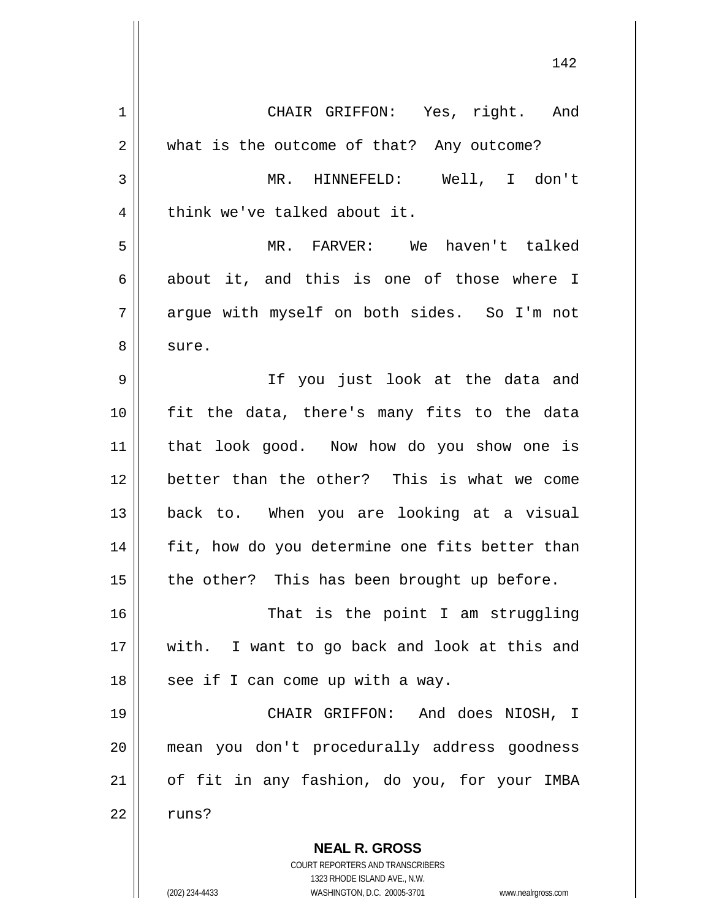| $\mathbf 1$ | CHAIR GRIFFON: Yes, right. And                                      |
|-------------|---------------------------------------------------------------------|
| 2           | what is the outcome of that? Any outcome?                           |
| 3           | MR. HINNEFELD: Well, I don't                                        |
| 4           | think we've talked about it.                                        |
| 5           | MR. FARVER: We haven't talked                                       |
| 6           | about it, and this is one of those where I                          |
| 7           | argue with myself on both sides. So I'm not                         |
| 8           | sure.                                                               |
| 9           | If you just look at the data and                                    |
| 10          | fit the data, there's many fits to the data                         |
| 11          | that look good. Now how do you show one is                          |
| 12          | better than the other? This is what we come                         |
| 13          | back to. When you are looking at a visual                           |
| 14          | fit, how do you determine one fits better than                      |
| 15          | the other? This has been brought up before.                         |
| 16          | That is the point I am struggling                                   |
| 17          | with. I want to go back and look at this and                        |
| 18          | see if I can come up with a way.                                    |
| 19          | CHAIR GRIFFON: And does NIOSH, I                                    |
| 20          | mean you don't procedurally address goodness                        |
| 21          | of fit in any fashion, do you, for your IMBA                        |
| 22          | runs?                                                               |
|             | <b>NEAL R. GROSS</b>                                                |
|             | COURT REPORTERS AND TRANSCRIBERS                                    |
|             | 1323 RHODE ISLAND AVE., N.W.                                        |
|             | (202) 234-4433<br>WASHINGTON, D.C. 20005-3701<br>www.nealrgross.com |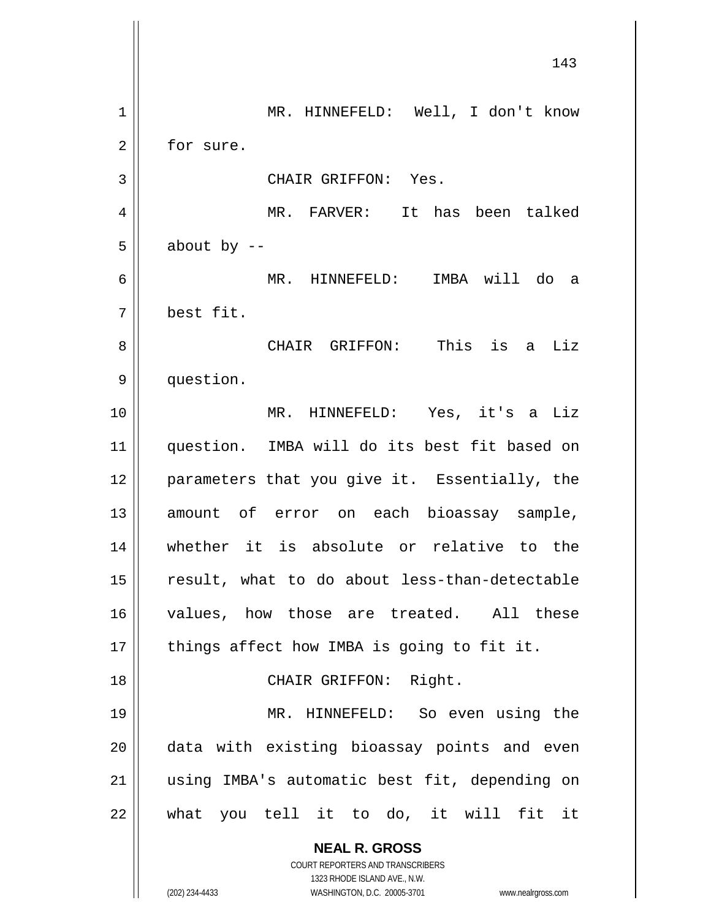**NEAL R. GROSS** COURT REPORTERS AND TRANSCRIBERS 1323 RHODE ISLAND AVE., N.W. (202) 234-4433 WASHINGTON, D.C. 20005-3701 www.nealrgross.com 143 1 MR. HINNEFELD: Well, I don't know 2 | for sure. 3 || CHAIR GRIFFON: Yes. 4 MR. FARVER: It has been talked  $5 \parallel$  about by  $-$ 6 MR. HINNEFELD: IMBA will do a 7 best fit. 8 CHAIR GRIFFON: This is a Liz 9 | question. 10 MR. HINNEFELD: Yes, it's a Liz 11 question. IMBA will do its best fit based on 12 || parameters that you give it. Essentially, the 13 || amount of error on each bioassay sample, 14 whether it is absolute or relative to the 15 result, what to do about less-than-detectable 16 values, how those are treated. All these  $17$  || things affect how IMBA is going to fit it. 18 || CHAIR GRIFFON: Right. 19 MR. HINNEFELD: So even using the 20 || data with existing bioassay points and even 21 using IMBA's automatic best fit, depending on  $22$  || what you tell it to do, it will fit it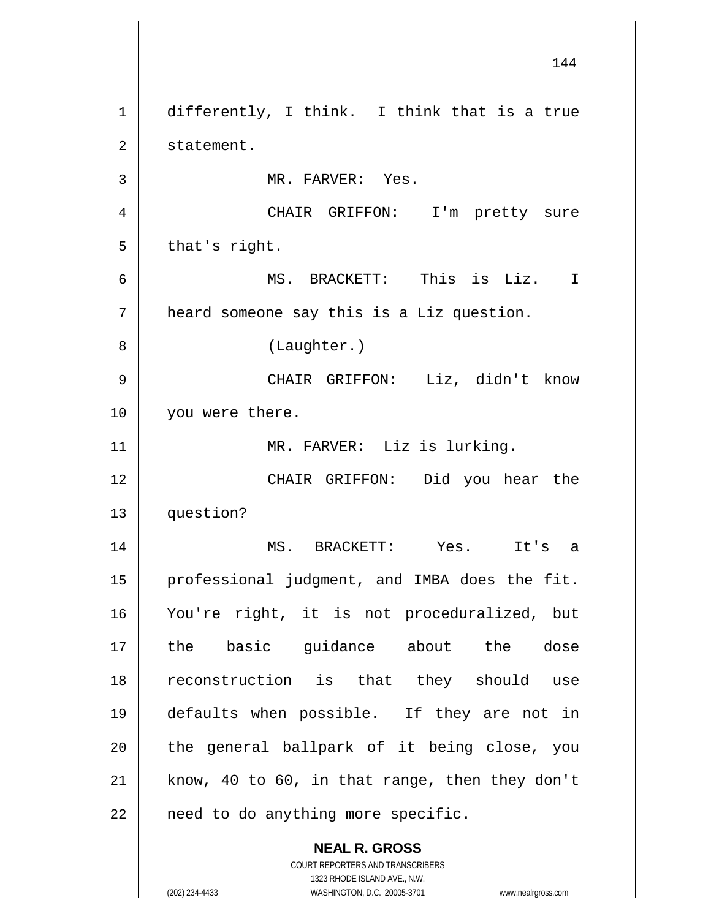**NEAL R. GROSS** COURT REPORTERS AND TRANSCRIBERS 144 1 differently, I think. I think that is a true 2 | statement. 3 || MR. FARVER: Yes. 4 || CHAIR GRIFFON: I'm pretty sure  $5 \parallel$  that's right. 6 MS. BRACKETT: This is Liz. I 7 heard someone say this is a Liz question. 8 || (Laughter.) 9 CHAIR GRIFFON: Liz, didn't know 10 || you were there. 11 || MR. FARVER: Liz is lurking. 12 CHAIR GRIFFON: Did you hear the 13 question? 14 MS. BRACKETT: Yes. It's a 15 || professional judgment, and IMBA does the fit. 16 You're right, it is not proceduralized, but 17 the basic guidance about the dose 18 reconstruction is that they should use 19 defaults when possible. If they are not in  $20$  || the general ballpark of it being close, you  $21$  know, 40 to 60, in that range, then they don't  $22$  | need to do anything more specific.

1323 RHODE ISLAND AVE., N.W.

(202) 234-4433 WASHINGTON, D.C. 20005-3701 www.nealrgross.com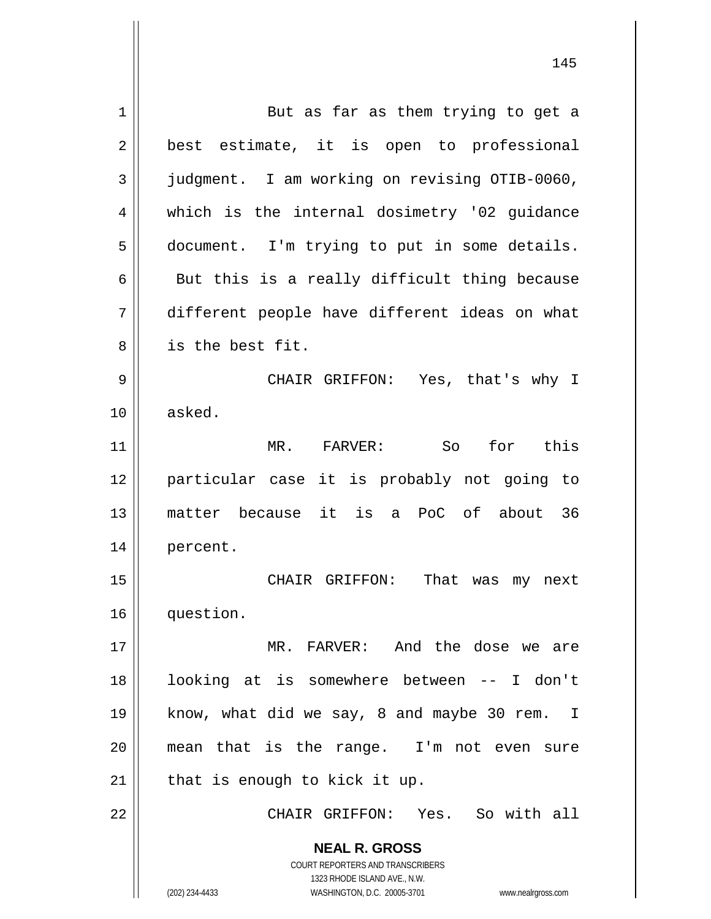**NEAL R. GROSS** COURT REPORTERS AND TRANSCRIBERS 1323 RHODE ISLAND AVE., N.W. (202) 234-4433 WASHINGTON, D.C. 20005-3701 www.nealrgross.com 1 || But as far as them trying to get a 2 || best estimate, it is open to professional 3 judgment. I am working on revising OTIB-0060, 4 which is the internal dosimetry '02 guidance 5 document. I'm trying to put in some details.  $6 \parallel$  But this is a really difficult thing because 7 different people have different ideas on what 8 || is the best fit. 9 CHAIR GRIFFON: Yes, that's why I 10 asked. 11 MR. FARVER: So for this 12 particular case it is probably not going to 13 matter because it is a PoC of about 36 14 percent. 15 CHAIR GRIFFON: That was my next 16 question. 17 MR. FARVER: And the dose we are 18 looking at is somewhere between -- I don't 19 || know, what did we say, 8 and maybe 30 rem. I 20 mean that is the range. I'm not even sure  $21$  | that is enough to kick it up. 22 CHAIR GRIFFON: Yes. So with all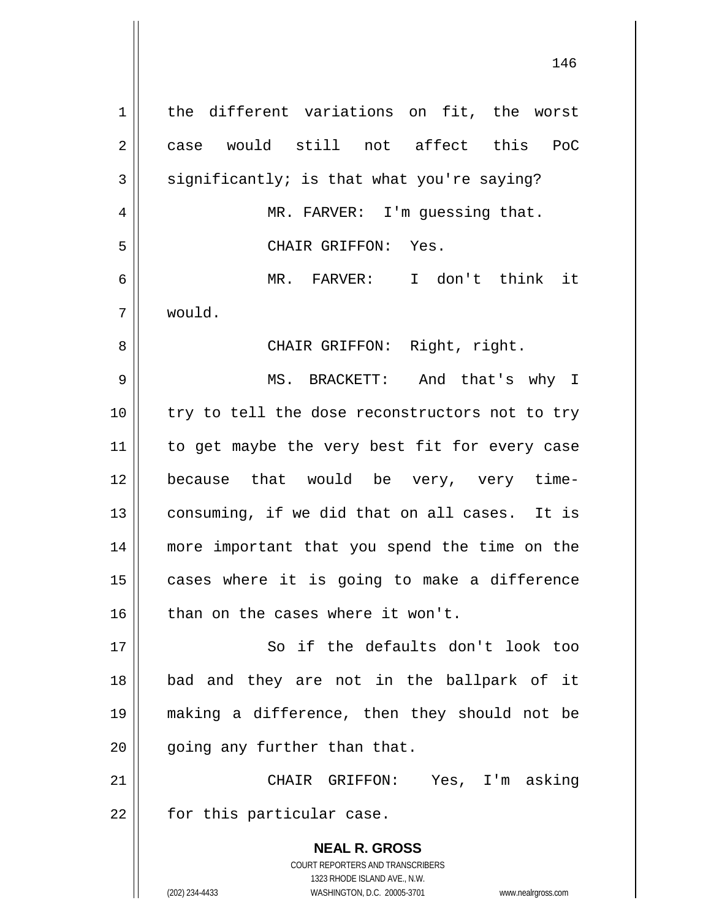**NEAL R. GROSS** COURT REPORTERS AND TRANSCRIBERS 1323 RHODE ISLAND AVE., N.W. 1 || the different variations on fit, the worst 2 case would still not affect this PoC  $3 \parallel$  significantly; is that what you're saying? 4 || MR. FARVER: I'm guessing that. 5 CHAIR GRIFFON: Yes. 6 MR. FARVER: I don't think it 7 would. 8 || CHAIR GRIFFON: Right, right. 9 MS. BRACKETT: And that's why I 10 || try to tell the dose reconstructors not to try 11 || to get maybe the very best fit for every case 12 because that would be very, very time-13  $\parallel$  consuming, if we did that on all cases. It is 14 more important that you spend the time on the  $15$  cases where it is going to make a difference  $16$  | than on the cases where it won't. 17 || So if the defaults don't look too 18 bad and they are not in the ballpark of it 19 making a difference, then they should not be  $20$  | qoing any further than that. 21 CHAIR GRIFFON: Yes, I'm asking  $22$  | for this particular case.

(202) 234-4433 WASHINGTON, D.C. 20005-3701 www.nealrgross.com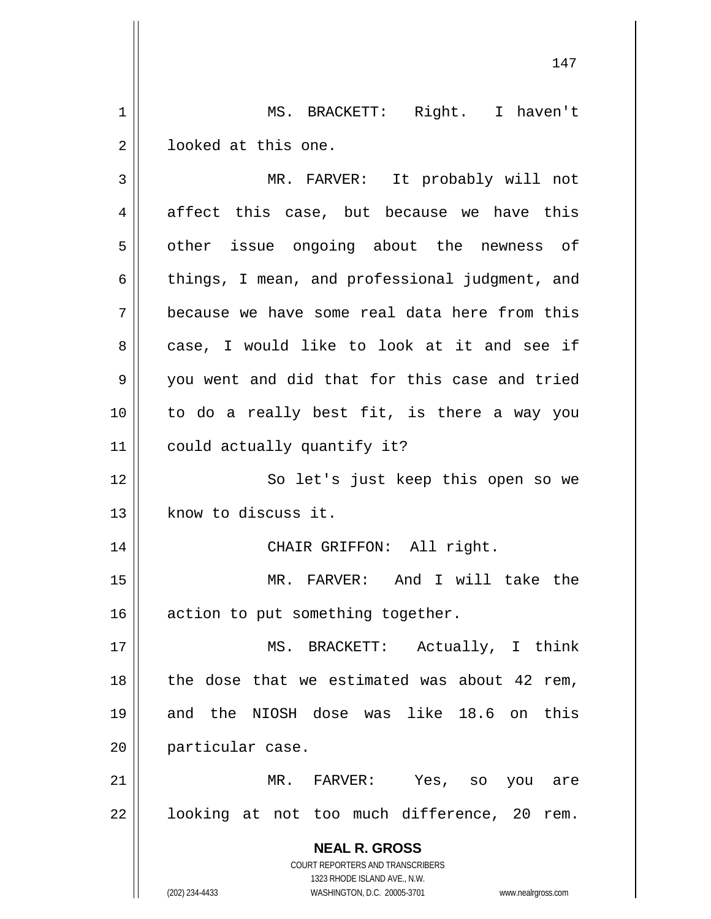1 || MS. BRACKETT: Right. I haven't  $2 \parallel$  looked at this one.

| 3              | MR. FARVER: It probably will not                                                                                                                                |
|----------------|-----------------------------------------------------------------------------------------------------------------------------------------------------------------|
| $\overline{4}$ | affect this case, but because we have this                                                                                                                      |
| 5              | other issue ongoing about the newness of                                                                                                                        |
| 6              | things, I mean, and professional judgment, and                                                                                                                  |
| 7              | because we have some real data here from this                                                                                                                   |
| 8              | case, I would like to look at it and see if                                                                                                                     |
| 9              | you went and did that for this case and tried                                                                                                                   |
| 10             | to do a really best fit, is there a way you                                                                                                                     |
| 11             | could actually quantify it?                                                                                                                                     |
| 12             | So let's just keep this open so we                                                                                                                              |
| 13             | know to discuss it.                                                                                                                                             |
| 14             | CHAIR GRIFFON: All right.                                                                                                                                       |
| 15             | MR. FARVER: And I will take the                                                                                                                                 |
| 16             | action to put something together.                                                                                                                               |
| 17             | MS. BRACKETT: Actually, I think                                                                                                                                 |
| 18             | the dose that we estimated was about 42 rem,                                                                                                                    |
| 19             | and the NIOSH dose was like 18.6 on this                                                                                                                        |
| 20             | particular case.                                                                                                                                                |
| 21             | MR.<br>FARVER:<br>Yes,<br>SO<br>you<br>are                                                                                                                      |
| 22             | looking at not too much difference, 20<br>rem.                                                                                                                  |
|                | <b>NEAL R. GROSS</b><br>COURT REPORTERS AND TRANSCRIBERS<br>1323 RHODE ISLAND AVE., N.W.<br>(202) 234-4433<br>WASHINGTON, D.C. 20005-3701<br>www.nealrgross.com |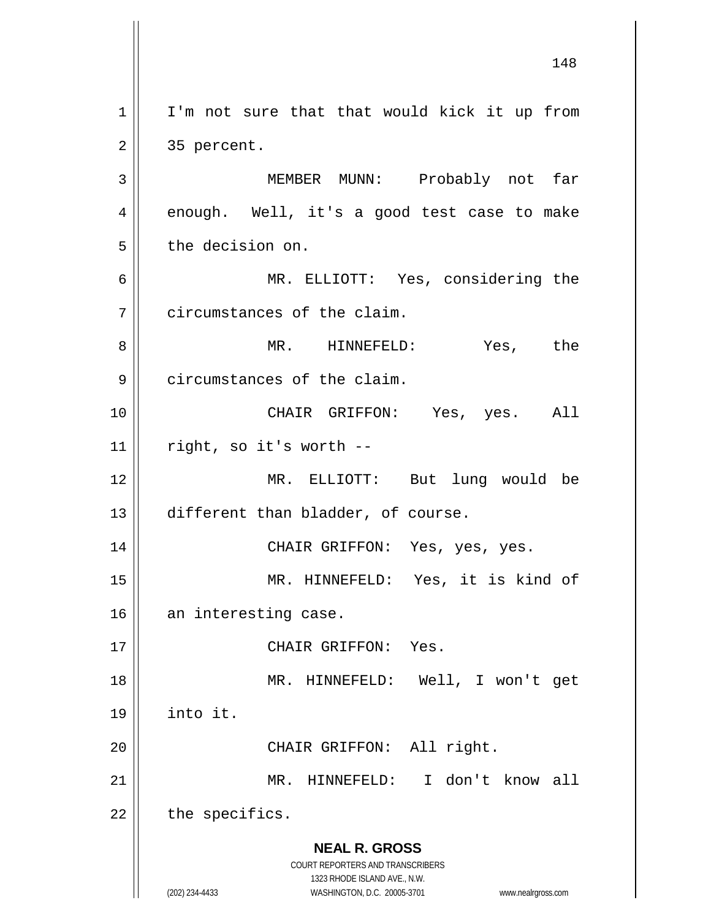**NEAL R. GROSS** COURT REPORTERS AND TRANSCRIBERS 1323 RHODE ISLAND AVE., N.W. (202) 234-4433 WASHINGTON, D.C. 20005-3701 www.nealrgross.com  $1 \parallel$  I'm not sure that that would kick it up from  $2 \parallel 35$  percent. 3 MEMBER MUNN: Probably not far  $4 \parallel$  enough. Well, it's a good test case to make 5 | the decision on. 6 MR. ELLIOTT: Yes, considering the 7 | circumstances of the claim. 8 MR. HINNEFELD: Yes, the 9 circumstances of the claim. 10 CHAIR GRIFFON: Yes, yes. All  $11$  | right, so it's worth --12 MR. ELLIOTT: But lung would be 13 different than bladder, of course. 14 CHAIR GRIFFON: Yes, yes, yes. 15 MR. HINNEFELD: Yes, it is kind of 16 an interesting case. 17 || CHAIR GRIFFON: Yes. 18 MR. HINNEFELD: Well, I won't get 19 into it. 20 || CHAIR GRIFFON: All right. 21 MR. HINNEFELD: I don't know all  $22$  | the specifics.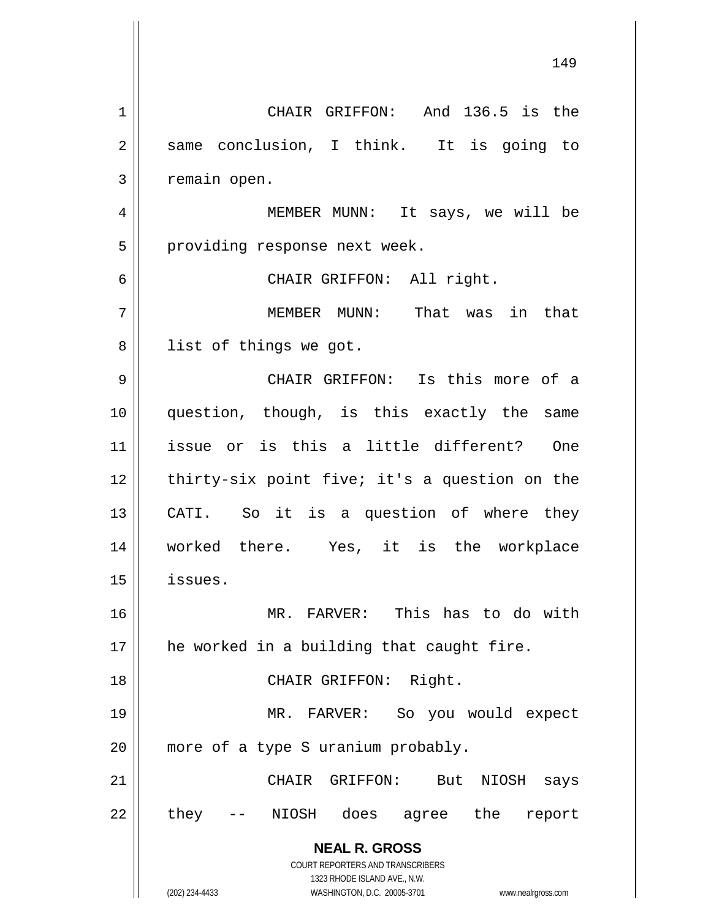**NEAL R. GROSS** COURT REPORTERS AND TRANSCRIBERS 1323 RHODE ISLAND AVE., N.W. (202) 234-4433 WASHINGTON, D.C. 20005-3701 www.nealrgross.com 149 1 || CHAIR GRIFFON: And 136.5 is the 2 || same conclusion, I think. It is going to 3 | remain open. 4 MEMBER MUNN: It says, we will be 5 || providing response next week. 6 CHAIR GRIFFON: All right. 7 MEMBER MUNN: That was in that 8 || list of things we got. 9 CHAIR GRIFFON: Is this more of a 10 question, though, is this exactly the same 11 issue or is this a little different? One  $12$  | thirty-six point five; it's a question on the 13 || CATI. So it is a question of where they 14 worked there. Yes, it is the workplace 15 issues. 16 MR. FARVER: This has to do with 17 || he worked in a building that caught fire. 18 || CHAIR GRIFFON: Right. 19 MR. FARVER: So you would expect 20 || more of a type S uranium probably. 21 CHAIR GRIFFON: But NIOSH says 22 || they -- NIOSH does agree the report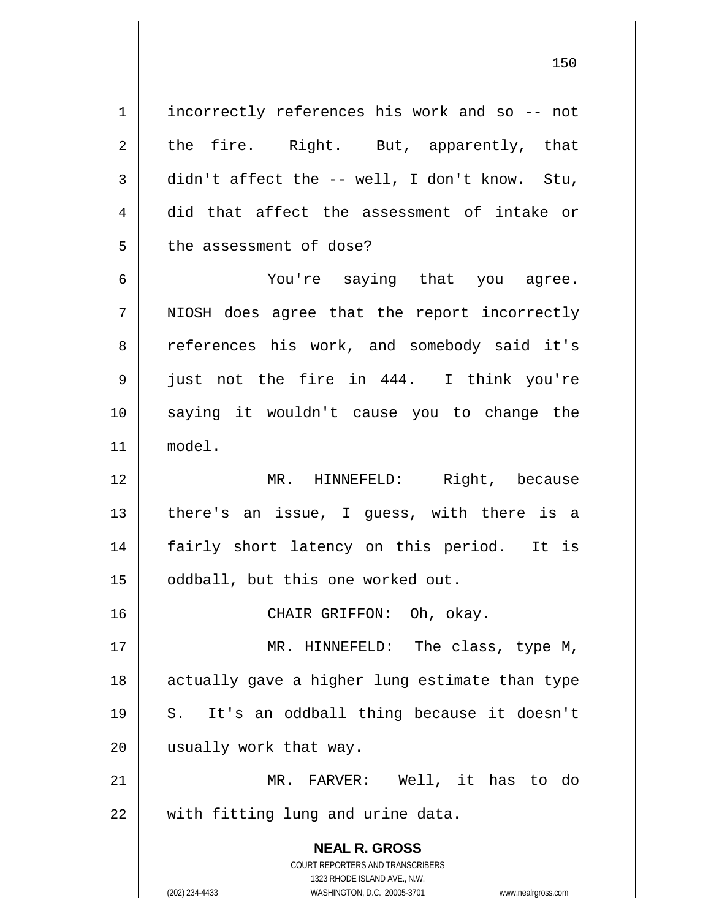**NEAL R. GROSS** COURT REPORTERS AND TRANSCRIBERS 1323 RHODE ISLAND AVE., N.W. 1 || incorrectly references his work and so -- not 2 || the fire. Right. But, apparently, that  $3 \parallel$  didn't affect the -- well, I don't know. Stu, 4 did that affect the assessment of intake or 5 | the assessment of dose? 6 You're saying that you agree. 7 || NIOSH does agree that the report incorrectly 8 || references his work, and somebody said it's 9 just not the fire in 444. I think you're 10 saying it wouldn't cause you to change the 11 model. 12 MR. HINNEFELD: Right, because  $13$  || there's an issue, I guess, with there is a 14 || fairly short latency on this period. It is 15 | oddball, but this one worked out. 16 CHAIR GRIFFON: Oh, okay. 17 || MR. HINNEFELD: The class, type M, 18 || actually gave a higher lung estimate than type 19 S. It's an oddball thing because it doesn't 20 || usually work that way. 21 MR. FARVER: Well, it has to do 22 || with fitting lung and urine data.

(202) 234-4433 WASHINGTON, D.C. 20005-3701 www.nealrgross.com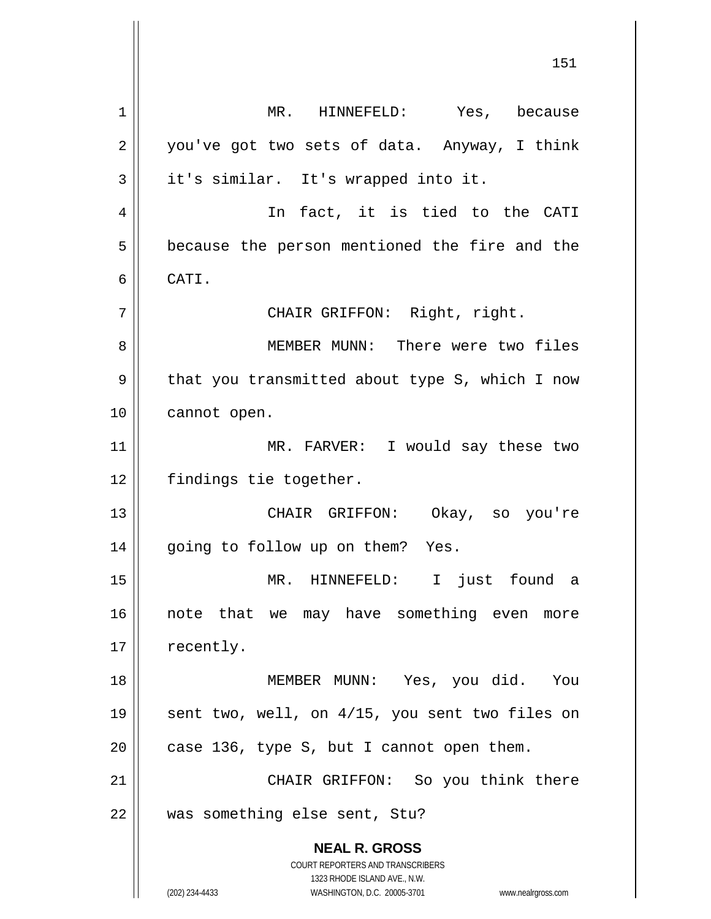**NEAL R. GROSS** COURT REPORTERS AND TRANSCRIBERS 1323 RHODE ISLAND AVE., N.W. (202) 234-4433 WASHINGTON, D.C. 20005-3701 www.nealrgross.com 1 MR. HINNEFELD: Yes, because  $2 \parallel$  you've got two sets of data. Anyway, I think  $3 \parallel$  it's similar. It's wrapped into it. 4 || In fact, it is tied to the CATI 5 | because the person mentioned the fire and the 6 CATI. 7 || CHAIR GRIFFON: Right, right. 8 MEMBER MUNN: There were two files 9 | that you transmitted about type S, which I now 10 | cannot open. 11 || MR. FARVER: I would say these two 12 | findings tie together. 13 CHAIR GRIFFON: Okay, so you're 14 || going to follow up on them? Yes. 15 MR. HINNEFELD: I just found a 16 || note that we may have something even more 17 | recently. 18 MEMBER MUNN: Yes, you did. You 19 || sent two, well, on 4/15, you sent two files on 20  $\parallel$  case 136, type S, but I cannot open them. 21 CHAIR GRIFFON: So you think there 22 || was something else sent, Stu?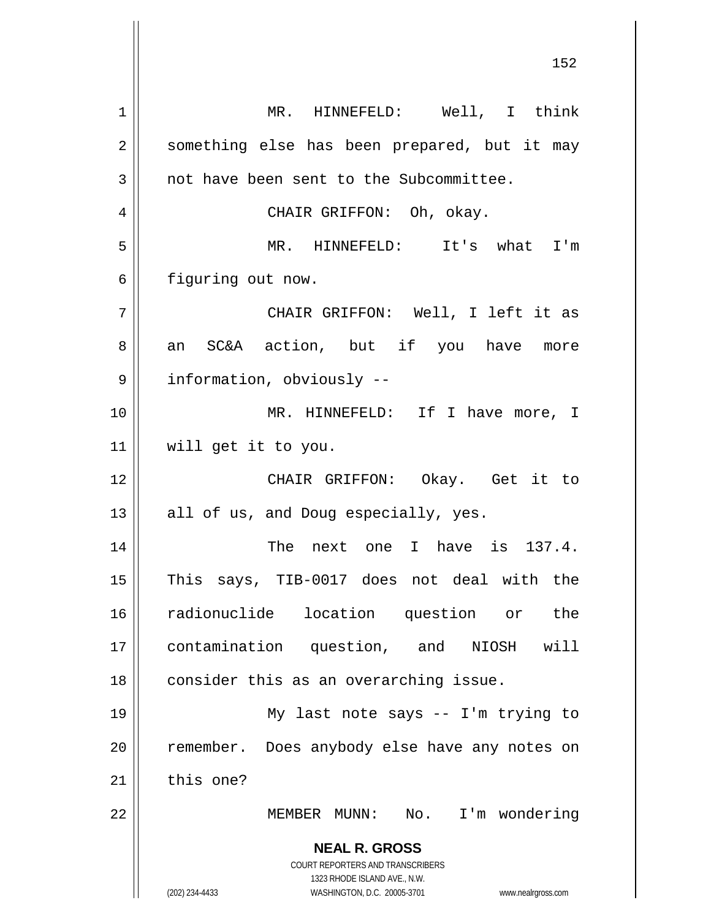**NEAL R. GROSS** COURT REPORTERS AND TRANSCRIBERS 1323 RHODE ISLAND AVE., N.W. (202) 234-4433 WASHINGTON, D.C. 20005-3701 www.nealrgross.com 1 || MR. HINNEFELD: Well, I think 2 || something else has been prepared, but it may 3 || not have been sent to the Subcommittee. 4 CHAIR GRIFFON: Oh, okay. 5 MR. HINNEFELD: It's what I'm 6 | figuring out now. 7 CHAIR GRIFFON: Well, I left it as 8 an SC&A action, but if you have more 9 | information, obviously --10 MR. HINNEFELD: If I have more, I 11 will get it to you. 12 CHAIR GRIFFON: Okay. Get it to  $13$  || all of us, and Doug especially, yes. 14 || The next one I have is 137.4. 15 This says, TIB-0017 does not deal with the 16 radionuclide location question or the 17 contamination question, and NIOSH will  $18$  | consider this as an overarching issue. 19 My last note says -- I'm trying to 20 || remember. Does anybody else have any notes on  $21$  this one? 22 MEMBER MUNN: No. I'm wondering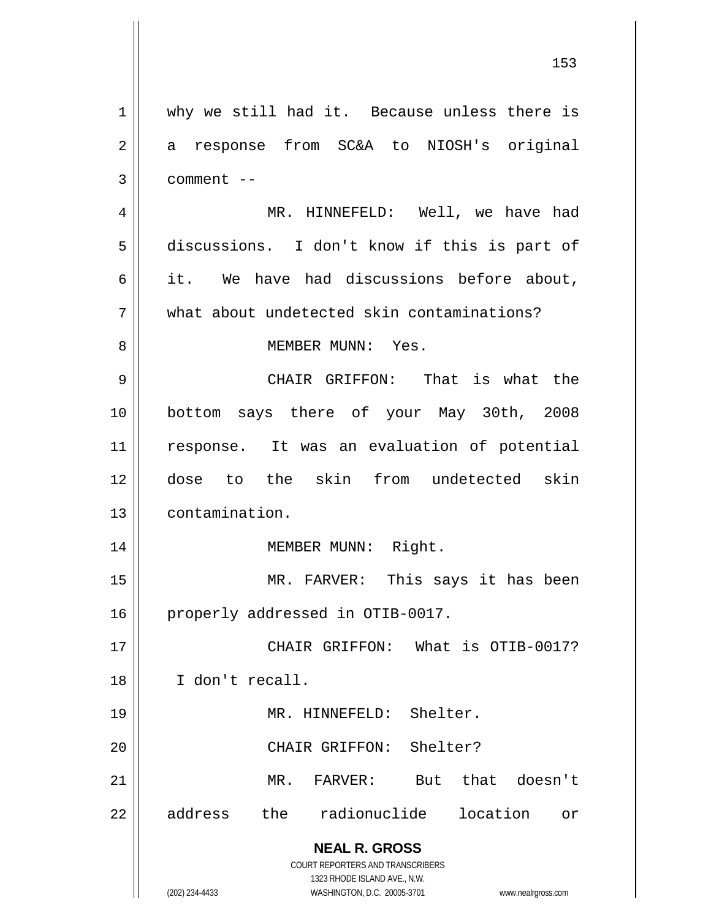**NEAL R. GROSS** COURT REPORTERS AND TRANSCRIBERS 1323 RHODE ISLAND AVE., N.W. (202) 234-4433 WASHINGTON, D.C. 20005-3701 www.nealrgross.com 1 || why we still had it. Because unless there is 2 a response from SC&A to NIOSH's original  $3 \parallel$  comment  $-$ 4 MR. HINNEFELD: Well, we have had 5 discussions. I don't know if this is part of  $6 \parallel$  it. We have had discussions before about, 7 what about undetected skin contaminations? 8 MEMBER MUNN: Yes. 9 CHAIR GRIFFON: That is what the 10 bottom says there of your May 30th, 2008 11 response. It was an evaluation of potential 12 dose to the skin from undetected skin 13 contamination. 14 || MEMBER MUNN: Right. 15 MR. FARVER: This says it has been 16 | properly addressed in OTIB-0017. 17 CHAIR GRIFFON: What is OTIB-0017? 18 I don't recall. 19 || MR. HINNEFELD: Shelter. 20 || CHAIR GRIFFON: Shelter? 21 MR. FARVER: But that doesn't 22 address the radionuclide location or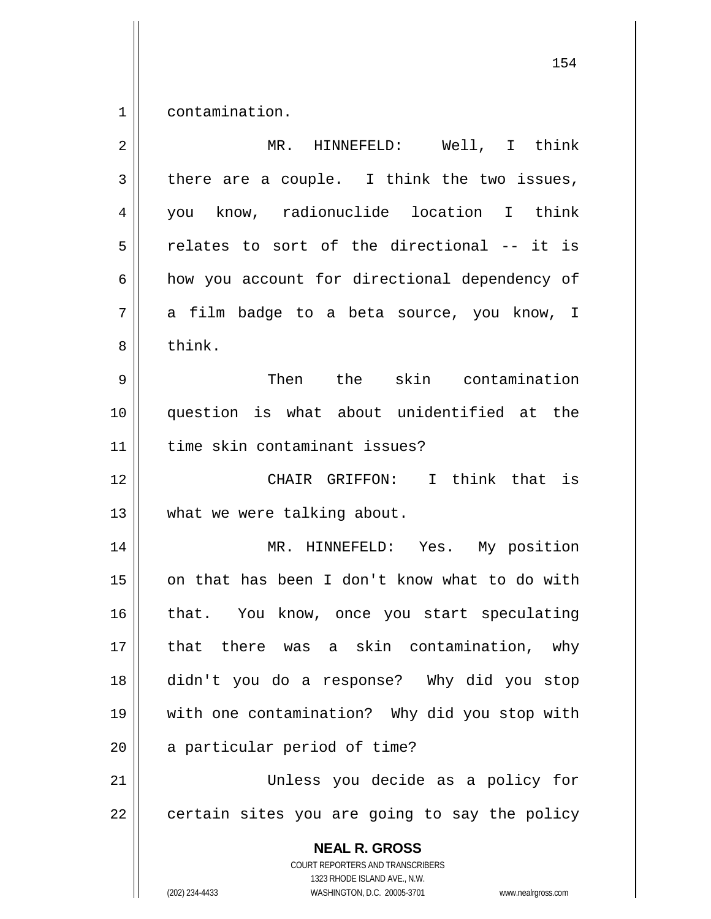1 contamination.

| $\overline{2}$ | MR. HINNEFELD: Well, I think                                                                                                                                    |
|----------------|-----------------------------------------------------------------------------------------------------------------------------------------------------------------|
| 3              | there are a couple. I think the two issues,                                                                                                                     |
| 4              | you know, radionuclide location I think                                                                                                                         |
| 5              | relates to sort of the directional -- it is                                                                                                                     |
| 6              | how you account for directional dependency of                                                                                                                   |
| 7              | a film badge to a beta source, you know, I                                                                                                                      |
| 8              | think.                                                                                                                                                          |
| 9              | Then the skin contamination                                                                                                                                     |
| 10             | question is what about unidentified at the                                                                                                                      |
| 11             | time skin contaminant issues?                                                                                                                                   |
| 12             | CHAIR GRIFFON: I think that is                                                                                                                                  |
| 13             | what we were talking about.                                                                                                                                     |
| 14             | MR. HINNEFELD: Yes. My position                                                                                                                                 |
| 15             | on that has been I don't know what to do with                                                                                                                   |
| 16             | that. You know, once you start speculating                                                                                                                      |
| 17             | that there was a skin contamination, why                                                                                                                        |
| 18             | didn't you do a response? Why did you stop                                                                                                                      |
| 19             | with one contamination? Why did you stop with                                                                                                                   |
| 20             | a particular period of time?                                                                                                                                    |
| 21             | Unless you decide as a policy for                                                                                                                               |
| 22             | certain sites you are going to say the policy                                                                                                                   |
|                | <b>NEAL R. GROSS</b><br>COURT REPORTERS AND TRANSCRIBERS<br>1323 RHODE ISLAND AVE., N.W.<br>(202) 234-4433<br>WASHINGTON, D.C. 20005-3701<br>www.nealrgross.com |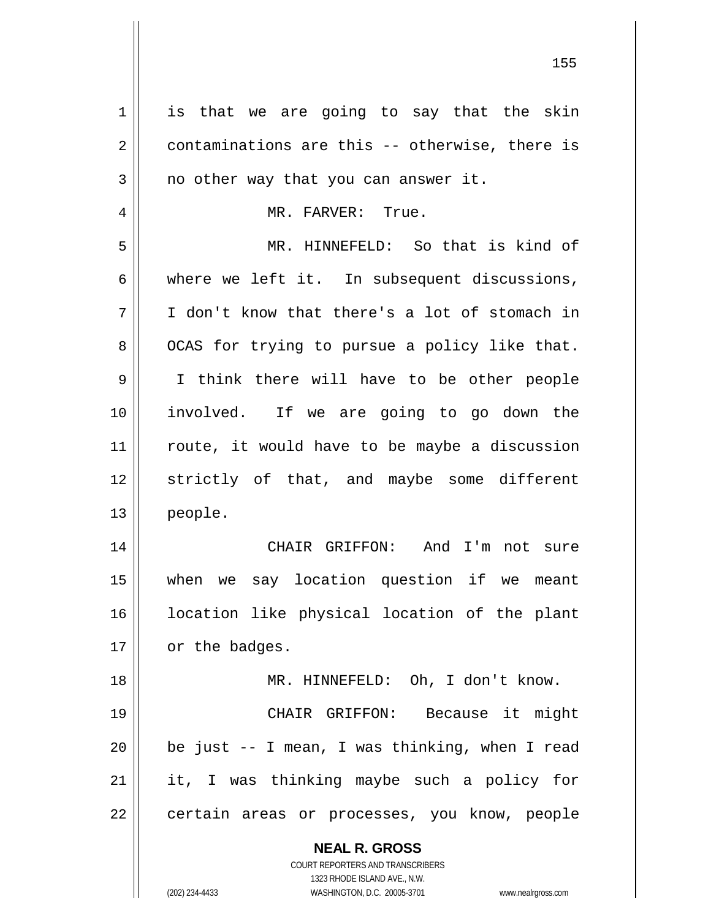| $\mathbf 1$    | is that we are going to say that the skin                                                           |
|----------------|-----------------------------------------------------------------------------------------------------|
| $\overline{2}$ | contaminations are this -- otherwise, there is                                                      |
| 3              | no other way that you can answer it.                                                                |
| 4              | MR. FARVER: True.                                                                                   |
| 5              | MR. HINNEFELD: So that is kind of                                                                   |
| 6              | where we left it. In subsequent discussions,                                                        |
| 7              | I don't know that there's a lot of stomach in                                                       |
| 8              | OCAS for trying to pursue a policy like that.                                                       |
| 9              | I think there will have to be other people                                                          |
| 10             | involved. If we are going to go down the                                                            |
| 11             | route, it would have to be maybe a discussion                                                       |
| 12             | strictly of that, and maybe some different                                                          |
| 13             | people.                                                                                             |
| 14             | CHAIR GRIFFON: And I'm not sure                                                                     |
| 15             | we say location question if we meant<br>when                                                        |
| 16             | location like physical location of the plant                                                        |
| 17             | or the badges.                                                                                      |
| 18             | MR. HINNEFELD: Oh, I don't know.                                                                    |
| 19             | CHAIR GRIFFON: Because it might                                                                     |
| 20             | be just -- I mean, I was thinking, when I read                                                      |
| 21             | it, I was thinking maybe such a policy for                                                          |
| 22             | certain areas or processes, you know, people                                                        |
|                |                                                                                                     |
|                | <b>NEAL R. GROSS</b>                                                                                |
|                | <b>COURT REPORTERS AND TRANSCRIBERS</b>                                                             |
|                | 1323 RHODE ISLAND AVE., N.W.<br>(202) 234-4433<br>WASHINGTON, D.C. 20005-3701<br>www.nealrgross.com |
|                |                                                                                                     |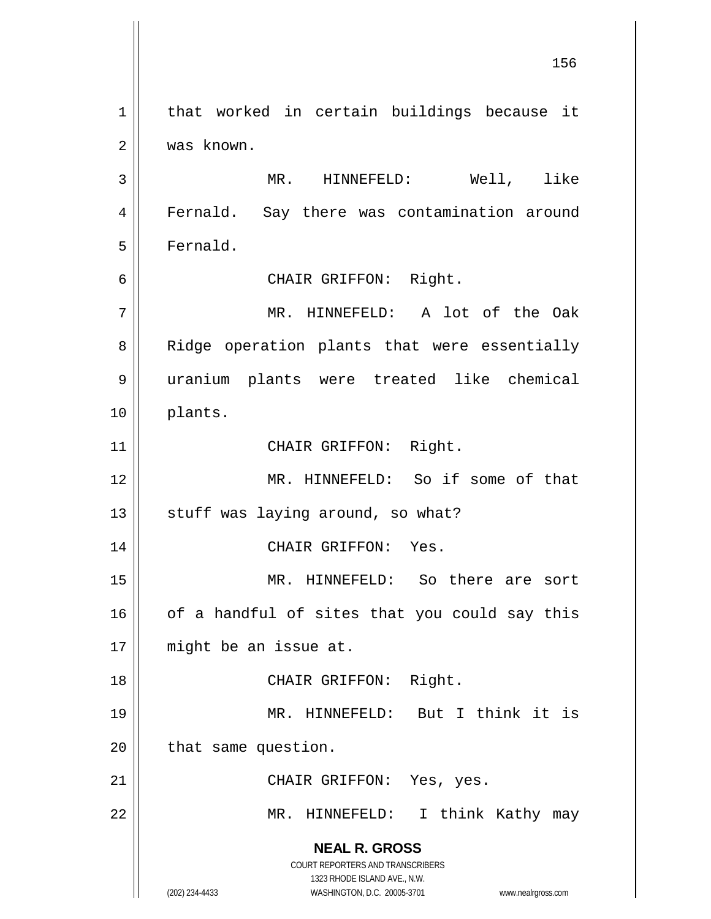**NEAL R. GROSS** COURT REPORTERS AND TRANSCRIBERS 1323 RHODE ISLAND AVE., N.W. (202) 234-4433 WASHINGTON, D.C. 20005-3701 www.nealrgross.com 1 || that worked in certain buildings because it 2 was known. 3 MR. HINNEFELD: Well, like 4 || Fernald. Say there was contamination around 5 | Fernald. 6 CHAIR GRIFFON: Right. 7 MR. HINNEFELD: A lot of the Oak 8 || Ridge operation plants that were essentially 9 uranium plants were treated like chemical 10 plants. 11 || CHAIR GRIFFON: Right. 12 MR. HINNEFELD: So if some of that  $13$  | stuff was laying around, so what? 14 CHAIR GRIFFON: Yes. 15 MR. HINNEFELD: So there are sort  $16$  of a handful of sites that you could say this 17 || might be an issue at. 18 || CHAIR GRIFFON: Right. 19 MR. HINNEFELD: But I think it is  $20$  | that same question. 21 || CHAIR GRIFFON: Yes, yes. 22 || MR. HINNEFELD: I think Kathy may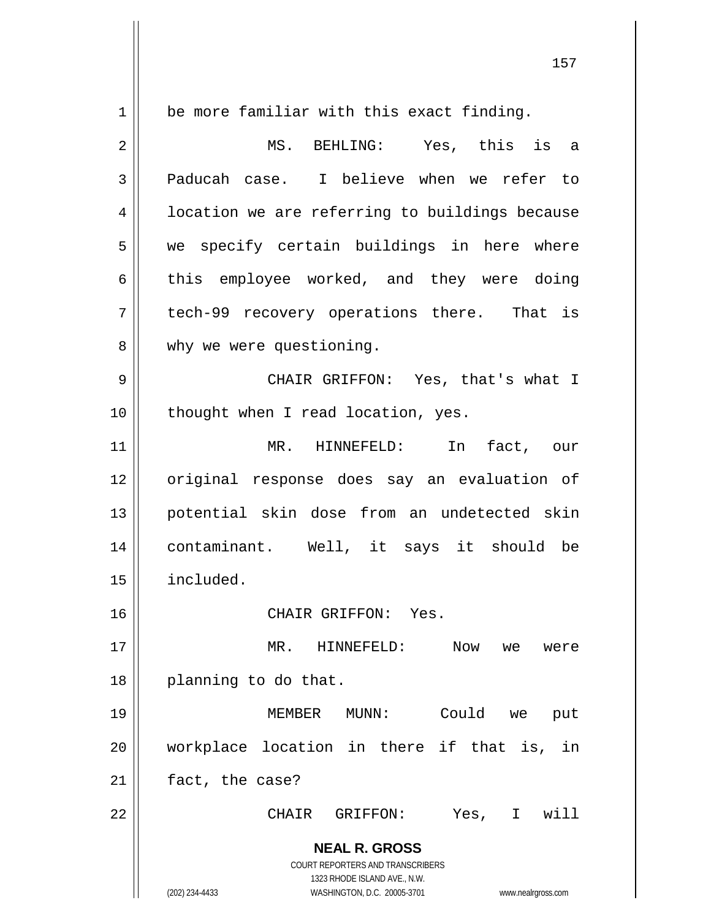**NEAL R. GROSS** COURT REPORTERS AND TRANSCRIBERS 1323 RHODE ISLAND AVE., N.W. (202) 234-4433 WASHINGTON, D.C. 20005-3701 www.nealrgross.com 1 be more familiar with this exact finding. 2 MS. BEHLING: Yes, this is a 3 || Paducah case. I believe when we refer to 4 | location we are referring to buildings because  $5 \parallel$  we specify certain buildings in here where  $6 \parallel$  this employee worked, and they were doing  $7$  | tech-99 recovery operations there. That is 8 | why we were questioning. 9 CHAIR GRIFFON: Yes, that's what I 10 || thought when I read location, yes. 11 MR. HINNEFELD: In fact, our 12 original response does say an evaluation of 13 potential skin dose from an undetected skin 14 contaminant. Well, it says it should be 15 included. 16 CHAIR GRIFFON: Yes. 17 || MR. HINNEFELD: Now we were 18 || planning to do that. 19 MEMBER MUNN: Could we put 20 workplace location in there if that is, in 21 | fact, the case? 22 CHAIR GRIFFON: Yes, I will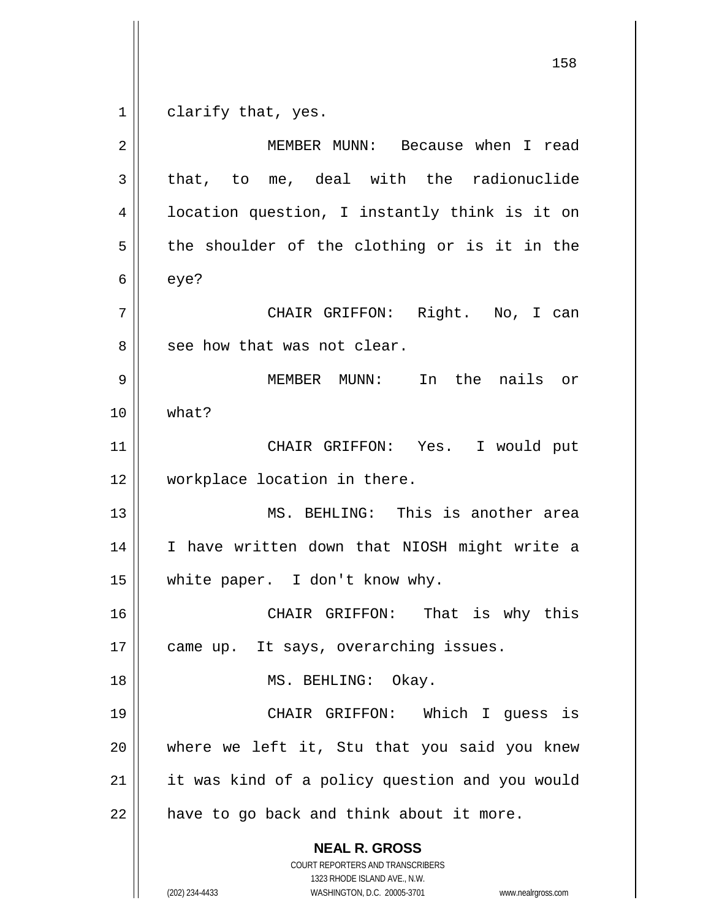$1 \parallel$  clarify that, yes.

**NEAL R. GROSS** COURT REPORTERS AND TRANSCRIBERS 1323 RHODE ISLAND AVE., N.W. (202) 234-4433 WASHINGTON, D.C. 20005-3701 www.nealrgross.com 2 || MEMBER MUNN: Because when I read  $3 \parallel$  that, to me, deal with the radionuclide 4 || location question, I instantly think is it on  $5 \parallel$  the shoulder of the clothing or is it in the  $6 \parallel$  eye? 7 CHAIR GRIFFON: Right. No, I can  $8 \parallel$  see how that was not clear. 9 MEMBER MUNN: In the nails or 10 what? 11 CHAIR GRIFFON: Yes. I would put 12 workplace location in there. 13 MS. BEHLING: This is another area 14 || I have written down that NIOSH might write a 15 white paper. I don't know why. 16 CHAIR GRIFFON: That is why this 17 || came up. It says, overarching issues. 18 || MS. BEHLING: Okay. 19 CHAIR GRIFFON: Which I guess is 20 where we left it, Stu that you said you knew  $21$  | it was kind of a policy question and you would  $22$  | have to go back and think about it more.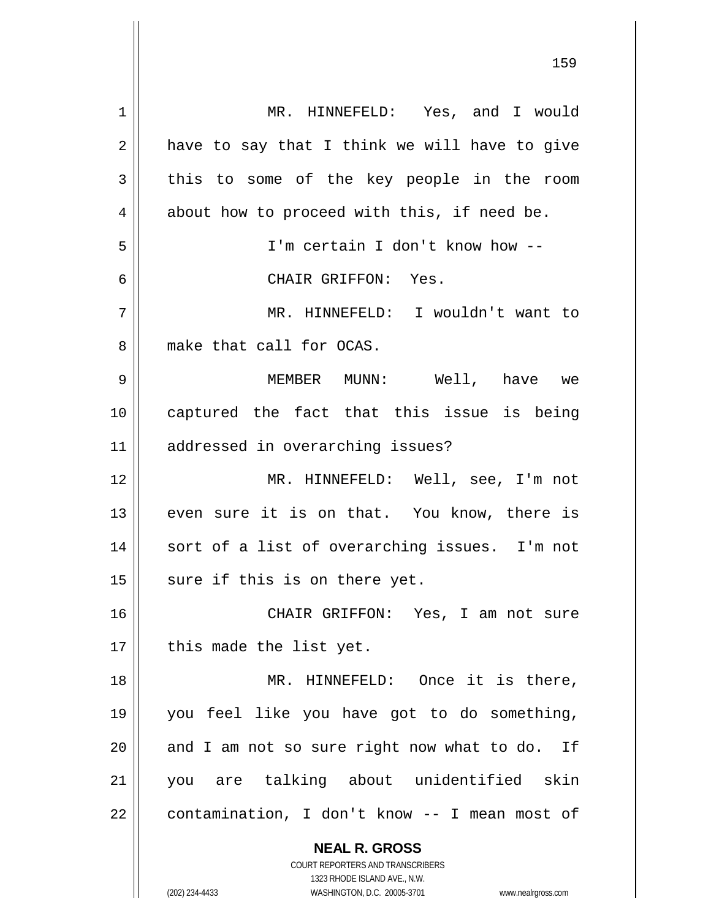| 1  | MR. HINNEFELD: Yes, and I would                                     |
|----|---------------------------------------------------------------------|
| 2  | have to say that I think we will have to give                       |
| 3  | this to some of the key people in the room                          |
| 4  | about how to proceed with this, if need be.                         |
| 5  | I'm certain I don't know how --                                     |
| 6  | CHAIR GRIFFON: Yes.                                                 |
| 7  | MR. HINNEFELD: I wouldn't want to                                   |
| 8  | make that call for OCAS.                                            |
| 9  | MEMBER MUNN: Well, have we                                          |
| 10 | captured the fact that this issue is being                          |
| 11 | addressed in overarching issues?                                    |
| 12 | MR. HINNEFELD: Well, see, I'm not                                   |
| 13 | even sure it is on that. You know, there is                         |
| 14 | sort of a list of overarching issues. I'm not                       |
| 15 | sure if this is on there yet.                                       |
| 16 | CHAIR GRIFFON: Yes, I am not sure                                   |
| 17 | this made the list yet.                                             |
| 18 | MR. HINNEFELD: Once it is there,                                    |
| 19 | you feel like you have got to do something,                         |
| 20 | and I am not so sure right now what to do. If                       |
| 21 | you are talking about unidentified skin                             |
| 22 | contamination, I don't know -- I mean most of                       |
|    | <b>NEAL R. GROSS</b>                                                |
|    | COURT REPORTERS AND TRANSCRIBERS                                    |
|    | 1323 RHODE ISLAND AVE., N.W.                                        |
|    | (202) 234-4433<br>WASHINGTON, D.C. 20005-3701<br>www.nealrgross.com |

 $\mathbf{I}$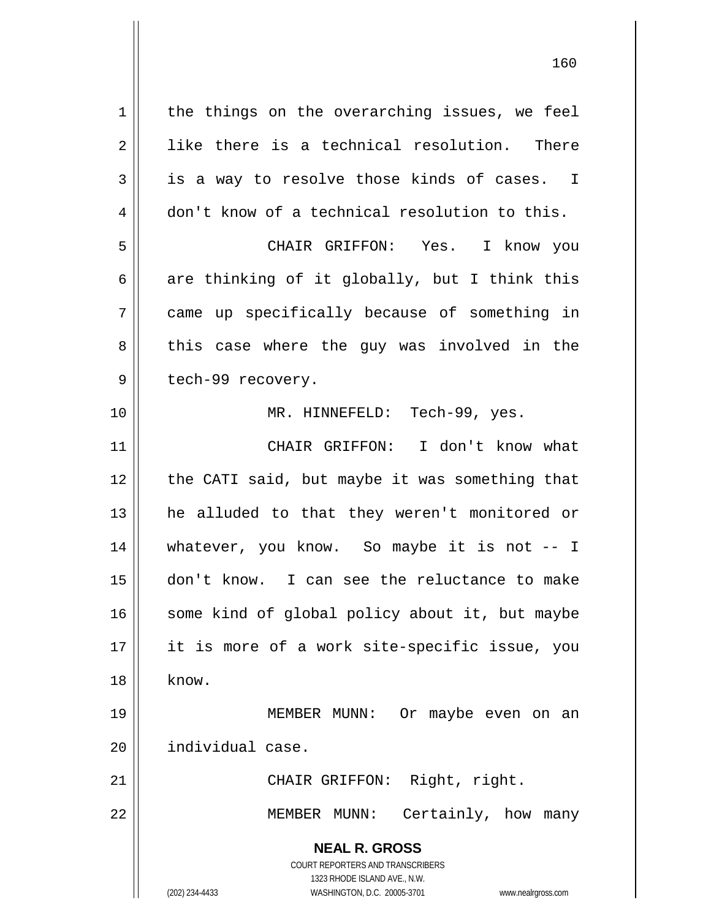**NEAL R. GROSS** COURT REPORTERS AND TRANSCRIBERS 1323 RHODE ISLAND AVE., N.W. (202) 234-4433 WASHINGTON, D.C. 20005-3701 www.nealrgross.com  $1$  the things on the overarching issues, we feel  $2 \parallel$  like there is a technical resolution. There  $3 \parallel$  is a way to resolve those kinds of cases. I  $4 \parallel$  don't know of a technical resolution to this. 5 CHAIR GRIFFON: Yes. I know you 6 are thinking of it globally, but I think this 7 came up specifically because of something in 8 || this case where the guy was involved in the 9 || tech-99 recovery. 10 MR. HINNEFELD: Tech-99, yes. 11 CHAIR GRIFFON: I don't know what 12 || the CATI said, but maybe it was something that 13 he alluded to that they weren't monitored or 14 whatever, you know. So maybe it is not -- I 15 don't know. I can see the reluctance to make 16 || some kind of global policy about it, but maybe 17 || it is more of a work site-specific issue, you  $18 \parallel$  know. 19 MEMBER MUNN: Or maybe even on an 20 | individual case. 21 || CHAIR GRIFFON: Right, right. 22 || MEMBER MUNN: Certainly, how many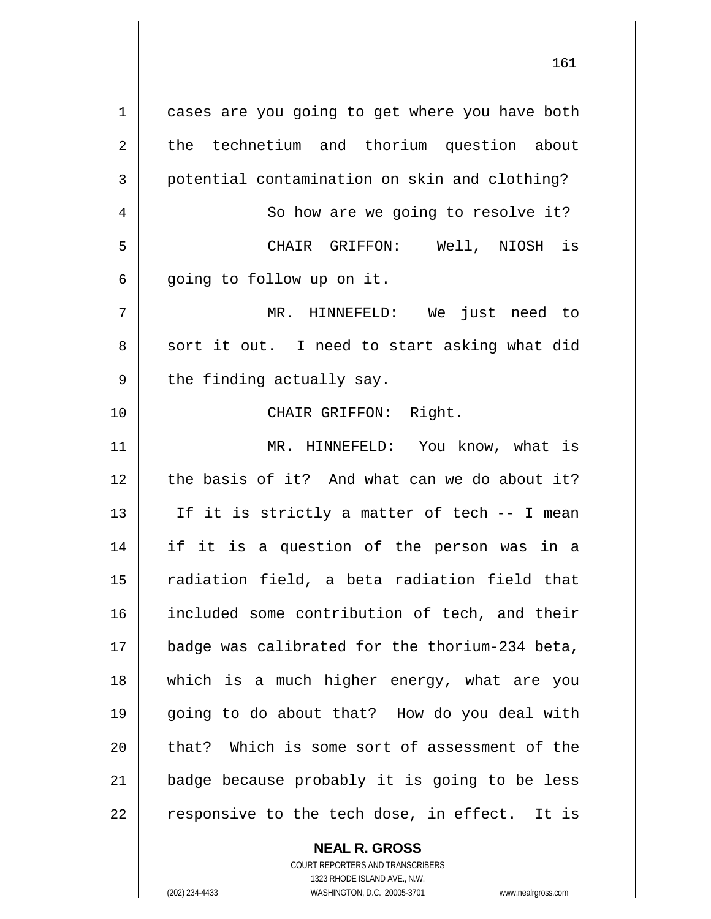1 | cases are you going to get where you have both 2 the technetium and thorium question about 3 potential contamination on skin and clothing? 4 | So how are we going to resolve it? 5 CHAIR GRIFFON: Well, NIOSH is  $6 \parallel$  going to follow up on it. 7 MR. HINNEFELD: We just need to  $8 \parallel$  sort it out. I need to start asking what did  $9 \parallel$  the finding actually say. 10 CHAIR GRIFFON: Right. 11 || MR. HINNEFELD: You know, what is 12 the basis of it? And what can we do about it? 13  $\parallel$  If it is strictly a matter of tech -- I mean 14 if it is a question of the person was in a 15 || radiation field, a beta radiation field that 16 || included some contribution of tech, and their 17 badge was calibrated for the thorium-234 beta, 18 which is a much higher energy, what are you 19 going to do about that? How do you deal with  $20$  || that? Which is some sort of assessment of the  $21$  | badge because probably it is going to be less  $22$  || responsive to the tech dose, in effect. It is

> **NEAL R. GROSS** COURT REPORTERS AND TRANSCRIBERS

1323 RHODE ISLAND AVE., N.W. (202) 234-4433 WASHINGTON, D.C. 20005-3701 www.nealrgross.com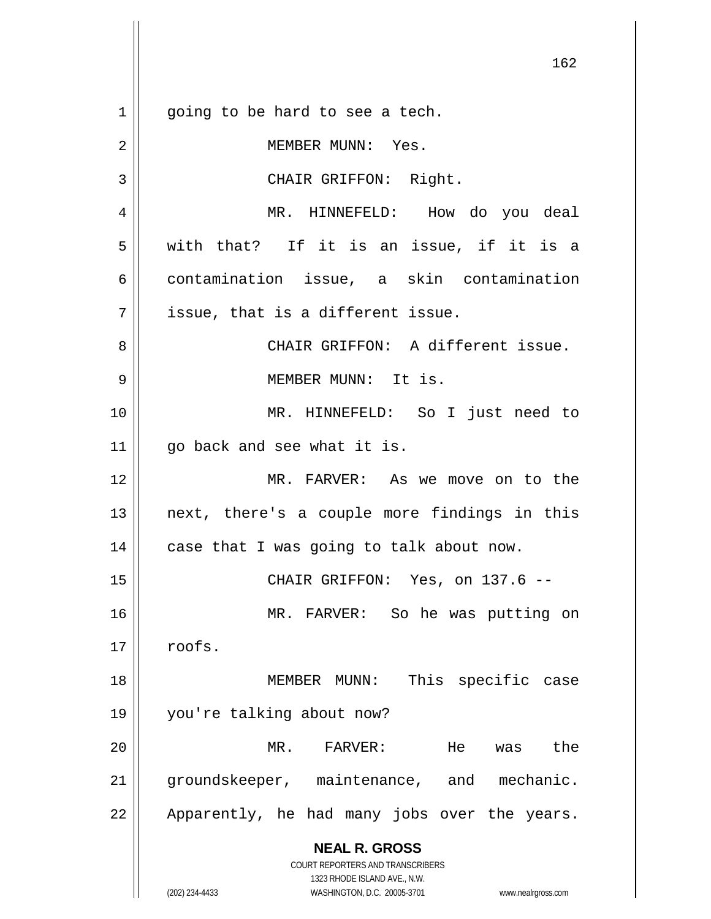**NEAL R. GROSS** COURT REPORTERS AND TRANSCRIBERS 1323 RHODE ISLAND AVE., N.W. (202) 234-4433 WASHINGTON, D.C. 20005-3701 www.nealrgross.com  $1 \parallel$  going to be hard to see a tech. 2 || MEMBER MUNN: Yes. 3 || CHAIR GRIFFON: Right. 4 MR. HINNEFELD: How do you deal  $5 \parallel$  with that? If it is an issue, if it is a 6 contamination issue, a skin contamination  $7$  || issue, that is a different issue. 8 || CHAIR GRIFFON: A different issue. 9 MEMBER MUNN: It is. 10 MR. HINNEFELD: So I just need to  $11$  | qo back and see what it is. 12 MR. FARVER: As we move on to the  $13$  || next, there's a couple more findings in this  $14$  | case that I was going to talk about now. 15 CHAIR GRIFFON: Yes, on 137.6 -- 16 MR. FARVER: So he was putting on  $17 \parallel \text{roots}.$ 18 MEMBER MUNN: This specific case 19 you're talking about now? 20 MR. FARVER: He was the 21 || groundskeeper, maintenance, and mechanic.  $22$  || Apparently, he had many jobs over the years.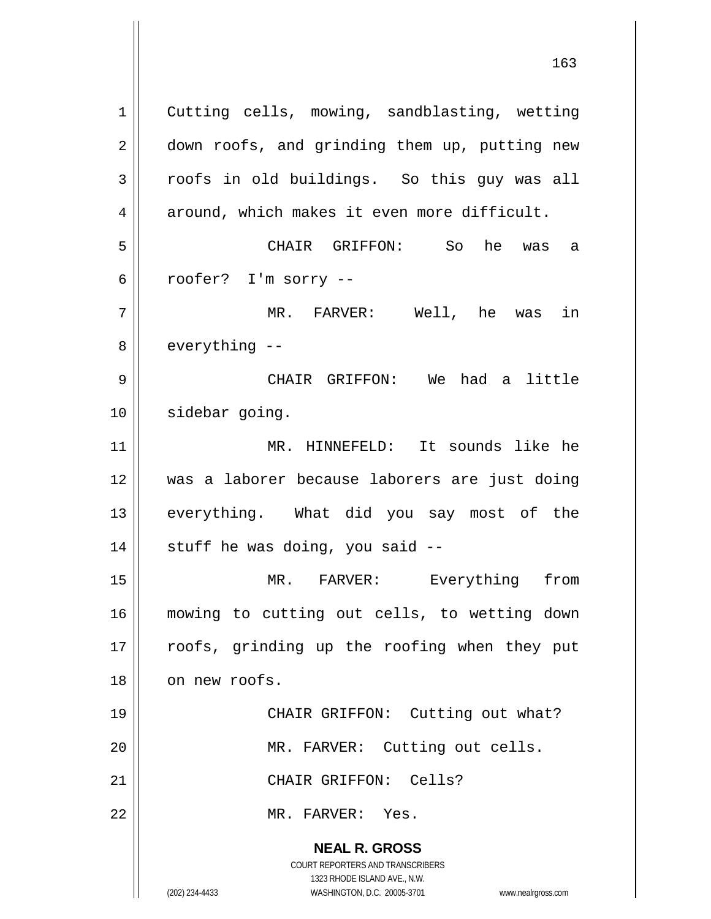**NEAL R. GROSS** COURT REPORTERS AND TRANSCRIBERS 1323 RHODE ISLAND AVE., N.W. (202) 234-4433 WASHINGTON, D.C. 20005-3701 www.nealrgross.com 1 | Cutting cells, mowing, sandblasting, wetting 2 | down roofs, and grinding them up, putting new 3 croofs in old buildings. So this guy was all  $4 \parallel$  around, which makes it even more difficult. 5 CHAIR GRIFFON: So he was a  $6 \parallel$  roofer? I'm sorry --7 MR. FARVER: Well, he was in  $8 \parallel$  everything  $-$ 9 CHAIR GRIFFON: We had a little 10 | sidebar going. 11 MR. HINNEFELD: It sounds like he 12 was a laborer because laborers are just doing 13 || everything. What did you say most of the  $14$  | stuff he was doing, you said  $-$ 15 || MR. FARVER: Everything from 16 mowing to cutting out cells, to wetting down 17 || roofs, grinding up the roofing when they put 18 on new roofs. 19 || CHAIR GRIFFON: Cutting out what? 20 || MR. FARVER: Cutting out cells. 21 || CHAIR GRIFFON: Cells? 22 MR. FARVER: Yes.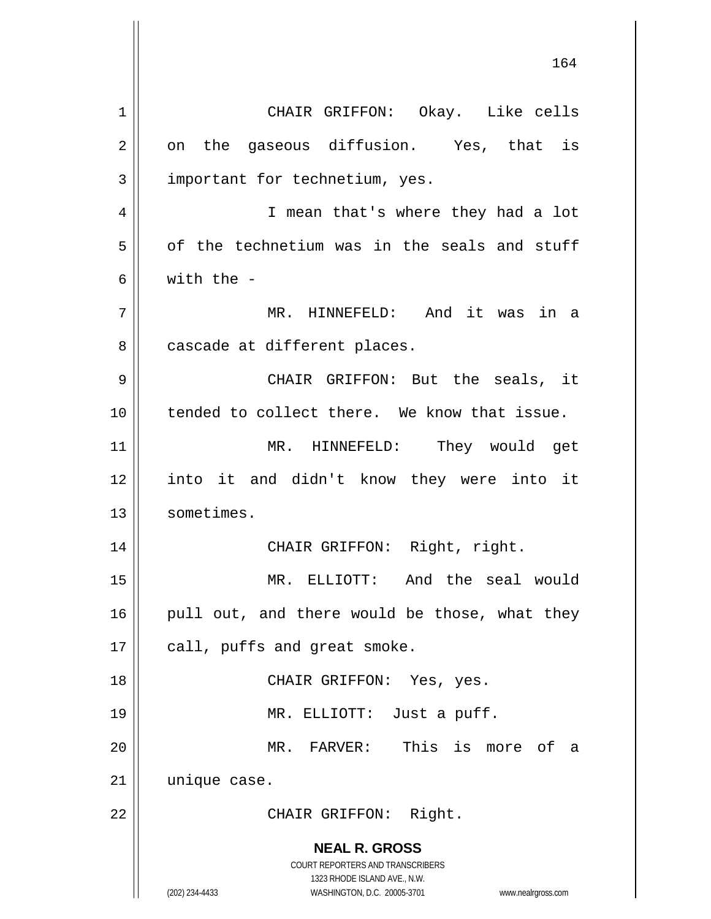**NEAL R. GROSS** COURT REPORTERS AND TRANSCRIBERS 1323 RHODE ISLAND AVE., N.W. (202) 234-4433 WASHINGTON, D.C. 20005-3701 www.nealrgross.com 164 1 CHAIR GRIFFON: Okay. Like cells  $2 \parallel$  on the gaseous diffusion. Yes, that is  $3$  | important for technetium, yes. 4 || I mean that's where they had a lot  $5 \parallel$  of the technetium was in the seals and stuff 6 with the - 7 MR. HINNEFELD: And it was in a 8 | cascade at different places. 9 CHAIR GRIFFON: But the seals, it 10 || tended to collect there. We know that issue. 11 MR. HINNEFELD: They would get 12 into it and didn't know they were into it 13 | sometimes. 14 || CHAIR GRIFFON: Right, right. 15 MR. ELLIOTT: And the seal would  $16$  | pull out, and there would be those, what they 17 | call, puffs and great smoke. 18 CHAIR GRIFFON: Yes, yes. 19 MR. ELLIOTT: Just a puff. 20 MR. FARVER: This is more of a 21 | unique case. 22 || CHAIR GRIFFON: Right.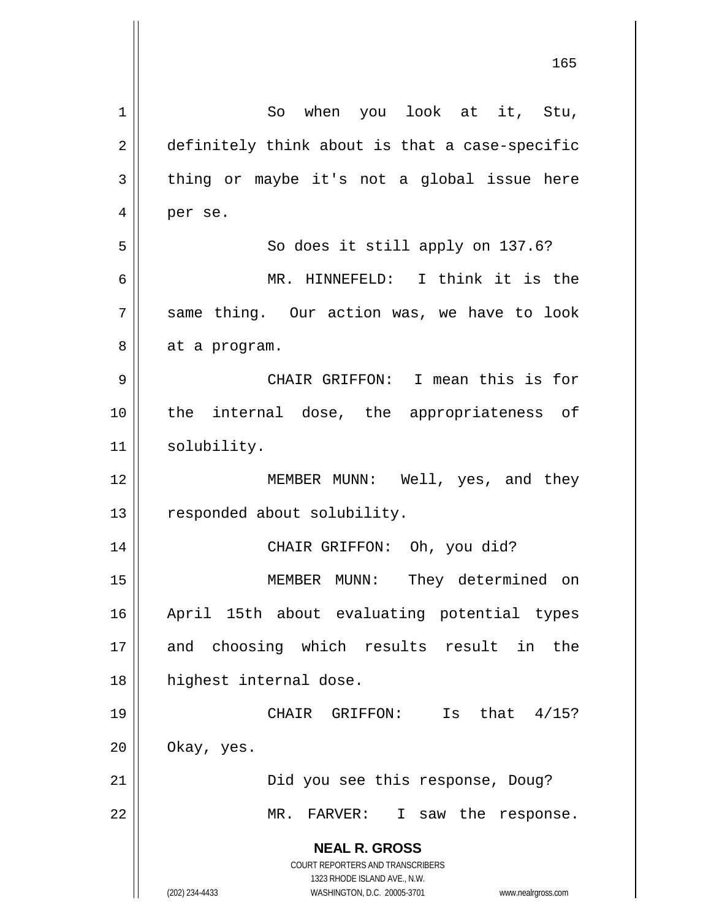| $\mathbf 1$ | So when you look at it, Stu,                                                                        |
|-------------|-----------------------------------------------------------------------------------------------------|
| 2           | definitely think about is that a case-specific                                                      |
| 3           | thing or maybe it's not a global issue here                                                         |
| 4           | per se.                                                                                             |
| 5           | So does it still apply on 137.6?                                                                    |
| 6           | MR. HINNEFELD: I think it is the                                                                    |
| 7           | same thing. Our action was, we have to look                                                         |
| 8           | at a program.                                                                                       |
| 9           | CHAIR GRIFFON: I mean this is for                                                                   |
| 10          | the internal dose, the appropriateness of                                                           |
| 11          | solubility.                                                                                         |
| 12          | MEMBER MUNN: Well, yes, and they                                                                    |
| 13          | responded about solubility.                                                                         |
| 14          | CHAIR GRIFFON: Oh, you did?                                                                         |
| 15          | MEMBER MUNN: They determined on                                                                     |
| 16          | April 15th about evaluating potential types                                                         |
| 17          | and choosing which results result in the                                                            |
| 18          | highest internal dose.                                                                              |
| 19          | Is that $4/15$ ?<br>CHAIR GRIFFON:                                                                  |
| 20          | Okay, yes.                                                                                          |
| 21          | Did you see this response, Doug?                                                                    |
| 22          | MR. FARVER:<br>I saw the response.                                                                  |
|             | <b>NEAL R. GROSS</b>                                                                                |
|             | <b>COURT REPORTERS AND TRANSCRIBERS</b>                                                             |
|             | 1323 RHODE ISLAND AVE., N.W.<br>(202) 234-4433<br>WASHINGTON, D.C. 20005-3701<br>www.nealrgross.com |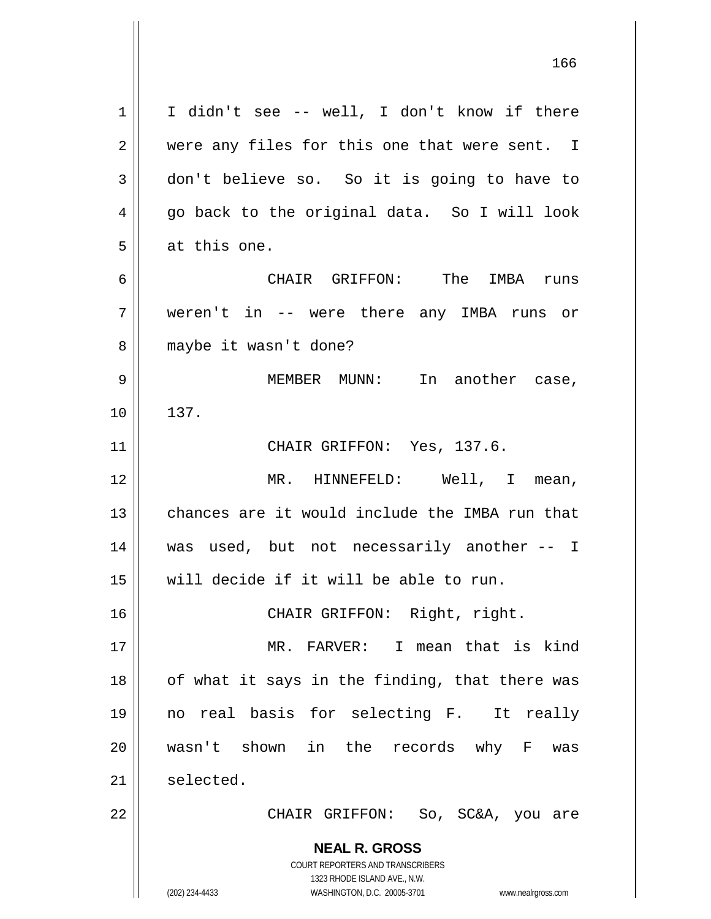**NEAL R. GROSS** COURT REPORTERS AND TRANSCRIBERS 1323 RHODE ISLAND AVE., N.W. (202) 234-4433 WASHINGTON, D.C. 20005-3701 www.nealrgross.com  $1 \parallel$  I didn't see -- well, I don't know if there  $2 \parallel$  were any files for this one that were sent. I 3 don't believe so. So it is going to have to 4 || go back to the original data. So I will look 5 | at this one. 6 CHAIR GRIFFON: The IMBA runs 7 weren't in -- were there any IMBA runs or 8 || maybe it wasn't done? 9 MEMBER MUNN: In another case, 10 | 137. 11 || CHAIR GRIFFON: Yes, 137.6. 12 || MR. HINNEFELD: Well, I mean, 13 chances are it would include the IMBA run that 14 was used, but not necessarily another -- I 15 will decide if it will be able to run. 16 || CHAIR GRIFFON: Right, right. 17 MR. FARVER: I mean that is kind  $18$  || of what it says in the finding, that there was 19 no real basis for selecting F. It really 20 wasn't shown in the records why F was 21 selected. 22 CHAIR GRIFFON: So, SC&A, you are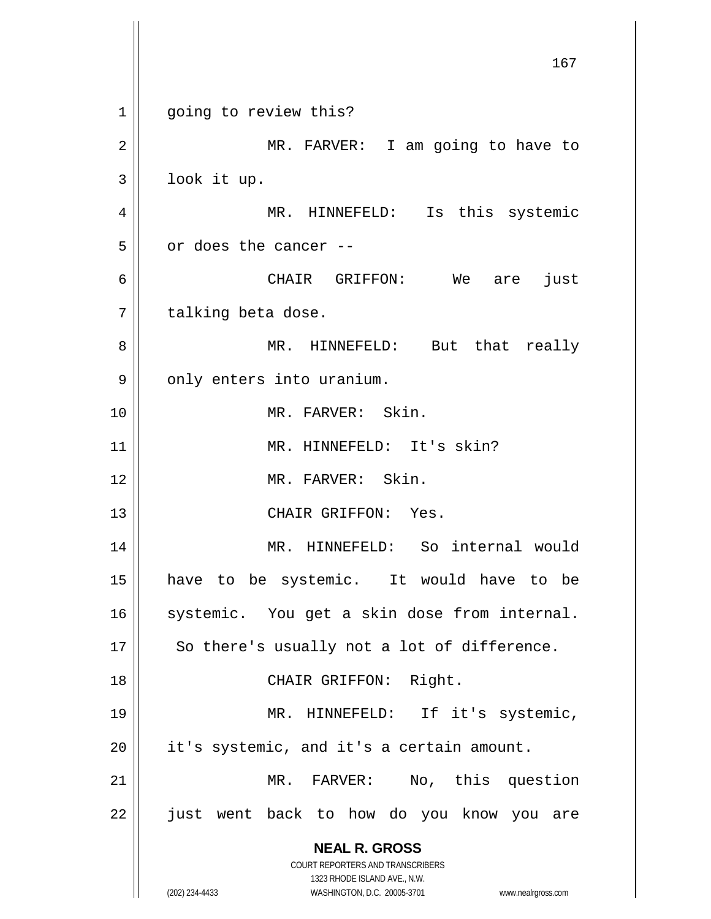**NEAL R. GROSS** COURT REPORTERS AND TRANSCRIBERS 1323 RHODE ISLAND AVE., N.W. (202) 234-4433 WASHINGTON, D.C. 20005-3701 www.nealrgross.com 167 1 || going to review this? 2 || MR. FARVER: I am going to have to 3 look it up. 4 || MR. HINNEFELD: Is this systemic  $5 \parallel$  or does the cancer --6 CHAIR GRIFFON: We are just 7 | talking beta dose. 8 MR. HINNEFELD: But that really  $9 \parallel$  only enters into uranium. 10 MR. FARVER: Skin. 11 || MR. HINNEFELD: It's skin? 12 MR. FARVER: Skin. 13 CHAIR GRIFFON: Yes. 14 MR. HINNEFELD: So internal would 15 have to be systemic. It would have to be 16 || systemic. You get a skin dose from internal.  $17$  || So there's usually not a lot of difference. 18 || CHAIR GRIFFON: Right. 19 || MR. HINNEFELD: If it's systemic,  $20$  || it's systemic, and it's a certain amount. 21 || MR. FARVER: No, this question 22 || just went back to how do you know you are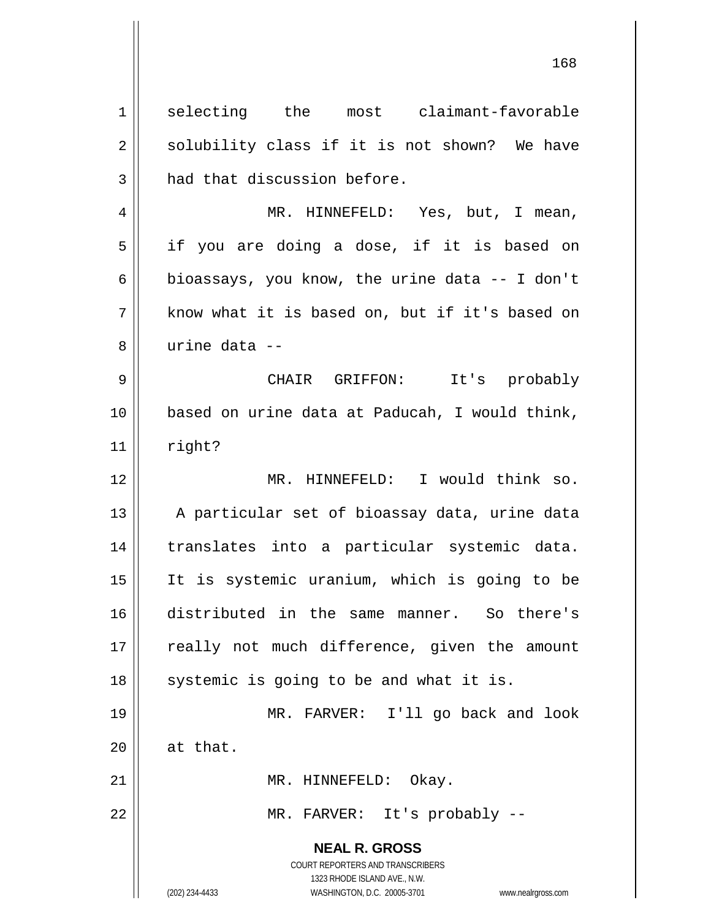**NEAL R. GROSS** COURT REPORTERS AND TRANSCRIBERS 1323 RHODE ISLAND AVE., N.W. (202) 234-4433 WASHINGTON, D.C. 20005-3701 www.nealrgross.com 1 selecting the most claimant-favorable  $2 \parallel$  solubility class if it is not shown? We have  $3$  | had that discussion before. 4 MR. HINNEFELD: Yes, but, I mean, 5 || if you are doing a dose, if it is based on 6 bioassays, you know, the urine data  $-$  I don't  $7 \parallel$  know what it is based on, but if it's based on 8 urine data -- 9 CHAIR GRIFFON: It's probably 10 based on urine data at Paducah, I would think,  $11$  right? 12 || MR. HINNEFELD: I would think so. 13 || A particular set of bioassay data, urine data 14 translates into a particular systemic data. 15 It is systemic uranium, which is going to be 16 distributed in the same manner. So there's 17 || really not much difference, given the amount  $18$  || systemic is going to be and what it is. 19 MR. FARVER: I'll go back and look  $20$  | at that. 21 || MR. HINNEFELD: Okay. 22 || MR. FARVER: It's probably --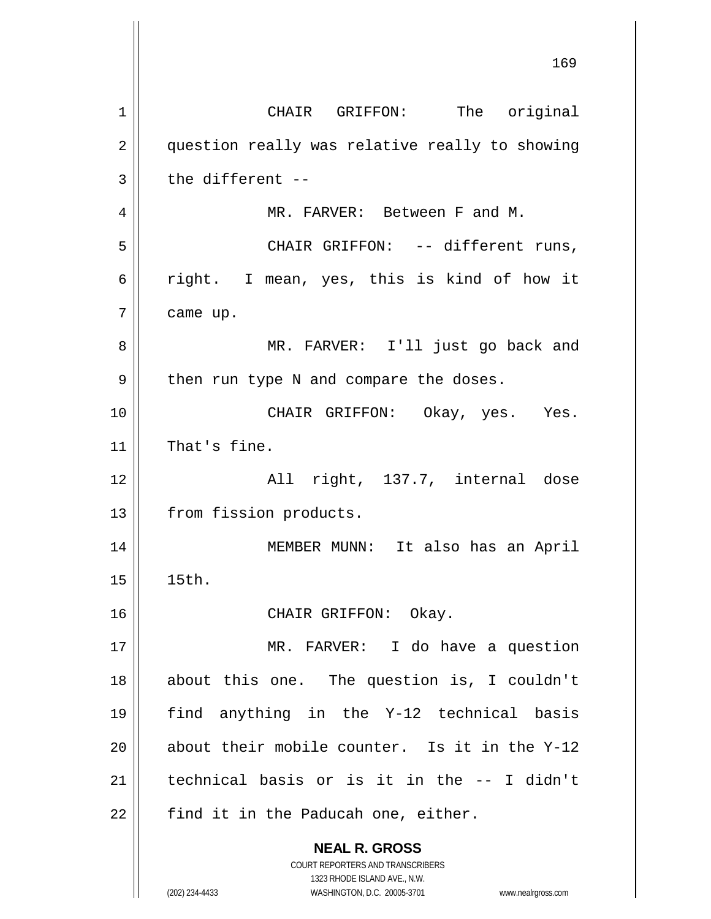**NEAL R. GROSS** COURT REPORTERS AND TRANSCRIBERS 1323 RHODE ISLAND AVE., N.W. 169 1 || CHAIR GRIFFON: The original 2 || question really was relative really to showing  $3 \parallel$  the different --4 MR. FARVER: Between F and M. 5 CHAIR GRIFFON: -- different runs, 6  $\parallel$  right. I mean, yes, this is kind of how it  $7 \parallel$  came up. 8 MR. FARVER: I'll just go back and  $9 \parallel$  then run type N and compare the doses. 10 CHAIR GRIFFON: Okay, yes. Yes. 11 | That's fine. 12 All right, 137.7, internal dose 13 | from fission products. 14 MEMBER MUNN: It also has an April 15 15th. 16 || CHAIR GRIFFON: Okay. 17 MR. FARVER: I do have a question 18 about this one. The question is, I couldn't 19 find anything in the Y-12 technical basis 20  $\parallel$  about their mobile counter. Is it in the Y-12 21 technical basis or is it in the -- I didn't  $22$  || find it in the Paducah one, either.

(202) 234-4433 WASHINGTON, D.C. 20005-3701 www.nealrgross.com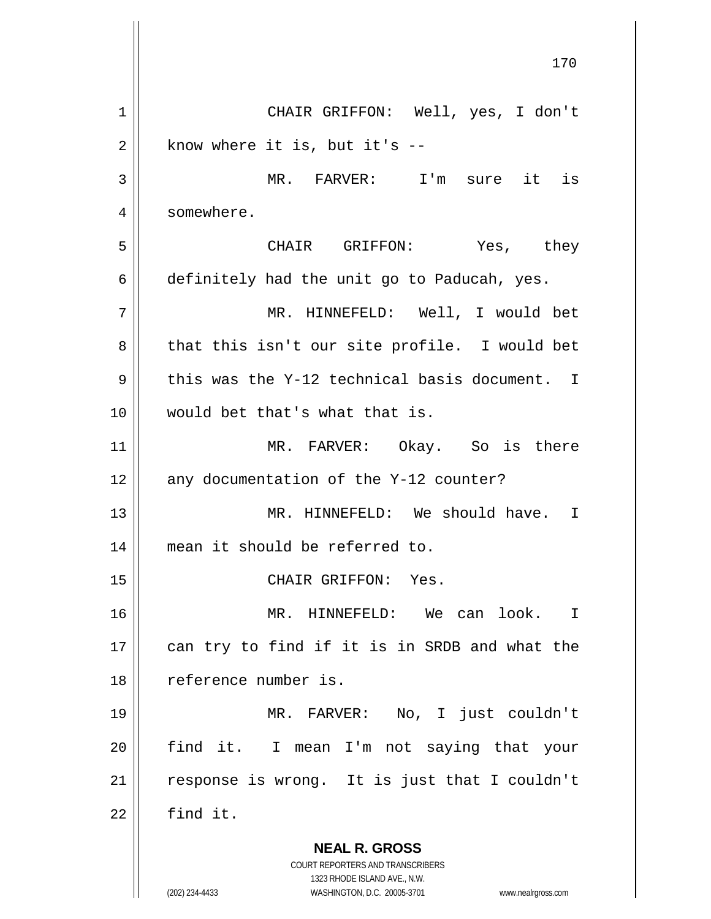**NEAL R. GROSS** COURT REPORTERS AND TRANSCRIBERS 1323 RHODE ISLAND AVE., N.W. (202) 234-4433 WASHINGTON, D.C. 20005-3701 www.nealrgross.com 1 CHAIR GRIFFON: Well, yes, I don't  $2 \parallel$  know where it is, but it's  $-$ 3 MR. FARVER: I'm sure it is 4 | somewhere. 5 CHAIR GRIFFON: Yes, they 6 definitely had the unit go to Paducah, yes. 7 MR. HINNEFELD: Well, I would bet  $8 \parallel$  that this isn't our site profile. I would bet 9 this was the Y-12 technical basis document. I 10 would bet that's what that is. 11 MR. FARVER: Okay. So is there  $12$  | any documentation of the Y-12 counter? 13 MR. HINNEFELD: We should have. I 14 mean it should be referred to. 15 || CHAIR GRIFFON: Yes. 16 MR. HINNEFELD: We can look. I 17 || can try to find if it is in SRDB and what the 18 reference number is. 19 MR. FARVER: No, I just couldn't 20 || find it. I mean I'm not saying that your  $21$  response is wrong. It is just that I couldn't  $22$   $\parallel$  find it.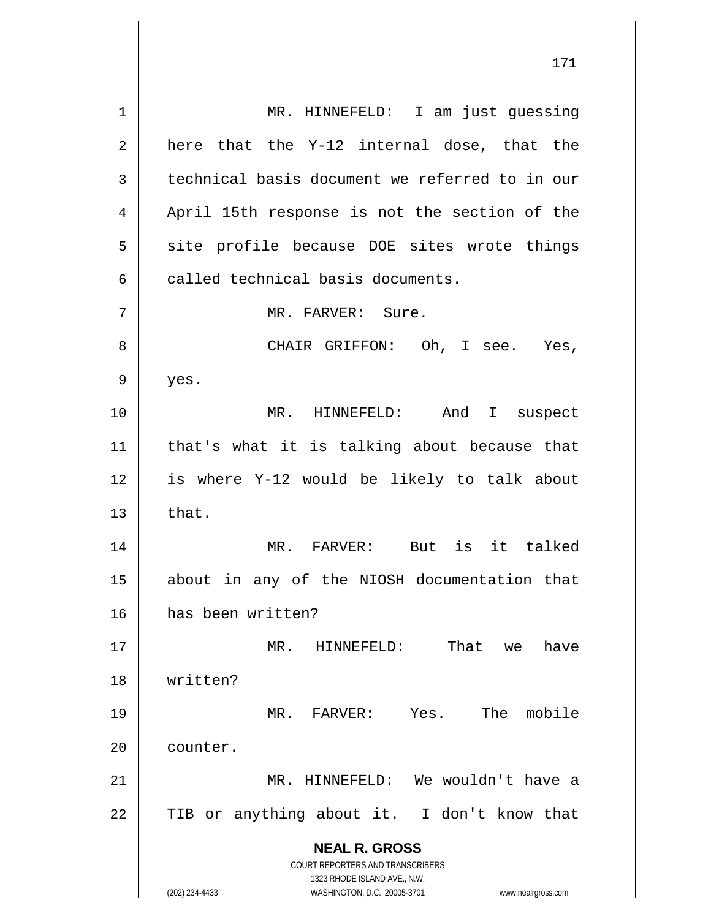**NEAL R. GROSS** COURT REPORTERS AND TRANSCRIBERS 1323 RHODE ISLAND AVE., N.W. (202) 234-4433 WASHINGTON, D.C. 20005-3701 www.nealrgross.com 1 || MR. HINNEFELD: I am just quessing  $2 \parallel$  here that the Y-12 internal dose, that the 3 | technical basis document we referred to in our 4 || April 15th response is not the section of the  $5$  site profile because DOE sites wrote things  $6$   $\parallel$  called technical basis documents. 7 MR. FARVER: Sure. 8 CHAIR GRIFFON: Oh, I see. Yes,  $9 \parallel$  yes. 10 MR. HINNEFELD: And I suspect 11 that's what it is talking about because that 12 is where Y-12 would be likely to talk about  $13 \parallel$  that. 14 MR. FARVER: But is it talked 15 || about in any of the NIOSH documentation that 16 has been written? 17 MR. HINNEFELD: That we have 18 written? 19 MR. FARVER: Yes. The mobile 20 | counter. 21 MR. HINNEFELD: We wouldn't have a  $22$  TIB or anything about it. I don't know that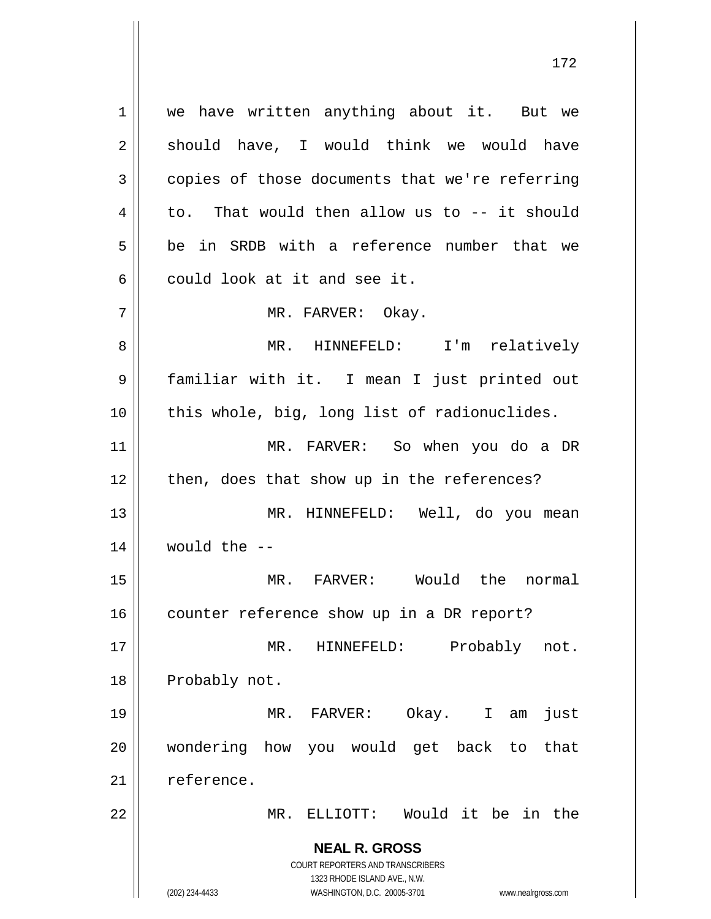**NEAL R. GROSS** COURT REPORTERS AND TRANSCRIBERS 1323 RHODE ISLAND AVE., N.W. 1 | we have written anything about it. But we  $2 \parallel$  should have, I would think we would have  $3 \parallel$  copies of those documents that we're referring  $4 \parallel$  to. That would then allow us to  $-$  it should 5 be in SRDB with a reference number that we  $6 \parallel$  could look at it and see it. 7 MR. FARVER: Okay. 8 MR. HINNEFELD: I'm relatively 9 familiar with it. I mean I just printed out  $10$  || this whole, big, long list of radionuclides. 11 MR. FARVER: So when you do a DR  $12$  | then, does that show up in the references? 13 MR. HINNEFELD: Well, do you mean  $14$  | would the  $-$ 15 MR. FARVER: Would the normal 16 | counter reference show up in a DR report? 17 || MR. HINNEFELD: Probably not. 18 | Probably not. 19 MR. FARVER: Okay. I am just 20 wondering how you would get back to that  $21$   $\parallel$  reference. 22 MR. ELLIOTT: Would it be in the

(202) 234-4433 WASHINGTON, D.C. 20005-3701 www.nealrgross.com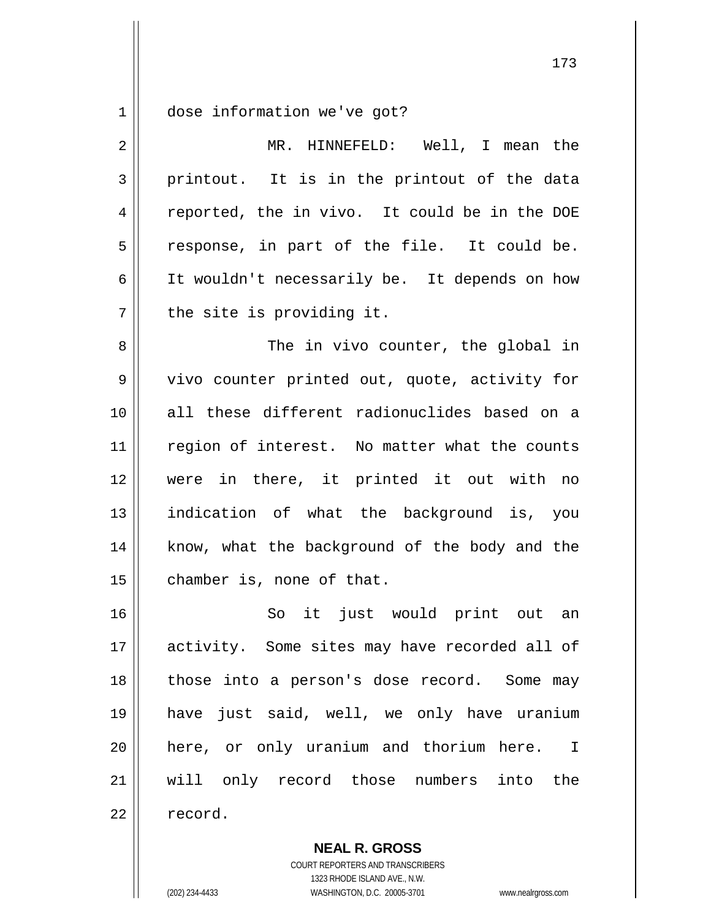1 dose information we've got?

| $\overline{2}$ | MR. HINNEFELD: Well, I mean the               |
|----------------|-----------------------------------------------|
| 3              | printout. It is in the printout of the data   |
| 4              | reported, the in vivo. It could be in the DOE |
| 5              | response, in part of the file. It could be.   |
| 6              | It wouldn't necessarily be. It depends on how |
| 7              | the site is providing it.                     |
| 8              | The in vivo counter, the global in            |
| $\mathsf 9$    | vivo counter printed out, quote, activity for |
| 10             | all these different radionuclides based on a  |
| 11             | region of interest. No matter what the counts |
| 12             | were in there, it printed it out with no      |
| 13             | indication of what the background is, you     |
| 14             | know, what the background of the body and the |
| 15             | chamber is, none of that.                     |
| 16             | So it just would print out an                 |
| 17             | activity. Some sites may have recorded all of |
| 18             | those into a person's dose record. Some may   |
| 19             | have just said, well, we only have uranium    |
| 20             | here, or only uranium and thorium here. I     |
| 21             | will only record those numbers into the       |
| 22             | record.                                       |

**NEAL R. GROSS**

COURT REPORTERS AND TRANSCRIBERS 1323 RHODE ISLAND AVE., N.W. (202) 234-4433 WASHINGTON, D.C. 20005-3701 www.nealrgross.com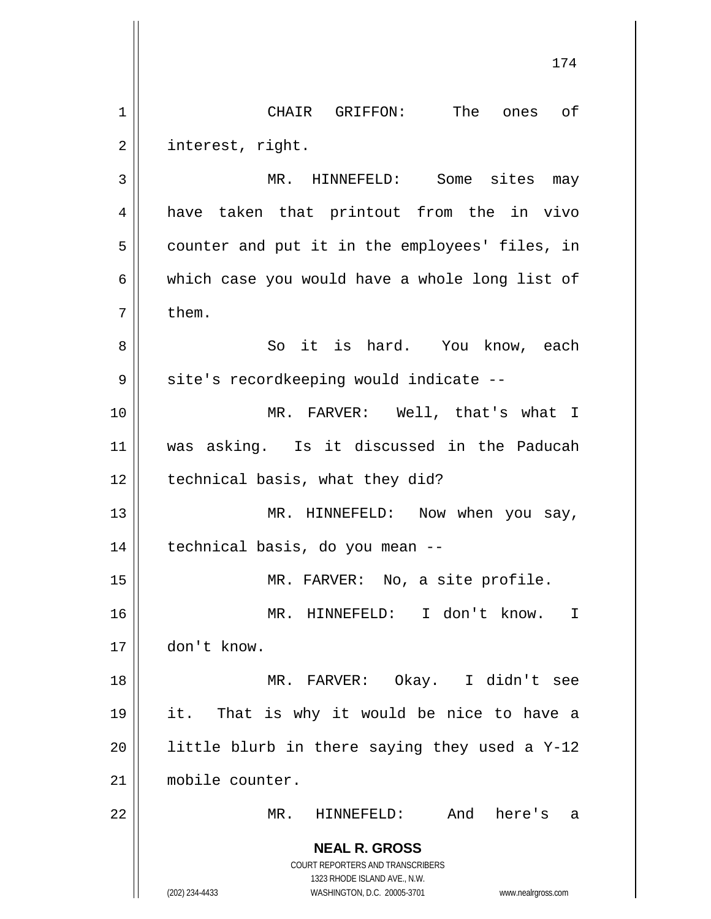**NEAL R. GROSS** COURT REPORTERS AND TRANSCRIBERS 1323 RHODE ISLAND AVE., N.W. 1 CHAIR GRIFFON: The ones of 2 | interest, right. 3 || MR. HINNEFELD: Some sites may 4 || have taken that printout from the in vivo  $5 \parallel$  counter and put it in the employees' files, in  $6 \parallel$  which case you would have a whole long list of  $7 \parallel$  them. 8 So it is hard. You know, each 9 | site's recordkeeping would indicate --10 MR. FARVER: Well, that's what I 11 was asking. Is it discussed in the Paducah  $12$  | technical basis, what they did? 13 || MR. HINNEFELD: Now when you say, 14 technical basis, do you mean -- 15 || MR. FARVER: No, a site profile. 16 MR. HINNEFELD: I don't know. I 17 don't know. 18 MR. FARVER: Okay. I didn't see 19 it. That is why it would be nice to have a 20  $\parallel$  little blurb in there saying they used a Y-12 21 mobile counter. 22 MR. HINNEFELD: And here's a

(202) 234-4433 WASHINGTON, D.C. 20005-3701 www.nealrgross.com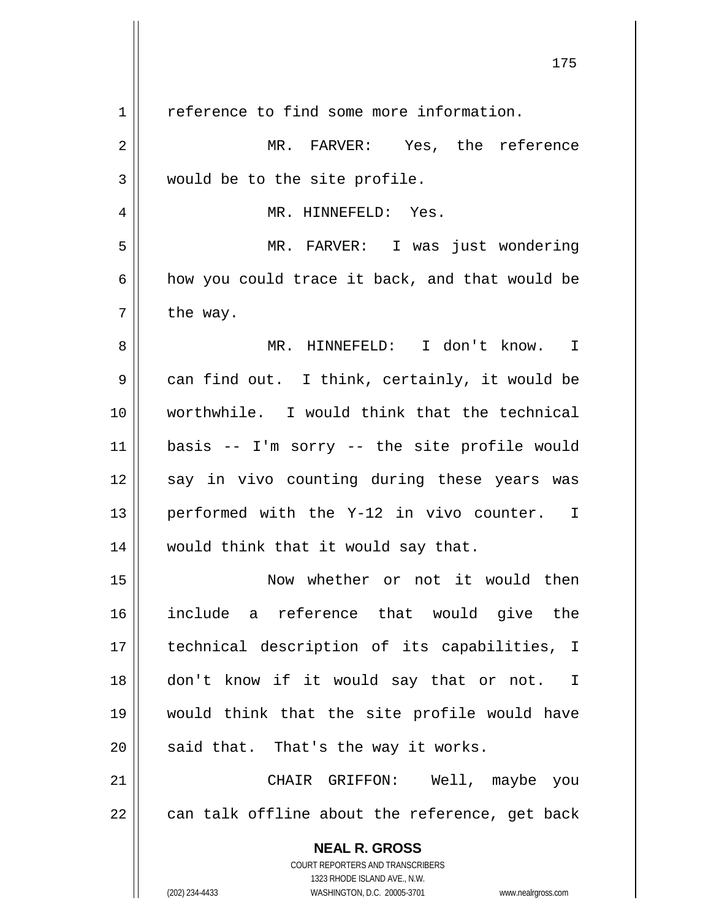| $\mathbf 1$ | reference to find some more information.                                                            |
|-------------|-----------------------------------------------------------------------------------------------------|
| 2           | MR. FARVER: Yes, the reference                                                                      |
| 3           | would be to the site profile.                                                                       |
| 4           | MR. HINNEFELD: Yes.                                                                                 |
| 5           | MR. FARVER: I was just wondering                                                                    |
| 6           | how you could trace it back, and that would be                                                      |
| 7           | the way.                                                                                            |
| 8           | MR. HINNEFELD: I don't know. I                                                                      |
| 9           | can find out. I think, certainly, it would be                                                       |
| 10          | worthwhile. I would think that the technical                                                        |
| 11          | basis -- I'm sorry -- the site profile would                                                        |
| 12          | say in vivo counting during these years was                                                         |
| 13          | performed with the Y-12 in vivo counter. I                                                          |
| 14          | would think that it would say that.                                                                 |
| 15          | Now whether or not it would then                                                                    |
| 16          | include a reference that would give the                                                             |
| 17          | technical description of its capabilities, I                                                        |
| 18          | don't know if it would say that or not. I                                                           |
| 19          | would think that the site profile would have                                                        |
| 20          | said that. That's the way it works.                                                                 |
| 21          | CHAIR GRIFFON: Well, maybe you                                                                      |
| 22          | can talk offline about the reference, get back                                                      |
|             | <b>NEAL R. GROSS</b>                                                                                |
|             | COURT REPORTERS AND TRANSCRIBERS                                                                    |
|             | 1323 RHODE ISLAND AVE., N.W.<br>(202) 234-4433<br>WASHINGTON, D.C. 20005-3701<br>www.nealrgross.com |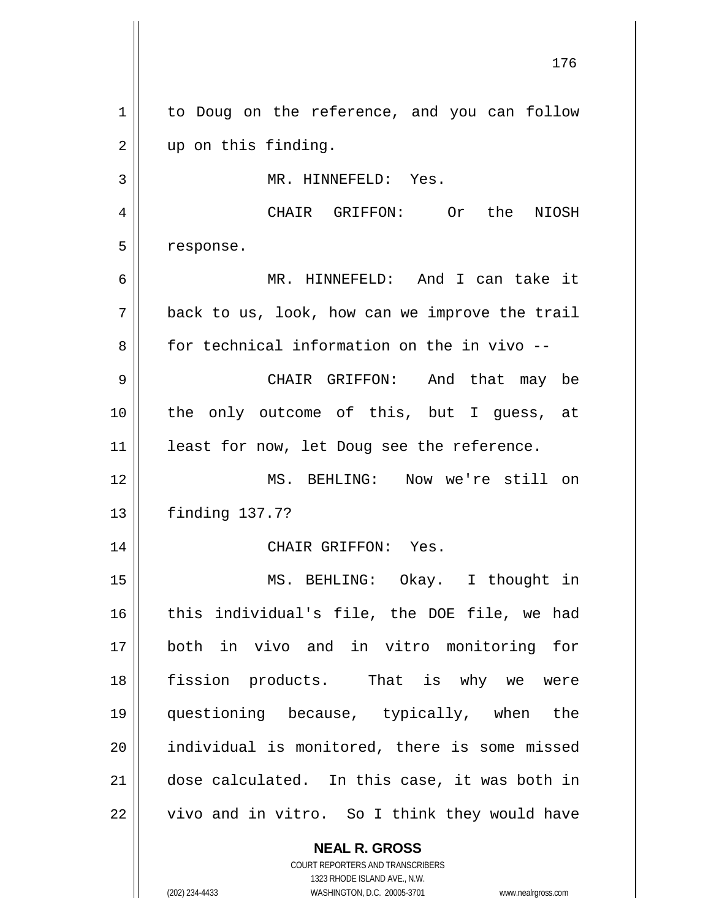**NEAL R. GROSS** 176 1 | to Doug on the reference, and you can follow 2 || up on this finding. 3 | MR. HINNEFELD: Yes. 4 CHAIR GRIFFON: Or the NIOSH 5 | response. 6 MR. HINNEFELD: And I can take it  $7 ||$  back to us, look, how can we improve the trail 8 for technical information on the in vivo --9 CHAIR GRIFFON: And that may be 10 || the only outcome of this, but I guess, at 11 || least for now, let Doug see the reference. 12 MS. BEHLING: Now we're still on 13 finding 137.7? 14 CHAIR GRIFFON: Yes. 15 || MS. BEHLING: Okay. I thought in 16 || this individual's file, the DOE file, we had 17 both in vivo and in vitro monitoring for 18 fission products. That is why we were 19 questioning because, typically, when the 20 || individual is monitored, there is some missed 21 dose calculated. In this case, it was both in  $22$  | vivo and in vitro. So I think they would have

> COURT REPORTERS AND TRANSCRIBERS 1323 RHODE ISLAND AVE., N.W. (202) 234-4433 WASHINGTON, D.C. 20005-3701 www.nealrgross.com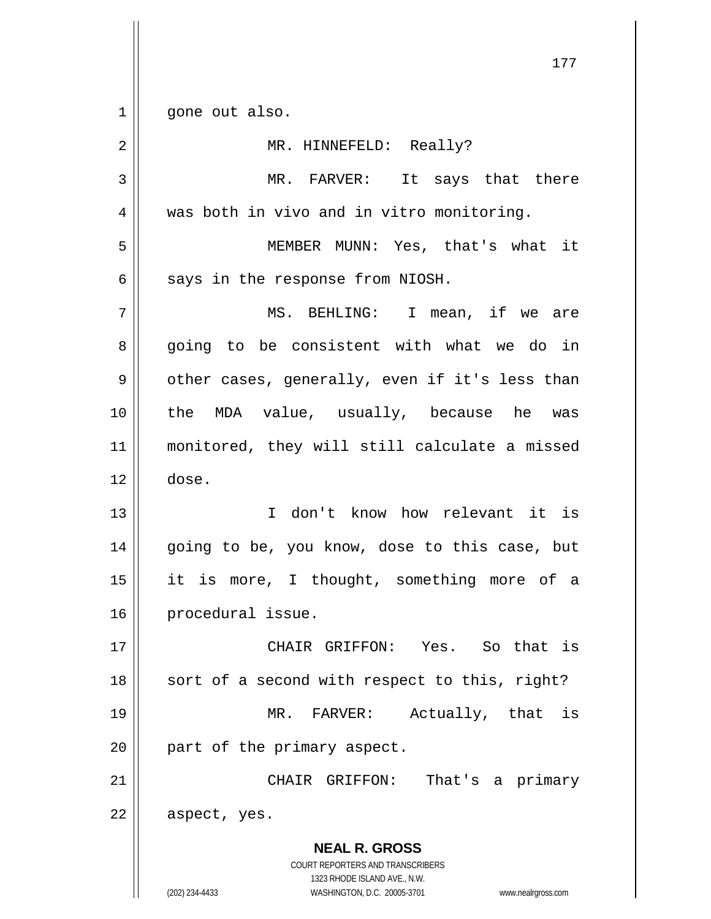$1 \parallel$  gone out also.

| $\overline{2}$ | MR. HINNEFELD: Really?                                                                                                                                          |
|----------------|-----------------------------------------------------------------------------------------------------------------------------------------------------------------|
| 3              | MR. FARVER: It says that there                                                                                                                                  |
| 4              | was both in vivo and in vitro monitoring.                                                                                                                       |
| 5              | MEMBER MUNN: Yes, that's what it                                                                                                                                |
| 6              | says in the response from NIOSH.                                                                                                                                |
| 7              | MS. BEHLING: I mean, if we are                                                                                                                                  |
| 8              | going to be consistent with what we do in                                                                                                                       |
| 9              | other cases, generally, even if it's less than                                                                                                                  |
| 10             | the MDA value, usually, because he was                                                                                                                          |
| 11             | monitored, they will still calculate a missed                                                                                                                   |
| 12             | dose.                                                                                                                                                           |
| 13             | I don't know how relevant it is                                                                                                                                 |
| 14             | going to be, you know, dose to this case, but                                                                                                                   |
| 15             | it is more, I thought, something more of a                                                                                                                      |
| 16             | procedural issue.                                                                                                                                               |
| $17\,$         | CHAIR GRIFFON: Yes. So that is                                                                                                                                  |
| 18             | sort of a second with respect to this, right?                                                                                                                   |
| 19             | Actually, that is<br>MR. FARVER:                                                                                                                                |
| 20             | part of the primary aspect.                                                                                                                                     |
| 21             | CHAIR GRIFFON: That's a primary                                                                                                                                 |
| 22             | aspect, yes.                                                                                                                                                    |
|                | <b>NEAL R. GROSS</b><br>COURT REPORTERS AND TRANSCRIBERS<br>1323 RHODE ISLAND AVE., N.W.<br>(202) 234-4433<br>WASHINGTON, D.C. 20005-3701<br>www.nealrgross.com |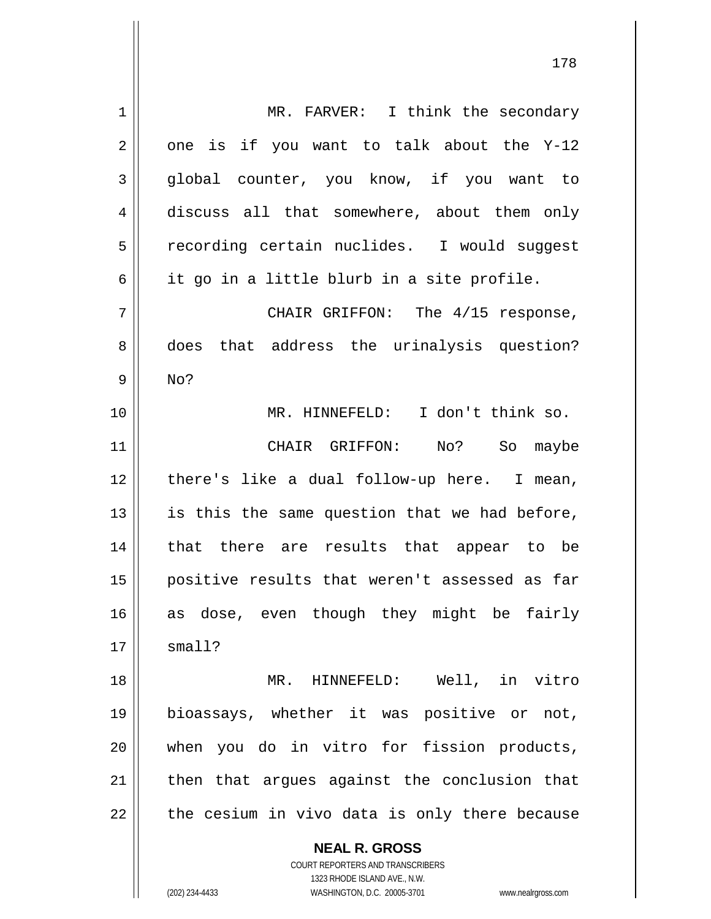| 1  | MR. FARVER: I think the secondary                                   |
|----|---------------------------------------------------------------------|
| 2  | one is if you want to talk about the Y-12                           |
| 3  | global counter, you know, if you want to                            |
| 4  | discuss all that somewhere, about them only                         |
| 5  | recording certain nuclides. I would suggest                         |
| 6  | it go in a little blurb in a site profile.                          |
| 7  | CHAIR GRIFFON: The 4/15 response,                                   |
| 8  | that address the urinalysis question?<br>does                       |
| 9  | No?                                                                 |
| 10 | MR. HINNEFELD: I don't think so.                                    |
| 11 | CHAIR GRIFFON:<br>No?<br>So<br>maybe                                |
| 12 | there's like a dual follow-up here. I mean,                         |
| 13 | is this the same question that we had before,                       |
| 14 | that there are results that appear to be                            |
| 15 | positive results that weren't assessed as far                       |
| 16 | as dose, even though they might be fairly                           |
| 17 | small?                                                              |
| 18 | MR. HINNEFELD: Well, in vitro                                       |
| 19 | bioassays, whether it was positive or not,                          |
| 20 | when you do in vitro for fission products,                          |
| 21 | then that argues against the conclusion that                        |
| 22 | the cesium in vivo data is only there because                       |
|    | <b>NEAL R. GROSS</b>                                                |
|    | COURT REPORTERS AND TRANSCRIBERS                                    |
|    | 1323 RHODE ISLAND AVE., N.W.                                        |
|    | (202) 234-4433<br>WASHINGTON, D.C. 20005-3701<br>www.nealrgross.com |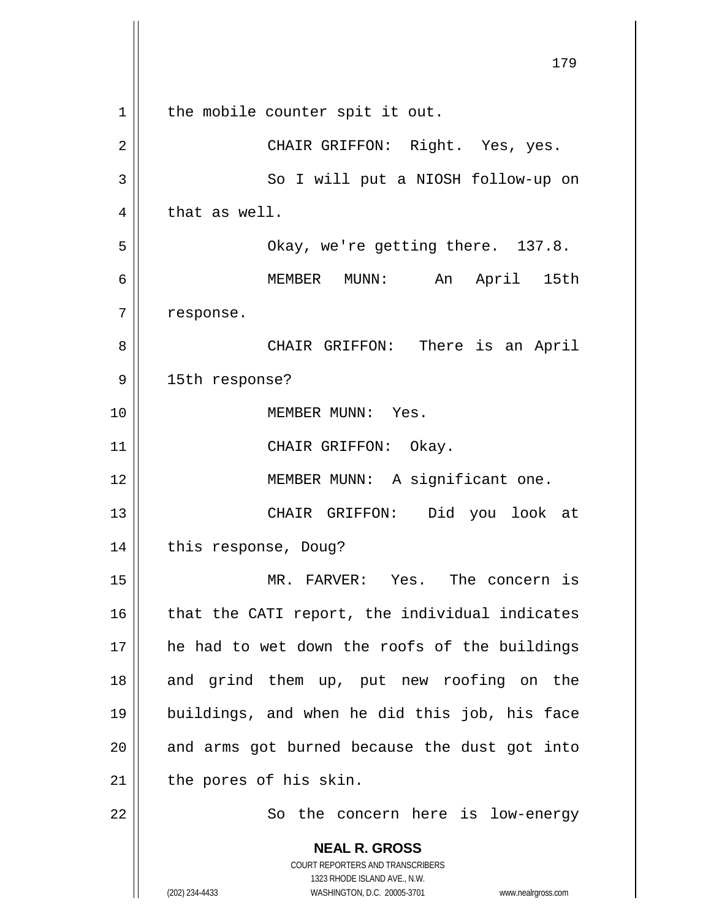**NEAL R. GROSS** COURT REPORTERS AND TRANSCRIBERS 1323 RHODE ISLAND AVE., N.W. (202) 234-4433 WASHINGTON, D.C. 20005-3701 www.nealrgross.com  $1$  the mobile counter spit it out. 2 CHAIR GRIFFON: Right. Yes, yes. 3 || So I will put a NIOSH follow-up on  $4 \parallel$  that as well. 5 Okay, we're getting there. 137.8. 6 MEMBER MUNN: An April 15th  $7$  | response. 8 CHAIR GRIFFON: There is an April 9 || 15th response? 10 MEMBER MUNN: Yes. 11 || CHAIR GRIFFON: Okay. 12 || MEMBER MUNN: A significant one. 13 CHAIR GRIFFON: Did you look at 14 || this response, Doug? 15 MR. FARVER: Yes. The concern is  $16$  | that the CATI report, the individual indicates 17 || he had to wet down the roofs of the buildings 18 || and grind them up, put new roofing on the 19 buildings, and when he did this job, his face  $20$  || and arms got burned because the dust got into  $21$  | the pores of his skin. 22 || So the concern here is low-energy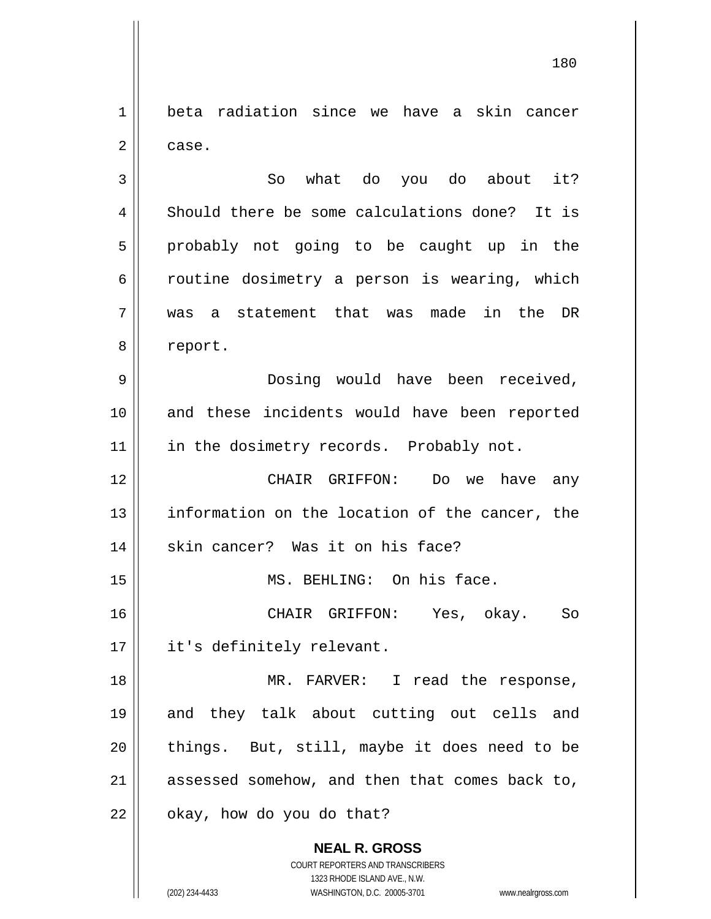1<sup>1</sup> beta radiation since we have a skin cancer 2 case.

3 || So what do you do about it? 4 || Should there be some calculations done? It is  $5 \parallel$  probably not going to be caught up in the  $6 \parallel$  routine dosimetry a person is wearing, which 7 was a statement that was made in the DR 8 | report.

9 Dosing would have been received, 10 || and these incidents would have been reported 11 || in the dosimetry records. Probably not.

12 CHAIR GRIFFON: Do we have any 13 || information on the location of the cancer, the 14 || skin cancer? Was it on his face?

15 || MS. BEHLING: On his face.

16 CHAIR GRIFFON: Yes, okay. So 17 || it's definitely relevant.

 MR. FARVER: I read the response, and they talk about cutting out cells and || things. But, still, maybe it does need to be assessed somehow, and then that comes back to, | okay, how do you do that?

> **NEAL R. GROSS** COURT REPORTERS AND TRANSCRIBERS 1323 RHODE ISLAND AVE., N.W. (202) 234-4433 WASHINGTON, D.C. 20005-3701 www.nealrgross.com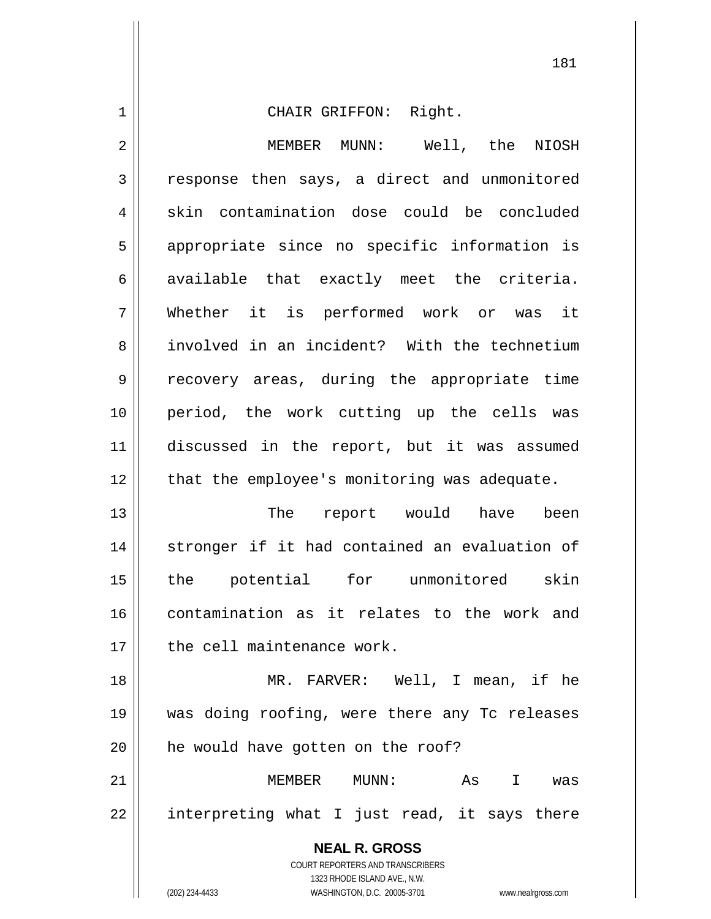1 CHAIR GRIFFON: Right. 2 MEMBER MUNN: Well, the NIOSH 3 | response then says, a direct and unmonitored  $4 \parallel$  skin contamination dose could be concluded 5 || appropriate since no specific information is  $6 \parallel$  available that exactly meet the criteria. 7 Whether it is performed work or was it 8 involved in an incident? With the technetium 9 || recovery areas, during the appropriate time 10 period, the work cutting up the cells was

11 discussed in the report, but it was assumed 12 || that the employee's monitoring was adequate.

13 The report would have been 14 || stronger if it had contained an evaluation of 15 the potential for unmonitored skin 16 contamination as it relates to the work and 17 || the cell maintenance work.

18 MR. FARVER: Well, I mean, if he 19 was doing roofing, were there any Tc releases 20 | he would have gotten on the roof?

21 MEMBER MUNN: As I was  $22 \parallel$  interpreting what I just read, it says there

> **NEAL R. GROSS** COURT REPORTERS AND TRANSCRIBERS 1323 RHODE ISLAND AVE., N.W. (202) 234-4433 WASHINGTON, D.C. 20005-3701 www.nealrgross.com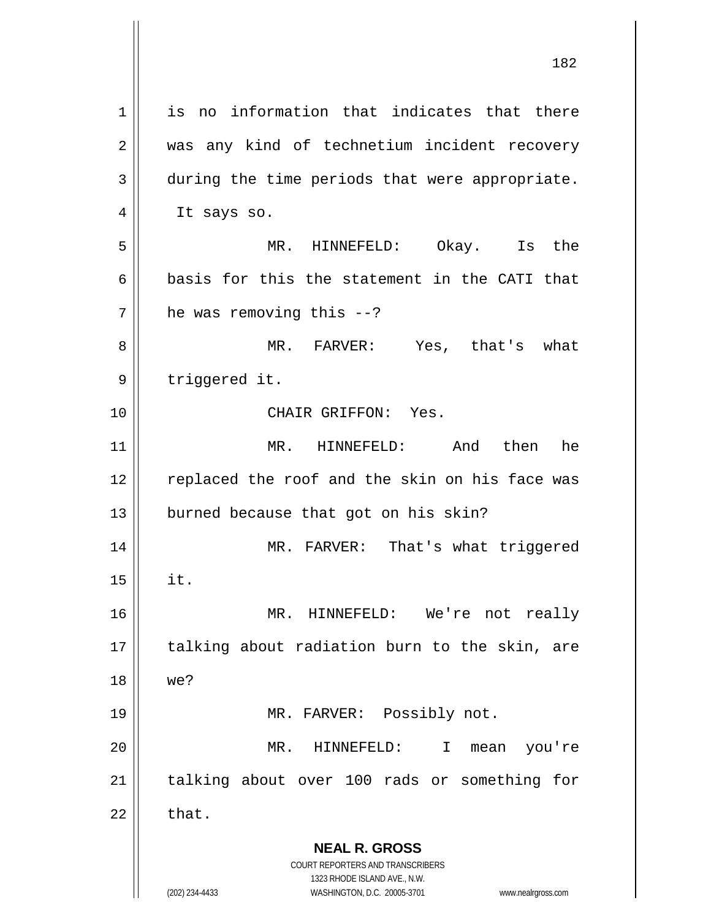**NEAL R. GROSS** COURT REPORTERS AND TRANSCRIBERS 1323 RHODE ISLAND AVE., N.W. (202) 234-4433 WASHINGTON, D.C. 20005-3701 www.nealrgross.com 1<sup>1</sup> is no information that indicates that there 2 || was any kind of technetium incident recovery 3 during the time periods that were appropriate.  $4 \parallel$  It says so. 5 MR. HINNEFELD: Okay. Is the 6  $\parallel$  basis for this the statement in the CATI that  $7$  | he was removing this  $-2$ ? 8 MR. FARVER: Yes, that's what 9 | triggered it. 10 CHAIR GRIFFON: Yes. 11 MR. HINNEFELD: And then he 12 || replaced the roof and the skin on his face was  $13$  || burned because that got on his skin? 14 || MR. FARVER: That's what triggered  $15$   $\parallel$  it. 16 MR. HINNEFELD: We're not really 17 || talking about radiation burn to the skin, are 18 we? 19 || MR. FARVER: Possibly not. 20 MR. HINNEFELD: I mean you're 21 || talking about over 100 rads or something for  $22 \parallel$  that.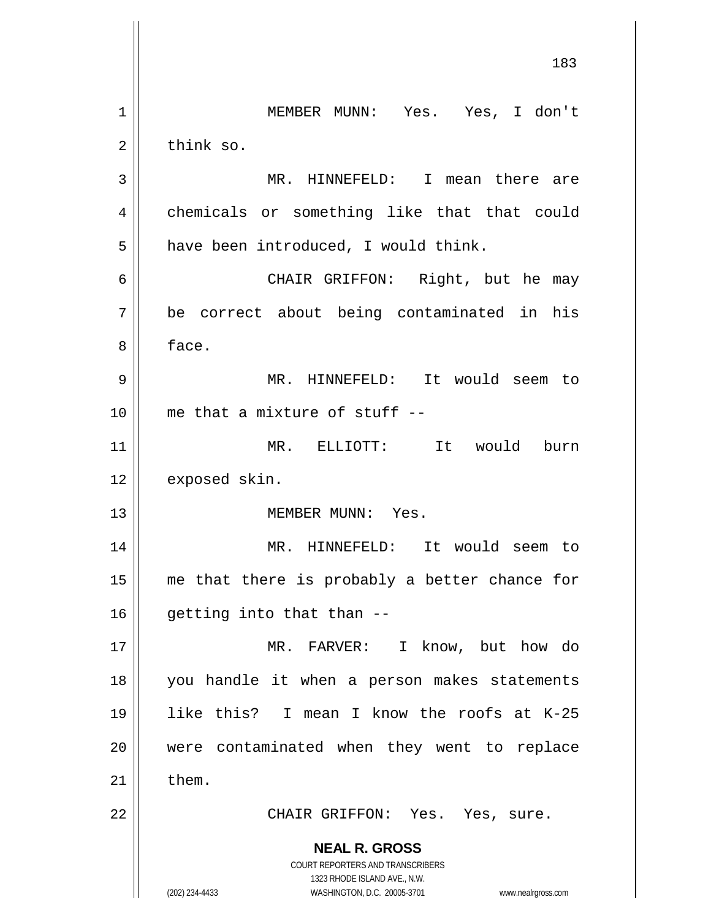**NEAL R. GROSS** COURT REPORTERS AND TRANSCRIBERS 1323 RHODE ISLAND AVE., N.W. (202) 234-4433 WASHINGTON, D.C. 20005-3701 www.nealrgross.com 183 1 MEMBER MUNN: Yes. Yes, I don't 2 | think so. 3 MR. HINNEFELD: I mean there are 4 | chemicals or something like that that could  $5 \parallel$  have been introduced, I would think. 6 CHAIR GRIFFON: Right, but he may 7 be correct about being contaminated in his 8 face. 9 MR. HINNEFELD: It would seem to 10 me that a mixture of stuff -- 11 MR. ELLIOTT: It would burn 12 | exposed skin. 13 || MEMBER MUNN: Yes. 14 MR. HINNEFELD: It would seem to 15 || me that there is probably a better chance for  $16$  || getting into that than  $-$ 17 MR. FARVER: I know, but how do 18 you handle it when a person makes statements 19 like this? I mean I know the roofs at K-25 20 || were contaminated when they went to replace  $21$   $\parallel$  them. 22 | CHAIR GRIFFON: Yes. Yes, sure.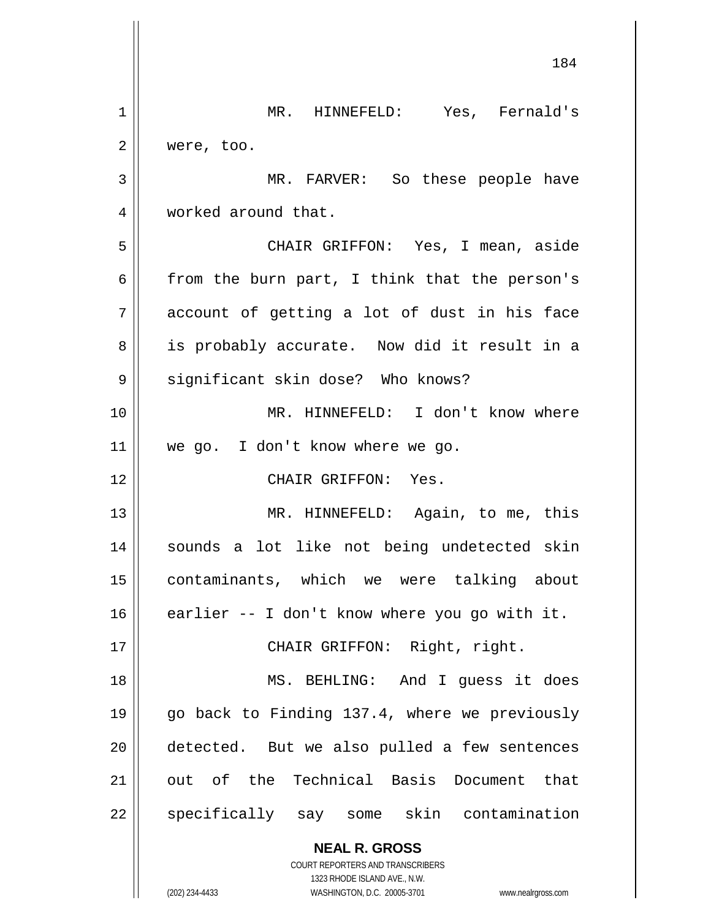|    | 184                                                                     |
|----|-------------------------------------------------------------------------|
| 1  | MR. HINNEFELD: Yes, Fernald's                                           |
| 2  | were, too.                                                              |
| 3  | MR. FARVER: So these people have                                        |
| 4  | worked around that.                                                     |
| 5  | CHAIR GRIFFON: Yes, I mean, aside                                       |
| 6  | from the burn part, I think that the person's                           |
| 7  | account of getting a lot of dust in his face                            |
| 8  | is probably accurate. Now did it result in a                            |
| 9  | significant skin dose? Who knows?                                       |
| 10 | MR. HINNEFELD: I don't know where                                       |
| 11 | we go. I don't know where we go.                                        |
| 12 | CHAIR GRIFFON: Yes.                                                     |
| 13 | MR. HINNEFELD: Again, to me, this                                       |
| 14 | sounds a lot like not being undetected skin                             |
| 15 | contaminants, which we were talking about                               |
| 16 | earlier -- I don't know where you go with it.                           |
| 17 | CHAIR GRIFFON: Right, right.                                            |
| 18 | MS. BEHLING: And I guess it does                                        |
| 19 | go back to Finding 137.4, where we previously                           |
| 20 | detected. But we also pulled a few sentences                            |
| 21 | out of the Technical Basis Document that                                |
| 22 | specifically say some skin contamination                                |
|    | <b>NEAL R. GROSS</b>                                                    |
|    | <b>COURT REPORTERS AND TRANSCRIBERS</b><br>1323 RHODE ISLAND AVE., N.W. |
|    | (202) 234-4433<br>WASHINGTON, D.C. 20005-3701<br>www.nealrgross.com     |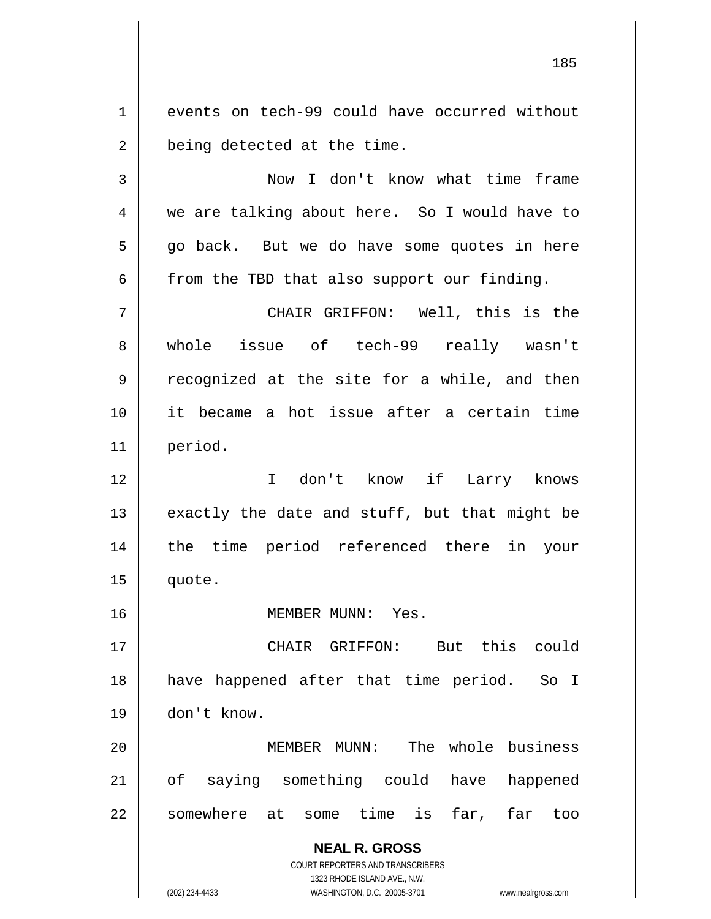1 || events on tech-99 could have occurred without  $2 \parallel$  being detected at the time.

3 Now I don't know what time frame 4 we are talking about here. So I would have to  $5 \parallel$  go back. But we do have some quotes in here  $6 \parallel$  from the TBD that also support our finding.

7 CHAIR GRIFFON: Well, this is the 8 whole issue of tech-99 really wasn't 9 | recognized at the site for a while, and then 10 it became a hot issue after a certain time 11 period.

 I don't know if Larry knows  $\parallel$  exactly the date and stuff, but that might be the time period referenced there in your || quote.

16 MEMBER MUNN: Yes.

17 CHAIR GRIFFON: But this could 18 || have happened after that time period. So I 19 don't know.

20 || MEMBER MUNN: The whole business 21 || of saying something could have happened 22 || somewhere at some time is far, far too

> **NEAL R. GROSS** COURT REPORTERS AND TRANSCRIBERS

1323 RHODE ISLAND AVE., N.W. (202) 234-4433 WASHINGTON, D.C. 20005-3701 www.nealrgross.com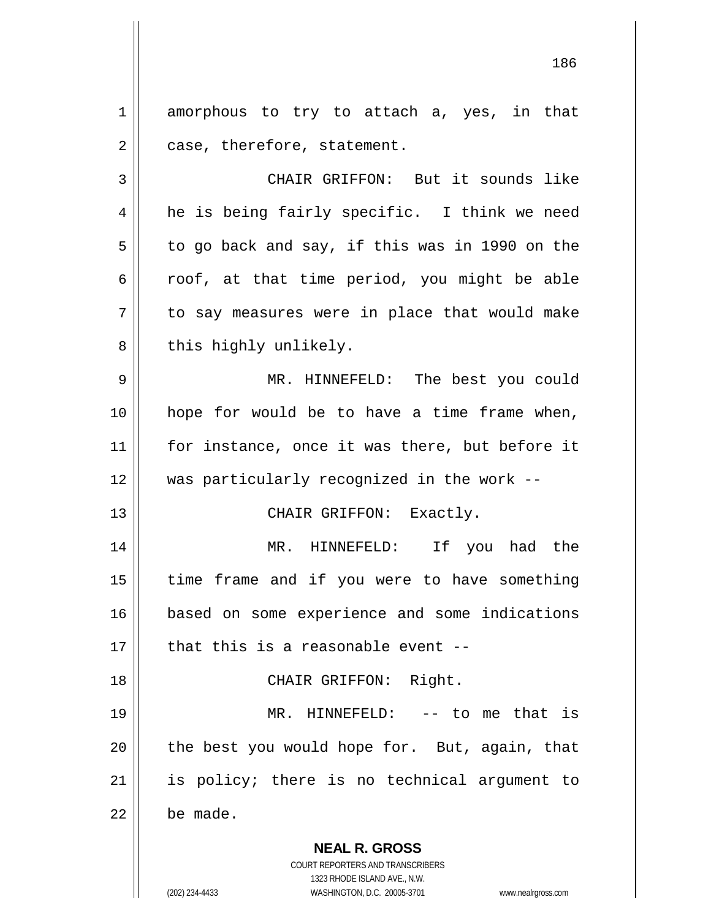1 amorphous to try to attach a, yes, in that  $2 \parallel$  case, therefore, statement.

3 CHAIR GRIFFON: But it sounds like 4 || he is being fairly specific. I think we need  $5 \parallel$  to go back and say, if this was in 1990 on the 6  $\parallel$  roof, at that time period, you might be able  $7 \parallel$  to say measures were in place that would make  $8$  | this highly unlikely.

 MR. HINNEFELD: The best you could hope for would be to have a time frame when, 11 || for instance, once it was there, but before it was particularly recognized in the work --

13 || CHAIR GRIFFON: Exactly.

 MR. HINNEFELD: If you had the 15 || time frame and if you were to have something based on some experience and some indications  $\parallel$  that this is a reasonable event --

18 || CHAIR GRIFFON: Right. MR. HINNEFELD: -- to me that is | the best you would hope for. But, again, that is policy; there is no technical argument to

 $22$  be made.

**NEAL R. GROSS** COURT REPORTERS AND TRANSCRIBERS

1323 RHODE ISLAND AVE., N.W. (202) 234-4433 WASHINGTON, D.C. 20005-3701 www.nealrgross.com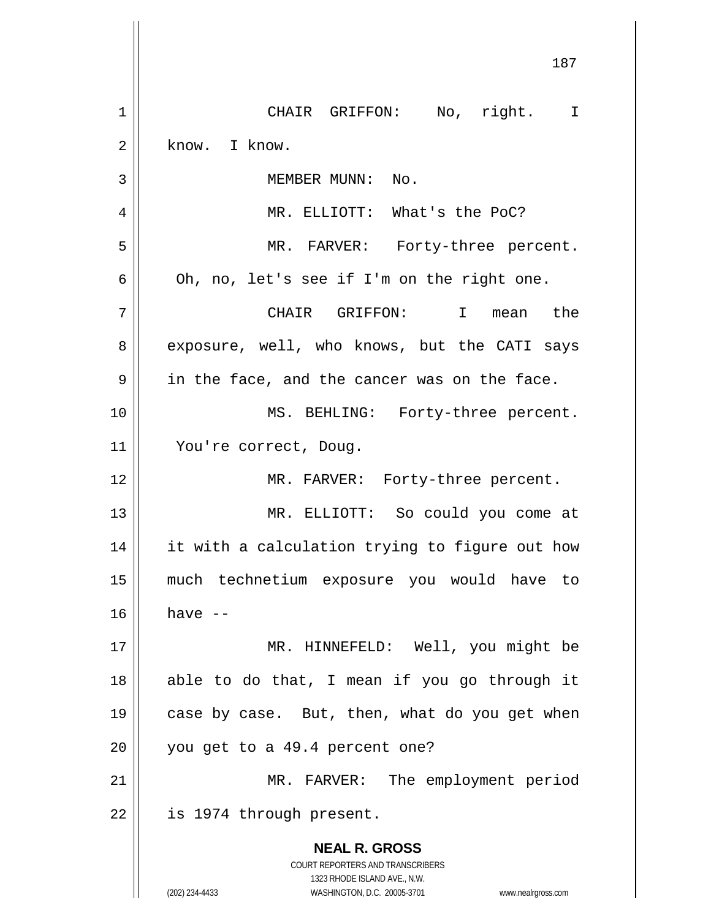**NEAL R. GROSS** COURT REPORTERS AND TRANSCRIBERS 1323 RHODE ISLAND AVE., N.W. 187 1 || CHAIR GRIFFON: No, right. I  $2 \parallel$  know. I know. 3 || MEMBER MUNN: No. 4 MR. ELLIOTT: What's the PoC? 5 MR. FARVER: Forty-three percent.  $6 \parallel$  Oh, no, let's see if I'm on the right one. 7 CHAIR GRIFFON: I mean the 8 exposure, well, who knows, but the CATI says  $9 \parallel$  in the face, and the cancer was on the face. 10 MS. BEHLING: Forty-three percent. 11 You're correct, Doug. 12 || MR. FARVER: Forty-three percent. 13 MR. ELLIOTT: So could you come at 14 || it with a calculation trying to figure out how 15 much technetium exposure you would have to  $16$  have  $-$ 17 MR. HINNEFELD: Well, you might be  $18$  || able to do that, I mean if you go through it 19 || case by case. But, then, what do you get when  $20$  | you get to a 49.4 percent one? 21 || MR. FARVER: The employment period  $22$  | is 1974 through present.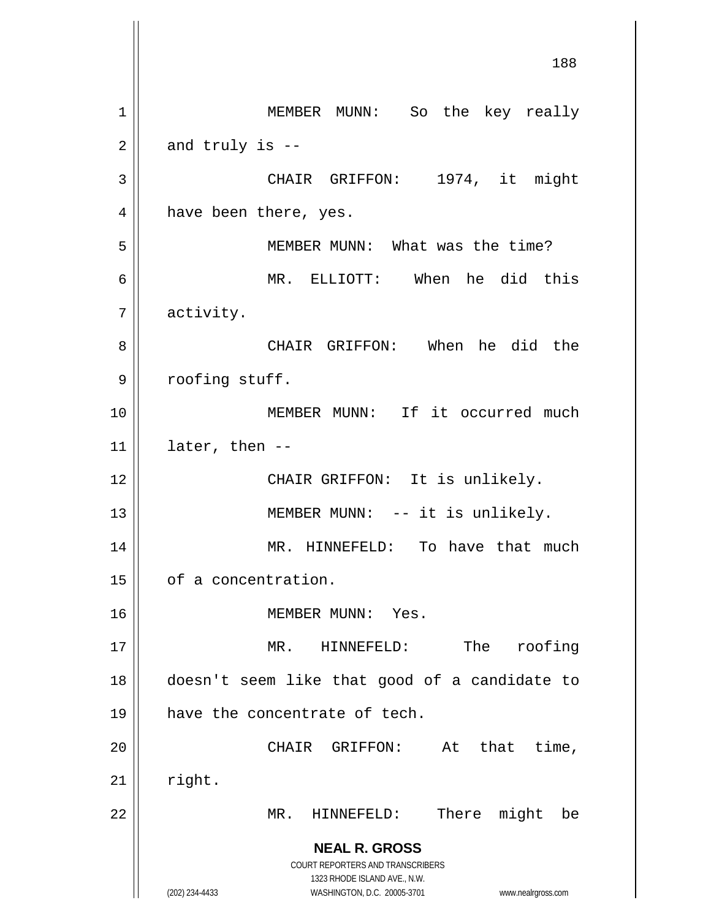**NEAL R. GROSS** COURT REPORTERS AND TRANSCRIBERS 1323 RHODE ISLAND AVE., N.W. (202) 234-4433 WASHINGTON, D.C. 20005-3701 www.nealrgross.com 188 1 | MEMBER MUNN: So the key really  $2 \parallel$  and truly is --3 || CHAIR GRIFFON: 1974, it might 4 | have been there, yes. 5 || MEMBER MUNN: What was the time? 6 MR. ELLIOTT: When he did this 7 activity. 8 CHAIR GRIFFON: When he did the 9 | roofing stuff. 10 MEMBER MUNN: If it occurred much  $11$  | later, then  $-$ 12 || CHAIR GRIFFON: It is unlikely. 13 || MEMBER MUNN: -- it is unlikely. 14 || MR. HINNEFELD: To have that much 15 | of a concentration. 16 MEMBER MUNN: Yes. 17 MR. HINNEFELD: The roofing 18 doesn't seem like that good of a candidate to 19 || have the concentrate of tech. 20 CHAIR GRIFFON: At that time,  $21$  right. 22 || MR. HINNEFELD: There might be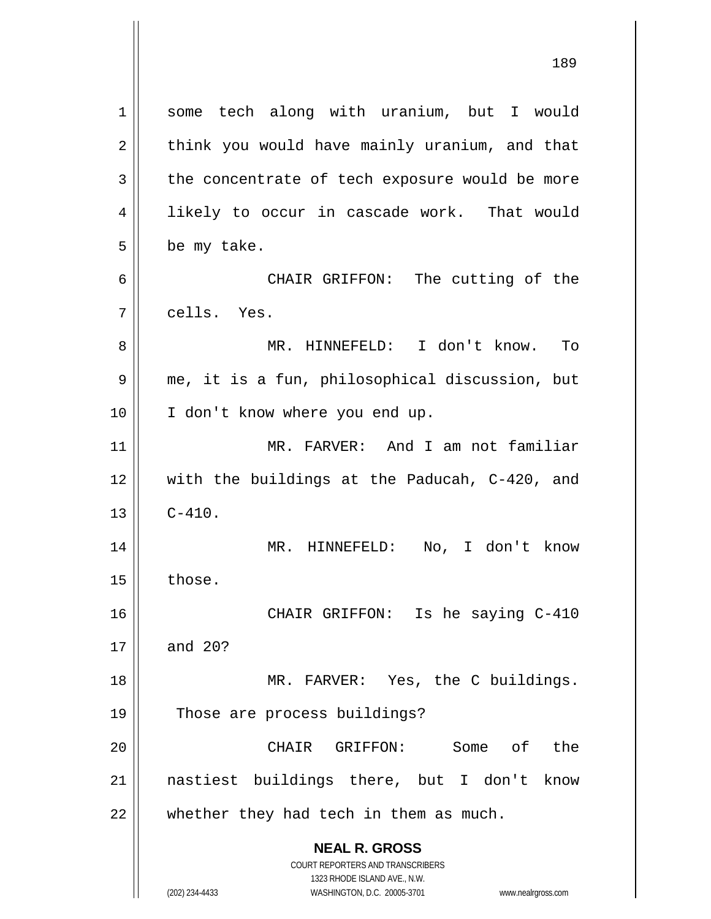**NEAL R. GROSS** COURT REPORTERS AND TRANSCRIBERS 1323 RHODE ISLAND AVE., N.W. 1 || some tech along with uranium, but I would  $2 \parallel$  think you would have mainly uranium, and that  $3 \parallel$  the concentrate of tech exposure would be more 4 || likely to occur in cascade work. That would  $5 \parallel$  be my take. 6 CHAIR GRIFFON: The cutting of the 7 cells. Yes. 8 MR. HINNEFELD: I don't know. To 9 || me, it is a fun, philosophical discussion, but 10 || I don't know where you end up. 11 MR. FARVER: And I am not familiar 12 with the buildings at the Paducah, C-420, and  $13 \parallel C-410.$ 14 MR. HINNEFELD: No, I don't know  $15$   $\parallel$  those. 16 CHAIR GRIFFON: Is he saying C-410 17 and 20? 18 || MR. FARVER: Yes, the C buildings. 19 || Those are process buildings? 20 CHAIR GRIFFON: Some of the 21 nastiest buildings there, but I don't know  $22$  || whether they had tech in them as much.

(202) 234-4433 WASHINGTON, D.C. 20005-3701 www.nealrgross.com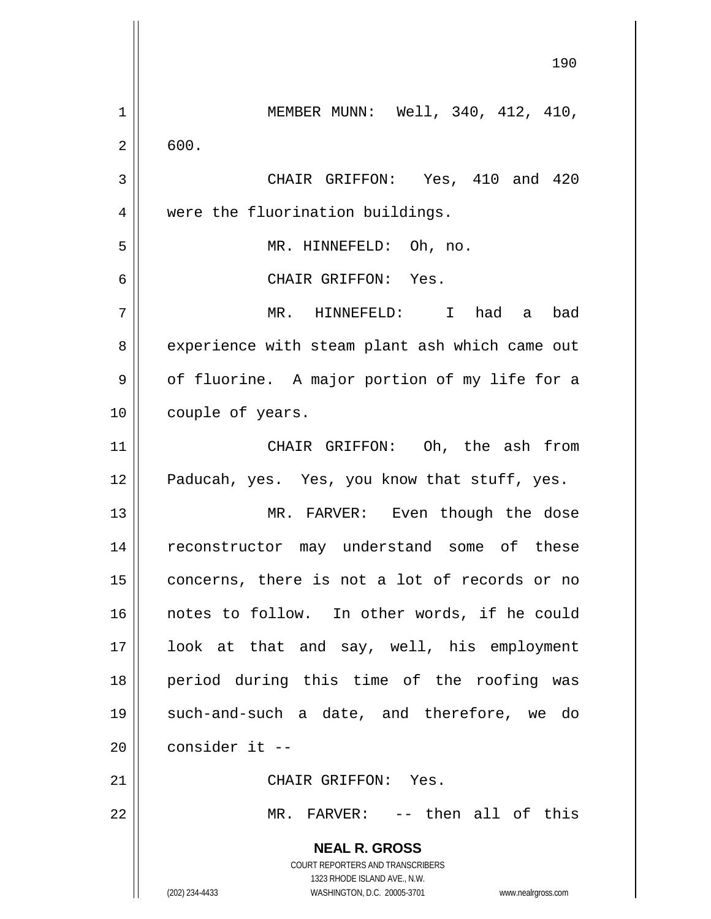**NEAL R. GROSS** COURT REPORTERS AND TRANSCRIBERS 1323 RHODE ISLAND AVE., N.W. (202) 234-4433 WASHINGTON, D.C. 20005-3701 www.nealrgross.com 190 1 MEMBER MUNN: Well, 340, 412, 410,  $2 \parallel 600.$ 3 CHAIR GRIFFON: Yes, 410 and 420 4 || were the fluorination buildings. 5 MR. HINNEFELD: Oh, no. 6 CHAIR GRIFFON: Yes. 7 MR. HINNEFELD: I had a bad 8 | experience with steam plant ash which came out  $9 \parallel$  of fluorine. A major portion of my life for a 10 | couple of years. 11 CHAIR GRIFFON: Oh, the ash from 12 || Paducah, yes. Yes, you know that stuff, yes. 13 || MR. FARVER: Even though the dose 14 || reconstructor may understand some of these 15 || concerns, there is not a lot of records or no 16 || notes to follow. In other words, if he could 17 look at that and say, well, his employment 18 period during this time of the roofing was 19 such-and-such a date, and therefore, we do  $20$   $\parallel$  consider it --21 | CHAIR GRIFFON: Yes. 22 || MR. FARVER: -- then all of this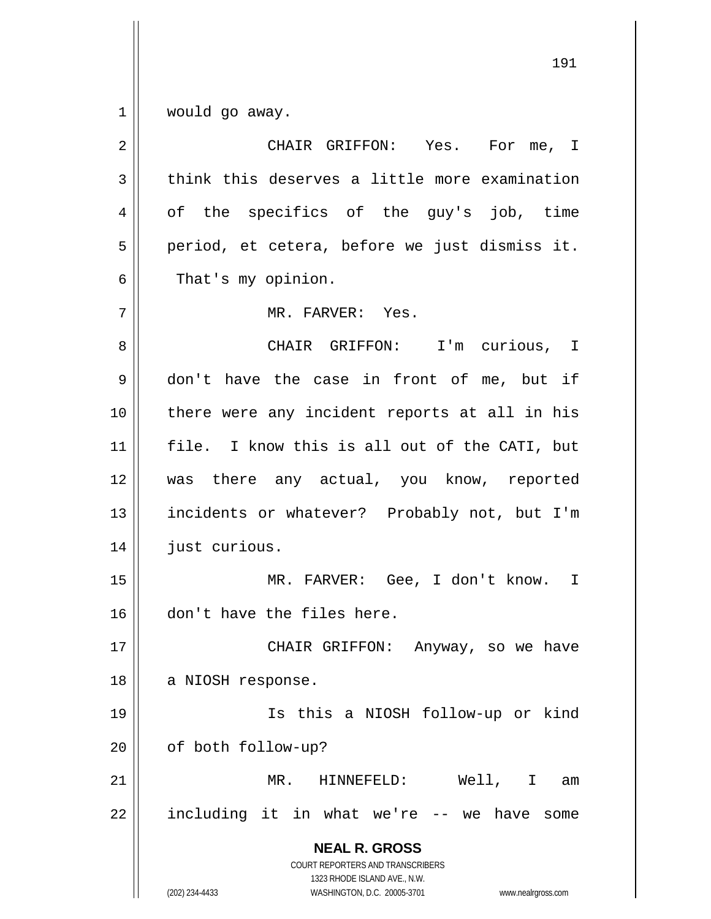$1 \parallel$  would go away.

| $\overline{2}$ | CHAIR GRIFFON: Yes. For me, I                                                                                                                                   |
|----------------|-----------------------------------------------------------------------------------------------------------------------------------------------------------------|
| 3              | think this deserves a little more examination                                                                                                                   |
| 4              | of the specifics of the guy's job, time                                                                                                                         |
| 5              | period, et cetera, before we just dismiss it.                                                                                                                   |
| 6              | That's my opinion.                                                                                                                                              |
| 7              | MR. FARVER: Yes.                                                                                                                                                |
| 8              | CHAIR GRIFFON: I'm curious, I                                                                                                                                   |
| 9              | don't have the case in front of me, but if                                                                                                                      |
| 10             | there were any incident reports at all in his                                                                                                                   |
| 11             | file. I know this is all out of the CATI, but                                                                                                                   |
| 12             | was there any actual, you know, reported                                                                                                                        |
| 13             | incidents or whatever? Probably not, but I'm                                                                                                                    |
| 14             | just curious.                                                                                                                                                   |
| 15             | MR. FARVER: Gee, I don't know. I                                                                                                                                |
| 16             | don't have the files here.                                                                                                                                      |
| 17             | CHAIR GRIFFON: Anyway, so we have                                                                                                                               |
| 18             | a NIOSH response.                                                                                                                                               |
| 19             | Is this a NIOSH follow-up or kind                                                                                                                               |
| 20             | of both follow-up?                                                                                                                                              |
| 21             | Well, I<br>MR.<br>HINNEFELD:<br>am                                                                                                                              |
| 22             | including it in what we're -- we have<br>some                                                                                                                   |
|                | <b>NEAL R. GROSS</b><br>COURT REPORTERS AND TRANSCRIBERS<br>1323 RHODE ISLAND AVE., N.W.<br>(202) 234-4433<br>WASHINGTON, D.C. 20005-3701<br>www.nealrgross.com |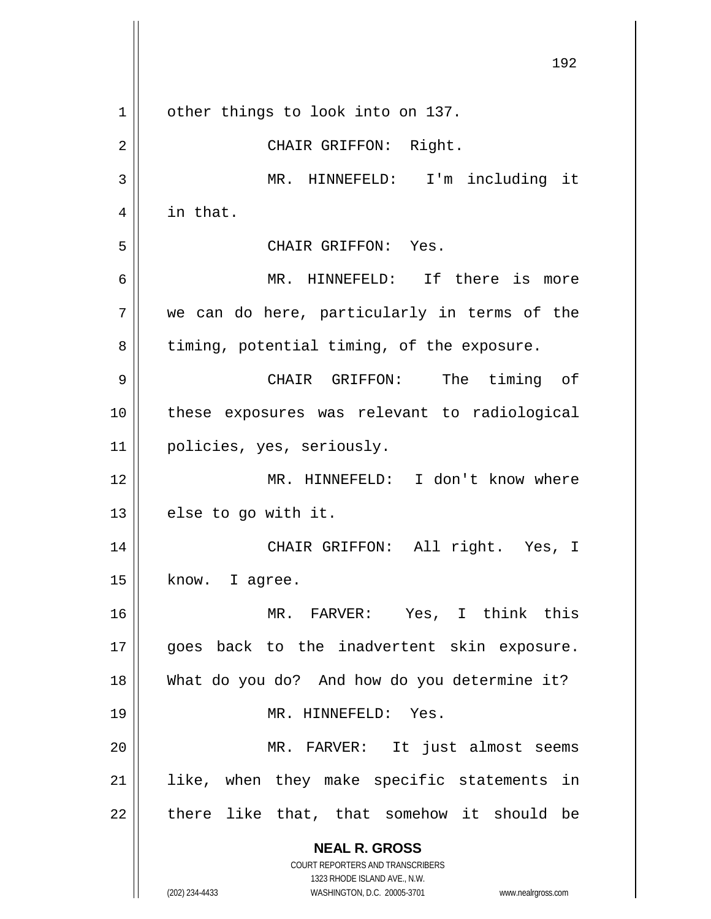**NEAL R. GROSS** COURT REPORTERS AND TRANSCRIBERS 1323 RHODE ISLAND AVE., N.W. (202) 234-4433 WASHINGTON, D.C. 20005-3701 www.nealrgross.com 192 1 | other things to look into on 137. 2 || CHAIR GRIFFON: Right. 3 MR. HINNEFELD: I'm including it 4 || in that. 5 CHAIR GRIFFON: Yes. 6 MR. HINNEFELD: If there is more  $7 \parallel$  we can do here, particularly in terms of the  $8 \parallel$  timing, potential timing, of the exposure. 9 CHAIR GRIFFON: The timing of 10 these exposures was relevant to radiological 11 policies, yes, seriously. 12 MR. HINNEFELD: I don't know where  $13$  | else to go with it. 14 CHAIR GRIFFON: All right. Yes, I  $15 \parallel$  know. I agree. 16 MR. FARVER: Yes, I think this 17 || goes back to the inadvertent skin exposure. 18 What do you do? And how do you determine it? 19 MR. HINNEFELD: Yes. 20 || MR. FARVER: It just almost seems 21 like, when they make specific statements in  $22$  || there like that, that somehow it should be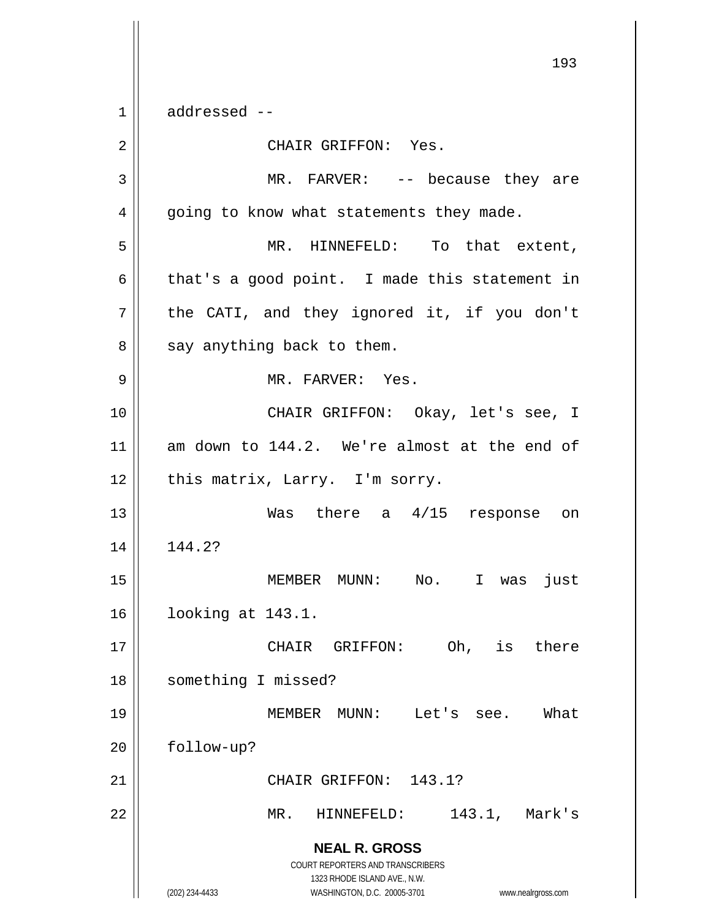**NEAL R. GROSS** COURT REPORTERS AND TRANSCRIBERS 1323 RHODE ISLAND AVE., N.W. (202) 234-4433 WASHINGTON, D.C. 20005-3701 www.nealrgross.com  $1 \parallel$  addressed --2 | CHAIR GRIFFON: Yes. 3 MR. FARVER: -- because they are 4 | going to know what statements they made. 5 MR. HINNEFELD: To that extent,  $6 \parallel$  that's a good point. I made this statement in  $7$  | the CATI, and they ignored it, if you don't  $8 \parallel$  say anything back to them. 9 || MR. FARVER: Yes. 10 CHAIR GRIFFON: Okay, let's see, I 11 am down to 144.2. We're almost at the end of  $12$  | this matrix, Larry. I'm sorry. 13 Was there a 4/15 response on 14 144.2? 15 MEMBER MUNN: No. I was just 16 looking at 143.1. 17 CHAIR GRIFFON: Oh, is there 18 | something I missed? 19 MEMBER MUNN: Let's see. What 20 | follow-up? 21 || CHAIR GRIFFON: 143.1? 22 MR. HINNEFELD: 143.1, Mark's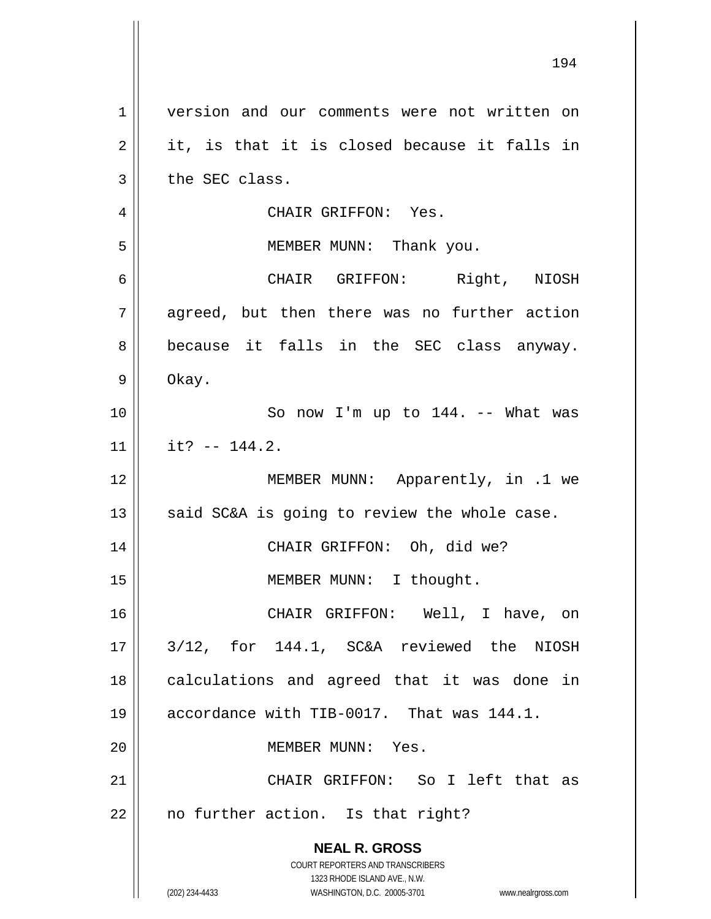| 1  | version and our comments were not written on                                                        |
|----|-----------------------------------------------------------------------------------------------------|
| 2  | it, is that it is closed because it falls in                                                        |
| 3  | the SEC class.                                                                                      |
| 4  | CHAIR GRIFFON: Yes.                                                                                 |
| 5  | MEMBER MUNN: Thank you.                                                                             |
| 6  | CHAIR GRIFFON: Right, NIOSH                                                                         |
| 7  | agreed, but then there was no further action                                                        |
| 8  | because it falls in the SEC class anyway.                                                           |
| 9  | Okay.                                                                                               |
| 10 | So now I'm up to 144. -- What was                                                                   |
| 11 | it? $-- 144.2.$                                                                                     |
| 12 | MEMBER MUNN: Apparently, in .1 we                                                                   |
| 13 | said SC&A is going to review the whole case.                                                        |
| 14 | CHAIR GRIFFON: Oh, did we?                                                                          |
| 15 | MEMBER MUNN: I thought.                                                                             |
| 16 | CHAIR GRIFFON: Well, I have, on                                                                     |
| 17 | 3/12, for 144.1, SC&A reviewed the NIOSH                                                            |
| 18 | calculations and agreed that it was done in                                                         |
| 19 | accordance with TIB-0017. That was 144.1.                                                           |
| 20 | MEMBER MUNN: Yes.                                                                                   |
| 21 | CHAIR GRIFFON: So I left that as                                                                    |
| 22 | no further action. Is that right?                                                                   |
|    | <b>NEAL R. GROSS</b>                                                                                |
|    | COURT REPORTERS AND TRANSCRIBERS                                                                    |
|    | 1323 RHODE ISLAND AVE., N.W.<br>(202) 234-4433<br>WASHINGTON, D.C. 20005-3701<br>www.nealrgross.com |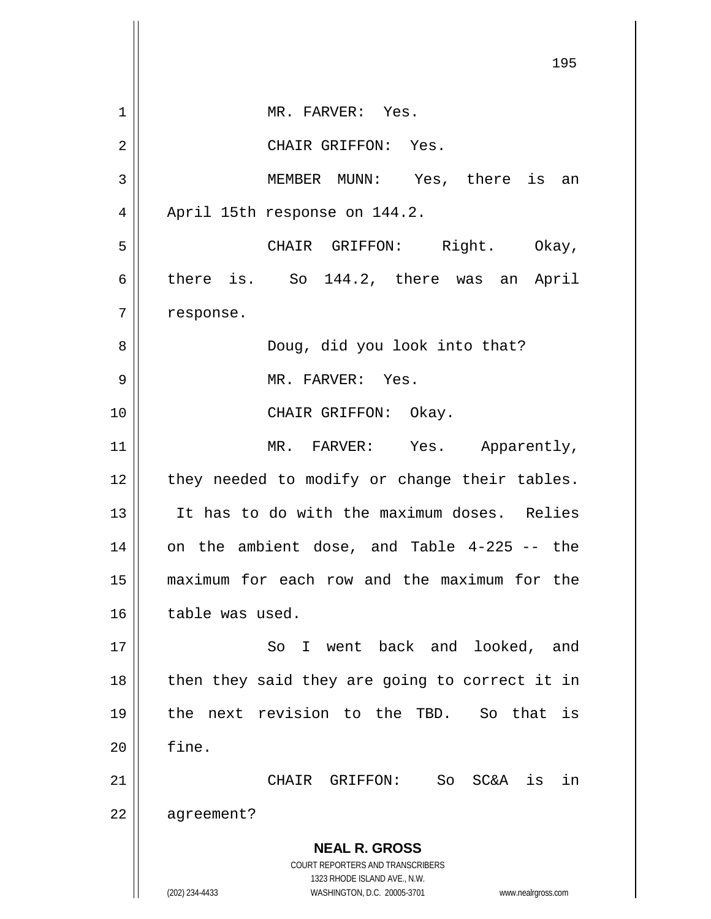**NEAL R. GROSS** COURT REPORTERS AND TRANSCRIBERS 1323 RHODE ISLAND AVE., N.W. (202) 234-4433 WASHINGTON, D.C. 20005-3701 www.nealrgross.com 195 1 || MR. FARVER: Yes. 2 || CHAIR GRIFFON: Yes. 3 MEMBER MUNN: Yes, there is an 4 | April 15th response on 144.2. 5 CHAIR GRIFFON: Right. Okay, 6 there is. So 144.2, there was an April 7 | response. 8 Doug, did you look into that? 9 MR. FARVER: Yes. 10 || CHAIR GRIFFON: Okay. 11 || MR. FARVER: Yes. Apparently,  $12$  | they needed to modify or change their tables. 13 It has to do with the maximum doses. Relies  $14$  on the ambient dose, and Table 4-225 -- the 15 maximum for each row and the maximum for the  $16$  | table was used. 17 || So I went back and looked, and  $18$  || then they said they are going to correct it in 19 the next revision to the TBD. So that is  $20$   $\parallel$  fine. 21 CHAIR GRIFFON: So SC&A is in 22 | agreement?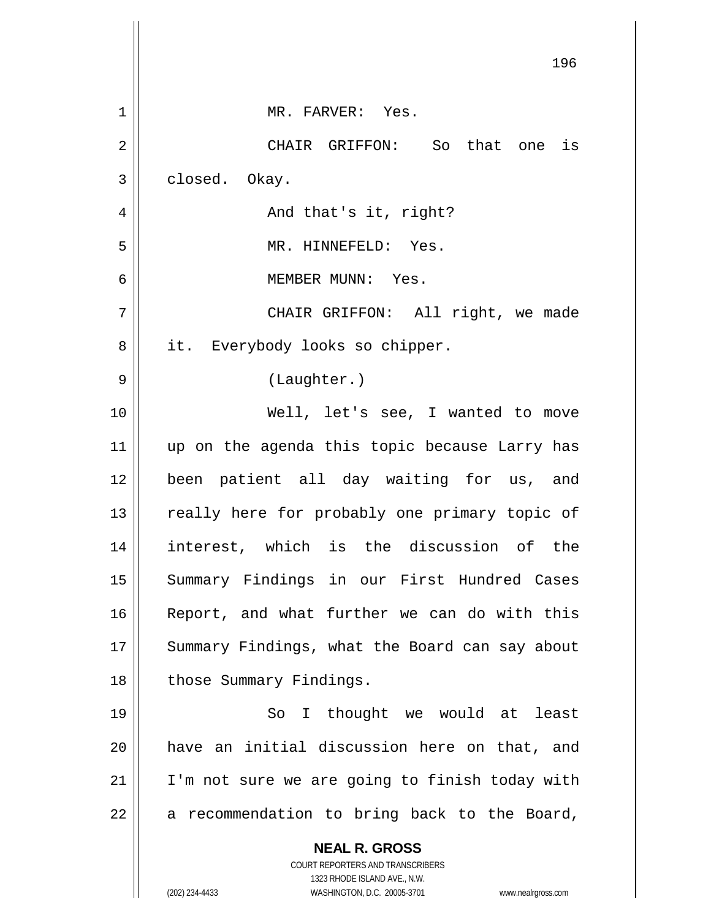|    | 196                                                                 |
|----|---------------------------------------------------------------------|
| 1  | MR. FARVER: Yes.                                                    |
| 2  | CHAIR GRIFFON: So that one is                                       |
| 3  | closed. Okay.                                                       |
| 4  | And that's it, right?                                               |
| 5  | MR. HINNEFELD: Yes.                                                 |
| 6  | MEMBER MUNN: Yes.                                                   |
| 7  | CHAIR GRIFFON: All right, we made                                   |
| 8  | it. Everybody looks so chipper.                                     |
| 9  | (Laughter.)                                                         |
| 10 | Well, let's see, I wanted to move                                   |
| 11 | up on the agenda this topic because Larry has                       |
| 12 | been patient all day waiting for us, and                            |
| 13 | really here for probably one primary topic of                       |
| 14 | interest, which is the discussion of the                            |
| 15 | Summary Findings in our First Hundred Cases                         |
| 16 | Report, and what further we can do with this                        |
| 17 | Summary Findings, what the Board can say about                      |
| 18 | those Summary Findings.                                             |
| 19 | I thought we would at least<br>So                                   |
| 20 | have an initial discussion here on that, and                        |
| 21 | I'm not sure we are going to finish today with                      |
| 22 | a recommendation to bring back to the Board,                        |
|    | <b>NEAL R. GROSS</b>                                                |
|    | COURT REPORTERS AND TRANSCRIBERS<br>1323 RHODE ISLAND AVE., N.W.    |
|    | (202) 234-4433<br>WASHINGTON, D.C. 20005-3701<br>www.nealrgross.com |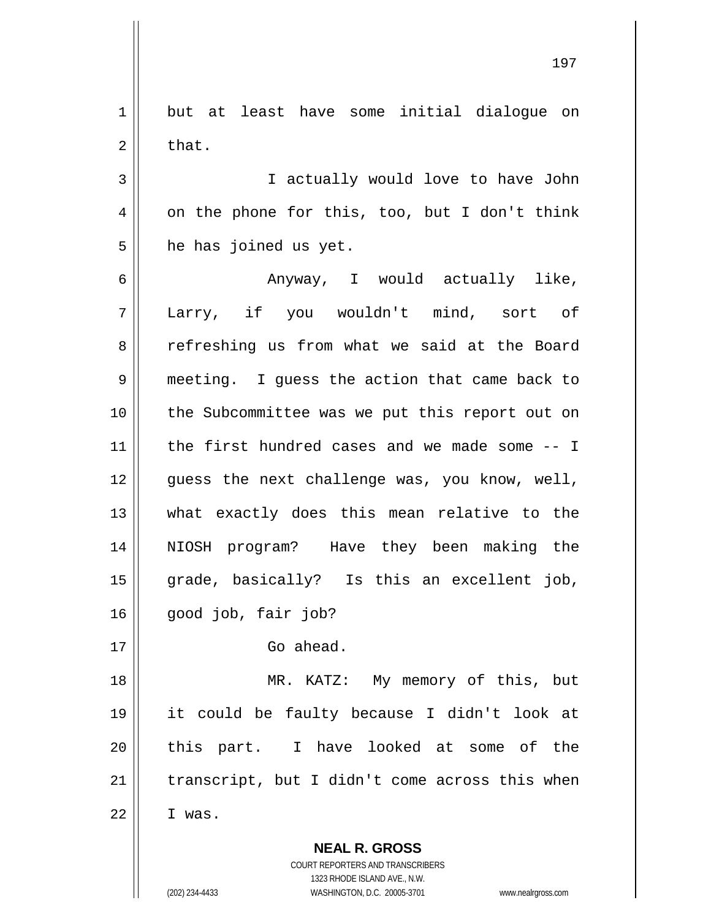**NEAL R. GROSS** COURT REPORTERS AND TRANSCRIBERS 1 but at least have some initial dialoque on  $2 \parallel$  that. 3 || I actually would love to have John  $4 \parallel$  on the phone for this, too, but I don't think  $5$  he has joined us yet. 6 Anyway, I would actually like, 7 Larry, if you wouldn't mind, sort of 8 Tefreshing us from what we said at the Board 9 meeting. I guess the action that came back to 10 || the Subcommittee was we put this report out on 11 the first hundred cases and we made some -- I  $12$  | quess the next challenge was, you know, well, 13 what exactly does this mean relative to the 14 NIOSH program? Have they been making the 15 grade, basically? Is this an excellent job,  $16 \parallel$  good job, fair job? 17 Go ahead. 18 || MR. KATZ: My memory of this, but 19 it could be faulty because I didn't look at 20 || this part. I have looked at some of the  $21$  | transcript, but I didn't come across this when  $22 \parallel$  I was.

1323 RHODE ISLAND AVE., N.W.

(202) 234-4433 WASHINGTON, D.C. 20005-3701 www.nealrgross.com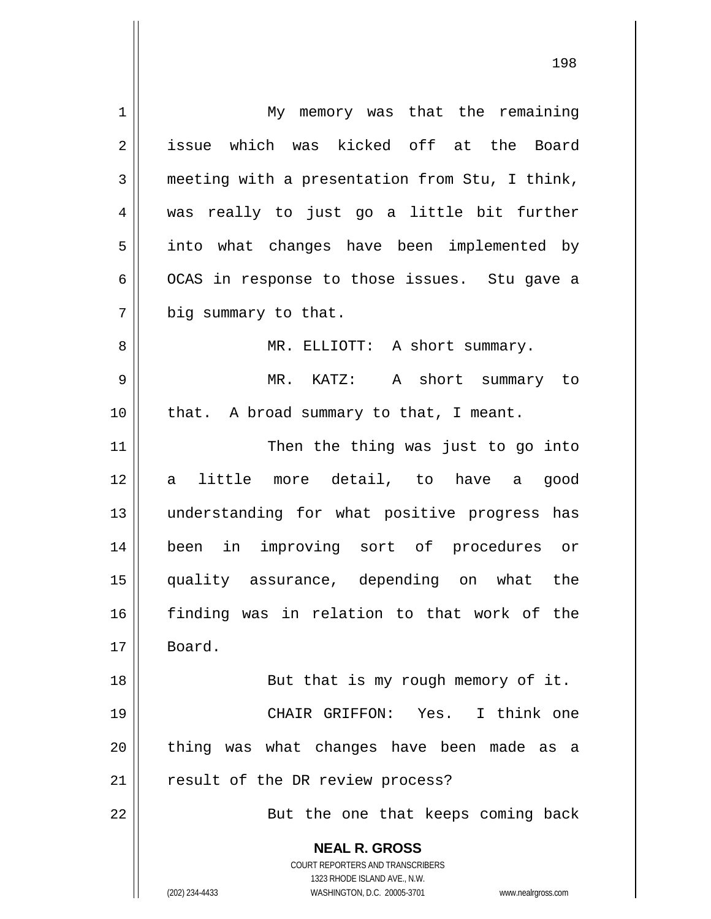**NEAL R. GROSS** COURT REPORTERS AND TRANSCRIBERS 1323 RHODE ISLAND AVE., N.W. (202) 234-4433 WASHINGTON, D.C. 20005-3701 www.nealrgross.com 1 || My memory was that the remaining 2 issue which was kicked off at the Board 3 meeting with a presentation from Stu, I think, 4 was really to just go a little bit further 5 || into what changes have been implemented by  $6 \parallel$  OCAS in response to those issues. Stu gave a  $7 \parallel$  big summary to that. 8 MR. ELLIOTT: A short summary. 9 MR. KATZ: A short summary to 10 || that. A broad summary to that, I meant. 11 || Then the thing was just to go into 12 a little more detail, to have a good 13 understanding for what positive progress has 14 been in improving sort of procedures or 15 quality assurance, depending on what the 16 finding was in relation to that work of the 17 Board. 18 || But that is my rough memory of it. 19 CHAIR GRIFFON: Yes. I think one  $20$  || thing was what changes have been made as a 21 || result of the DR review process? 22 || But the one that keeps coming back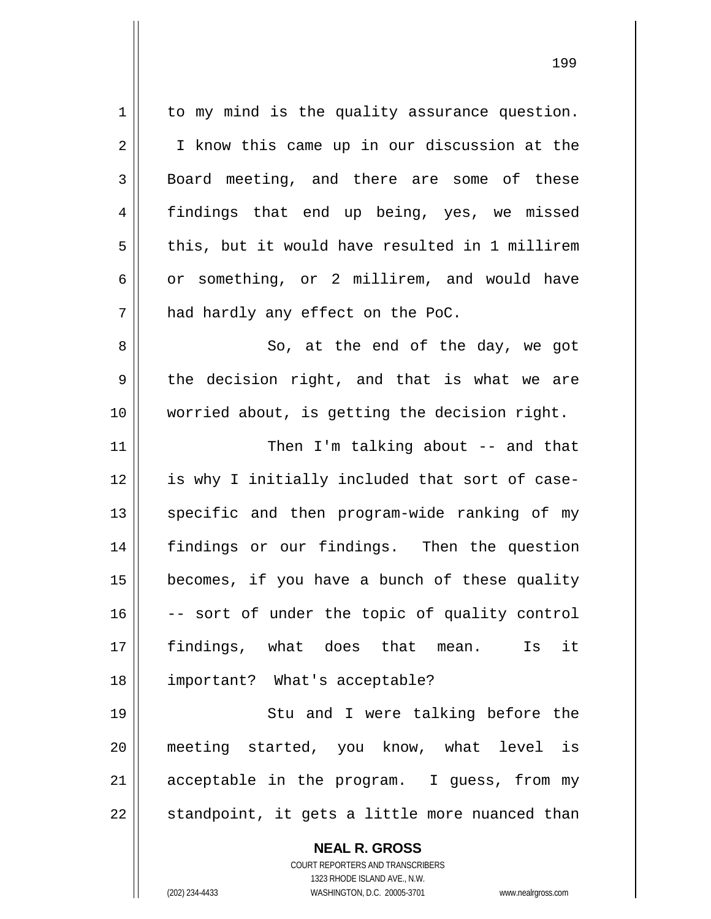**NEAL R. GROSS** COURT REPORTERS AND TRANSCRIBERS 1 || to my mind is the quality assurance question. 2 || I know this came up in our discussion at the 3 Board meeting, and there are some of these 4 findings that end up being, yes, we missed  $5 \parallel$  this, but it would have resulted in 1 millirem  $6 \parallel$  or something, or 2 millirem, and would have  $7$  | had hardly any effect on the PoC. 8 || So, at the end of the day, we got  $9 \parallel$  the decision right, and that is what we are 10 || worried about, is getting the decision right. 11 || Then I'm talking about -- and that 12 || is why I initially included that sort of case-13 || specific and then program-wide ranking of my 14 findings or our findings. Then the question  $15$  | becomes, if you have a bunch of these quality  $16$   $\vert$  -- sort of under the topic of quality control 17 findings, what does that mean. Is it 18 important? What's acceptable? 19 || Stu and I were talking before the 20 meeting started, you know, what level is  $21$  acceptable in the program. I guess, from my  $22$  || standpoint, it gets a little more nuanced than

1323 RHODE ISLAND AVE., N.W.

199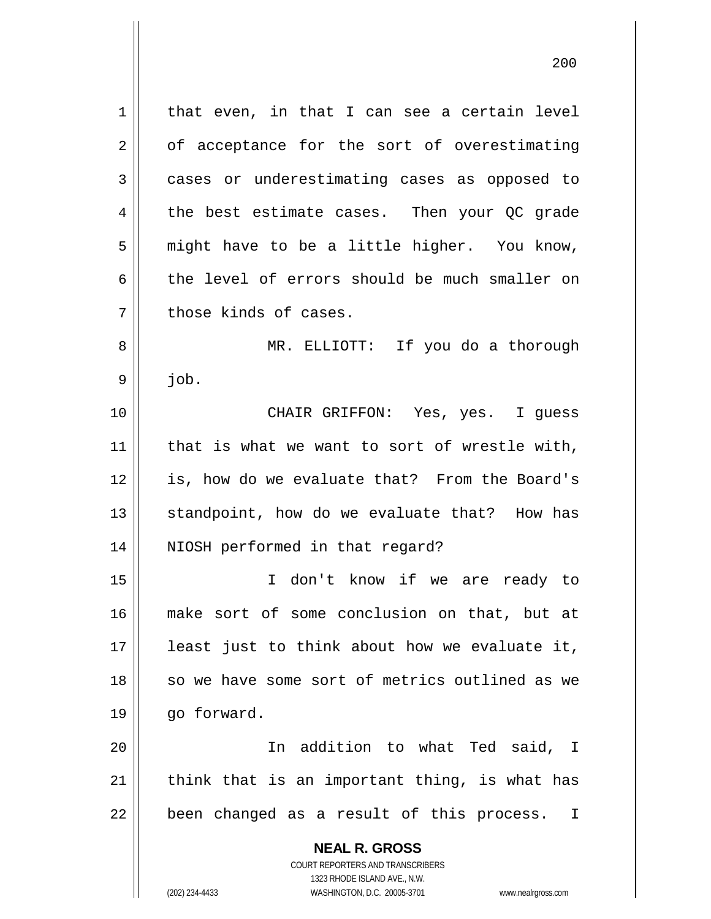**NEAL R. GROSS** COURT REPORTERS AND TRANSCRIBERS 1323 RHODE ISLAND AVE., N.W.  $1 \parallel$  that even, in that I can see a certain level  $2 \parallel$  of acceptance for the sort of overestimating 3 cases or underestimating cases as opposed to 4 the best estimate cases. Then your QC grade  $5 \parallel$  might have to be a little higher. You know, 6 the level of errors should be much smaller on  $7$  | those kinds of cases. 8 MR. ELLIOTT: If you do a thorough  $9 \parallel$  job. 10 CHAIR GRIFFON: Yes, yes. I guess  $11$  | that is what we want to sort of wrestle with, 12 || is, how do we evaluate that? From the Board's 13 || standpoint, how do we evaluate that? How has 14 || NIOSH performed in that regard? 15 I don't know if we are ready to 16 make sort of some conclusion on that, but at 17 least just to think about how we evaluate it, 18 || so we have some sort of metrics outlined as we 19 | go forward. 20 In addition to what Ted said, I 21  $\parallel$  think that is an important thing, is what has  $22$  || been changed as a result of this process. I

(202) 234-4433 WASHINGTON, D.C. 20005-3701 www.nealrgross.com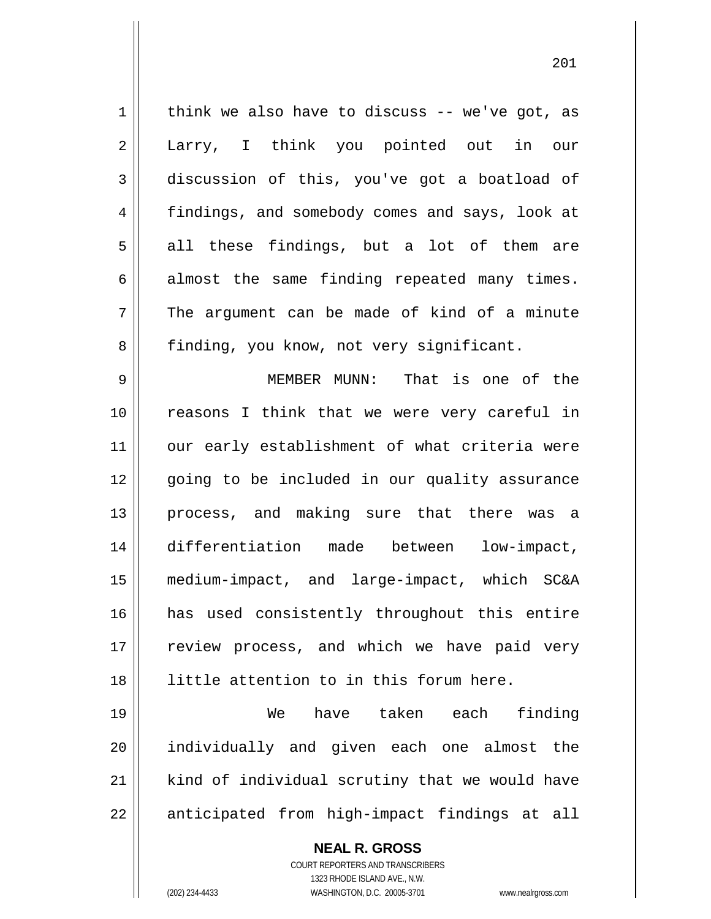$1 \parallel$  think we also have to discuss -- we've got, as 2 || Larry, I think you pointed out in our 3 discussion of this, you've got a boatload of 4 || findings, and somebody comes and says, look at  $5 \parallel$  all these findings, but a lot of them are  $6 \parallel$  almost the same finding repeated many times.  $7 \parallel$  The argument can be made of kind of a minute 8 | finding, you know, not very significant.

9 MEMBER MUNN: That is one of the 10 reasons I think that we were very careful in 11 || our early establishment of what criteria were 12 || qoing to be included in our quality assurance 13 || process, and making sure that there was a 14 differentiation made between low-impact, 15 medium-impact, and large-impact, which SC&A 16 has used consistently throughout this entire 17 || review process, and which we have paid very 18 little attention to in this forum here.

19 We have taken each finding 20 || individually and given each one almost the 21 || kind of individual scrutiny that we would have 22 || anticipated from high-impact findings at all

> **NEAL R. GROSS** COURT REPORTERS AND TRANSCRIBERS 1323 RHODE ISLAND AVE., N.W.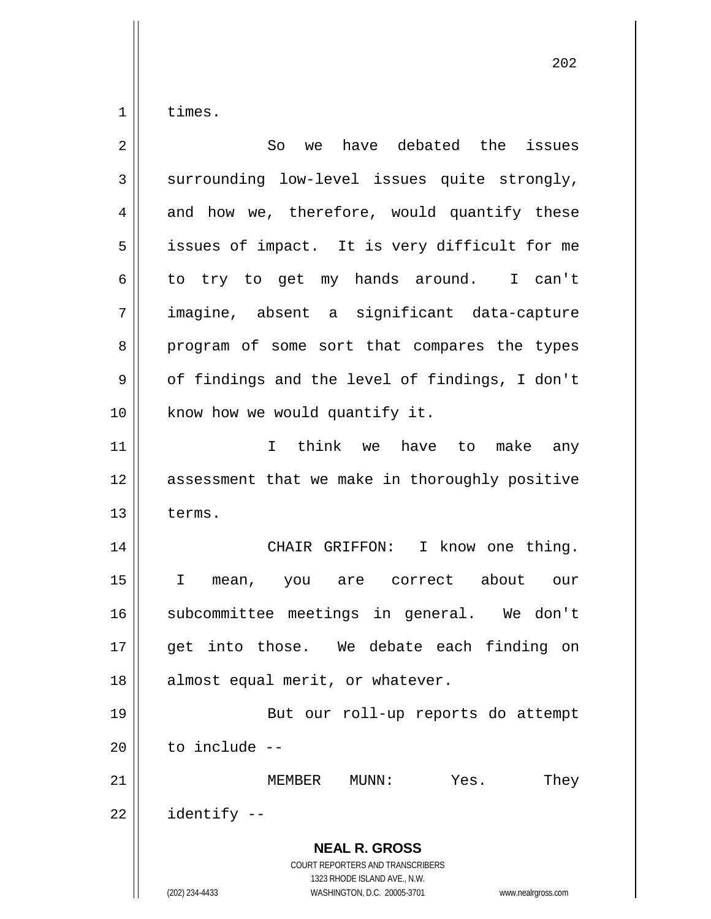$1 \parallel$  times.

| $\overline{2}$ | have debated the<br>So<br>issues<br>we                                                                                                                          |
|----------------|-----------------------------------------------------------------------------------------------------------------------------------------------------------------|
| 3              | surrounding low-level issues quite strongly,                                                                                                                    |
| 4              | and how we, therefore, would quantify these                                                                                                                     |
| 5              | issues of impact. It is very difficult for me                                                                                                                   |
| 6              | to try to get my hands around. I can't                                                                                                                          |
| 7              | imagine, absent a significant data-capture                                                                                                                      |
| 8              | program of some sort that compares the types                                                                                                                    |
| 9              | of findings and the level of findings, I don't                                                                                                                  |
| 10             | know how we would quantify it.                                                                                                                                  |
| 11             | I think we have to make any                                                                                                                                     |
| 12             | assessment that we make in thoroughly positive                                                                                                                  |
| 13             | terms.                                                                                                                                                          |
| 14             | CHAIR GRIFFON: I know one thing.                                                                                                                                |
| 15             | $\mathbf{I}$<br>mean, you are correct about our                                                                                                                 |
| 16             | subcommittee meetings in general. We don't                                                                                                                      |
| 17             | get into those. We debate each finding on                                                                                                                       |
| 18             | almost equal merit, or whatever.                                                                                                                                |
| 19             | But our roll-up reports do attempt                                                                                                                              |
| 20             | to include --                                                                                                                                                   |
| 21             | MEMBER<br>MUNN:<br>Yes.<br>They                                                                                                                                 |
| 22             | identify --                                                                                                                                                     |
|                | <b>NEAL R. GROSS</b><br>COURT REPORTERS AND TRANSCRIBERS<br>1323 RHODE ISLAND AVE., N.W.<br>WASHINGTON, D.C. 20005-3701<br>(202) 234-4433<br>www.nealrgross.com |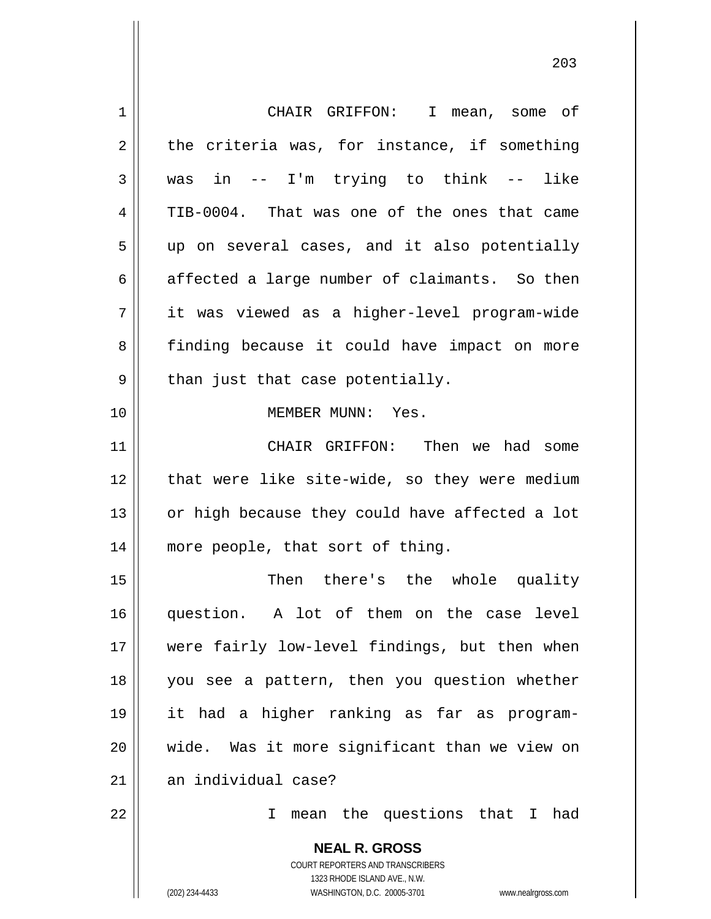| $\mathbf 1$    | CHAIR GRIFFON: I mean, some of                                      |
|----------------|---------------------------------------------------------------------|
| $\overline{2}$ | the criteria was, for instance, if something                        |
| 3              | -- I'm trying to think -- like<br>was in                            |
| 4              | TIB-0004. That was one of the ones that came                        |
| 5              | up on several cases, and it also potentially                        |
| 6              | affected a large number of claimants. So then                       |
| 7              | it was viewed as a higher-level program-wide                        |
| 8              | finding because it could have impact on more                        |
| 9              | than just that case potentially.                                    |
| 10             | MEMBER MUNN: Yes.                                                   |
| 11             | CHAIR GRIFFON: Then we had some                                     |
| 12             | that were like site-wide, so they were medium                       |
| 13             | or high because they could have affected a lot                      |
| 14             | more people, that sort of thing.                                    |
| 15             | Then there's the whole quality                                      |
| 16             | A lot of them on the case level<br>question.                        |
| 17             | were fairly low-level findings, but then when                       |
| 18             | you see a pattern, then you question whether                        |
| 19             | it had a higher ranking as far as program-                          |
| 20             | wide. Was it more significant than we view on                       |
| 21             | an individual case?                                                 |
| 22             | mean the questions that I had<br>I                                  |
|                | <b>NEAL R. GROSS</b><br><b>COURT REPORTERS AND TRANSCRIBERS</b>     |
|                | 1323 RHODE ISLAND AVE., N.W.                                        |
|                | WASHINGTON, D.C. 20005-3701<br>(202) 234-4433<br>www.nealrgross.com |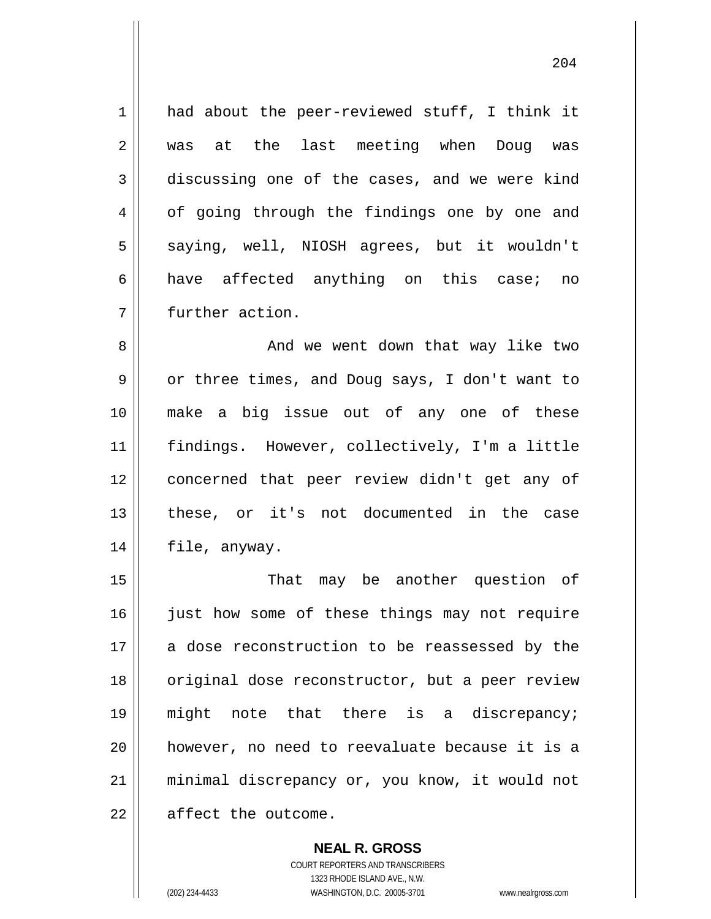1 || had about the peer-reviewed stuff, I think it 2 was at the last meeting when Doug was  $3 \parallel$  discussing one of the cases, and we were kind 4 | of going through the findings one by one and 5 || saying, well, NIOSH agrees, but it wouldn't 6 have affected anything on this case; no 7 further action.

 And we went down that way like two 9 | or three times, and Doug says, I don't want to make a big issue out of any one of these findings. However, collectively, I'm a little concerned that peer review didn't get any of these, or it's not documented in the case file, anyway.

15 || That may be another question of 16 || just how some of these things may not require 17 a dose reconstruction to be reassessed by the 18 || original dose reconstructor, but a peer review 19 might note that there is a discrepancy; 20 however, no need to reevaluate because it is a 21 minimal discrepancy or, you know, it would not  $22$   $\parallel$  affect the outcome.

> COURT REPORTERS AND TRANSCRIBERS 1323 RHODE ISLAND AVE., N.W. (202) 234-4433 WASHINGTON, D.C. 20005-3701 www.nealrgross.com

**NEAL R. GROSS**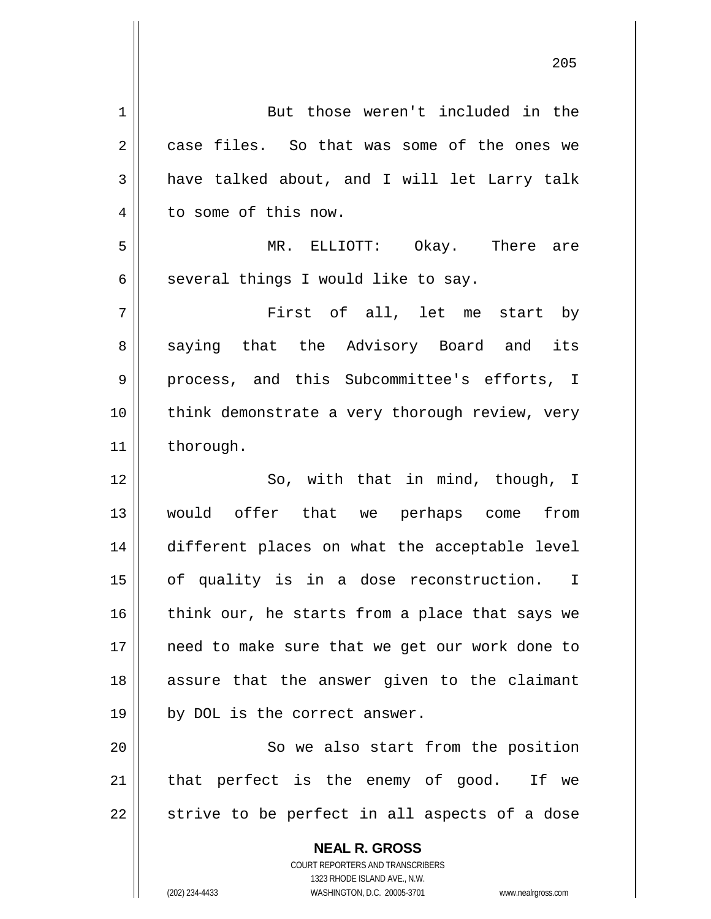**NEAL R. GROSS** COURT REPORTERS AND TRANSCRIBERS 1323 RHODE ISLAND AVE., N.W. 1 | But those weren't included in the 2 case files. So that was some of the ones we  $3 \parallel$  have talked about, and I will let Larry talk 4 | to some of this now. 5 MR. ELLIOTT: Okay. There are  $6 \parallel$  several things I would like to say. 7 First of all, let me start by 8 saying that the Advisory Board and its 9 || process, and this Subcommittee's efforts, I 10 || think demonstrate a very thorough review, very 11 | thorough. 12 || So, with that in mind, though, I 13 would offer that we perhaps come from 14 different places on what the acceptable level 15 || of quality is in a dose reconstruction. I 16  $\parallel$  think our, he starts from a place that says we 17 || need to make sure that we get our work done to 18 assure that the answer given to the claimant  $19 \parallel$  by DOL is the correct answer. 20 || So we also start from the position  $21$  | that perfect is the enemy of good. If we  $22$   $\parallel$  strive to be perfect in all aspects of a dose

(202) 234-4433 WASHINGTON, D.C. 20005-3701 www.nealrgross.com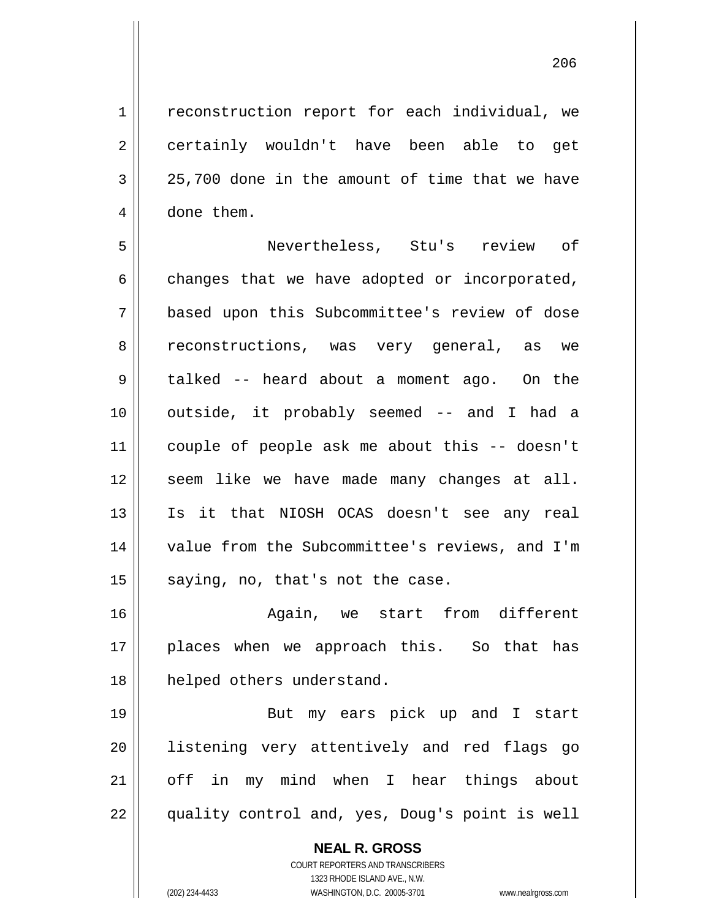1 | reconstruction report for each individual, we 2 certainly wouldn't have been able to get  $3 \parallel 25,700$  done in the amount of time that we have

5 Nevertheless, Stu's review of  $6 \parallel$  changes that we have adopted or incorporated, 7 based upon this Subcommittee's review of dose 8 || reconstructions, was very general, as we 9 talked -- heard about a moment ago. On the 10 || outside, it probably seemed -- and I had a 11 couple of people ask me about this -- doesn't  $12$  seem like we have made many changes at all. 13 Is it that NIOSH OCAS doesn't see any real 14 || value from the Subcommittee's reviews, and I'm  $15$  saying, no, that's not the case.

4 | done them.

16 Again, we start from different 17 || places when we approach this. So that has 18 || helped others understand.

19 || But my ears pick up and I start 20 listening very attentively and red flags go 21 || off in my mind when I hear things about 22 || quality control and, yes, Doug's point is well

> **NEAL R. GROSS** COURT REPORTERS AND TRANSCRIBERS 1323 RHODE ISLAND AVE., N.W. (202) 234-4433 WASHINGTON, D.C. 20005-3701 www.nealrgross.com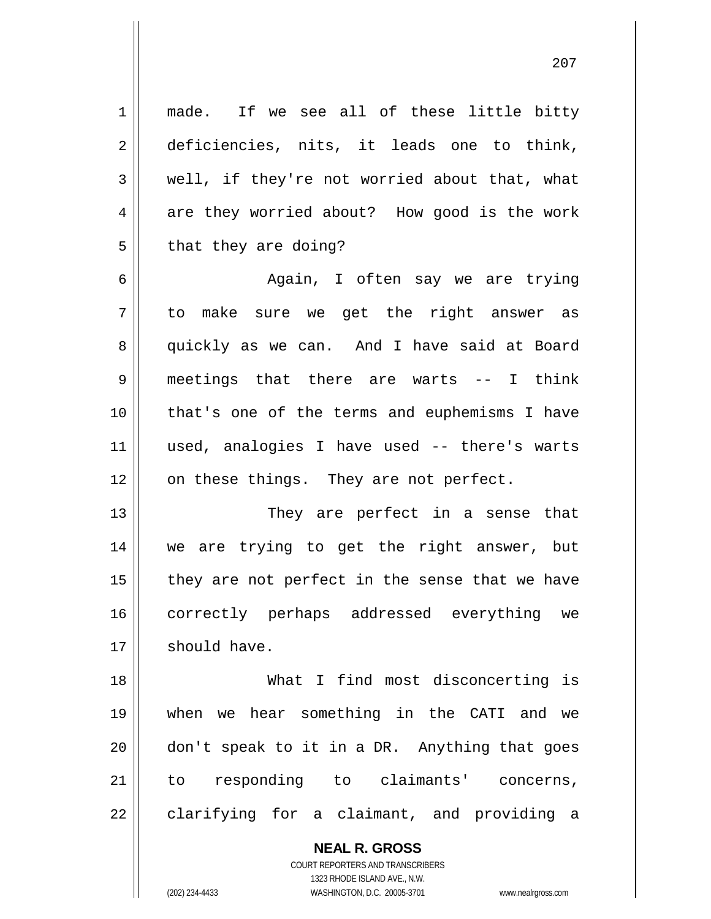1 || made. If we see all of these little bitty deficiencies, nits, it leads one to think,  $3 \parallel$  well, if they're not worried about that, what  $4 \parallel$  are they worried about? How good is the work  $5 \parallel$  that they are doing? Again, I often say we are trying to make sure we get the right answer as 8 quickly as we can. And I have said at Board meetings that there are warts -- I think that's one of the terms and euphemisms I have used, analogies I have used -- there's warts | on these things. They are not perfect. 13 || They are perfect in a sense that we are trying to get the right answer, but

 | they are not perfect in the sense that we have correctly perhaps addressed everything we should have.

 What I find most disconcerting is when we hear something in the CATI and we don't speak to it in a DR. Anything that goes to responding to claimants' concerns, || clarifying for a claimant, and providing a

> **NEAL R. GROSS** COURT REPORTERS AND TRANSCRIBERS 1323 RHODE ISLAND AVE., N.W.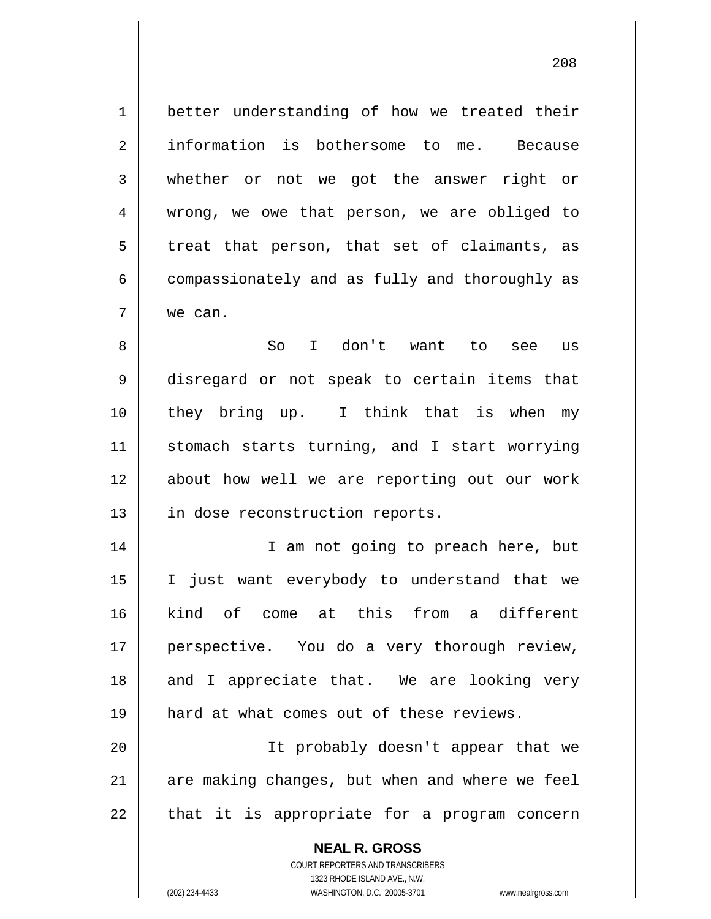1 better understanding of how we treated their 2 information is bothersome to me. Because 3 whether or not we got the answer right or 4 || wrong, we owe that person, we are obliged to  $5$  treat that person, that set of claimants, as  $6 \parallel$  compassionately and as fully and thoroughly as 7 we can.

 So I don't want to see us disregard or not speak to certain items that they bring up. I think that is when my 11 || stomach starts turning, and I start worrying about how well we are reporting out our work 13 || in dose reconstruction reports.

14 || I am not going to preach here, but 15 I just want everybody to understand that we 16 kind of come at this from a different 17 || perspective. You do a very thorough review, 18 and I appreciate that. We are looking very 19 hard at what comes out of these reviews.

20 || It probably doesn't appear that we  $21$  || are making changes, but when and where we feel  $22 \parallel$  that it is appropriate for a program concern

> **NEAL R. GROSS** COURT REPORTERS AND TRANSCRIBERS 1323 RHODE ISLAND AVE., N.W. (202) 234-4433 WASHINGTON, D.C. 20005-3701 www.nealrgross.com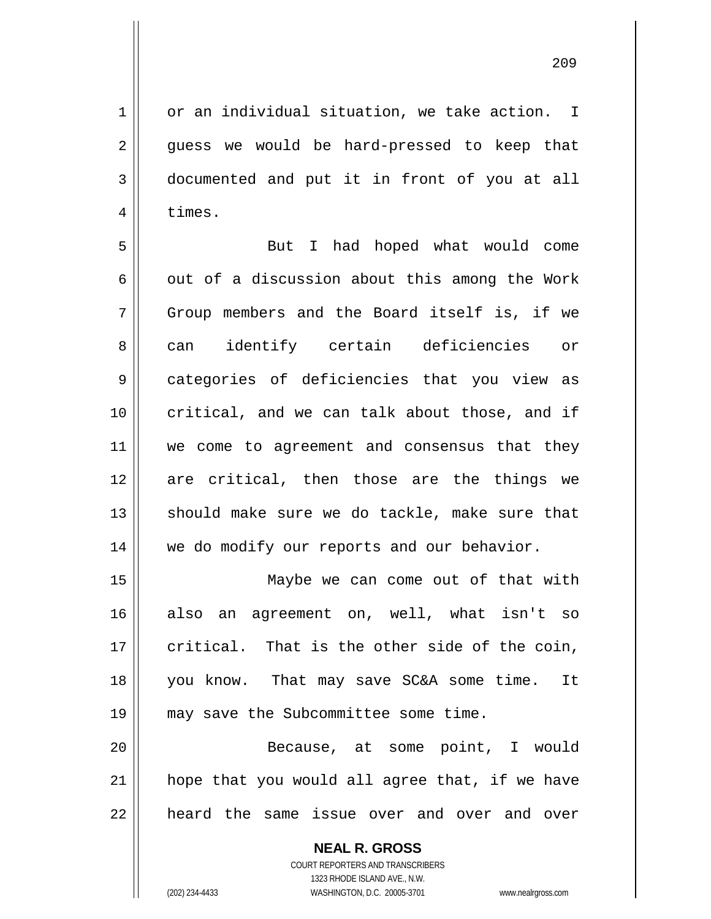1 or an individual situation, we take action. I 2 guess we would be hard-pressed to keep that 3 documented and put it in front of you at all 4 | times.

5 || But I had hoped what would come 6  $\parallel$  out of a discussion about this among the Work 7 Group members and the Board itself is, if we 8 can identify certain deficiencies or 9 categories of deficiencies that you view as 10 critical, and we can talk about those, and if 11 || we come to agreement and consensus that they 12 are critical, then those are the things we 13 || should make sure we do tackle, make sure that 14 | we do modify our reports and our behavior.

 Maybe we can come out of that with also an agreement on, well, what isn't so  $\parallel$  critical. That is the other side of the coin, you know. That may save SC&A some time. It may save the Subcommittee some time.

20 Because, at some point, I would  $21$  | hope that you would all agree that, if we have 22 || heard the same issue over and over and over

> **NEAL R. GROSS** COURT REPORTERS AND TRANSCRIBERS

> > 1323 RHODE ISLAND AVE., N.W.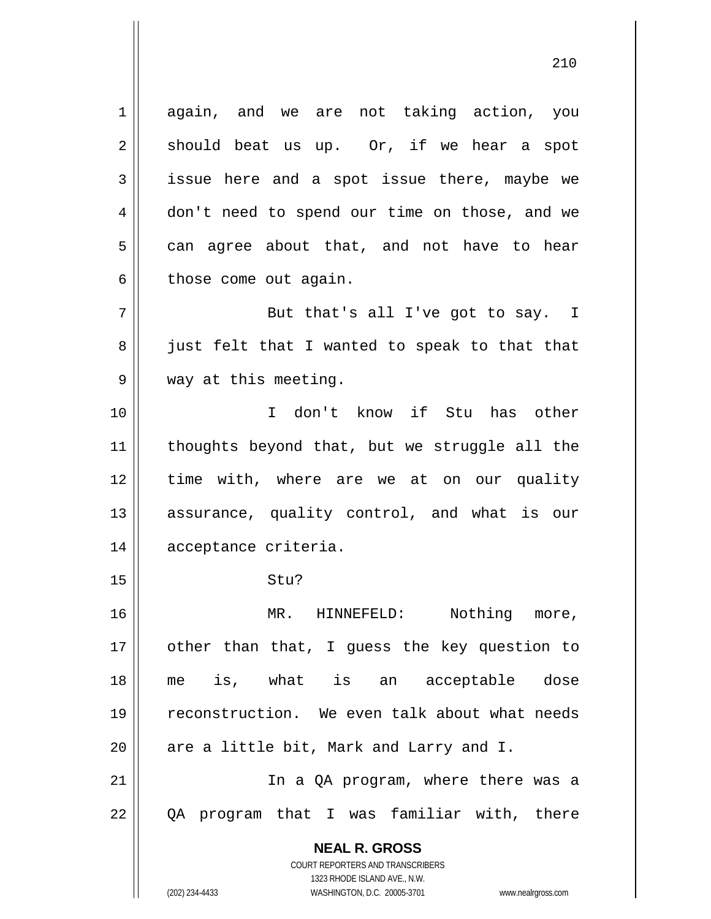**NEAL R. GROSS** COURT REPORTERS AND TRANSCRIBERS 1323 RHODE ISLAND AVE., N.W. 1 again, and we are not taking action, you  $2 \parallel$  should beat us up. Or, if we hear a spot 3 || issue here and a spot issue there, maybe we 4 | don't need to spend our time on those, and we  $5 \parallel$  can agree about that, and not have to hear  $6 \parallel$  those come out again.  $7$   $\parallel$  But that's all I've got to say. I  $8 \parallel$  just felt that I wanted to speak to that that 9 || way at this meeting. 10 I don't know if Stu has other 11 || thoughts beyond that, but we struggle all the 12 || time with, where are we at on our quality 13 || assurance, quality control, and what is our 14 || acceptance criteria.  $15 \parallel$  Stu? 16 || MR. HINNEFELD: Nothing more, 17 || other than that, I guess the key question to 18 me is, what is an acceptable dose 19 || reconstruction. We even talk about what needs  $20$  || are a little bit, Mark and Larry and I. 21 || In a QA program, where there was a 22 QA program that I was familiar with, there

(202) 234-4433 WASHINGTON, D.C. 20005-3701 www.nealrgross.com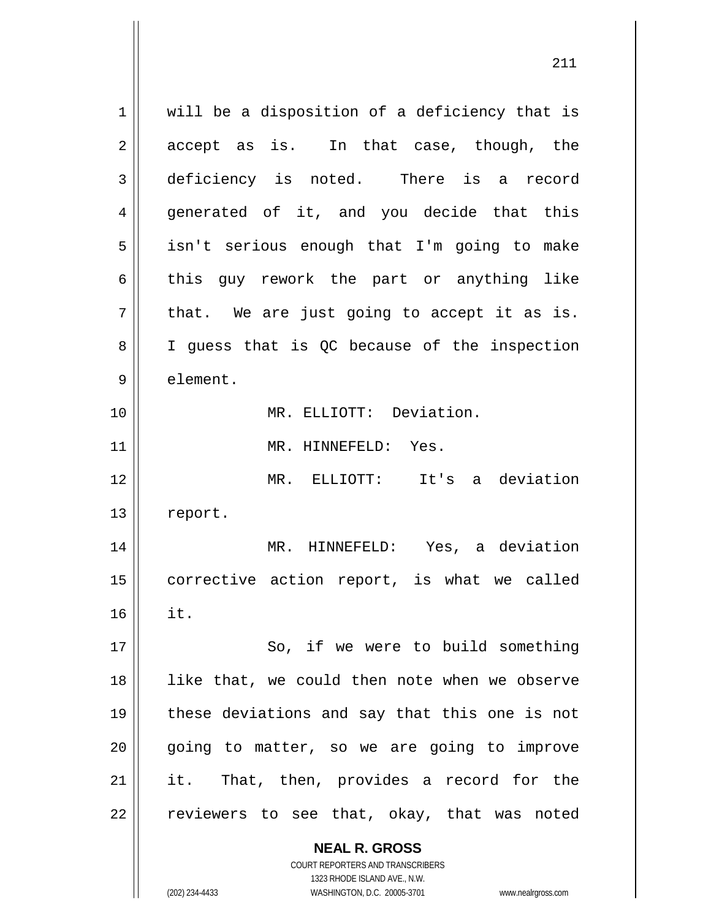**NEAL R. GROSS** COURT REPORTERS AND TRANSCRIBERS 1323 RHODE ISLAND AVE., N.W.  $1 \parallel$  will be a disposition of a deficiency that is  $2 \parallel$  accept as is. In that case, though, the 3 deficiency is noted. There is a record 4 generated of it, and you decide that this 5 || isn't serious enough that I'm going to make  $6 \parallel$  this guy rework the part or anything like  $7 \parallel$  that. We are just going to accept it as is. 8 || I guess that is QC because of the inspection 9 | element. 10 MR. ELLIOTT: Deviation. 11 || MR. HINNEFELD: Yes. 12 MR. ELLIOTT: It's a deviation 13 | report. 14 MR. HINNEFELD: Yes, a deviation 15 || corrective action report, is what we called  $16$   $\parallel$  it. 17 || So, if we were to build something 18 || like that, we could then note when we observe 19 these deviations and say that this one is not  $20$  || going to matter, so we are going to improve 21 || it. That, then, provides a record for the  $22$  reviewers to see that, okay, that was noted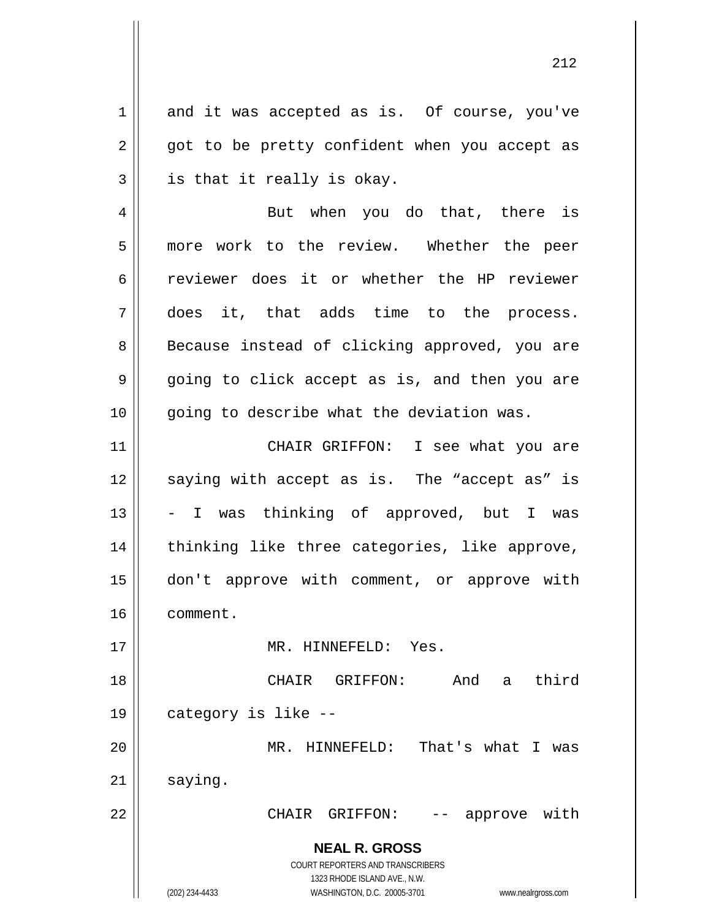$1 \parallel$  and it was accepted as is. Of course, you've  $2 \parallel$  got to be pretty confident when you accept as  $3 \parallel$  is that it really is okay.

4 || But when you do that, there is 5 || more work to the review. Whether the peer 6 ceviewer does it or whether the HP reviewer 7 does it, that adds time to the process. 8 || Because instead of clicking approved, you are  $9 \parallel$  going to click accept as is, and then you are  $10$  | qoing to describe what the deviation was.

11 || CHAIR GRIFFON: I see what you are 12 || saying with accept as is. The "accept as" is  $13 \parallel$  - I was thinking of approved, but I was 14 || thinking like three categories, like approve, 15 don't approve with comment, or approve with 16 comment.

17 MR. HINNEFELD: Yes.

 CHAIR GRIFFON: And a third category is like -- MR. HINNEFELD: That's what I was  $21$  saying.

22 CHAIR GRIFFON: -- approve with

**NEAL R. GROSS** COURT REPORTERS AND TRANSCRIBERS

1323 RHODE ISLAND AVE., N.W.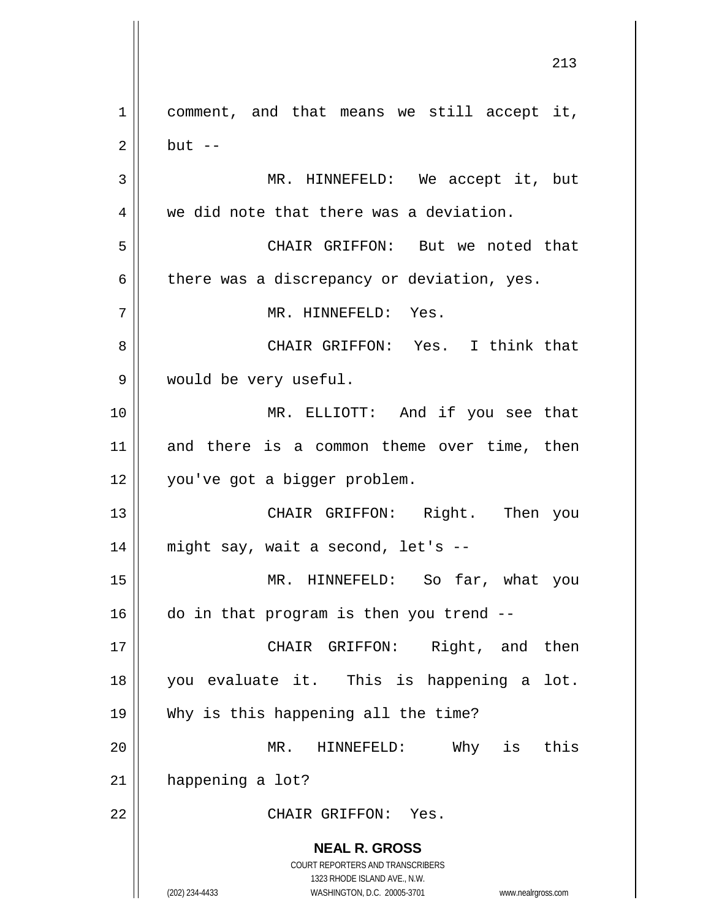**NEAL R. GROSS** COURT REPORTERS AND TRANSCRIBERS 1323 RHODE ISLAND AVE., N.W. (202) 234-4433 WASHINGTON, D.C. 20005-3701 www.nealrgross.com 1 || comment, and that means we still accept it,  $2 \parallel$  but  $-$ 3 || MR. HINNEFELD: We accept it, but  $4 \parallel$  we did note that there was a deviation. 5 CHAIR GRIFFON: But we noted that  $6 \parallel$  there was a discrepancy or deviation, yes. 7 MR. HINNEFELD: Yes. 8 CHAIR GRIFFON: Yes. I think that 9 | would be very useful. 10 MR. ELLIOTT: And if you see that 11 || and there is a common theme over time, then 12 you've got a bigger problem. 13 CHAIR GRIFFON: Right. Then you  $14$  || might say, wait a second, let's --15 MR. HINNEFELD: So far, what you  $16$  do in that program is then you trend  $-$ 17 || CHAIR GRIFFON: Right, and then 18 you evaluate it. This is happening a lot. 19 Why is this happening all the time? 20 MR. HINNEFELD: Why is this 21 happening a lot? 22 CHAIR GRIFFON: Yes.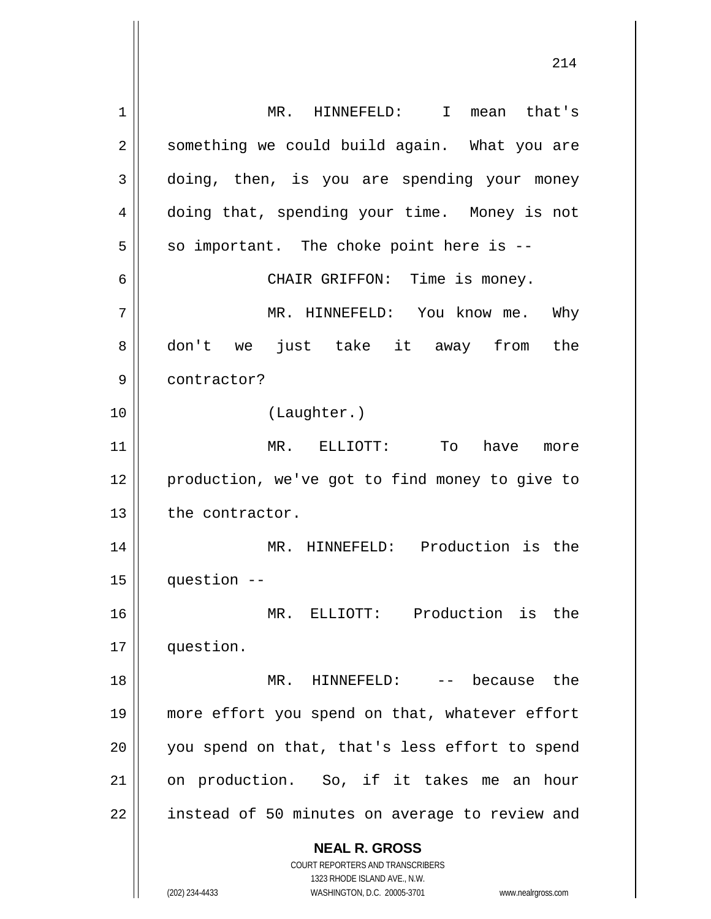**NEAL R. GROSS** COURT REPORTERS AND TRANSCRIBERS 1323 RHODE ISLAND AVE., N.W. (202) 234-4433 WASHINGTON, D.C. 20005-3701 www.nealrgross.com 1 MR. HINNEFELD: I mean that's 2 || something we could build again. What you are 3 doing, then, is you are spending your money 4 doing that, spending your time. Money is not  $5 \parallel$  so important. The choke point here is --6 CHAIR GRIFFON: Time is money. 7 MR. HINNEFELD: You know me. Why 8 don't we just take it away from the 9 || contractor? 10 (Laughter.) 11 MR. ELLIOTT: To have more 12 || production, we've got to find money to give to 13 | the contractor. 14 MR. HINNEFELD: Production is the 15 question -- 16 MR. ELLIOTT: Production is the 17 | question. 18 MR. HINNEFELD: -- because the 19 more effort you spend on that, whatever effort 20 || you spend on that, that's less effort to spend 21 on production. So, if it takes me an hour 22 | instead of 50 minutes on average to review and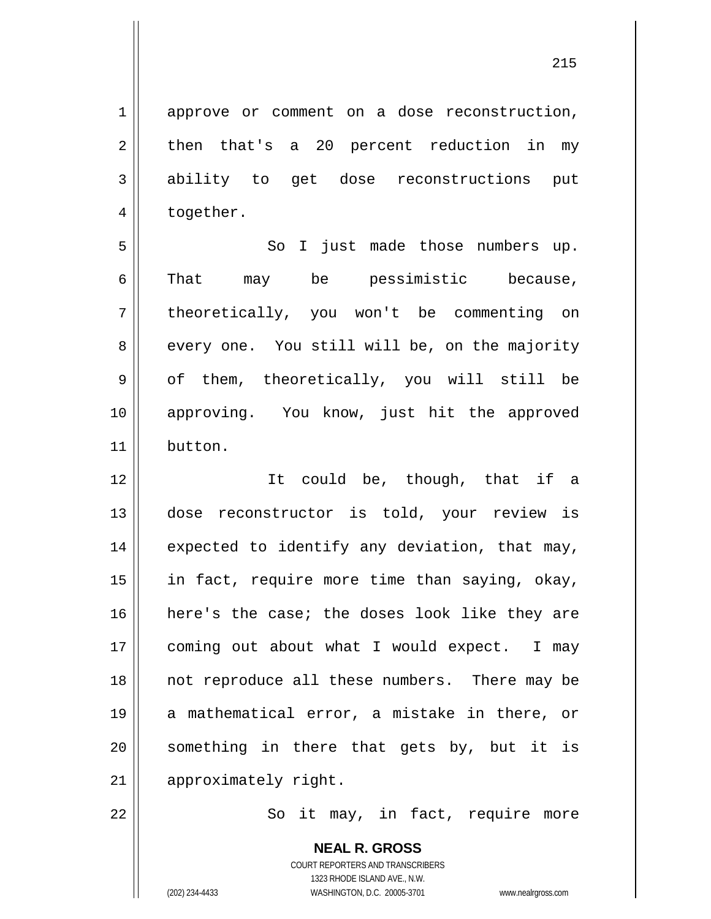215

1 approve or comment on a dose reconstruction,  $2 \parallel$  then that's a 20 percent reduction in my 3 ability to get dose reconstructions put 4 | together. 5 || So I just made those numbers up.

 $6 \parallel$  That may be pessimistic because, 7 theoretically, you won't be commenting on  $8 \parallel$  every one. You still will be, on the majority  $9 \parallel$  of them, theoretically, you will still be 10 approving. You know, just hit the approved 11 button.

12 || Tt could be, though, that if a 13 dose reconstructor is told, your review is  $14$  | expected to identify any deviation, that may, 15 || in fact, require more time than saying, okay, 16 here's the case; the doses look like they are 17 || coming out about what I would expect. I may 18 || not reproduce all these numbers. There may be 19 a mathematical error, a mistake in there, or  $20$  something in there that gets by, but it is 21 | approximately right.

22 || So it may, in fact, require more

**NEAL R. GROSS** COURT REPORTERS AND TRANSCRIBERS 1323 RHODE ISLAND AVE., N.W. (202) 234-4433 WASHINGTON, D.C. 20005-3701 www.nealrgross.com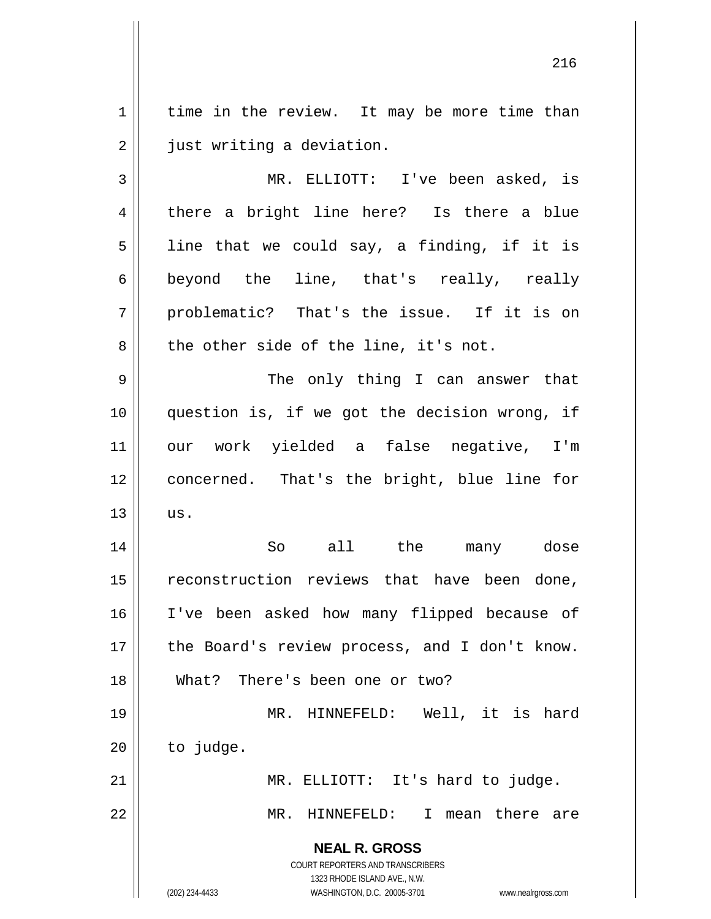1 | time in the review. It may be more time than 2 | just writing a deviation.

3 MR. ELLIOTT: I've been asked, is 4 || there a bright line here? Is there a blue  $5$  || line that we could say, a finding, if it is 6 || beyond the line, that's really, really  $7 \parallel$  problematic? That's the issue. If it is on  $8 \parallel$  the other side of the line, it's not.

 The only thing I can answer that question is, if we got the decision wrong, if our work yielded a false negative, I'm concerned. That's the bright, blue line for  $\parallel$  us.

14 So all the many dose 15 || reconstruction reviews that have been done, 16 I've been asked how many flipped because of 17 || the Board's review process, and I don't know. 18 What? There's been one or two?

19 || MR. HINNEFELD: Well, it is hard  $20$  | to judge. 21 || MR. ELLIOTT: It's hard to judge.

22 MR. HINNEFELD: I mean there are

**NEAL R. GROSS**

COURT REPORTERS AND TRANSCRIBERS 1323 RHODE ISLAND AVE., N.W. (202) 234-4433 WASHINGTON, D.C. 20005-3701 www.nealrgross.com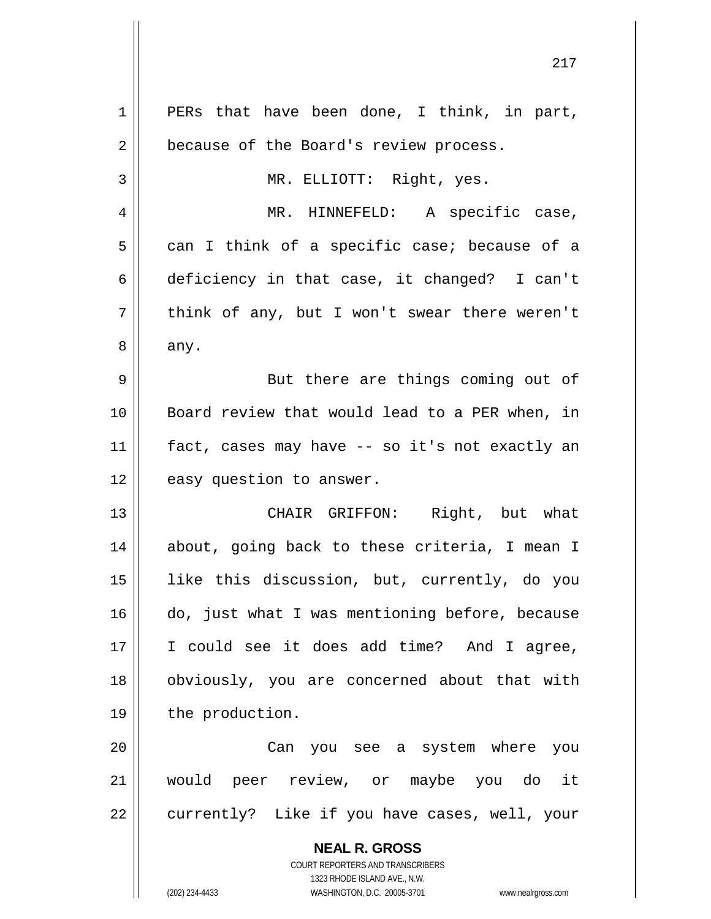| $\mathbf 1$    | PERs that have been done, I think, in part,                         |
|----------------|---------------------------------------------------------------------|
| $\overline{2}$ | because of the Board's review process.                              |
| 3              | MR. ELLIOTT: Right, yes.                                            |
| 4              | MR. HINNEFELD: A specific case,                                     |
| 5              | can I think of a specific case; because of a                        |
| 6              | deficiency in that case, it changed? I can't                        |
| 7              | think of any, but I won't swear there weren't                       |
| 8              | any.                                                                |
| 9              | But there are things coming out of                                  |
| 10             | Board review that would lead to a PER when, in                      |
| 11             | fact, cases may have -- so it's not exactly an                      |
| 12             | easy question to answer.                                            |
|                |                                                                     |
| 13             | CHAIR GRIFFON: Right, but what                                      |
| 14             | about, going back to these criteria, I mean I                       |
| 15             | like this discussion, but, currently, do you                        |
| 16             | do, just what I was mentioning before, because                      |
| 17             | I could see it does add time? And I agree,                          |
| 18             | obviously, you are concerned about that with                        |
| 19             | the production.                                                     |
| 20             | Can you see a system where you                                      |
| 21             | would peer review, or maybe you do it                               |
| 22             | currently? Like if you have cases, well, your                       |
|                | <b>NEAL R. GROSS</b>                                                |
|                | COURT REPORTERS AND TRANSCRIBERS                                    |
|                | 1323 RHODE ISLAND AVE., N.W.                                        |
|                | (202) 234-4433<br>WASHINGTON, D.C. 20005-3701<br>www.nealrgross.com |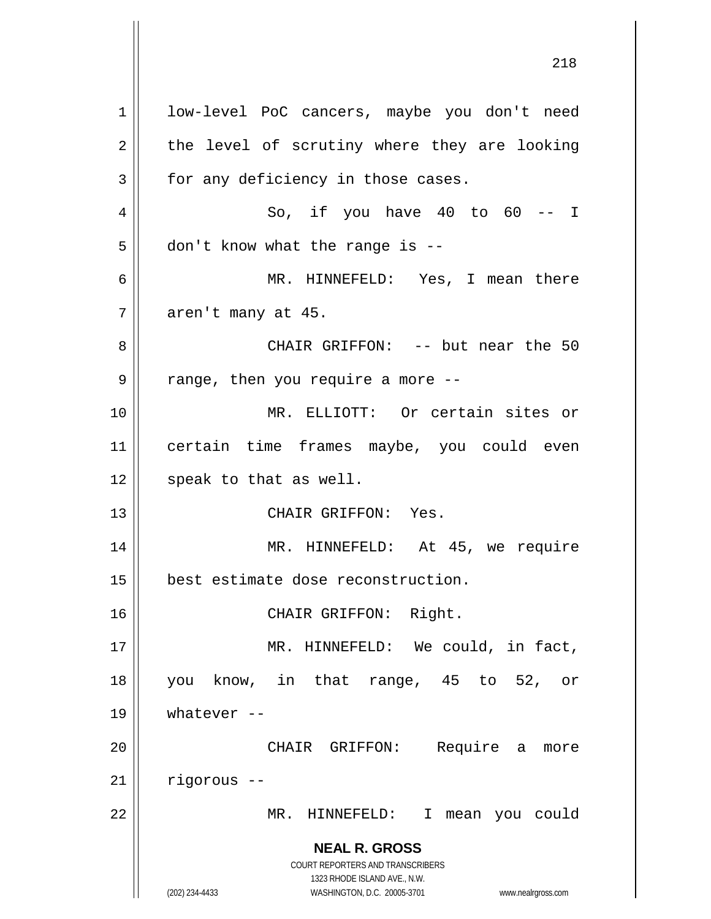**NEAL R. GROSS** COURT REPORTERS AND TRANSCRIBERS 1323 RHODE ISLAND AVE., N.W. (202) 234-4433 WASHINGTON, D.C. 20005-3701 www.nealrgross.com 1 | low-level PoC cancers, maybe you don't need  $2 \parallel$  the level of scrutiny where they are looking  $3 \parallel$  for any deficiency in those cases.  $4 \parallel$  So, if you have 40 to 60 -- I  $5 \parallel$  don't know what the range is --6 MR. HINNEFELD: Yes, I mean there  $7 \parallel$  aren't many at 45. 8 CHAIR GRIFFON: -- but near the 50  $9 \parallel$  range, then you require a more --10 MR. ELLIOTT: Or certain sites or 11 certain time frames maybe, you could even  $12$  | speak to that as well. 13 CHAIR GRIFFON: Yes. 14 || MR. HINNEFELD: At 45, we require 15 best estimate dose reconstruction. 16 CHAIR GRIFFON: Right. 17 || MR. HINNEFELD: We could, in fact, 18 you know, in that range, 45 to 52, or  $19$  | whatever --20 CHAIR GRIFFON: Require a more 21 rigorous -- 22 MR. HINNEFELD: I mean you could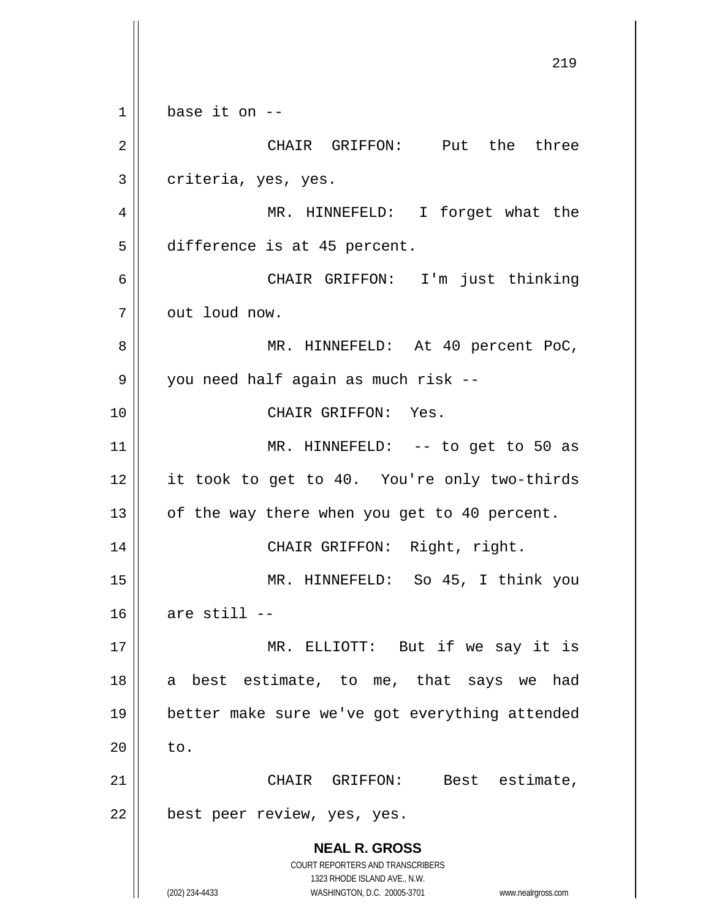**NEAL R. GROSS** COURT REPORTERS AND TRANSCRIBERS 1323 RHODE ISLAND AVE., N.W. (202) 234-4433 WASHINGTON, D.C. 20005-3701 www.nealrgross.com 219  $1 \parallel$  base it on  $-$ 2 CHAIR GRIFFON: Put the three 3 | criteria, yes, yes. 4 MR. HINNEFELD: I forget what the 5 difference is at 45 percent. 6 CHAIR GRIFFON: I'm just thinking 7 || out loud now. 8 MR. HINNEFELD: At 40 percent PoC, 9 || you need half again as much risk --10 CHAIR GRIFFON: Yes. 11 || MR. HINNEFELD: -- to get to 50 as 12 || it took to get to 40. You're only two-thirds  $13$  | of the way there when you get to 40 percent. 14 || CHAIR GRIFFON: Right, right. 15 MR. HINNEFELD: So 45, I think you  $16$  are still  $-$ 17 || MR. ELLIOTT: But if we say it is 18 a best estimate, to me, that says we had 19 better make sure we've got everything attended  $20 \parallel$  to. 21 CHAIR GRIFFON: Best estimate, 22 | best peer review, yes, yes.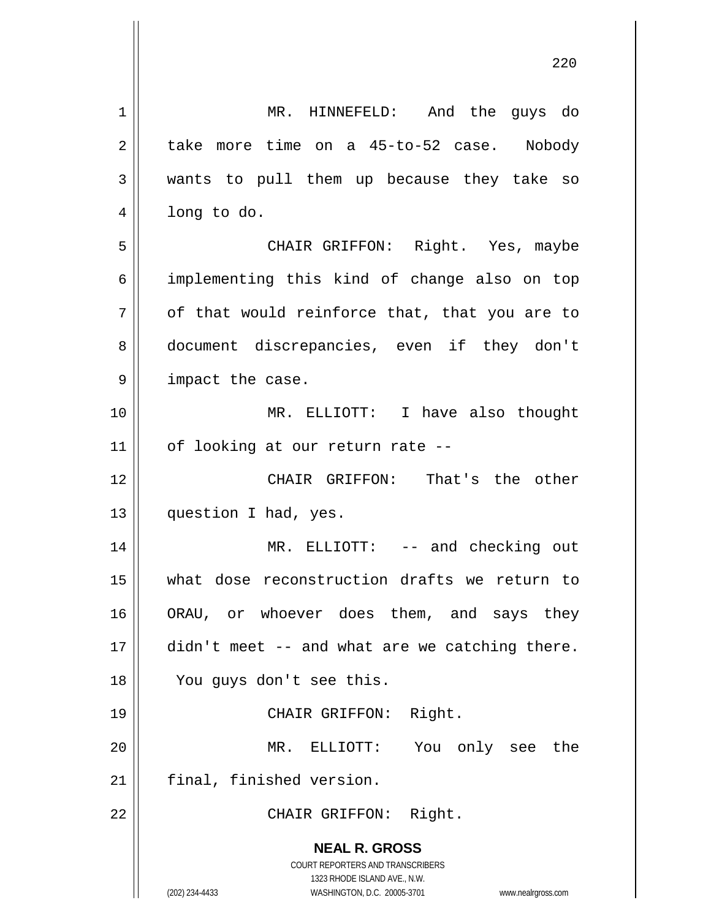**NEAL R. GROSS** COURT REPORTERS AND TRANSCRIBERS 1323 RHODE ISLAND AVE., N.W. (202) 234-4433 WASHINGTON, D.C. 20005-3701 www.nealrgross.com 1 MR. HINNEFELD: And the guys do 2 take more time on a 45-to-52 case. Nobody 3 wants to pull them up because they take so 4 | long to do. 5 CHAIR GRIFFON: Right. Yes, maybe 6 | implementing this kind of change also on top  $7 \parallel$  of that would reinforce that, that you are to 8 document discrepancies, even if they don't 9 || impact the case. 10 MR. ELLIOTT: I have also thought  $11$  | of looking at our return rate --12 CHAIR GRIFFON: That's the other 13 | question I had, yes. 14 MR. ELLIOTT: -- and checking out 15 what dose reconstruction drafts we return to 16 || ORAU, or whoever does them, and says they  $17$  | didn't meet -- and what are we catching there. 18 You guys don't see this. 19 || CHAIR GRIFFON: Right. 20 MR. ELLIOTT: You only see the 21 | final, finished version. 22 || CHAIR GRIFFON: Right.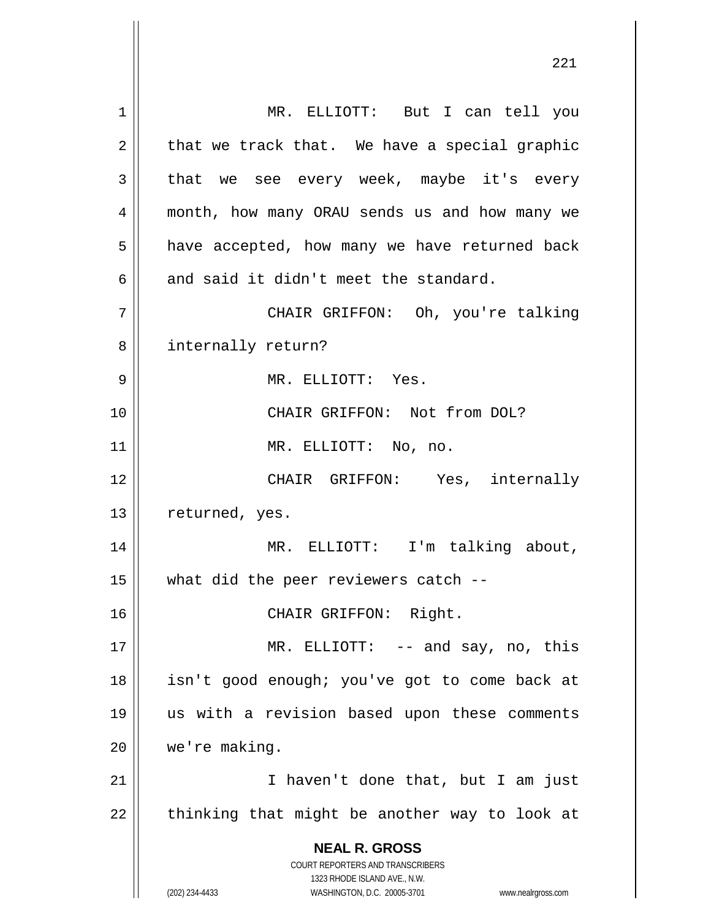**NEAL R. GROSS** COURT REPORTERS AND TRANSCRIBERS 1323 RHODE ISLAND AVE., N.W. (202) 234-4433 WASHINGTON, D.C. 20005-3701 www.nealrgross.com 1 || MR. ELLIOTT: But I can tell you  $2 \parallel$  that we track that. We have a special graphic  $3 \parallel$  that we see every week, maybe it's every 4 || month, how many ORAU sends us and how many we  $5 \parallel$  have accepted, how many we have returned back 6  $\parallel$  and said it didn't meet the standard. 7 CHAIR GRIFFON: Oh, you're talking 8 || internally return? 9 MR. ELLIOTT: Yes. 10 || CHAIR GRIFFON: Not from DOL? 11 || MR. ELLIOTT: No, no. 12 CHAIR GRIFFON: Yes, internally 13 | returned, yes. 14 MR. ELLIOTT: I'm talking about,  $15$  || what did the peer reviewers catch  $-$ 16 CHAIR GRIFFON: Right. 17 || MR. ELLIOTT: -- and say, no, this 18 isn't good enough; you've got to come back at 19 us with a revision based upon these comments 20 || we're making. 21 || I haven't done that, but I am just  $22$  || thinking that might be another way to look at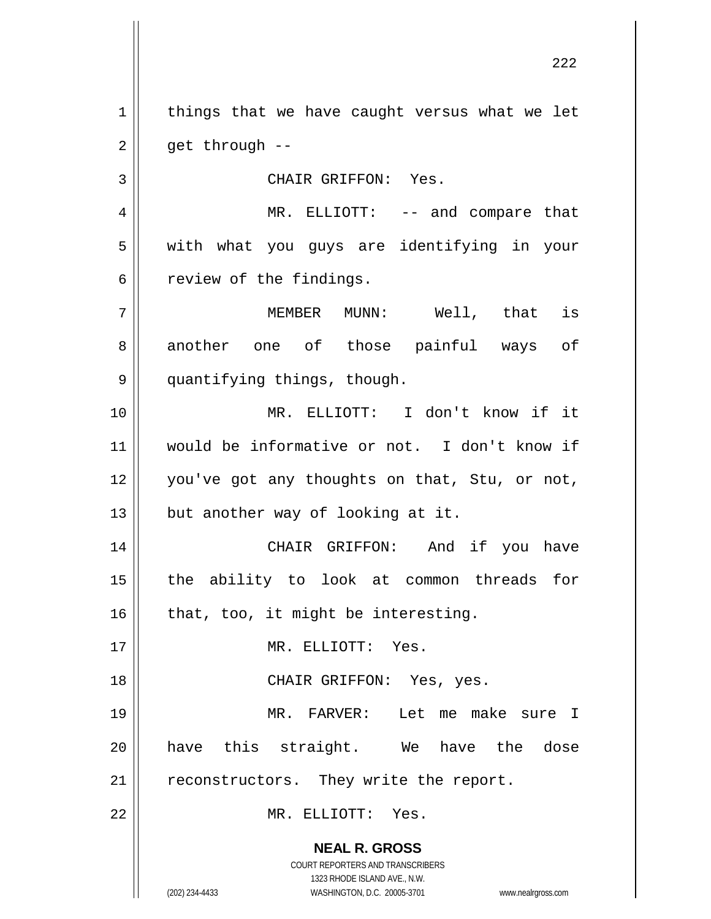$1$  things that we have caught versus what we let  $2 \parallel$  get through --

3 || CHAIR GRIFFON: Yes.

4 MR. ELLIOTT: -- and compare that 5 with what you guys are identifying in your  $6 \parallel$  review of the findings.

7 || MEMBER MUNN: Well, that is 8 || another one of those painful ways of 9 || quantifying things, though.

 MR. ELLIOTT: I don't know if it would be informative or not. I don't know if 12 || you've got any thoughts on that, Stu, or not,  $\parallel$  but another way of looking at it.

14 CHAIR GRIFFON: And if you have 15 the ability to look at common threads for  $16$  | that, too, it might be interesting.

17 MR. ELLIOTT: Yes.

18 CHAIR GRIFFON: Yes, yes.

19 MR. FARVER: Let me make sure I 20 have this straight. We have the dose  $21$  | reconstructors. They write the report.

22 MR. ELLIOTT: Yes.

**NEAL R. GROSS** COURT REPORTERS AND TRANSCRIBERS

1323 RHODE ISLAND AVE., N.W.

(202) 234-4433 WASHINGTON, D.C. 20005-3701 www.nealrgross.com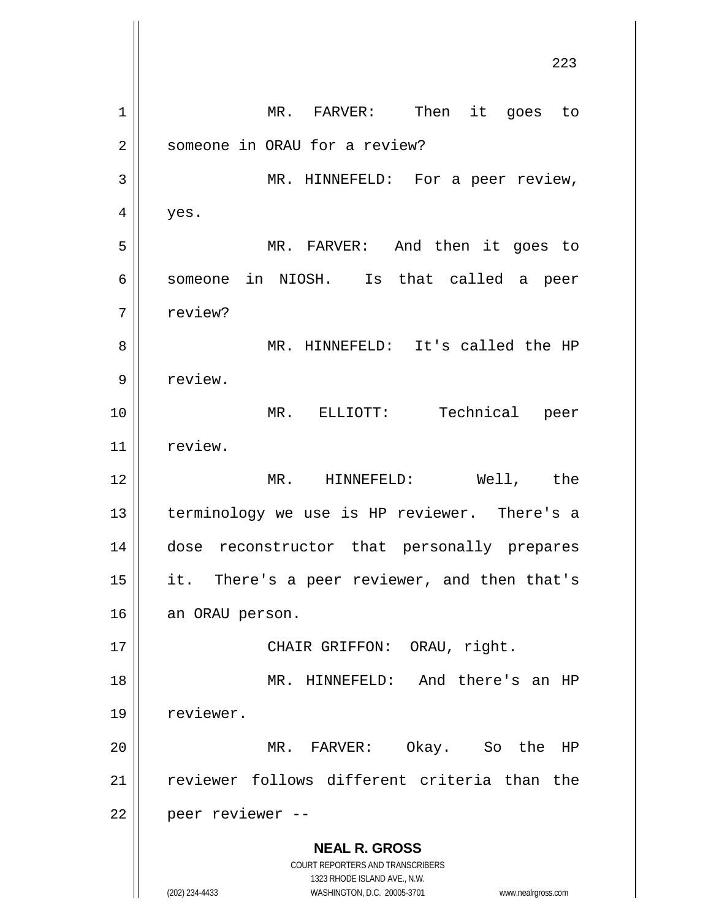**NEAL R. GROSS** COURT REPORTERS AND TRANSCRIBERS 1323 RHODE ISLAND AVE., N.W. (202) 234-4433 WASHINGTON, D.C. 20005-3701 www.nealrgross.com 1 || MR. FARVER: Then it goes to 2 | someone in ORAU for a review? 3 || MR. HINNEFELD: For a peer review,  $4 \parallel$  yes. 5 MR. FARVER: And then it goes to 6 || someone in NIOSH. Is that called a peer 7 | review? 8 MR. HINNEFELD: It's called the HP 9 | review. 10 MR. ELLIOTT: Technical peer 11 | review. 12 MR. HINNEFELD: Well, the 13 || terminology we use is HP reviewer. There's a 14 dose reconstructor that personally prepares 15 || it. There's a peer reviewer, and then that's 16 | an ORAU person. 17 || CHAIR GRIFFON: ORAU, right. 18 || MR. HINNEFELD: And there's an HP 19 | reviewer. 20 MR. FARVER: Okay. So the HP 21 reviewer follows different criteria than the 22 || peer reviewer --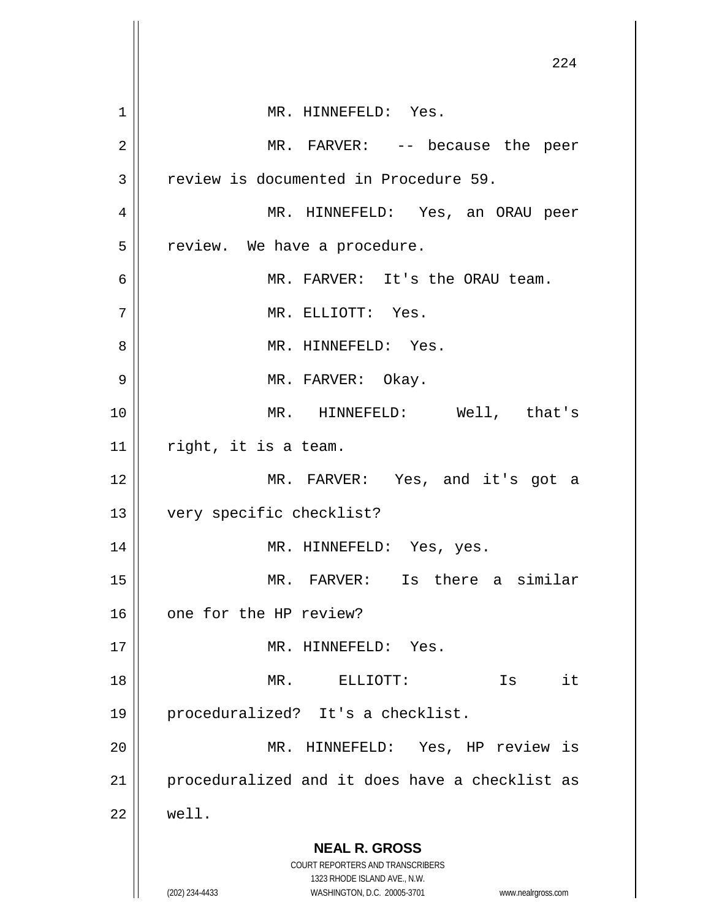|                | 224                                                                     |
|----------------|-------------------------------------------------------------------------|
|                |                                                                         |
| $\mathbf 1$    | MR. HINNEFELD: Yes.                                                     |
| $\overline{2}$ | MR. FARVER: -- because the peer                                         |
| 3              | review is documented in Procedure 59.                                   |
| 4              | MR. HINNEFELD: Yes, an ORAU peer                                        |
| 5              | review. We have a procedure.                                            |
| 6              | MR. FARVER: It's the ORAU team.                                         |
| 7              | MR. ELLIOTT: Yes.                                                       |
| 8              | MR. HINNEFELD: Yes.                                                     |
| 9              | MR. FARVER: Okay.                                                       |
| 10             | MR. HINNEFELD: Well, that's                                             |
| 11             | right, it is a team.                                                    |
| 12             | MR. FARVER: Yes, and it's got a                                         |
| 13             | very specific checklist?                                                |
| 14             | MR. HINNEFELD: Yes, yes.                                                |
| 15             | MR. FARVER: Is there a similar                                          |
| 16             | one for the HP review?                                                  |
| 17             | MR. HINNEFELD: Yes.                                                     |
| 18             | $MR$ .<br>ELLIOTT:<br>it<br>Is                                          |
| 19             | proceduralized? It's a checklist.                                       |
| 20             | MR. HINNEFELD: Yes, HP review is                                        |
| 21             | proceduralized and it does have a checklist as                          |
| 22             | well.                                                                   |
|                | <b>NEAL R. GROSS</b>                                                    |
|                | <b>COURT REPORTERS AND TRANSCRIBERS</b><br>1323 RHODE ISLAND AVE., N.W. |
|                | (202) 234-4433<br>WASHINGTON, D.C. 20005-3701<br>www.nealrgross.com     |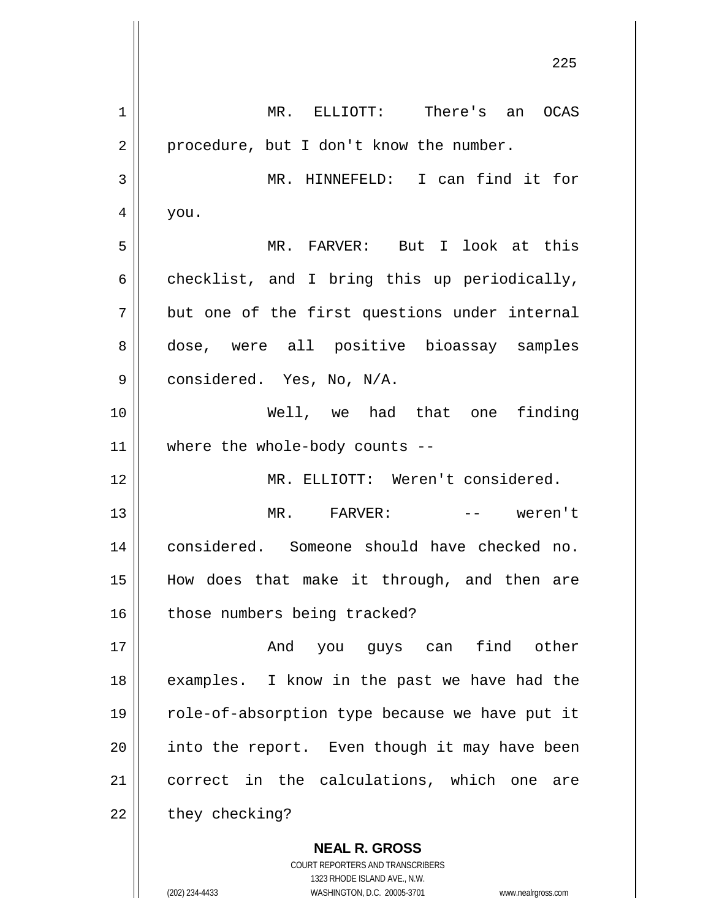**NEAL R. GROSS** COURT REPORTERS AND TRANSCRIBERS 1 MR. ELLIOTT: There's an OCAS  $2 \parallel$  procedure, but I don't know the number. 3 MR. HINNEFELD: I can find it for  $4 \parallel$  you. 5 MR. FARVER: But I look at this  $6 \parallel$  checklist, and I bring this up periodically,  $7 \parallel$  but one of the first questions under internal 8 dose, were all positive bioassay samples  $9 \parallel$  considered. Yes, No, N/A. 10 Well, we had that one finding 11 where the whole-body counts -- 12 MR. ELLIOTT: Weren't considered. 13 MR. FARVER: -- weren't 14 considered. Someone should have checked no. 15 How does that make it through, and then are 16 | those numbers being tracked? 17 || The Rand you guys can find other 18 || examples. I know in the past we have had the 19 || role-of-absorption type because we have put it  $20$  || into the report. Even though it may have been 21 || correct in the calculations, which one are  $22$  | they checking?

1323 RHODE ISLAND AVE., N.W.

(202) 234-4433 WASHINGTON, D.C. 20005-3701 www.nealrgross.com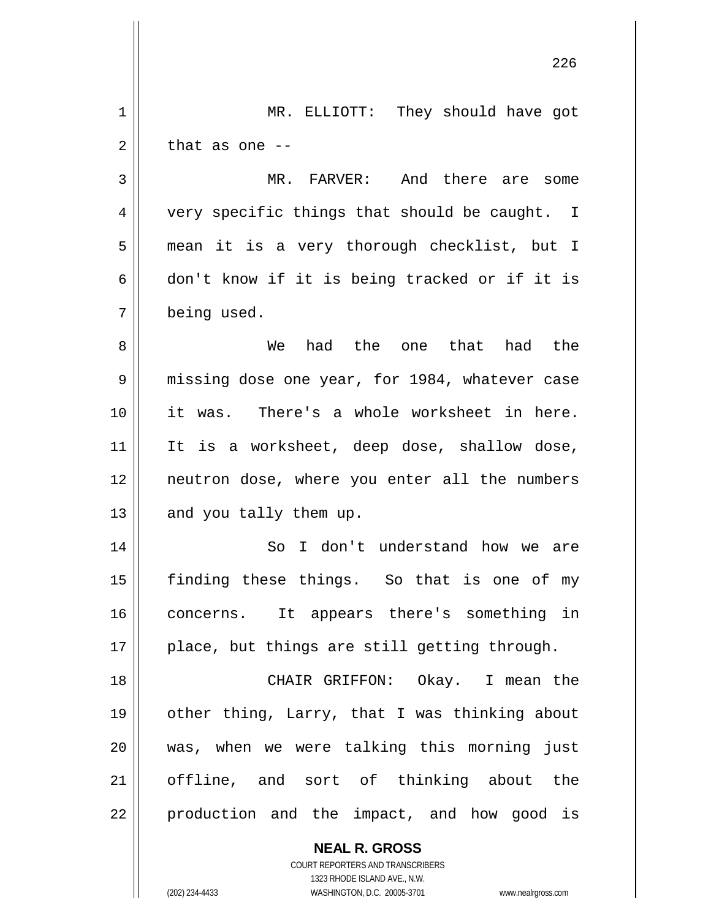| 1  | MR. ELLIOTT: They should have got                                                                   |
|----|-----------------------------------------------------------------------------------------------------|
| 2  | that as one $-$                                                                                     |
| 3  | MR. FARVER: And there are some                                                                      |
| 4  | very specific things that should be caught. I                                                       |
| 5  | mean it is a very thorough checklist, but I                                                         |
| 6  | don't know if it is being tracked or if it is                                                       |
| 7  | being used.                                                                                         |
| 8  | had the one that had the<br>We                                                                      |
| 9  | missing dose one year, for 1984, whatever case                                                      |
| 10 | it was. There's a whole worksheet in here.                                                          |
| 11 | It is a worksheet, deep dose, shallow dose,                                                         |
| 12 | neutron dose, where you enter all the numbers                                                       |
| 13 | and you tally them up.                                                                              |
| 14 | I don't understand how we are<br>So                                                                 |
| 15 | finding these things. So that is one of my                                                          |
| 16 | concerns. It appears there's something in                                                           |
| 17 | place, but things are still getting through.                                                        |
| 18 | CHAIR GRIFFON: Okay. I mean the                                                                     |
| 19 | other thing, Larry, that I was thinking about                                                       |
| 20 | was, when we were talking this morning just                                                         |
| 21 | offline, and sort of thinking about the                                                             |
| 22 | production and the impact, and how good is                                                          |
|    | <b>NEAL R. GROSS</b>                                                                                |
|    | COURT REPORTERS AND TRANSCRIBERS                                                                    |
|    | 1323 RHODE ISLAND AVE., N.W.<br>(202) 234-4433<br>WASHINGTON, D.C. 20005-3701<br>www.nealrgross.com |
|    |                                                                                                     |

 $\mathsf{l}$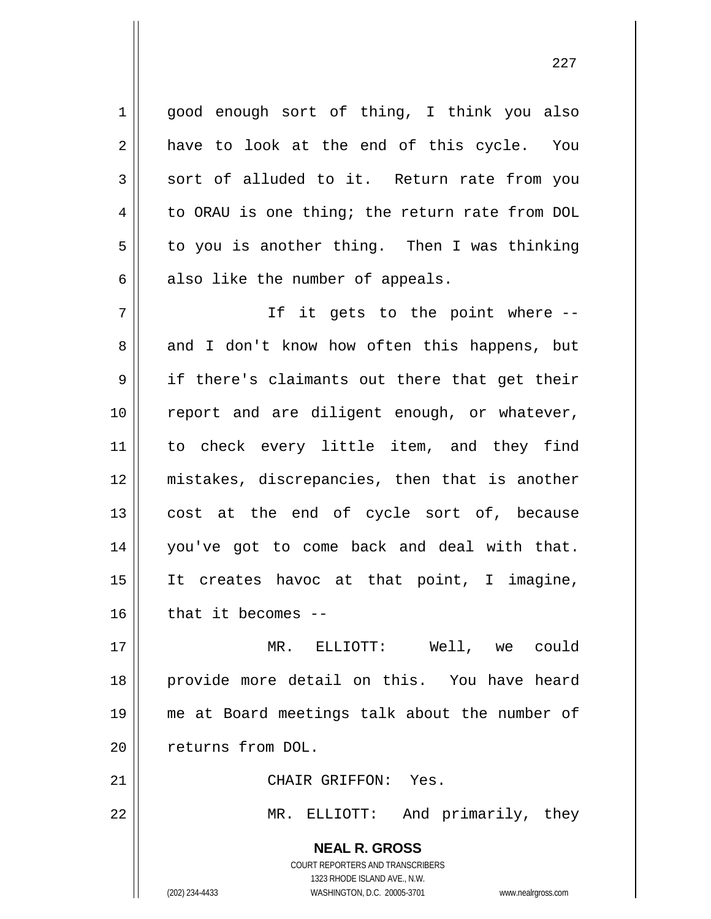1 || good enough sort of thing, I think you also  $2 \parallel$  have to look at the end of this cycle. You  $3 \parallel$  sort of alluded to it. Return rate from you  $4 \parallel$  to ORAU is one thing; the return rate from DOL  $5 \parallel$  to you is another thing. Then I was thinking  $6 \parallel$  also like the number of appeals.

7 || Tf it gets to the point where --8 and I don't know how often this happens, but 9 if there's claimants out there that get their 10 || report and are diligent enough, or whatever, 11 || to check every little item, and they find 12 mistakes, discrepancies, then that is another 13 || cost at the end of cycle sort of, because 14 you've got to come back and deal with that. 15 It creates havoc at that point, I imagine,  $16$  || that it becomes --

 MR. ELLIOTT: Well, we could provide more detail on this. You have heard me at Board meetings talk about the number of 20 || returns from DOL.

21 | CHAIR GRIFFON: Yes.

22 MR. ELLIOTT: And primarily, they

**NEAL R. GROSS** COURT REPORTERS AND TRANSCRIBERS 1323 RHODE ISLAND AVE., N.W. (202) 234-4433 WASHINGTON, D.C. 20005-3701 www.nealrgross.com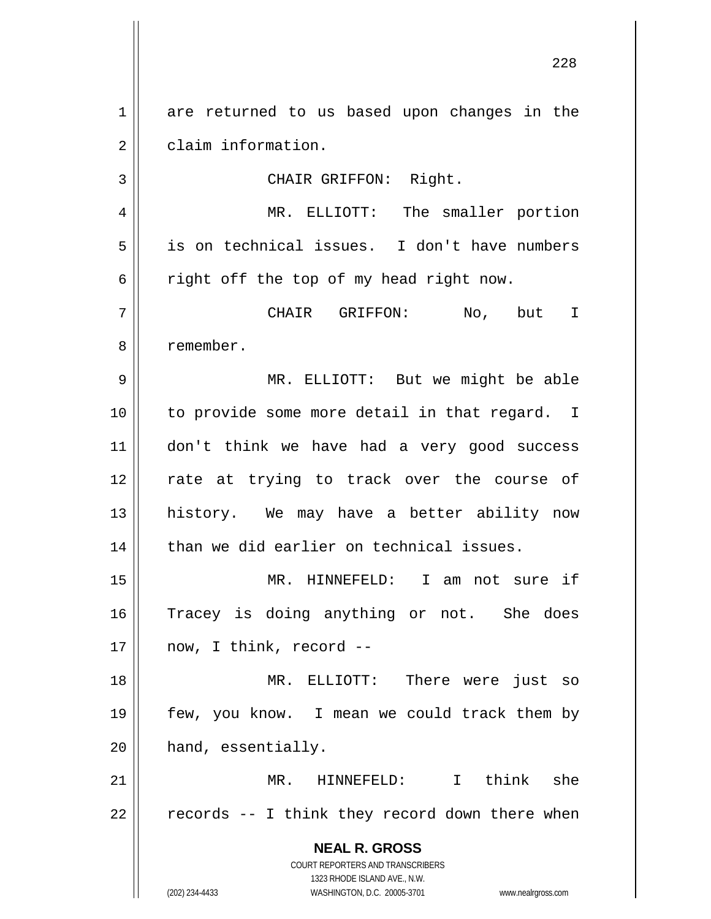1 are returned to us based upon changes in the 2 claim information. 3 || CHAIR GRIFFON: Right. 4 MR. ELLIOTT: The smaller portion

5 is on technical issues. I don't have numbers  $6 \parallel$  right off the top of my head right now.

7 CHAIR GRIFFON: No, but I 8 l remember.

 MR. ELLIOTT: But we might be able to provide some more detail in that regard. I don't think we have had a very good success 12 || rate at trying to track over the course of history. We may have a better ability now | than we did earlier on technical issues.

15 MR. HINNEFELD: I am not sure if 16 Tracey is doing anything or not. She does  $17$  || now, I think, record --

18 MR. ELLIOTT: There were just so 19 few, you know. I mean we could track them by 20 | hand, essentially.

21 MR. HINNEFELD: I think she  $22 \parallel$  records -- I think they record down there when

> **NEAL R. GROSS** COURT REPORTERS AND TRANSCRIBERS 1323 RHODE ISLAND AVE., N.W. (202) 234-4433 WASHINGTON, D.C. 20005-3701 www.nealrgross.com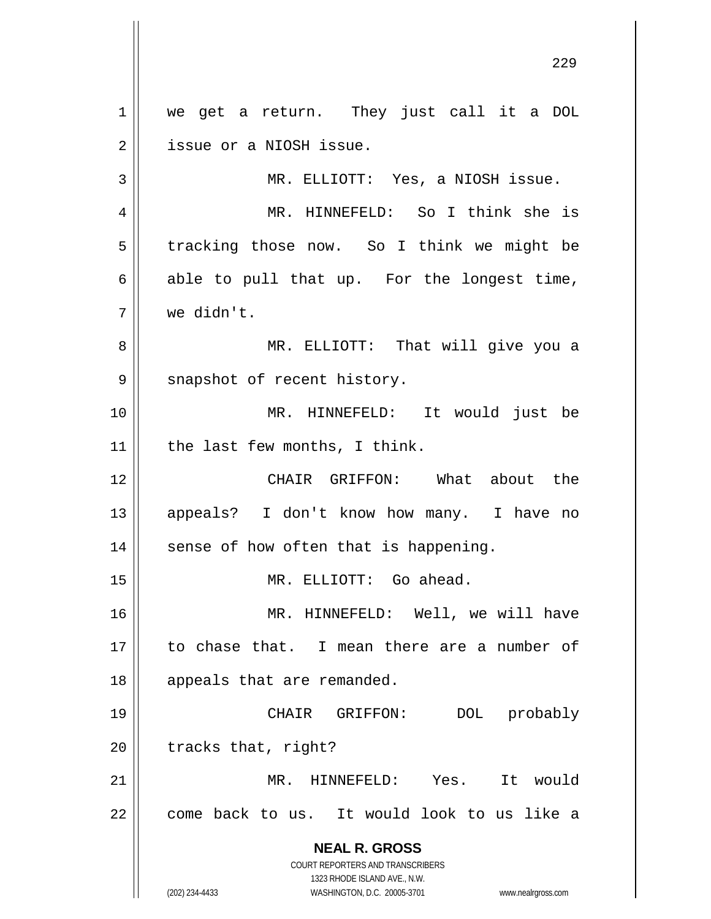**NEAL R. GROSS** COURT REPORTERS AND TRANSCRIBERS 1323 RHODE ISLAND AVE., N.W. (202) 234-4433 WASHINGTON, D.C. 20005-3701 www.nealrgross.com 1 | we get a return. They just call it a DOL 2 || issue or a NIOSH issue. 3 MR. ELLIOTT: Yes, a NIOSH issue. 4 MR. HINNEFELD: So I think she is  $5 \parallel$  tracking those now. So I think we might be  $6 \parallel$  able to pull that up. For the longest time, 7 we didn't. 8 MR. ELLIOTT: That will give you a 9 || snapshot of recent history. 10 MR. HINNEFELD: It would just be 11 | the last few months, I think. 12 || CHAIR GRIFFON: What about the 13 appeals? I don't know how many. I have no  $14$  | sense of how often that is happening. 15 || MR. ELLIOTT: Go ahead. 16 MR. HINNEFELD: Well, we will have 17 to chase that. I mean there are a number of 18 || appeals that are remanded. 19 CHAIR GRIFFON: DOL probably  $20$  | tracks that, right? 21 MR. HINNEFELD: Yes. It would  $22$  | come back to us. It would look to us like a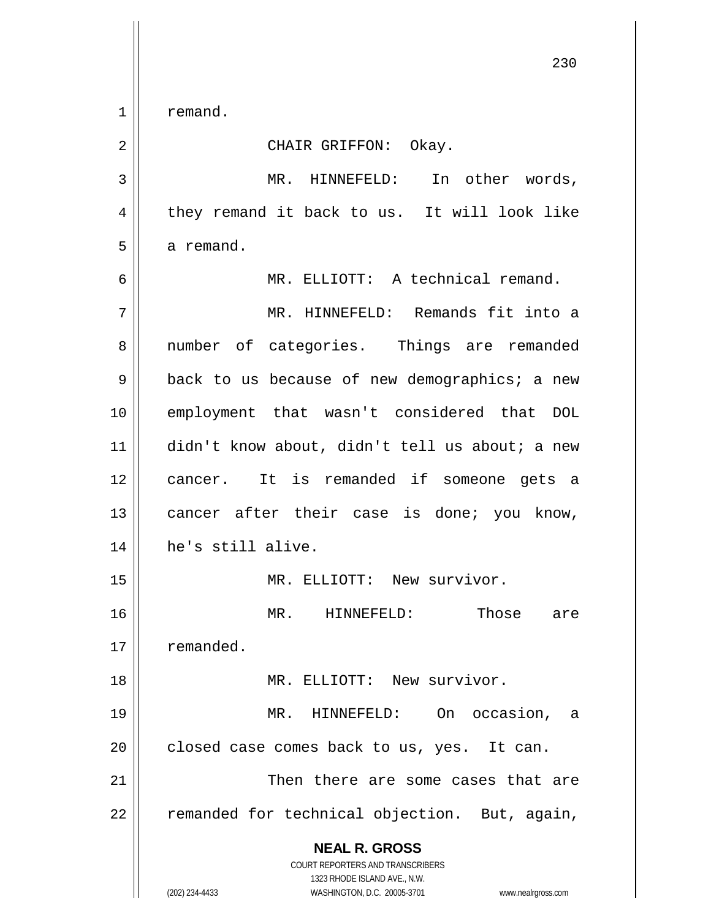1 remand.

## 2 CHAIR GRIFFON: Okay.

3 MR. HINNEFELD: In other words,  $4 \parallel$  they remand it back to us. It will look like  $5 \parallel$  a remand. 6 MR. ELLIOTT: A technical remand.

 MR. HINNEFELD: Remands fit into a 8 || number of categories. Things are remanded  $9 \parallel$  back to us because of new demographics; a new employment that wasn't considered that DOL didn't know about, didn't tell us about; a new cancer. It is remanded if someone gets a 13 || cancer after their case is done; you know, he's still alive.

15 || MR. ELLIOTT: New survivor. MR. HINNEFELD: Those are 17 | remanded. MR. ELLIOTT: New survivor. MR. HINNEFELD: On occasion, a | closed case comes back to us, yes. It can.

21 Then there are some cases that are  $22$  | remanded for technical objection. But, again,

> **NEAL R. GROSS** COURT REPORTERS AND TRANSCRIBERS

1323 RHODE ISLAND AVE., N.W. (202) 234-4433 WASHINGTON, D.C. 20005-3701 www.nealrgross.com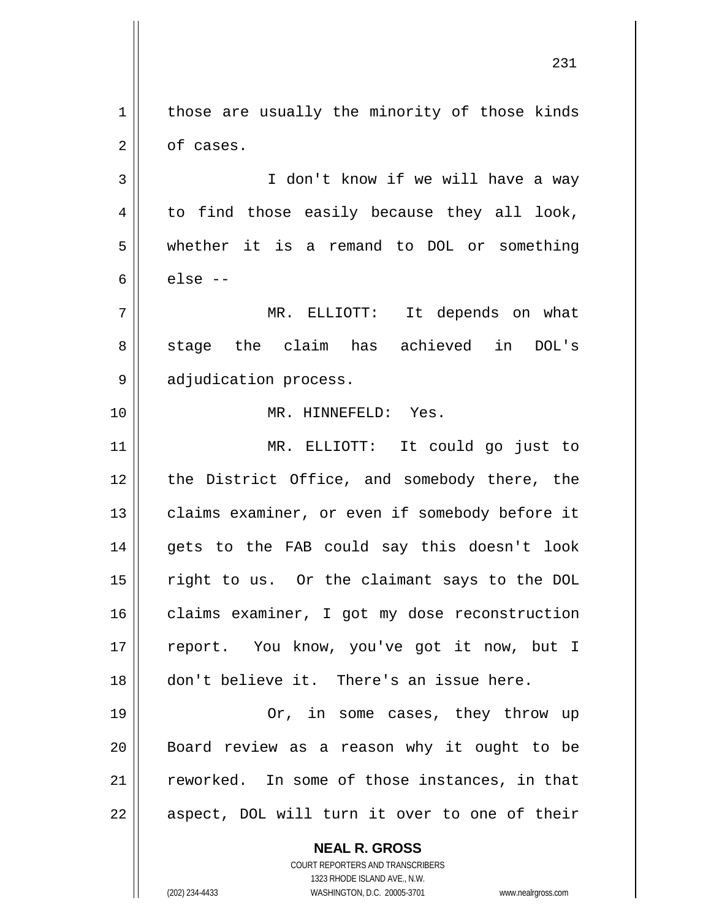**NEAL R. GROSS**  $1 \parallel$  those are usually the minority of those kinds 2 | of cases. 3 || I don't know if we will have a way  $4 \parallel$  to find those easily because they all look, 5 whether it is a remand to DOL or something  $6 \parallel$  else --7 MR. ELLIOTT: It depends on what 8 stage the claim has achieved in DOL's 9 || adjudication process. 10 MR. HINNEFELD: Yes. 11 MR. ELLIOTT: It could go just to 12 || the District Office, and somebody there, the 13 | claims examiner, or even if somebody before it 14 || gets to the FAB could say this doesn't look 15 right to us. Or the claimant says to the DOL 16 | claims examiner, I got my dose reconstruction 17 || report. You know, you've got it now, but I 18 don't believe it. There's an issue here. 19 || Or, in some cases, they throw up 20 Board review as a reason why it ought to be 21 || reworked. In some of those instances, in that  $22$  || aspect, DOL will turn it over to one of their

> COURT REPORTERS AND TRANSCRIBERS 1323 RHODE ISLAND AVE., N.W.

(202) 234-4433 WASHINGTON, D.C. 20005-3701 www.nealrgross.com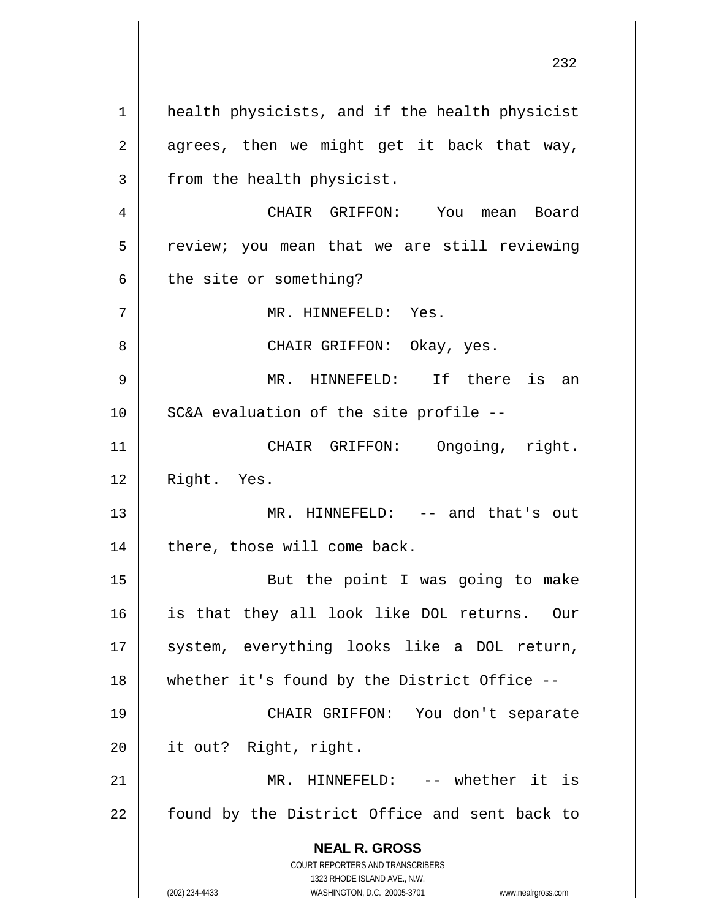**NEAL R. GROSS** COURT REPORTERS AND TRANSCRIBERS 1323 RHODE ISLAND AVE., N.W. (202) 234-4433 WASHINGTON, D.C. 20005-3701 www.nealrgross.com 1 || health physicists, and if the health physicist  $2 \parallel$  agrees, then we might get it back that way,  $3$  || from the health physicist. 4 CHAIR GRIFFON: You mean Board 5 || review; you mean that we are still reviewing  $6 \parallel$  the site or something? 7 MR. HINNEFELD: Yes. 8 CHAIR GRIFFON: Okay, yes. 9 MR. HINNEFELD: If there is an  $10$  | SC&A evaluation of the site profile --11 || CHAIR GRIFFON: Ongoing, right. 12 | Right. Yes. 13 || MR. HINNEFELD: -- and that's out  $14$  | there, those will come back. 15 || But the point I was going to make 16 is that they all look like DOL returns. Our 17 || system, everything looks like a DOL return, 18 || whether it's found by the District Office --19 CHAIR GRIFFON: You don't separate 20 it out? Right, right. 21 MR. HINNEFELD: -- whether it is  $22$  | found by the District Office and sent back to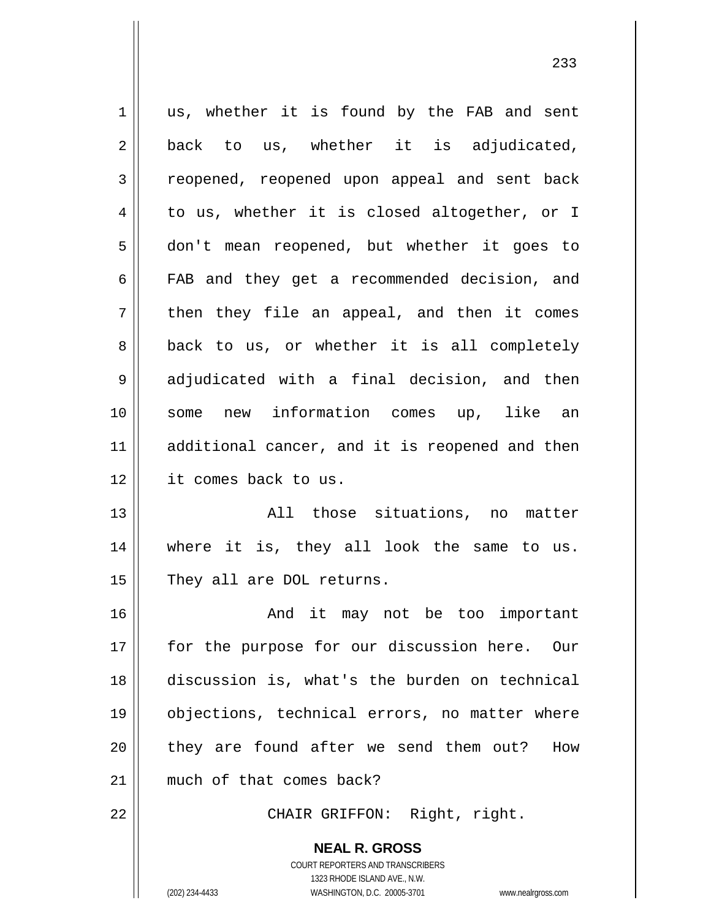1 || us, whether it is found by the FAB and sent  $2 \parallel$  back to us, whether it is adjudicated, 3 || reopened, reopened upon appeal and sent back 4 || to us, whether it is closed altogether, or I 5 don't mean reopened, but whether it goes to 6 || FAB and they get a recommended decision, and  $7 \parallel$  then they file an appeal, and then it comes 8 || back to us, or whether it is all completely 9 adjudicated with a final decision, and then 10 some new information comes up, like an 11 || additional cancer, and it is reopened and then 12 it comes back to us. 13 || Those situations, no matter 14 where it is, they all look the same to us. 15 They all are DOL returns. 16 And it may not be too important 17 || for the purpose for our discussion here. Our 18 discussion is, what's the burden on technical 19 objections, technical errors, no matter where 20 || they are found after we send them out? How 21 || much of that comes back? 22 || CHAIR GRIFFON: Right, right.

> COURT REPORTERS AND TRANSCRIBERS 1323 RHODE ISLAND AVE., N.W. (202) 234-4433 WASHINGTON, D.C. 20005-3701 www.nealrgross.com

**NEAL R. GROSS**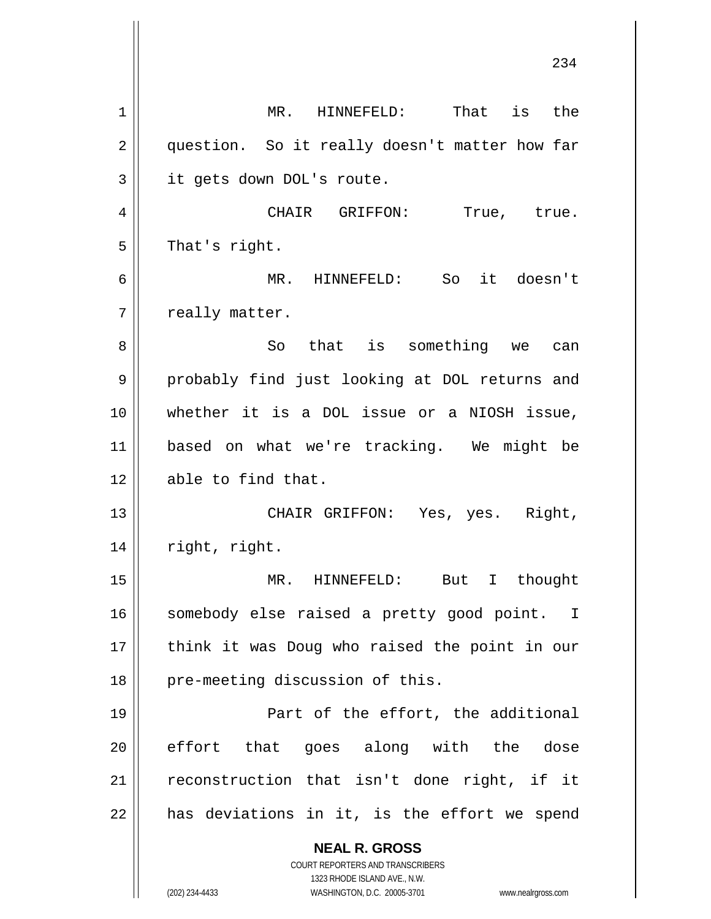**NEAL R. GROSS** COURT REPORTERS AND TRANSCRIBERS 1323 RHODE ISLAND AVE., N.W. (202) 234-4433 WASHINGTON, D.C. 20005-3701 www.nealrgross.com 1 || MR. HINNEFELD: That is the 2 || question. So it really doesn't matter how far 3 | it gets down DOL's route. 4 CHAIR GRIFFON: True, true.  $5 \parallel$  That's right. 6 MR. HINNEFELD: So it doesn't  $7$  | really matter. 8 || So that is something we can 9 probably find just looking at DOL returns and 10 whether it is a DOL issue or a NIOSH issue, 11 based on what we're tracking. We might be 12 || able to find that. 13 CHAIR GRIFFON: Yes, yes. Right, 14 | right, right. 15 MR. HINNEFELD: But I thought 16 || somebody else raised a pretty good point. I 17 || think it was Doug who raised the point in our 18 || pre-meeting discussion of this. 19 Part of the effort, the additional 20 effort that goes along with the dose  $21$  reconstruction that isn't done right, if it  $22$  || has deviations in it, is the effort we spend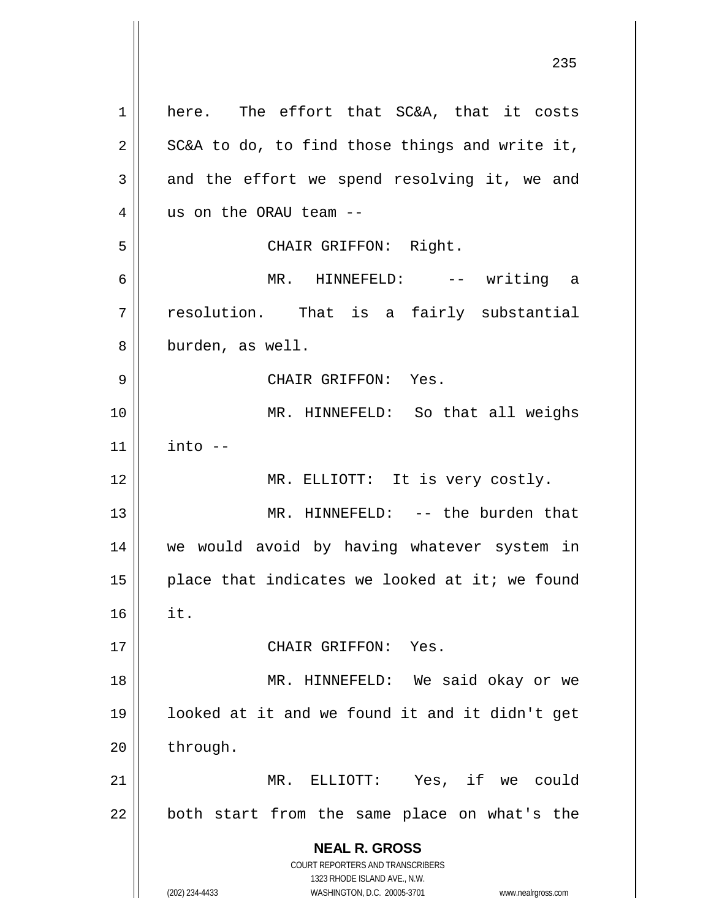**NEAL R. GROSS** COURT REPORTERS AND TRANSCRIBERS 1323 RHODE ISLAND AVE., N.W. (202) 234-4433 WASHINGTON, D.C. 20005-3701 www.nealrgross.com 1 here. The effort that SC&A, that it costs  $2 \parallel$  SC&A to do, to find those things and write it,  $3 \parallel$  and the effort we spend resolving it, we and 4 || us on the ORAU team --5 || CHAIR GRIFFON: Right. 6 MR. HINNEFELD: -- writing a  $7 \parallel$  resolution. That is a fairly substantial 8 || burden, as well. 9 CHAIR GRIFFON: Yes. 10 MR. HINNEFELD: So that all weighs  $11$   $\parallel$  into  $-$ 12 || MR. ELLIOTT: It is very costly. 13 || MR. HINNEFELD: -- the burden that 14 || we would avoid by having whatever system in 15  $\parallel$  place that indicates we looked at it; we found  $16$  || it. 17 || CHAIR GRIFFON: Yes. 18 MR. HINNEFELD: We said okay or we 19 looked at it and we found it and it didn't get 20 through. 21 MR. ELLIOTT: Yes, if we could  $22$  || both start from the same place on what's the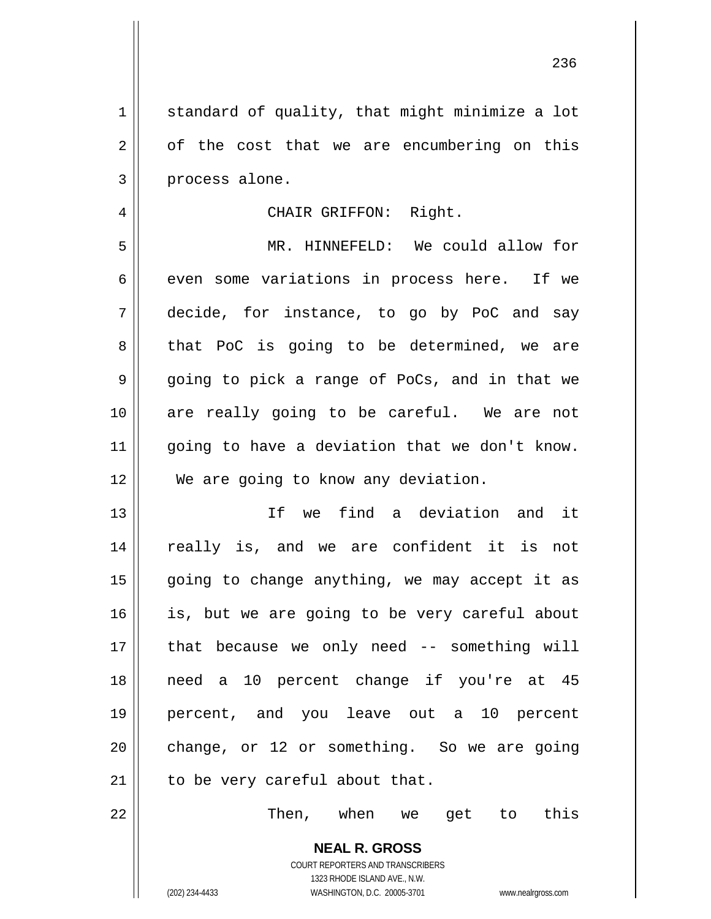1 || standard of quality, that might minimize a lot  $2 \parallel$  of the cost that we are encumbering on this 3 || process alone.

## 4 || CHAIR GRIFFON: Right.

5 MR. HINNEFELD: We could allow for  $6 \parallel$  even some variations in process here. If we 7 decide, for instance, to go by PoC and say  $8 \parallel$  that PoC is going to be determined, we are  $9 \parallel$  going to pick a range of PoCs, and in that we 10 || are really going to be careful. We are not 11 || going to have a deviation that we don't know. 12 We are going to know any deviation.

 If we find a deviation and it 14 || really is, and we are confident it is not || going to change anything, we may accept it as 16 || is, but we are going to be very careful about || that because we only need  $-$  something will need a 10 percent change if you're at 45 percent, and you leave out a 10 percent change, or 12 or something. So we are going | to be very careful about that.

22 Then, when we get to this

**NEAL R. GROSS** COURT REPORTERS AND TRANSCRIBERS 1323 RHODE ISLAND AVE., N.W.

(202) 234-4433 WASHINGTON, D.C. 20005-3701 www.nealrgross.com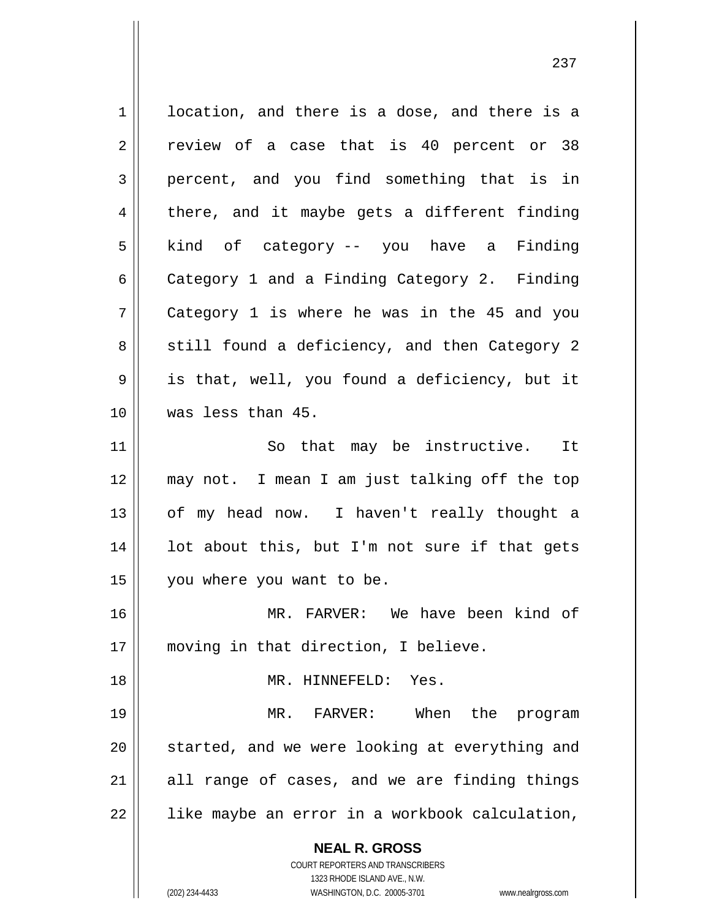**NEAL R. GROSS** COURT REPORTERS AND TRANSCRIBERS 1 | location, and there is a dose, and there is a  $2 \parallel$  review of a case that is 40 percent or 38  $3 \parallel$  percent, and you find something that is in  $4 \parallel$  there, and it maybe gets a different finding  $5 \parallel$  kind of category -- you have a Finding 6 Category 1 and a Finding Category 2. Finding  $7 \parallel$  Category 1 is where he was in the 45 and you 8 || still found a deficiency, and then Category 2  $9 \parallel$  is that, well, you found a deficiency, but it 10 was less than 45. 11 || So that may be instructive. It 12 may not. I mean I am just talking off the top 13 || of my head now. I haven't really thought a  $14$  || lot about this, but I'm not sure if that gets 15 | you where you want to be. 16 MR. FARVER: We have been kind of 17 || moving in that direction, I believe. 18 MR. HINNEFELD: Yes. 19 MR. FARVER: When the program 20 || started, and we were looking at everything and  $21$  all range of cases, and we are finding things  $22$  | like maybe an error in a workbook calculation,

237

1323 RHODE ISLAND AVE., N.W. (202) 234-4433 WASHINGTON, D.C. 20005-3701 www.nealrgross.com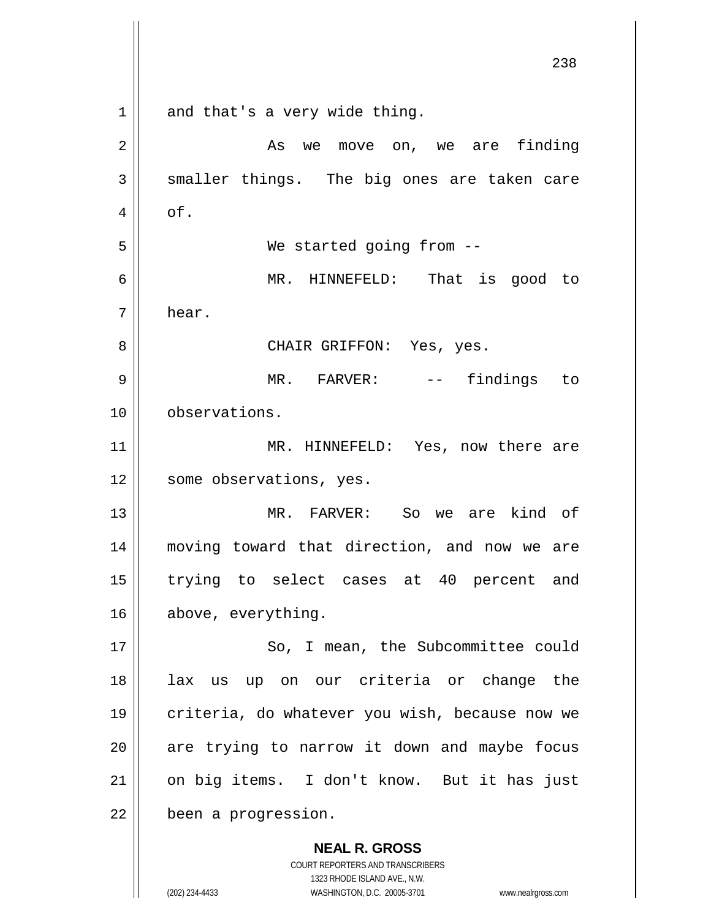**NEAL R. GROSS** COURT REPORTERS AND TRANSCRIBERS 238  $1 \parallel$  and that's a very wide thing. 2 As we move on, we are finding  $3 \parallel$  smaller things. The big ones are taken care  $4 \parallel$  of. 5 We started going from -- 6 MR. HINNEFELD: That is good to 7 hear. 8 CHAIR GRIFFON: Yes, yes. 9 MR. FARVER: -- findings to 10 observations. 11 || MR. HINNEFELD: Yes, now there are 12 || some observations, yes. 13 MR. FARVER: So we are kind of 14 moving toward that direction, and now we are 15 trying to select cases at 40 percent and 16 above, everything. 17 || So, I mean, the Subcommittee could 18 lax us up on our criteria or change the 19 || criteria, do whatever you wish, because now we  $20$  || are trying to narrow it down and maybe focus 21 || on big items. I don't know. But it has just 22 | been a progression.

1323 RHODE ISLAND AVE., N.W.

(202) 234-4433 WASHINGTON, D.C. 20005-3701 www.nealrgross.com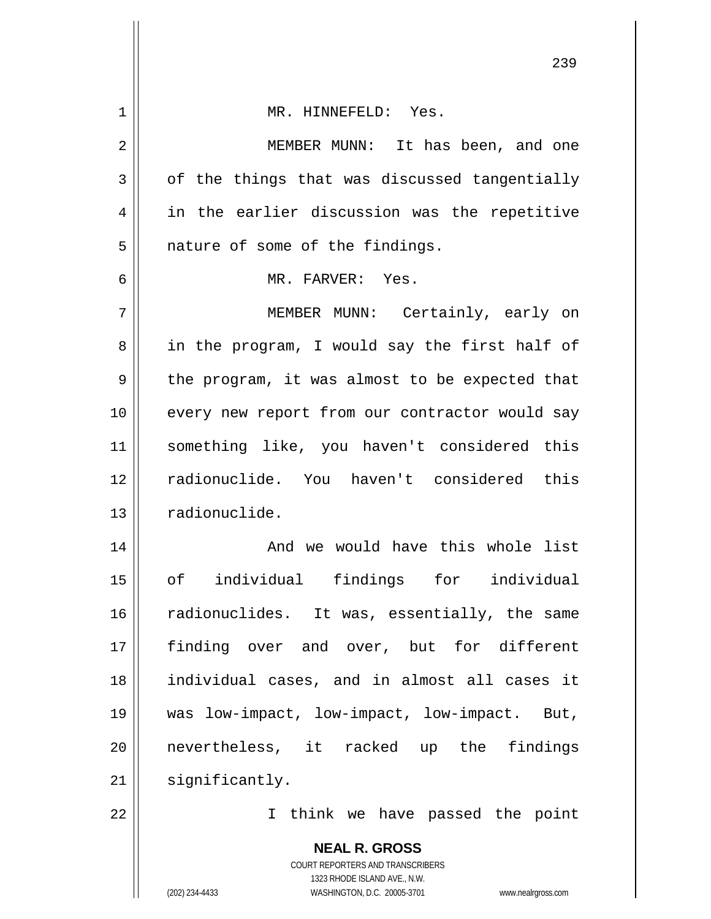| $\mathbf 1$ | MR. HINNEFELD: Yes.                                                                                 |
|-------------|-----------------------------------------------------------------------------------------------------|
| 2           | MEMBER MUNN: It has been, and one                                                                   |
| 3           | of the things that was discussed tangentially                                                       |
| 4           | in the earlier discussion was the repetitive                                                        |
| 5           | nature of some of the findings.                                                                     |
| 6           | MR. FARVER: Yes.                                                                                    |
| 7           | MEMBER MUNN: Certainly, early on                                                                    |
| 8           | in the program, I would say the first half of                                                       |
| 9           | the program, it was almost to be expected that                                                      |
| 10          | every new report from our contractor would say                                                      |
| 11          | something like, you haven't considered this                                                         |
| 12          | radionuclide. You haven't considered this                                                           |
| 13          | radionuclide.                                                                                       |
| 14          | And we would have this whole list                                                                   |
| 15          | of individual findings for individual                                                               |
| 16          | radionuclides. It was, essentially, the same                                                        |
| 17          | finding over and over, but for different                                                            |
| 18          | individual cases, and in almost all cases it                                                        |
| 19          | was low-impact, low-impact, low-impact. But,                                                        |
| 20          | nevertheless, it racked up the findings                                                             |
| 21          | significantly.                                                                                      |
| 22          | I think we have passed the point                                                                    |
|             | <b>NEAL R. GROSS</b>                                                                                |
|             | COURT REPORTERS AND TRANSCRIBERS                                                                    |
|             | 1323 RHODE ISLAND AVE., N.W.<br>(202) 234-4433<br>WASHINGTON, D.C. 20005-3701<br>www.nealrgross.com |
|             |                                                                                                     |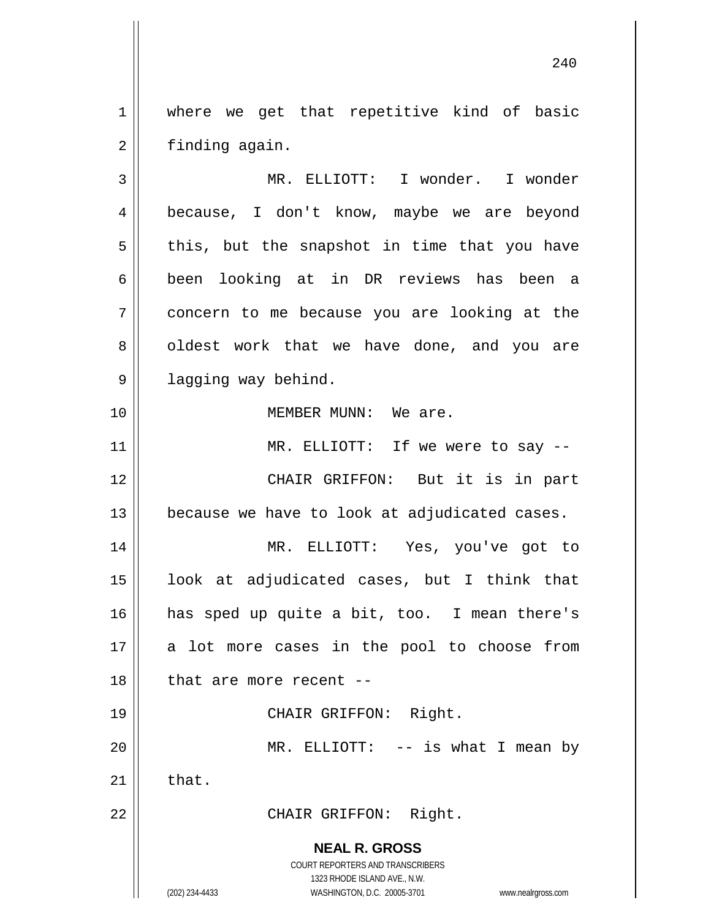1 || where we get that repetitive kind of basic 2 | finding again.

**NEAL R. GROSS** COURT REPORTERS AND TRANSCRIBERS 3 MR. ELLIOTT: I wonder. I wonder 4 because, I don't know, maybe we are beyond  $5 \parallel$  this, but the snapshot in time that you have 6 been looking at in DR reviews has been a 7 concern to me because you are looking at the 8 || oldest work that we have done, and you are 9 | lagging way behind. 10 MEMBER MUNN: We are. 11 || MR. ELLIOTT: If we were to say --12 CHAIR GRIFFON: But it is in part  $13$  | because we have to look at adjudicated cases. 14 MR. ELLIOTT: Yes, you've got to 15 look at adjudicated cases, but I think that 16 has sped up quite a bit, too. I mean there's  $17$  a lot more cases in the pool to choose from  $18$  | that are more recent  $-$ 19 || CHAIR GRIFFON: Right. 20 || MR. ELLIOTT: -- is what I mean by  $21$   $\parallel$  that. 22 || CHAIR GRIFFON: Right.

1323 RHODE ISLAND AVE., N.W.

(202) 234-4433 WASHINGTON, D.C. 20005-3701 www.nealrgross.com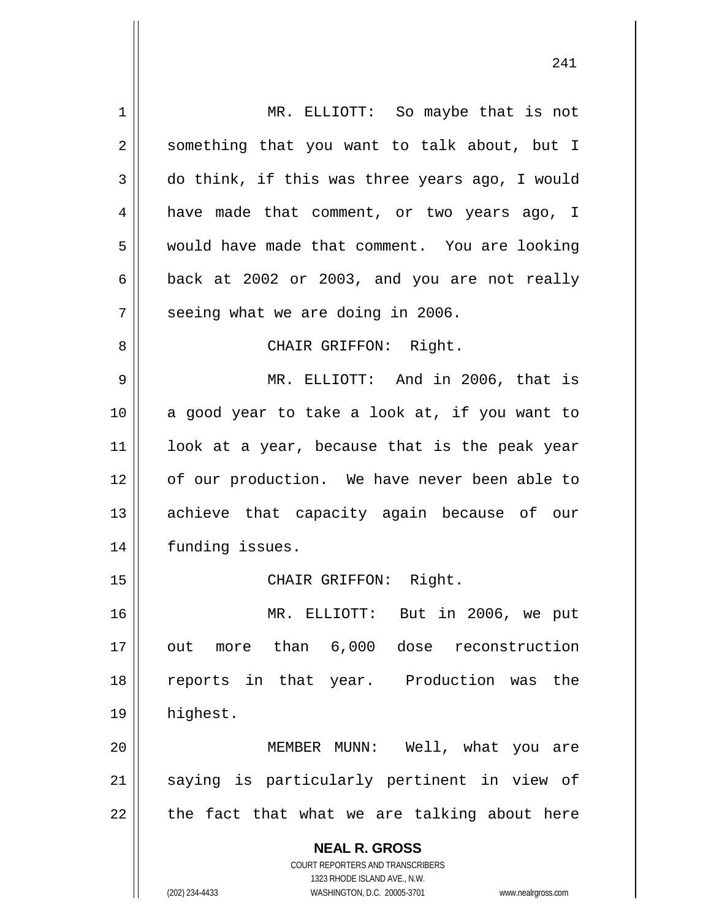| 1  | MR. ELLIOTT: So maybe that is not                                   |
|----|---------------------------------------------------------------------|
| 2  | something that you want to talk about, but I                        |
| 3  | do think, if this was three years ago, I would                      |
| 4  | have made that comment, or two years ago, I                         |
| 5  | would have made that comment. You are looking                       |
| 6  | back at 2002 or 2003, and you are not really                        |
| 7  | seeing what we are doing in 2006.                                   |
| 8  | CHAIR GRIFFON: Right.                                               |
| 9  | MR. ELLIOTT: And in 2006, that is                                   |
| 10 | a good year to take a look at, if you want to                       |
| 11 | look at a year, because that is the peak year                       |
| 12 | of our production. We have never been able to                       |
| 13 | achieve that capacity again because of our                          |
| 14 | funding issues.                                                     |
| 15 | CHAIR GRIFFON: Right.                                               |
| 16 | MR. ELLIOTT:<br>But in 2006, we put                                 |
| 17 | out more than 6,000 dose reconstruction                             |
| 18 | reports in that year. Production was<br>the                         |
| 19 | highest.                                                            |
| 20 | MEMBER MUNN: Well, what you are                                     |
| 21 | saying is particularly pertinent in view of                         |
| 22 | the fact that what we are talking about here                        |
|    | <b>NEAL R. GROSS</b>                                                |
|    | <b>COURT REPORTERS AND TRANSCRIBERS</b>                             |
|    | 1323 RHODE ISLAND AVE., N.W.                                        |
|    | (202) 234-4433<br>WASHINGTON, D.C. 20005-3701<br>www.nealrgross.com |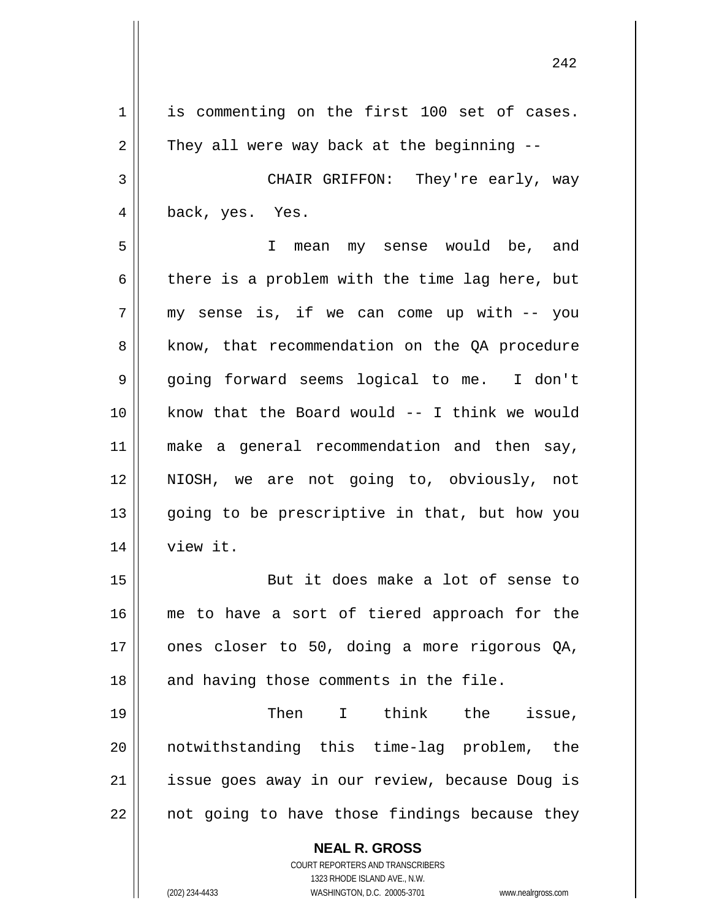**NEAL R. GROSS** COURT REPORTERS AND TRANSCRIBERS 1323 RHODE ISLAND AVE., N.W. (202) 234-4433 WASHINGTON, D.C. 20005-3701 www.nealrgross.com 1 || is commenting on the first 100 set of cases.  $2 \parallel$  They all were way back at the beginning --3 CHAIR GRIFFON: They're early, way 4 || back, yes. Yes. 5 I mean my sense would be, and  $6 \parallel$  there is a problem with the time lag here, but  $7 \parallel$  my sense is, if we can come up with -- you 8 || know, that recommendation on the QA procedure 9 going forward seems logical to me. I don't 10 know that the Board would -- I think we would 11 || make a general recommendation and then say, 12 || NIOSH, we are not going to, obviously, not 13 || going to be prescriptive in that, but how you 14 || view it. 15 || But it does make a lot of sense to 16 || me to have a sort of tiered approach for the  $17$  | ones closer to 50, doing a more rigorous QA, 18 || and having those comments in the file. 19 Then I think the issue, 20 notwithstanding this time-lag problem, the 21 || issue goes away in our review, because Doug is  $22$  | not going to have those findings because they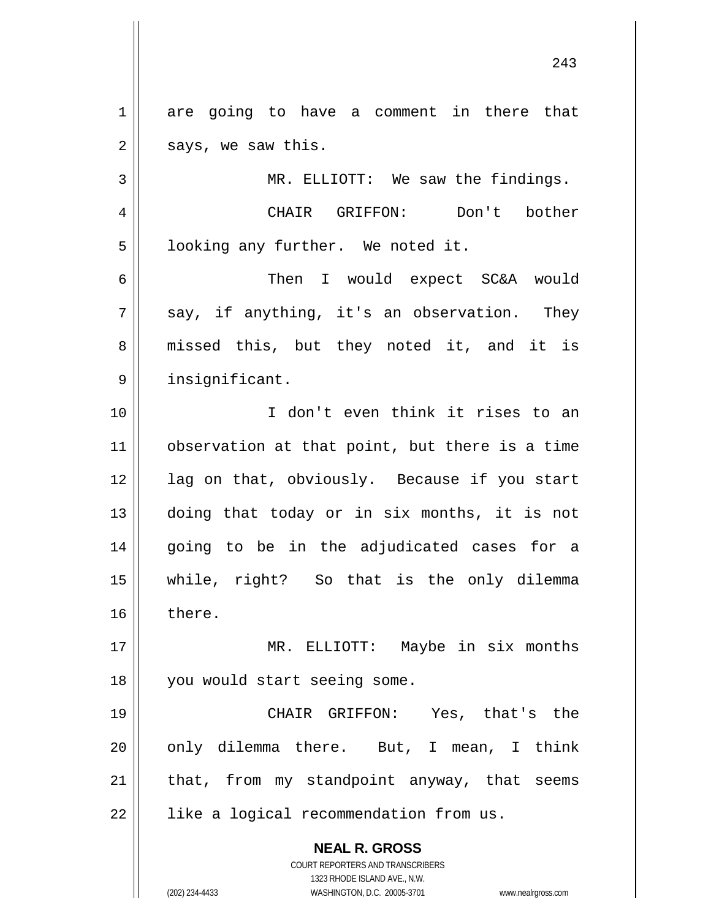1 || are going to have a comment in there that  $2 \parallel$  says, we saw this. 3 | MR. ELLIOTT: We saw the findings.

4 CHAIR GRIFFON: Don't bother  $5 \parallel$  looking any further. We noted it.

6 Then I would expect SC&A would  $7 \parallel$  say, if anything, it's an observation. They 8 || missed this, but they noted it, and it is 9 | insignificant.

 I don't even think it rises to an observation at that point, but there is a time 12 || lag on that, obviously. Because if you start doing that today or in six months, it is not going to be in the adjudicated cases for a while, right? So that is the only dilemma 16 there.

17 MR. ELLIOTT: Maybe in six months 18 || you would start seeing some.

 CHAIR GRIFFON: Yes, that's the || only dilemma there. But, I mean, I think | that, from my standpoint anyway, that seems | like a logical recommendation from us.

> **NEAL R. GROSS** COURT REPORTERS AND TRANSCRIBERS

> > 1323 RHODE ISLAND AVE., N.W.

(202) 234-4433 WASHINGTON, D.C. 20005-3701 www.nealrgross.com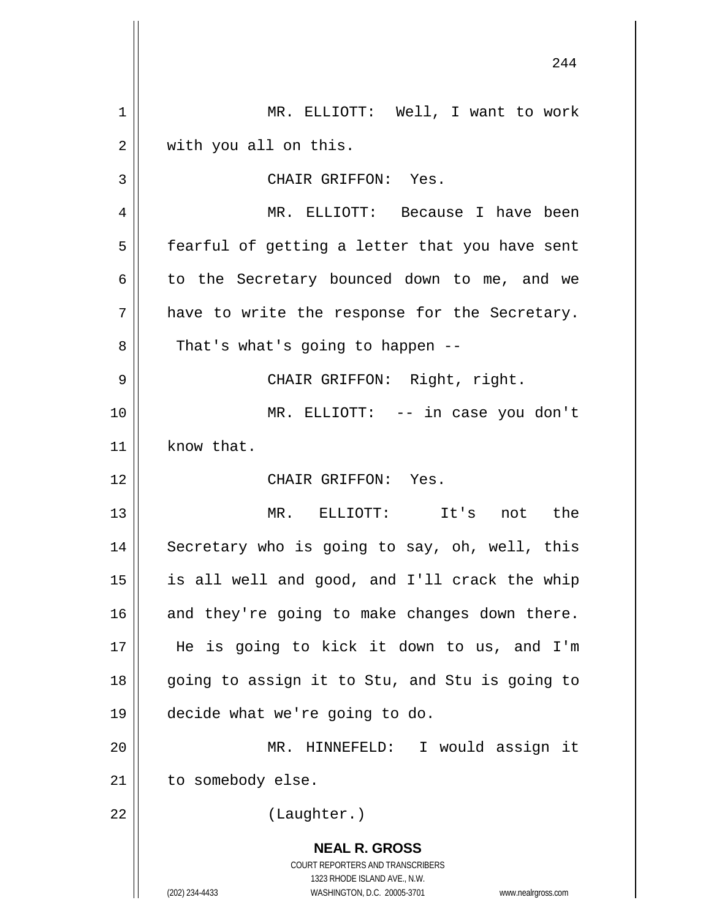|    | 244                                                                 |
|----|---------------------------------------------------------------------|
| 1  | MR. ELLIOTT: Well, I want to work                                   |
| 2  | with you all on this.                                               |
| 3  | CHAIR GRIFFON: Yes.                                                 |
| 4  | MR. ELLIOTT: Because I have been                                    |
| 5  | fearful of getting a letter that you have sent                      |
| 6  | to the Secretary bounced down to me, and we                         |
| 7  | have to write the response for the Secretary.                       |
| 8  | That's what's going to happen --                                    |
| 9  | CHAIR GRIFFON: Right, right.                                        |
| 10 | MR. ELLIOTT: -- in case you don't                                   |
| 11 | know that.                                                          |
| 12 | CHAIR GRIFFON: Yes.                                                 |
| 13 | MR. ELLIOTT: It's not the                                           |
| 14 | Secretary who is going to say, oh, well, this                       |
| 15 | is all well and good, and I'll crack the whip                       |
| 16 | and they're going to make changes down there.                       |
| 17 | He is going to kick it down to us, and I'm                          |
| 18 | going to assign it to Stu, and Stu is going to                      |
| 19 | decide what we're going to do.                                      |
| 20 | MR. HINNEFELD: I would assign it                                    |
| 21 | to somebody else.                                                   |
| 22 | (Laughter.)                                                         |
|    | <b>NEAL R. GROSS</b>                                                |
|    | COURT REPORTERS AND TRANSCRIBERS<br>1323 RHODE ISLAND AVE., N.W.    |
|    | (202) 234-4433<br>WASHINGTON, D.C. 20005-3701<br>www.nealrgross.com |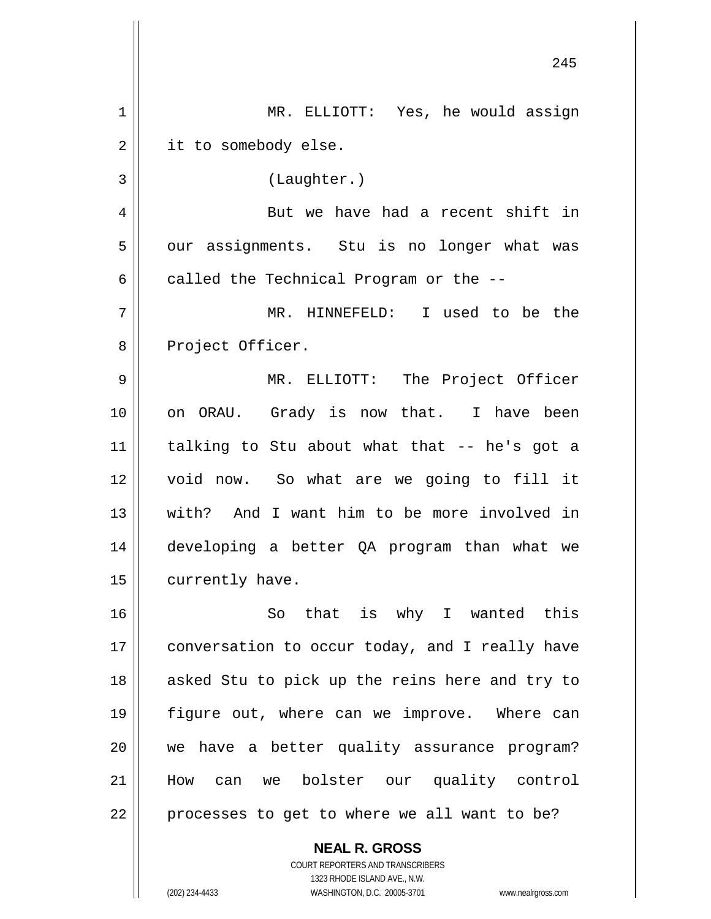|             | 245                                            |
|-------------|------------------------------------------------|
| $\mathbf 1$ | MR. ELLIOTT: Yes, he would assign              |
| 2           | it to somebody else.                           |
| 3           | (Laughter.)                                    |
| 4           | But we have had a recent shift in              |
| 5           | our assignments. Stu is no longer what was     |
| 6           | called the Technical Program or the --         |
| 7           | MR. HINNEFELD: I used to be the                |
| 8           | Project Officer.                               |
| 9           | MR. ELLIOTT: The Project Officer               |
| 10          | on ORAU. Grady is now that. I have been        |
| 11          | talking to Stu about what that -- he's got a   |
| 12          | void now. So what are we going to fill it      |
| 13          | with? And I want him to be more involved in    |
| 14          | developing a better QA program than what we    |
| 15          | currently have.                                |
| 16          | So that is why I wanted this                   |
| 17          | conversation to occur today, and I really have |
| 18          | asked Stu to pick up the reins here and try to |
| 19          | figure out, where can we improve. Where can    |
| 20          | we have a better quality assurance program?    |
| 21          | How can we bolster our quality control         |
| 22          | processes to get to where we all want to be?   |
|             | <b>NEAL R. GROSS</b>                           |

COURT REPORTERS AND TRANSCRIBERS 1323 RHODE ISLAND AVE., N.W.

 $\mathsf{II}$ 

 $\mathsf{I}$ 

(202) 234-4433 WASHINGTON, D.C. 20005-3701 www.nealrgross.com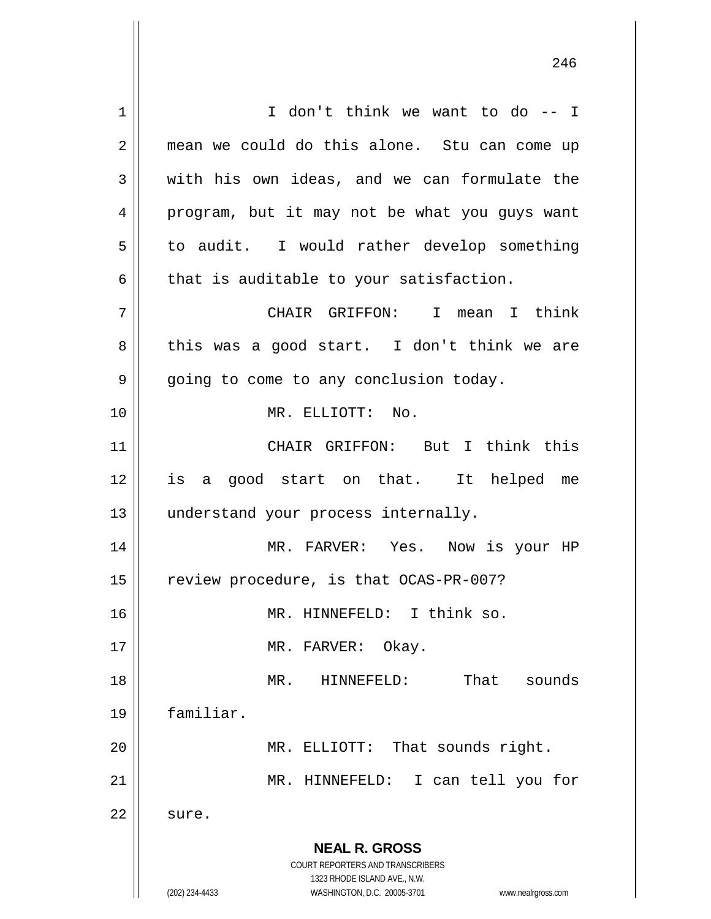**NEAL R. GROSS** COURT REPORTERS AND TRANSCRIBERS 1323 RHODE ISLAND AVE., N.W. (202) 234-4433 WASHINGTON, D.C. 20005-3701 www.nealrgross.com 1 || I don't think we want to do -- I 2 mean we could do this alone. Stu can come up  $3 \parallel$  with his own ideas, and we can formulate the 4 || program, but it may not be what you guys want  $5 \parallel$  to audit. I would rather develop something  $6 \parallel$  that is auditable to your satisfaction. 7 CHAIR GRIFFON: I mean I think  $8 \parallel$  this was a good start. I don't think we are 9 | going to come to any conclusion today. 10 MR. ELLIOTT: No. 11 CHAIR GRIFFON: But I think this 12 is a good start on that. It helped me 13 || understand your process internally. 14 MR. FARVER: Yes. Now is your HP 15 | review procedure, is that OCAS-PR-007? 16 || MR. HINNEFELD: I think so. 17 || MR. FARVER: Okay. 18 MR. HINNEFELD: That sounds 19 familiar. 20 || MR. ELLIOTT: That sounds right. 21 MR. HINNEFELD: I can tell you for  $22 \parallel$  sure.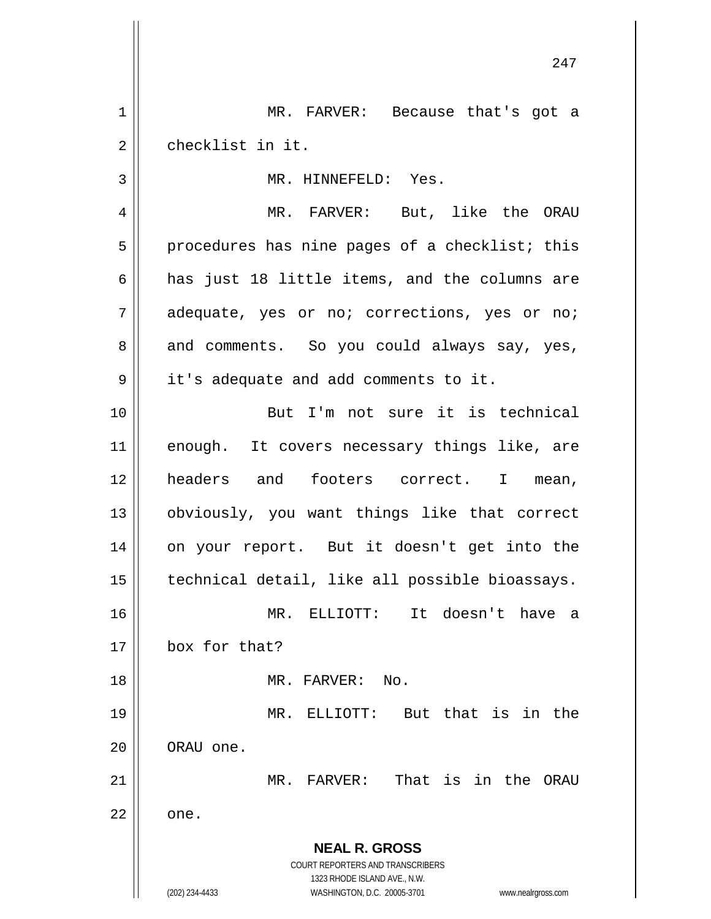**NEAL R. GROSS** COURT REPORTERS AND TRANSCRIBERS 1323 RHODE ISLAND AVE., N.W. (202) 234-4433 WASHINGTON, D.C. 20005-3701 www.nealrgross.com 1 || MR. FARVER: Because that's got a 2 ll checklist in it. 3 || MR. HINNEFELD: Yes. 4 || MR. FARVER: But, like the ORAU  $5 \parallel$  procedures has nine pages of a checklist; this 6  $\parallel$  has just 18 little items, and the columns are 7 adequate, yes or no; corrections, yes or no; 8 and comments. So you could always say, yes, 9 | it's adequate and add comments to it. 10 But I'm not sure it is technical 11 enough. It covers necessary things like, are 12 headers and footers correct. I mean, 13 obviously, you want things like that correct 14 || on your report. But it doesn't get into the 15 | technical detail, like all possible bioassays. 16 MR. ELLIOTT: It doesn't have a 17 box for that? 18 MR. FARVER: No. 19 MR. ELLIOTT: But that is in the 20 **ORAU** one. 21 MR. FARVER: That is in the ORAU  $22 \parallel$  one.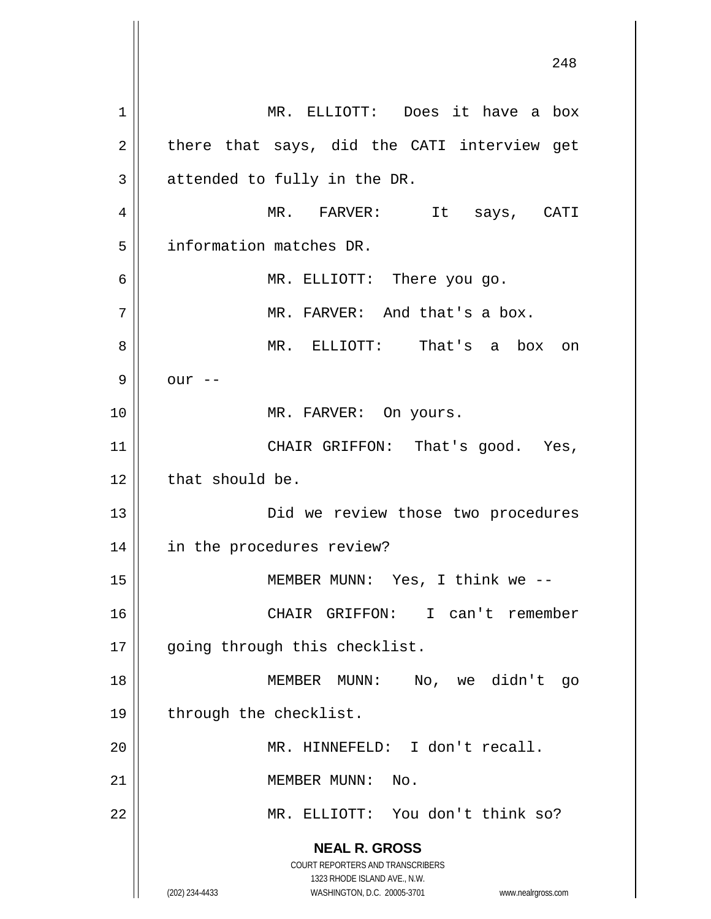**NEAL R. GROSS** COURT REPORTERS AND TRANSCRIBERS 1323 RHODE ISLAND AVE., N.W. (202) 234-4433 WASHINGTON, D.C. 20005-3701 www.nealrgross.com 1 MR. ELLIOTT: Does it have a box  $2 \parallel$  there that says, did the CATI interview get  $3 \parallel$  attended to fully in the DR. 4 MR. FARVER: It says, CATI 5 | information matches DR. 6 MR. ELLIOTT: There you go. 7 || MR. FARVER: And that's a box. 8 MR. ELLIOTT: That's a box on  $9 \parallel$  our  $-$ 10 || MR. FARVER: On yours. 11 || CHAIR GRIFFON: That's good. Yes,  $12$  | that should be. 13 Did we review those two procedures 14 in the procedures review? 15 MEMBER MUNN: Yes, I think we -- 16 CHAIR GRIFFON: I can't remember 17 || going through this checklist. 18 MEMBER MUNN: No, we didn't go 19 || through the checklist. 20 MR. HINNEFELD: I don't recall. 21 | MEMBER MUNN: No. 22 MR. ELLIOTT: You don't think so?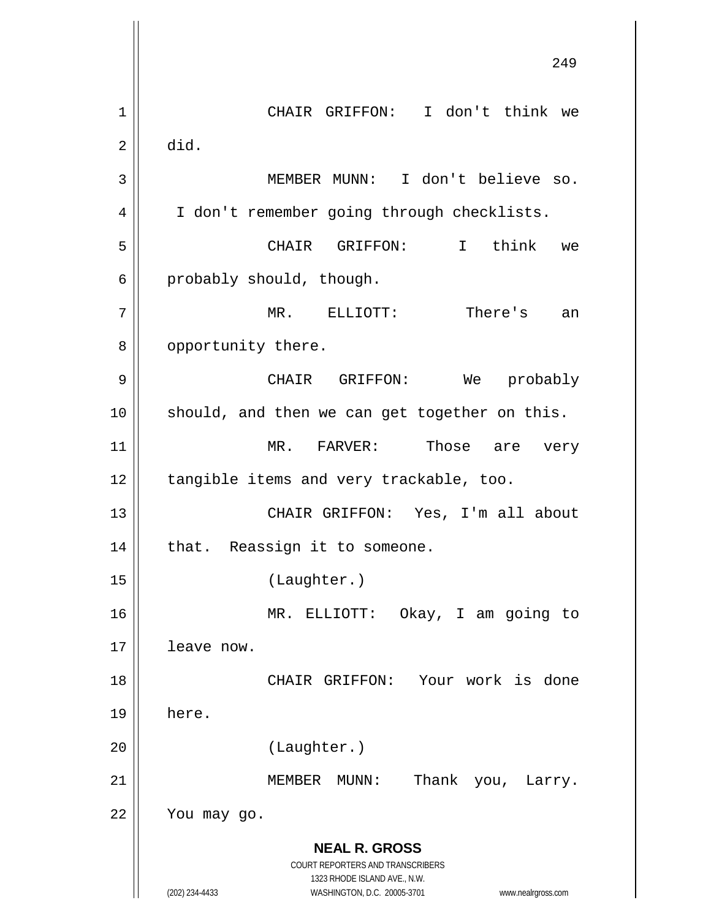**NEAL R. GROSS** COURT REPORTERS AND TRANSCRIBERS 1323 RHODE ISLAND AVE., N.W. (202) 234-4433 WASHINGTON, D.C. 20005-3701 www.nealrgross.com 249 1 CHAIR GRIFFON: I don't think we  $2 \parallel$  did. 3 MEMBER MUNN: I don't believe so. 4 | I don't remember going through checklists. 5 CHAIR GRIFFON: I think we  $6 \parallel$  probably should, though. 7 MR. ELLIOTT: There's an 8 | opportunity there. 9 CHAIR GRIFFON: We probably 10 || should, and then we can get together on this. 11 MR. FARVER: Those are very 12 | tangible items and very trackable, too. 13 CHAIR GRIFFON: Yes, I'm all about  $14$  | that. Reassign it to someone. 15 (Laughter.) 16 MR. ELLIOTT: Okay, I am going to 17 leave now. 18 CHAIR GRIFFON: Your work is done 19 here. 20 (Laughter.) 21 || MEMBER MUNN: Thank you, Larry.  $22$  | You may go.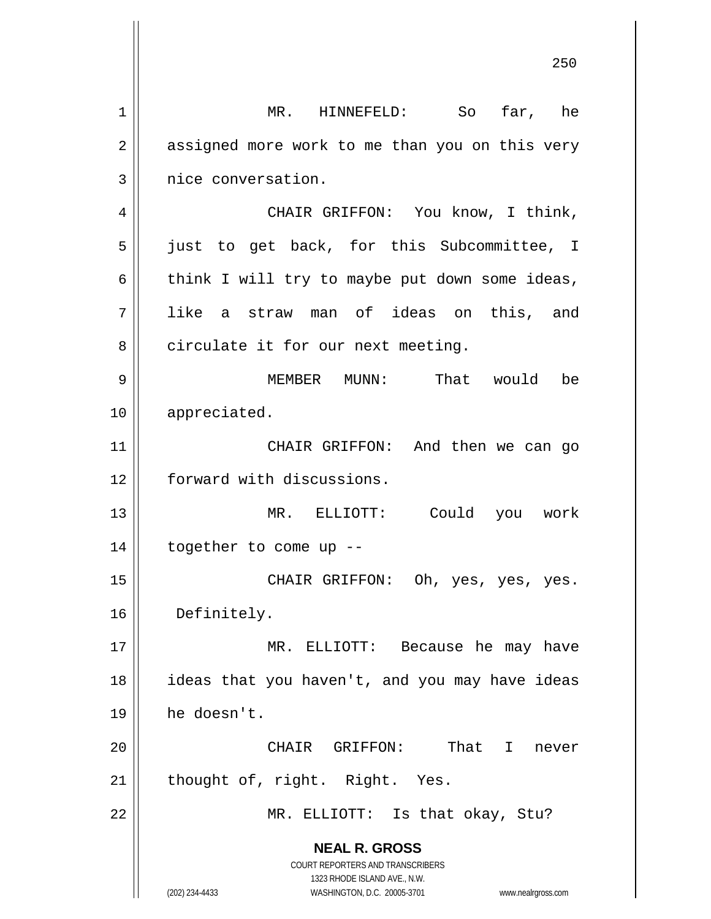**NEAL R. GROSS** COURT REPORTERS AND TRANSCRIBERS 1323 RHODE ISLAND AVE., N.W. (202) 234-4433 WASHINGTON, D.C. 20005-3701 www.nealrgross.com 1 || MR. HINNEFELD: So far, he 2 || assigned more work to me than you on this very 3 | nice conversation. 4 | CHAIR GRIFFON: You know, I think, 5 || just to get back, for this Subcommittee, I 6 | think I will try to maybe put down some ideas, 7 like a straw man of ideas on this, and  $8 \parallel$  circulate it for our next meeting. 9 || MEMBER MUNN: That would be 10 appreciated. 11 || CHAIR GRIFFON: And then we can go 12 | forward with discussions. 13 MR. ELLIOTT: Could you work 14 together to come up -- 15 CHAIR GRIFFON: Oh, yes, yes, yes. 16 Definitely. 17 || MR. ELLIOTT: Because he may have 18 || ideas that you haven't, and you may have ideas 19 he doesn't. 20 CHAIR GRIFFON: That I never  $21$  | thought of, right. Right. Yes. 22 || MR. ELLIOTT: Is that okay, Stu?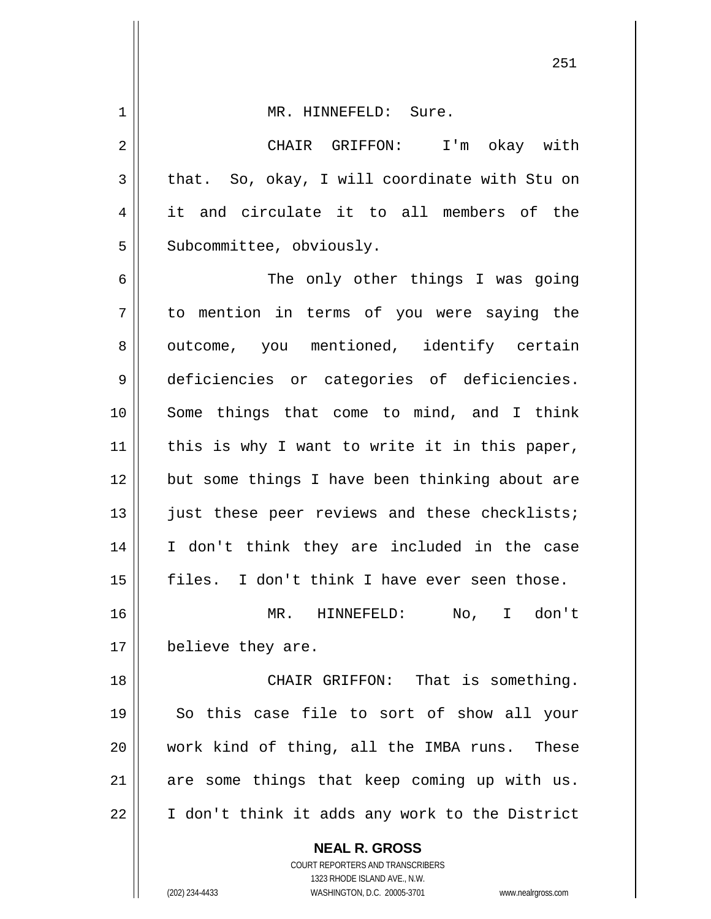**NEAL R. GROSS** 1 | MR. HINNEFELD: Sure. CHAIR GRIFFON: I'm okay with  $3 \parallel$  that. So, okay, I will coordinate with Stu on it and circulate it to all members of the || Subcommittee, obviously. The only other things I was going to mention in terms of you were saying the 8 outcome, you mentioned, identify certain deficiencies or categories of deficiencies. Some things that come to mind, and I think | this is why I want to write it in this paper, 12 but some things I have been thinking about are 13 || just these peer reviews and these checklists; I don't think they are included in the case || files. I don't think I have ever seen those. MR. HINNEFELD: No, I don't 17 | believe they are. 18 || CHAIR GRIFFON: That is something. So this case file to sort of show all your work kind of thing, all the IMBA runs. These are some things that keep coming up with us. 22 | I don't think it adds any work to the District

> COURT REPORTERS AND TRANSCRIBERS 1323 RHODE ISLAND AVE., N.W.

(202) 234-4433 WASHINGTON, D.C. 20005-3701 www.nealrgross.com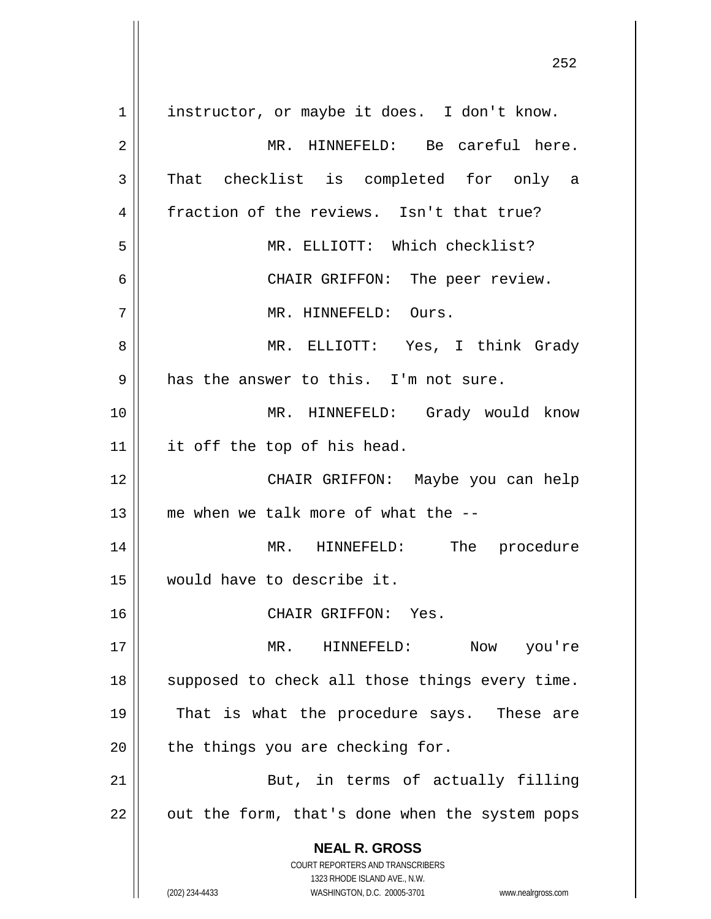**NEAL R. GROSS** COURT REPORTERS AND TRANSCRIBERS 1323 RHODE ISLAND AVE., N.W. (202) 234-4433 WASHINGTON, D.C. 20005-3701 www.nealrgross.com 1 | instructor, or maybe it does. I don't know. 2 MR. HINNEFELD: Be careful here.  $3$  That checklist is completed for only a 4 fraction of the reviews. Isn't that true? 5 MR. ELLIOTT: Which checklist? 6 CHAIR GRIFFON: The peer review. 7 MR. HINNEFELD: Ours. 8 MR. ELLIOTT: Yes, I think Grady  $9 \parallel$  has the answer to this. I'm not sure. 10 MR. HINNEFELD: Grady would know  $11$  | it off the top of his head. 12 CHAIR GRIFFON: Maybe you can help 13  $\parallel$  me when we talk more of what the  $-$ -14 || MR. HINNEFELD: The procedure 15 would have to describe it. 16 || CHAIR GRIFFON: Yes. 17 MR. HINNEFELD: Now you're 18 || supposed to check all those things every time. 19 || That is what the procedure says. These are  $20$  | the things you are checking for. 21 || But, in terms of actually filling  $22$  | out the form, that's done when the system pops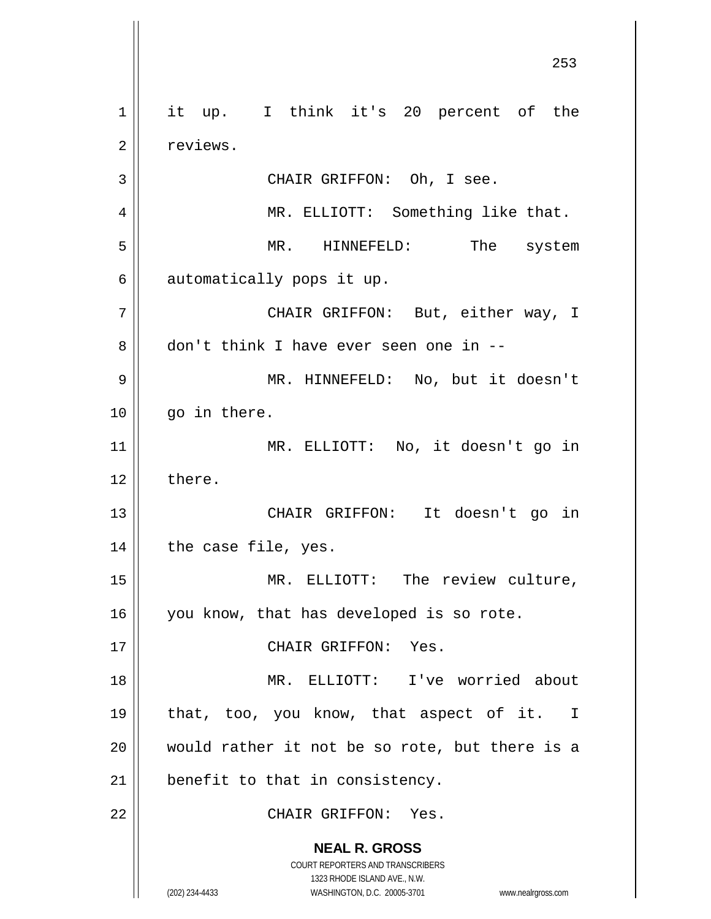**NEAL R. GROSS** COURT REPORTERS AND TRANSCRIBERS 1323 RHODE ISLAND AVE., N.W. (202) 234-4433 WASHINGTON, D.C. 20005-3701 www.nealrgross.com 1 || it up. I think it's 20 percent of the 2 | reviews. 3 || CHAIR GRIFFON: Oh, I see. 4 MR. ELLIOTT: Something like that. 5 MR. HINNEFELD: The system  $6 \parallel$  automatically pops it up. 7 CHAIR GRIFFON: But, either way, I 8 don't think I have ever seen one in --9 MR. HINNEFELD: No, but it doesn't  $10$  | qo in there. 11 MR. ELLIOTT: No, it doesn't go in  $12 \parallel$  there. 13 || CHAIR GRIFFON: It doesn't go in  $14$  | the case file, yes. 15 || MR. ELLIOTT: The review culture, 16 | you know, that has developed is so rote. 17 || CHAIR GRIFFON: Yes. 18 MR. ELLIOTT: I've worried about 19 || that, too, you know, that aspect of it. I 20 would rather it not be so rote, but there is a  $21$  | benefit to that in consistency. 22 CHAIR GRIFFON: Yes.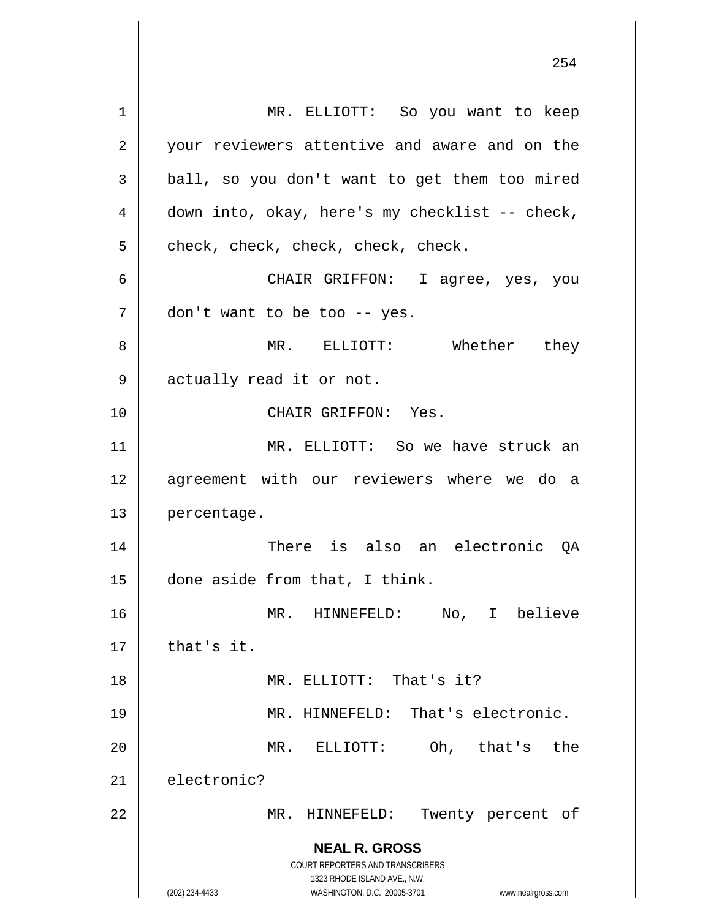**NEAL R. GROSS** COURT REPORTERS AND TRANSCRIBERS 1323 RHODE ISLAND AVE., N.W. (202) 234-4433 WASHINGTON, D.C. 20005-3701 www.nealrgross.com 1 || MR. ELLIOTT: So you want to keep 2 || your reviewers attentive and aware and on the  $3 \parallel$  ball, so you don't want to get them too mired 4 || down into, okay, here's my checklist -- check,  $5 \parallel$  check, check, check, check, check. 6 CHAIR GRIFFON: I agree, yes, you  $7 \parallel$  don't want to be too -- yes. 8 MR. ELLIOTT: Whether they 9 | actually read it or not. 10 CHAIR GRIFFON: Yes. 11 MR. ELLIOTT: So we have struck an 12 agreement with our reviewers where we do a 13 percentage. 14 There is also an electronic QA  $15$  done aside from that, I think. 16 MR. HINNEFELD: No, I believe  $17$   $\parallel$  that's it. 18 MR. ELLIOTT: That's it? 19 MR. HINNEFELD: That's electronic. 20 MR. ELLIOTT: Oh, that's the 21 electronic? 22 || MR. HINNEFELD: Twenty percent of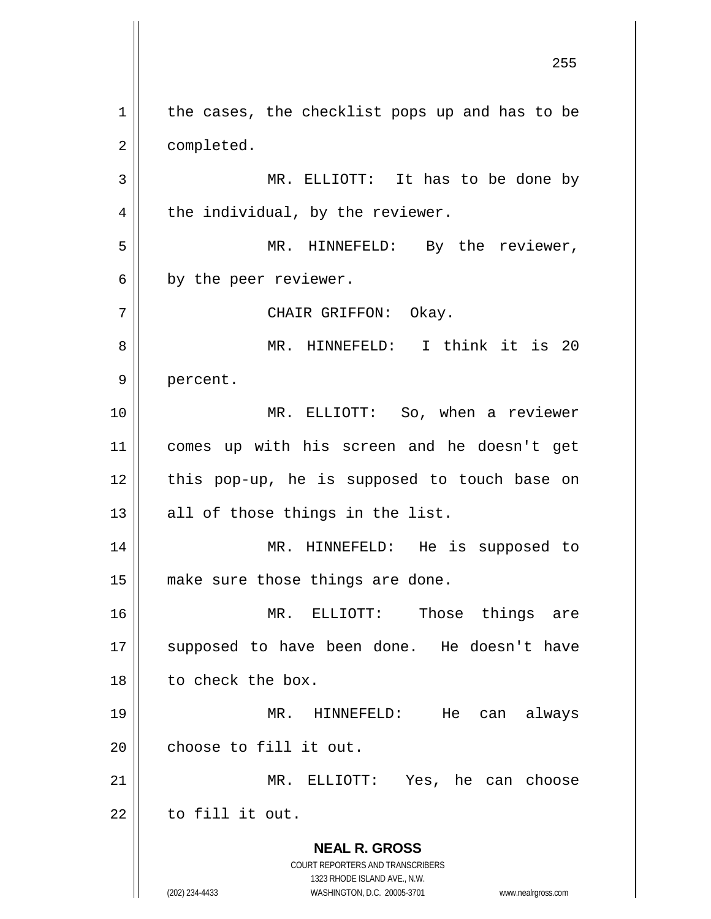**NEAL R. GROSS** COURT REPORTERS AND TRANSCRIBERS 1323 RHODE ISLAND AVE., N.W. (202) 234-4433 WASHINGTON, D.C. 20005-3701 www.nealrgross.com  $1 \parallel$  the cases, the checklist pops up and has to be 2 | completed. 3 || MR. ELLIOTT: It has to be done by  $4 \parallel$  the individual, by the reviewer. 5 || MR. HINNEFELD: By the reviewer,  $6 \parallel$  by the peer reviewer. 7 || CHAIR GRIFFON: Okay. 8 MR. HINNEFELD: I think it is 20 9 || percent. 10 MR. ELLIOTT: So, when a reviewer 11 comes up with his screen and he doesn't get  $12$  | this pop-up, he is supposed to touch base on  $13$  || all of those things in the list. 14 || MR. HINNEFELD: He is supposed to 15 || make sure those things are done. 16 MR. ELLIOTT: Those things are 17 || supposed to have been done. He doesn't have 18 to check the box. 19 MR. HINNEFELD: He can always  $20$  | choose to fill it out. 21 MR. ELLIOTT: Yes, he can choose  $22$   $\parallel$  to fill it out.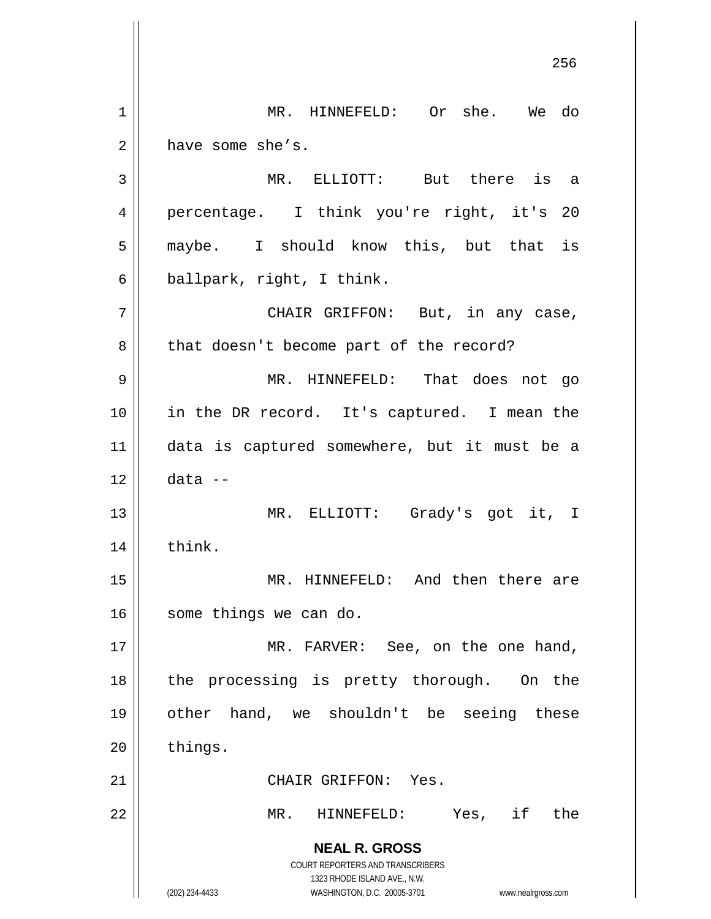**NEAL R. GROSS** COURT REPORTERS AND TRANSCRIBERS 1323 RHODE ISLAND AVE., N.W. (202) 234-4433 WASHINGTON, D.C. 20005-3701 www.nealrgross.com 1 MR. HINNEFELD: Or she. We do  $2 \parallel$  have some she's. 3 MR. ELLIOTT: But there is a 4 percentage. I think you're right, it's 20 5 || maybe. I should know this, but that is  $6 \parallel$  ballpark, right, I think. 7 || CHAIR GRIFFON: But, in any case, 8 | that doesn't become part of the record? 9 MR. HINNEFELD: That does not go 10 in the DR record. It's captured. I mean the 11 data is captured somewhere, but it must be a 12 data -- 13 MR. ELLIOTT: Grady's got it, I 14 || think. 15 MR. HINNEFELD: And then there are 16 | some things we can do. 17 || MR. FARVER: See, on the one hand, 18 || the processing is pretty thorough. On the 19 other hand, we shouldn't be seeing these  $20$  things. 21 | CHAIR GRIFFON: Yes. 22 MR. HINNEFELD: Yes, if the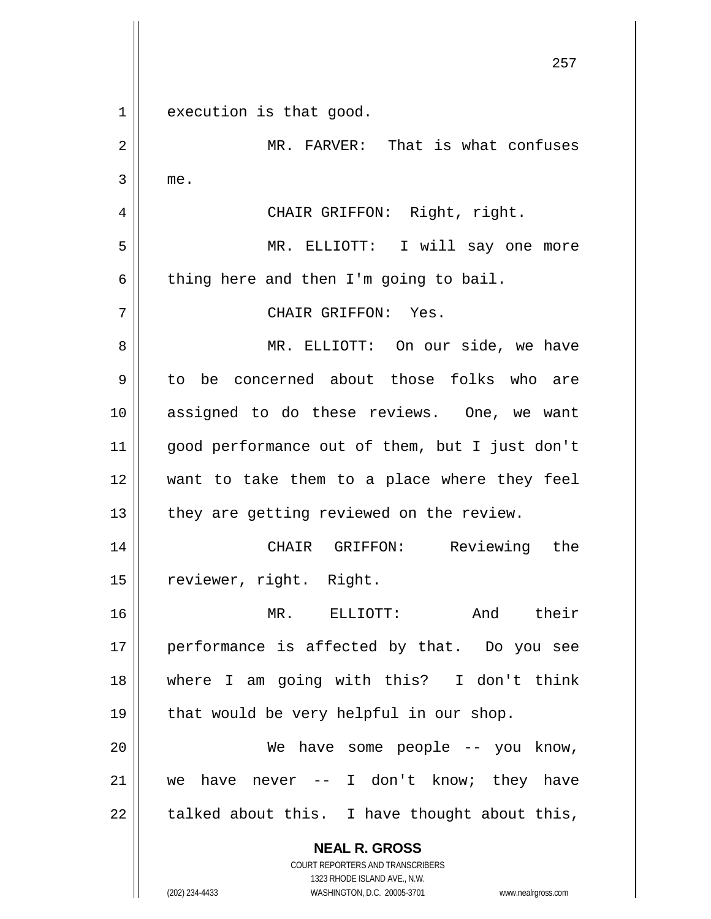**NEAL R. GROSS** COURT REPORTERS AND TRANSCRIBERS 1323 RHODE ISLAND AVE., N.W. 257 1 execution is that good. 2 | MR. FARVER: That is what confuses  $3 \parallel$  me. 4 || CHAIR GRIFFON: Right, right. 5 MR. ELLIOTT: I will say one more  $6 \parallel$  thing here and then I'm going to bail. 7 CHAIR GRIFFON: Yes. 8 MR. ELLIOTT: On our side, we have 9 to be concerned about those folks who are 10 assigned to do these reviews. One, we want 11 good performance out of them, but I just don't 12 want to take them to a place where they feel  $13$  | they are getting reviewed on the review. 14 CHAIR GRIFFON: Reviewing the 15 | reviewer, right. Right. 16 MR. ELLIOTT: And their 17 || performance is affected by that. Do you see 18 where I am going with this? I don't think  $19 \parallel$  that would be very helpful in our shop. 20 || We have some people -- you know, 21 we have never -- I don't know; they have  $22$  | talked about this. I have thought about this,

(202) 234-4433 WASHINGTON, D.C. 20005-3701 www.nealrgross.com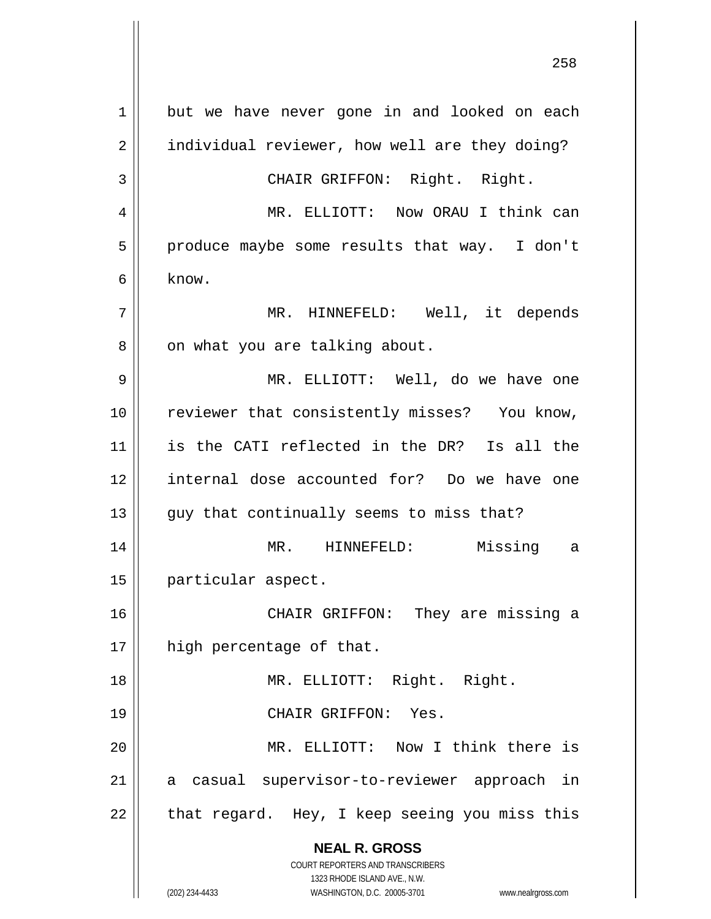**NEAL R. GROSS** COURT REPORTERS AND TRANSCRIBERS 1323 RHODE ISLAND AVE., N.W. (202) 234-4433 WASHINGTON, D.C. 20005-3701 www.nealrgross.com 1 but we have never gone in and looked on each 2 | individual reviewer, how well are they doing? 3 || CHAIR GRIFFON: Right. Right. 4 MR. ELLIOTT: Now ORAU I think can  $5 \parallel$  produce maybe some results that way. I don't  $6 \mid$  know. 7 MR. HINNEFELD: Well, it depends 8 | on what you are talking about. 9 MR. ELLIOTT: Well, do we have one 10 || reviewer that consistently misses? You know, 11 is the CATI reflected in the DR? Is all the 12 internal dose accounted for? Do we have one  $13$  || guy that continually seems to miss that? 14 MR. HINNEFELD: Missing a 15 particular aspect. 16 || CHAIR GRIFFON: They are missing a 17 || high percentage of that. 18 || MR. ELLIOTT: Right. Right. 19 CHAIR GRIFFON: Yes. 20 MR. ELLIOTT: Now I think there is 21 || a casual supervisor-to-reviewer approach in  $22 \parallel$  that regard. Hey, I keep seeing you miss this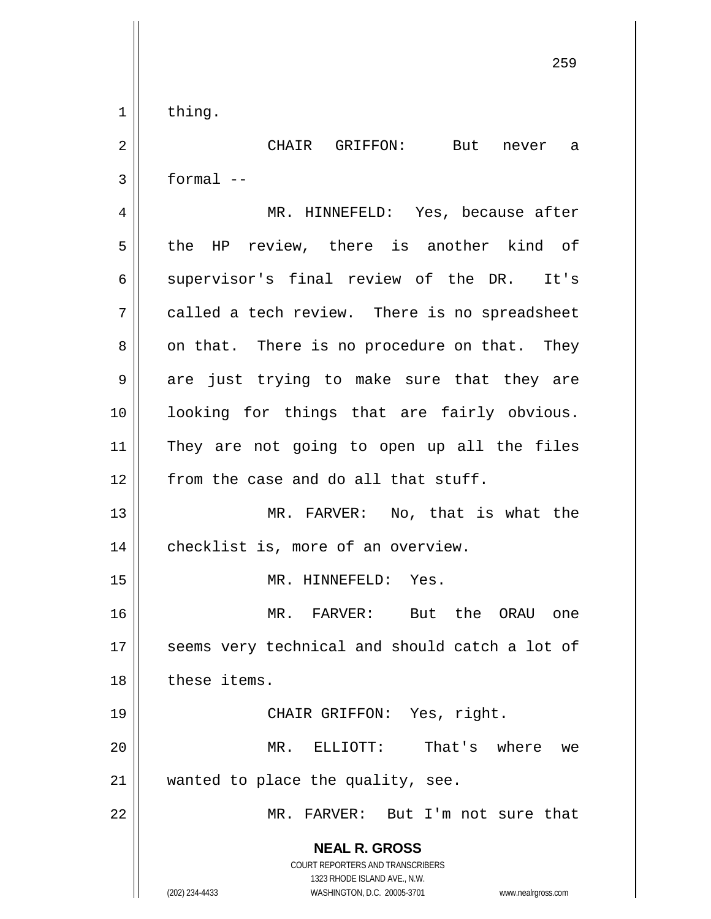$1 \parallel$  thing.

2 CHAIR GRIFFON: But never a  $3 \parallel$  formal --

**NEAL R. GROSS** COURT REPORTERS AND TRANSCRIBERS 1323 RHODE ISLAND AVE., N.W. 4 MR. HINNEFELD: Yes, because after 5 the HP review, there is another kind of  $6 \parallel$  supervisor's final review of the DR. It's  $7 \parallel$  called a tech review. There is no spreadsheet  $8 \parallel$  on that. There is no procedure on that. They 9 are just trying to make sure that they are 10 looking for things that are fairly obvious. 11 They are not going to open up all the files  $12$   $\parallel$  from the case and do all that stuff. 13 || MR. FARVER: No, that is what the 14 | checklist is, more of an overview. 15 || MR. HINNEFELD: Yes. 16 MR. FARVER: But the ORAU one 17 || seems very technical and should catch a lot of 18 | these items. 19 CHAIR GRIFFON: Yes, right. 20 MR. ELLIOTT: That's where we 21 || wanted to place the quality, see. 22 MR. FARVER: But I'm not sure that

(202) 234-4433 WASHINGTON, D.C. 20005-3701 www.nealrgross.com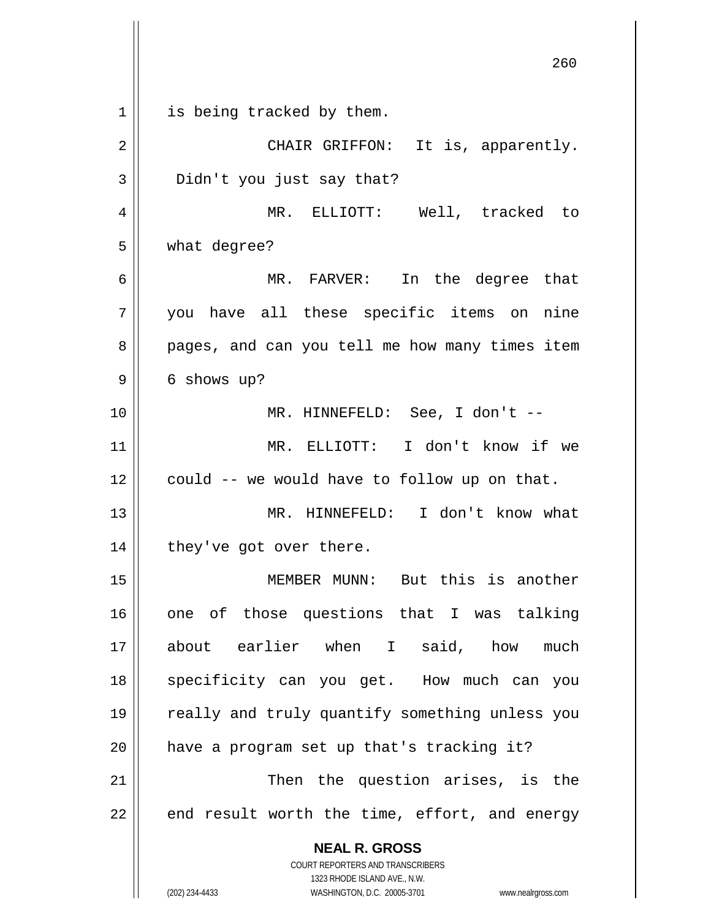**NEAL R. GROSS** COURT REPORTERS AND TRANSCRIBERS 1323 RHODE ISLAND AVE., N.W. (202) 234-4433 WASHINGTON, D.C. 20005-3701 www.nealrgross.com 260 1 || is being tracked by them. 2 || CHAIR GRIFFON: It is, apparently. 3 Didn't you just say that? 4 MR. ELLIOTT: Well, tracked to 5 what degree? 6 MR. FARVER: In the degree that 7 you have all these specific items on nine 8 || pages, and can you tell me how many times item  $9 \parallel 6$  shows up? 10 MR. HINNEFELD: See, I don't -- 11 MR. ELLIOTT: I don't know if we  $12$  | could -- we would have to follow up on that. 13 MR. HINNEFELD: I don't know what 14 || they've got over there. 15 MEMBER MUNN: But this is another 16 one of those questions that I was talking 17 about earlier when I said, how much 18 || specificity can you get. How much can you 19 || really and truly quantify something unless you 20 || have a program set up that's tracking it? 21 || Then the question arises, is the  $22$  || end result worth the time, effort, and energy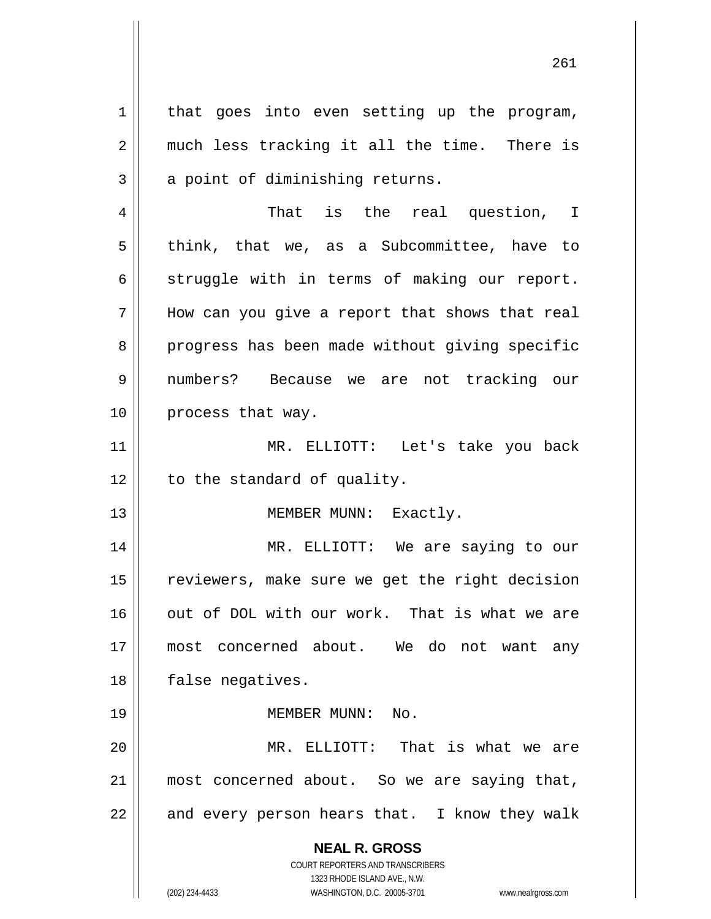1 || that goes into even setting up the program, 2 || much less tracking it all the time. There is  $3 \parallel$  a point of diminishing returns.

4 That is the real question, I  $5 \parallel$  think, that we, as a Subcommittee, have to  $6 \parallel$  struggle with in terms of making our report.  $7$  || How can you give a report that shows that real 8 || progress has been made without giving specific 9 numbers? Because we are not tracking our 10 || process that way.

11 MR. ELLIOTT: Let's take you back  $12$  | to the standard of quality.

13 || MEMBER MUNN: Exactly.

14 MR. ELLIOTT: We are saying to our 15 | reviewers, make sure we get the right decision 16 || out of DOL with our work. That is what we are 17 most concerned about. We do not want any 18 || false negatives.

19 MEMBER MUNN: No.

20 MR. ELLIOTT: That is what we are 21 most concerned about. So we are saying that,  $22$  || and every person hears that. I know they walk

> **NEAL R. GROSS** COURT REPORTERS AND TRANSCRIBERS

> > 1323 RHODE ISLAND AVE., N.W.

(202) 234-4433 WASHINGTON, D.C. 20005-3701 www.nealrgross.com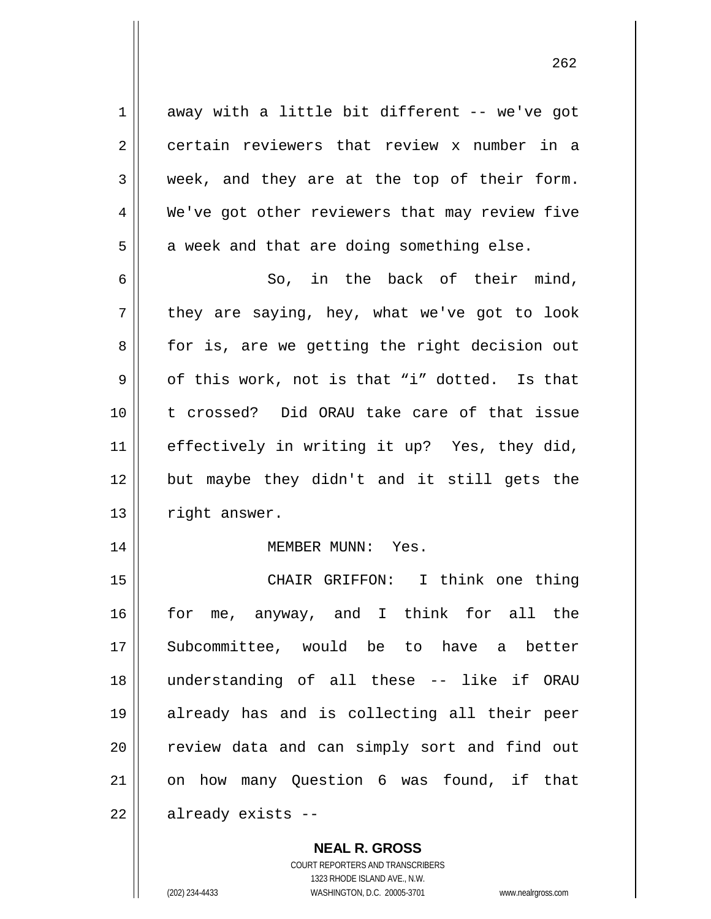$1 \parallel$  away with a little bit different -- we've got 2 certain reviewers that review x number in a  $3 \parallel$  week, and they are at the top of their form. 4 We've got other reviewers that may review five  $5 \parallel$  a week and that are doing something else.

 $6 \parallel$  So, in the back of their mind,  $7 \parallel$  they are saying, hey, what we've got to look 8 || for is, are we getting the right decision out  $9 \parallel$  of this work, not is that "i" dotted. Is that 10 t crossed? Did ORAU take care of that issue 11 effectively in writing it up? Yes, they did, 12 but maybe they didn't and it still gets the 13 | right answer.

## 14 MEMBER MUNN: Yes.

15 || CHAIR GRIFFON: I think one thing 16 for me, anyway, and I think for all the 17 Subcommittee, would be to have a better 18 understanding of all these -- like if ORAU 19 already has and is collecting all their peer 20 || review data and can simply sort and find out 21 || on how many Question 6 was found, if that 22 | already exists --

## **NEAL R. GROSS**

COURT REPORTERS AND TRANSCRIBERS 1323 RHODE ISLAND AVE., N.W. (202) 234-4433 WASHINGTON, D.C. 20005-3701 www.nealrgross.com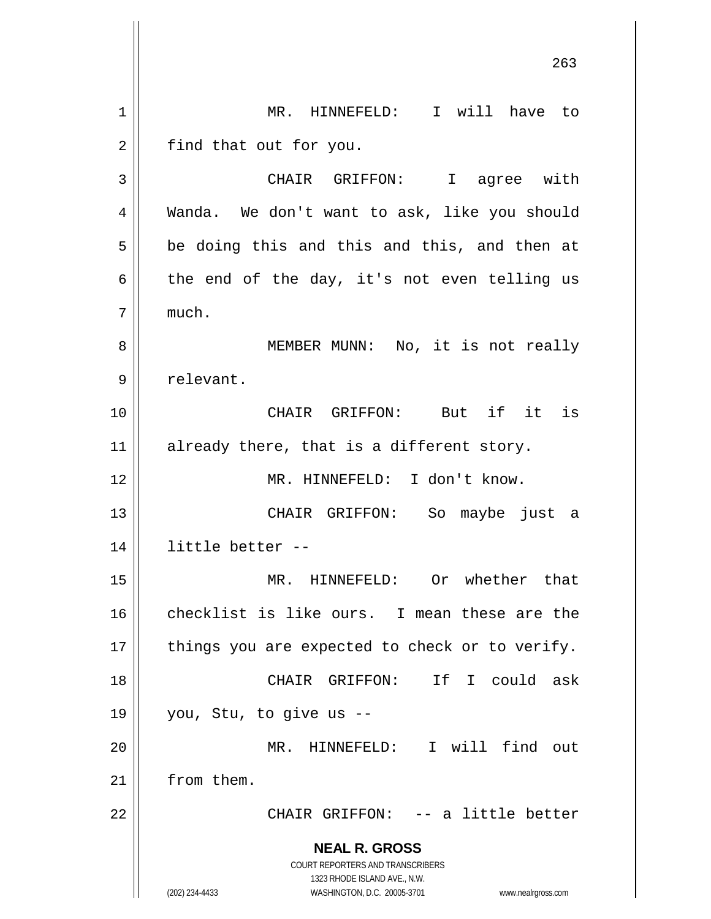**NEAL R. GROSS** COURT REPORTERS AND TRANSCRIBERS 1323 RHODE ISLAND AVE., N.W. (202) 234-4433 WASHINGTON, D.C. 20005-3701 www.nealrgross.com 263 1 MR. HINNEFELD: I will have to  $2 \parallel$  find that out for you. 3 CHAIR GRIFFON: I agree with 4 Wanda. We don't want to ask, like you should  $5 \parallel$  be doing this and this and this, and then at  $6 \parallel$  the end of the day, it's not even telling us 7 much. 8 || MEMBER MUNN: No, it is not really 9 | relevant. 10 CHAIR GRIFFON: But if it is  $11$  already there, that is a different story. 12 MR. HINNEFELD: I don't know. 13 CHAIR GRIFFON: So maybe just a 14 little better -- 15 MR. HINNEFELD: Or whether that 16 checklist is like ours. I mean these are the  $17$  | things you are expected to check or to verify. 18 CHAIR GRIFFON: If I could ask  $19 \parallel$  you, Stu, to give us --20 MR. HINNEFELD: I will find out 21 | from them. 22 || CHAIR GRIFFON: -- a little better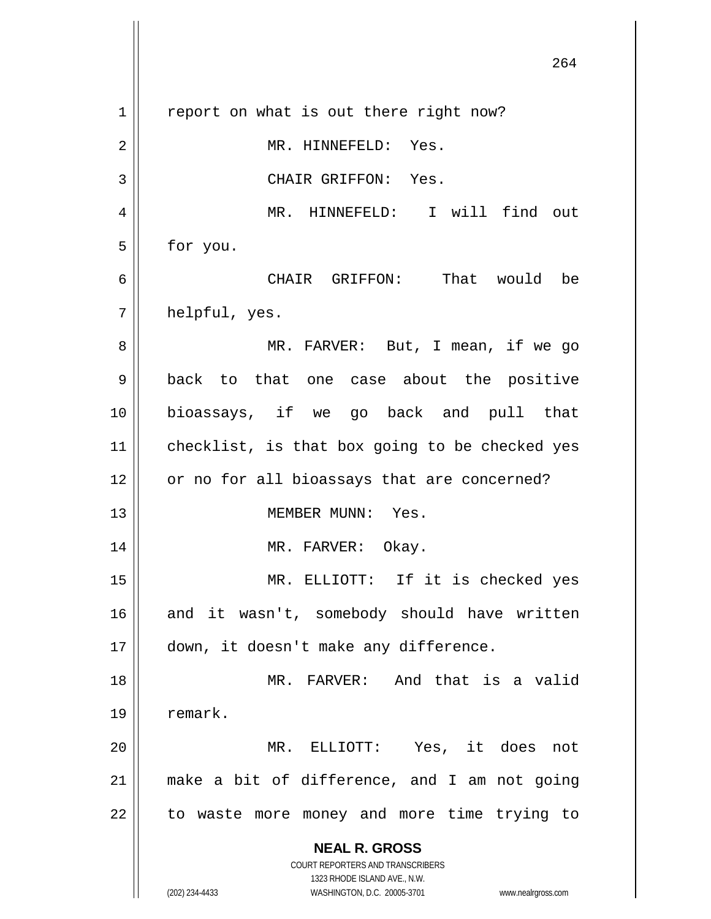**NEAL R. GROSS** COURT REPORTERS AND TRANSCRIBERS 1323 RHODE ISLAND AVE., N.W. (202) 234-4433 WASHINGTON, D.C. 20005-3701 www.nealrgross.com 264  $1 \parallel$  report on what is out there right now? 2 | MR. HINNEFELD: Yes. 3 || CHAIR GRIFFON: Yes. 4 || MR. HINNEFELD: I will find out  $5 \parallel$  for you. 6 CHAIR GRIFFON: That would be  $7 ||$  helpful, yes. 8 MR. FARVER: But, I mean, if we go 9 back to that one case about the positive 10 bioassays, if we go back and pull that  $11$  checklist, is that box going to be checked yes 12 or no for all bioassays that are concerned? 13 MEMBER MUNN: Yes. 14 || MR. FARVER: Okay. 15 MR. ELLIOTT: If it is checked yes 16 || and it wasn't, somebody should have written 17 down, it doesn't make any difference. 18 MR. FARVER: And that is a valid 19 | remark. 20 MR. ELLIOTT: Yes, it does not 21 make a bit of difference, and I am not going  $22$  || to waste more money and more time trying to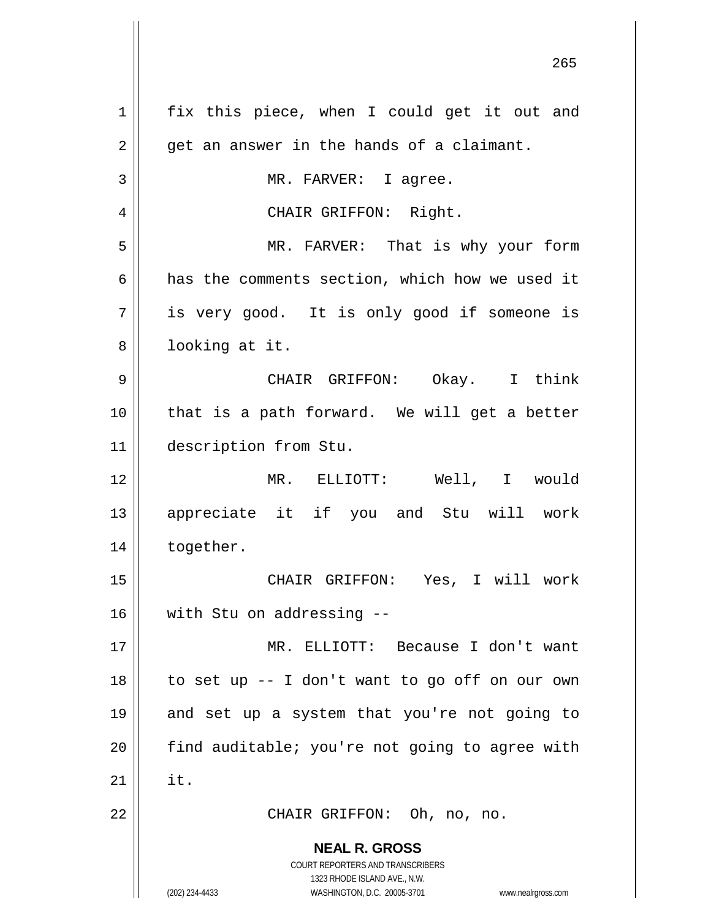| 1  | fix this piece, when I could get it out and                                                         |
|----|-----------------------------------------------------------------------------------------------------|
| 2  | get an answer in the hands of a claimant.                                                           |
| 3  | MR. FARVER: I agree.                                                                                |
| 4  | CHAIR GRIFFON: Right.                                                                               |
| 5  | MR. FARVER: That is why your form                                                                   |
| 6  | has the comments section, which how we used it                                                      |
| 7  | is very good. It is only good if someone is                                                         |
| 8  | looking at it.                                                                                      |
| 9  | CHAIR GRIFFON: Okay. I think                                                                        |
| 10 | that is a path forward. We will get a better                                                        |
| 11 | description from Stu.                                                                               |
| 12 | MR. ELLIOTT: Well, I would                                                                          |
| 13 | appreciate it if you and Stu will work                                                              |
| 14 | together.                                                                                           |
| 15 | CHAIR GRIFFON: Yes, I will work                                                                     |
| 16 | with Stu on addressing --                                                                           |
| 17 | MR. ELLIOTT: Because I don't want                                                                   |
| 18 | to set up -- I don't want to go off on our own                                                      |
| 19 | and set up a system that you're not going to                                                        |
| 20 | find auditable; you're not going to agree with                                                      |
| 21 | it.                                                                                                 |
| 22 | CHAIR GRIFFON: Oh, no, no.                                                                          |
|    | <b>NEAL R. GROSS</b>                                                                                |
|    | COURT REPORTERS AND TRANSCRIBERS                                                                    |
|    | 1323 RHODE ISLAND AVE., N.W.<br>(202) 234-4433<br>WASHINGTON, D.C. 20005-3701<br>www.nealrgross.com |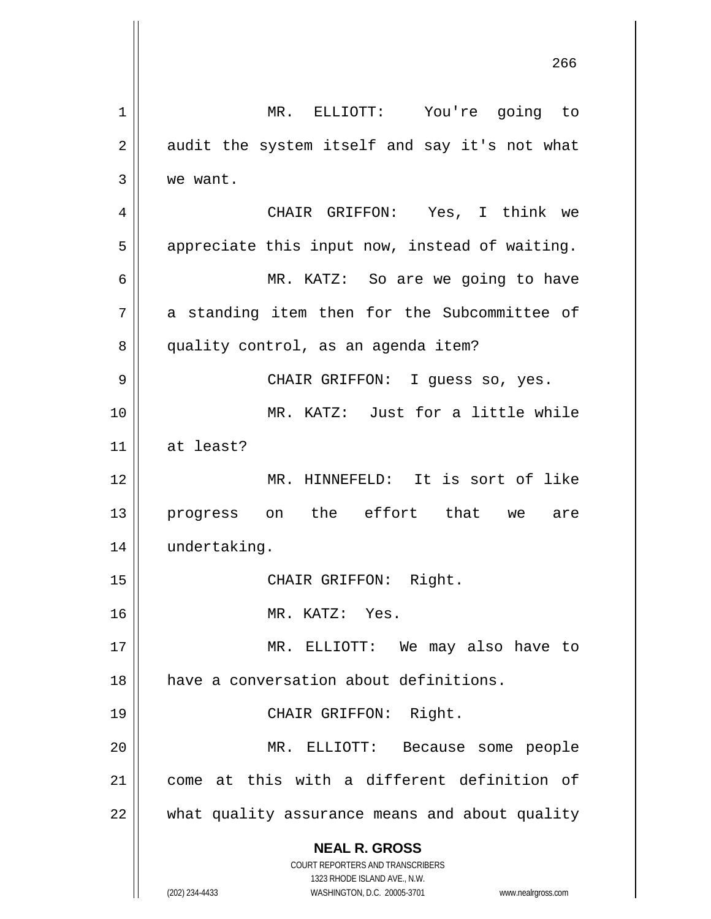**NEAL R. GROSS** COURT REPORTERS AND TRANSCRIBERS 1323 RHODE ISLAND AVE., N.W. (202) 234-4433 WASHINGTON, D.C. 20005-3701 www.nealrgross.com MR. ELLIOTT: You're going to  $2 \parallel$  audit the system itself and say it's not what we want. CHAIR GRIFFON: Yes, I think we  $5 \parallel$  appreciate this input now, instead of waiting. MR. KATZ: So are we going to have | a standing item then for the Subcommittee of 8 | quality control, as an agenda item? CHAIR GRIFFON: I guess so, yes. MR. KATZ: Just for a little while at least? MR. HINNEFELD: It is sort of like 13 || progress on the effort that we are undertaking. 15 || CHAIR GRIFFON: Right. MR. KATZ: Yes. MR. ELLIOTT: We may also have to have a conversation about definitions. 19 || CHAIR GRIFFON: Right. MR. ELLIOTT: Because some people come at this with a different definition of what quality assurance means and about quality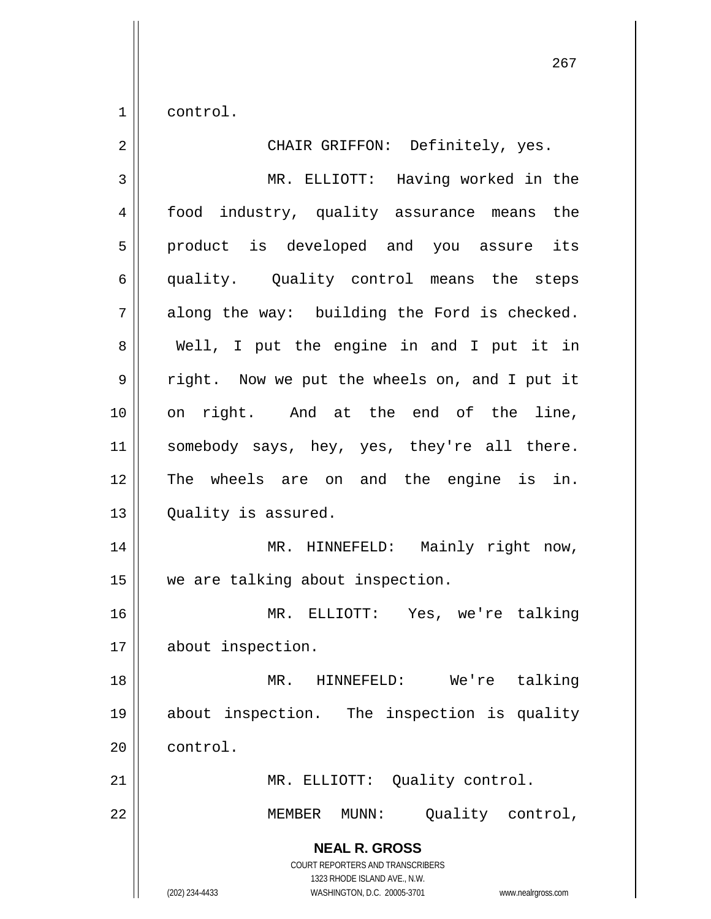$1 \parallel$  control.

| $\overline{2}$ | CHAIR GRIFFON: Definitely, yes.                                                                                                                                 |
|----------------|-----------------------------------------------------------------------------------------------------------------------------------------------------------------|
| 3              | MR. ELLIOTT: Having worked in the                                                                                                                               |
| 4              | food industry, quality assurance means the                                                                                                                      |
| 5              | product is developed and you assure its                                                                                                                         |
| 6              | quality. Quality control means the steps                                                                                                                        |
| 7              | along the way: building the Ford is checked.                                                                                                                    |
| 8              | Well, I put the engine in and I put it in                                                                                                                       |
| 9              | right. Now we put the wheels on, and I put it                                                                                                                   |
| 10             | on right. And at the end of the line,                                                                                                                           |
| 11             | somebody says, hey, yes, they're all there.                                                                                                                     |
| 12             | The wheels are on and the engine is in.                                                                                                                         |
| 13             | Quality is assured.                                                                                                                                             |
| 14             | MR. HINNEFELD: Mainly right now,                                                                                                                                |
| 15             | we are talking about inspection.                                                                                                                                |
| 16             | MR. ELLIOTT: Yes, we're talking                                                                                                                                 |
| 17             | about inspection.                                                                                                                                               |
| 18             | We're talking<br>MR.<br>HINNEFELD:                                                                                                                              |
| 19             | about inspection. The inspection is quality                                                                                                                     |
| 20             | control.                                                                                                                                                        |
| 21             | MR. ELLIOTT: Quality control.                                                                                                                                   |
| 22             | Quality control,<br>MEMBER<br>MUNN:                                                                                                                             |
|                | <b>NEAL R. GROSS</b><br>COURT REPORTERS AND TRANSCRIBERS<br>1323 RHODE ISLAND AVE., N.W.<br>(202) 234-4433<br>WASHINGTON, D.C. 20005-3701<br>www.nealrgross.com |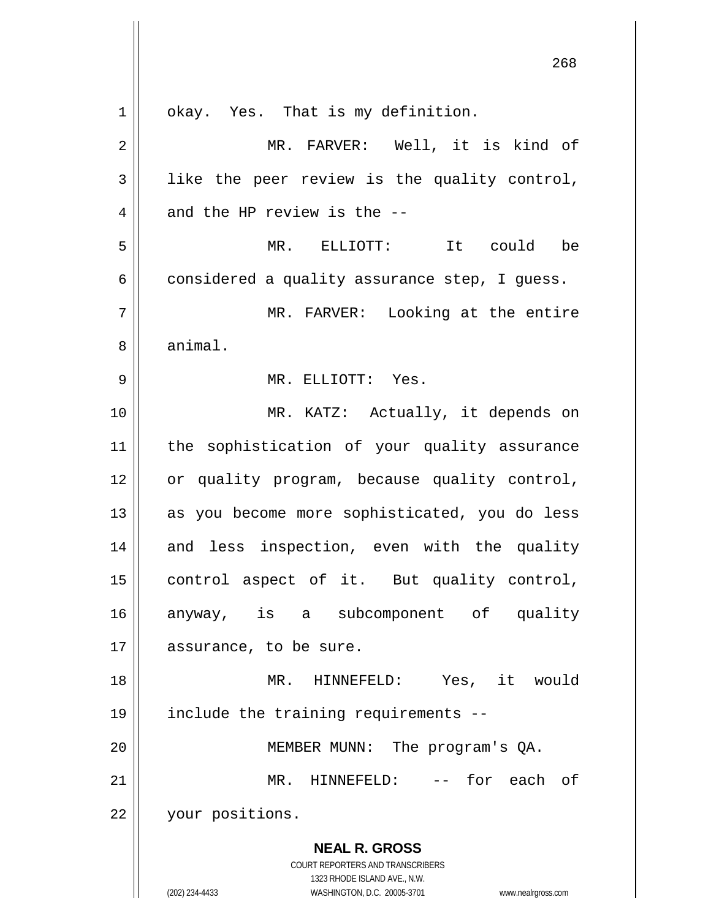**NEAL R. GROSS** COURT REPORTERS AND TRANSCRIBERS 1323 RHODE ISLAND AVE., N.W. (202) 234-4433 WASHINGTON, D.C. 20005-3701 www.nealrgross.com 1 | okay. Yes. That is my definition. 2 MR. FARVER: Well, it is kind of  $3 \parallel$  like the peer review is the quality control,  $4$  || and the HP review is the  $-$ -5 MR. ELLIOTT: It could be  $6 \parallel$  considered a quality assurance step, I quess. 7 MR. FARVER: Looking at the entire 8 | animal. 9 MR. ELLIOTT: Yes. 10 || MR. KATZ: Actually, it depends on 11 the sophistication of your quality assurance 12 | or quality program, because quality control, 13 || as you become more sophisticated, you do less 14 || and less inspection, even with the quality 15 control aspect of it. But quality control, 16 anyway, is a subcomponent of quality 17 | assurance, to be sure. 18 MR. HINNEFELD: Yes, it would 19 include the training requirements -- 20 MEMBER MUNN: The program's QA. 21 MR. HINNEFELD: -- for each of 22 your positions.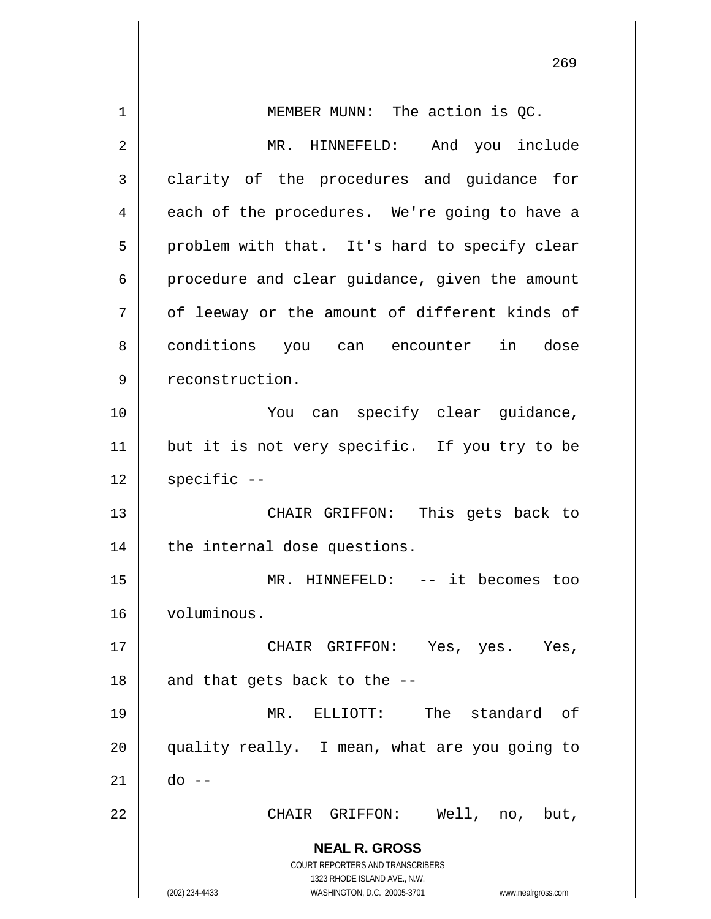| 1  | MEMBER MUNN: The action is QC.                                      |
|----|---------------------------------------------------------------------|
| 2  | MR. HINNEFELD: And you include                                      |
| 3  | clarity of the procedures and guidance for                          |
| 4  | each of the procedures. We're going to have a                       |
| 5  | problem with that. It's hard to specify clear                       |
| 6  | procedure and clear guidance, given the amount                      |
| 7  | of leeway or the amount of different kinds of                       |
| 8  | conditions you can encounter in dose                                |
| 9  | reconstruction.                                                     |
| 10 | You can specify clear guidance,                                     |
| 11 | but it is not very specific. If you try to be                       |
| 12 | $specific$ --                                                       |
| 13 | CHAIR GRIFFON: This gets back to                                    |
| 14 | the internal dose questions.                                        |
| 15 | MR. HINNEFELD: -- it becomes too                                    |
| 16 | voluminous.                                                         |
| 17 | CHAIR GRIFFON: Yes, yes. Yes,                                       |
| 18 | and that gets back to the --                                        |
| 19 | MR. ELLIOTT: The standard of                                        |
| 20 | quality really. I mean, what are you going to                       |
| 21 | do --                                                               |
| 22 | CHAIR GRIFFON: Well, no, but,                                       |
|    | <b>NEAL R. GROSS</b>                                                |
|    | COURT REPORTERS AND TRANSCRIBERS                                    |
|    | 1323 RHODE ISLAND AVE., N.W.                                        |
|    | (202) 234-4433<br>WASHINGTON, D.C. 20005-3701<br>www.nealrgross.com |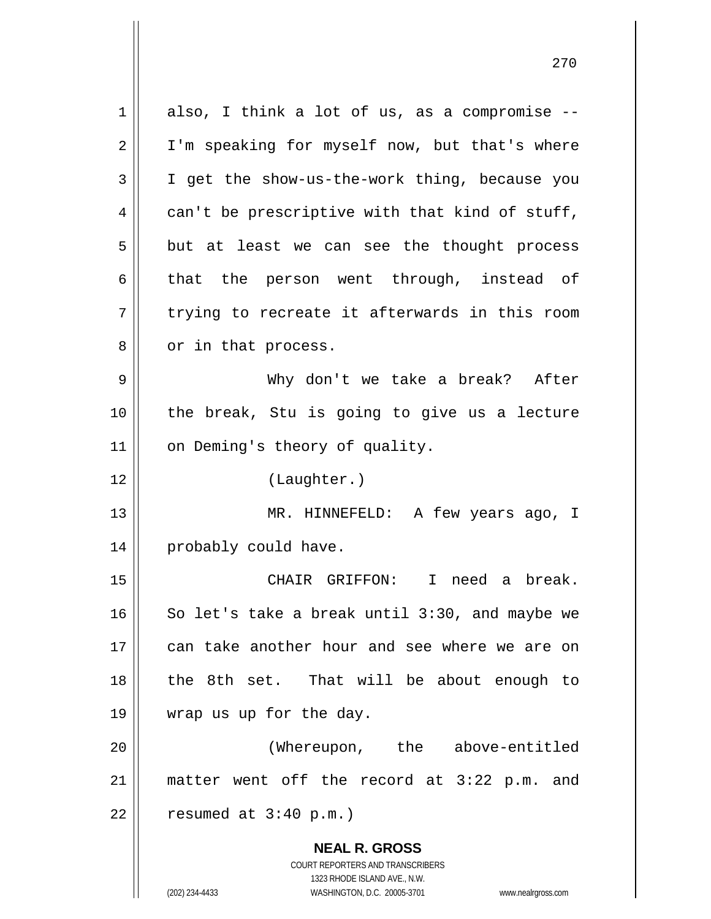**NEAL R. GROSS** COURT REPORTERS AND TRANSCRIBERS 1323 RHODE ISLAND AVE., N.W.  $1 \parallel$  also, I think a lot of us, as a compromise --2 || I'm speaking for myself now, but that's where 3 I get the show-us-the-work thing, because you 4 can't be prescriptive with that kind of stuff,  $5 \parallel$  but at least we can see the thought process  $6 \parallel$  that the person went through, instead of  $7 \parallel$  trying to recreate it afterwards in this room 8 || or in that process. 9 Why don't we take a break? After  $10$  | the break, Stu is going to give us a lecture 11 | on Deming's theory of quality. 12 (Laughter.) 13 MR. HINNEFELD: A few years ago, I 14 | probably could have. 15 CHAIR GRIFFON: I need a break. 16  $\parallel$  So let's take a break until 3:30, and maybe we 17 can take another hour and see where we are on 18 || the 8th set. That will be about enough to 19 wrap us up for the day. 20 (Whereupon, the above-entitled 21 matter went off the record at 3:22 p.m. and  $22$  | resumed at  $3:40$  p.m.)

(202) 234-4433 WASHINGTON, D.C. 20005-3701 www.nealrgross.com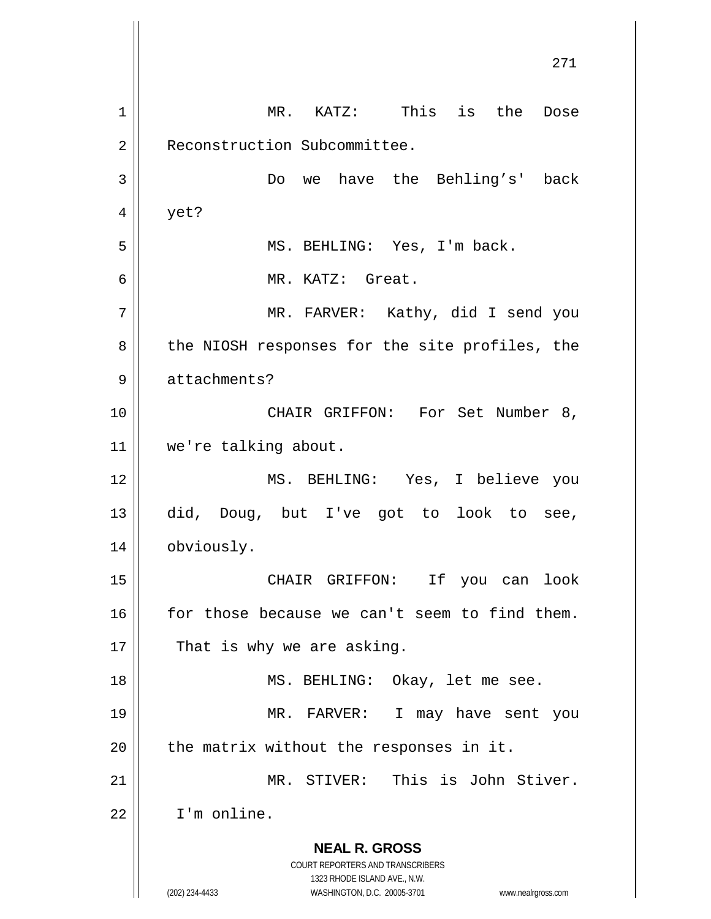**NEAL R. GROSS** COURT REPORTERS AND TRANSCRIBERS 1323 RHODE ISLAND AVE., N.W. (202) 234-4433 WASHINGTON, D.C. 20005-3701 www.nealrgross.com 271 1 MR. KATZ: This is the Dose 2 | Reconstruction Subcommittee. 3 Do we have the Behling's' back  $4 \parallel$  yet? 5 MS. BEHLING: Yes, I'm back. 6 MR. KATZ: Great. 7 MR. FARVER: Kathy, did I send you 8 || the NIOSH responses for the site profiles, the 9 | attachments? 10 CHAIR GRIFFON: For Set Number 8, 11 we're talking about. 12 MS. BEHLING: Yes, I believe you 13 did, Doug, but I've got to look to see, 14 | obviously. 15 CHAIR GRIFFON: If you can look 16 for those because we can't seem to find them.  $17$  | That is why we are asking. 18 || MS. BEHLING: Okay, let me see. 19 MR. FARVER: I may have sent you  $20$  | the matrix without the responses in it. 21 MR. STIVER: This is John Stiver. 22 I'm online.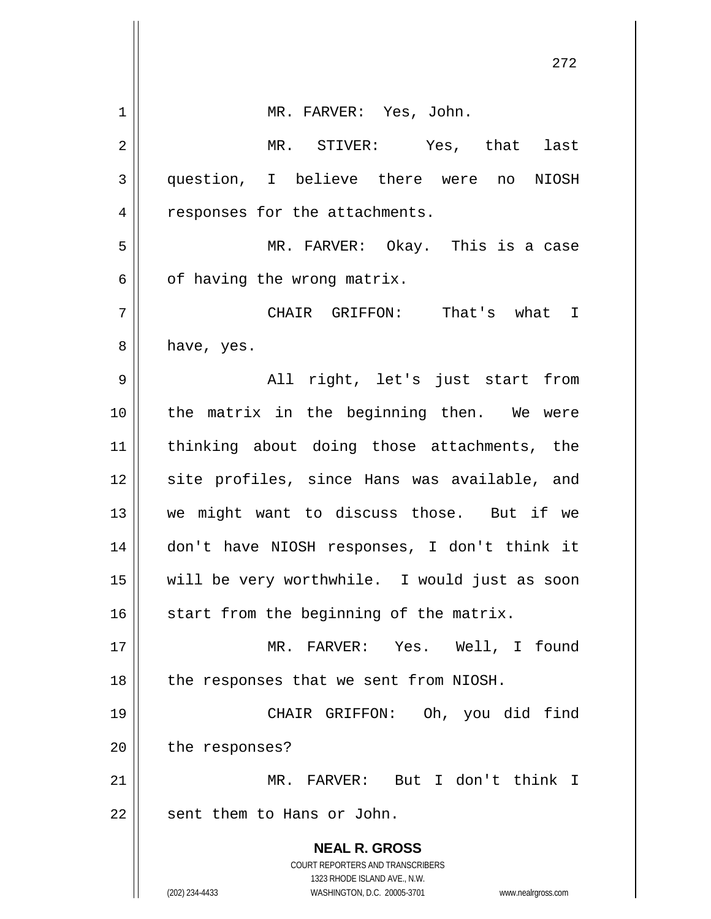|    | 272                                                                 |
|----|---------------------------------------------------------------------|
| 1  | MR. FARVER: Yes, John.                                              |
| 2  | MR. STIVER: Yes, that last                                          |
| 3  | question, I believe there were no<br>NIOSH                          |
| 4  | responses for the attachments.                                      |
| 5  | MR. FARVER: Okay. This is a case                                    |
| 6  | of having the wrong matrix.                                         |
| 7  | CHAIR GRIFFON: That's what I                                        |
| 8  | have, yes.                                                          |
| 9  | All right, let's just start from                                    |
| 10 | the matrix in the beginning then. We were                           |
| 11 | thinking about doing those attachments, the                         |
| 12 | site profiles, since Hans was available, and                        |
| 13 | we might want to discuss those. But if we                           |
| 14 | don't have NIOSH responses, I don't think it                        |
| 15 | will be very worthwhile. I would just as soon                       |
| 16 | start from the beginning of the matrix.                             |
| 17 | MR. FARVER: Yes. Well, I found                                      |
| 18 | the responses that we sent from NIOSH.                              |
| 19 | CHAIR GRIFFON: Oh, you did<br>find                                  |
| 20 | the responses?                                                      |
| 21 | MR. FARVER: But I don't think I                                     |
| 22 | sent them to Hans or John.                                          |
|    | <b>NEAL R. GROSS</b>                                                |
|    | COURT REPORTERS AND TRANSCRIBERS<br>1323 RHODE ISLAND AVE., N.W.    |
|    | (202) 234-4433<br>WASHINGTON, D.C. 20005-3701<br>www.nealrgross.com |

 $\mathsf{I}$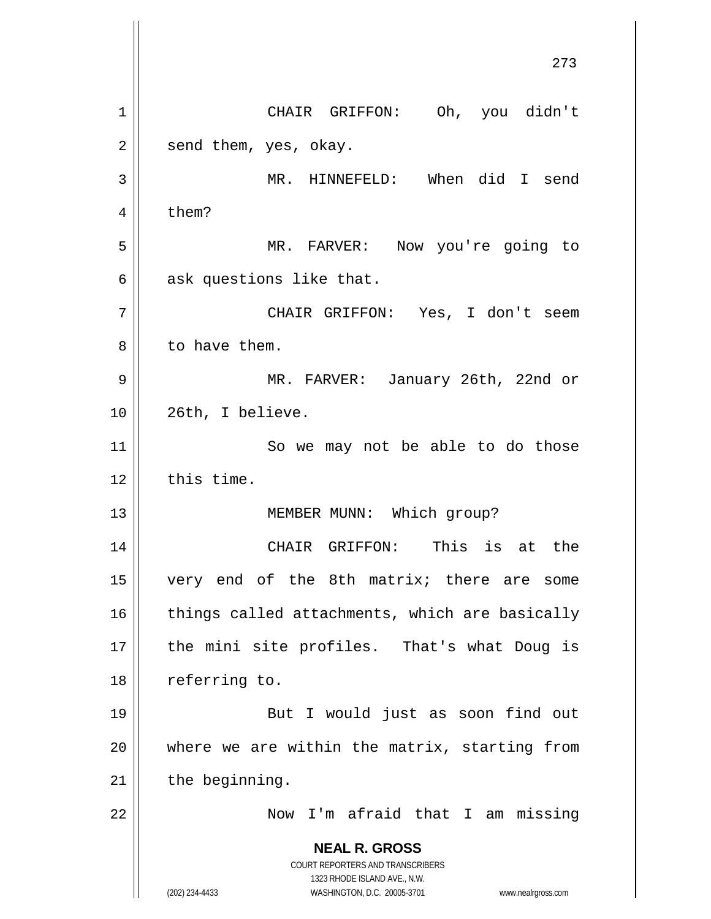**NEAL R. GROSS** COURT REPORTERS AND TRANSCRIBERS 1323 RHODE ISLAND AVE., N.W. (202) 234-4433 WASHINGTON, D.C. 20005-3701 www.nealrgross.com 273 1 | CHAIR GRIFFON: Oh, you didn't  $2 \parallel$  send them, yes, okay. 3 || MR. HINNEFELD: When did I send  $4 \parallel$  them? 5 MR. FARVER: Now you're going to  $6 \parallel$  ask questions like that. 7 CHAIR GRIFFON: Yes, I don't seem 8 l to have them. 9 MR. FARVER: January 26th, 22nd or 10 || 26th, I believe. 11 || So we may not be able to do those  $12$   $\parallel$  this time. 13 || MEMBER MUNN: Which group? 14 CHAIR GRIFFON: This is at the 15 very end of the 8th matrix; there are some  $16$  | things called attachments, which are basically 17 || the mini site profiles. That's what Doug is 18 | referring to. 19 || But I would just as soon find out 20 where we are within the matrix, starting from  $21$  | the beginning. 22 Now I'm afraid that I am missing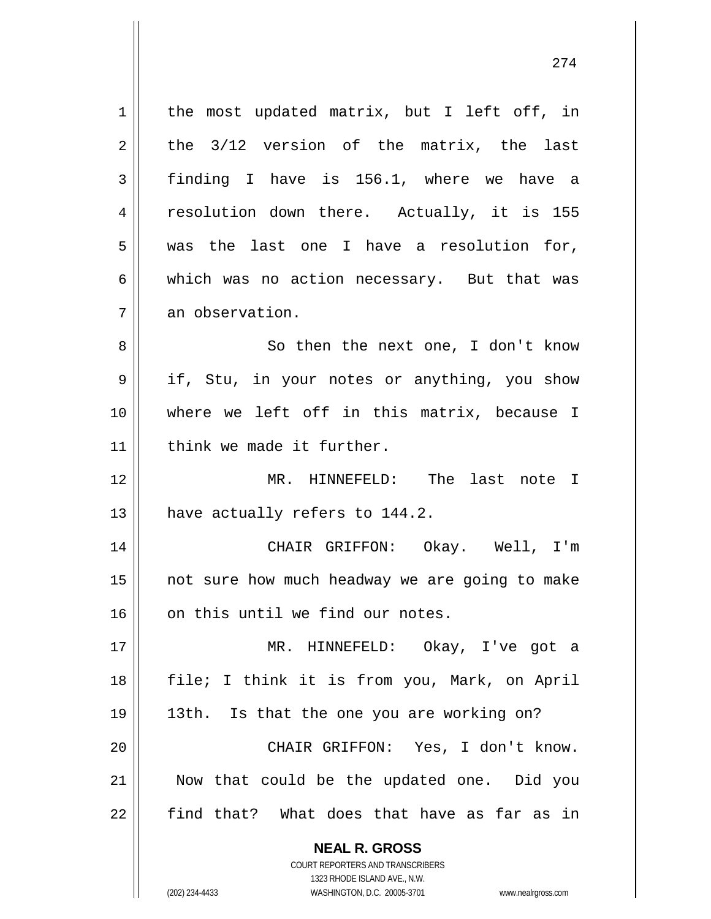1 | the most updated matrix, but I left off, in  $2 \parallel$  the 3/12 version of the matrix, the last  $3 \parallel$  finding I have is 156.1, where we have a 4 || resolution down there. Actually, it is 155  $5 \parallel$  was the last one I have a resolution for,  $6 \parallel$  which was no action necessary. But that was 7 | an observation. 8 || So then the next one, I don't know 9 if, Stu, in your notes or anything, you show

10 where we left off in this matrix, because I 11 | think we made it further.

12 MR. HINNEFELD: The last note I 13  $\parallel$  have actually refers to 144.2.

14 CHAIR GRIFFON: Okay. Well, I'm 15 || not sure how much headway we are going to make 16 || on this until we find our notes.

 MR. HINNEFELD: Okay, I've got a 18 || file; I think it is from you, Mark, on April 13th. Is that the one you are working on? CHAIR GRIFFON: Yes, I don't know. 21 || Now that could be the updated one. Did you find that? What does that have as far as in

> **NEAL R. GROSS** COURT REPORTERS AND TRANSCRIBERS

1323 RHODE ISLAND AVE., N.W. (202) 234-4433 WASHINGTON, D.C. 20005-3701 www.nealrgross.com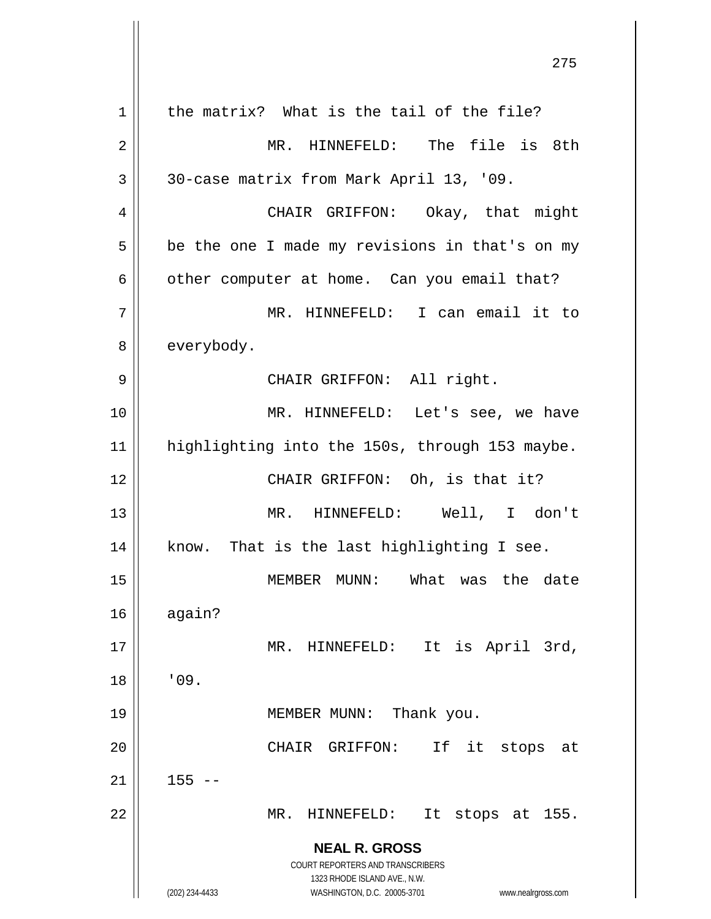| $\mathbf 1$ | the matrix? What is the tail of the file?                                     |
|-------------|-------------------------------------------------------------------------------|
| 2           | MR. HINNEFELD: The file is 8th                                                |
| 3           | 30-case matrix from Mark April 13, '09.                                       |
| 4           | CHAIR GRIFFON: Okay, that might                                               |
| 5           | be the one I made my revisions in that's on my                                |
| 6           | other computer at home. Can you email that?                                   |
| 7           | MR. HINNEFELD: I can email it to                                              |
| 8           | everybody.                                                                    |
| 9           | CHAIR GRIFFON: All right.                                                     |
| 10          | MR. HINNEFELD: Let's see, we have                                             |
| 11          | highlighting into the 150s, through 153 maybe.                                |
| 12          | CHAIR GRIFFON: Oh, is that it?                                                |
| 13          | MR. HINNEFELD: Well, I don't                                                  |
| 14          | know. That is the last highlighting I see.                                    |
| 15          | What was the date<br>MEMBER MUNN:                                             |
| 16          | again?                                                                        |
| 17          | It is April 3rd,<br>MR.<br>HINNEFELD:                                         |
| 18          | '09.                                                                          |
| 19          | Thank you.<br>MEMBER MUNN:                                                    |
| 20          | If it<br>CHAIR<br>GRIFFON:<br>stops<br>at                                     |
| 21          | $155 - -$                                                                     |
| 22          | MR.<br>HINNEFELD:<br>It stops at 155.                                         |
|             | <b>NEAL R. GROSS</b>                                                          |
|             | COURT REPORTERS AND TRANSCRIBERS                                              |
|             | 1323 RHODE ISLAND AVE., N.W.<br>(202) 234-4433<br>WASHINGTON, D.C. 20005-3701 |
|             | www.nealrgross.com                                                            |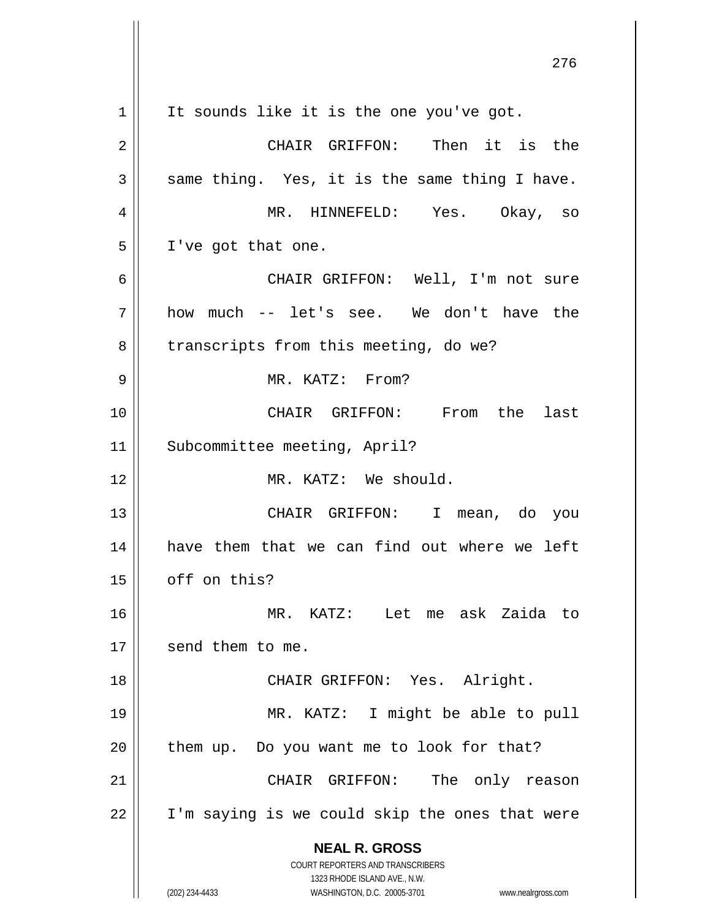**NEAL R. GROSS** COURT REPORTERS AND TRANSCRIBERS 1323 RHODE ISLAND AVE., N.W. (202) 234-4433 WASHINGTON, D.C. 20005-3701 www.nealrgross.com  $1 \parallel$  It sounds like it is the one you've got. 2 CHAIR GRIFFON: Then it is the  $3 \parallel$  same thing. Yes, it is the same thing I have. 4 MR. HINNEFELD: Yes. Okay, so 5 | I've got that one. 6 CHAIR GRIFFON: Well, I'm not sure  $7 ||$  how much -- let's see. We don't have the 8 | transcripts from this meeting, do we? 9 MR. KATZ: From? 10 CHAIR GRIFFON: From the last 11 | Subcommittee meeting, April? 12 MR. KATZ: We should. 13 CHAIR GRIFFON: I mean, do you 14 have them that we can find out where we left  $15$  | off on this? 16 MR. KATZ: Let me ask Zaida to 17 | send them to me. 18 || CHAIR GRIFFON: Yes. Alright. 19 MR. KATZ: I might be able to pull  $20$  | them up. Do you want me to look for that? 21 CHAIR GRIFFON: The only reason  $22$  | I'm saying is we could skip the ones that were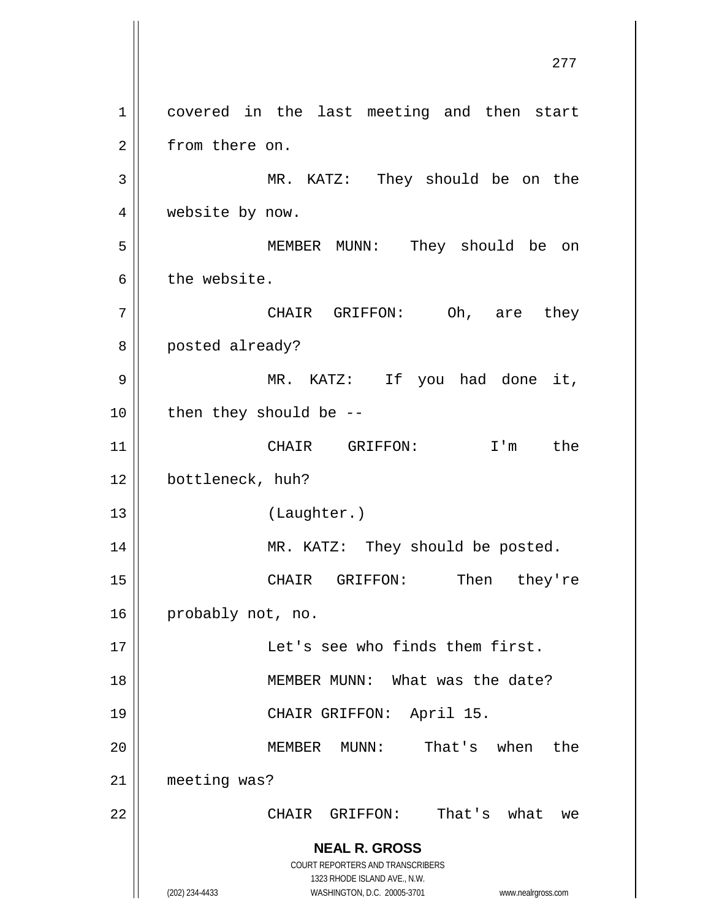**NEAL R. GROSS** COURT REPORTERS AND TRANSCRIBERS 1323 RHODE ISLAND AVE., N.W. (202) 234-4433 WASHINGTON, D.C. 20005-3701 www.nealrgross.com 1 || covered in the last meeting and then start 2 | from there on. 3 MR. KATZ: They should be on the 4 | website by now. 5 MEMBER MUNN: They should be on  $6 \parallel$  the website. 7 || CHAIR GRIFFON: Oh, are they 8 | posted already? 9 || MR. KATZ: If you had done it,  $10$  || then they should be --11 CHAIR GRIFFON: I'm the 12 | bottleneck, huh? 13 (Laughter.) 14 || MR. KATZ: They should be posted. 15 CHAIR GRIFFON: Then they're 16 probably not, no. 17 Let's see who finds them first. 18 || MEMBER MUNN: What was the date? 19 CHAIR GRIFFON: April 15. 20 MEMBER MUNN: That's when the 21 meeting was? 22 CHAIR GRIFFON: That's what we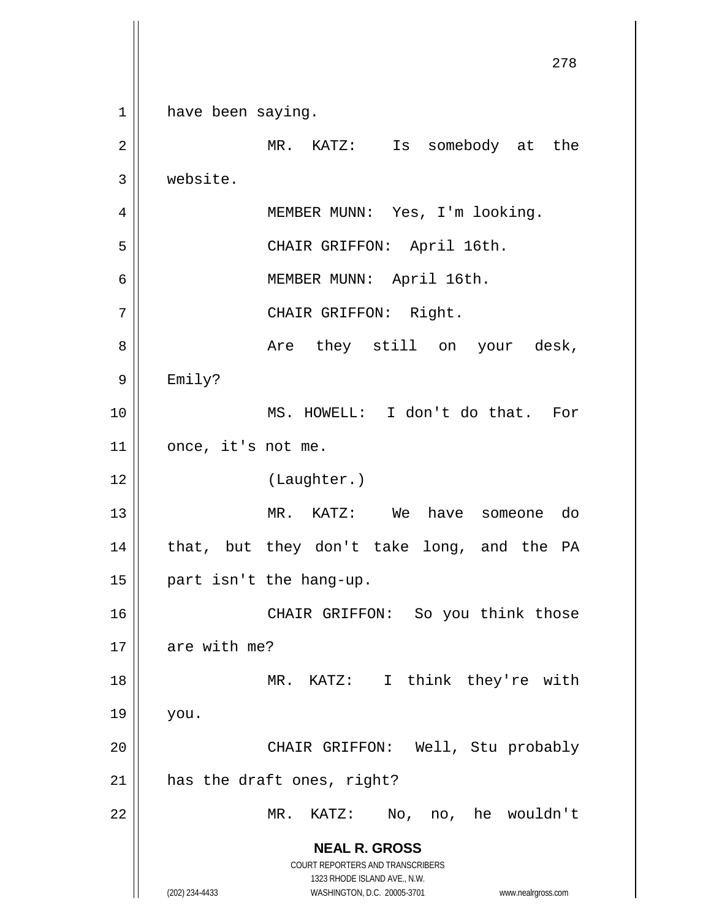**NEAL R. GROSS** COURT REPORTERS AND TRANSCRIBERS 1323 RHODE ISLAND AVE., N.W. (202) 234-4433 WASHINGTON, D.C. 20005-3701 www.nealrgross.com 278 1 have been saying. 2 || MR. KATZ: Is somebody at the 3 website. 4 || MEMBER MUNN: Yes, I'm looking. 5 CHAIR GRIFFON: April 16th. 6 MEMBER MUNN: April 16th. 7 || CHAIR GRIFFON: Right. 8 Are they still on your desk, 9 Emily? 10 MS. HOWELL: I don't do that. For  $11$  | once, it's not me. 12 || (Laughter.) 13 MR. KATZ: We have someone do 14 || that, but they don't take long, and the PA 15 || part isn't the hang-up. 16 || CHAIR GRIFFON: So you think those  $17$  | are with me? 18 || MR. KATZ: I think they're with  $19 \parallel$  you. 20 || CHAIR GRIFFON: Well, Stu probably  $21$  | has the draft ones, right? 22 MR. KATZ: No, no, he wouldn't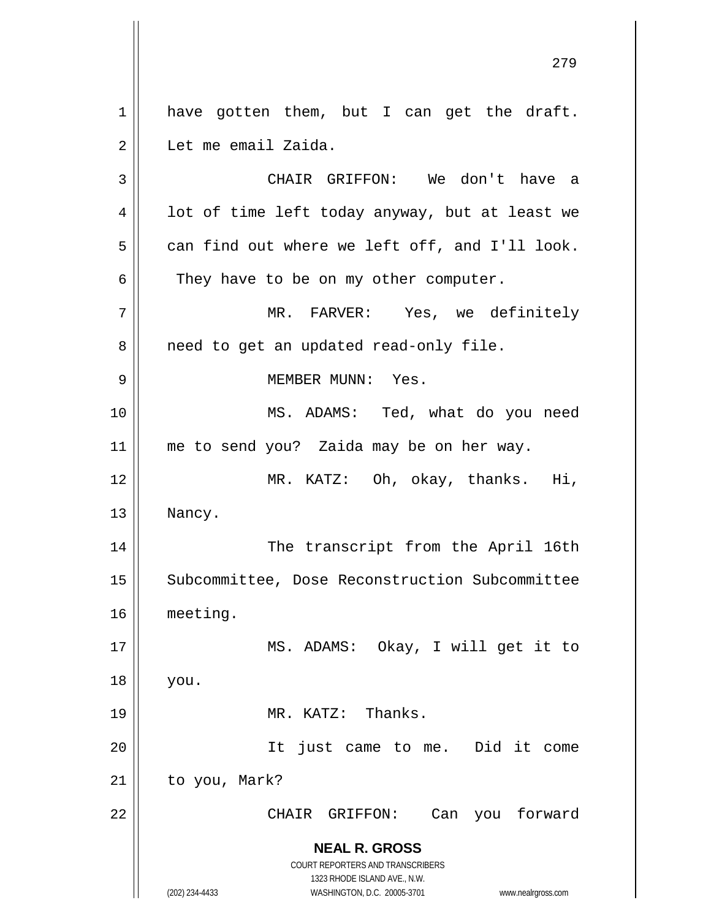**NEAL R. GROSS** COURT REPORTERS AND TRANSCRIBERS 1323 RHODE ISLAND AVE., N.W. (202) 234-4433 WASHINGTON, D.C. 20005-3701 www.nealrgross.com 1 || have gotten them, but I can get the draft. 2 | Let me email Zaida. 3 CHAIR GRIFFON: We don't have a  $4 \parallel$  lot of time left today anyway, but at least we  $5 \parallel$  can find out where we left off, and I'll look.  $6 \parallel$  They have to be on my other computer. 7 MR. FARVER: Yes, we definitely 8 | need to get an updated read-only file. 9 MEMBER MUNN: Yes. 10 || MS. ADAMS: Ted, what do you need 11 || me to send you? Zaida may be on her way. 12 || MR. KATZ: Oh, okay, thanks. Hi, 13 | Nancy. 14 || The transcript from the April 16th 15 | Subcommittee, Dose Reconstruction Subcommittee 16 meeting. 17 || MS. ADAMS: Okay, I will get it to 18 you. 19 MR. KATZ: Thanks. 20 It just came to me. Did it come  $21$  | to you, Mark? 22 CHAIR GRIFFON: Can you forward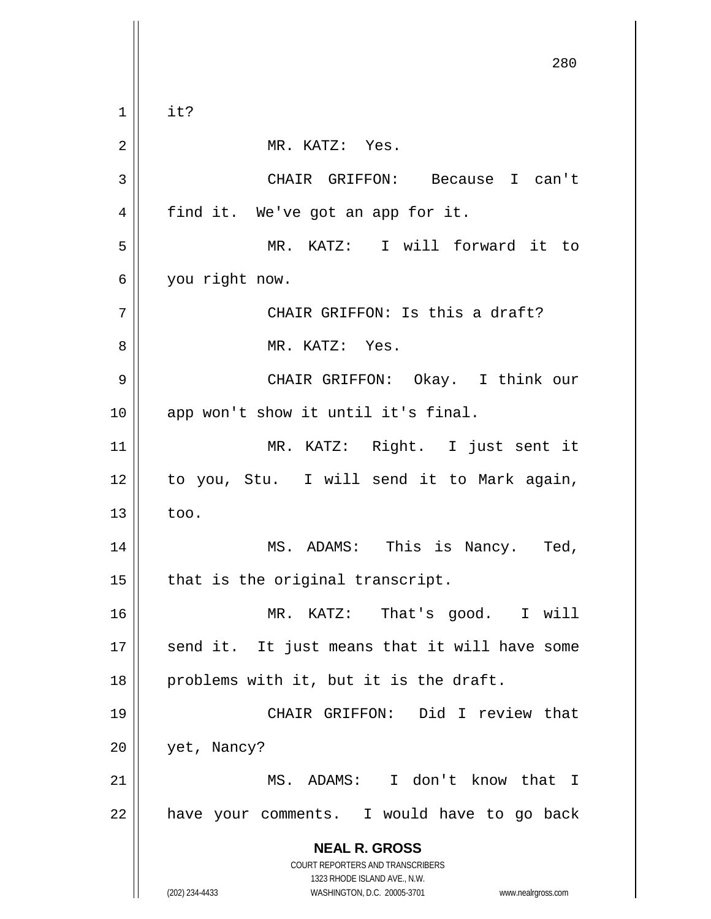**NEAL R. GROSS** COURT REPORTERS AND TRANSCRIBERS 1323 RHODE ISLAND AVE., N.W. (202) 234-4433 WASHINGTON, D.C. 20005-3701 www.nealrgross.com 280  $1 \parallel$  it? 2 || MR. KATZ: Yes. 3 CHAIR GRIFFON: Because I can't 4 || find it. We've got an app for it. 5 MR. KATZ: I will forward it to 6 you right now. 7 CHAIR GRIFFON: Is this a draft? 8 MR. KATZ: Yes. 9 CHAIR GRIFFON: Okay. I think our 10 || app won't show it until it's final. 11 MR. KATZ: Right. I just sent it 12 || to you, Stu. I will send it to Mark again,  $13 \parallel$  too. 14 MS. ADAMS: This is Nancy. Ted,  $15$  | that is the original transcript. 16 MR. KATZ: That's good. I will 17 || send it. It just means that it will have some  $18$  || problems with it, but it is the draft. 19 CHAIR GRIFFON: Did I review that 20 | yet, Nancy? 21 MS. ADAMS: I don't know that I  $22$  | have your comments. I would have to go back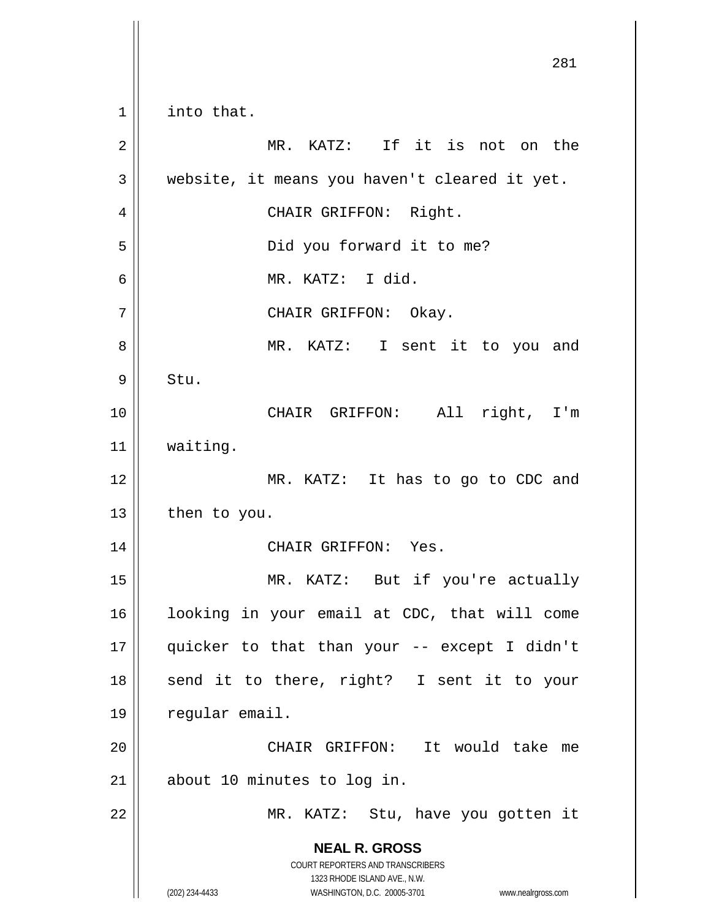**NEAL R. GROSS** COURT REPORTERS AND TRANSCRIBERS 1323 RHODE ISLAND AVE., N.W. (202) 234-4433 WASHINGTON, D.C. 20005-3701 www.nealrgross.com 281 1 | into that. 2 MR. KATZ: If it is not on the  $3 \parallel$  website, it means you haven't cleared it yet. 4 || CHAIR GRIFFON: Right. 5 || Did you forward it to me? 6 MR. KATZ: I did. 7 CHAIR GRIFFON: Okay. 8 || MR. KATZ: I sent it to you and  $9 \parallel$  Stu. 10 CHAIR GRIFFON: All right, I'm 11 waiting. 12 || MR. KATZ: It has to go to CDC and  $13$  | then to you. 14 CHAIR GRIFFON: Yes. 15 || MR. KATZ: But if you're actually 16 looking in your email at CDC, that will come 17 quicker to that than your -- except I didn't 18 || send it to there, right? I sent it to your 19 | regular email. 20 CHAIR GRIFFON: It would take me  $21$  | about 10 minutes to log in. 22 || MR. KATZ: Stu, have you gotten it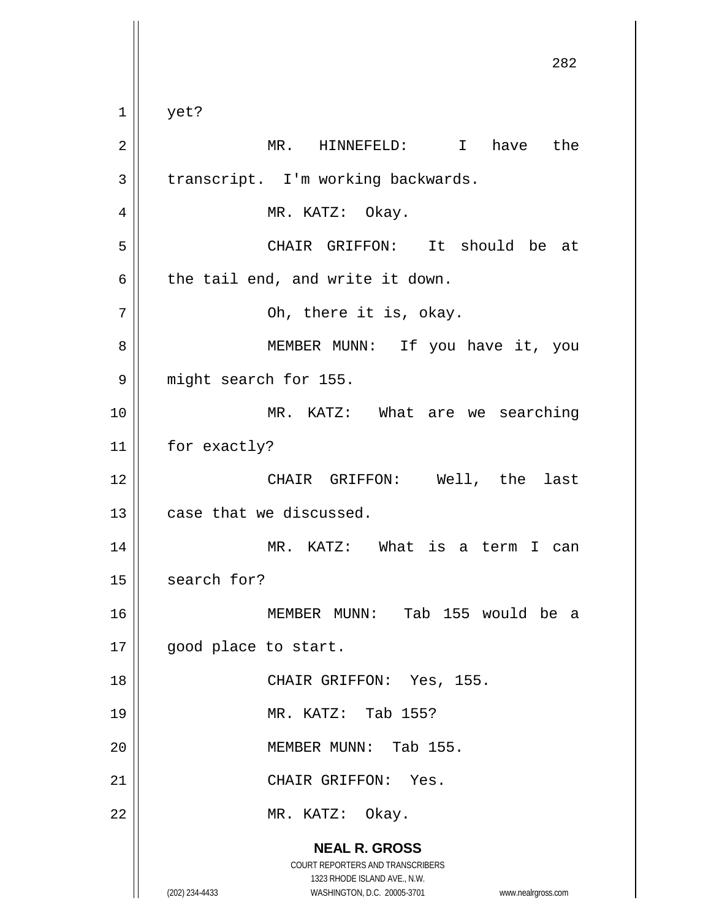**NEAL R. GROSS** COURT REPORTERS AND TRANSCRIBERS 1323 RHODE ISLAND AVE., N.W. (202) 234-4433 WASHINGTON, D.C. 20005-3701 www.nealrgross.com 282  $1 \parallel$  yet? 2 MR. HINNEFELD: I have the  $3 \parallel$  transcript. I'm working backwards. 4 MR. KATZ: Okay. 5 CHAIR GRIFFON: It should be at  $6 \parallel$  the tail end, and write it down.  $7 \parallel$  Oh, there it is, okay. 8 | MEMBER MUNN: If you have it, you 9 || might search for 155. 10 || MR. KATZ: What are we searching 11 | for exactly? 12 CHAIR GRIFFON: Well, the last  $13$   $\parallel$  case that we discussed. 14 MR. KATZ: What is a term I can  $15$  search for? 16 MEMBER MUNN: Tab 155 would be a 17 || good place to start. 18 || CHAIR GRIFFON: Yes, 155. 19 MR. KATZ: Tab 155? 20 || MEMBER MUNN: Tab 155. 21 CHAIR GRIFFON: Yes. 22 || MR. KATZ: Okay.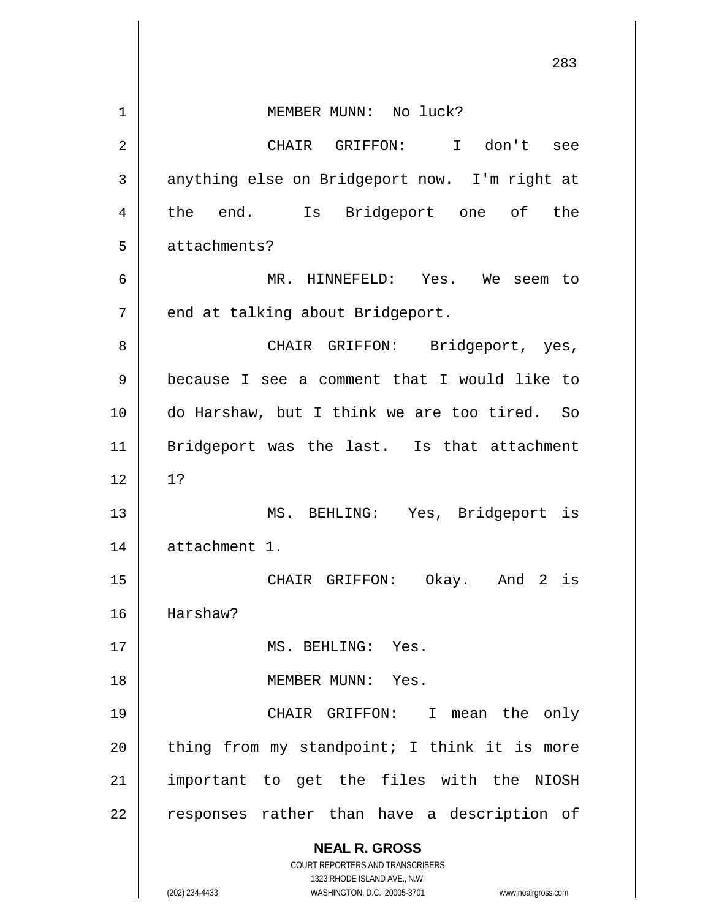|    | 283                                                                     |
|----|-------------------------------------------------------------------------|
| 1  | MEMBER MUNN: No luck?                                                   |
| 2  | don't<br>CHAIR GRIFFON:<br>$\mathbf{I}$<br>see                          |
| 3  | anything else on Bridgeport now. I'm right at                           |
| 4  | Is Bridgeport one of<br>the<br>end.<br>the                              |
| 5  | attachments?                                                            |
| 6  | MR. HINNEFELD: Yes. We seem to                                          |
| 7  | end at talking about Bridgeport.                                        |
| 8  | Bridgeport, yes,<br>CHAIR GRIFFON:                                      |
| 9  | because I see a comment that I would like to                            |
| 10 | do Harshaw, but I think we are too tired. So                            |
| 11 | Bridgeport was the last. Is that attachment                             |
| 12 | 1?                                                                      |
| 13 | MS. BEHLING:<br>Yes, Bridgeport is                                      |
| 14 | attachment 1.                                                           |
| 15 | CHAIR GRIFFON: Okay. And 2 is                                           |
| 16 | Harshaw?                                                                |
| 17 | MS. BEHLING: Yes.                                                       |
| 18 | MEMBER MUNN: Yes.                                                       |
| 19 | CHAIR GRIFFON: I<br>mean the only                                       |
| 20 | thing from my standpoint; I think it is more                            |
| 21 | important to get the files with the NIOSH                               |
| 22 | responses rather than have a description of                             |
|    | <b>NEAL R. GROSS</b>                                                    |
|    | <b>COURT REPORTERS AND TRANSCRIBERS</b><br>1323 RHODE ISLAND AVE., N.W. |
|    | (202) 234-4433<br>WASHINGTON, D.C. 20005-3701<br>www.nealrgross.com     |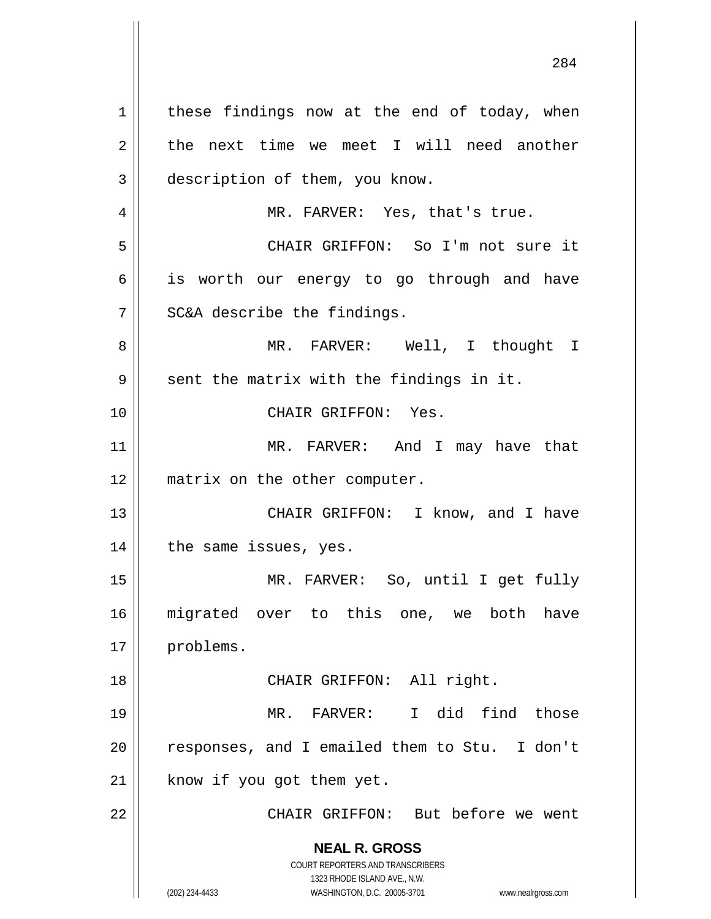**NEAL R. GROSS** COURT REPORTERS AND TRANSCRIBERS 1323 RHODE ISLAND AVE., N.W. (202) 234-4433 WASHINGTON, D.C. 20005-3701 www.nealrgross.com  $1 \parallel$  these findings now at the end of today, when  $2 \parallel$  the next time we meet I will need another 3 description of them, you know. 4 || MR. FARVER: Yes, that's true. 5 CHAIR GRIFFON: So I'm not sure it 6 || is worth our energy to go through and have  $7$  || SC&A describe the findings. 8 MR. FARVER: Well, I thought I  $9 \parallel$  sent the matrix with the findings in it. 10 CHAIR GRIFFON: Yes. 11 || MR. FARVER: And I may have that 12 || matrix on the other computer. 13 || CHAIR GRIFFON: I know, and I have 14 || the same issues, yes. 15 MR. FARVER: So, until I get fully 16 migrated over to this one, we both have 17 | problems. 18 || CHAIR GRIFFON: All right. 19 MR. FARVER: I did find those 20 || responses, and I emailed them to Stu. I don't  $21$  know if you got them yet. 22 CHAIR GRIFFON: But before we went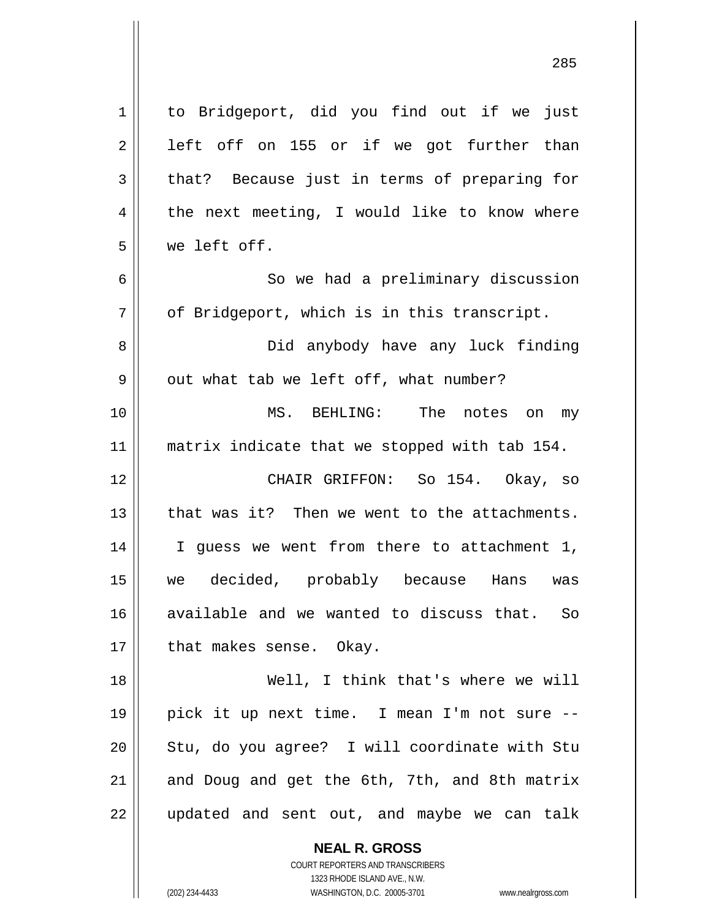| $\mathbf 1$    | to Bridgeport, did you find out if we just                       |
|----------------|------------------------------------------------------------------|
| $\overline{2}$ | left off on 155 or if we got further than                        |
| 3              | that? Because just in terms of preparing for                     |
| 4              | the next meeting, I would like to know where                     |
| 5              | we left off.                                                     |
| 6              | So we had a preliminary discussion                               |
| 7              | of Bridgeport, which is in this transcript.                      |
| 8              | Did anybody have any luck finding                                |
| 9              | out what tab we left off, what number?                           |
| 10             | MS. BEHLING: The notes on<br>my                                  |
| 11             | matrix indicate that we stopped with tab 154.                    |
| 12             | CHAIR GRIFFON: So 154. Okay, so                                  |
| 13             | that was it? Then we went to the attachments.                    |
| 14             | I guess we went from there to attachment 1,                      |
| 15             | we decided, probably because Hans<br>was                         |
| 16             | available and we wanted to discuss that. So                      |
| 17             | that makes sense. Okay.                                          |
| 18             | Well, I think that's where we will                               |
| 19             | pick it up next time. I mean I'm not sure --                     |
| 20             | Stu, do you agree? I will coordinate with Stu                    |
| 21             | and Doug and get the 6th, 7th, and 8th matrix                    |
| 22             | updated and sent out, and maybe we can talk                      |
|                |                                                                  |
|                | <b>NEAL R. GROSS</b>                                             |
|                | COURT REPORTERS AND TRANSCRIBERS<br>1323 RHODE ISLAND AVE., N.W. |
|                |                                                                  |

1323 RHODE ISLAND AVE., N.W.

 $\prod_{i=1}^{n}$ 

(202) 234-4433 WASHINGTON, D.C. 20005-3701 www.nealrgross.com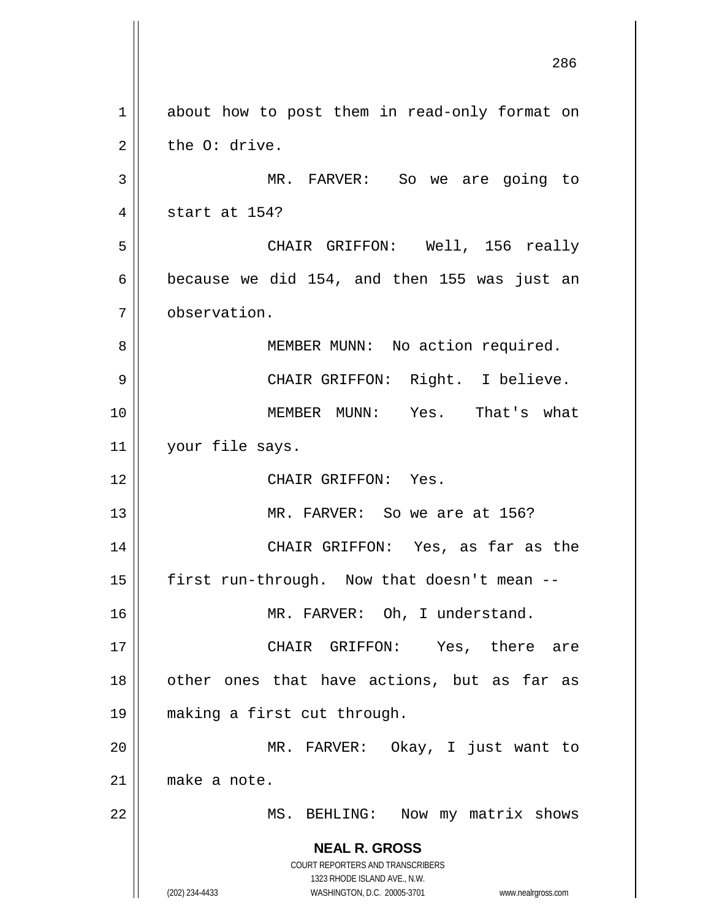**NEAL R. GROSS** COURT REPORTERS AND TRANSCRIBERS 1323 RHODE ISLAND AVE., N.W. (202) 234-4433 WASHINGTON, D.C. 20005-3701 www.nealrgross.com 286 1 about how to post them in read-only format on  $2 \parallel$  the O: drive. 3 MR. FARVER: So we are going to 4 || start at 154? 5 CHAIR GRIFFON: Well, 156 really 6  $\vert$  because we did 154, and then 155 was just an 7 observation. 8 || MEMBER MUNN: No action required. 9 CHAIR GRIFFON: Right. I believe. 10 MEMBER MUNN: Yes. That's what 11 | your file says. 12 CHAIR GRIFFON: Yes. 13 || MR. FARVER: So we are at 156? 14 CHAIR GRIFFON: Yes, as far as the 15  $\parallel$  first run-through. Now that doesn't mean --16 || MR. FARVER: Oh, I understand. 17 CHAIR GRIFFON: Yes, there are 18 || other ones that have actions, but as far as 19 making a first cut through. 20 MR. FARVER: Okay, I just want to 21 make a note. 22 || MS. BEHLING: Now my matrix shows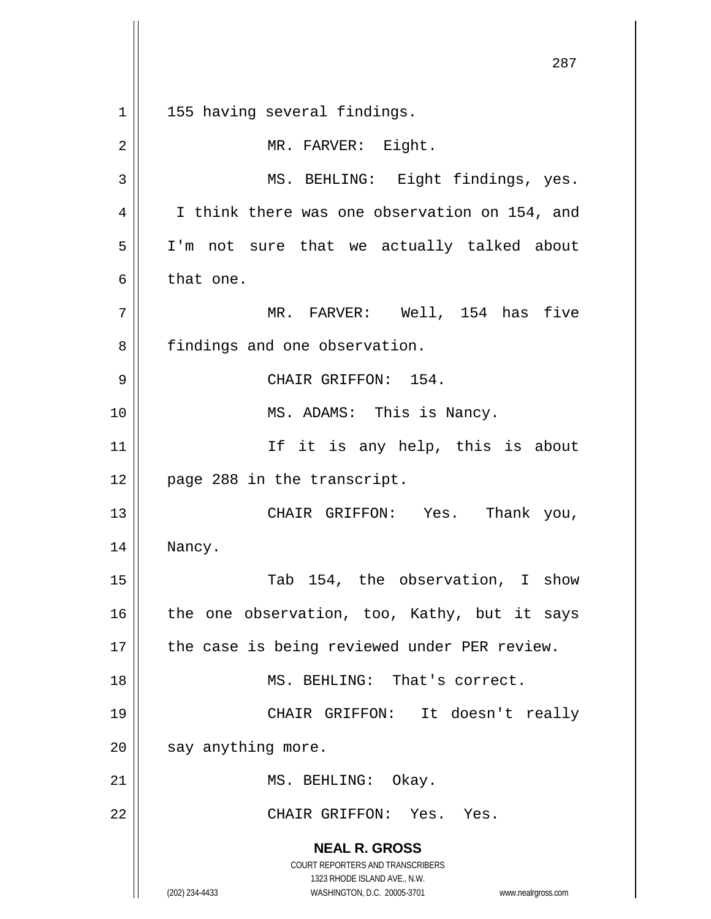**NEAL R. GROSS** COURT REPORTERS AND TRANSCRIBERS 1323 RHODE ISLAND AVE., N.W. (202) 234-4433 WASHINGTON, D.C. 20005-3701 www.nealrgross.com 287 1 || 155 having several findings. 2 | MR. FARVER: Eight. 3 || MS. BEHLING: Eight findings, yes. 4 | I think there was one observation on 154, and 5 I'm not sure that we actually talked about 6 b that one. 7 || MR. FARVER: Well, 154 has five 8 | findings and one observation. 9 CHAIR GRIFFON: 154. 10 || MS. ADAMS: This is Nancy. 11 || The it is any help, this is about 12 page 288 in the transcript. 13 CHAIR GRIFFON: Yes. Thank you, 14 Nancy. 15 || Tab 154, the observation, I show 16  $\parallel$  the one observation, too, Kathy, but it says 17 || the case is being reviewed under PER review. 18 MS. BEHLING: That's correct. 19 CHAIR GRIFFON: It doesn't really  $20$  | say anything more. 21 | MS. BEHLING: Okay. 22 CHAIR GRIFFON: Yes. Yes.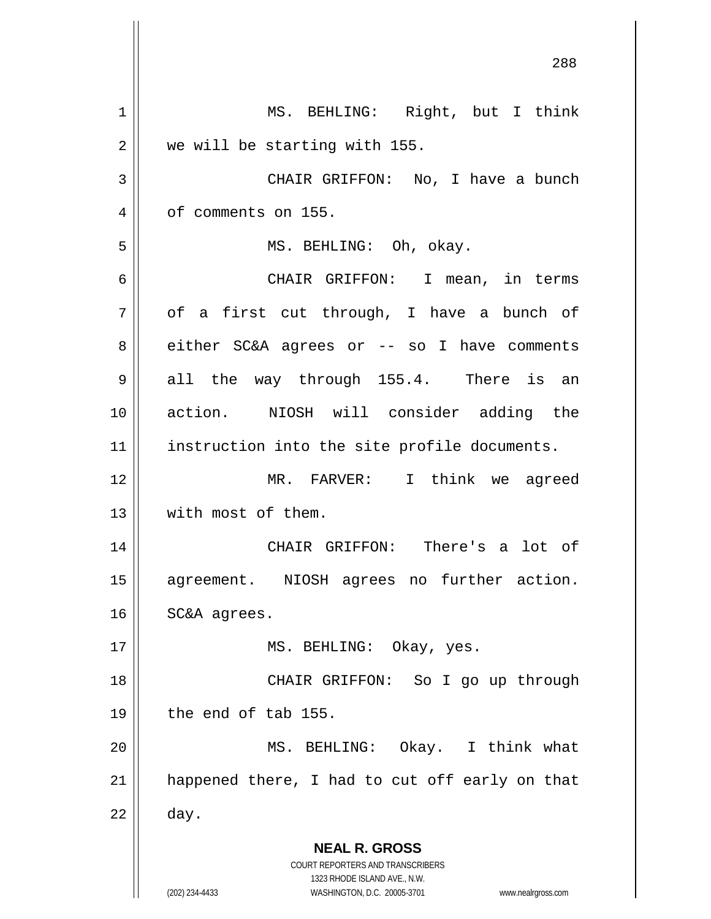**NEAL R. GROSS** COURT REPORTERS AND TRANSCRIBERS 1323 RHODE ISLAND AVE., N.W. (202) 234-4433 WASHINGTON, D.C. 20005-3701 www.nealrgross.com 288 1 || MS. BEHLING: Right, but I think 2 | we will be starting with 155. 3 CHAIR GRIFFON: No, I have a bunch 4 | of comments on 155. 5 MS. BEHLING: Oh, okay. 6 CHAIR GRIFFON: I mean, in terms  $7 \parallel$  of a first cut through, I have a bunch of 8 either SC&A agrees or -- so I have comments  $9 \parallel$  all the way through 155.4. There is an 10 action. NIOSH will consider adding the 11 || instruction into the site profile documents. 12 MR. FARVER: I think we agreed 13 With most of them. 14 CHAIR GRIFFON: There's a lot of 15 agreement. NIOSH agrees no further action. 16 | SC&A agrees. 17 || MS. BEHLING: Okay, yes. 18 || CHAIR GRIFFON: So I go up through  $19 \parallel$  the end of tab 155. 20 MS. BEHLING: Okay. I think what  $21$  || happened there, I had to cut off early on that  $22 \parallel$  day.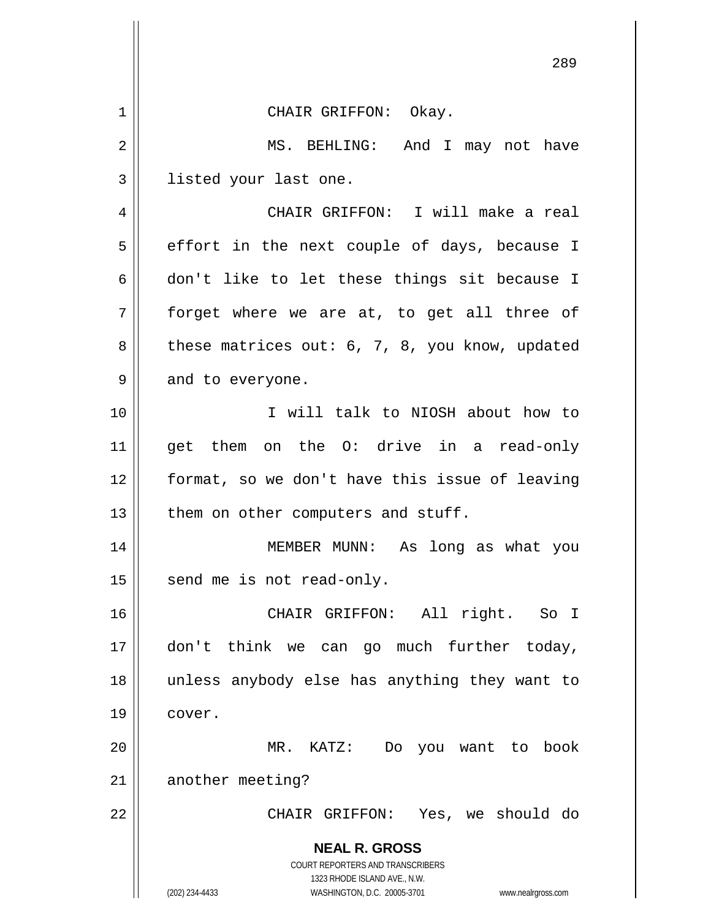|    | 289                                                                                                 |
|----|-----------------------------------------------------------------------------------------------------|
| 1  | CHAIR GRIFFON: Okay.                                                                                |
| 2  | MS. BEHLING:<br>And I may not have                                                                  |
| 3  | listed your last one.                                                                               |
| 4  | CHAIR GRIFFON: I will make a real                                                                   |
| 5  | effort in the next couple of days, because I                                                        |
| 6  | don't like to let these things sit because I                                                        |
| 7  | forget where we are at, to get all three of                                                         |
| 8  | these matrices out: 6, 7, 8, you know, updated                                                      |
| 9  | and to everyone.                                                                                    |
| 10 | I will talk to NIOSH about how to                                                                   |
| 11 | get them on the O: drive in a read-only                                                             |
| 12 | format, so we don't have this issue of leaving                                                      |
| 13 | them on other computers and stuff.                                                                  |
| 14 | long as what you<br>MEMBER MUNN:<br>As                                                              |
| 15 | send me is not read-only.                                                                           |
| 16 | CHAIR GRIFFON: All right.<br>So I                                                                   |
| 17 | don't think we can go much further today,                                                           |
| 18 | unless anybody else has anything they want to                                                       |
| 19 | cover.                                                                                              |
| 20 | MR. KATZ: Do you want to book                                                                       |
| 21 | another meeting?                                                                                    |
| 22 | CHAIR GRIFFON: Yes, we should do                                                                    |
|    | <b>NEAL R. GROSS</b>                                                                                |
|    | COURT REPORTERS AND TRANSCRIBERS                                                                    |
|    | 1323 RHODE ISLAND AVE., N.W.<br>(202) 234-4433<br>WASHINGTON, D.C. 20005-3701<br>www.nealrgross.com |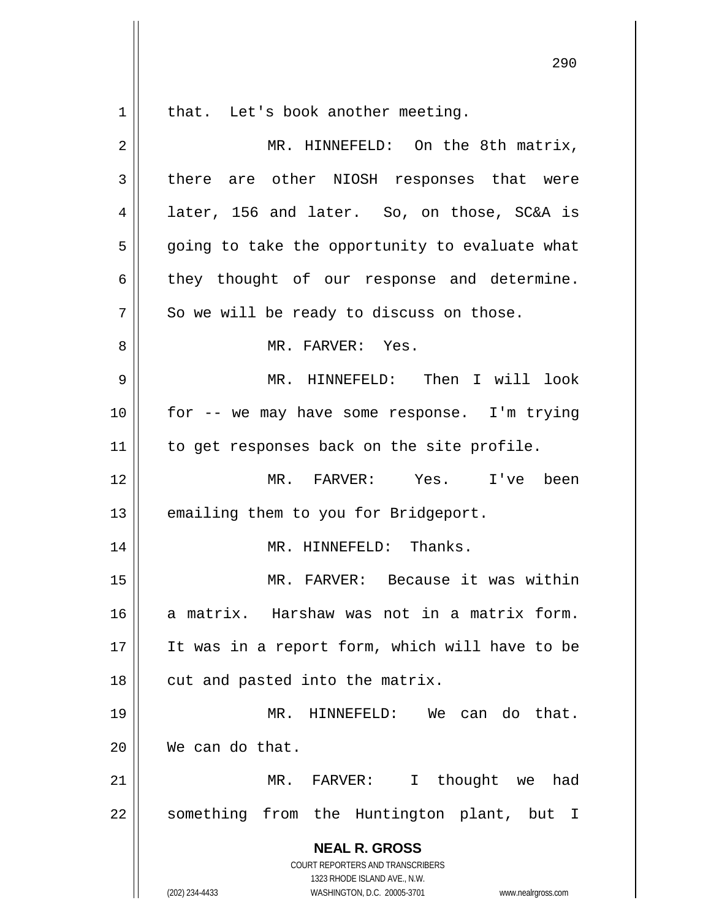1 || that. Let's book another meeting. 2 | MR. HINNEFELD: On the 8th matrix, 3 there are other NIOSH responses that were 4 || later, 156 and later. So, on those, SC&A is  $5 \parallel$  going to take the opportunity to evaluate what  $6 \parallel$  they thought of our response and determine.  $7 \parallel$  So we will be ready to discuss on those. 8 MR. FARVER: Yes. 9 MR. HINNEFELD: Then I will look 10 || for -- we may have some response. I'm trying 11 | to get responses back on the site profile. 12 MR. FARVER: Yes. I've been  $13$  | emailing them to you for Bridgeport. 14 || MR. HINNEFELD: Thanks. 15 MR. FARVER: Because it was within 16 a matrix. Harshaw was not in a matrix form. 17 It was in a report form, which will have to be  $18$  || cut and pasted into the matrix. 19 MR. HINNEFELD: We can do that. 20 We can do that. 21 MR. FARVER: I thought we had 22 || something from the Huntington plant, but I

> **NEAL R. GROSS** COURT REPORTERS AND TRANSCRIBERS 1323 RHODE ISLAND AVE., N.W.

(202) 234-4433 WASHINGTON, D.C. 20005-3701 www.nealrgross.com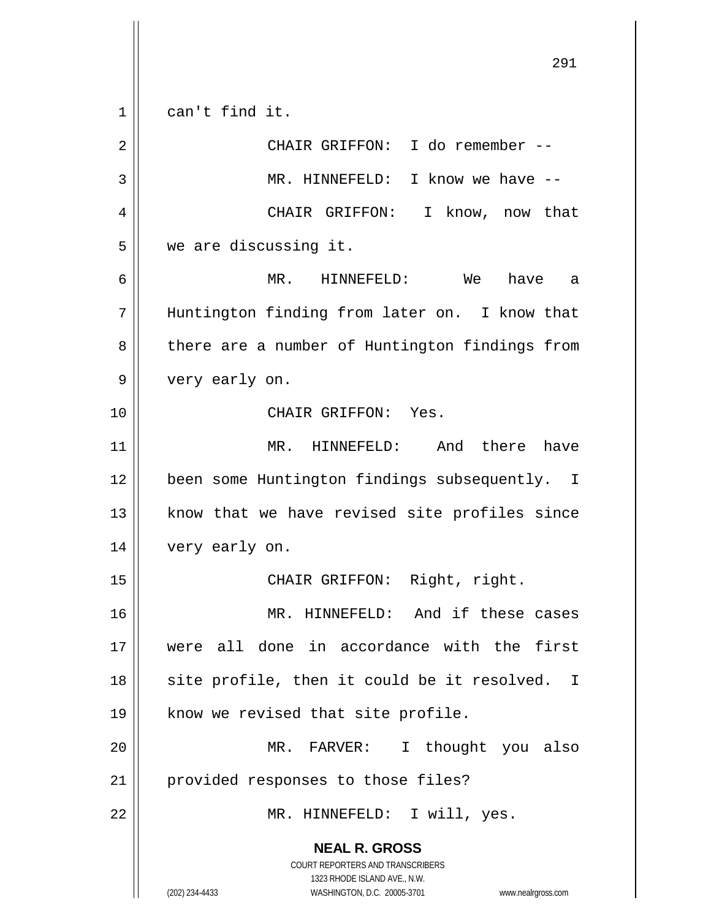**NEAL R. GROSS** COURT REPORTERS AND TRANSCRIBERS 1323 RHODE ISLAND AVE., N.W. (202) 234-4433 WASHINGTON, D.C. 20005-3701 www.nealrgross.com 1 || can't find it. 2 || CHAIR GRIFFON: I do remember --3 MR. HINNEFELD: I know we have -- 4 CHAIR GRIFFON: I know, now that 5 we are discussing it. 6 MR. HINNEFELD: We have a 7 || Huntington finding from later on. I know that 8 || there are a number of Huntington findings from 9 very early on. 10 CHAIR GRIFFON: Yes. 11 MR. HINNEFELD: And there have 12 | been some Huntington findings subsequently. I  $13$  know that we have revised site profiles since 14 very early on. 15 || CHAIR GRIFFON: Right, right. 16 || MR. HINNEFELD: And if these cases 17 were all done in accordance with the first  $18$  site profile, then it could be it resolved. I 19 || know we revised that site profile. 20 MR. FARVER: I thought you also 21 || provided responses to those files? 22 || MR. HINNEFELD: I will, yes.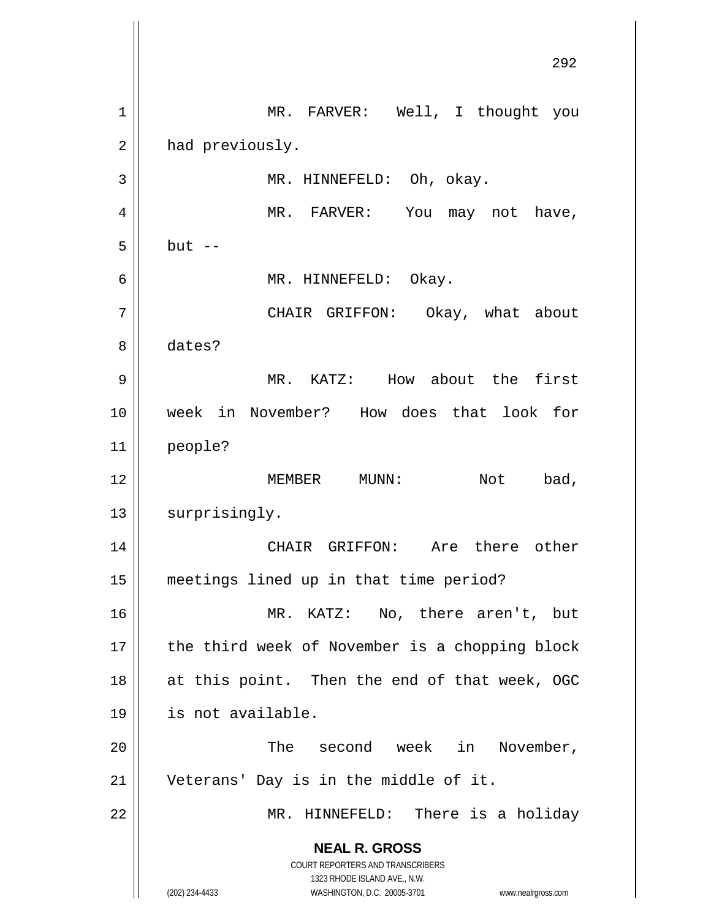**NEAL R. GROSS** COURT REPORTERS AND TRANSCRIBERS 1323 RHODE ISLAND AVE., N.W. (202) 234-4433 WASHINGTON, D.C. 20005-3701 www.nealrgross.com 292 1 || MR. FARVER: Well, I thought you 2 | had previously. 3 || MR. HINNEFELD: Oh, okay. 4 || MR. FARVER: You may not have,  $5 \parallel$  but  $-$ 6 | MR. HINNEFELD: Okay. 7 CHAIR GRIFFON: Okay, what about 8 dates? 9 MR. KATZ: How about the first 10 week in November? How does that look for 11 people? 12 MEMBER MUNN: Not bad, 13 | surprisingly. 14 CHAIR GRIFFON: Are there other 15 meetings lined up in that time period? 16 MR. KATZ: No, there aren't, but 17 || the third week of November is a chopping block 18 || at this point. Then the end of that week, OGC 19 is not available. 20 The second week in November, 21 Veterans' Day is in the middle of it. 22 MR. HINNEFELD: There is a holiday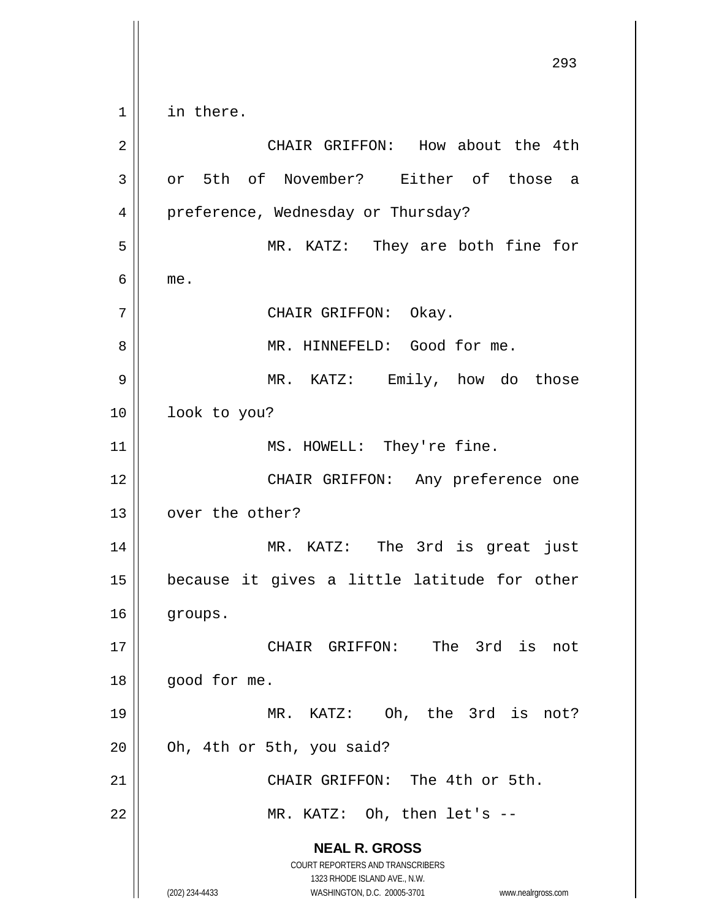**NEAL R. GROSS** COURT REPORTERS AND TRANSCRIBERS 1323 RHODE ISLAND AVE., N.W. (202) 234-4433 WASHINGTON, D.C. 20005-3701 www.nealrgross.com 293  $1 \parallel$  in there. 2 CHAIR GRIFFON: How about the 4th 3 or 5th of November? Either of those a 4 | preference, Wednesday or Thursday? 5 MR. KATZ: They are both fine for  $6 \parallel$  me. 7 || CHAIR GRIFFON: Okay. 8 | MR. HINNEFELD: Good for me. 9 MR. KATZ: Emily, how do those 10 || look to you? 11 || MS. HOWELL: They're fine. 12 || CHAIR GRIFFON: Any preference one 13 || over the other? 14 MR. KATZ: The 3rd is great just 15 because it gives a little latitude for other 16 | groups. 17 || CHAIR GRIFFON: The 3rd is not 18 | good for me. 19 || MR. KATZ: Oh, the 3rd is not?  $20$  | Oh, 4th or 5th, you said? 21 || CHAIR GRIFFON: The 4th or 5th. 22 || MR. KATZ: Oh, then let's --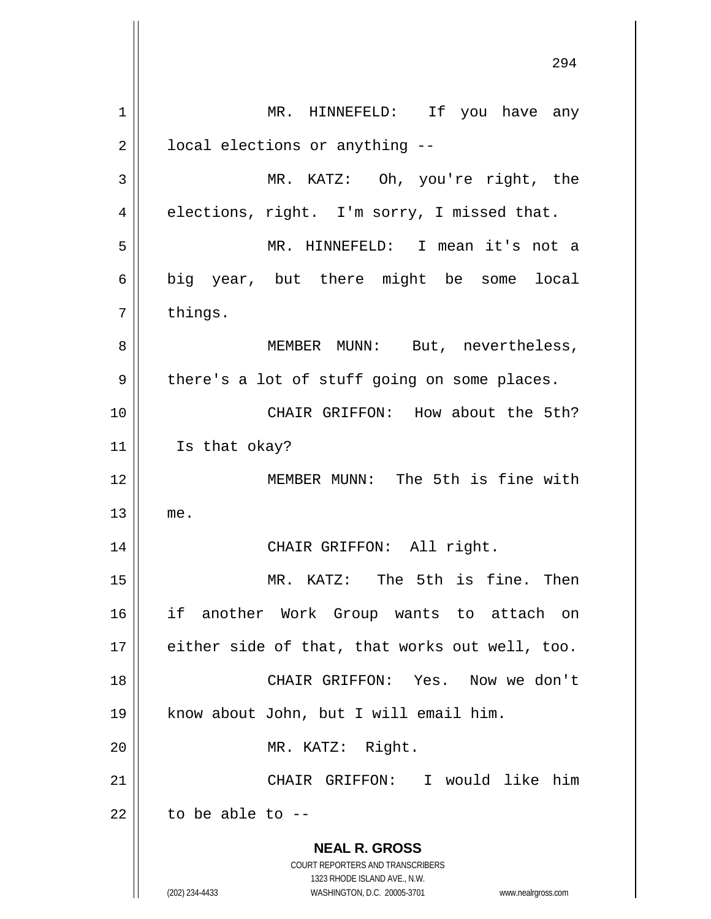**NEAL R. GROSS** COURT REPORTERS AND TRANSCRIBERS 1323 RHODE ISLAND AVE., N.W. (202) 234-4433 WASHINGTON, D.C. 20005-3701 www.nealrgross.com 1 || MR. HINNEFELD: If you have any  $2 \parallel$  local elections or anything --3 MR. KATZ: Oh, you're right, the  $4 \parallel$  elections, right. I'm sorry, I missed that. 5 MR. HINNEFELD: I mean it's not a  $6 \parallel$  big year, but there might be some local  $7 \parallel$  things. 8 || MEMBER MUNN: But, nevertheless,  $9 \parallel$  there's a lot of stuff going on some places. 10 CHAIR GRIFFON: How about the 5th? 11 | Is that okay? 12 MEMBER MUNN: The 5th is fine with  $13$  me. 14 || CHAIR GRIFFON: All right. 15 MR. KATZ: The 5th is fine. Then 16 if another Work Group wants to attach on 17 either side of that, that works out well, too. 18 CHAIR GRIFFON: Yes. Now we don't 19 know about John, but I will email him. 20 || MR. KATZ: Right. 21 CHAIR GRIFFON: I would like him  $22$   $\parallel$  to be able to --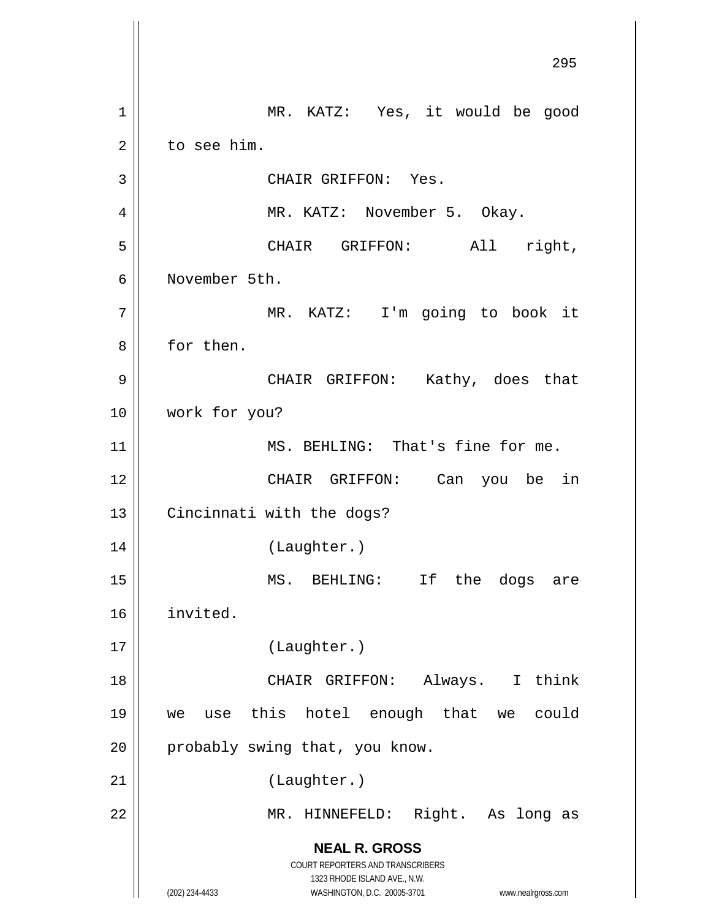**NEAL R. GROSS** COURT REPORTERS AND TRANSCRIBERS 1323 RHODE ISLAND AVE., N.W. (202) 234-4433 WASHINGTON, D.C. 20005-3701 www.nealrgross.com 295 1 || MR. KATZ: Yes, it would be good  $2 \parallel$  to see him. 3 || CHAIR GRIFFON: Yes. 4 MR. KATZ: November 5. Okay. 5 CHAIR GRIFFON: All right, 6 November 5th. 7 MR. KATZ: I'm going to book it 8 | for then. 9 CHAIR GRIFFON: Kathy, does that 10 work for you? 11 || MS. BEHLING: That's fine for me. 12 CHAIR GRIFFON: Can you be in 13 | Cincinnati with the dogs? 14 || (Laughter.) 15 MS. BEHLING: If the dogs are 16 invited. 17 (Laughter.) 18 CHAIR GRIFFON: Always. I think 19 we use this hotel enough that we could  $20$  | probably swing that, you know. 21 | (Laughter.) 22 MR. HINNEFELD: Right. As long as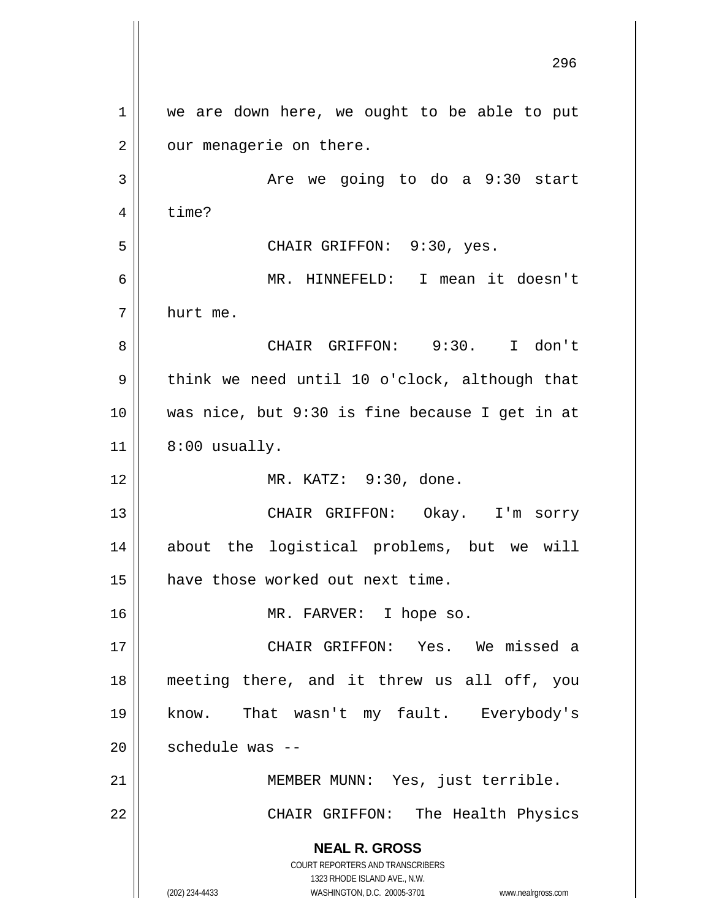**NEAL R. GROSS** COURT REPORTERS AND TRANSCRIBERS 1323 RHODE ISLAND AVE., N.W. (202) 234-4433 WASHINGTON, D.C. 20005-3701 www.nealrgross.com 296 1 || we are down here, we ought to be able to put  $2 \parallel$  our menagerie on there. 3 Are we going to do a 9:30 start  $4 \parallel$  time? 5 CHAIR GRIFFON: 9:30, yes. 6 MR. HINNEFELD: I mean it doesn't 7 hurt me. 8 CHAIR GRIFFON: 9:30. I don't  $9 \parallel$  think we need until 10 o'clock, although that 10 was nice, but 9:30 is fine because I get in at  $11 \parallel 8:00$  usually. 12 || MR. KATZ: 9:30, done. 13 CHAIR GRIFFON: Okay. I'm sorry 14 about the logistical problems, but we will 15 | have those worked out next time. 16 || MR. FARVER: I hope so. 17 CHAIR GRIFFON: Yes. We missed a 18 meeting there, and it threw us all off, you 19 know. That wasn't my fault. Everybody's 20 || schedule was --21 || MEMBER MUNN: Yes, just terrible. 22 || CHAIR GRIFFON: The Health Physics